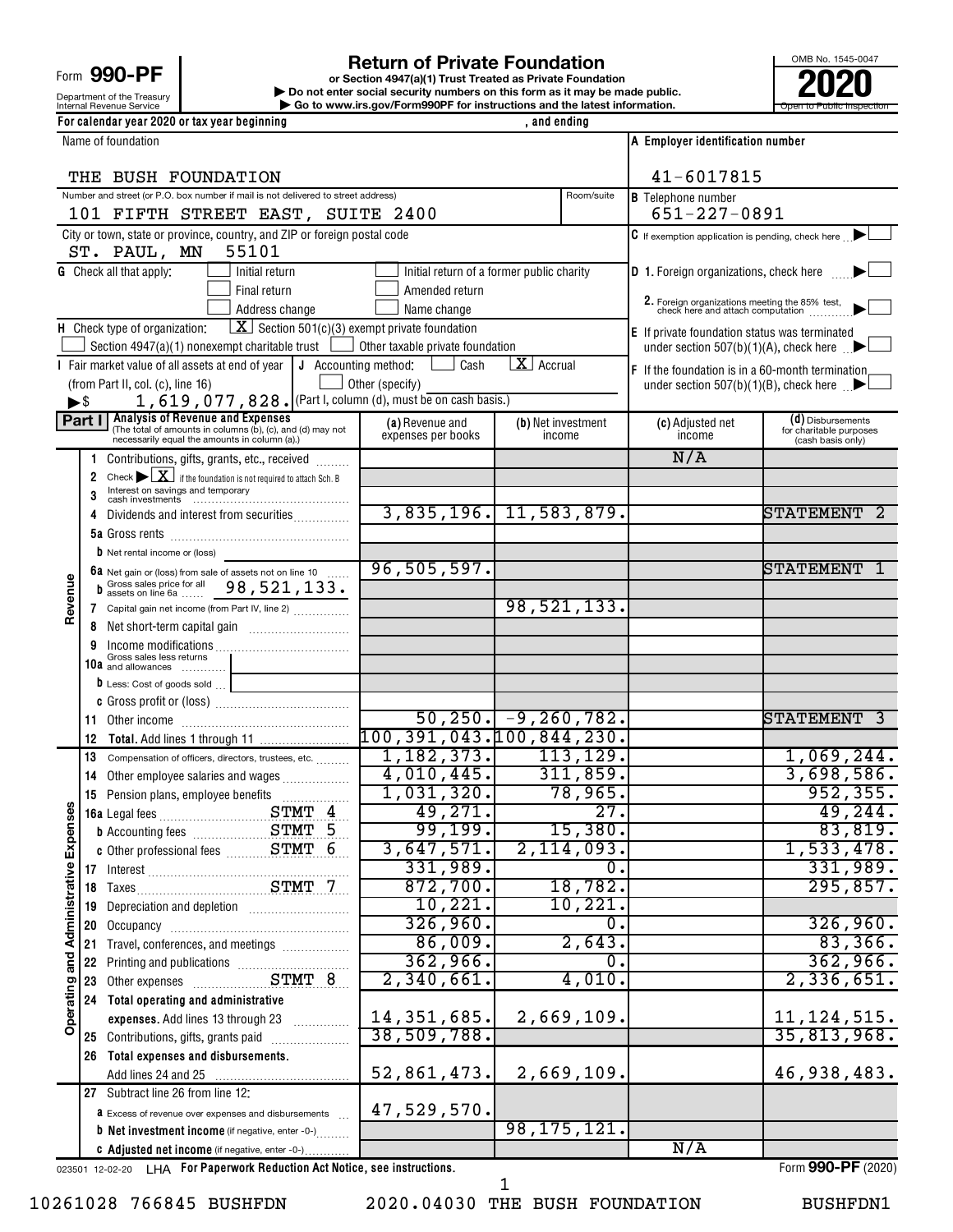Form 990-PF

# Department of the Treasury<br>Internal Revenue Service

#### **For calendar year 2020 or tax year beginning**<br> **For calendar year 2020 or tax year beginning**

Internal Revenue Service **Internal Revenue Service Concernation** Go to www.irs.gov/Form990PF for instructions and the latest information. **or Section 4947(a)(1) Trust Treated as Private Foundation | Do not enter social security numbers on this form as it may be made public. POOPR**<br> **EXECUTER SECUTE AND SOLUTE SECUTE AND SECUTE AND SECUTE AND SECUTE AND SECUTE AND SECUTE AND SECUTE AND SECUTE A<br>
<b>POOPER SECUTE AND SOLUTE AND SOLUTE AND SOLUTE AND SECUTE AND SOLUTE AND SOLUTE AND SOLUTE AND SE** 

| OMB No. 1545-0047         |
|---------------------------|
|                           |
| Open to Public Inspection |

|                                    |                     | Name of foundation                                                                                                                                                    |                                           |                                 |                              | A Employer identification number                                                 |                                                       |
|------------------------------------|---------------------|-----------------------------------------------------------------------------------------------------------------------------------------------------------------------|-------------------------------------------|---------------------------------|------------------------------|----------------------------------------------------------------------------------|-------------------------------------------------------|
|                                    |                     |                                                                                                                                                                       |                                           |                                 |                              |                                                                                  |                                                       |
|                                    | THE BUSH FOUNDATION |                                                                                                                                                                       |                                           |                                 |                              | 41-6017815                                                                       |                                                       |
|                                    |                     | Number and street (or P.O. box number if mail is not delivered to street address)<br>101 FIFTH STREET EAST, SUITE 2400                                                |                                           |                                 | Room/suite                   | <b>B</b> Telephone number<br>$651 - 227 - 0891$                                  |                                                       |
|                                    |                     | City or town, state or province, country, and ZIP or foreign postal code                                                                                              |                                           |                                 |                              |                                                                                  |                                                       |
|                                    |                     | 55101<br>ST. PAUL, MN                                                                                                                                                 |                                           |                                 |                              | $\mathsf C$ If exemption application is pending, check here $\Box$               |                                                       |
|                                    |                     | <b>G</b> Check all that apply:<br>Initial return                                                                                                                      | Initial return of a former public charity |                                 |                              | D 1. Foreign organizations, check here                                           |                                                       |
|                                    |                     | Final return                                                                                                                                                          | Amended return                            |                                 |                              |                                                                                  |                                                       |
|                                    |                     | Address change                                                                                                                                                        | Name change                               |                                 |                              | 2. Foreign organizations meeting the 85% test, check here and attach computation |                                                       |
|                                    |                     | $\boxed{\textbf{X}}$ Section 501(c)(3) exempt private foundation<br>H Check type of organization:                                                                     |                                           |                                 |                              | E If private foundation status was terminated                                    |                                                       |
|                                    |                     | Section 4947(a)(1) nonexempt charitable trust $\Box$ Other taxable private foundation                                                                                 |                                           |                                 |                              |                                                                                  | under section 507(b)(1)(A), check here $\blacksquare$ |
|                                    |                     | I Fair market value of all assets at end of year   J Accounting method:                                                                                               | Cash                                      | $\overline{\mathbf{X}}$ Accrual |                              | F If the foundation is in a 60-month termination                                 |                                                       |
|                                    |                     | (from Part II, col. (c), line 16)                                                                                                                                     | Other (specify)                           |                                 |                              |                                                                                  | under section 507(b)(1)(B), check here $\Box$         |
| $\blacktriangleright$ \$           |                     | 1, 619, 077, 828. (Part I, column (d), must be on cash basis.)                                                                                                        |                                           |                                 |                              |                                                                                  |                                                       |
|                                    |                     | <b>Part I</b> Analysis of Revenue and Expenses<br>(The total of amounts in columns (b), (c), and (d) may not<br>necessarily equal the amounts in column (a).)         | (a) Revenue and<br>expenses per books     |                                 | (b) Net investment<br>income | (c) Adjusted net<br>income                                                       | (d) Disbursements<br>for charitable purposes          |
|                                    |                     |                                                                                                                                                                       |                                           |                                 |                              | N/A                                                                              | (cash basis only)                                     |
|                                    | 1.<br>2             | Contributions, gifts, grants, etc., received                                                                                                                          |                                           |                                 |                              |                                                                                  |                                                       |
|                                    | 3                   | Check $\blacktriangleright \lfloor \underline{X} \rfloor$ if the foundation is not required to attach Sch. B<br>Interest on savings and temporary<br>cash investments |                                           |                                 |                              |                                                                                  |                                                       |
|                                    | 4                   | Dividends and interest from securities                                                                                                                                | 3,835,196. 11,583,879.                    |                                 |                              |                                                                                  | <b>STATEMENT</b>                                      |
|                                    |                     |                                                                                                                                                                       |                                           |                                 |                              |                                                                                  |                                                       |
|                                    |                     | <b>b</b> Net rental income or (loss)                                                                                                                                  |                                           |                                 |                              |                                                                                  |                                                       |
|                                    |                     |                                                                                                                                                                       | 96, 505, 597.                             |                                 |                              |                                                                                  | <b>STATEMENT</b>                                      |
|                                    |                     | 6a Net gain or (loss) from sale of assets not on line 10<br>b Gross sales price for all 98, 521, 133.                                                                 |                                           |                                 |                              |                                                                                  |                                                       |
| Revenue                            |                     | 7 Capital gain net income (from Part IV, line 2)                                                                                                                      |                                           |                                 | 98, 521, 133.                |                                                                                  |                                                       |
|                                    | 8                   |                                                                                                                                                                       |                                           |                                 |                              |                                                                                  |                                                       |
|                                    |                     |                                                                                                                                                                       |                                           |                                 |                              |                                                                                  |                                                       |
|                                    |                     | 10a Gross sales less returns                                                                                                                                          |                                           |                                 |                              |                                                                                  |                                                       |
|                                    |                     | <b>b</b> Less: Cost of goods sold                                                                                                                                     |                                           |                                 |                              |                                                                                  |                                                       |
|                                    |                     |                                                                                                                                                                       | $\overline{50, 250.}$ -9, 260, 782.       |                                 |                              |                                                                                  | STATEMENT                                             |
|                                    | 12                  |                                                                                                                                                                       | 100, 391, 043.100, 844, 230.              |                                 |                              |                                                                                  |                                                       |
|                                    | 13                  | Compensation of officers, directors, trustees, etc.                                                                                                                   | $1,182,373.$ $113,129.$                   |                                 |                              |                                                                                  | 1,069,244.                                            |
|                                    | 14                  | Other employee salaries and wages                                                                                                                                     | 4,010,445.                                |                                 | 311,859.                     |                                                                                  | 3,698,586.                                            |
|                                    | 15                  |                                                                                                                                                                       | 1,031,320.                                |                                 | 78,965.                      |                                                                                  | 952, 355.                                             |
| Ses                                |                     |                                                                                                                                                                       | 49,271.                                   |                                 | 27.                          |                                                                                  | 49, 244.                                              |
|                                    |                     | <b>b</b> Accounting fees STMT 5                                                                                                                                       | 99,199.                                   |                                 | 15,380.                      |                                                                                  | 83,819.                                               |
|                                    |                     |                                                                                                                                                                       | 3,647,571.                                |                                 | 2,114,093.                   |                                                                                  | 1,533,478.                                            |
|                                    |                     |                                                                                                                                                                       | 331,989.                                  |                                 | $\overline{0}$ .             |                                                                                  | 331,989.                                              |
|                                    |                     |                                                                                                                                                                       | 872,700.                                  |                                 | 18,782.                      |                                                                                  | 295,857.                                              |
|                                    | 19                  | Depreciation and depletion [11] Depreciation and depletion                                                                                                            | 10, 221.                                  |                                 | 10,221.                      |                                                                                  |                                                       |
|                                    | 20                  |                                                                                                                                                                       | 326,960.                                  |                                 | $\overline{0}$ .             |                                                                                  | 326,960.<br>83,366.                                   |
|                                    | 21                  | Travel, conferences, and meetings                                                                                                                                     | 86,009.<br>362,966.                       |                                 | 2,643.<br>0.                 |                                                                                  | 362,966.                                              |
|                                    | 22                  |                                                                                                                                                                       | 2,340,661.                                |                                 | 4,010.                       |                                                                                  | 2,336,651.                                            |
| Operating and Administrative Exper | 23<br>24            | Total operating and administrative                                                                                                                                    |                                           |                                 |                              |                                                                                  |                                                       |
|                                    |                     | expenses. Add lines 13 through 23                                                                                                                                     | 14, 351, 685.                             |                                 | 2,669,109.                   |                                                                                  | 11, 124, 515.                                         |
|                                    |                     | 25 Contributions, gifts, grants paid                                                                                                                                  | 38,509,788.                               |                                 |                              |                                                                                  | 35,813,968.                                           |
|                                    | 26                  | Total expenses and disbursements.                                                                                                                                     |                                           |                                 |                              |                                                                                  |                                                       |
|                                    |                     |                                                                                                                                                                       | 52,861,473.                               |                                 | 2,669,109.                   |                                                                                  | 46,938,483.                                           |
|                                    |                     | 27 Subtract line 26 from line 12:                                                                                                                                     |                                           |                                 |                              |                                                                                  |                                                       |
|                                    |                     | <b>a</b> Excess of revenue over expenses and disbursements                                                                                                            | 47,529,570.                               |                                 |                              |                                                                                  |                                                       |
|                                    |                     | <b>b</b> Net investment income (if negative, enter -0-)                                                                                                               |                                           |                                 | 98, 175, 121.                |                                                                                  |                                                       |
|                                    |                     | C Adjusted net income (if negative, enter -0-)                                                                                                                        |                                           |                                 |                              | N/A                                                                              |                                                       |
|                                    |                     | 023501 12-02-20 LHA For Paperwork Reduction Act Notice, see instructions.                                                                                             |                                           |                                 |                              |                                                                                  | Form 990-PF (2020)                                    |

10261028 766845 BUSHFDN 2020.04030 THE BUSH FOUNDATION BUSHFDN1

1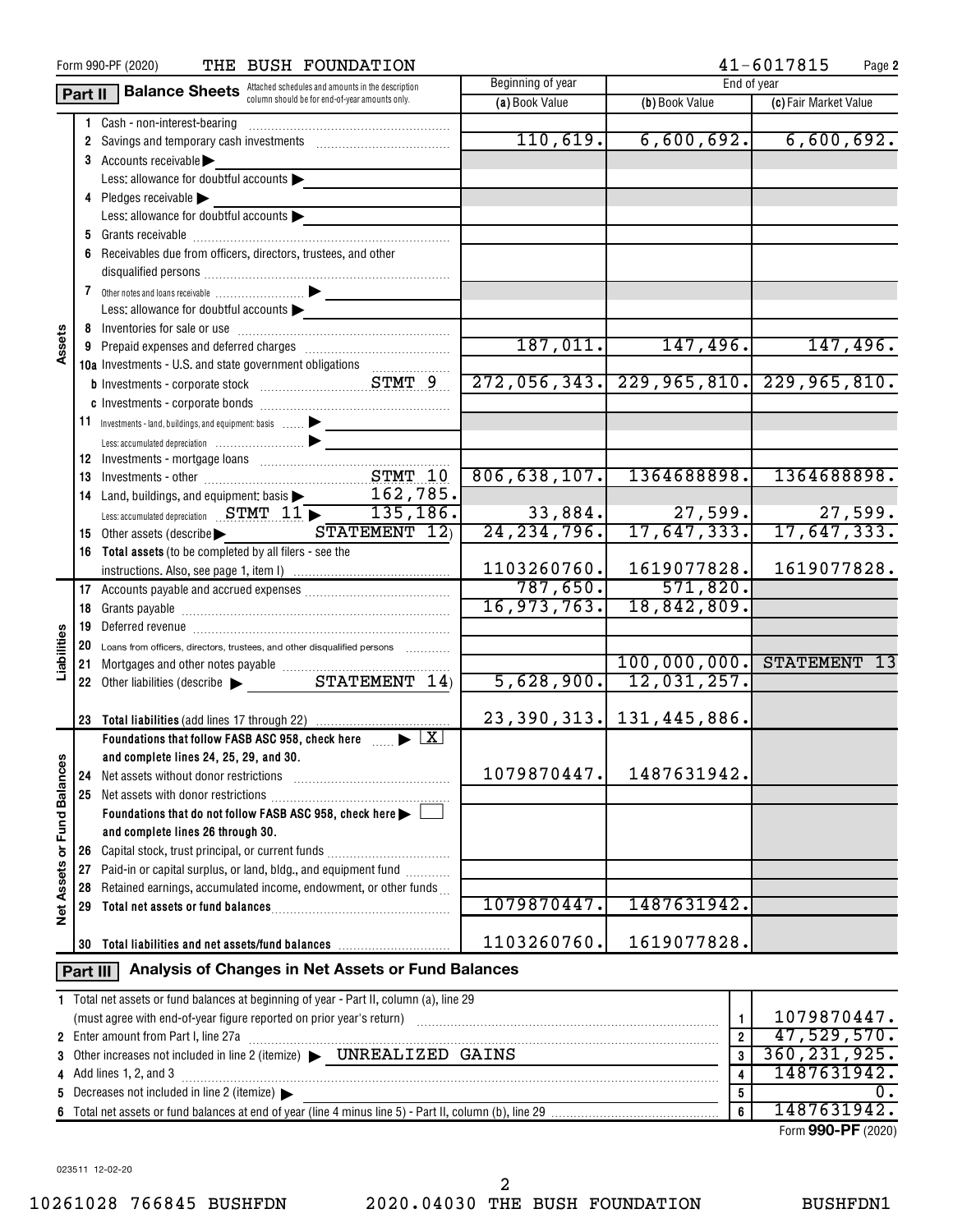| $41 - 6017815$<br>THE BUSH FOUNDATION<br>Form 990-PF (2020)<br>Page 2 |          |                                                                                                           |                         |                              |                               |
|-----------------------------------------------------------------------|----------|-----------------------------------------------------------------------------------------------------------|-------------------------|------------------------------|-------------------------------|
|                                                                       |          | <b>Part II</b> Balance Sheets Attached schedules and amounts in the description                           | Beginning of year       | End of year                  |                               |
|                                                                       |          | column should be for end-of-year amounts only.                                                            | (a) Book Value          | (b) Book Value               | (c) Fair Market Value         |
|                                                                       |          | 1 Cash - non-interest-bearing                                                                             |                         |                              |                               |
|                                                                       |          |                                                                                                           | 110,619.                |                              | $6,600,692.$ $6,600,692.$     |
|                                                                       |          | 3 Accounts receivable                                                                                     |                         |                              |                               |
|                                                                       |          | Less: allowance for doubtful accounts                                                                     |                         |                              |                               |
|                                                                       |          | 4 Pledges receivable                                                                                      |                         |                              |                               |
|                                                                       |          | Less: allowance for doubtful accounts                                                                     |                         |                              |                               |
|                                                                       |          |                                                                                                           |                         |                              |                               |
|                                                                       |          | 6 Receivables due from officers, directors, trustees, and other                                           |                         |                              |                               |
|                                                                       |          |                                                                                                           |                         |                              |                               |
|                                                                       |          |                                                                                                           |                         |                              |                               |
|                                                                       |          | Less: allowance for doubtful accounts                                                                     |                         |                              |                               |
|                                                                       |          |                                                                                                           |                         |                              |                               |
| Assets                                                                |          | 9 Prepaid expenses and deferred charges [111] Prepaid expenses and deferred charges [11] Prepaid expenses |                         | $187,011.$ $147,496.$        | 147,496.                      |
|                                                                       |          | 10a Investments - U.S. and state government obligations                                                   |                         |                              |                               |
|                                                                       |          |                                                                                                           | 272,056,343.            |                              | $229,965,810.$ $229,965,810.$ |
|                                                                       |          |                                                                                                           |                         |                              |                               |
|                                                                       |          | 11 Investments - land, buildings, and equipment: basis                                                    |                         |                              |                               |
|                                                                       |          |                                                                                                           |                         |                              |                               |
|                                                                       |          |                                                                                                           |                         |                              |                               |
|                                                                       |          |                                                                                                           | 806, 638, 107.          | 1364688898.                  | 1364688898.                   |
|                                                                       |          | 14 Land, buildings, and equipment: basis 2000 162, 785.                                                   |                         |                              |                               |
|                                                                       |          | Less: accumulated depreciation STMT 11 > 135, 186.                                                        | 33,884.                 | 27,599.                      | 27,599.                       |
|                                                                       |          | $STATEMENT$ $12$<br>15 Other assets (describe >                                                           | 24, 234, 796.           | 17,647,333.                  | 17,647,333.                   |
|                                                                       |          | 16 Total assets (to be completed by all filers - see the                                                  |                         |                              |                               |
|                                                                       |          |                                                                                                           | 1103260760.             | 1619077828.                  | 1619077828.                   |
|                                                                       |          |                                                                                                           | 787,650.                | 571,820.                     |                               |
|                                                                       |          |                                                                                                           | 16,973,763.             | 18,842,809.                  |                               |
|                                                                       |          |                                                                                                           |                         |                              |                               |
| Liabilities                                                           |          |                                                                                                           |                         |                              |                               |
|                                                                       |          | 20 Loans from officers, directors, trustees, and other disqualified persons                               |                         | 100,000,000. STATEMENT       | -13                           |
|                                                                       |          |                                                                                                           | 5,628,900.              | 12,031,257.                  |                               |
|                                                                       |          |                                                                                                           |                         |                              |                               |
|                                                                       |          | 23 Total liabilities (add lines 17 through 22)                                                            |                         | 23, 390, 313. 131, 445, 886. |                               |
|                                                                       |          | Foundations that follow FASB ASC 958, check here $\Box$                                                   |                         |                              |                               |
|                                                                       |          | and complete lines 24, 25, 29, and 30.                                                                    |                         |                              |                               |
|                                                                       | 24       | Net assets without donor restrictions                                                                     | 1079870447.             | 1487631942.                  |                               |
|                                                                       | 25       |                                                                                                           |                         |                              |                               |
| <b>Fund Balances</b>                                                  |          | Foundations that do not follow FASB ASC 958, check here $\blacktriangleright$ $\lbrack$                   |                         |                              |                               |
|                                                                       |          | and complete lines 26 through 30.                                                                         |                         |                              |                               |
| ð                                                                     | 26       | Capital stock, trust principal, or current funds                                                          |                         |                              |                               |
|                                                                       | 27       | Paid-in or capital surplus, or land, bldg., and equipment fund                                            |                         |                              |                               |
| <b>Net Assets</b>                                                     | 28       | Retained earnings, accumulated income, endowment, or other funds                                          |                         |                              |                               |
|                                                                       | 29       |                                                                                                           | 1079870447.             | 1487631942.                  |                               |
|                                                                       |          |                                                                                                           |                         |                              |                               |
|                                                                       | 30       | Total liabilities and net assets/fund balances                                                            | 1103260760.             | 1619077828.                  |                               |
|                                                                       |          |                                                                                                           |                         |                              |                               |
|                                                                       | Part III | Analysis of Changes in Net Assets or Fund Balances                                                        |                         |                              |                               |
|                                                                       |          | 1 Total net assets or fund balances at beginning of year - Part II, column (a), line 29                   |                         |                              |                               |
|                                                                       |          |                                                                                                           |                         | $\mathbf{1}$                 | 1079870447.                   |
|                                                                       |          | 2 Enter amount from Part I, line 27a                                                                      | $\overline{\mathbf{2}}$ | 47,529,570.                  |                               |
| 3                                                                     |          | Enter amount from Part I, line 27a<br>Other increases not included in line 2 (itemize) > UNREALIZED GAINS | 3                       | 360, 231, 925.               |                               |
| 4                                                                     |          | Add lines 1, 2, and 3                                                                                     | 4                       | 1487631942.                  |                               |
| 5                                                                     |          | Decreases not included in line 2 (itemize)                                                                |                         | 5                            | 0.                            |
| 6                                                                     |          |                                                                                                           |                         | $\boldsymbol{6}$             | 1487631942.                   |
|                                                                       |          |                                                                                                           |                         |                              | Form 990-PF (2020)            |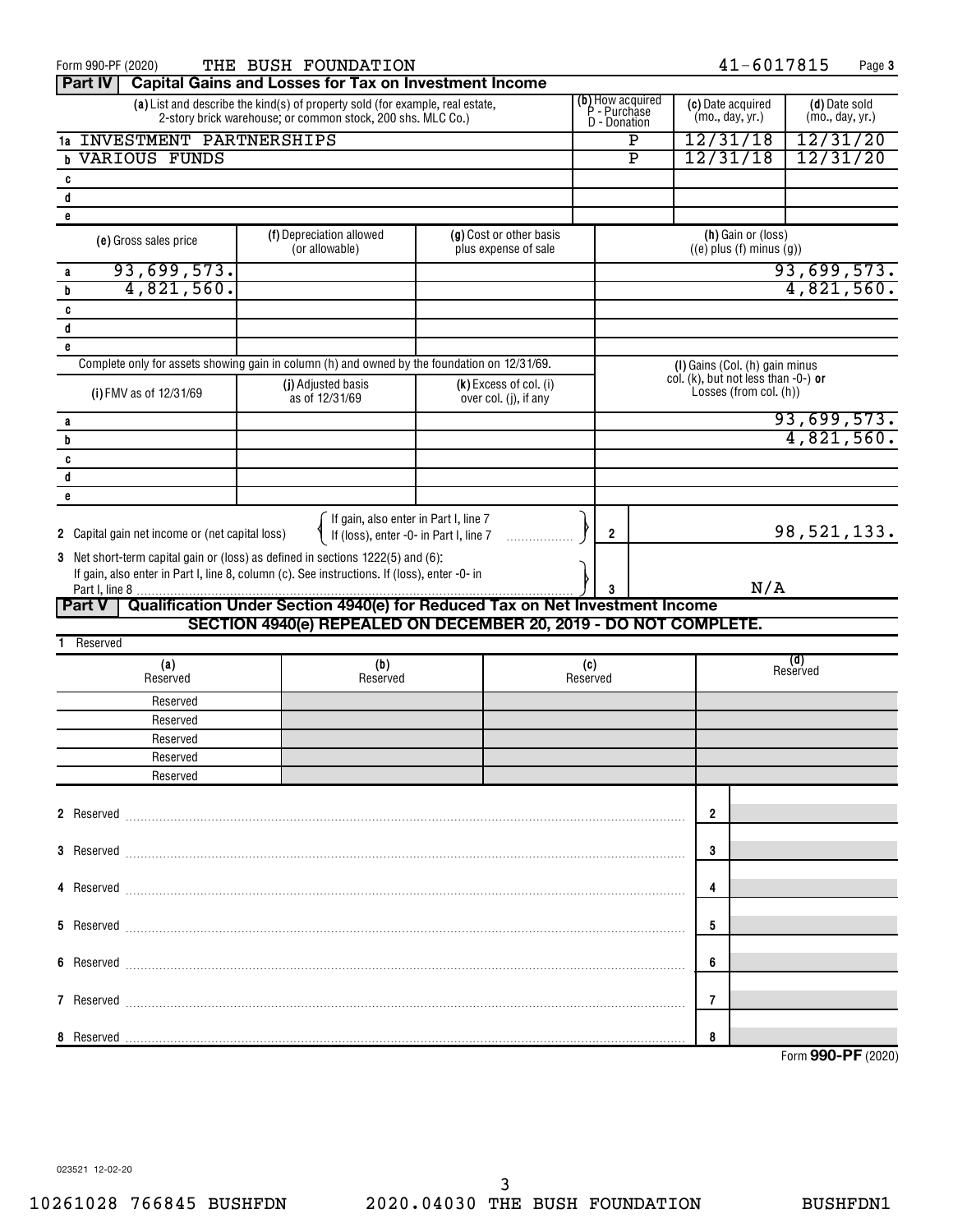| Form 990-PF (2020)                              | THE BUSH FOUNDATION                                                                                                                                                             |                                                   |                                                  |   | 41-6017815                                                       |                                  | Page 3 |  |
|-------------------------------------------------|---------------------------------------------------------------------------------------------------------------------------------------------------------------------------------|---------------------------------------------------|--------------------------------------------------|---|------------------------------------------------------------------|----------------------------------|--------|--|
| <b>Part IV</b>                                  | <b>Capital Gains and Losses for Tax on Investment Income</b>                                                                                                                    |                                                   |                                                  |   |                                                                  |                                  |        |  |
|                                                 | (a) List and describe the kind(s) of property sold (for example, real estate,<br>2-story brick warehouse; or common stock, 200 shs. MLC Co.)                                    |                                                   | (b) How acquired<br>P - Purchase<br>D - Donation |   | (c) Date acquired<br>(mo., day, yr.)                             | (d) Date sold<br>(mo., day, yr.) |        |  |
| <b>INVESTMENT PARTNERSHIPS</b><br>1a            |                                                                                                                                                                                 |                                                   | $\mathbf{P}$                                     |   | 12/31/18                                                         | 12/31/20                         |        |  |
| <b>VARIOUS FUNDS</b><br>h                       |                                                                                                                                                                                 |                                                   | $\overline{\mathbf{P}}$                          |   | 12/31/18                                                         | 12/31/20                         |        |  |
| c                                               |                                                                                                                                                                                 |                                                   |                                                  |   |                                                                  |                                  |        |  |
| d                                               |                                                                                                                                                                                 |                                                   |                                                  |   |                                                                  |                                  |        |  |
| e                                               |                                                                                                                                                                                 |                                                   |                                                  |   |                                                                  |                                  |        |  |
| (e) Gross sales price                           | (f) Depreciation allowed<br>(or allowable)                                                                                                                                      | (g) Cost or other basis<br>plus expense of sale   |                                                  |   | (h) Gain or (loss)<br>$((e)$ plus $(f)$ minus $(g)$ )            |                                  |        |  |
| 93,699,573.<br>a                                |                                                                                                                                                                                 |                                                   |                                                  |   |                                                                  | 93,699,573.                      |        |  |
| 4,821,560.<br>b                                 |                                                                                                                                                                                 |                                                   |                                                  |   |                                                                  | 4,821,560.                       |        |  |
| C                                               |                                                                                                                                                                                 |                                                   |                                                  |   |                                                                  |                                  |        |  |
| d                                               |                                                                                                                                                                                 |                                                   |                                                  |   |                                                                  |                                  |        |  |
| e                                               |                                                                                                                                                                                 |                                                   |                                                  |   |                                                                  |                                  |        |  |
|                                                 | Complete only for assets showing gain in column (h) and owned by the foundation on 12/31/69.                                                                                    |                                                   |                                                  |   | (I) Gains (Col. (h) gain minus                                   |                                  |        |  |
| (i) FMV as of 12/31/69                          | (j) Adjusted basis<br>as of 12/31/69                                                                                                                                            | $(k)$ Excess of col. (i)<br>over col. (j), if any |                                                  |   | col. (k), but not less than $-0$ -) or<br>Losses (from col. (h)) |                                  |        |  |
| a                                               |                                                                                                                                                                                 |                                                   |                                                  |   |                                                                  | 93,699,573.                      |        |  |
| b                                               |                                                                                                                                                                                 |                                                   |                                                  |   |                                                                  | 4,821,560.                       |        |  |
| C                                               |                                                                                                                                                                                 |                                                   |                                                  |   |                                                                  |                                  |        |  |
| d                                               |                                                                                                                                                                                 |                                                   |                                                  |   |                                                                  |                                  |        |  |
| e                                               |                                                                                                                                                                                 |                                                   |                                                  |   |                                                                  |                                  |        |  |
| 2 Capital gain net income or (net capital loss) | If gain, also enter in Part I, line 7<br>If (loss), enter -0- in Part I, line 7                                                                                                 |                                                   | $\overline{2}$                                   |   |                                                                  | 98, 521, 133.                    |        |  |
|                                                 | 3 Net short-term capital gain or (loss) as defined in sections 1222(5) and (6):<br>If gain, also enter in Part I, line 8, column (c). See instructions. If (loss), enter -0- in |                                                   |                                                  |   | N/A                                                              |                                  |        |  |
| <b>Part V</b>                                   | Qualification Under Section 4940(e) for Reduced Tax on Net Investment Income                                                                                                    |                                                   |                                                  |   |                                                                  |                                  |        |  |
|                                                 | SECTION 4940(e) REPEALED ON DECEMBER 20, 2019 - DO NOT COMPLETE.                                                                                                                |                                                   |                                                  |   |                                                                  |                                  |        |  |
| Reserved                                        |                                                                                                                                                                                 |                                                   |                                                  |   |                                                                  |                                  |        |  |
| (a)                                             | (b)                                                                                                                                                                             |                                                   | (c)                                              |   |                                                                  | (d)                              |        |  |
| Reserved                                        | Reserved                                                                                                                                                                        |                                                   | Reserved                                         |   |                                                                  | Reserved                         |        |  |
| Reserved                                        |                                                                                                                                                                                 |                                                   |                                                  |   |                                                                  |                                  |        |  |
| Reserved                                        |                                                                                                                                                                                 |                                                   |                                                  |   |                                                                  |                                  |        |  |
| Reserved                                        |                                                                                                                                                                                 |                                                   |                                                  |   |                                                                  |                                  |        |  |
| Reserved                                        |                                                                                                                                                                                 |                                                   |                                                  |   |                                                                  |                                  |        |  |
| Reserved                                        |                                                                                                                                                                                 |                                                   |                                                  |   |                                                                  |                                  |        |  |
|                                                 |                                                                                                                                                                                 |                                                   |                                                  |   |                                                                  |                                  |        |  |
|                                                 | 2 Reserved <b>Maria Communication Communication</b> and a reserved <b>contract of the communication</b> and a reserved <b>communication</b>                                     |                                                   |                                                  | 2 |                                                                  |                                  |        |  |
|                                                 |                                                                                                                                                                                 |                                                   |                                                  |   |                                                                  |                                  |        |  |
|                                                 |                                                                                                                                                                                 |                                                   |                                                  | 3 |                                                                  |                                  |        |  |
|                                                 |                                                                                                                                                                                 |                                                   |                                                  | 4 |                                                                  |                                  |        |  |
|                                                 |                                                                                                                                                                                 |                                                   |                                                  | 5 |                                                                  |                                  |        |  |
|                                                 |                                                                                                                                                                                 |                                                   |                                                  |   |                                                                  |                                  |        |  |
|                                                 |                                                                                                                                                                                 |                                                   |                                                  | 6 |                                                                  |                                  |        |  |
|                                                 |                                                                                                                                                                                 |                                                   |                                                  | 7 |                                                                  |                                  |        |  |
| 8                                               |                                                                                                                                                                                 |                                                   |                                                  |   |                                                                  |                                  |        |  |
|                                                 |                                                                                                                                                                                 |                                                   |                                                  |   |                                                                  | Form 990-PF (2020)               |        |  |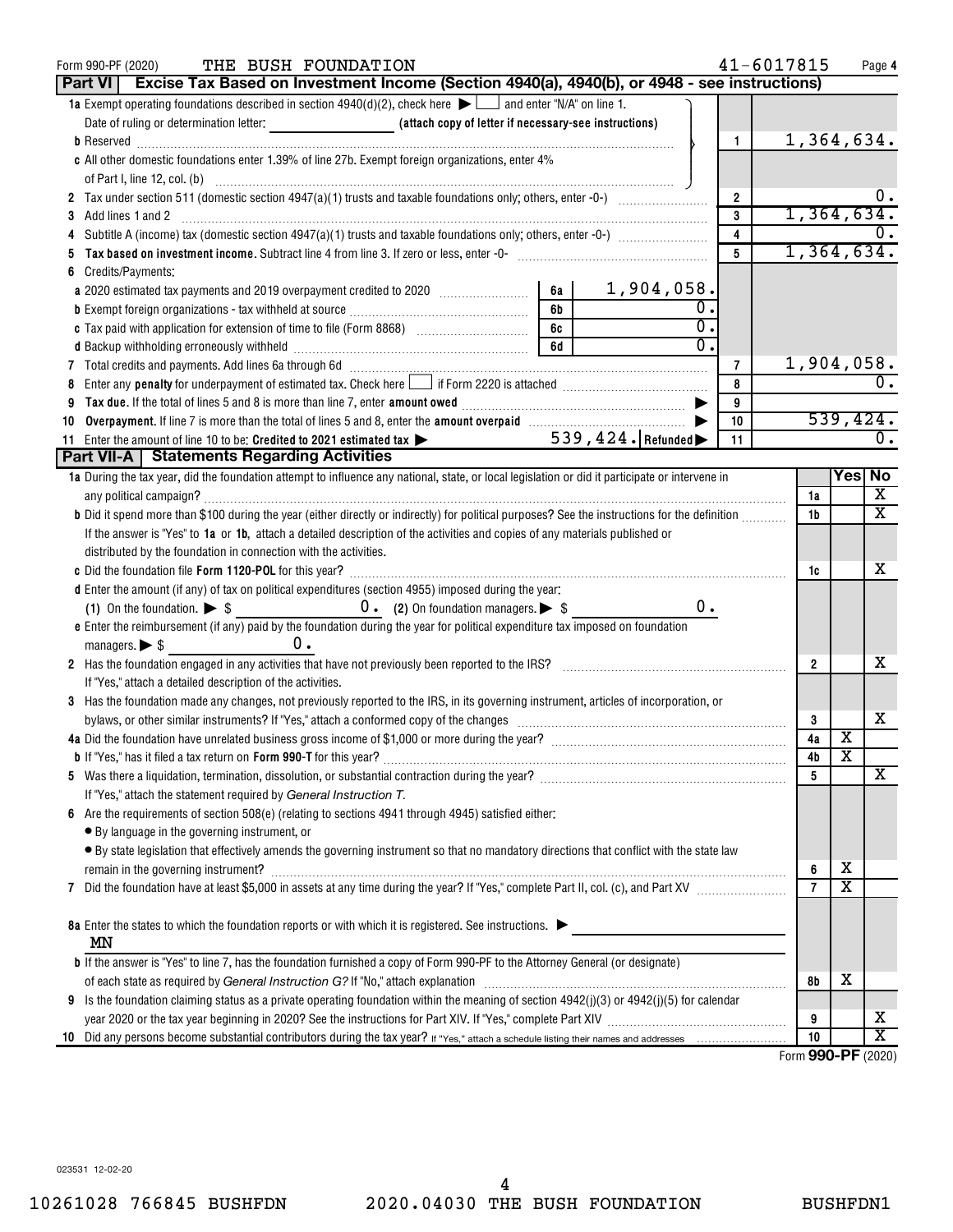|     | THE BUSH FOUNDATION<br>Form 990-PF (2020)                                                                                                                                                                                      |    |                     |                  |                | 41-6017815       |                         | Page 4                  |
|-----|--------------------------------------------------------------------------------------------------------------------------------------------------------------------------------------------------------------------------------|----|---------------------|------------------|----------------|------------------|-------------------------|-------------------------|
|     | Part VI   Excise Tax Based on Investment Income (Section 4940(a), 4940(b), or 4948 - see instructions)                                                                                                                         |    |                     |                  |                |                  |                         |                         |
|     | 1a Exempt operating foundations described in section $4940(d)(2)$ , check here $\blacktriangleright$ and enter "N/A" on line 1.                                                                                                |    |                     |                  |                |                  |                         |                         |
|     |                                                                                                                                                                                                                                |    |                     |                  |                |                  |                         |                         |
|     |                                                                                                                                                                                                                                |    |                     |                  | 1.             |                  |                         | 1,364,634.              |
|     | c All other domestic foundations enter 1.39% of line 27b. Exempt foreign organizations, enter 4%                                                                                                                               |    |                     |                  |                |                  |                         |                         |
|     |                                                                                                                                                                                                                                |    |                     |                  |                |                  |                         |                         |
|     |                                                                                                                                                                                                                                |    |                     |                  | $\overline{2}$ |                  |                         |                         |
| 3   | Add lines 1 and 2                                                                                                                                                                                                              |    |                     |                  | 3              |                  |                         | 1,364,634.              |
| 4   |                                                                                                                                                                                                                                |    |                     |                  | 4              |                  |                         |                         |
|     | Tax based on investment income. Subtract line 4 from line 3. If zero or less, enter -0-                                                                                                                                        |    |                     |                  | 5              |                  |                         | 1,364,634.              |
| 6   | Credits/Payments:                                                                                                                                                                                                              |    |                     |                  |                |                  |                         |                         |
|     | a 2020 estimated tax payments and 2019 overpayment credited to 2020 [11, 12, 13, 13, 13, 13, 13, 13, 13, 13, 1                                                                                                                 | 6а | 1,904,058.          |                  |                |                  |                         |                         |
|     |                                                                                                                                                                                                                                | 6b |                     | 0.               |                |                  |                         |                         |
|     |                                                                                                                                                                                                                                | 6c |                     | $\overline{0}$ . |                |                  |                         |                         |
|     |                                                                                                                                                                                                                                | 6d |                     | $\overline{0}$ . |                |                  |                         |                         |
|     | 7 Total credits and payments. Add lines 6a through 6d [11] [12] Martin Martin Martin Martin Martin Martin Martin Martin Martin Martin Martin Martin Martin Martin Martin Martin Martin Martin Martin Martin Martin Martin Mart |    |                     |                  | 7              |                  |                         | 1,904,058.              |
| 8   |                                                                                                                                                                                                                                |    |                     |                  | 8              |                  |                         |                         |
| 9   |                                                                                                                                                                                                                                |    |                     |                  | 9              |                  |                         |                         |
| 10  |                                                                                                                                                                                                                                |    |                     |                  | 10             |                  |                         | 539,424.                |
| 11. | Enter the amount of line 10 to be: Credited to 2021 estimated tax $\blacktriangleright$                                                                                                                                        |    | $539,424.$ Refunded |                  | 11             |                  |                         | 0.                      |
|     | Part VII-A   Statements Regarding Activities                                                                                                                                                                                   |    |                     |                  |                |                  |                         |                         |
|     | 1a During the tax year, did the foundation attempt to influence any national, state, or local legislation or did it participate or intervene in                                                                                |    |                     |                  |                |                  |                         | Yes  No                 |
|     |                                                                                                                                                                                                                                |    |                     |                  |                | 1a               |                         | X                       |
|     | b Did it spend more than \$100 during the year (either directly or indirectly) for political purposes? See the instructions for the definition                                                                                 |    |                     |                  |                | 1b               |                         | $\overline{\texttt{x}}$ |
|     | If the answer is "Yes" to 1a or 1b, attach a detailed description of the activities and copies of any materials published or                                                                                                   |    |                     |                  |                |                  |                         |                         |
|     | distributed by the foundation in connection with the activities.                                                                                                                                                               |    |                     |                  |                |                  |                         |                         |
|     | c Did the foundation file Form 1120-POL for this year?                                                                                                                                                                         |    |                     |                  |                | 1c               |                         | х                       |
|     | d Enter the amount (if any) of tax on political expenditures (section 4955) imposed during the year:                                                                                                                           |    |                     |                  |                |                  |                         |                         |
|     |                                                                                                                                                                                                                                |    |                     | $0$ .            |                |                  |                         |                         |
|     |                                                                                                                                                                                                                                |    |                     |                  |                |                  |                         |                         |
|     | e Enter the reimbursement (if any) paid by the foundation during the year for political expenditure tax imposed on foundation<br>$0 \cdot$                                                                                     |    |                     |                  |                |                  |                         |                         |
|     | managers. $\triangleright$ \$                                                                                                                                                                                                  |    |                     |                  |                |                  |                         | x                       |
|     | 2 Has the foundation engaged in any activities that have not previously been reported to the IRS?                                                                                                                              |    |                     |                  |                | 2                |                         |                         |
|     | If "Yes," attach a detailed description of the activities.                                                                                                                                                                     |    |                     |                  |                |                  |                         |                         |
|     | 3 Has the foundation made any changes, not previously reported to the IRS, in its governing instrument, articles of incorporation, or                                                                                          |    |                     |                  |                |                  |                         |                         |
|     | bylaws, or other similar instruments? If "Yes," attach a conformed copy of the changes                                                                                                                                         |    |                     |                  |                | 3                |                         | х                       |
|     | 4a Did the foundation have unrelated business gross income of \$1,000 or more during the year?                                                                                                                                 |    |                     |                  |                | 4a               | $\overline{\text{X}}$   |                         |
|     |                                                                                                                                                                                                                                |    |                     |                  |                | 4b               | х                       |                         |
|     |                                                                                                                                                                                                                                |    |                     |                  |                | 5                |                         | х                       |
|     | If "Yes," attach the statement required by General Instruction T.                                                                                                                                                              |    |                     |                  |                |                  |                         |                         |
|     | Are the requirements of section 508(e) (relating to sections 4941 through 4945) satisfied either:                                                                                                                              |    |                     |                  |                |                  |                         |                         |
|     | • By language in the governing instrument, or                                                                                                                                                                                  |    |                     |                  |                |                  |                         |                         |
|     | • By state legislation that effectively amends the governing instrument so that no mandatory directions that conflict with the state law                                                                                       |    |                     |                  |                |                  |                         |                         |
|     |                                                                                                                                                                                                                                |    |                     |                  |                | 6                | X                       |                         |
|     |                                                                                                                                                                                                                                |    |                     |                  |                | $\overline{7}$   | $\overline{\texttt{x}}$ |                         |
|     |                                                                                                                                                                                                                                |    |                     |                  |                |                  |                         |                         |
|     | 8a Enter the states to which the foundation reports or with which it is registered. See instructions.                                                                                                                          |    |                     |                  |                |                  |                         |                         |
|     | ΜN                                                                                                                                                                                                                             |    |                     |                  |                |                  |                         |                         |
|     | <b>b</b> If the answer is "Yes" to line 7, has the foundation furnished a copy of Form 990-PF to the Attorney General (or designate)                                                                                           |    |                     |                  |                |                  |                         |                         |
|     |                                                                                                                                                                                                                                |    |                     |                  |                | 8b               | х                       |                         |
| 9   | Is the foundation claiming status as a private operating foundation within the meaning of section $4942(j)(3)$ or $4942(j)(5)$ for calendar                                                                                    |    |                     |                  |                |                  |                         |                         |
|     |                                                                                                                                                                                                                                |    |                     |                  |                | 9                |                         | x                       |
| 10  |                                                                                                                                                                                                                                |    |                     |                  |                | 10               |                         | $\overline{\text{x}}$   |
|     |                                                                                                                                                                                                                                |    |                     |                  |                | $F_{\text{arm}}$ |                         | $000 \text{ DE } 1000$  |

Form (2020) **990-PF**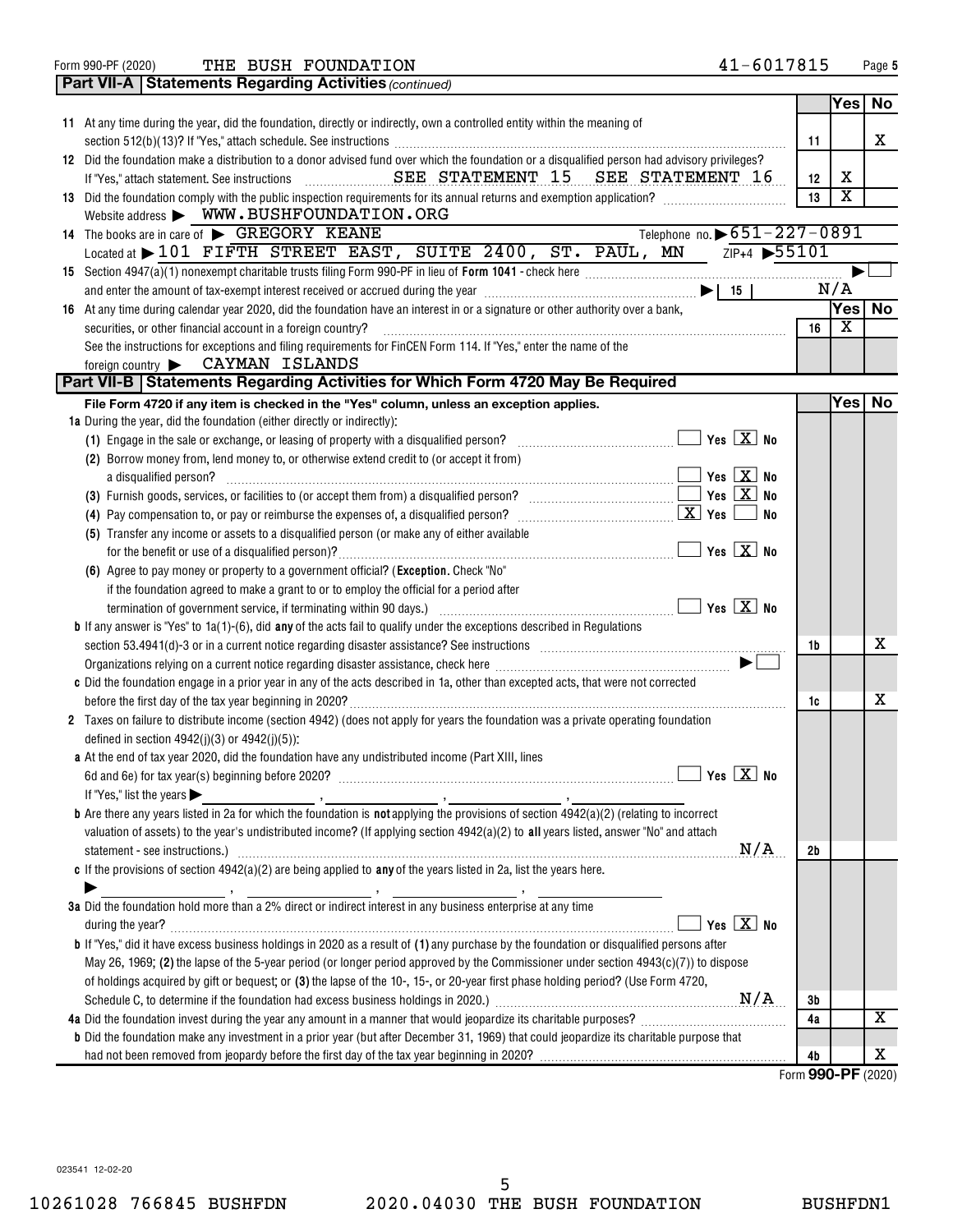| No<br>Yes<br>11 At any time during the year, did the foundation, directly or indirectly, own a controlled entity within the meaning of<br>X<br>11<br>12 Did the foundation make a distribution to a donor advised fund over which the foundation or a disqualified person had advisory privileges?<br>х<br>12<br>$\overline{\textbf{X}}$<br>13 Did the foundation comply with the public inspection requirements for its annual returns and exemption application?<br>13<br>Website address WWW.BUSHFOUNDATION.ORG<br>Telephone no. > 651-227-0891<br>14 The books are in care of GREGORY KEANE<br>ZIP+4 55101<br>Located at > 101 FIFTH STREET EAST, SUITE 2400, ST. PAUL, MN<br>N/A<br>and enter the amount of tax-exempt interest received or accrued during the year $\ldots$ $\ldots$ $\ldots$ $\ldots$ $\ldots$ $\ldots$ $\ldots$ $\ldots$ $\ldots$ $\ldots$ $\ldots$ $\ldots$ $\ldots$<br><b>No</b><br>Yes <br>16 At any time during calendar year 2020, did the foundation have an interest in or a signature or other authority over a bank,<br>X<br>securities, or other financial account in a foreign country?<br>16<br>See the instructions for exceptions and filing requirements for FinCEN Form 114. If "Yes," enter the name of the<br>foreign country > CAYMAN ISLANDS<br>Part VII-B   Statements Regarding Activities for Which Form 4720 May Be Required<br>Yes <sub>1</sub><br><b>No</b><br>File Form 4720 if any item is checked in the "Yes" column, unless an exception applies.<br>1a During the year, did the foundation (either directly or indirectly):<br>(1) Engage in the sale or exchange, or leasing of property with a disqualified person?<br>(2) Borrow money from, lend money to, or otherwise extend credit to (or accept it from)<br>$\Box$ Yes $\boxed{\text{X}}$ No<br>a disqualified person?<br>No<br>(5) Transfer any income or assets to a disqualified person (or make any of either available<br>(6) Agree to pay money or property to a government official? (Exception. Check "No"<br>if the foundation agreed to make a grant to or to employ the official for a period after<br><b>b</b> If any answer is "Yes" to $1a(1)$ -(6), did <b>any</b> of the acts fail to qualify under the exceptions described in Regulations<br>х<br>section 53.4941(d)-3 or in a current notice regarding disaster assistance? See instructions <i>manuformance and 41</i><br>1b<br>c Did the foundation engage in a prior year in any of the acts described in 1a, other than excepted acts, that were not corrected<br>x<br>1c<br>2 Taxes on failure to distribute income (section 4942) (does not apply for years the foundation was a private operating foundation<br>defined in section $4942(j)(3)$ or $4942(j)(5)$ :<br>a At the end of tax year 2020, did the foundation have any undistributed income (Part XIII, lines<br>If "Yes," list the years $\blacktriangleright$<br><b>b</b> Are there any years listed in 2a for which the foundation is <b>not</b> applying the provisions of section $4942(a)(2)$ (relating to incorrect<br>valuation of assets) to the year's undistributed income? (If applying section 4942(a)(2) to all years listed, answer "No" and attach<br>N/A<br>2b<br>c If the provisions of section $4942(a)(2)$ are being applied to any of the years listed in 2a, list the years here.<br>3a Did the foundation hold more than a 2% direct or indirect interest in any business enterprise at any time<br>Yes $X$ No<br>during the year?<br><b>b</b> If "Yes," did it have excess business holdings in 2020 as a result of (1) any purchase by the foundation or disqualified persons after<br>May 26, 1969; (2) the lapse of the 5-year period (or longer period approved by the Commissioner under section $4943(c)(7)$ ) to dispose<br>of holdings acquired by gift or bequest; or (3) the lapse of the 10-, 15-, or 20-year first phase holding period? (Use Form 4720,<br>Зb<br>х<br>4a Did the foundation invest during the year any amount in a manner that would jeopardize its charitable purposes?<br>4a<br><b>b</b> Did the foundation make any investment in a prior year (but after December 31, 1969) that could jeopardize its charitable purpose that<br>х<br>4b<br>Form 990-PF (2020) |  | <b>Part VII-A   Statements Regarding Activities (continued)</b> |  |  |  |  |  |
|----------------------------------------------------------------------------------------------------------------------------------------------------------------------------------------------------------------------------------------------------------------------------------------------------------------------------------------------------------------------------------------------------------------------------------------------------------------------------------------------------------------------------------------------------------------------------------------------------------------------------------------------------------------------------------------------------------------------------------------------------------------------------------------------------------------------------------------------------------------------------------------------------------------------------------------------------------------------------------------------------------------------------------------------------------------------------------------------------------------------------------------------------------------------------------------------------------------------------------------------------------------------------------------------------------------------------------------------------------------------------------------------------------------------------------------------------------------------------------------------------------------------------------------------------------------------------------------------------------------------------------------------------------------------------------------------------------------------------------------------------------------------------------------------------------------------------------------------------------------------------------------------------------------------------------------------------------------------------------------------------------------------------------------------------------------------------------------------------------------------------------------------------------------------------------------------------------------------------------------------------------------------------------------------------------------------------------------------------------------------------------------------------------------------------------------------------------------------------------------------------------------------------------------------------------------------------------------------------------------------------------------------------------------------------------------------------------------------------------------------------------------------------------------------------------------------------------------------------------------------------------------------------------------------------------------------------------------------------------------------------------------------------------------------------------------------------------------------------------------------------------------------------------------------------------------------------------------------------------------------------------------------------------------------------------------------------------------------------------------------------------------------------------------------------------------------------------------------------------------------------------------------------------------------------------------------------------------------------------------------------------------------------------------------------------------------------------------------------------------------------------------------------------------------------------------------------------------------------------------------------------------------------------------------------------------------------------------------------------------------------------------------------------------------------------------------------------------------------------------------------------------------------------------------------------------------------------------------------------------------------------------------------|--|-----------------------------------------------------------------|--|--|--|--|--|
|                                                                                                                                                                                                                                                                                                                                                                                                                                                                                                                                                                                                                                                                                                                                                                                                                                                                                                                                                                                                                                                                                                                                                                                                                                                                                                                                                                                                                                                                                                                                                                                                                                                                                                                                                                                                                                                                                                                                                                                                                                                                                                                                                                                                                                                                                                                                                                                                                                                                                                                                                                                                                                                                                                                                                                                                                                                                                                                                                                                                                                                                                                                                                                                                                                                                                                                                                                                                                                                                                                                                                                                                                                                                                                                                                                                                                                                                                                                                                                                                                                                                                                                                                                                                                                                                            |  |                                                                 |  |  |  |  |  |
|                                                                                                                                                                                                                                                                                                                                                                                                                                                                                                                                                                                                                                                                                                                                                                                                                                                                                                                                                                                                                                                                                                                                                                                                                                                                                                                                                                                                                                                                                                                                                                                                                                                                                                                                                                                                                                                                                                                                                                                                                                                                                                                                                                                                                                                                                                                                                                                                                                                                                                                                                                                                                                                                                                                                                                                                                                                                                                                                                                                                                                                                                                                                                                                                                                                                                                                                                                                                                                                                                                                                                                                                                                                                                                                                                                                                                                                                                                                                                                                                                                                                                                                                                                                                                                                                            |  |                                                                 |  |  |  |  |  |
|                                                                                                                                                                                                                                                                                                                                                                                                                                                                                                                                                                                                                                                                                                                                                                                                                                                                                                                                                                                                                                                                                                                                                                                                                                                                                                                                                                                                                                                                                                                                                                                                                                                                                                                                                                                                                                                                                                                                                                                                                                                                                                                                                                                                                                                                                                                                                                                                                                                                                                                                                                                                                                                                                                                                                                                                                                                                                                                                                                                                                                                                                                                                                                                                                                                                                                                                                                                                                                                                                                                                                                                                                                                                                                                                                                                                                                                                                                                                                                                                                                                                                                                                                                                                                                                                            |  |                                                                 |  |  |  |  |  |
|                                                                                                                                                                                                                                                                                                                                                                                                                                                                                                                                                                                                                                                                                                                                                                                                                                                                                                                                                                                                                                                                                                                                                                                                                                                                                                                                                                                                                                                                                                                                                                                                                                                                                                                                                                                                                                                                                                                                                                                                                                                                                                                                                                                                                                                                                                                                                                                                                                                                                                                                                                                                                                                                                                                                                                                                                                                                                                                                                                                                                                                                                                                                                                                                                                                                                                                                                                                                                                                                                                                                                                                                                                                                                                                                                                                                                                                                                                                                                                                                                                                                                                                                                                                                                                                                            |  |                                                                 |  |  |  |  |  |
|                                                                                                                                                                                                                                                                                                                                                                                                                                                                                                                                                                                                                                                                                                                                                                                                                                                                                                                                                                                                                                                                                                                                                                                                                                                                                                                                                                                                                                                                                                                                                                                                                                                                                                                                                                                                                                                                                                                                                                                                                                                                                                                                                                                                                                                                                                                                                                                                                                                                                                                                                                                                                                                                                                                                                                                                                                                                                                                                                                                                                                                                                                                                                                                                                                                                                                                                                                                                                                                                                                                                                                                                                                                                                                                                                                                                                                                                                                                                                                                                                                                                                                                                                                                                                                                                            |  |                                                                 |  |  |  |  |  |
|                                                                                                                                                                                                                                                                                                                                                                                                                                                                                                                                                                                                                                                                                                                                                                                                                                                                                                                                                                                                                                                                                                                                                                                                                                                                                                                                                                                                                                                                                                                                                                                                                                                                                                                                                                                                                                                                                                                                                                                                                                                                                                                                                                                                                                                                                                                                                                                                                                                                                                                                                                                                                                                                                                                                                                                                                                                                                                                                                                                                                                                                                                                                                                                                                                                                                                                                                                                                                                                                                                                                                                                                                                                                                                                                                                                                                                                                                                                                                                                                                                                                                                                                                                                                                                                                            |  |                                                                 |  |  |  |  |  |
|                                                                                                                                                                                                                                                                                                                                                                                                                                                                                                                                                                                                                                                                                                                                                                                                                                                                                                                                                                                                                                                                                                                                                                                                                                                                                                                                                                                                                                                                                                                                                                                                                                                                                                                                                                                                                                                                                                                                                                                                                                                                                                                                                                                                                                                                                                                                                                                                                                                                                                                                                                                                                                                                                                                                                                                                                                                                                                                                                                                                                                                                                                                                                                                                                                                                                                                                                                                                                                                                                                                                                                                                                                                                                                                                                                                                                                                                                                                                                                                                                                                                                                                                                                                                                                                                            |  |                                                                 |  |  |  |  |  |
|                                                                                                                                                                                                                                                                                                                                                                                                                                                                                                                                                                                                                                                                                                                                                                                                                                                                                                                                                                                                                                                                                                                                                                                                                                                                                                                                                                                                                                                                                                                                                                                                                                                                                                                                                                                                                                                                                                                                                                                                                                                                                                                                                                                                                                                                                                                                                                                                                                                                                                                                                                                                                                                                                                                                                                                                                                                                                                                                                                                                                                                                                                                                                                                                                                                                                                                                                                                                                                                                                                                                                                                                                                                                                                                                                                                                                                                                                                                                                                                                                                                                                                                                                                                                                                                                            |  |                                                                 |  |  |  |  |  |
|                                                                                                                                                                                                                                                                                                                                                                                                                                                                                                                                                                                                                                                                                                                                                                                                                                                                                                                                                                                                                                                                                                                                                                                                                                                                                                                                                                                                                                                                                                                                                                                                                                                                                                                                                                                                                                                                                                                                                                                                                                                                                                                                                                                                                                                                                                                                                                                                                                                                                                                                                                                                                                                                                                                                                                                                                                                                                                                                                                                                                                                                                                                                                                                                                                                                                                                                                                                                                                                                                                                                                                                                                                                                                                                                                                                                                                                                                                                                                                                                                                                                                                                                                                                                                                                                            |  |                                                                 |  |  |  |  |  |
|                                                                                                                                                                                                                                                                                                                                                                                                                                                                                                                                                                                                                                                                                                                                                                                                                                                                                                                                                                                                                                                                                                                                                                                                                                                                                                                                                                                                                                                                                                                                                                                                                                                                                                                                                                                                                                                                                                                                                                                                                                                                                                                                                                                                                                                                                                                                                                                                                                                                                                                                                                                                                                                                                                                                                                                                                                                                                                                                                                                                                                                                                                                                                                                                                                                                                                                                                                                                                                                                                                                                                                                                                                                                                                                                                                                                                                                                                                                                                                                                                                                                                                                                                                                                                                                                            |  |                                                                 |  |  |  |  |  |
|                                                                                                                                                                                                                                                                                                                                                                                                                                                                                                                                                                                                                                                                                                                                                                                                                                                                                                                                                                                                                                                                                                                                                                                                                                                                                                                                                                                                                                                                                                                                                                                                                                                                                                                                                                                                                                                                                                                                                                                                                                                                                                                                                                                                                                                                                                                                                                                                                                                                                                                                                                                                                                                                                                                                                                                                                                                                                                                                                                                                                                                                                                                                                                                                                                                                                                                                                                                                                                                                                                                                                                                                                                                                                                                                                                                                                                                                                                                                                                                                                                                                                                                                                                                                                                                                            |  |                                                                 |  |  |  |  |  |
|                                                                                                                                                                                                                                                                                                                                                                                                                                                                                                                                                                                                                                                                                                                                                                                                                                                                                                                                                                                                                                                                                                                                                                                                                                                                                                                                                                                                                                                                                                                                                                                                                                                                                                                                                                                                                                                                                                                                                                                                                                                                                                                                                                                                                                                                                                                                                                                                                                                                                                                                                                                                                                                                                                                                                                                                                                                                                                                                                                                                                                                                                                                                                                                                                                                                                                                                                                                                                                                                                                                                                                                                                                                                                                                                                                                                                                                                                                                                                                                                                                                                                                                                                                                                                                                                            |  |                                                                 |  |  |  |  |  |
|                                                                                                                                                                                                                                                                                                                                                                                                                                                                                                                                                                                                                                                                                                                                                                                                                                                                                                                                                                                                                                                                                                                                                                                                                                                                                                                                                                                                                                                                                                                                                                                                                                                                                                                                                                                                                                                                                                                                                                                                                                                                                                                                                                                                                                                                                                                                                                                                                                                                                                                                                                                                                                                                                                                                                                                                                                                                                                                                                                                                                                                                                                                                                                                                                                                                                                                                                                                                                                                                                                                                                                                                                                                                                                                                                                                                                                                                                                                                                                                                                                                                                                                                                                                                                                                                            |  |                                                                 |  |  |  |  |  |
|                                                                                                                                                                                                                                                                                                                                                                                                                                                                                                                                                                                                                                                                                                                                                                                                                                                                                                                                                                                                                                                                                                                                                                                                                                                                                                                                                                                                                                                                                                                                                                                                                                                                                                                                                                                                                                                                                                                                                                                                                                                                                                                                                                                                                                                                                                                                                                                                                                                                                                                                                                                                                                                                                                                                                                                                                                                                                                                                                                                                                                                                                                                                                                                                                                                                                                                                                                                                                                                                                                                                                                                                                                                                                                                                                                                                                                                                                                                                                                                                                                                                                                                                                                                                                                                                            |  |                                                                 |  |  |  |  |  |
|                                                                                                                                                                                                                                                                                                                                                                                                                                                                                                                                                                                                                                                                                                                                                                                                                                                                                                                                                                                                                                                                                                                                                                                                                                                                                                                                                                                                                                                                                                                                                                                                                                                                                                                                                                                                                                                                                                                                                                                                                                                                                                                                                                                                                                                                                                                                                                                                                                                                                                                                                                                                                                                                                                                                                                                                                                                                                                                                                                                                                                                                                                                                                                                                                                                                                                                                                                                                                                                                                                                                                                                                                                                                                                                                                                                                                                                                                                                                                                                                                                                                                                                                                                                                                                                                            |  |                                                                 |  |  |  |  |  |
|                                                                                                                                                                                                                                                                                                                                                                                                                                                                                                                                                                                                                                                                                                                                                                                                                                                                                                                                                                                                                                                                                                                                                                                                                                                                                                                                                                                                                                                                                                                                                                                                                                                                                                                                                                                                                                                                                                                                                                                                                                                                                                                                                                                                                                                                                                                                                                                                                                                                                                                                                                                                                                                                                                                                                                                                                                                                                                                                                                                                                                                                                                                                                                                                                                                                                                                                                                                                                                                                                                                                                                                                                                                                                                                                                                                                                                                                                                                                                                                                                                                                                                                                                                                                                                                                            |  |                                                                 |  |  |  |  |  |
|                                                                                                                                                                                                                                                                                                                                                                                                                                                                                                                                                                                                                                                                                                                                                                                                                                                                                                                                                                                                                                                                                                                                                                                                                                                                                                                                                                                                                                                                                                                                                                                                                                                                                                                                                                                                                                                                                                                                                                                                                                                                                                                                                                                                                                                                                                                                                                                                                                                                                                                                                                                                                                                                                                                                                                                                                                                                                                                                                                                                                                                                                                                                                                                                                                                                                                                                                                                                                                                                                                                                                                                                                                                                                                                                                                                                                                                                                                                                                                                                                                                                                                                                                                                                                                                                            |  |                                                                 |  |  |  |  |  |
|                                                                                                                                                                                                                                                                                                                                                                                                                                                                                                                                                                                                                                                                                                                                                                                                                                                                                                                                                                                                                                                                                                                                                                                                                                                                                                                                                                                                                                                                                                                                                                                                                                                                                                                                                                                                                                                                                                                                                                                                                                                                                                                                                                                                                                                                                                                                                                                                                                                                                                                                                                                                                                                                                                                                                                                                                                                                                                                                                                                                                                                                                                                                                                                                                                                                                                                                                                                                                                                                                                                                                                                                                                                                                                                                                                                                                                                                                                                                                                                                                                                                                                                                                                                                                                                                            |  |                                                                 |  |  |  |  |  |
|                                                                                                                                                                                                                                                                                                                                                                                                                                                                                                                                                                                                                                                                                                                                                                                                                                                                                                                                                                                                                                                                                                                                                                                                                                                                                                                                                                                                                                                                                                                                                                                                                                                                                                                                                                                                                                                                                                                                                                                                                                                                                                                                                                                                                                                                                                                                                                                                                                                                                                                                                                                                                                                                                                                                                                                                                                                                                                                                                                                                                                                                                                                                                                                                                                                                                                                                                                                                                                                                                                                                                                                                                                                                                                                                                                                                                                                                                                                                                                                                                                                                                                                                                                                                                                                                            |  |                                                                 |  |  |  |  |  |
|                                                                                                                                                                                                                                                                                                                                                                                                                                                                                                                                                                                                                                                                                                                                                                                                                                                                                                                                                                                                                                                                                                                                                                                                                                                                                                                                                                                                                                                                                                                                                                                                                                                                                                                                                                                                                                                                                                                                                                                                                                                                                                                                                                                                                                                                                                                                                                                                                                                                                                                                                                                                                                                                                                                                                                                                                                                                                                                                                                                                                                                                                                                                                                                                                                                                                                                                                                                                                                                                                                                                                                                                                                                                                                                                                                                                                                                                                                                                                                                                                                                                                                                                                                                                                                                                            |  |                                                                 |  |  |  |  |  |
|                                                                                                                                                                                                                                                                                                                                                                                                                                                                                                                                                                                                                                                                                                                                                                                                                                                                                                                                                                                                                                                                                                                                                                                                                                                                                                                                                                                                                                                                                                                                                                                                                                                                                                                                                                                                                                                                                                                                                                                                                                                                                                                                                                                                                                                                                                                                                                                                                                                                                                                                                                                                                                                                                                                                                                                                                                                                                                                                                                                                                                                                                                                                                                                                                                                                                                                                                                                                                                                                                                                                                                                                                                                                                                                                                                                                                                                                                                                                                                                                                                                                                                                                                                                                                                                                            |  |                                                                 |  |  |  |  |  |
|                                                                                                                                                                                                                                                                                                                                                                                                                                                                                                                                                                                                                                                                                                                                                                                                                                                                                                                                                                                                                                                                                                                                                                                                                                                                                                                                                                                                                                                                                                                                                                                                                                                                                                                                                                                                                                                                                                                                                                                                                                                                                                                                                                                                                                                                                                                                                                                                                                                                                                                                                                                                                                                                                                                                                                                                                                                                                                                                                                                                                                                                                                                                                                                                                                                                                                                                                                                                                                                                                                                                                                                                                                                                                                                                                                                                                                                                                                                                                                                                                                                                                                                                                                                                                                                                            |  |                                                                 |  |  |  |  |  |
|                                                                                                                                                                                                                                                                                                                                                                                                                                                                                                                                                                                                                                                                                                                                                                                                                                                                                                                                                                                                                                                                                                                                                                                                                                                                                                                                                                                                                                                                                                                                                                                                                                                                                                                                                                                                                                                                                                                                                                                                                                                                                                                                                                                                                                                                                                                                                                                                                                                                                                                                                                                                                                                                                                                                                                                                                                                                                                                                                                                                                                                                                                                                                                                                                                                                                                                                                                                                                                                                                                                                                                                                                                                                                                                                                                                                                                                                                                                                                                                                                                                                                                                                                                                                                                                                            |  |                                                                 |  |  |  |  |  |
|                                                                                                                                                                                                                                                                                                                                                                                                                                                                                                                                                                                                                                                                                                                                                                                                                                                                                                                                                                                                                                                                                                                                                                                                                                                                                                                                                                                                                                                                                                                                                                                                                                                                                                                                                                                                                                                                                                                                                                                                                                                                                                                                                                                                                                                                                                                                                                                                                                                                                                                                                                                                                                                                                                                                                                                                                                                                                                                                                                                                                                                                                                                                                                                                                                                                                                                                                                                                                                                                                                                                                                                                                                                                                                                                                                                                                                                                                                                                                                                                                                                                                                                                                                                                                                                                            |  |                                                                 |  |  |  |  |  |
|                                                                                                                                                                                                                                                                                                                                                                                                                                                                                                                                                                                                                                                                                                                                                                                                                                                                                                                                                                                                                                                                                                                                                                                                                                                                                                                                                                                                                                                                                                                                                                                                                                                                                                                                                                                                                                                                                                                                                                                                                                                                                                                                                                                                                                                                                                                                                                                                                                                                                                                                                                                                                                                                                                                                                                                                                                                                                                                                                                                                                                                                                                                                                                                                                                                                                                                                                                                                                                                                                                                                                                                                                                                                                                                                                                                                                                                                                                                                                                                                                                                                                                                                                                                                                                                                            |  |                                                                 |  |  |  |  |  |
|                                                                                                                                                                                                                                                                                                                                                                                                                                                                                                                                                                                                                                                                                                                                                                                                                                                                                                                                                                                                                                                                                                                                                                                                                                                                                                                                                                                                                                                                                                                                                                                                                                                                                                                                                                                                                                                                                                                                                                                                                                                                                                                                                                                                                                                                                                                                                                                                                                                                                                                                                                                                                                                                                                                                                                                                                                                                                                                                                                                                                                                                                                                                                                                                                                                                                                                                                                                                                                                                                                                                                                                                                                                                                                                                                                                                                                                                                                                                                                                                                                                                                                                                                                                                                                                                            |  |                                                                 |  |  |  |  |  |
|                                                                                                                                                                                                                                                                                                                                                                                                                                                                                                                                                                                                                                                                                                                                                                                                                                                                                                                                                                                                                                                                                                                                                                                                                                                                                                                                                                                                                                                                                                                                                                                                                                                                                                                                                                                                                                                                                                                                                                                                                                                                                                                                                                                                                                                                                                                                                                                                                                                                                                                                                                                                                                                                                                                                                                                                                                                                                                                                                                                                                                                                                                                                                                                                                                                                                                                                                                                                                                                                                                                                                                                                                                                                                                                                                                                                                                                                                                                                                                                                                                                                                                                                                                                                                                                                            |  |                                                                 |  |  |  |  |  |
|                                                                                                                                                                                                                                                                                                                                                                                                                                                                                                                                                                                                                                                                                                                                                                                                                                                                                                                                                                                                                                                                                                                                                                                                                                                                                                                                                                                                                                                                                                                                                                                                                                                                                                                                                                                                                                                                                                                                                                                                                                                                                                                                                                                                                                                                                                                                                                                                                                                                                                                                                                                                                                                                                                                                                                                                                                                                                                                                                                                                                                                                                                                                                                                                                                                                                                                                                                                                                                                                                                                                                                                                                                                                                                                                                                                                                                                                                                                                                                                                                                                                                                                                                                                                                                                                            |  |                                                                 |  |  |  |  |  |
|                                                                                                                                                                                                                                                                                                                                                                                                                                                                                                                                                                                                                                                                                                                                                                                                                                                                                                                                                                                                                                                                                                                                                                                                                                                                                                                                                                                                                                                                                                                                                                                                                                                                                                                                                                                                                                                                                                                                                                                                                                                                                                                                                                                                                                                                                                                                                                                                                                                                                                                                                                                                                                                                                                                                                                                                                                                                                                                                                                                                                                                                                                                                                                                                                                                                                                                                                                                                                                                                                                                                                                                                                                                                                                                                                                                                                                                                                                                                                                                                                                                                                                                                                                                                                                                                            |  |                                                                 |  |  |  |  |  |
|                                                                                                                                                                                                                                                                                                                                                                                                                                                                                                                                                                                                                                                                                                                                                                                                                                                                                                                                                                                                                                                                                                                                                                                                                                                                                                                                                                                                                                                                                                                                                                                                                                                                                                                                                                                                                                                                                                                                                                                                                                                                                                                                                                                                                                                                                                                                                                                                                                                                                                                                                                                                                                                                                                                                                                                                                                                                                                                                                                                                                                                                                                                                                                                                                                                                                                                                                                                                                                                                                                                                                                                                                                                                                                                                                                                                                                                                                                                                                                                                                                                                                                                                                                                                                                                                            |  |                                                                 |  |  |  |  |  |
|                                                                                                                                                                                                                                                                                                                                                                                                                                                                                                                                                                                                                                                                                                                                                                                                                                                                                                                                                                                                                                                                                                                                                                                                                                                                                                                                                                                                                                                                                                                                                                                                                                                                                                                                                                                                                                                                                                                                                                                                                                                                                                                                                                                                                                                                                                                                                                                                                                                                                                                                                                                                                                                                                                                                                                                                                                                                                                                                                                                                                                                                                                                                                                                                                                                                                                                                                                                                                                                                                                                                                                                                                                                                                                                                                                                                                                                                                                                                                                                                                                                                                                                                                                                                                                                                            |  |                                                                 |  |  |  |  |  |
|                                                                                                                                                                                                                                                                                                                                                                                                                                                                                                                                                                                                                                                                                                                                                                                                                                                                                                                                                                                                                                                                                                                                                                                                                                                                                                                                                                                                                                                                                                                                                                                                                                                                                                                                                                                                                                                                                                                                                                                                                                                                                                                                                                                                                                                                                                                                                                                                                                                                                                                                                                                                                                                                                                                                                                                                                                                                                                                                                                                                                                                                                                                                                                                                                                                                                                                                                                                                                                                                                                                                                                                                                                                                                                                                                                                                                                                                                                                                                                                                                                                                                                                                                                                                                                                                            |  |                                                                 |  |  |  |  |  |
|                                                                                                                                                                                                                                                                                                                                                                                                                                                                                                                                                                                                                                                                                                                                                                                                                                                                                                                                                                                                                                                                                                                                                                                                                                                                                                                                                                                                                                                                                                                                                                                                                                                                                                                                                                                                                                                                                                                                                                                                                                                                                                                                                                                                                                                                                                                                                                                                                                                                                                                                                                                                                                                                                                                                                                                                                                                                                                                                                                                                                                                                                                                                                                                                                                                                                                                                                                                                                                                                                                                                                                                                                                                                                                                                                                                                                                                                                                                                                                                                                                                                                                                                                                                                                                                                            |  |                                                                 |  |  |  |  |  |
|                                                                                                                                                                                                                                                                                                                                                                                                                                                                                                                                                                                                                                                                                                                                                                                                                                                                                                                                                                                                                                                                                                                                                                                                                                                                                                                                                                                                                                                                                                                                                                                                                                                                                                                                                                                                                                                                                                                                                                                                                                                                                                                                                                                                                                                                                                                                                                                                                                                                                                                                                                                                                                                                                                                                                                                                                                                                                                                                                                                                                                                                                                                                                                                                                                                                                                                                                                                                                                                                                                                                                                                                                                                                                                                                                                                                                                                                                                                                                                                                                                                                                                                                                                                                                                                                            |  |                                                                 |  |  |  |  |  |
|                                                                                                                                                                                                                                                                                                                                                                                                                                                                                                                                                                                                                                                                                                                                                                                                                                                                                                                                                                                                                                                                                                                                                                                                                                                                                                                                                                                                                                                                                                                                                                                                                                                                                                                                                                                                                                                                                                                                                                                                                                                                                                                                                                                                                                                                                                                                                                                                                                                                                                                                                                                                                                                                                                                                                                                                                                                                                                                                                                                                                                                                                                                                                                                                                                                                                                                                                                                                                                                                                                                                                                                                                                                                                                                                                                                                                                                                                                                                                                                                                                                                                                                                                                                                                                                                            |  |                                                                 |  |  |  |  |  |
|                                                                                                                                                                                                                                                                                                                                                                                                                                                                                                                                                                                                                                                                                                                                                                                                                                                                                                                                                                                                                                                                                                                                                                                                                                                                                                                                                                                                                                                                                                                                                                                                                                                                                                                                                                                                                                                                                                                                                                                                                                                                                                                                                                                                                                                                                                                                                                                                                                                                                                                                                                                                                                                                                                                                                                                                                                                                                                                                                                                                                                                                                                                                                                                                                                                                                                                                                                                                                                                                                                                                                                                                                                                                                                                                                                                                                                                                                                                                                                                                                                                                                                                                                                                                                                                                            |  |                                                                 |  |  |  |  |  |
|                                                                                                                                                                                                                                                                                                                                                                                                                                                                                                                                                                                                                                                                                                                                                                                                                                                                                                                                                                                                                                                                                                                                                                                                                                                                                                                                                                                                                                                                                                                                                                                                                                                                                                                                                                                                                                                                                                                                                                                                                                                                                                                                                                                                                                                                                                                                                                                                                                                                                                                                                                                                                                                                                                                                                                                                                                                                                                                                                                                                                                                                                                                                                                                                                                                                                                                                                                                                                                                                                                                                                                                                                                                                                                                                                                                                                                                                                                                                                                                                                                                                                                                                                                                                                                                                            |  |                                                                 |  |  |  |  |  |
|                                                                                                                                                                                                                                                                                                                                                                                                                                                                                                                                                                                                                                                                                                                                                                                                                                                                                                                                                                                                                                                                                                                                                                                                                                                                                                                                                                                                                                                                                                                                                                                                                                                                                                                                                                                                                                                                                                                                                                                                                                                                                                                                                                                                                                                                                                                                                                                                                                                                                                                                                                                                                                                                                                                                                                                                                                                                                                                                                                                                                                                                                                                                                                                                                                                                                                                                                                                                                                                                                                                                                                                                                                                                                                                                                                                                                                                                                                                                                                                                                                                                                                                                                                                                                                                                            |  |                                                                 |  |  |  |  |  |
|                                                                                                                                                                                                                                                                                                                                                                                                                                                                                                                                                                                                                                                                                                                                                                                                                                                                                                                                                                                                                                                                                                                                                                                                                                                                                                                                                                                                                                                                                                                                                                                                                                                                                                                                                                                                                                                                                                                                                                                                                                                                                                                                                                                                                                                                                                                                                                                                                                                                                                                                                                                                                                                                                                                                                                                                                                                                                                                                                                                                                                                                                                                                                                                                                                                                                                                                                                                                                                                                                                                                                                                                                                                                                                                                                                                                                                                                                                                                                                                                                                                                                                                                                                                                                                                                            |  |                                                                 |  |  |  |  |  |
|                                                                                                                                                                                                                                                                                                                                                                                                                                                                                                                                                                                                                                                                                                                                                                                                                                                                                                                                                                                                                                                                                                                                                                                                                                                                                                                                                                                                                                                                                                                                                                                                                                                                                                                                                                                                                                                                                                                                                                                                                                                                                                                                                                                                                                                                                                                                                                                                                                                                                                                                                                                                                                                                                                                                                                                                                                                                                                                                                                                                                                                                                                                                                                                                                                                                                                                                                                                                                                                                                                                                                                                                                                                                                                                                                                                                                                                                                                                                                                                                                                                                                                                                                                                                                                                                            |  |                                                                 |  |  |  |  |  |
|                                                                                                                                                                                                                                                                                                                                                                                                                                                                                                                                                                                                                                                                                                                                                                                                                                                                                                                                                                                                                                                                                                                                                                                                                                                                                                                                                                                                                                                                                                                                                                                                                                                                                                                                                                                                                                                                                                                                                                                                                                                                                                                                                                                                                                                                                                                                                                                                                                                                                                                                                                                                                                                                                                                                                                                                                                                                                                                                                                                                                                                                                                                                                                                                                                                                                                                                                                                                                                                                                                                                                                                                                                                                                                                                                                                                                                                                                                                                                                                                                                                                                                                                                                                                                                                                            |  |                                                                 |  |  |  |  |  |
|                                                                                                                                                                                                                                                                                                                                                                                                                                                                                                                                                                                                                                                                                                                                                                                                                                                                                                                                                                                                                                                                                                                                                                                                                                                                                                                                                                                                                                                                                                                                                                                                                                                                                                                                                                                                                                                                                                                                                                                                                                                                                                                                                                                                                                                                                                                                                                                                                                                                                                                                                                                                                                                                                                                                                                                                                                                                                                                                                                                                                                                                                                                                                                                                                                                                                                                                                                                                                                                                                                                                                                                                                                                                                                                                                                                                                                                                                                                                                                                                                                                                                                                                                                                                                                                                            |  |                                                                 |  |  |  |  |  |
|                                                                                                                                                                                                                                                                                                                                                                                                                                                                                                                                                                                                                                                                                                                                                                                                                                                                                                                                                                                                                                                                                                                                                                                                                                                                                                                                                                                                                                                                                                                                                                                                                                                                                                                                                                                                                                                                                                                                                                                                                                                                                                                                                                                                                                                                                                                                                                                                                                                                                                                                                                                                                                                                                                                                                                                                                                                                                                                                                                                                                                                                                                                                                                                                                                                                                                                                                                                                                                                                                                                                                                                                                                                                                                                                                                                                                                                                                                                                                                                                                                                                                                                                                                                                                                                                            |  |                                                                 |  |  |  |  |  |
|                                                                                                                                                                                                                                                                                                                                                                                                                                                                                                                                                                                                                                                                                                                                                                                                                                                                                                                                                                                                                                                                                                                                                                                                                                                                                                                                                                                                                                                                                                                                                                                                                                                                                                                                                                                                                                                                                                                                                                                                                                                                                                                                                                                                                                                                                                                                                                                                                                                                                                                                                                                                                                                                                                                                                                                                                                                                                                                                                                                                                                                                                                                                                                                                                                                                                                                                                                                                                                                                                                                                                                                                                                                                                                                                                                                                                                                                                                                                                                                                                                                                                                                                                                                                                                                                            |  |                                                                 |  |  |  |  |  |
|                                                                                                                                                                                                                                                                                                                                                                                                                                                                                                                                                                                                                                                                                                                                                                                                                                                                                                                                                                                                                                                                                                                                                                                                                                                                                                                                                                                                                                                                                                                                                                                                                                                                                                                                                                                                                                                                                                                                                                                                                                                                                                                                                                                                                                                                                                                                                                                                                                                                                                                                                                                                                                                                                                                                                                                                                                                                                                                                                                                                                                                                                                                                                                                                                                                                                                                                                                                                                                                                                                                                                                                                                                                                                                                                                                                                                                                                                                                                                                                                                                                                                                                                                                                                                                                                            |  |                                                                 |  |  |  |  |  |
|                                                                                                                                                                                                                                                                                                                                                                                                                                                                                                                                                                                                                                                                                                                                                                                                                                                                                                                                                                                                                                                                                                                                                                                                                                                                                                                                                                                                                                                                                                                                                                                                                                                                                                                                                                                                                                                                                                                                                                                                                                                                                                                                                                                                                                                                                                                                                                                                                                                                                                                                                                                                                                                                                                                                                                                                                                                                                                                                                                                                                                                                                                                                                                                                                                                                                                                                                                                                                                                                                                                                                                                                                                                                                                                                                                                                                                                                                                                                                                                                                                                                                                                                                                                                                                                                            |  |                                                                 |  |  |  |  |  |
|                                                                                                                                                                                                                                                                                                                                                                                                                                                                                                                                                                                                                                                                                                                                                                                                                                                                                                                                                                                                                                                                                                                                                                                                                                                                                                                                                                                                                                                                                                                                                                                                                                                                                                                                                                                                                                                                                                                                                                                                                                                                                                                                                                                                                                                                                                                                                                                                                                                                                                                                                                                                                                                                                                                                                                                                                                                                                                                                                                                                                                                                                                                                                                                                                                                                                                                                                                                                                                                                                                                                                                                                                                                                                                                                                                                                                                                                                                                                                                                                                                                                                                                                                                                                                                                                            |  |                                                                 |  |  |  |  |  |
|                                                                                                                                                                                                                                                                                                                                                                                                                                                                                                                                                                                                                                                                                                                                                                                                                                                                                                                                                                                                                                                                                                                                                                                                                                                                                                                                                                                                                                                                                                                                                                                                                                                                                                                                                                                                                                                                                                                                                                                                                                                                                                                                                                                                                                                                                                                                                                                                                                                                                                                                                                                                                                                                                                                                                                                                                                                                                                                                                                                                                                                                                                                                                                                                                                                                                                                                                                                                                                                                                                                                                                                                                                                                                                                                                                                                                                                                                                                                                                                                                                                                                                                                                                                                                                                                            |  |                                                                 |  |  |  |  |  |
|                                                                                                                                                                                                                                                                                                                                                                                                                                                                                                                                                                                                                                                                                                                                                                                                                                                                                                                                                                                                                                                                                                                                                                                                                                                                                                                                                                                                                                                                                                                                                                                                                                                                                                                                                                                                                                                                                                                                                                                                                                                                                                                                                                                                                                                                                                                                                                                                                                                                                                                                                                                                                                                                                                                                                                                                                                                                                                                                                                                                                                                                                                                                                                                                                                                                                                                                                                                                                                                                                                                                                                                                                                                                                                                                                                                                                                                                                                                                                                                                                                                                                                                                                                                                                                                                            |  |                                                                 |  |  |  |  |  |
|                                                                                                                                                                                                                                                                                                                                                                                                                                                                                                                                                                                                                                                                                                                                                                                                                                                                                                                                                                                                                                                                                                                                                                                                                                                                                                                                                                                                                                                                                                                                                                                                                                                                                                                                                                                                                                                                                                                                                                                                                                                                                                                                                                                                                                                                                                                                                                                                                                                                                                                                                                                                                                                                                                                                                                                                                                                                                                                                                                                                                                                                                                                                                                                                                                                                                                                                                                                                                                                                                                                                                                                                                                                                                                                                                                                                                                                                                                                                                                                                                                                                                                                                                                                                                                                                            |  |                                                                 |  |  |  |  |  |
|                                                                                                                                                                                                                                                                                                                                                                                                                                                                                                                                                                                                                                                                                                                                                                                                                                                                                                                                                                                                                                                                                                                                                                                                                                                                                                                                                                                                                                                                                                                                                                                                                                                                                                                                                                                                                                                                                                                                                                                                                                                                                                                                                                                                                                                                                                                                                                                                                                                                                                                                                                                                                                                                                                                                                                                                                                                                                                                                                                                                                                                                                                                                                                                                                                                                                                                                                                                                                                                                                                                                                                                                                                                                                                                                                                                                                                                                                                                                                                                                                                                                                                                                                                                                                                                                            |  |                                                                 |  |  |  |  |  |
|                                                                                                                                                                                                                                                                                                                                                                                                                                                                                                                                                                                                                                                                                                                                                                                                                                                                                                                                                                                                                                                                                                                                                                                                                                                                                                                                                                                                                                                                                                                                                                                                                                                                                                                                                                                                                                                                                                                                                                                                                                                                                                                                                                                                                                                                                                                                                                                                                                                                                                                                                                                                                                                                                                                                                                                                                                                                                                                                                                                                                                                                                                                                                                                                                                                                                                                                                                                                                                                                                                                                                                                                                                                                                                                                                                                                                                                                                                                                                                                                                                                                                                                                                                                                                                                                            |  |                                                                 |  |  |  |  |  |

Form 990-PF (2020) Page THE BUSH FOUNDATION 41-6017815

**5**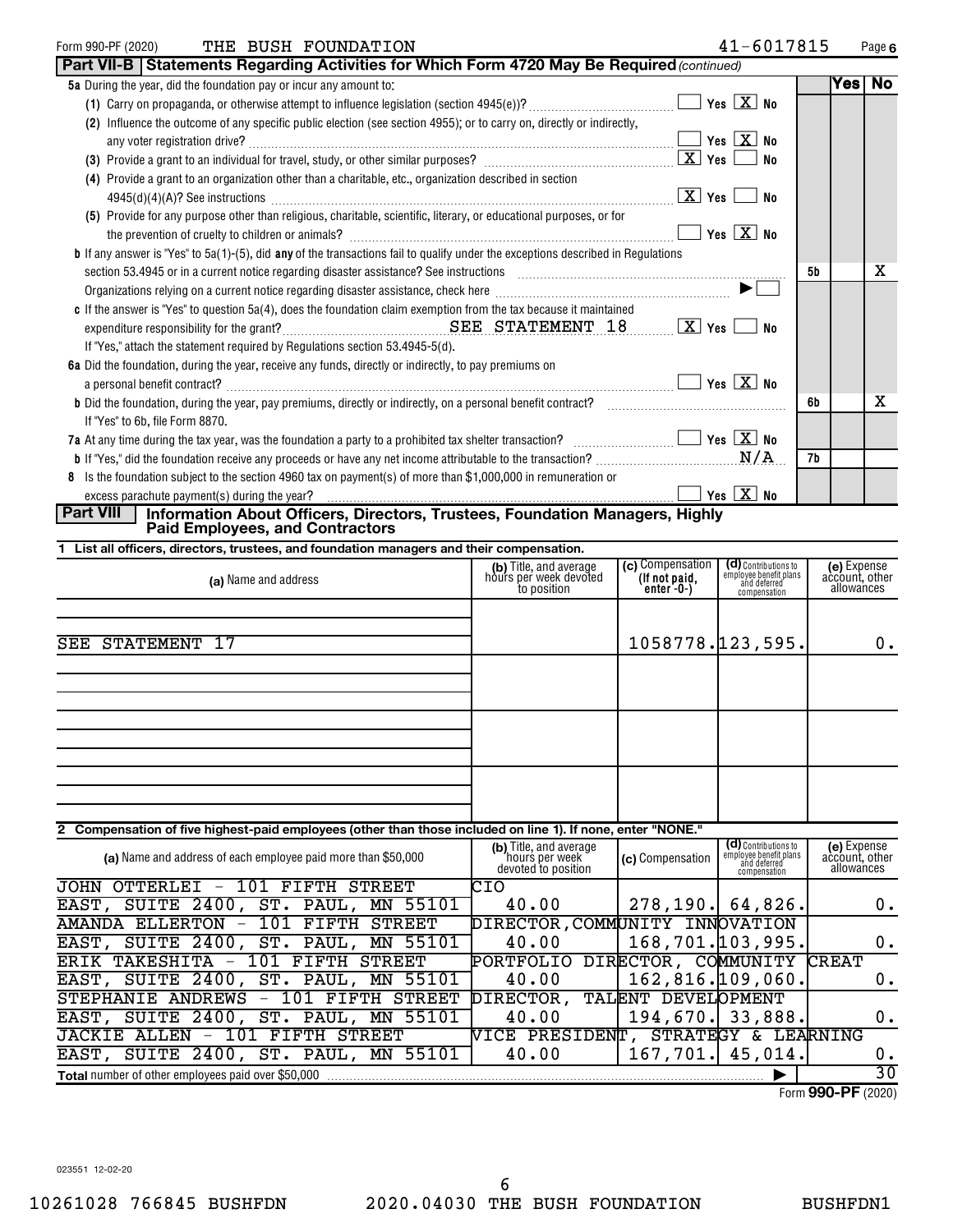| THE BUSH FOUNDATION<br>Form 990-PF (2020)                                                                                                                                                                                      |                                   | 41-6017815                   |    |        | Page 6 |
|--------------------------------------------------------------------------------------------------------------------------------------------------------------------------------------------------------------------------------|-----------------------------------|------------------------------|----|--------|--------|
| Part VII-B   Statements Regarding Activities for Which Form 4720 May Be Required (continued)                                                                                                                                   |                                   |                              |    |        |        |
| 5a During the year, did the foundation pay or incur any amount to:                                                                                                                                                             |                                   |                              |    | Yes No |        |
|                                                                                                                                                                                                                                |                                   | Yes $X$ No                   |    |        |        |
| (2) Influence the outcome of any specific public election (see section 4955); or to carry on, directly or indirectly,                                                                                                          |                                   |                              |    |        |        |
| any voter registration drive?                                                                                                                                                                                                  |                                   | $Yes$ $X$ No                 |    |        |        |
|                                                                                                                                                                                                                                |                                   | No                           |    |        |        |
| (4) Provide a grant to an organization other than a charitable, etc., organization described in section                                                                                                                        |                                   |                              |    |        |        |
|                                                                                                                                                                                                                                | $\lfloor x \rfloor$ Yes $\lfloor$ | No                           |    |        |        |
| (5) Provide for any purpose other than religious, charitable, scientific, literary, or educational purposes, or for                                                                                                            |                                   |                              |    |        |        |
|                                                                                                                                                                                                                                |                                   | $Yes$ $X$ No                 |    |        |        |
| <b>b</b> If any answer is "Yes" to 5a(1)-(5), did any of the transactions fail to qualify under the exceptions described in Regulations                                                                                        |                                   |                              |    |        |        |
| section 53.4945 or in a current notice regarding disaster assistance? See instructions [11,111] was contained to a current notice regarding disaster assistance? See instructions [11] was contained to a current of the set o |                                   |                              | 5b |        | X      |
|                                                                                                                                                                                                                                |                                   | $\blacktriangleright$ $\Box$ |    |        |        |
| c If the answer is "Yes" to question 5a(4), does the foundation claim exemption from the tax because it maintained                                                                                                             |                                   |                              |    |        |        |
|                                                                                                                                                                                                                                |                                   | No                           |    |        |        |
| If "Yes," attach the statement required by Regulations section 53.4945-5(d).                                                                                                                                                   |                                   |                              |    |        |        |
| 6a Did the foundation, during the year, receive any funds, directly or indirectly, to pay premiums on                                                                                                                          |                                   |                              |    |        |        |
| a personal benefit contract?                                                                                                                                                                                                   |                                   | $Yes \quad X$ No             |    |        |        |
| <b>b</b> Did the foundation, during the year, pay premiums, directly or indirectly, on a personal benefit contract?                                                                                                            |                                   |                              | 6b |        | x      |
| If "Yes" to 6b, file Form 8870.                                                                                                                                                                                                |                                   |                              |    |        |        |
| 7a At any time during the tax year, was the foundation a party to a prohibited tax shelter transaction? $\ldots$                                                                                                               |                                   |                              | 7b |        |        |
|                                                                                                                                                                                                                                |                                   |                              |    |        |        |
| 8 Is the foundation subject to the section 4960 tax on payment(s) of more than \$1,000,000 in remuneration or                                                                                                                  |                                   | Yes $X$ No                   |    |        |        |
| excess parachute payment(s) during the year?<br>Dort VIII   Information About Officers Directors Trustees Foundation Menseners Uirkhy                                                                                          |                                   |                              |    |        |        |

**Part VIII Information About Officers, Directors, Trustees, Foundation Managers, Highly Paid Employees, and Contractors**

**1 List all officers, directors, trustees, and foundation managers and their compensation.**

| (a) Name and address                                                                                        | (b) Title, and average<br>hours per week devoted<br>to position | (c) Compensation<br>(If not paid,<br>enter -0-) | <b>(d)</b> Contributions to<br>employee benefit plans<br>and deferred<br>compensation | (e) Expense<br>account, other<br>allowances |
|-------------------------------------------------------------------------------------------------------------|-----------------------------------------------------------------|-------------------------------------------------|---------------------------------------------------------------------------------------|---------------------------------------------|
|                                                                                                             |                                                                 |                                                 |                                                                                       |                                             |
| -17<br>SEE STATEMENT                                                                                        |                                                                 | 1058778.123,595.                                |                                                                                       | 0.                                          |
|                                                                                                             |                                                                 |                                                 |                                                                                       |                                             |
|                                                                                                             |                                                                 |                                                 |                                                                                       |                                             |
|                                                                                                             |                                                                 |                                                 |                                                                                       |                                             |
|                                                                                                             |                                                                 |                                                 |                                                                                       |                                             |
|                                                                                                             |                                                                 |                                                 |                                                                                       |                                             |
|                                                                                                             |                                                                 |                                                 |                                                                                       |                                             |
| 2 Compensation of five highest-paid employees (other than those included on line 1). If none, enter "NONE." |                                                                 |                                                 |                                                                                       |                                             |
|                                                                                                             | (b) Title, and average                                          |                                                 | $(d)$ Contributions to                                                                | (e) Expense                                 |

| (a) Name and address of each employee paid more than \$50,000                          | (b) Title, and average<br>'hours per week<br>devoted to position | (c) Compensation    | (d) Contributions to<br>employee benefit plans<br>and deferred<br>compensation | (e) Expense<br>account, other<br>allowances |  |  |
|----------------------------------------------------------------------------------------|------------------------------------------------------------------|---------------------|--------------------------------------------------------------------------------|---------------------------------------------|--|--|
| <b>STREET</b><br>JOHN<br>OTTERLEI<br>FIFTH<br>101<br>$\qquad \qquad -$                 | CIO                                                              |                     |                                                                                |                                             |  |  |
| EAST,<br>$SUTTE$ 2400,<br>ST.<br>PAUL,<br>MN 55101                                     | 40.00                                                            | $278, 190.$ 64,826. |                                                                                | 0.                                          |  |  |
| ELLERTON<br>101<br>FTFTH<br><b>STREET</b><br>AMANDA<br>$\overline{\phantom{0}}$        | DIRECTOR, COMMUNITY INNOVATION                                   |                     |                                                                                |                                             |  |  |
| SUITE 2400, ST. PAUL, MN 55101<br>EAST,                                                | 40.00                                                            | 168, 701.103.995.   |                                                                                | 0.                                          |  |  |
| TAKESHITA<br>FIFTH<br>-101<br><b>STREET</b><br><b>ERTK</b><br>$\overline{\phantom{m}}$ | PORTFOLIO                                                        | DIRECTOR, COMMUNITY |                                                                                | <b>CREAT</b>                                |  |  |
| EAST, SUITE 2400, ST. PAUL, MN 55101                                                   | 40.00                                                            | 162,816.109,060.    |                                                                                | 0.                                          |  |  |
| <b>STREET</b><br>STEPHANIE ANDREWS<br>FTFTH<br>$\overline{\phantom{m}}$                | DIRECTOR,                                                        | TALENT DEVELOPMENT  |                                                                                |                                             |  |  |
| SUITE 2400, ST. PAUL, MN 55101<br>EAST,                                                | 40.00                                                            | $194, 670.$ 33,888. |                                                                                | 0.                                          |  |  |
| FIFTH<br><b>STREET</b><br>ALLEN<br>JACKIE<br>-101<br>$-$                               | NICE PRESIDENT,                                                  |                     | STRATEGY & LEARNING                                                            |                                             |  |  |
| EAST,<br>SUITE 2400, ST.<br>PAUL, MN 55101                                             | 40.00                                                            | $167,701.$ 45,014.  |                                                                                | 0.                                          |  |  |
| <b>Total</b> number of other employees paid over \$50,000                              |                                                                  |                     |                                                                                |                                             |  |  |

Form (2020) **990-PF**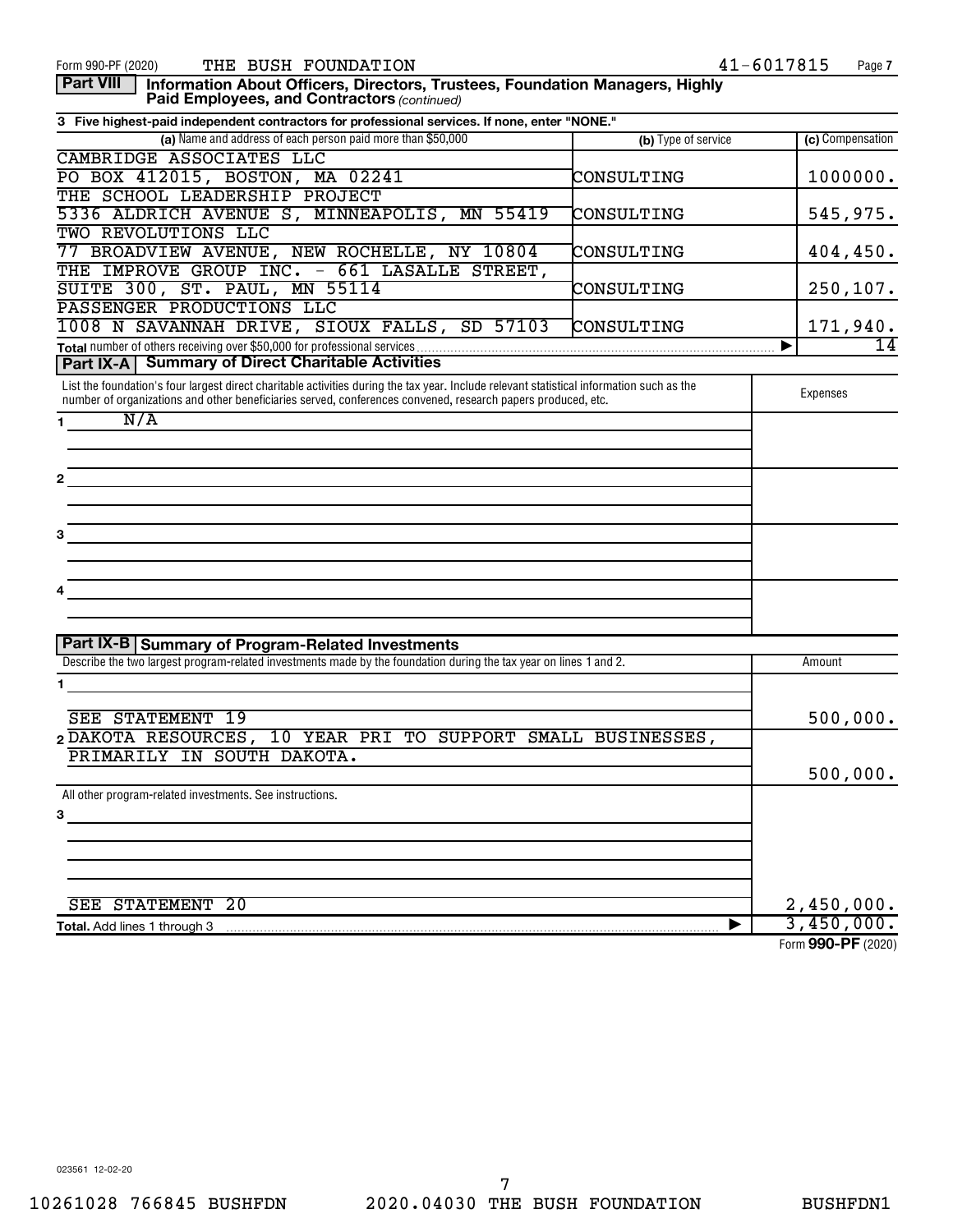| THE BUSH FOUNDATION<br>Form 990-PF (2020)                                                                                                                                                                                                                 |                     | 41-6017815<br>Page 7 |
|-----------------------------------------------------------------------------------------------------------------------------------------------------------------------------------------------------------------------------------------------------------|---------------------|----------------------|
| <b>Part VIII</b><br>Information About Officers, Directors, Trustees, Foundation Managers, Highly<br>Paid Employees, and Contractors (continued)                                                                                                           |                     |                      |
| 3 Five highest-paid independent contractors for professional services. If none, enter "NONE."                                                                                                                                                             |                     |                      |
| (a) Name and address of each person paid more than \$50,000                                                                                                                                                                                               | (b) Type of service | (c) Compensation     |
| CAMBRIDGE ASSOCIATES LLC                                                                                                                                                                                                                                  |                     |                      |
| PO BOX 412015, BOSTON, MA 02241                                                                                                                                                                                                                           | CONSULTING          | 1000000.             |
| THE SCHOOL LEADERSHIP PROJECT                                                                                                                                                                                                                             |                     |                      |
| 5336 ALDRICH AVENUE S, MINNEAPOLIS, MN 55419                                                                                                                                                                                                              | CONSULTING          | 545,975.             |
| TWO REVOLUTIONS LLC                                                                                                                                                                                                                                       |                     |                      |
| 77 BROADVIEW AVENUE, NEW ROCHELLE, NY 10804                                                                                                                                                                                                               | CONSULTING          | 404,450.             |
| THE IMPROVE GROUP INC. - 661 LASALLE STREET,                                                                                                                                                                                                              |                     |                      |
| SUITE 300, ST. PAUL, MN 55114                                                                                                                                                                                                                             | CONSULTING          | 250, 107.            |
| PASSENGER PRODUCTIONS LLC                                                                                                                                                                                                                                 |                     |                      |
| 1008 N SAVANNAH DRIVE, SIOUX FALLS, SD 57103                                                                                                                                                                                                              | CONSULTING          | 171,940.             |
|                                                                                                                                                                                                                                                           |                     | 14<br>▶              |
| <b>Part IX-A   Summary of Direct Charitable Activities</b>                                                                                                                                                                                                |                     |                      |
| List the foundation's four largest direct charitable activities during the tax year. Include relevant statistical information such as the<br>number of organizations and other beneficiaries served, conferences convened, research papers produced, etc. |                     | Expenses             |
| N/A<br>$1 \quad \blacksquare$                                                                                                                                                                                                                             |                     |                      |
|                                                                                                                                                                                                                                                           |                     |                      |
|                                                                                                                                                                                                                                                           |                     |                      |
| 2                                                                                                                                                                                                                                                         |                     |                      |
|                                                                                                                                                                                                                                                           |                     |                      |
|                                                                                                                                                                                                                                                           |                     |                      |
| 3                                                                                                                                                                                                                                                         |                     |                      |
|                                                                                                                                                                                                                                                           |                     |                      |
|                                                                                                                                                                                                                                                           |                     |                      |
|                                                                                                                                                                                                                                                           |                     |                      |
|                                                                                                                                                                                                                                                           |                     |                      |
|                                                                                                                                                                                                                                                           |                     |                      |
| Part IX-B Summary of Program-Related Investments                                                                                                                                                                                                          |                     |                      |
| Describe the two largest program-related investments made by the foundation during the tax year on lines 1 and 2.                                                                                                                                         |                     | Amount               |
| 1                                                                                                                                                                                                                                                         |                     |                      |
|                                                                                                                                                                                                                                                           |                     |                      |
| SEE STATEMENT 19                                                                                                                                                                                                                                          |                     | 500,000.             |
| 2 DAKOTA RESOURCES, 10 YEAR PRI TO SUPPORT SMALL BUSINESSES,                                                                                                                                                                                              |                     |                      |
| PRIMARILY IN SOUTH DAKOTA                                                                                                                                                                                                                                 |                     |                      |
|                                                                                                                                                                                                                                                           |                     | 500,000.             |
| All other program-related investments. See instructions.                                                                                                                                                                                                  |                     |                      |
|                                                                                                                                                                                                                                                           |                     |                      |
| 3                                                                                                                                                                                                                                                         |                     |                      |
|                                                                                                                                                                                                                                                           |                     |                      |
|                                                                                                                                                                                                                                                           |                     |                      |
|                                                                                                                                                                                                                                                           |                     |                      |
|                                                                                                                                                                                                                                                           |                     |                      |
| <b>SEE STATEMENT 20</b>                                                                                                                                                                                                                                   |                     | 2,450,000.           |
| Total. Add lines 1 through 3                                                                                                                                                                                                                              | ▶                   | 3,450,000.           |
|                                                                                                                                                                                                                                                           |                     | Form 990-PF (2020)   |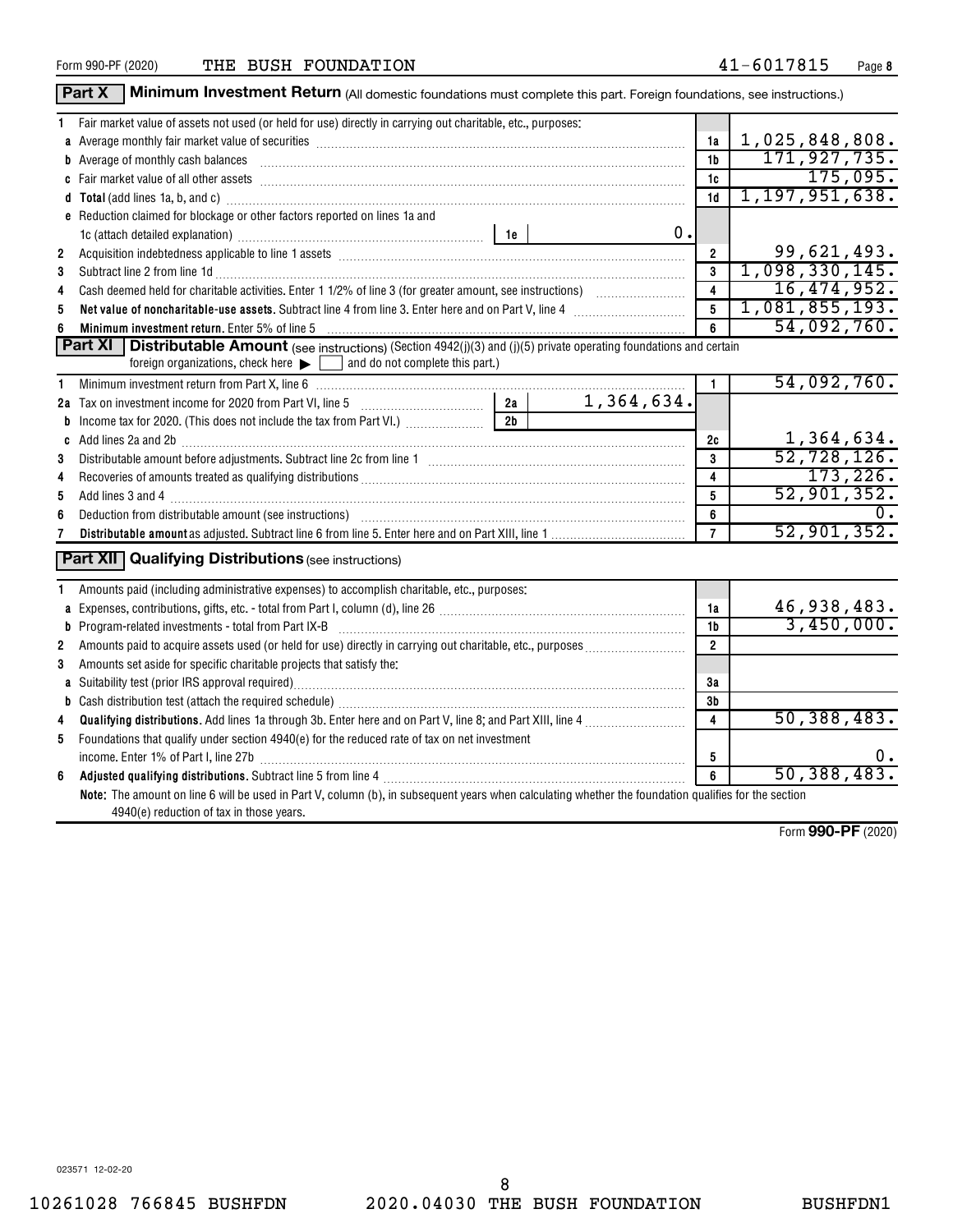|              | Part X<br>Minimum Investment Return (All domestic foundations must complete this part. Foreign foundations, see instructions.)                                                                                                 |                         |                   |
|--------------|--------------------------------------------------------------------------------------------------------------------------------------------------------------------------------------------------------------------------------|-------------------------|-------------------|
| 1.           | Fair market value of assets not used (or held for use) directly in carrying out charitable, etc., purposes:                                                                                                                    |                         |                   |
|              | a Average monthly fair market value of securities [11] matter content to the Average monthly fair market value of securities [11] matter content and average monthly fair market value of securities [11] matter content and a | 1a                      | 1,025,848,808.    |
|              |                                                                                                                                                                                                                                | 1 <sub>b</sub>          | 171,927,735.      |
|              |                                                                                                                                                                                                                                | 1c                      | 175,095.          |
|              |                                                                                                                                                                                                                                | 1d                      | 1, 197, 951, 638. |
|              | e Reduction claimed for blockage or other factors reported on lines 1a and                                                                                                                                                     |                         |                   |
|              | 0.                                                                                                                                                                                                                             |                         |                   |
| $\mathbf{2}$ | Acquisition indebtedness applicable to line 1 assets [11] matter content in the state of the state of the state of the state of the state of the state of the state of the state of the state of the state of the state of the | $\overline{2}$          | 99,621,493.       |
| 3            |                                                                                                                                                                                                                                | 3                       | 1,098,330,145.    |
| 4            |                                                                                                                                                                                                                                | $\overline{\mathbf{4}}$ | 16,474,952.       |
| 5            | Net value of noncharitable-use assets. Subtract line 4 from line 3. Enter here and on Part V, line 4 [11, 11, 11] Net viction with the state of the state of the state of the state of the state of the state of the state of  | $\overline{5}$          | 1,081,855,193.    |
| 6            | Minimum investment return. Enter 5% of line 5 [11] Minimum material contracts and the state of the state of the state of the state of the state of the state of the state of the state of the state of the state of the state  | 6                       | 54,092,760.       |
|              | Distributable Amount (see instructions) (Section 4942(j)(3) and (j)(5) private operating foundations and certain<br>Part XI                                                                                                    |                         |                   |
|              | foreign organizations, check here $\blacktriangleright$   and do not complete this part.)                                                                                                                                      |                         |                   |
| 1            |                                                                                                                                                                                                                                | $\mathbf{1}$            | 54,092,760.       |
|              |                                                                                                                                                                                                                                |                         |                   |
|              | 2 <sub>b</sub><br><b>b</b> Income tax for 2020. (This does not include the tax from Part VI.)                                                                                                                                  |                         |                   |
|              | c Add lines 2a and 2b [11] 20 [11] 20 [12] 20 [12] 20 [12] 20 [12] 20 [12] 20 [12] 20 [12] 20 [12] 20 [12] 20 [12] 20 [12] 20 [12] 20 [12] 20 [12] 20 [12] 20 [12] 20 [12] 20 [12] 20 [12] 20 [12] 20 [12] 20 [12] 20 [12] 20  | 2c                      | 1,364,634.        |
| 3            |                                                                                                                                                                                                                                | 3                       | 52, 728, 126.     |
| 4            |                                                                                                                                                                                                                                | 4                       | 173, 226.         |
| 5            |                                                                                                                                                                                                                                | 5                       | 52,901,352.       |
| 6            |                                                                                                                                                                                                                                | 6                       | 0.                |
|              |                                                                                                                                                                                                                                | $\overline{7}$          | 52,901,352.       |
|              | <b>Part XII</b> Qualifying Distributions (see instructions)                                                                                                                                                                    |                         |                   |
| 1.           | Amounts paid (including administrative expenses) to accomplish charitable, etc., purposes:                                                                                                                                     |                         |                   |
|              |                                                                                                                                                                                                                                | 1a                      | 46,938,483.       |
|              |                                                                                                                                                                                                                                | 1b                      | 3,450,000.        |
| 2            |                                                                                                                                                                                                                                | $\overline{2}$          |                   |
| 3            | Amounts set aside for specific charitable projects that satisfy the:                                                                                                                                                           |                         |                   |
|              |                                                                                                                                                                                                                                | 3a                      |                   |
|              |                                                                                                                                                                                                                                | 3 <sub>b</sub>          |                   |
| 4            | Qualifying distributions. Add lines 1a through 3b. Enter here and on Part V, line 8; and Part XIII, line 4 <i>mass</i>                                                                                                         | 4                       | 50,388,483.       |
| 5            | Foundations that qualify under section 4940(e) for the reduced rate of tax on net investment                                                                                                                                   |                         |                   |
|              |                                                                                                                                                                                                                                | 5                       | υ.                |
| 6            |                                                                                                                                                                                                                                | 6                       | 50, 388, 483.     |
|              | Note: The amount on line 6 will be used in Part V, column (b), in subsequent years when calculating whether the foundation qualifies for the section<br>4940(e) reduction of tax in those years.                               |                         |                   |

Form (2020) **990-PF**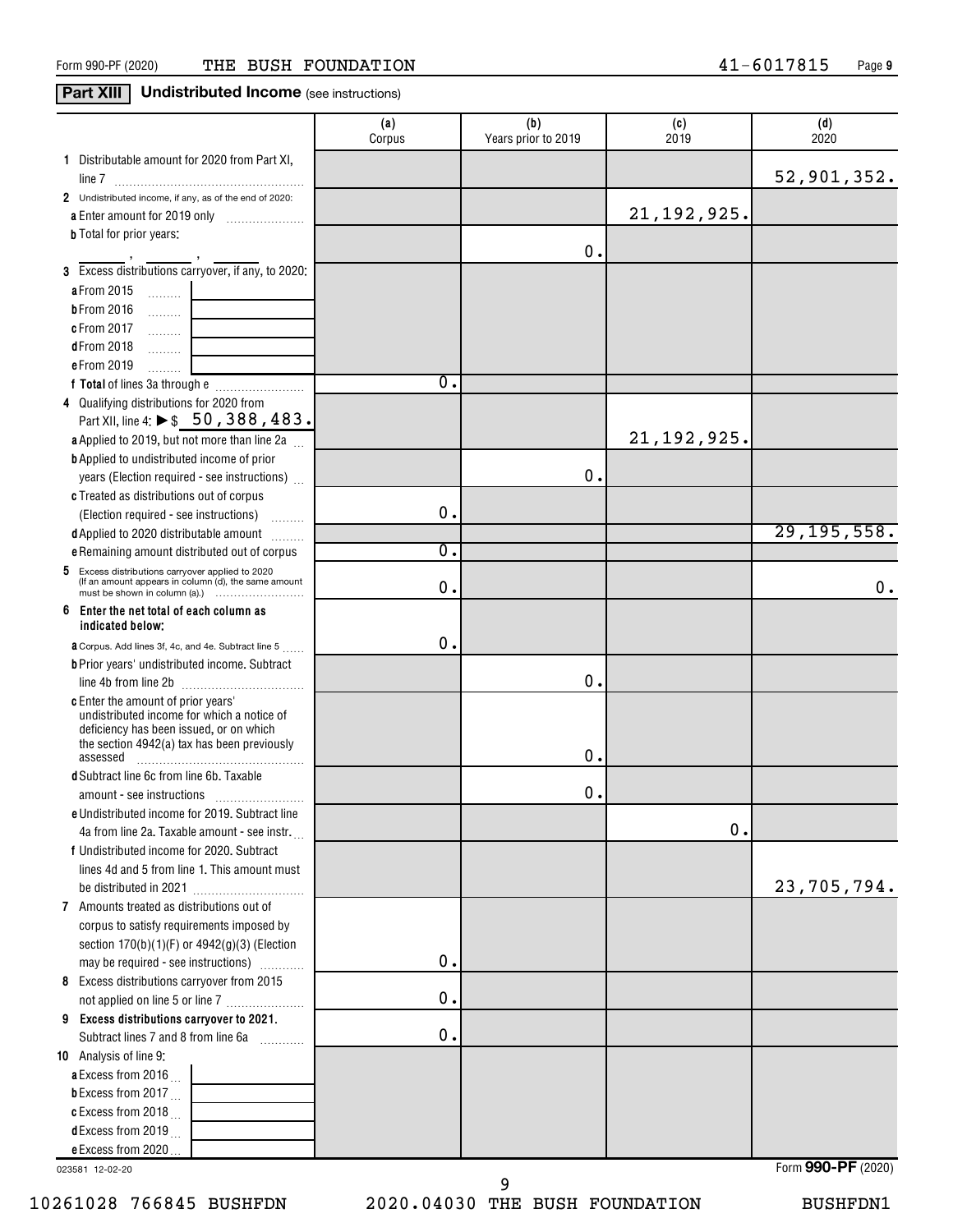### **Part XIII Undistributed Income** (see instructions)

|                                                                                                          | (a)<br>Corpus | (b)<br>Years prior to 2019 | (c)<br>2019   | (d)<br>2020   |
|----------------------------------------------------------------------------------------------------------|---------------|----------------------------|---------------|---------------|
| 1 Distributable amount for 2020 from Part XI,                                                            |               |                            |               | 52,901,352.   |
| 2 Undistributed income, if any, as of the end of 2020:                                                   |               |                            |               |               |
| a Enter amount for 2019 only                                                                             |               |                            | 21, 192, 925. |               |
| <b>b</b> Total for prior years:                                                                          |               | О.                         |               |               |
| 3 Excess distributions carryover, if any, to 2020:                                                       |               |                            |               |               |
| a From 2015<br>$\ldots \ldots \ldots$                                                                    |               |                            |               |               |
| <b>b</b> From 2016<br>.                                                                                  |               |                            |               |               |
| c From 2017<br>.                                                                                         |               |                            |               |               |
| <b>dFrom 2018</b><br>.                                                                                   |               |                            |               |               |
| e From 2019<br>.                                                                                         |               |                            |               |               |
|                                                                                                          | 0.            |                            |               |               |
| 4 Qualifying distributions for 2020 from                                                                 |               |                            |               |               |
| Part XII, line 4: $\triangleright$ \$ 50, 388, 483.                                                      |               |                            |               |               |
| a Applied to 2019, but not more than line 2a                                                             |               |                            | 21, 192, 925. |               |
| <b>b</b> Applied to undistributed income of prior                                                        |               |                            |               |               |
| years (Election required - see instructions)                                                             |               | О.                         |               |               |
| c Treated as distributions out of corpus                                                                 |               |                            |               |               |
| (Election required - see instructions)<br>a series de                                                    | $\mathbf 0$ . |                            |               |               |
| d Applied to 2020 distributable amount                                                                   |               |                            |               | 29, 195, 558. |
| e Remaining amount distributed out of corpus                                                             | σ.            |                            |               |               |
| 5 Excess distributions carryover applied to 2020<br>(If an amount appears in column (d), the same amount | 0.            |                            |               | 0.            |
| 6<br>Enter the net total of each column as<br>indicated below:                                           |               |                            |               |               |
| <b>a</b> Corpus. Add lines 3f, 4c, and 4e. Subtract line 5                                               | $\mathbf 0$ . |                            |               |               |
| <b>b</b> Prior years' undistributed income. Subtract                                                     |               |                            |               |               |
|                                                                                                          |               | О.                         |               |               |
| c Enter the amount of prior years'                                                                       |               |                            |               |               |
| undistributed income for which a notice of<br>deficiency has been issued, or on which                    |               |                            |               |               |
| the section 4942(a) tax has been previously                                                              |               |                            |               |               |
| assessed                                                                                                 |               | О.                         |               |               |
| d Subtract line 6c from line 6b. Taxable                                                                 |               |                            |               |               |
|                                                                                                          |               | О.                         |               |               |
| e Undistributed income for 2019. Subtract line                                                           |               |                            | $\mathbf 0$ . |               |
| 4a from line 2a. Taxable amount - see instr.                                                             |               |                            |               |               |
| f Undistributed income for 2020. Subtract<br>lines 4d and 5 from line 1. This amount must                |               |                            |               |               |
|                                                                                                          |               |                            |               | 23,705,794.   |
| 7 Amounts treated as distributions out of                                                                |               |                            |               |               |
| corpus to satisfy requirements imposed by                                                                |               |                            |               |               |
| section $170(b)(1)(F)$ or $4942(g)(3)$ (Election                                                         |               |                            |               |               |
| may be required - see instructions)                                                                      | $\mathbf 0$ . |                            |               |               |
| 8 Excess distributions carryover from 2015                                                               |               |                            |               |               |
| not applied on line 5 or line 7                                                                          | 0.            |                            |               |               |
| 9 Excess distributions carryover to 2021.                                                                |               |                            |               |               |
| Subtract lines 7 and 8 from line 6a                                                                      | 0.            |                            |               |               |
| 10 Analysis of line 9:                                                                                   |               |                            |               |               |
| a Excess from 2016.                                                                                      |               |                            |               |               |
| <b>b</b> Excess from 2017 $\ldots$                                                                       |               |                            |               |               |
| c Excess from 2018 $\ldots$                                                                              |               |                            |               |               |
| d Excess from 2019 $\ldots$                                                                              |               |                            |               |               |
| e Excess from 2020                                                                                       |               |                            |               |               |

023581 12-02-20

10261028 766845 BUSHFDN 2020.04030 THE BUSH FOUNDATION BUSHFDN1

9

Form (2020) **990-PF**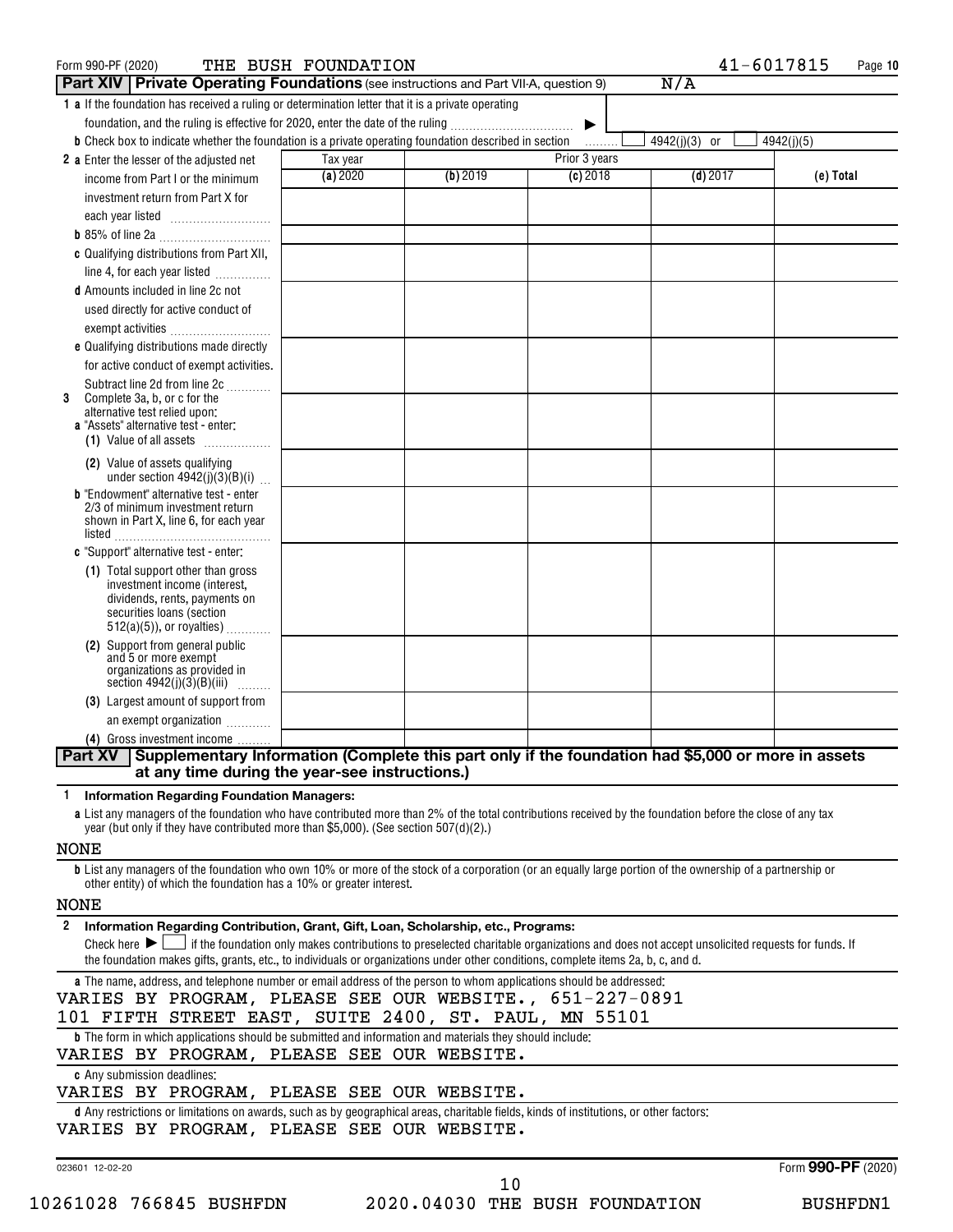| Form 990-PF (2020)                                                                                                                                                                                             | THE BUSH FOUNDATION |          |                       |               | 41-6017815<br>Page 10 |
|----------------------------------------------------------------------------------------------------------------------------------------------------------------------------------------------------------------|---------------------|----------|-----------------------|---------------|-----------------------|
| <b>Part XIV Private Operating Foundations</b> (see instructions and Part VII-A, question 9)                                                                                                                    |                     |          |                       | N/A           |                       |
| 1 a If the foundation has received a ruling or determination letter that it is a private operating                                                                                                             |                     |          |                       |               |                       |
| foundation, and the ruling is effective for 2020, enter the date of the ruling                                                                                                                                 |                     |          | $\blacktriangleright$ |               |                       |
| <b>b</b> Check box to indicate whether the foundation is a private operating foundation described in section                                                                                                   |                     |          | 1.1.1.1.1.1           | 4942(j)(3) or | 4942(j)(5)            |
| 2 a Enter the lesser of the adjusted net                                                                                                                                                                       | Tax year            |          | Prior 3 years         |               |                       |
| income from Part I or the minimum                                                                                                                                                                              | (a) 2020            | (b) 2019 | $(c)$ 2018            | $(d)$ 2017    | (e) Total             |
| investment return from Part X for                                                                                                                                                                              |                     |          |                       |               |                       |
|                                                                                                                                                                                                                |                     |          |                       |               |                       |
|                                                                                                                                                                                                                |                     |          |                       |               |                       |
| c Qualifying distributions from Part XII,                                                                                                                                                                      |                     |          |                       |               |                       |
| line 4, for each year listed                                                                                                                                                                                   |                     |          |                       |               |                       |
| d Amounts included in line 2c not                                                                                                                                                                              |                     |          |                       |               |                       |
| used directly for active conduct of                                                                                                                                                                            |                     |          |                       |               |                       |
| exempt activities                                                                                                                                                                                              |                     |          |                       |               |                       |
| e Qualifying distributions made directly                                                                                                                                                                       |                     |          |                       |               |                       |
| for active conduct of exempt activities.                                                                                                                                                                       |                     |          |                       |               |                       |
| Subtract line 2d from line 2c                                                                                                                                                                                  |                     |          |                       |               |                       |
| Complete 3a, b, or c for the<br>3                                                                                                                                                                              |                     |          |                       |               |                       |
| alternative test relied upon:                                                                                                                                                                                  |                     |          |                       |               |                       |
| a "Assets" alternative test - enter:<br>(1) Value of all assets                                                                                                                                                |                     |          |                       |               |                       |
|                                                                                                                                                                                                                |                     |          |                       |               |                       |
| (2) Value of assets qualifying<br>under section $4942(j)(3)(B)(i)$                                                                                                                                             |                     |          |                       |               |                       |
| <b>b</b> "Endowment" alternative test - enter                                                                                                                                                                  |                     |          |                       |               |                       |
| 2/3 of minimum investment return                                                                                                                                                                               |                     |          |                       |               |                       |
| shown in Part X, line 6, for each year                                                                                                                                                                         |                     |          |                       |               |                       |
| c "Support" alternative test - enter:                                                                                                                                                                          |                     |          |                       |               |                       |
|                                                                                                                                                                                                                |                     |          |                       |               |                       |
| (1) Total support other than gross<br>investment income (interest,                                                                                                                                             |                     |          |                       |               |                       |
| dividends, rents, payments on                                                                                                                                                                                  |                     |          |                       |               |                       |
| securities loans (section                                                                                                                                                                                      |                     |          |                       |               |                       |
| $512(a)(5)$ , or royalties)                                                                                                                                                                                    |                     |          |                       |               |                       |
| (2) Support from general public<br>and 5 or more exempt                                                                                                                                                        |                     |          |                       |               |                       |
| organizations as provided in                                                                                                                                                                                   |                     |          |                       |               |                       |
| section $4942(j)(3)(B)(iii)$                                                                                                                                                                                   |                     |          |                       |               |                       |
| (3) Largest amount of support from                                                                                                                                                                             |                     |          |                       |               |                       |
| an exempt organization                                                                                                                                                                                         |                     |          |                       |               |                       |
| (4) Gross investment income                                                                                                                                                                                    |                     |          |                       |               |                       |
| Part XV Supplementary Information (Complete this part only if the foundation had \$5,000 or more in assets<br>at any time during the year-see instructions.)                                                   |                     |          |                       |               |                       |
|                                                                                                                                                                                                                |                     |          |                       |               |                       |
| <b>Information Regarding Foundation Managers:</b><br>a List any managers of the foundation who have contributed more than 2% of the total contributions received by the foundation before the close of any tax |                     |          |                       |               |                       |
| year (but only if they have contributed more than \$5,000). (See section 507(d)(2).)                                                                                                                           |                     |          |                       |               |                       |
| <b>NONE</b>                                                                                                                                                                                                    |                     |          |                       |               |                       |
| <b>b</b> List any managers of the foundation who own 10% or more of the stock of a corporation (or an equally large portion of the ownership of a partnership or                                               |                     |          |                       |               |                       |
| other entity) of which the foundation has a 10% or greater interest.                                                                                                                                           |                     |          |                       |               |                       |
| <b>NONE</b>                                                                                                                                                                                                    |                     |          |                       |               |                       |
| 2 Information Regarding Contribution, Grant, Gift, Loan, Scholarship, etc., Programs:                                                                                                                          |                     |          |                       |               |                       |
| Check here $\blacktriangleright \bigsqcup$ if the foundation only makes contributions to preselected charitable organizations and does not accept unsolicited requests for funds. If                           |                     |          |                       |               |                       |
| the foundation makes gifts, grants, etc., to individuals or organizations under other conditions, complete items 2a, b, c, and d.                                                                              |                     |          |                       |               |                       |
| a The name, address, and telephone number or email address of the person to whom applications should be addressed:                                                                                             |                     |          |                       |               |                       |
| VARIES BY PROGRAM, PLEASE SEE OUR WEBSITE., 651-227-0891                                                                                                                                                       |                     |          |                       |               |                       |
| 101 FIFTH STREET EAST, SUITE 2400, ST. PAUL, MN 55101                                                                                                                                                          |                     |          |                       |               |                       |
| <b>b</b> The form in which applications should be submitted and information and materials they should include:                                                                                                 |                     |          |                       |               |                       |
| VARIES BY PROGRAM, PLEASE SEE OUR WEBSITE.<br>c Any submission deadlines:                                                                                                                                      |                     |          |                       |               |                       |
| VARIES BY PROGRAM, PLEASE SEE OUR WEBSITE.                                                                                                                                                                     |                     |          |                       |               |                       |
| d Any restrictions or limitations on awards, such as by geographical areas, charitable fields, kinds of institutions, or other factors:                                                                        |                     |          |                       |               |                       |
| VARIES BY PROGRAM, PLEASE SEE OUR WEBSITE.                                                                                                                                                                     |                     |          |                       |               |                       |
|                                                                                                                                                                                                                |                     |          |                       |               |                       |

023601 12-02-20

Form (2020) **990-PF**

| 10261028 766845 BUSHFDN | 2020.04030 THE BUSH FOUNDATION |  |  | <b>BUSHFDN1</b> |
|-------------------------|--------------------------------|--|--|-----------------|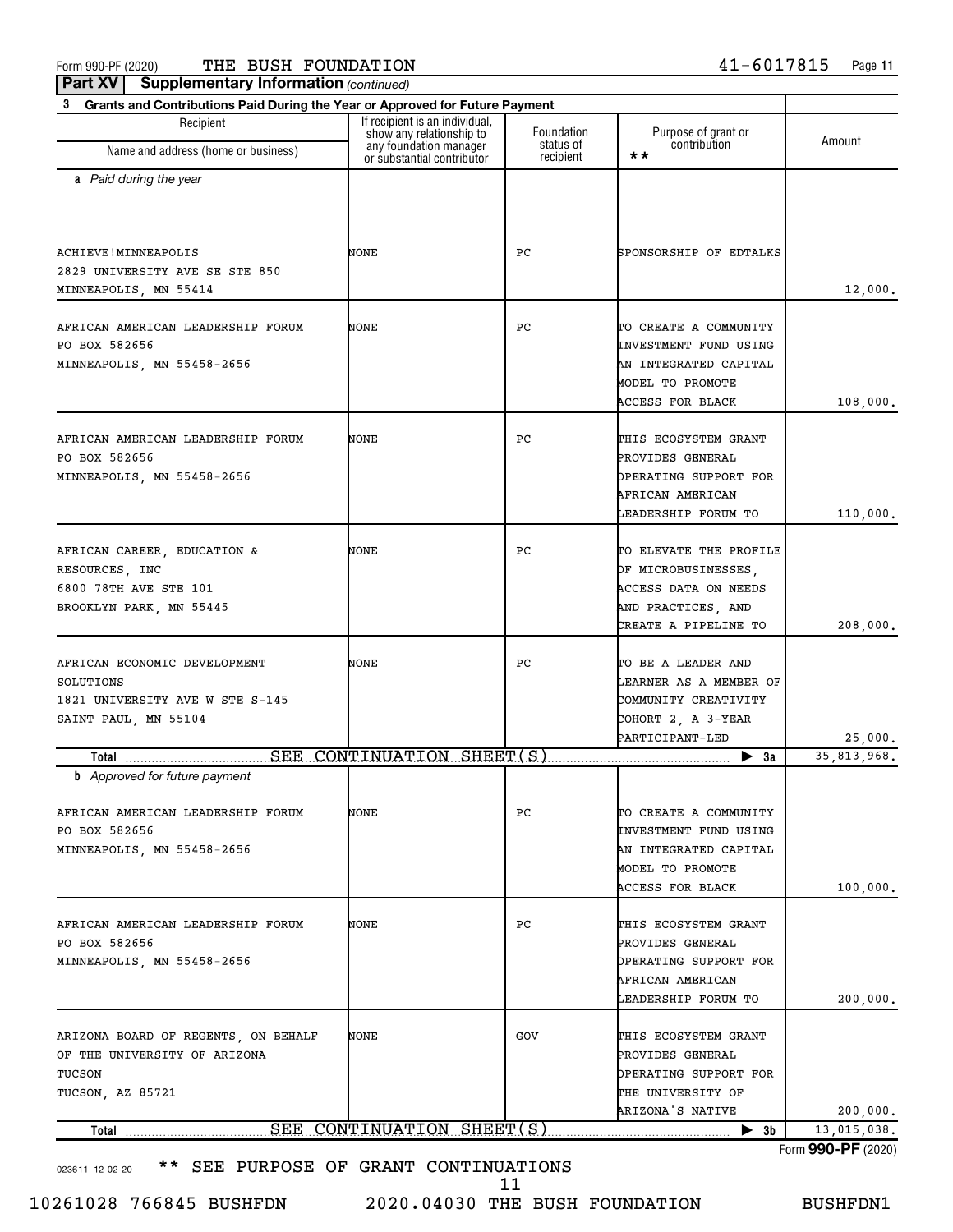Form 990-PF (2020) Page THE BUSH FOUNDATION 41-6017815

**Part XV** | Supplementary Information (continued)

| Grants and Contributions Paid During the Year or Approved for Future Payment<br>Recipient                                | If recipient is an individual,<br>show any relationship to | Foundation             | Purpose of grant or                                                                                                           |               |
|--------------------------------------------------------------------------------------------------------------------------|------------------------------------------------------------|------------------------|-------------------------------------------------------------------------------------------------------------------------------|---------------|
| Name and address (home or business)                                                                                      | any foundation manager<br>or substantial contributor       | status of<br>recipient | contribution<br>* *                                                                                                           | Amount        |
| a Paid during the year                                                                                                   |                                                            |                        |                                                                                                                               |               |
| ACHIEVE! MINNEAPOLIS<br>2829 UNIVERSITY AVE SE STE 850<br>MINNEAPOLIS, MN 55414                                          | NONE                                                       | РC                     | SPONSORSHIP OF EDTALKS                                                                                                        | 12,000.       |
| AFRICAN AMERICAN LEADERSHIP FORUM<br>PO BOX 582656<br>MINNEAPOLIS, MN 55458-2656                                         | NONE                                                       | РC                     | TO CREATE A COMMUNITY<br><b>INVESTMENT FUND USING</b><br>AN INTEGRATED CAPITAL<br>MODEL TO PROMOTE<br><b>ACCESS FOR BLACK</b> | 108,000.      |
| AFRICAN AMERICAN LEADERSHIP FORUM<br>PO BOX 582656<br>MINNEAPOLIS, MN 55458-2656                                         | NONE                                                       | РC                     | THIS ECOSYSTEM GRANT<br>PROVIDES GENERAL<br>OPERATING SUPPORT FOR<br>AFRICAN AMERICAN<br>LEADERSHIP FORUM TO                  | 110,000.      |
| AFRICAN CAREER, EDUCATION &<br>RESOURCES, INC<br>6800 78TH AVE STE 101<br>BROOKLYN PARK, MN 55445                        | NONE                                                       | РC                     | TO ELEVATE THE PROFILE<br>OF MICROBUSINESSES,<br>ACCESS DATA ON NEEDS<br>AND PRACTICES, AND<br>CREATE A PIPELINE TO           | 208,000.      |
| AFRICAN ECONOMIC DEVELOPMENT<br>SOLUTIONS<br>1821 UNIVERSITY AVE W STE S-145<br>SAINT PAUL, MN 55104                     | NONE                                                       | РC                     | TO BE A LEADER AND<br>LEARNER AS A MEMBER OF<br>COMMUNITY CREATIVITY<br>COHORT 2, A 3-YEAR<br>PARTICIPANT-LED                 | 25,000.       |
| SEE<br>Total                                                                                                             | CONTINUATION SHEET(S)                                      |                        | $\blacktriangleright$ 3a                                                                                                      | 35, 813, 968, |
| <b>b</b> Approved for future payment<br>AFRICAN AMERICAN LEADERSHIP FORUM<br>PO BOX 582656<br>MINNEAPOLIS, MN 55458-2656 | NONE                                                       | PС                     | TO CREATE A COMMUNITY<br>INVESTMENT FUND USING<br>AN INTEGRATED CAPITAL<br>MODEL TO PROMOTE<br>ACCESS FOR BLACK               | 100,000.      |
| AFRICAN AMERICAN LEADERSHIP FORUM<br>PO BOX 582656<br>MINNEAPOLIS, MN 55458-2656                                         | NONE                                                       | РC                     | THIS ECOSYSTEM GRANT<br>PROVIDES GENERAL<br>OPERATING SUPPORT FOR<br>AFRICAN AMERICAN<br>LEADERSHIP FORUM TO                  | 200,000.      |
| ARIZONA BOARD OF REGENTS, ON BEHALF<br>OF THE UNIVERSITY OF ARIZONA<br>TUCSON<br>TUCSON, AZ 85721                        | NONE                                                       | GOV                    | THIS ECOSYSTEM GRANT<br>PROVIDES GENERAL<br>OPERATING SUPPORT FOR<br>THE UNIVERSITY OF<br>ARIZONA'S NATIVE                    | 200,000.      |
| Total                                                                                                                    | SEE CONTINUATION SHEET(S)                                  |                        | $\blacktriangleright$ 3b                                                                                                      | 13,015,038.   |

10261028 766845 BUSHFDN 2020.04030 THE BUSH FOUNDATION BUSHFDN1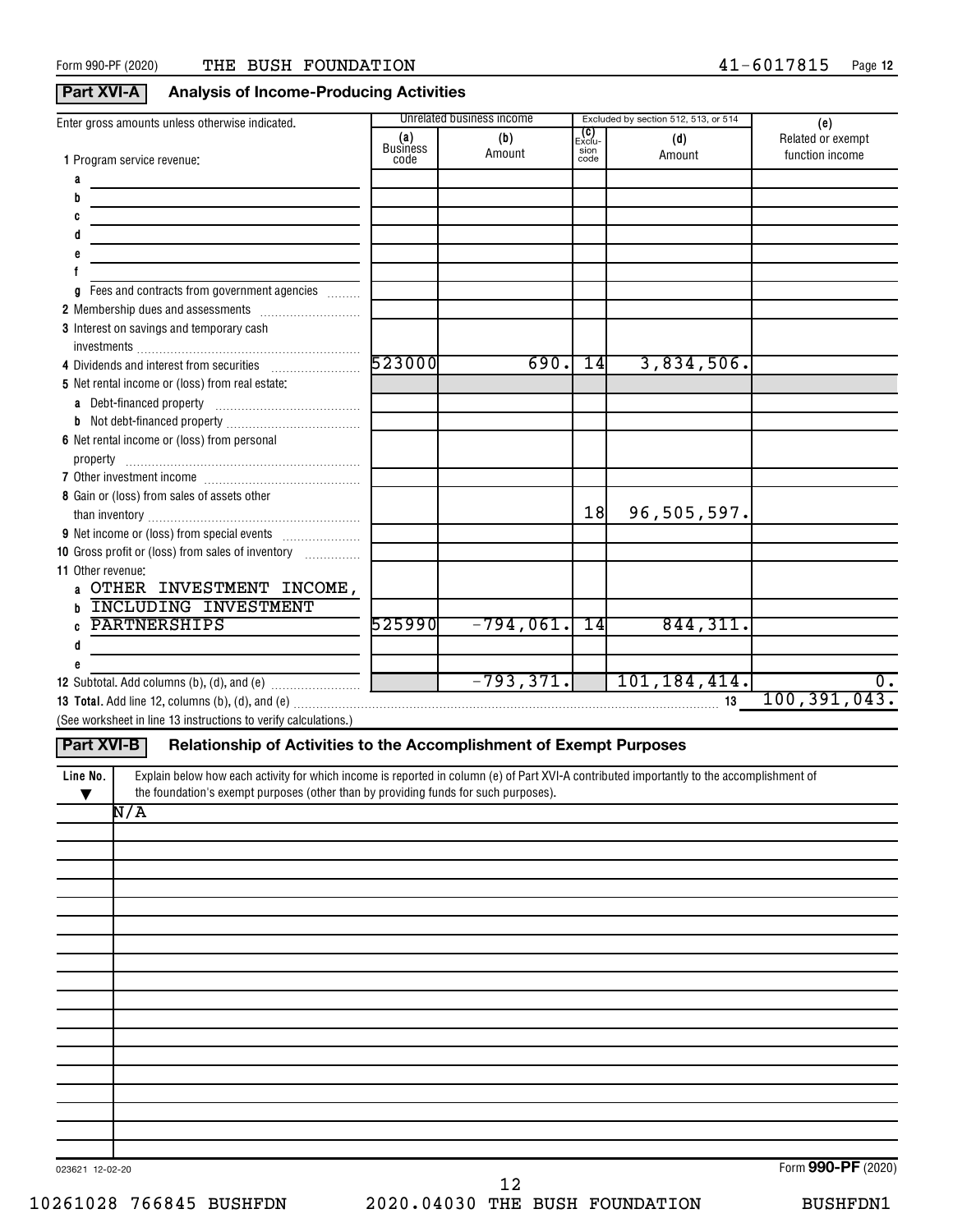#### **Part XVI-A Analysis of Income-Producing Activities**

| Enter gross amounts unless otherwise indicated.                                                                                                       |                        | <b>Unrelated business income</b> |                                | Excluded by section 512, 513, or 514 | (e)               |
|-------------------------------------------------------------------------------------------------------------------------------------------------------|------------------------|----------------------------------|--------------------------------|--------------------------------------|-------------------|
|                                                                                                                                                       | (a)<br><b>Business</b> | (b)                              | _ <b>(C)</b><br>Exclu-<br>sion | (d)                                  | Related or exempt |
| <b>1</b> Program service revenue:                                                                                                                     | code                   | Amount                           | code                           | Amount                               | function income   |
| a                                                                                                                                                     |                        |                                  |                                |                                      |                   |
| the control of the control of the control of                                                                                                          |                        |                                  |                                |                                      |                   |
|                                                                                                                                                       |                        |                                  |                                |                                      |                   |
|                                                                                                                                                       |                        |                                  |                                |                                      |                   |
| e                                                                                                                                                     |                        |                                  |                                |                                      |                   |
|                                                                                                                                                       |                        |                                  |                                |                                      |                   |
| g Fees and contracts from government agencies                                                                                                         |                        |                                  |                                |                                      |                   |
|                                                                                                                                                       |                        |                                  |                                |                                      |                   |
| 3 Interest on savings and temporary cash                                                                                                              |                        |                                  |                                |                                      |                   |
|                                                                                                                                                       |                        |                                  |                                |                                      |                   |
|                                                                                                                                                       | 523000                 | 690.                             | 14                             | 3,834,506.                           |                   |
| 5 Net rental income or (loss) from real estate:                                                                                                       |                        |                                  |                                |                                      |                   |
|                                                                                                                                                       |                        |                                  |                                |                                      |                   |
|                                                                                                                                                       |                        |                                  |                                |                                      |                   |
| 6 Net rental income or (loss) from personal                                                                                                           |                        |                                  |                                |                                      |                   |
|                                                                                                                                                       |                        |                                  |                                |                                      |                   |
|                                                                                                                                                       |                        |                                  |                                |                                      |                   |
| 8 Gain or (loss) from sales of assets other                                                                                                           |                        |                                  |                                |                                      |                   |
|                                                                                                                                                       |                        |                                  | 18                             | 96,505,597.                          |                   |
|                                                                                                                                                       |                        |                                  |                                |                                      |                   |
| 10 Gross profit or (loss) from sales of inventory                                                                                                     |                        |                                  |                                |                                      |                   |
| 11 Other revenue:                                                                                                                                     |                        |                                  |                                |                                      |                   |
| a OTHER INVESTMENT INCOME,                                                                                                                            |                        |                                  |                                |                                      |                   |
| <b>INCLUDING INVESTMENT</b>                                                                                                                           |                        |                                  |                                |                                      |                   |
| <b>PARTNERSHIPS</b>                                                                                                                                   | 525990                 | $-794,061.$                      | $\overline{14}$                | 844, 311.                            |                   |
| d                                                                                                                                                     |                        |                                  |                                |                                      |                   |
| e                                                                                                                                                     |                        |                                  |                                |                                      |                   |
|                                                                                                                                                       |                        |                                  |                                | $-793,371.$ 101,184,414.             | $\overline{0}$ .  |
|                                                                                                                                                       |                        |                                  |                                | 13                                   | 100, 391, 043.    |
| (See worksheet in line 13 instructions to verify calculations.)                                                                                       |                        |                                  |                                |                                      |                   |
|                                                                                                                                                       |                        |                                  |                                |                                      |                   |
| <b>Part XVI-B</b><br>Relationship of Activities to the Accomplishment of Exempt Purposes                                                              |                        |                                  |                                |                                      |                   |
| Explain below how each activity for which income is reported in column (e) of Part XVI-A contributed importantly to the accomplishment of<br>Line No. |                        |                                  |                                |                                      |                   |
| the foundation's exempt purposes (other than by providing funds for such purposes).<br>▼                                                              |                        |                                  |                                |                                      |                   |
| $\overline{\texttt{N/A}}$                                                                                                                             |                        |                                  |                                |                                      |                   |
|                                                                                                                                                       |                        |                                  |                                |                                      |                   |
|                                                                                                                                                       |                        |                                  |                                |                                      |                   |
|                                                                                                                                                       |                        |                                  |                                |                                      |                   |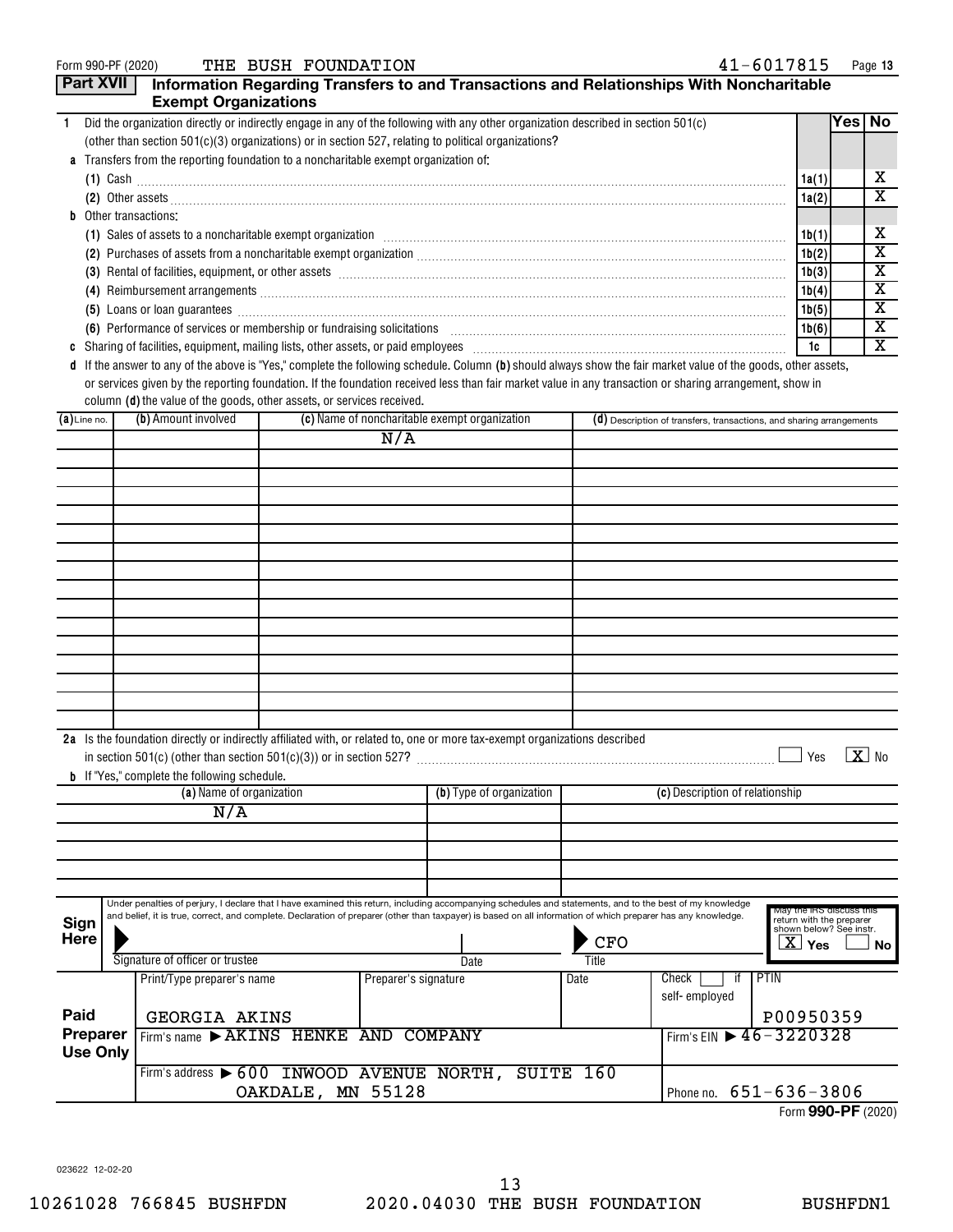|  | Form 990-PF (2020) |  |
|--|--------------------|--|
|--|--------------------|--|

Form 990-PF (2020) Page THE BUSH FOUNDATION 41-6017815

| <b>Part XVII</b>                                                                                     |  | <b>Exempt Organizations</b>                                                          |                   |                      |                                                                                                                                                               |            | Information Regarding Transfers to and Transactions and Relationships With Noncharitable                                                                                                                                                                                                                                   |                                                                       |          |                            |
|------------------------------------------------------------------------------------------------------|--|--------------------------------------------------------------------------------------|-------------------|----------------------|---------------------------------------------------------------------------------------------------------------------------------------------------------------|------------|----------------------------------------------------------------------------------------------------------------------------------------------------------------------------------------------------------------------------------------------------------------------------------------------------------------------------|-----------------------------------------------------------------------|----------|----------------------------|
| $\mathbf{1}$                                                                                         |  |                                                                                      |                   |                      | Did the organization directly or indirectly engage in any of the following with any other organization described in section 501(c)                            |            |                                                                                                                                                                                                                                                                                                                            |                                                                       | Yes   No |                            |
| (other than section 501(c)(3) organizations) or in section 527, relating to political organizations? |  |                                                                                      |                   |                      |                                                                                                                                                               |            |                                                                                                                                                                                                                                                                                                                            |                                                                       |          |                            |
|                                                                                                      |  | a Transfers from the reporting foundation to a noncharitable exempt organization of: |                   |                      |                                                                                                                                                               |            |                                                                                                                                                                                                                                                                                                                            |                                                                       |          |                            |
|                                                                                                      |  |                                                                                      |                   |                      |                                                                                                                                                               |            |                                                                                                                                                                                                                                                                                                                            | 1a(1)                                                                 |          | х                          |
|                                                                                                      |  |                                                                                      |                   |                      |                                                                                                                                                               |            |                                                                                                                                                                                                                                                                                                                            | 1a(2)                                                                 |          | х                          |
|                                                                                                      |  | <b>b</b> Other transactions:                                                         |                   |                      |                                                                                                                                                               |            |                                                                                                                                                                                                                                                                                                                            |                                                                       |          |                            |
|                                                                                                      |  |                                                                                      |                   |                      |                                                                                                                                                               |            | (1) Sales of assets to a noncharitable exempt organization [1] [1] Sales of assets to a noncharitable exempt organization [1] [1] Sales of assets to a noncharitable exempt organization [1] [1] [1] [1] [1] [1] [1] [1] [1] [                                                                                             | 1b(1)                                                                 |          | х                          |
|                                                                                                      |  |                                                                                      |                   |                      |                                                                                                                                                               |            | (2) Purchases of assets from a noncharitable exempt organization [11] match material material material material material material material material material material material material material material material material ma                                                                                             | 1b(2)                                                                 |          | х                          |
|                                                                                                      |  |                                                                                      |                   |                      |                                                                                                                                                               |            | (3) Rental of facilities, equipment, or other assets [111] All and the content of the set of the content of the set of the content of the set of the set of the set of the set of the set of the set of the set of the set of                                                                                              | 1b(3)                                                                 |          | х                          |
|                                                                                                      |  |                                                                                      |                   |                      |                                                                                                                                                               |            |                                                                                                                                                                                                                                                                                                                            | 1b(4)                                                                 |          | х                          |
|                                                                                                      |  |                                                                                      |                   |                      |                                                                                                                                                               |            | (5) Loans or loan guarantees <b>commissions</b> and a construction of the construction of the construction of the construction of the construction of the construction of the construction of the construction of the construction                                                                                         | 1b(5)                                                                 |          | х                          |
|                                                                                                      |  | (6) Performance of services or membership or fundraising solicitations               |                   |                      |                                                                                                                                                               |            |                                                                                                                                                                                                                                                                                                                            | 1b(6)                                                                 |          | х                          |
|                                                                                                      |  |                                                                                      |                   |                      |                                                                                                                                                               |            |                                                                                                                                                                                                                                                                                                                            | 1c                                                                    |          | х                          |
|                                                                                                      |  | column (d) the value of the goods, other assets, or services received.               |                   |                      |                                                                                                                                                               |            | d If the answer to any of the above is "Yes," complete the following schedule. Column (b) should always show the fair market value of the goods, other assets,<br>or services given by the reporting foundation. If the foundation received less than fair market value in any transaction or sharing arrangement, show in |                                                                       |          |                            |
| $(a)$ Line no.                                                                                       |  | (b) Amount involved                                                                  |                   |                      | (c) Name of noncharitable exempt organization                                                                                                                 |            | (d) Description of transfers, transactions, and sharing arrangements                                                                                                                                                                                                                                                       |                                                                       |          |                            |
|                                                                                                      |  |                                                                                      |                   | N/A                  |                                                                                                                                                               |            |                                                                                                                                                                                                                                                                                                                            |                                                                       |          |                            |
|                                                                                                      |  |                                                                                      |                   |                      |                                                                                                                                                               |            |                                                                                                                                                                                                                                                                                                                            |                                                                       |          |                            |
|                                                                                                      |  |                                                                                      |                   |                      |                                                                                                                                                               |            |                                                                                                                                                                                                                                                                                                                            |                                                                       |          |                            |
|                                                                                                      |  |                                                                                      |                   |                      |                                                                                                                                                               |            |                                                                                                                                                                                                                                                                                                                            |                                                                       |          |                            |
|                                                                                                      |  |                                                                                      |                   |                      |                                                                                                                                                               |            |                                                                                                                                                                                                                                                                                                                            |                                                                       |          |                            |
|                                                                                                      |  |                                                                                      |                   |                      |                                                                                                                                                               |            |                                                                                                                                                                                                                                                                                                                            |                                                                       |          |                            |
|                                                                                                      |  |                                                                                      |                   |                      |                                                                                                                                                               |            |                                                                                                                                                                                                                                                                                                                            |                                                                       |          |                            |
|                                                                                                      |  |                                                                                      |                   |                      |                                                                                                                                                               |            |                                                                                                                                                                                                                                                                                                                            |                                                                       |          |                            |
|                                                                                                      |  |                                                                                      |                   |                      |                                                                                                                                                               |            |                                                                                                                                                                                                                                                                                                                            |                                                                       |          |                            |
|                                                                                                      |  |                                                                                      |                   |                      |                                                                                                                                                               |            |                                                                                                                                                                                                                                                                                                                            |                                                                       |          |                            |
|                                                                                                      |  |                                                                                      |                   |                      |                                                                                                                                                               |            |                                                                                                                                                                                                                                                                                                                            |                                                                       |          |                            |
|                                                                                                      |  |                                                                                      |                   |                      |                                                                                                                                                               |            |                                                                                                                                                                                                                                                                                                                            |                                                                       |          |                            |
|                                                                                                      |  |                                                                                      |                   |                      |                                                                                                                                                               |            |                                                                                                                                                                                                                                                                                                                            |                                                                       |          |                            |
|                                                                                                      |  |                                                                                      |                   |                      |                                                                                                                                                               |            |                                                                                                                                                                                                                                                                                                                            |                                                                       |          |                            |
|                                                                                                      |  |                                                                                      |                   |                      |                                                                                                                                                               |            |                                                                                                                                                                                                                                                                                                                            |                                                                       |          |                            |
|                                                                                                      |  |                                                                                      |                   |                      |                                                                                                                                                               |            |                                                                                                                                                                                                                                                                                                                            |                                                                       |          |                            |
|                                                                                                      |  | <b>b</b> If "Yes," complete the following schedule.                                  |                   |                      | 2a Is the foundation directly or indirectly affiliated with, or related to, one or more tax-exempt organizations described                                    |            |                                                                                                                                                                                                                                                                                                                            | Yes                                                                   |          | $\overline{\mathbf{X}}$ No |
|                                                                                                      |  | (a) Name of organization                                                             |                   |                      | (b) Type of organization                                                                                                                                      |            | (c) Description of relationship                                                                                                                                                                                                                                                                                            |                                                                       |          |                            |
|                                                                                                      |  | N/A                                                                                  |                   |                      |                                                                                                                                                               |            |                                                                                                                                                                                                                                                                                                                            |                                                                       |          |                            |
|                                                                                                      |  |                                                                                      |                   |                      |                                                                                                                                                               |            |                                                                                                                                                                                                                                                                                                                            |                                                                       |          |                            |
|                                                                                                      |  |                                                                                      |                   |                      |                                                                                                                                                               |            |                                                                                                                                                                                                                                                                                                                            |                                                                       |          |                            |
|                                                                                                      |  |                                                                                      |                   |                      |                                                                                                                                                               |            |                                                                                                                                                                                                                                                                                                                            |                                                                       |          |                            |
|                                                                                                      |  |                                                                                      |                   |                      |                                                                                                                                                               |            |                                                                                                                                                                                                                                                                                                                            |                                                                       |          |                            |
|                                                                                                      |  |                                                                                      |                   |                      | Under penalties of perjury, I declare that I have examined this return, including accompanying schedules and statements, and to the best of my knowledge      |            |                                                                                                                                                                                                                                                                                                                            | May the IRS discuss this                                              |          |                            |
| Sign<br><b>Here</b>                                                                                  |  |                                                                                      |                   |                      | and belief, it is true, correct, and complete. Declaration of preparer (other than taxpayer) is based on all information of which preparer has any knowledge. | <b>CFO</b> |                                                                                                                                                                                                                                                                                                                            | return with the preparer<br>shown below? See instr.<br>$X \vert Y$ es |          | No                         |
|                                                                                                      |  | Signature of officer or trustee                                                      |                   |                      | Date                                                                                                                                                          | Title      |                                                                                                                                                                                                                                                                                                                            |                                                                       |          |                            |
|                                                                                                      |  | Print/Type preparer's name                                                           |                   | Preparer's signature |                                                                                                                                                               | Date       | PTIN<br>Check<br>Ħ                                                                                                                                                                                                                                                                                                         |                                                                       |          |                            |
|                                                                                                      |  |                                                                                      |                   |                      |                                                                                                                                                               |            | self-employed                                                                                                                                                                                                                                                                                                              |                                                                       |          |                            |
| Paid                                                                                                 |  | <b>GEORGIA AKINS</b>                                                                 |                   |                      |                                                                                                                                                               |            |                                                                                                                                                                                                                                                                                                                            | P00950359                                                             |          |                            |
| Preparer<br><b>Use Only</b>                                                                          |  | Firm's name > AKINS HENKE AND COMPANY                                                |                   |                      |                                                                                                                                                               |            | Firm's EIN $\triangleright$ 46 - 3220328                                                                                                                                                                                                                                                                                   |                                                                       |          |                            |
|                                                                                                      |  |                                                                                      |                   |                      | Firm's address > 600 INWOOD AVENUE NORTH, SUITE 160                                                                                                           |            |                                                                                                                                                                                                                                                                                                                            |                                                                       |          |                            |
|                                                                                                      |  |                                                                                      | OAKDALE, MN 55128 |                      |                                                                                                                                                               |            | Phone no. 651-636-3806                                                                                                                                                                                                                                                                                                     |                                                                       |          |                            |

Form (2020) **990-PF**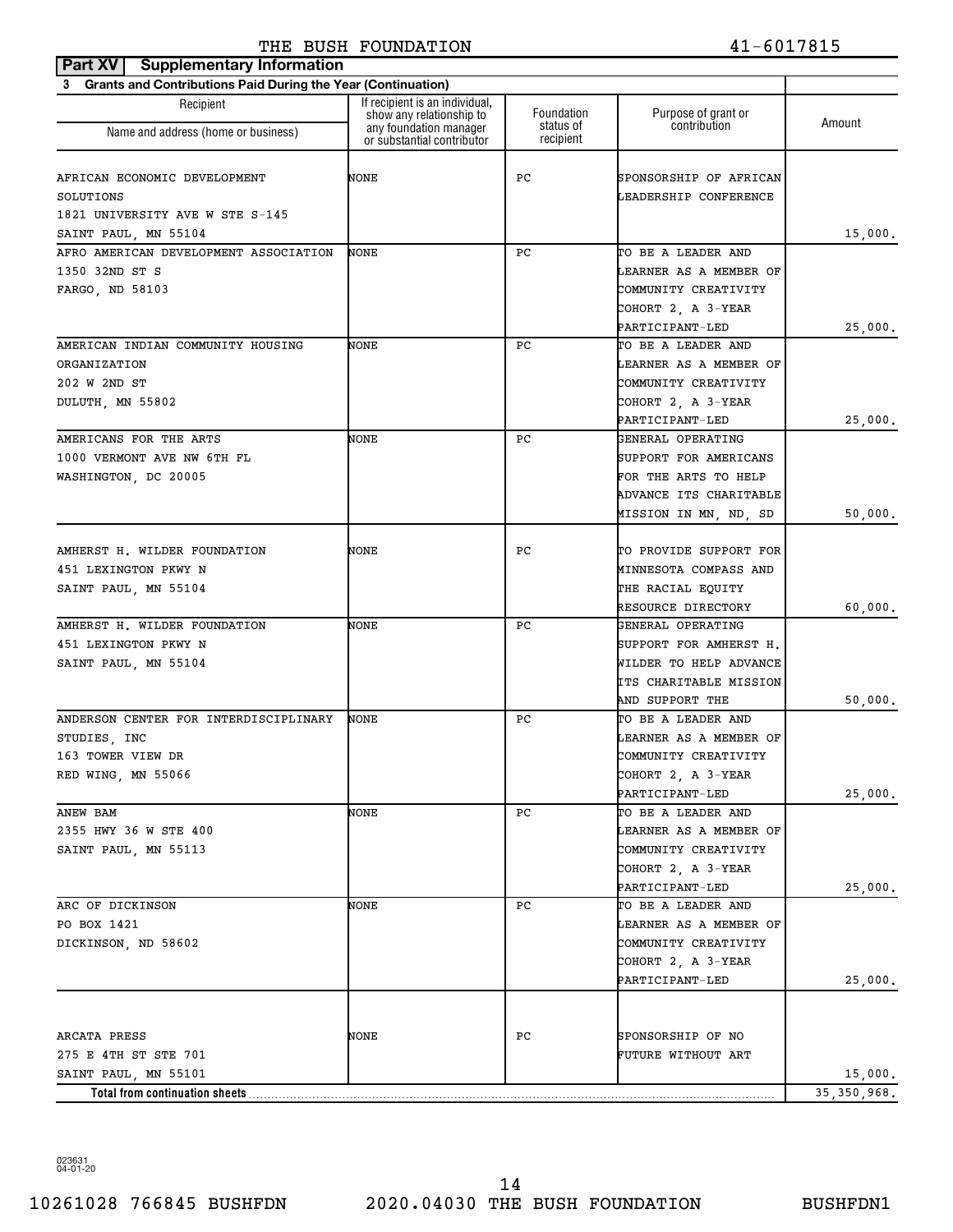| <b>Supplementary Information</b><br>Part XV                    |                                                            |                         |                                       |               |
|----------------------------------------------------------------|------------------------------------------------------------|-------------------------|---------------------------------------|---------------|
| 3 Grants and Contributions Paid During the Year (Continuation) |                                                            |                         |                                       |               |
| Recipient                                                      | If recipient is an individual,<br>show any relationship to | Foundation<br>status of | Purpose of grant or<br>contribution   | Amount        |
| Name and address (home or business)                            | any foundation manager<br>or substantial contributor       | recipient               |                                       |               |
| AFRICAN ECONOMIC DEVELOPMENT                                   | NONE                                                       | РC                      | SPONSORSHIP OF AFRICAN                |               |
| SOLUTIONS                                                      |                                                            |                         | LEADERSHIP CONFERENCE                 |               |
| 1821 UNIVERSITY AVE W STE S-145                                |                                                            |                         |                                       |               |
| SAINT PAUL, MN 55104                                           |                                                            |                         |                                       | 15,000.       |
| AFRO AMERICAN DEVELOPMENT ASSOCIATION                          | <b>NONE</b>                                                | РC                      | TO BE A LEADER AND                    |               |
| 1350 32ND ST S                                                 |                                                            |                         | LEARNER AS A MEMBER OF                |               |
| FARGO, ND 58103                                                |                                                            |                         | COMMUNITY CREATIVITY                  |               |
|                                                                |                                                            |                         | COHORT 2, A 3-YEAR                    |               |
|                                                                |                                                            |                         | PARTICIPANT-LED                       | 25,000.       |
| AMERICAN INDIAN COMMUNITY HOUSING                              | NONE                                                       | РC                      | TO BE A LEADER AND                    |               |
| ORGANIZATION                                                   |                                                            |                         | LEARNER AS A MEMBER OF                |               |
| 202 W 2ND ST                                                   |                                                            |                         | COMMUNITY CREATIVITY                  |               |
| DULUTH, MN 55802                                               |                                                            |                         | COHORT 2, A 3-YEAR                    |               |
|                                                                |                                                            |                         | PARTICIPANT-LED                       | 25,000.       |
| AMERICANS FOR THE ARTS                                         | NONE                                                       | РC                      | GENERAL OPERATING                     |               |
| 1000 VERMONT AVE NW 6TH FL                                     |                                                            |                         | SUPPORT FOR AMERICANS                 |               |
| WASHINGTON, DC 20005                                           |                                                            |                         | FOR THE ARTS TO HELP                  |               |
|                                                                |                                                            |                         | ADVANCE ITS CHARITABLE                |               |
|                                                                |                                                            |                         | MISSION IN MN, ND, SD                 | 50,000.       |
|                                                                |                                                            |                         |                                       |               |
| AMHERST H. WILDER FOUNDATION                                   | NONE                                                       | РC                      | TO PROVIDE SUPPORT FOR                |               |
| 451 LEXINGTON PKWY N                                           |                                                            |                         | MINNESOTA COMPASS AND                 |               |
| SAINT PAUL, MN 55104                                           |                                                            |                         | THE RACIAL EQUITY                     |               |
|                                                                |                                                            |                         | RESOURCE DIRECTORY                    | 60,000.       |
| AMHERST H. WILDER FOUNDATION                                   | NONE                                                       | РC                      | GENERAL OPERATING                     |               |
| 451 LEXINGTON PKWY N                                           |                                                            |                         | SUPPORT FOR AMHERST H.                |               |
| SAINT PAUL, MN 55104                                           |                                                            |                         | WILDER TO HELP ADVANCE                |               |
|                                                                |                                                            |                         | ITS CHARITABLE MISSION                |               |
|                                                                |                                                            |                         | AND SUPPORT THE                       | 50,000.       |
| ANDERSON CENTER FOR INTERDISCIPLINARY                          | NONE                                                       | РC                      | TO BE A LEADER AND                    |               |
| STUDIES, INC                                                   |                                                            |                         | LEARNER AS A MEMBER OF                |               |
| 163 TOWER VIEW DR                                              |                                                            |                         | COMMUNITY CREATIVITY                  |               |
| RED WING, MN 55066                                             |                                                            |                         | COHORT 2, A 3-YEAR                    |               |
| ANEW BAM                                                       | NONE                                                       | РC                      | PARTICIPANT-LED<br>TO BE A LEADER AND | 25,000.       |
| 2355 HWY 36 W STE 400                                          |                                                            |                         | LEARNER AS A MEMBER OF                |               |
|                                                                |                                                            |                         | COMMUNITY CREATIVITY                  |               |
| SAINT PAUL, MN 55113                                           |                                                            |                         | COHORT 2, A 3-YEAR                    |               |
|                                                                |                                                            |                         | PARTICIPANT-LED                       | 25,000.       |
| ARC OF DICKINSON                                               | NONE                                                       | РC                      | TO BE A LEADER AND                    |               |
| PO BOX 1421                                                    |                                                            |                         | LEARNER AS A MEMBER OF                |               |
| DICKINSON, ND 58602                                            |                                                            |                         | COMMUNITY CREATIVITY                  |               |
|                                                                |                                                            |                         | COHORT 2, A 3-YEAR                    |               |
|                                                                |                                                            |                         | PARTICIPANT-LED                       | 25,000.       |
|                                                                |                                                            |                         |                                       |               |
| ARCATA PRESS                                                   | NONE                                                       | РC                      | SPONSORSHIP OF NO                     |               |
| 275 E 4TH ST STE 701                                           |                                                            |                         | FUTURE WITHOUT ART                    |               |
| SAINT PAUL, MN 55101                                           |                                                            |                         |                                       | 15,000.       |
| Total from continuation sheets                                 |                                                            |                         |                                       | 35, 350, 968. |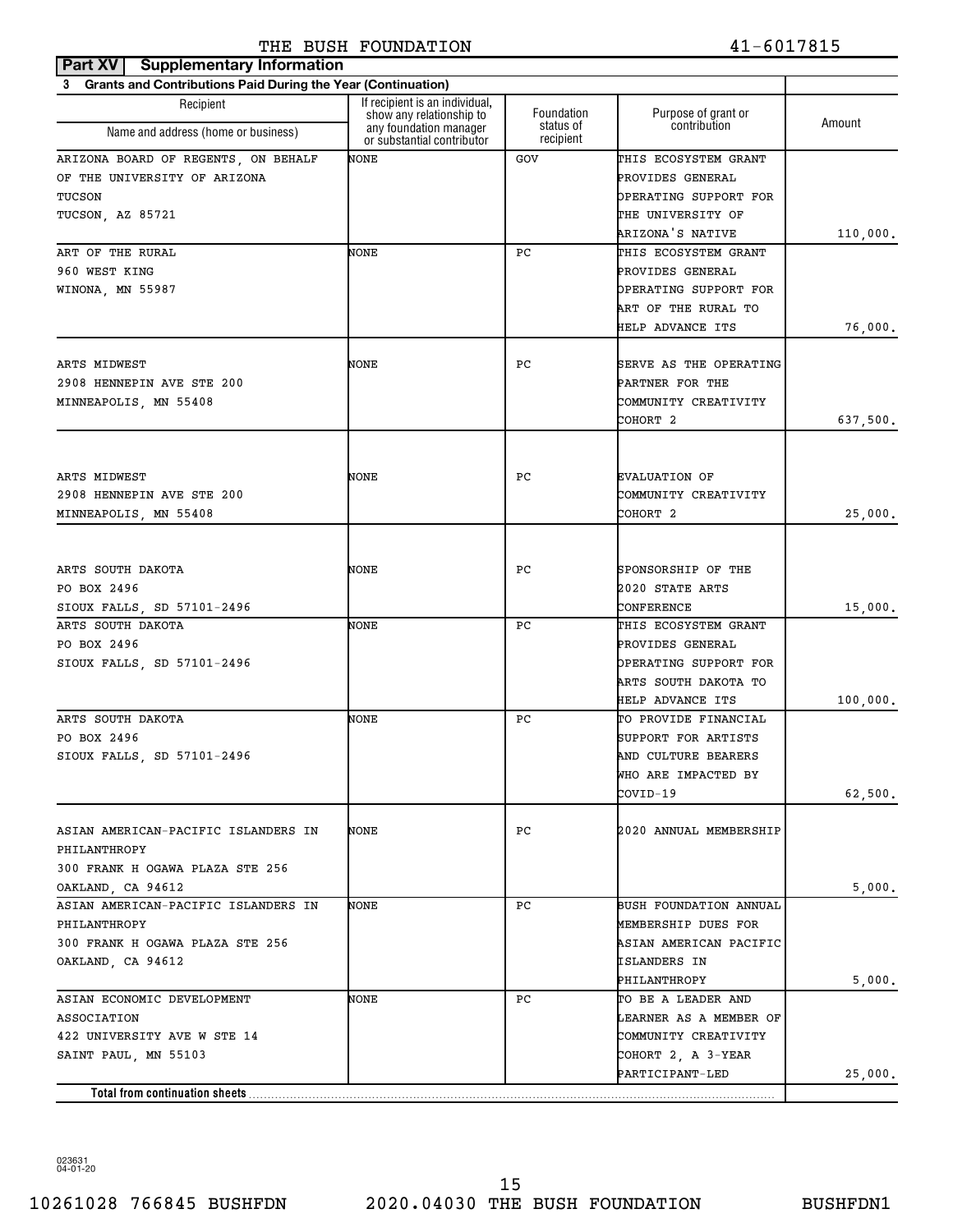| Part XV   Supplementary Information                                      |                                                            |                        |                                     |          |
|--------------------------------------------------------------------------|------------------------------------------------------------|------------------------|-------------------------------------|----------|
| <b>Grants and Contributions Paid During the Year (Continuation)</b><br>3 |                                                            |                        |                                     |          |
| Recipient                                                                | If recipient is an individual,<br>show any relationship to | Foundation             | Purpose of grant or<br>contribution | Amount   |
| Name and address (home or business)                                      | any foundation manager<br>or substantial contributor       | status of<br>recipient |                                     |          |
| ARIZONA BOARD OF REGENTS, ON BEHALF                                      | NONE                                                       | <b>GOV</b>             | THIS ECOSYSTEM GRANT                |          |
| OF THE UNIVERSITY OF ARIZONA                                             |                                                            |                        | PROVIDES GENERAL                    |          |
| TUCSON                                                                   |                                                            |                        | OPERATING SUPPORT FOR               |          |
| TUCSON, AZ 85721                                                         |                                                            |                        | THE UNIVERSITY OF                   |          |
|                                                                          |                                                            |                        | ARIZONA'S NATIVE                    | 110,000. |
| ART OF THE RURAL                                                         | NONE                                                       | РC                     | THIS ECOSYSTEM GRANT                |          |
| 960 WEST KING                                                            |                                                            |                        | PROVIDES GENERAL                    |          |
| WINONA, MN 55987                                                         |                                                            |                        | OPERATING SUPPORT FOR               |          |
|                                                                          |                                                            |                        | ART OF THE RURAL TO                 |          |
|                                                                          |                                                            |                        | HELP ADVANCE ITS                    | 76,000.  |
| ARTS MIDWEST                                                             | NONE                                                       | РC                     | <b>SERVE AS THE OPERATING</b>       |          |
| 2908 HENNEPIN AVE STE 200                                                |                                                            |                        | PARTNER FOR THE                     |          |
| MINNEAPOLIS, MN 55408                                                    |                                                            |                        | COMMUNITY CREATIVITY                |          |
|                                                                          |                                                            |                        | COHORT 2                            | 637,500. |
|                                                                          |                                                            |                        |                                     |          |
| ARTS MIDWEST                                                             | NONE                                                       | РC                     | <b>EVALUATION OF</b>                |          |
| 2908 HENNEPIN AVE STE 200                                                |                                                            |                        | COMMUNITY CREATIVITY                |          |
| MINNEAPOLIS, MN 55408                                                    |                                                            |                        | COHORT 2                            | 25,000.  |
|                                                                          |                                                            |                        |                                     |          |
| ARTS SOUTH DAKOTA                                                        | NONE                                                       | РC                     | SPONSORSHIP OF THE                  |          |
| PO BOX 2496                                                              |                                                            |                        | 2020 STATE ARTS                     |          |
| SIOUX FALLS, SD 57101-2496                                               |                                                            |                        | CONFERENCE                          | 15,000.  |
| ARTS SOUTH DAKOTA                                                        | NONE                                                       | РC                     | THIS ECOSYSTEM GRANT                |          |
| PO BOX 2496                                                              |                                                            |                        | PROVIDES GENERAL                    |          |
| SIOUX FALLS, SD 57101-2496                                               |                                                            |                        | OPERATING SUPPORT FOR               |          |
|                                                                          |                                                            |                        | ARTS SOUTH DAKOTA TO                |          |
|                                                                          |                                                            |                        | HELP ADVANCE ITS                    | 100,000. |
| ARTS SOUTH DAKOTA                                                        | NONE                                                       | РC                     | TO PROVIDE FINANCIAL                |          |
| PO BOX 2496                                                              |                                                            |                        | SUPPORT FOR ARTISTS                 |          |
| SIOUX FALLS, SD 57101-2496                                               |                                                            |                        | AND CULTURE BEARERS                 |          |
|                                                                          |                                                            |                        | WHO ARE IMPACTED BY                 |          |
|                                                                          |                                                            |                        | COVID-19                            | 62,500.  |
| ASIAN AMERICAN-PACIFIC ISLANDERS IN                                      | NONE                                                       | РC                     | 2020 ANNUAL MEMBERSHIP              |          |
| PHILANTHROPY                                                             |                                                            |                        |                                     |          |
| 300 FRANK H OGAWA PLAZA STE 256                                          |                                                            |                        |                                     |          |
| OAKLAND, CA 94612                                                        |                                                            |                        |                                     | 5,000.   |
| ASIAN AMERICAN-PACIFIC ISLANDERS IN                                      | NONE                                                       | РC                     | BUSH FOUNDATION ANNUAL              |          |
| PHILANTHROPY                                                             |                                                            |                        | MEMBERSHIP DUES FOR                 |          |
| 300 FRANK H OGAWA PLAZA STE 256                                          |                                                            |                        | ASIAN AMERICAN PACIFIC              |          |
| OAKLAND, CA 94612                                                        |                                                            |                        | ISLANDERS IN                        |          |
|                                                                          |                                                            |                        | PHILANTHROPY                        | 5,000.   |
| ASIAN ECONOMIC DEVELOPMENT                                               | NONE                                                       | РC                     | TO BE A LEADER AND                  |          |
| <b>ASSOCIATION</b>                                                       |                                                            |                        | LEARNER AS A MEMBER OF              |          |
| 422 UNIVERSITY AVE W STE 14                                              |                                                            |                        | COMMUNITY CREATIVITY                |          |
| SAINT PAUL, MN 55103                                                     |                                                            |                        | COHORT 2, A 3-YEAR                  |          |
|                                                                          |                                                            |                        | PARTICIPANT-LED                     | 25,000.  |
| Total from continuation sheets                                           |                                                            |                        |                                     |          |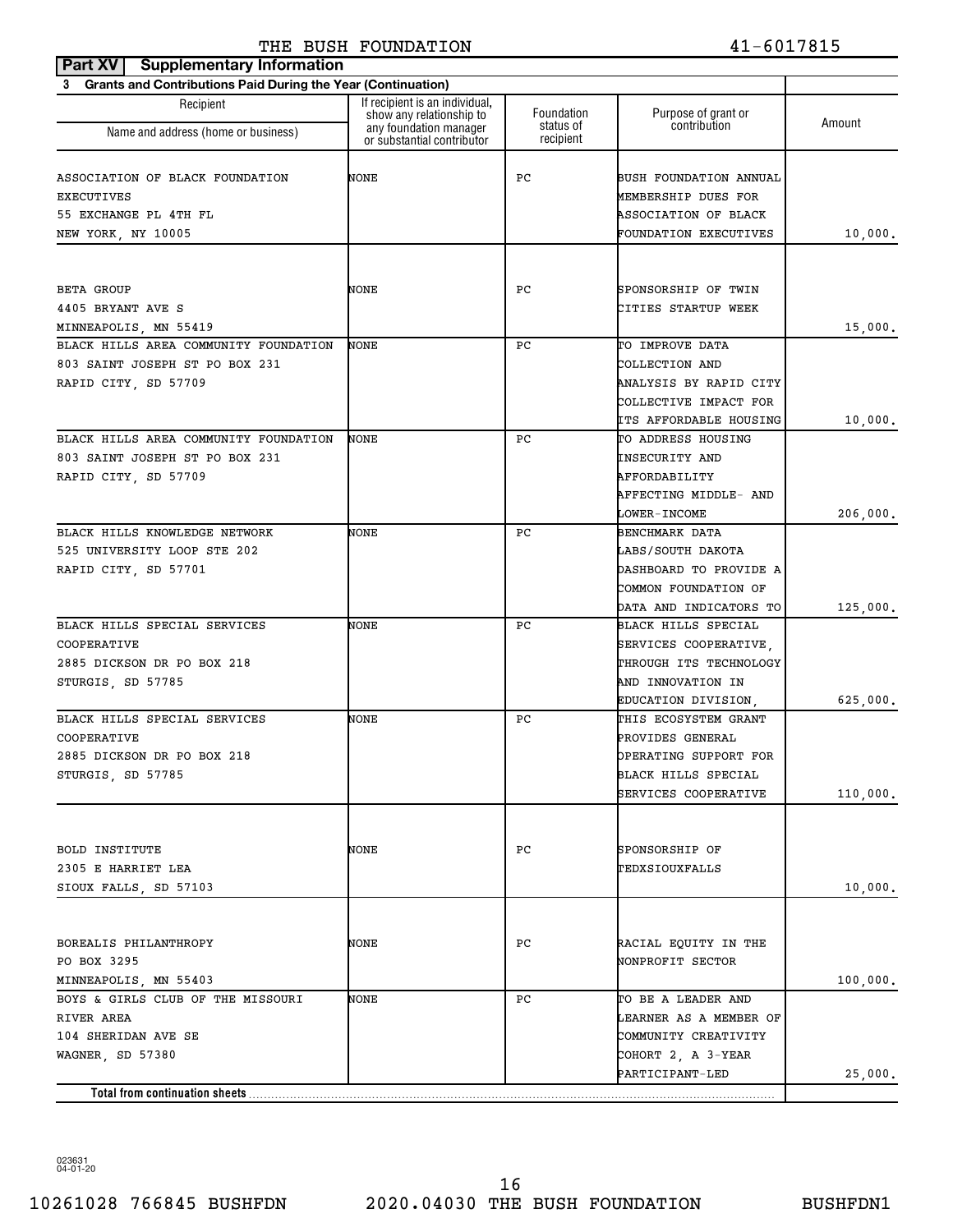| <b>Part XV</b> Supplementary Information                       |                                                            |                        |                               |          |
|----------------------------------------------------------------|------------------------------------------------------------|------------------------|-------------------------------|----------|
| 3 Grants and Contributions Paid During the Year (Continuation) |                                                            |                        |                               |          |
| Recipient                                                      | If recipient is an individual,<br>show any relationship to | Foundation             | Purpose of grant or           | Amount   |
| Name and address (home or business)                            | any foundation manager<br>or substantial contributor       | status of<br>recipient | contribution                  |          |
| ASSOCIATION OF BLACK FOUNDATION                                | NONE                                                       | РC                     | BUSH FOUNDATION ANNUAL        |          |
| <b>EXECUTIVES</b>                                              |                                                            |                        | MEMBERSHIP DUES FOR           |          |
| 55 EXCHANGE PL 4TH FL                                          |                                                            |                        | ASSOCIATION OF BLACK          |          |
| NEW YORK, NY 10005                                             |                                                            |                        | FOUNDATION EXECUTIVES         | 10,000.  |
|                                                                |                                                            |                        |                               |          |
| BETA GROUP                                                     | NONE                                                       | РC                     | SPONSORSHIP OF TWIN           |          |
| 4405 BRYANT AVE S                                              |                                                            |                        | CITIES STARTUP WEEK           |          |
| MINNEAPOLIS, MN 55419                                          |                                                            |                        |                               | 15,000.  |
| BLACK HILLS AREA COMMUNITY FOUNDATION                          | NONE                                                       | РC                     | TO IMPROVE DATA               |          |
| 803 SAINT JOSEPH ST PO BOX 231                                 |                                                            |                        | COLLECTION AND                |          |
| RAPID CITY, SD 57709                                           |                                                            |                        | ANALYSIS BY RAPID CITY        |          |
|                                                                |                                                            |                        | COLLECTIVE IMPACT FOR         |          |
|                                                                |                                                            |                        | <b>ITS AFFORDABLE HOUSING</b> | 10,000.  |
| BLACK HILLS AREA COMMUNITY FOUNDATION                          | NONE                                                       | РC                     | TO ADDRESS HOUSING            |          |
| 803 SAINT JOSEPH ST PO BOX 231                                 |                                                            |                        | <b>INSECURITY AND</b>         |          |
| RAPID CITY, SD 57709                                           |                                                            |                        | AFFORDABILITY                 |          |
|                                                                |                                                            |                        | AFFECTING MIDDLE- AND         |          |
|                                                                |                                                            |                        | <b>LOWER-INCOME</b>           | 206,000. |
| BLACK HILLS KNOWLEDGE NETWORK                                  | NONE                                                       | РC                     | BENCHMARK DATA                |          |
| 525 UNIVERSITY LOOP STE 202                                    |                                                            |                        | LABS/SOUTH DAKOTA             |          |
| RAPID CITY, SD 57701                                           |                                                            |                        | DASHBOARD TO PROVIDE A        |          |
|                                                                |                                                            |                        | COMMON FOUNDATION OF          |          |
|                                                                |                                                            |                        | DATA AND INDICATORS TO        | 125,000. |
| BLACK HILLS SPECIAL SERVICES                                   | NONE                                                       | РC                     | BLACK HILLS SPECIAL           |          |
| COOPERATIVE                                                    |                                                            |                        | SERVICES COOPERATIVE,         |          |
| 2885 DICKSON DR PO BOX 218                                     |                                                            |                        | THROUGH ITS TECHNOLOGY        |          |
| STURGIS, SD 57785                                              |                                                            |                        | AND INNOVATION IN             |          |
|                                                                |                                                            |                        | EDUCATION DIVISION,           | 625,000. |
| BLACK HILLS SPECIAL SERVICES                                   | NONE                                                       | РC                     | THIS ECOSYSTEM GRANT          |          |
| COOPERATIVE                                                    |                                                            |                        | PROVIDES GENERAL              |          |
| 2885 DICKSON DR PO BOX 218                                     |                                                            |                        | OPERATING SUPPORT FOR         |          |
| STURGIS, SD 57785                                              |                                                            |                        | BLACK HILLS SPECIAL           |          |
|                                                                |                                                            |                        | SERVICES COOPERATIVE          | 110,000. |
|                                                                |                                                            |                        |                               |          |
| BOLD INSTITUTE                                                 | NONE                                                       | РC                     | SPONSORSHIP OF                |          |
| 2305 E HARRIET LEA                                             |                                                            |                        | TEDXSIOUXFALLS                |          |
| SIOUX FALLS, SD 57103                                          |                                                            |                        |                               | 10,000.  |
|                                                                |                                                            |                        |                               |          |
| BOREALIS PHILANTHROPY                                          | NONE                                                       | РC                     | RACIAL EQUITY IN THE          |          |
| PO BOX 3295                                                    |                                                            |                        | NONPROFIT SECTOR              |          |
| MINNEAPOLIS, MN 55403                                          |                                                            |                        |                               | 100,000. |
| BOYS & GIRLS CLUB OF THE MISSOURI                              | NONE                                                       | РC                     | TO BE A LEADER AND            |          |
| RIVER AREA                                                     |                                                            |                        | LEARNER AS A MEMBER OF        |          |
| 104 SHERIDAN AVE SE                                            |                                                            |                        | COMMUNITY CREATIVITY          |          |
| WAGNER, SD 57380                                               |                                                            |                        | COHORT 2, A 3-YEAR            |          |
|                                                                |                                                            |                        | PARTICIPANT-LED               | 25,000.  |
| Total from continuation sheets                                 |                                                            |                        |                               |          |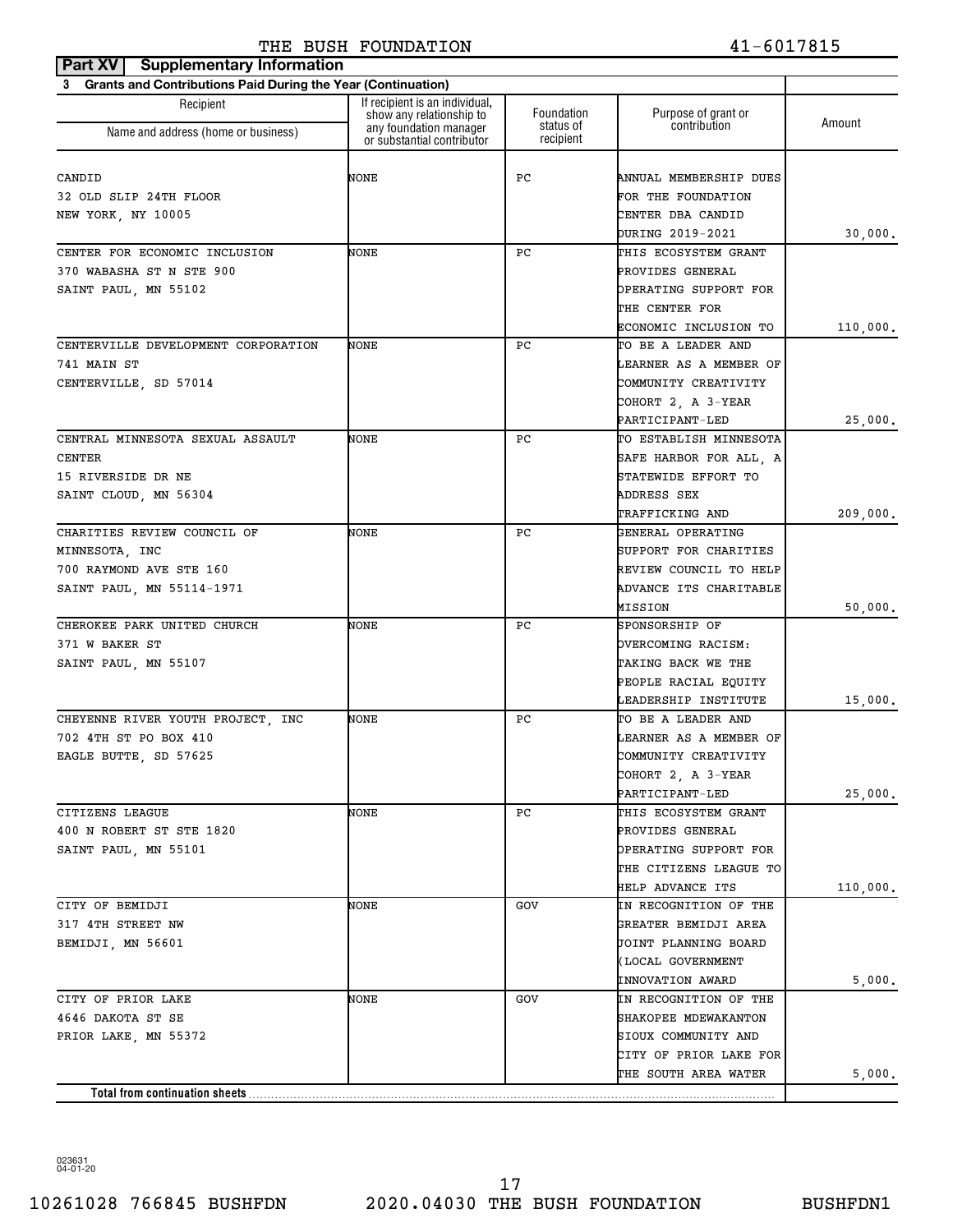| <b>Supplementary Information</b><br>Part XV                              |                                                                                      |                         |                                     |          |
|--------------------------------------------------------------------------|--------------------------------------------------------------------------------------|-------------------------|-------------------------------------|----------|
| <b>Grants and Contributions Paid During the Year (Continuation)</b><br>3 |                                                                                      |                         |                                     |          |
| Recipient                                                                | If recipient is an individual.<br>show any relationship to<br>any foundation manager | Foundation<br>status of | Purpose of grant or<br>contribution | Amount   |
| Name and address (home or business)                                      | or substantial contributor                                                           | recipient               |                                     |          |
|                                                                          |                                                                                      |                         |                                     |          |
| CANDID                                                                   | NONE                                                                                 | РC                      | ANNUAL MEMBERSHIP DUES              |          |
| 32 OLD SLIP 24TH FLOOR                                                   |                                                                                      |                         | FOR THE FOUNDATION                  |          |
| NEW YORK, NY 10005                                                       |                                                                                      |                         | CENTER DBA CANDID                   |          |
|                                                                          |                                                                                      |                         | DURING 2019-2021                    | 30,000.  |
| CENTER FOR ECONOMIC INCLUSION                                            | NONE                                                                                 | РC                      | THIS ECOSYSTEM GRANT                |          |
| 370 WABASHA ST N STE 900                                                 |                                                                                      |                         | PROVIDES GENERAL                    |          |
| SAINT PAUL, MN 55102                                                     |                                                                                      |                         | OPERATING SUPPORT FOR               |          |
|                                                                          |                                                                                      |                         | THE CENTER FOR                      |          |
|                                                                          |                                                                                      |                         | ECONOMIC INCLUSION TO               | 110,000. |
| CENTERVILLE DEVELOPMENT CORPORATION                                      | NONE                                                                                 | РC                      | TO BE A LEADER AND                  |          |
| 741 MAIN ST                                                              |                                                                                      |                         | LEARNER AS A MEMBER OF              |          |
| CENTERVILLE, SD 57014                                                    |                                                                                      |                         | COMMUNITY CREATIVITY                |          |
|                                                                          |                                                                                      |                         | COHORT 2, A 3-YEAR                  |          |
|                                                                          |                                                                                      |                         | PARTICIPANT-LED                     | 25,000.  |
| CENTRAL MINNESOTA SEXUAL ASSAULT                                         | NONE                                                                                 | РC                      | TO ESTABLISH MINNESOTA              |          |
| <b>CENTER</b>                                                            |                                                                                      |                         | SAFE HARBOR FOR ALL, A              |          |
| 15 RIVERSIDE DR NE                                                       |                                                                                      |                         | STATEWIDE EFFORT TO                 |          |
|                                                                          |                                                                                      |                         | ADDRESS SEX                         |          |
| SAINT CLOUD, MN 56304                                                    |                                                                                      |                         |                                     |          |
|                                                                          |                                                                                      |                         | TRAFFICKING AND                     | 209,000. |
| CHARITIES REVIEW COUNCIL OF                                              | NONE                                                                                 | РC                      | GENERAL OPERATING                   |          |
| MINNESOTA, INC                                                           |                                                                                      |                         | SUPPORT FOR CHARITIES               |          |
| 700 RAYMOND AVE STE 160                                                  |                                                                                      |                         | REVIEW COUNCIL TO HELP              |          |
| SAINT PAUL, MN 55114-1971                                                |                                                                                      |                         | ADVANCE ITS CHARITABLE              |          |
|                                                                          |                                                                                      |                         | MISSION                             | 50,000.  |
| CHEROKEE PARK UNITED CHURCH                                              | NONE                                                                                 | РC                      | SPONSORSHIP OF                      |          |
| 371 W BAKER ST                                                           |                                                                                      |                         | OVERCOMING RACISM:                  |          |
| SAINT PAUL, MN 55107                                                     |                                                                                      |                         | TAKING BACK WE THE                  |          |
|                                                                          |                                                                                      |                         | PEOPLE RACIAL EQUITY                |          |
|                                                                          |                                                                                      |                         | LEADERSHIP INSTITUTE                | 15,000.  |
| CHEYENNE RIVER YOUTH PROJECT, INC                                        | NONE                                                                                 | РC                      | TO BE A LEADER AND                  |          |
| 702 4TH ST PO BOX 410                                                    |                                                                                      |                         | LEARNER AS A MEMBER OF              |          |
| EAGLE BUTTE, SD 57625                                                    |                                                                                      |                         | COMMUNITY CREATIVITY                |          |
|                                                                          |                                                                                      |                         | COHORT 2, A 3-YEAR                  |          |
|                                                                          |                                                                                      |                         | PARTICIPANT-LED                     | 25,000.  |
| CITIZENS LEAGUE                                                          | NONE                                                                                 | PC.                     | THIS ECOSYSTEM GRANT                |          |
| 400 N ROBERT ST STE 1820                                                 |                                                                                      |                         | PROVIDES GENERAL                    |          |
| SAINT PAUL, MN 55101                                                     |                                                                                      |                         | OPERATING SUPPORT FOR               |          |
|                                                                          |                                                                                      |                         | THE CITIZENS LEAGUE TO              |          |
|                                                                          |                                                                                      |                         | <b>HELP ADVANCE ITS</b>             | 110,000. |
| CITY OF BEMIDJI                                                          | NONE                                                                                 | GOV                     | IN RECOGNITION OF THE               |          |
| 317 4TH STREET NW                                                        |                                                                                      |                         | GREATER BEMIDJI AREA                |          |
| BEMIDJI, MN 56601                                                        |                                                                                      |                         | JOINT PLANNING BOARD                |          |
|                                                                          |                                                                                      |                         | (LOCAL GOVERNMENT                   |          |
|                                                                          |                                                                                      |                         | INNOVATION AWARD                    | 5,000.   |
| CITY OF PRIOR LAKE                                                       | NONE                                                                                 | GOV                     | IN RECOGNITION OF THE               |          |
|                                                                          |                                                                                      |                         |                                     |          |
| 4646 DAKOTA ST SE                                                        |                                                                                      |                         | SHAKOPEE MDEWAKANTON                |          |
| PRIOR LAKE, MN 55372                                                     |                                                                                      |                         | SIOUX COMMUNITY AND                 |          |
|                                                                          |                                                                                      |                         | CITY OF PRIOR LAKE FOR              |          |
|                                                                          |                                                                                      |                         | THE SOUTH AREA WATER                | 5,000.   |
| Total from continuation sheets                                           |                                                                                      |                         |                                     |          |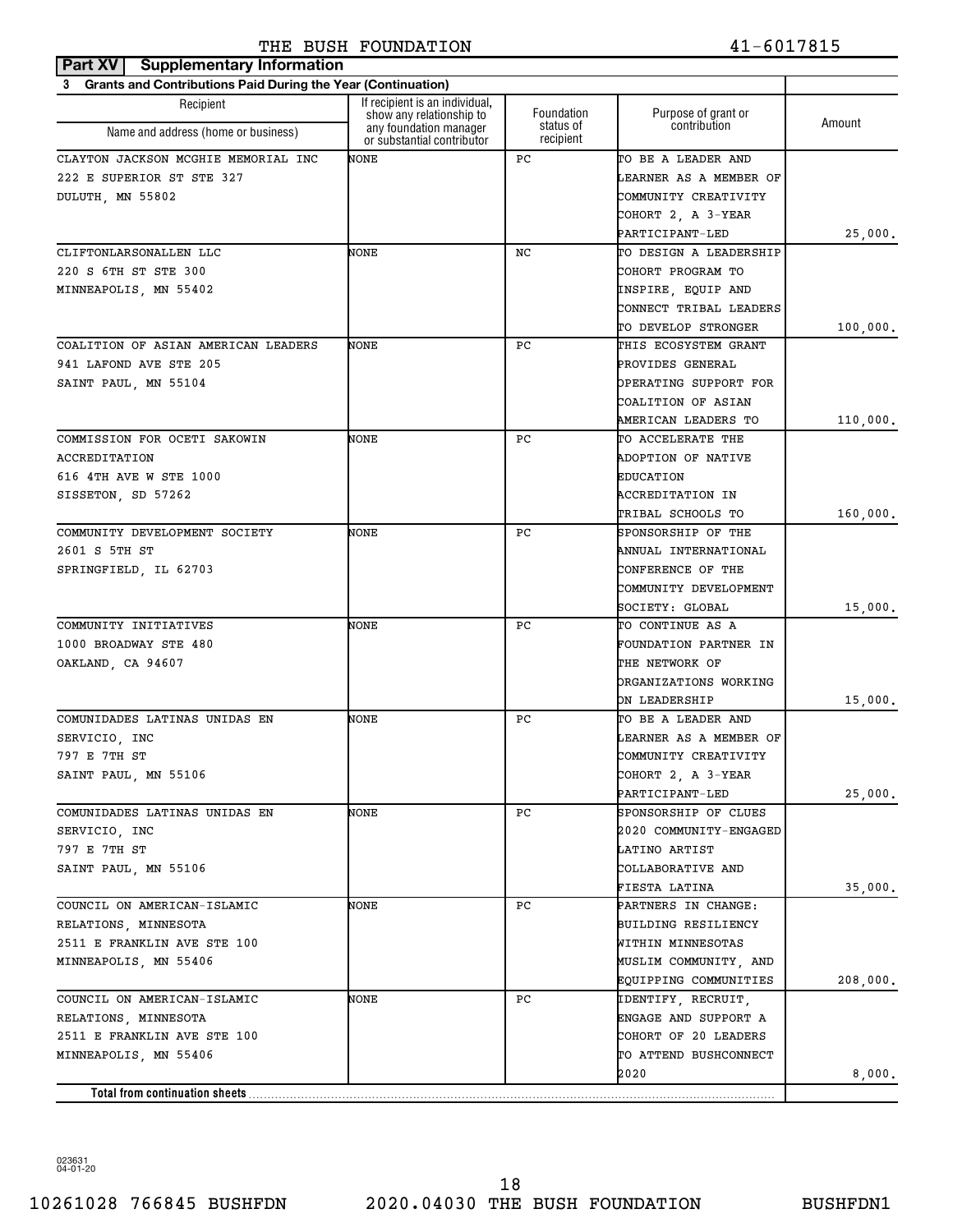| Part XV<br><b>Supplementary Information</b>                    |                                                            |                        |                                      |          |
|----------------------------------------------------------------|------------------------------------------------------------|------------------------|--------------------------------------|----------|
| 3 Grants and Contributions Paid During the Year (Continuation) |                                                            |                        |                                      |          |
| Recipient                                                      | If recipient is an individual,<br>show any relationship to | Foundation             | Purpose of grant or                  | Amount   |
| Name and address (home or business)                            | any foundation manager<br>or substantial contributor       | status of<br>recipient | contribution                         |          |
| CLAYTON JACKSON MCGHIE MEMORIAL INC                            | NONE                                                       | РC                     | TO BE A LEADER AND                   |          |
| 222 E SUPERIOR ST STE 327                                      |                                                            |                        | LEARNER AS A MEMBER OF               |          |
| DULUTH, MN 55802                                               |                                                            |                        | COMMUNITY CREATIVITY                 |          |
|                                                                |                                                            |                        | COHORT 2, A 3-YEAR                   |          |
|                                                                |                                                            |                        | PARTICIPANT-LED                      | 25,000.  |
| CLIFTONLARSONALLEN LLC                                         | NONE                                                       | NC                     | TO DESIGN A LEADERSHIP               |          |
| 220 S 6TH ST STE 300                                           |                                                            |                        | COHORT PROGRAM TO                    |          |
| MINNEAPOLIS, MN 55402                                          |                                                            |                        | INSPIRE, EQUIP AND                   |          |
|                                                                |                                                            |                        | CONNECT TRIBAL LEADERS               |          |
|                                                                |                                                            |                        | TO DEVELOP STRONGER                  | 100,000. |
| COALITION OF ASIAN AMERICAN LEADERS                            | NONE                                                       | РC                     | THIS ECOSYSTEM GRANT                 |          |
| 941 LAFOND AVE STE 205                                         |                                                            |                        | PROVIDES GENERAL                     |          |
| SAINT PAUL, MN 55104                                           |                                                            |                        | OPERATING SUPPORT FOR                |          |
|                                                                |                                                            |                        | COALITION OF ASIAN                   |          |
|                                                                |                                                            |                        | AMERICAN LEADERS TO                  | 110,000. |
| COMMISSION FOR OCETI SAKOWIN                                   | NONE                                                       | РC                     | TO ACCELERATE THE                    |          |
| ACCREDITATION                                                  |                                                            |                        | <b>ADOPTION OF NATIVE</b>            |          |
| 616 4TH AVE W STE 1000                                         |                                                            |                        | EDUCATION                            |          |
| SISSETON, SD 57262                                             |                                                            |                        | <b>ACCREDITATION IN</b>              |          |
|                                                                |                                                            |                        | TRIBAL SCHOOLS TO                    | 160,000. |
| COMMUNITY DEVELOPMENT SOCIETY                                  | NONE                                                       | РC                     | <b>SPONSORSHIP OF THE</b>            |          |
| 2601 S 5TH ST                                                  |                                                            |                        | ANNUAL INTERNATIONAL                 |          |
| SPRINGFIELD, IL 62703                                          |                                                            |                        | CONFERENCE OF THE                    |          |
|                                                                |                                                            |                        | COMMUNITY DEVELOPMENT                |          |
|                                                                |                                                            |                        | SOCIETY: GLOBAL                      | 15,000.  |
| COMMUNITY INITIATIVES                                          | NONE                                                       | РC                     | TO CONTINUE AS A                     |          |
| 1000 BROADWAY STE 480                                          |                                                            |                        | <b>FOUNDATION PARTNER IN</b>         |          |
| OAKLAND, CA 94607                                              |                                                            |                        | THE NETWORK OF                       |          |
|                                                                |                                                            |                        | ORGANIZATIONS WORKING                |          |
|                                                                |                                                            |                        | ON LEADERSHIP                        | 15,000.  |
| COMUNIDADES LATINAS UNIDAS EN                                  | NONE                                                       | РC                     | TO BE A LEADER AND                   |          |
| SERVICIO, INC                                                  |                                                            |                        | LEARNER AS A MEMBER OF               |          |
| 797 E 7TH ST                                                   |                                                            |                        | COMMUNITY CREATIVITY                 |          |
| SAINT PAUL, MN 55106                                           |                                                            |                        | COHORT 2, A 3-YEAR                   |          |
|                                                                |                                                            |                        | PARTICIPANT-LED                      | 25,000.  |
| COMUNIDADES LATINAS UNIDAS EN                                  | NONE                                                       | РC                     | SPONSORSHIP OF CLUES                 |          |
| SERVICIO, INC                                                  |                                                            |                        | 2020 COMMUNITY-ENGAGED               |          |
| 797 E 7TH ST                                                   |                                                            |                        | LATINO ARTIST                        |          |
| SAINT PAUL, MN 55106                                           |                                                            |                        | COLLABORATIVE AND                    |          |
| COUNCIL ON AMERICAN-ISLAMIC                                    | NONE                                                       | РC                     | FIESTA LATINA<br>PARTNERS IN CHANGE: | 35,000.  |
|                                                                |                                                            |                        | BUILDING RESILIENCY                  |          |
| RELATIONS, MINNESOTA<br>2511 E FRANKLIN AVE STE 100            |                                                            |                        | WITHIN MINNESOTAS                    |          |
| MINNEAPOLIS, MN 55406                                          |                                                            |                        | MUSLIM COMMUNITY, AND                |          |
|                                                                |                                                            |                        | EQUIPPING COMMUNITIES                | 208,000. |
| COUNCIL ON AMERICAN-ISLAMIC                                    | NONE                                                       | РC                     | IDENTIFY, RECRUIT,                   |          |
| RELATIONS, MINNESOTA                                           |                                                            |                        | ENGAGE AND SUPPORT A                 |          |
| 2511 E FRANKLIN AVE STE 100                                    |                                                            |                        | COHORT OF 20 LEADERS                 |          |
| MINNEAPOLIS, MN 55406                                          |                                                            |                        | TO ATTEND BUSHCONNECT                |          |
|                                                                |                                                            |                        | 2020                                 | 8,000.   |
| Total from continuation sheets                                 |                                                            |                        |                                      |          |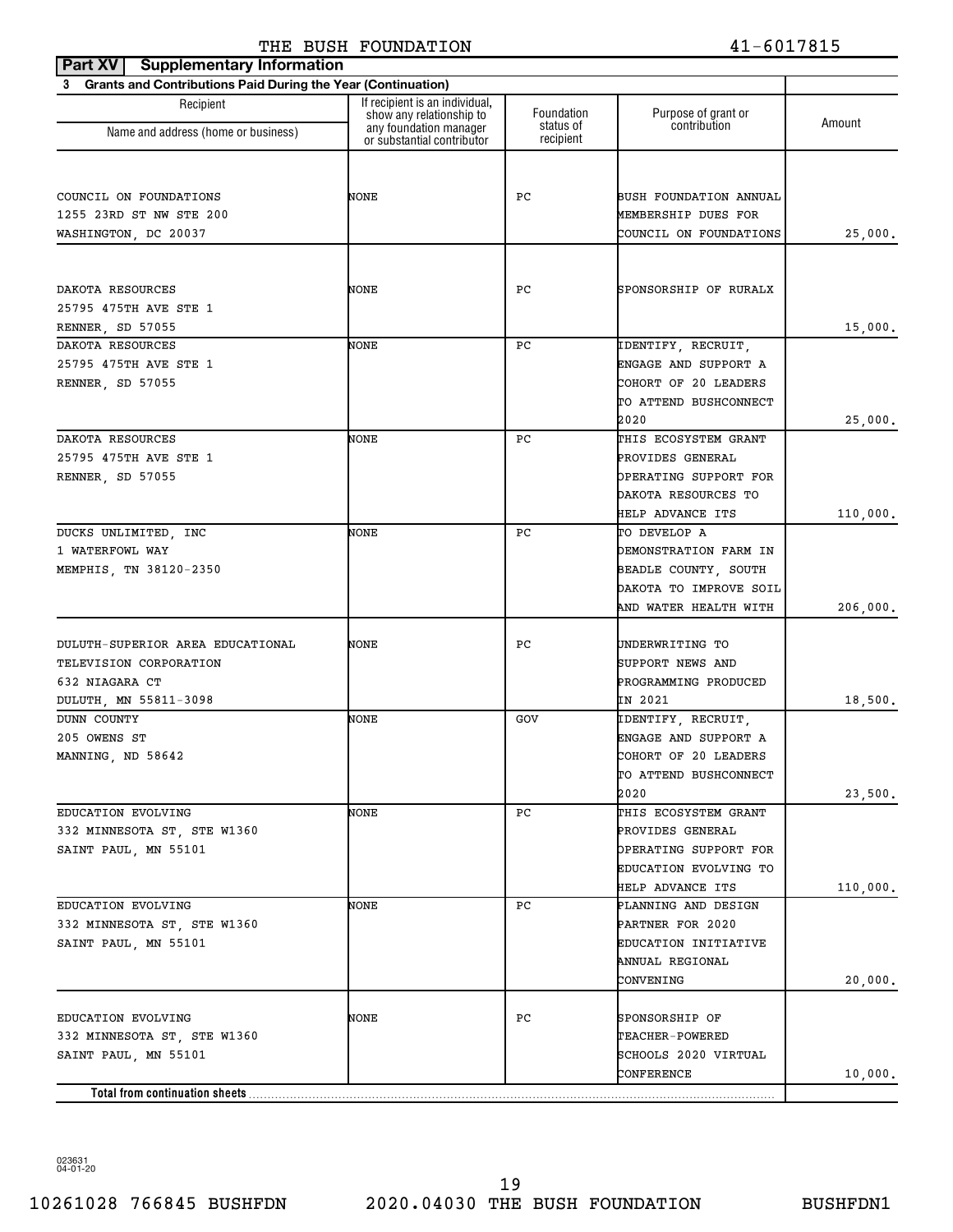| <b>Supplementary Information</b><br>Part XV                              |                                                                                      |                         |                                               |          |
|--------------------------------------------------------------------------|--------------------------------------------------------------------------------------|-------------------------|-----------------------------------------------|----------|
| <b>Grants and Contributions Paid During the Year (Continuation)</b><br>3 |                                                                                      |                         |                                               |          |
| Recipient                                                                | If recipient is an individual,<br>show any relationship to<br>any foundation manager | Foundation<br>status of | Purpose of grant or<br>contribution           | Amount   |
| Name and address (home or business)                                      | or substantial contributor                                                           | recipient               |                                               |          |
|                                                                          |                                                                                      |                         |                                               |          |
|                                                                          | NONE                                                                                 | РC                      |                                               |          |
| COUNCIL ON FOUNDATIONS<br>1255 23RD ST NW STE 200                        |                                                                                      |                         | BUSH FOUNDATION ANNUAL<br>MEMBERSHIP DUES FOR |          |
| WASHINGTON, DC 20037                                                     |                                                                                      |                         | COUNCIL ON FOUNDATIONS                        | 25,000.  |
|                                                                          |                                                                                      |                         |                                               |          |
|                                                                          |                                                                                      |                         |                                               |          |
| DAKOTA RESOURCES                                                         | NONE                                                                                 | РC                      | SPONSORSHIP OF RURALX                         |          |
| 25795 475TH AVE STE 1                                                    |                                                                                      |                         |                                               |          |
| RENNER, SD 57055                                                         |                                                                                      |                         |                                               | 15,000.  |
| DAKOTA RESOURCES                                                         | NONE                                                                                 | РC                      | IDENTIFY, RECRUIT,                            |          |
| 25795 475TH AVE STE 1                                                    |                                                                                      |                         | ENGAGE AND SUPPORT A                          |          |
| RENNER, SD 57055                                                         |                                                                                      |                         | COHORT OF 20 LEADERS                          |          |
|                                                                          |                                                                                      |                         | TO ATTEND BUSHCONNECT                         |          |
|                                                                          |                                                                                      |                         | 2020                                          | 25,000.  |
| DAKOTA RESOURCES                                                         | NONE                                                                                 | РC                      | THIS ECOSYSTEM GRANT                          |          |
| 25795 475TH AVE STE 1                                                    |                                                                                      |                         | PROVIDES GENERAL                              |          |
| RENNER, SD 57055                                                         |                                                                                      |                         | OPERATING SUPPORT FOR                         |          |
|                                                                          |                                                                                      |                         | DAKOTA RESOURCES TO                           |          |
|                                                                          |                                                                                      |                         | HELP ADVANCE ITS                              | 110,000. |
| DUCKS UNLIMITED, INC                                                     | NONE                                                                                 | РC                      | TO DEVELOP A                                  |          |
| 1 WATERFOWL WAY                                                          |                                                                                      |                         | DEMONSTRATION FARM IN                         |          |
| MEMPHIS, TN 38120-2350                                                   |                                                                                      |                         | BEADLE COUNTY, SOUTH                          |          |
|                                                                          |                                                                                      |                         | DAKOTA TO IMPROVE SOIL                        |          |
|                                                                          |                                                                                      |                         | AND WATER HEALTH WITH                         | 206,000. |
| DULUTH-SUPERIOR AREA EDUCATIONAL                                         | NONE                                                                                 | РC                      | UNDERWRITING TO                               |          |
| TELEVISION CORPORATION                                                   |                                                                                      |                         | SUPPORT NEWS AND                              |          |
| 632 NIAGARA CT                                                           |                                                                                      |                         | PROGRAMMING PRODUCED                          |          |
| DULUTH, MN 55811-3098                                                    |                                                                                      |                         | IN 2021                                       | 18,500.  |
| <b>DUNN COUNTY</b>                                                       | NONE                                                                                 | GOV                     | IDENTIFY, RECRUIT,                            |          |
| 205 OWENS ST                                                             |                                                                                      |                         | ENGAGE AND SUPPORT A                          |          |
| MANNING, ND 58642                                                        |                                                                                      |                         | COHORT OF 20 LEADERS                          |          |
|                                                                          |                                                                                      |                         | TO ATTEND BUSHCONNECT                         |          |
|                                                                          |                                                                                      |                         | 2020                                          | 23,500.  |
| EDUCATION EVOLVING                                                       | NONE                                                                                 | PC                      | THIS ECOSYSTEM GRANT                          |          |
| 332 MINNESOTA ST, STE W1360                                              |                                                                                      |                         | PROVIDES GENERAL                              |          |
| SAINT PAUL, MN 55101                                                     |                                                                                      |                         | OPERATING SUPPORT FOR                         |          |
|                                                                          |                                                                                      |                         | EDUCATION EVOLVING TO                         |          |
|                                                                          |                                                                                      |                         | HELP ADVANCE ITS                              | 110,000. |
| EDUCATION EVOLVING                                                       | NONE                                                                                 | PC                      | PLANNING AND DESIGN                           |          |
| 332 MINNESOTA ST, STE W1360                                              |                                                                                      |                         | PARTNER FOR 2020                              |          |
| SAINT PAUL, MN 55101                                                     |                                                                                      |                         | EDUCATION INITIATIVE                          |          |
|                                                                          |                                                                                      |                         | ANNUAL REGIONAL                               |          |
|                                                                          |                                                                                      |                         | CONVENING                                     | 20,000.  |
|                                                                          |                                                                                      |                         |                                               |          |
| EDUCATION EVOLVING                                                       | NONE                                                                                 | PС                      | SPONSORSHIP OF                                |          |
| 332 MINNESOTA ST, STE W1360                                              |                                                                                      |                         | <b>TEACHER-POWERED</b>                        |          |
| SAINT PAUL, MN 55101                                                     |                                                                                      |                         | SCHOOLS 2020 VIRTUAL                          |          |
|                                                                          |                                                                                      |                         | CONFERENCE                                    | 10,000.  |
| Total from continuation sheets                                           |                                                                                      |                         |                                               |          |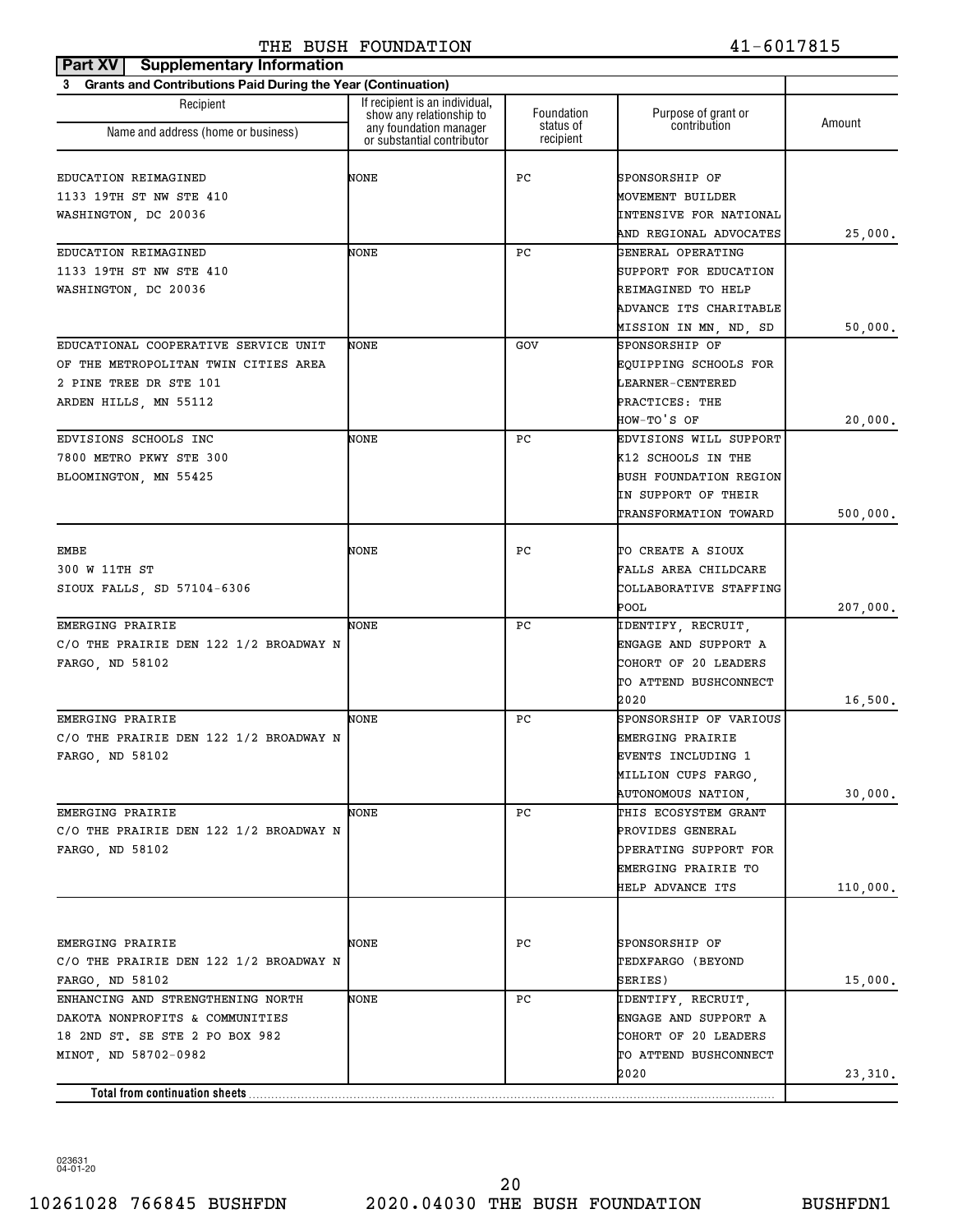| Part XV<br><b>Supplementary Information</b>                              |                                                            |                        |                                             |          |
|--------------------------------------------------------------------------|------------------------------------------------------------|------------------------|---------------------------------------------|----------|
| <b>Grants and Contributions Paid During the Year (Continuation)</b><br>3 |                                                            |                        |                                             |          |
| Recipient                                                                | If recipient is an individual,<br>show any relationship to | Foundation             | Purpose of grant or                         | Amount   |
| Name and address (home or business)                                      | any foundation manager<br>or substantial contributor       | status of<br>recipient | contribution                                |          |
|                                                                          |                                                            |                        |                                             |          |
| EDUCATION REIMAGINED                                                     | NONE                                                       | РC                     | SPONSORSHIP OF                              |          |
| 1133 19TH ST NW STE 410                                                  |                                                            |                        | MOVEMENT BUILDER                            |          |
| WASHINGTON, DC 20036                                                     |                                                            |                        | <b>INTENSIVE FOR NATIONAL</b>               |          |
| EDUCATION REIMAGINED                                                     | NONE                                                       | РC                     | AND REGIONAL ADVOCATES<br>GENERAL OPERATING | 25,000.  |
| 1133 19TH ST NW STE 410                                                  |                                                            |                        | SUPPORT FOR EDUCATION                       |          |
| WASHINGTON, DC 20036                                                     |                                                            |                        | REIMAGINED TO HELP                          |          |
|                                                                          |                                                            |                        | ADVANCE ITS CHARITABLE                      |          |
|                                                                          |                                                            |                        | MISSION IN MN, ND, SD                       | 50,000.  |
| EDUCATIONAL COOPERATIVE SERVICE UNIT                                     | NONE                                                       | GOV                    | SPONSORSHIP OF                              |          |
| OF THE METROPOLITAN TWIN CITIES AREA                                     |                                                            |                        | <b>EOUIPPING SCHOOLS FOR</b>                |          |
| 2 PINE TREE DR STE 101                                                   |                                                            |                        | LEARNER-CENTERED                            |          |
| ARDEN HILLS, MN 55112                                                    |                                                            |                        | PRACTICES: THE                              |          |
|                                                                          |                                                            |                        | HOW-TO'S OF                                 | 20,000.  |
| EDVISIONS SCHOOLS INC                                                    | NONE                                                       | РC                     | EDVISIONS WILL SUPPORT                      |          |
| 7800 METRO PKWY STE 300                                                  |                                                            |                        | K12 SCHOOLS IN THE                          |          |
| BLOOMINGTON, MN 55425                                                    |                                                            |                        | <b>BUSH FOUNDATION REGION</b>               |          |
|                                                                          |                                                            |                        | IN SUPPORT OF THEIR                         |          |
|                                                                          |                                                            |                        | <b>TRANSFORMATION TOWARD</b>                | 500,000. |
|                                                                          |                                                            |                        |                                             |          |
| EMBE                                                                     | NONE                                                       | РC                     | TO CREATE A SIOUX                           |          |
| 300 W 11TH ST                                                            |                                                            |                        | FALLS AREA CHILDCARE                        |          |
| SIOUX FALLS, SD 57104-6306                                               |                                                            |                        | COLLABORATIVE STAFFING                      |          |
|                                                                          |                                                            |                        | POOL                                        | 207,000. |
| EMERGING PRAIRIE                                                         | NONE                                                       | РC                     | IDENTIFY, RECRUIT,                          |          |
| C/O THE PRAIRIE DEN 122 1/2 BROADWAY N                                   |                                                            |                        | ENGAGE AND SUPPORT A                        |          |
| FARGO, ND 58102                                                          |                                                            |                        | COHORT OF 20 LEADERS                        |          |
|                                                                          |                                                            |                        | TO ATTEND BUSHCONNECT                       |          |
|                                                                          |                                                            |                        | 2020                                        | 16,500.  |
| EMERGING PRAIRIE                                                         | NONE                                                       | РC                     | SPONSORSHIP OF VARIOUS                      |          |
| C/O THE PRAIRIE DEN 122 1/2 BROADWAY N                                   |                                                            |                        | EMERGING PRAIRIE                            |          |
| FARGO, ND 58102                                                          |                                                            |                        | EVENTS INCLUDING 1                          |          |
|                                                                          |                                                            |                        | MILLION CUPS FARGO,                         |          |
|                                                                          |                                                            |                        | AUTONOMOUS NATION,                          | 30,000.  |
| EMERGING PRAIRIE                                                         | NONE                                                       | PC                     | THIS ECOSYSTEM GRANT                        |          |
| C/O THE PRAIRIE DEN 122 1/2 BROADWAY N                                   |                                                            |                        | PROVIDES GENERAL                            |          |
| FARGO, ND 58102                                                          |                                                            |                        | OPERATING SUPPORT FOR                       |          |
|                                                                          |                                                            |                        | EMERGING PRAIRIE TO                         |          |
|                                                                          |                                                            |                        | <b>HELP ADVANCE ITS</b>                     | 110,000. |
|                                                                          |                                                            |                        |                                             |          |
| EMERGING PRAIRIE                                                         | NONE                                                       | РC                     | SPONSORSHIP OF                              |          |
| C/O THE PRAIRIE DEN 122 1/2 BROADWAY N                                   |                                                            |                        | TEDXFARGO (BEYOND                           |          |
| FARGO, ND 58102                                                          |                                                            |                        | SERIES)                                     | 15,000.  |
| ENHANCING AND STRENGTHENING NORTH                                        | NONE                                                       | PC.                    | IDENTIFY, RECRUIT,                          |          |
| DAKOTA NONPROFITS & COMMUNITIES                                          |                                                            |                        | ENGAGE AND SUPPORT A                        |          |
| 18 2ND ST. SE STE 2 PO BOX 982                                           |                                                            |                        | COHORT OF 20 LEADERS                        |          |
| MINOT, ND 58702-0982                                                     |                                                            |                        | TO ATTEND BUSHCONNECT                       |          |
|                                                                          |                                                            |                        | 2020                                        | 23,310.  |
|                                                                          |                                                            |                        |                                             |          |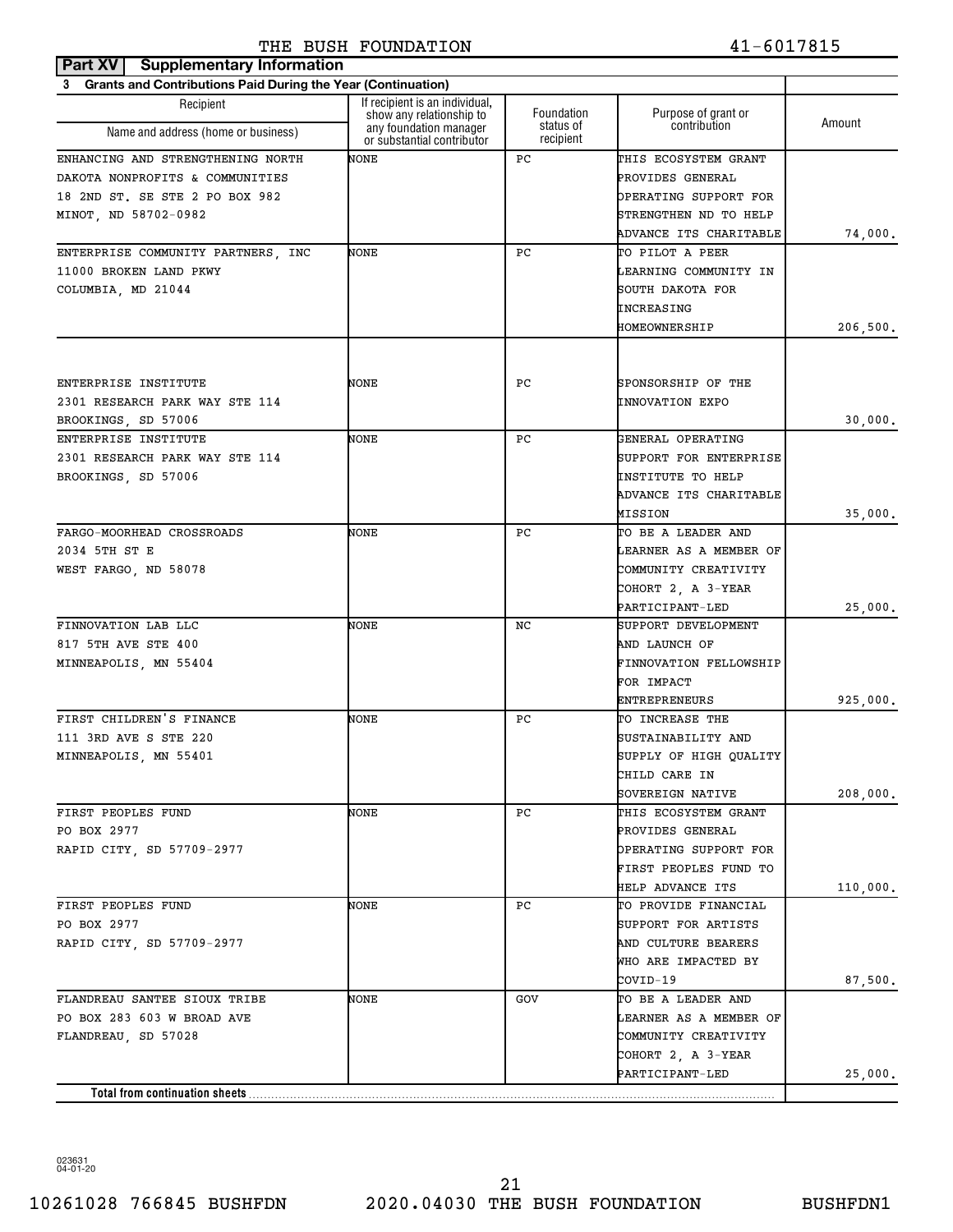| Part XV   Supplementary Information                                      |                                                            |                        |                               |          |
|--------------------------------------------------------------------------|------------------------------------------------------------|------------------------|-------------------------------|----------|
| <b>Grants and Contributions Paid During the Year (Continuation)</b><br>3 |                                                            |                        |                               |          |
| Recipient                                                                | If recipient is an individual,<br>show any relationship to | Foundation             | Purpose of grant or           | Amount   |
| Name and address (home or business)                                      | any foundation manager<br>or substantial contributor       | status of<br>recipient | contribution                  |          |
| ENHANCING AND STRENGTHENING NORTH                                        | NONE                                                       | РC                     | THIS ECOSYSTEM GRANT          |          |
| DAKOTA NONPROFITS & COMMUNITIES                                          |                                                            |                        | PROVIDES GENERAL              |          |
| 18 2ND ST. SE STE 2 PO BOX 982                                           |                                                            |                        | OPERATING SUPPORT FOR         |          |
| MINOT, ND 58702-0982                                                     |                                                            |                        | STRENGTHEN ND TO HELP         |          |
|                                                                          |                                                            |                        | ADVANCE ITS CHARITABLE        | 74,000.  |
| ENTERPRISE COMMUNITY PARTNERS, INC                                       | NONE                                                       | РC                     | TO PILOT A PEER               |          |
| 11000 BROKEN LAND PKWY                                                   |                                                            |                        | LEARNING COMMUNITY IN         |          |
| COLUMBIA, MD 21044                                                       |                                                            |                        | SOUTH DAKOTA FOR              |          |
|                                                                          |                                                            |                        | INCREASING                    |          |
|                                                                          |                                                            |                        | HOMEOWNERSHIP                 | 206,500. |
|                                                                          |                                                            |                        |                               |          |
| ENTERPRISE INSTITUTE                                                     | NONE                                                       | РC                     | SPONSORSHIP OF THE            |          |
| 2301 RESEARCH PARK WAY STE 114                                           |                                                            |                        | <b>INNOVATION EXPO</b>        |          |
| BROOKINGS, SD 57006                                                      |                                                            |                        |                               | 30,000.  |
| ENTERPRISE INSTITUTE                                                     | NONE                                                       | РC                     | GENERAL OPERATING             |          |
| 2301 RESEARCH PARK WAY STE 114                                           |                                                            |                        | SUPPORT FOR ENTERPRISE        |          |
| BROOKINGS, SD 57006                                                      |                                                            |                        | <b>INSTITUTE TO HELP</b>      |          |
|                                                                          |                                                            |                        | ADVANCE ITS CHARITABLE        |          |
|                                                                          |                                                            |                        | MISSION                       | 35,000.  |
| FARGO-MOORHEAD CROSSROADS                                                | NONE                                                       | РC                     | TO BE A LEADER AND            |          |
| 2034 5TH ST E                                                            |                                                            |                        | LEARNER AS A MEMBER OF        |          |
| WEST FARGO, ND 58078                                                     |                                                            |                        | COMMUNITY CREATIVITY          |          |
|                                                                          |                                                            |                        | COHORT 2, A 3-YEAR            |          |
|                                                                          |                                                            |                        | PARTICIPANT-LED               | 25,000.  |
| FINNOVATION LAB LLC                                                      | NONE                                                       | NC                     | SUPPORT DEVELOPMENT           |          |
| 817 5TH AVE STE 400                                                      |                                                            |                        | AND LAUNCH OF                 |          |
| MINNEAPOLIS, MN 55404                                                    |                                                            |                        | FINNOVATION FELLOWSHIP        |          |
|                                                                          |                                                            |                        | FOR IMPACT                    |          |
|                                                                          |                                                            |                        | ENTREPRENEURS                 | 925,000. |
| FIRST CHILDREN'S FINANCE                                                 | NONE                                                       | РC                     | TO INCREASE THE               |          |
| 111 3RD AVE S STE 220                                                    |                                                            |                        | SUSTAINABILITY AND            |          |
| MINNEAPOLIS, MN 55401                                                    |                                                            |                        | SUPPLY OF HIGH QUALITY        |          |
|                                                                          |                                                            |                        | CHILD CARE IN                 |          |
|                                                                          |                                                            |                        | SOVEREIGN NATIVE              | 208,000. |
| FIRST PEOPLES FUND                                                       | NONE                                                       | РC                     | THIS ECOSYSTEM GRANT          |          |
| PO BOX 2977                                                              |                                                            |                        | PROVIDES GENERAL              |          |
| RAPID CITY, SD 57709-2977                                                |                                                            |                        | OPERATING SUPPORT FOR         |          |
|                                                                          |                                                            |                        | FIRST PEOPLES FUND TO         |          |
|                                                                          |                                                            |                        | HELP ADVANCE ITS              | 110,000. |
| FIRST PEOPLES FUND                                                       | NONE                                                       | РC                     | TO PROVIDE FINANCIAL          |          |
| PO BOX 2977                                                              |                                                            |                        | SUPPORT FOR ARTISTS           |          |
| RAPID CITY, SD 57709-2977                                                |                                                            |                        | AND CULTURE BEARERS           |          |
|                                                                          |                                                            |                        | WHO ARE IMPACTED BY           |          |
|                                                                          |                                                            |                        | COVID-19                      | 87,500.  |
| FLANDREAU SANTEE SIOUX TRIBE                                             | NONE                                                       | GOV                    | TO BE A LEADER AND            |          |
| PO BOX 283 603 W BROAD AVE                                               |                                                            |                        | <b>LEARNER AS A MEMBER OF</b> |          |
| FLANDREAU, SD 57028                                                      |                                                            |                        | COMMUNITY CREATIVITY          |          |
|                                                                          |                                                            |                        | COHORT 2, A 3-YEAR            |          |
|                                                                          |                                                            |                        | PARTICIPANT-LED               | 25,000.  |
| Total from continuation sheets                                           |                                                            |                        |                               |          |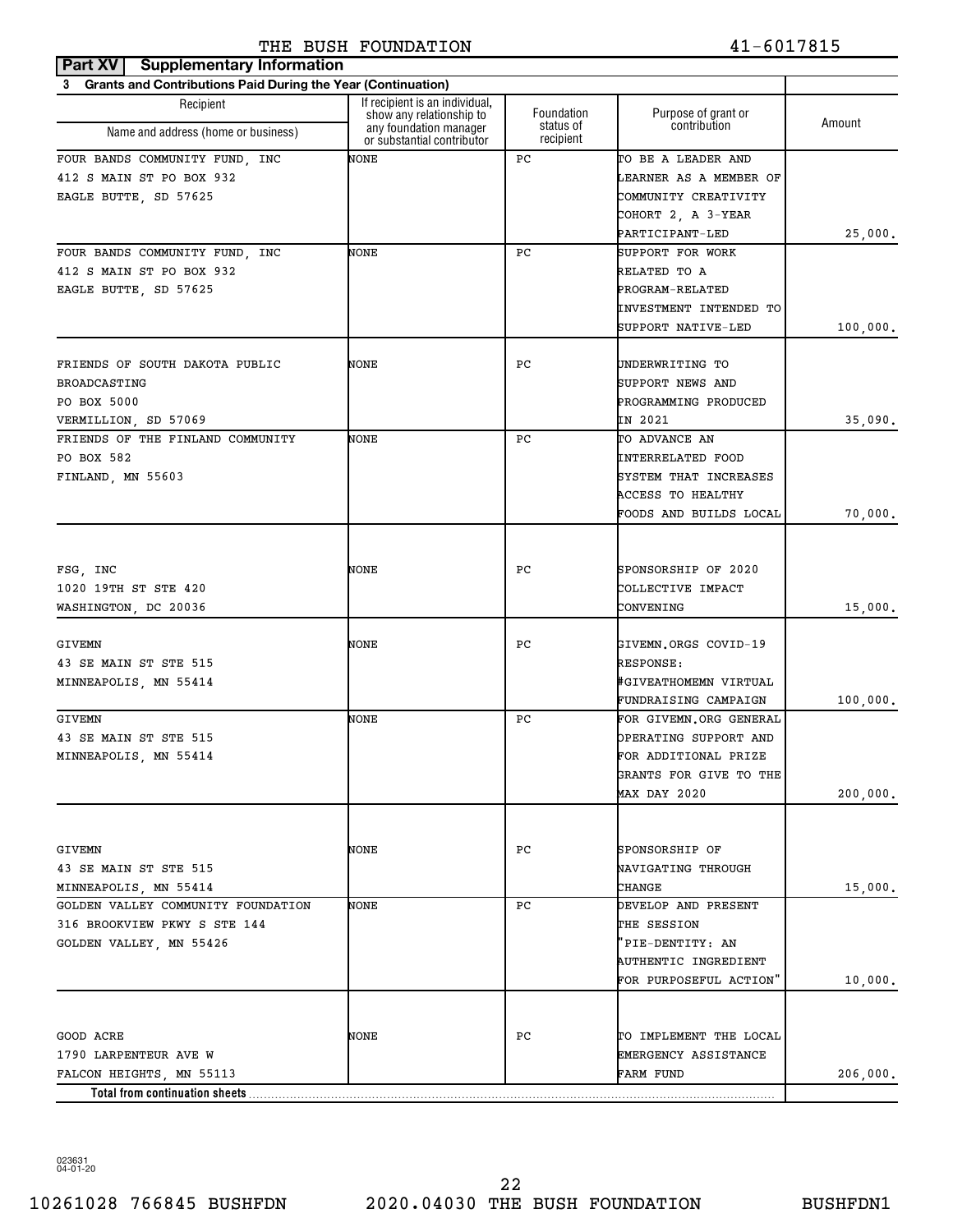#### **Part XV** Supplementary Information THE BUSH FOUNDATION 41-6017815

| 3 Grants and Contributions Paid During the Year (Continuation) |                                                                                  |                                      |                                            |          |
|----------------------------------------------------------------|----------------------------------------------------------------------------------|--------------------------------------|--------------------------------------------|----------|
| Recipient                                                      | If recipient is an individual,                                                   |                                      |                                            |          |
| Name and address (home or business)                            | show any relationship to<br>any foundation manager<br>or substantial contributor | Foundation<br>status of<br>recipient | Purpose of grant or<br>contribution        | Amount   |
| FOUR BANDS COMMUNITY FUND, INC                                 | NONE                                                                             | РC                                   | TO BE A LEADER AND                         |          |
| 412 S MAIN ST PO BOX 932                                       |                                                                                  |                                      | LEARNER AS A MEMBER OF                     |          |
| EAGLE BUTTE, SD 57625                                          |                                                                                  |                                      | COMMUNITY CREATIVITY                       |          |
|                                                                |                                                                                  |                                      | COHORT 2, A 3-YEAR                         |          |
|                                                                |                                                                                  |                                      | PARTICIPANT-LED                            | 25,000.  |
| FOUR BANDS COMMUNITY FUND, INC                                 | NONE                                                                             | PC.                                  | SUPPORT FOR WORK                           |          |
| 412 S MAIN ST PO BOX 932                                       |                                                                                  |                                      | RELATED TO A                               |          |
| EAGLE BUTTE, SD 57625                                          |                                                                                  |                                      | PROGRAM-RELATED                            |          |
|                                                                |                                                                                  |                                      | INVESTMENT INTENDED TO                     |          |
|                                                                |                                                                                  |                                      | SUPPORT NATIVE-LED                         | 100,000. |
| FRIENDS OF SOUTH DAKOTA PUBLIC                                 | NONE                                                                             | РC                                   | UNDERWRITING TO                            |          |
| <b>BROADCASTING</b>                                            |                                                                                  |                                      | SUPPORT NEWS AND                           |          |
| PO BOX 5000                                                    |                                                                                  |                                      | PROGRAMMING PRODUCED                       |          |
|                                                                |                                                                                  |                                      | IN 2021                                    |          |
| VERMILLION, SD 57069<br>FRIENDS OF THE FINLAND COMMUNITY       | NONE                                                                             | PC.                                  | TO ADVANCE AN                              | 35,090.  |
| PO BOX 582                                                     |                                                                                  |                                      | <b>INTERRELATED FOOD</b>                   |          |
|                                                                |                                                                                  |                                      |                                            |          |
| FINLAND, MN 55603                                              |                                                                                  |                                      | SYSTEM THAT INCREASES<br>ACCESS TO HEALTHY |          |
|                                                                |                                                                                  |                                      | FOODS AND BUILDS LOCAL                     |          |
|                                                                |                                                                                  |                                      |                                            | 70,000.  |
|                                                                |                                                                                  |                                      |                                            |          |
| FSG, INC                                                       | NONE                                                                             | РC                                   | SPONSORSHIP OF 2020                        |          |
| 1020 19TH ST STE 420                                           |                                                                                  |                                      | COLLECTIVE IMPACT                          |          |
| WASHINGTON, DC 20036                                           |                                                                                  |                                      | CONVENING                                  | 15,000.  |
| <b>GIVEMN</b>                                                  | NONE                                                                             | РC                                   | GIVEMN.ORGS COVID-19                       |          |
| 43 SE MAIN ST STE 515                                          |                                                                                  |                                      | RESPONSE:                                  |          |
| MINNEAPOLIS, MN 55414                                          |                                                                                  |                                      | #GIVEATHOMEMN VIRTUAL                      |          |
|                                                                |                                                                                  |                                      | FUNDRAISING CAMPAIGN                       | 100,000. |
| <b>GIVEMN</b>                                                  | NONE                                                                             | PC.                                  | FOR GIVEMN.ORG GENERAL                     |          |
| 43 SE MAIN ST STE 515                                          |                                                                                  |                                      | OPERATING SUPPORT AND                      |          |
| MINNEAPOLIS, MN 55414                                          |                                                                                  |                                      | FOR ADDITIONAL PRIZE                       |          |
|                                                                |                                                                                  |                                      | GRANTS FOR GIVE TO THE                     |          |
|                                                                |                                                                                  |                                      | MAX DAY 2020                               | 200,000. |
|                                                                |                                                                                  |                                      |                                            |          |
| <b>GIVEMN</b>                                                  | NONE                                                                             | PС                                   | SPONSORSHIP OF                             |          |
| 43 SE MAIN ST STE 515                                          |                                                                                  |                                      | <b>NAVIGATING THROUGH</b>                  |          |
| MINNEAPOLIS, MN 55414                                          |                                                                                  |                                      | CHANGE                                     | 15,000.  |
| GOLDEN VALLEY COMMUNITY FOUNDATION                             | NONE                                                                             | PC.                                  | DEVELOP AND PRESENT                        |          |
| 316 BROOKVIEW PKWY S STE 144                                   |                                                                                  |                                      | THE SESSION                                |          |
| GOLDEN VALLEY, MN 55426                                        |                                                                                  |                                      | 'PIE-DENTITY: AN                           |          |
|                                                                |                                                                                  |                                      | <b>AUTHENTIC INGREDIENT</b>                |          |
|                                                                |                                                                                  |                                      | FOR PURPOSEFUL ACTION"                     | 10,000.  |
|                                                                |                                                                                  |                                      |                                            |          |
| GOOD ACRE                                                      | NONE                                                                             | PС                                   | TO IMPLEMENT THE LOCAL                     |          |
| 1790 LARPENTEUR AVE W                                          |                                                                                  |                                      | EMERGENCY ASSISTANCE                       |          |
| FALCON HEIGHTS, MN 55113                                       |                                                                                  |                                      | FARM FUND                                  | 206,000. |
| Total from continuation sheets                                 |                                                                                  |                                      |                                            |          |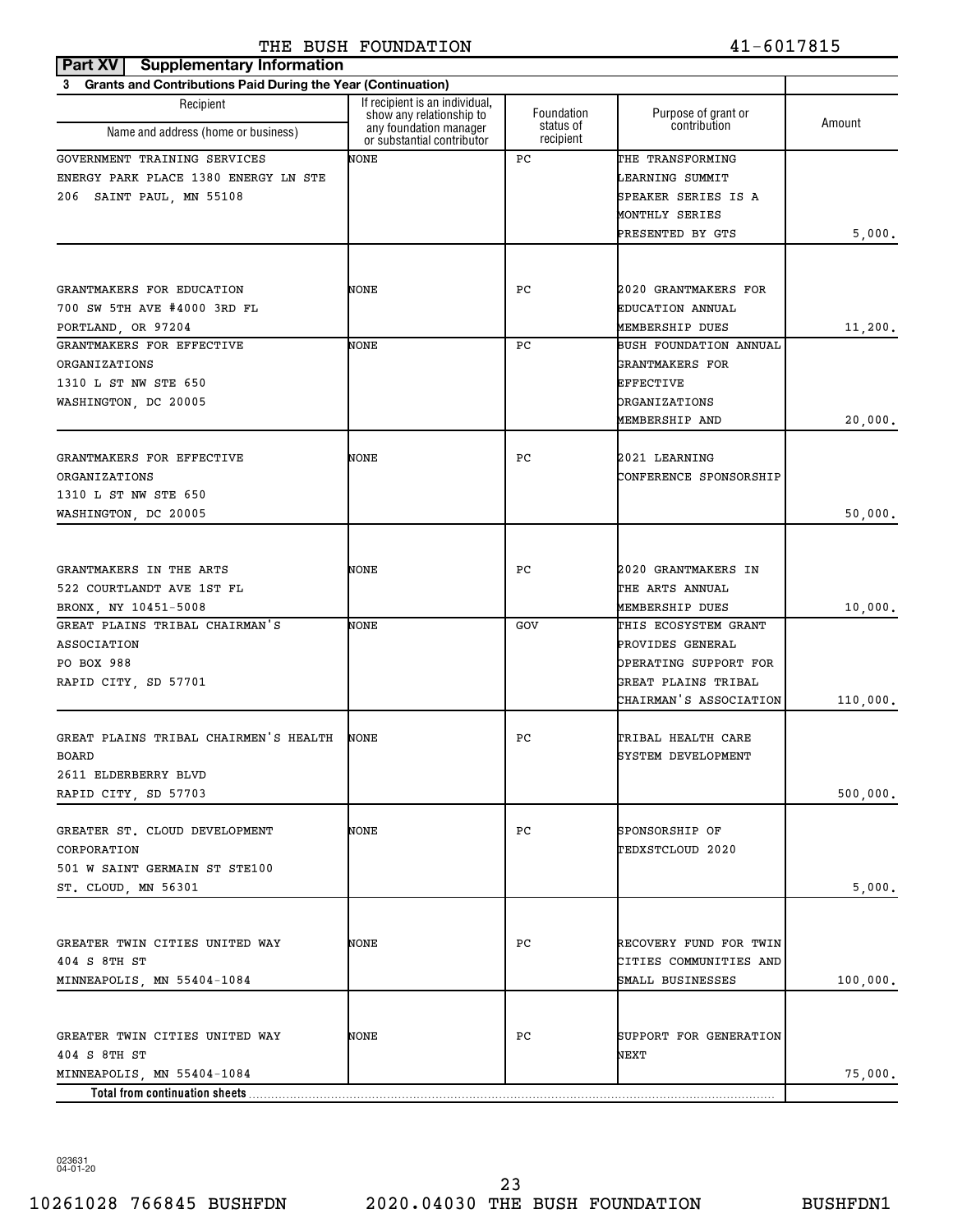| <b>Supplementary Information</b><br>Part XV                    |                                                            |                         |                                     |          |
|----------------------------------------------------------------|------------------------------------------------------------|-------------------------|-------------------------------------|----------|
| 3 Grants and Contributions Paid During the Year (Continuation) |                                                            |                         |                                     |          |
| Recipient                                                      | If recipient is an individual,<br>show any relationship to | Foundation<br>status of | Purpose of grant or<br>contribution | Amount   |
| Name and address (home or business)                            | any foundation manager<br>or substantial contributor       | recipient               |                                     |          |
| GOVERNMENT TRAINING SERVICES                                   | NONE                                                       | РC                      | THE TRANSFORMING                    |          |
| ENERGY PARK PLACE 1380 ENERGY LN STE                           |                                                            |                         | LEARNING SUMMIT                     |          |
| 206 SAINT PAUL, MN 55108                                       |                                                            |                         | SPEAKER SERIES IS A                 |          |
|                                                                |                                                            |                         | MONTHLY SERIES                      |          |
|                                                                |                                                            |                         | PRESENTED BY GTS                    | 5,000.   |
|                                                                |                                                            |                         |                                     |          |
| GRANTMAKERS FOR EDUCATION                                      | NONE                                                       | РC                      | 2020 GRANTMAKERS FOR                |          |
| 700 SW 5TH AVE #4000 3RD FL                                    |                                                            |                         | EDUCATION ANNUAL                    |          |
| PORTLAND, OR 97204                                             |                                                            |                         | MEMBERSHIP DUES                     | 11,200.  |
| GRANTMAKERS FOR EFFECTIVE                                      | NONE                                                       | РC                      | BUSH FOUNDATION ANNUAL              |          |
| ORGANIZATIONS                                                  |                                                            |                         | GRANTMAKERS FOR                     |          |
| 1310 L ST NW STE 650                                           |                                                            |                         | <b>EFFECTIVE</b>                    |          |
| WASHINGTON, DC 20005                                           |                                                            |                         | ORGANIZATIONS                       |          |
|                                                                |                                                            |                         | MEMBERSHIP AND                      | 20,000.  |
|                                                                |                                                            |                         |                                     |          |
| GRANTMAKERS FOR EFFECTIVE                                      | NONE                                                       | РC                      | 2021 LEARNING                       |          |
| ORGANIZATIONS                                                  |                                                            |                         | CONFERENCE SPONSORSHIP              |          |
| 1310 L ST NW STE 650                                           |                                                            |                         |                                     |          |
| WASHINGTON, DC 20005                                           |                                                            |                         |                                     | 50,000.  |
|                                                                |                                                            |                         |                                     |          |
| GRANTMAKERS IN THE ARTS                                        | NONE                                                       | РC                      | 2020 GRANTMAKERS IN                 |          |
| 522 COURTLANDT AVE 1ST FL                                      |                                                            |                         | THE ARTS ANNUAL                     |          |
| BRONX, NY 10451-5008                                           |                                                            |                         | MEMBERSHIP DUES                     |          |
| GREAT PLAINS TRIBAL CHAIRMAN'S                                 | NONE                                                       | GOV                     | THIS ECOSYSTEM GRANT                | 10,000.  |
| ASSOCIATION                                                    |                                                            |                         | PROVIDES GENERAL                    |          |
| PO BOX 988                                                     |                                                            |                         | OPERATING SUPPORT FOR               |          |
| RAPID CITY, SD 57701                                           |                                                            |                         | GREAT PLAINS TRIBAL                 |          |
|                                                                |                                                            |                         | CHAIRMAN'S ASSOCIATION              | 110,000. |
|                                                                |                                                            |                         |                                     |          |
| GREAT PLAINS TRIBAL CHAIRMEN'S HEALTH                          | NONE                                                       | РC                      | TRIBAL HEALTH CARE                  |          |
| <b>BOARD</b>                                                   |                                                            |                         | SYSTEM DEVELOPMENT                  |          |
| 2611 ELDERBERRY BLVD                                           |                                                            |                         |                                     |          |
| RAPID CITY, SD 57703                                           |                                                            |                         |                                     | 500,000. |
|                                                                |                                                            |                         |                                     |          |
| GREATER ST. CLOUD DEVELOPMENT                                  | NONE                                                       | РC                      | SPONSORSHIP OF                      |          |
| CORPORATION                                                    |                                                            |                         | TEDXSTCLOUD 2020                    |          |
| 501 W SAINT GERMAIN ST STE100                                  |                                                            |                         |                                     |          |
| ST. CLOUD, MN 56301                                            |                                                            |                         |                                     | 5,000.   |
|                                                                |                                                            |                         |                                     |          |
| GREATER TWIN CITIES UNITED WAY                                 | NONE                                                       | РC                      | RECOVERY FUND FOR TWIN              |          |
| 404 S 8TH ST                                                   |                                                            |                         | CITIES COMMUNITIES AND              |          |
|                                                                |                                                            |                         | SMALL BUSINESSES                    |          |
| MINNEAPOLIS, MN 55404-1084                                     |                                                            |                         |                                     | 100,000. |
|                                                                |                                                            |                         |                                     |          |
| GREATER TWIN CITIES UNITED WAY                                 | NONE                                                       | РC                      | SUPPORT FOR GENERATION              |          |
| 404 S 8TH ST                                                   |                                                            |                         | NEXT                                |          |
| MINNEAPOLIS, MN 55404-1084                                     |                                                            |                         |                                     | 75,000.  |
|                                                                |                                                            |                         |                                     |          |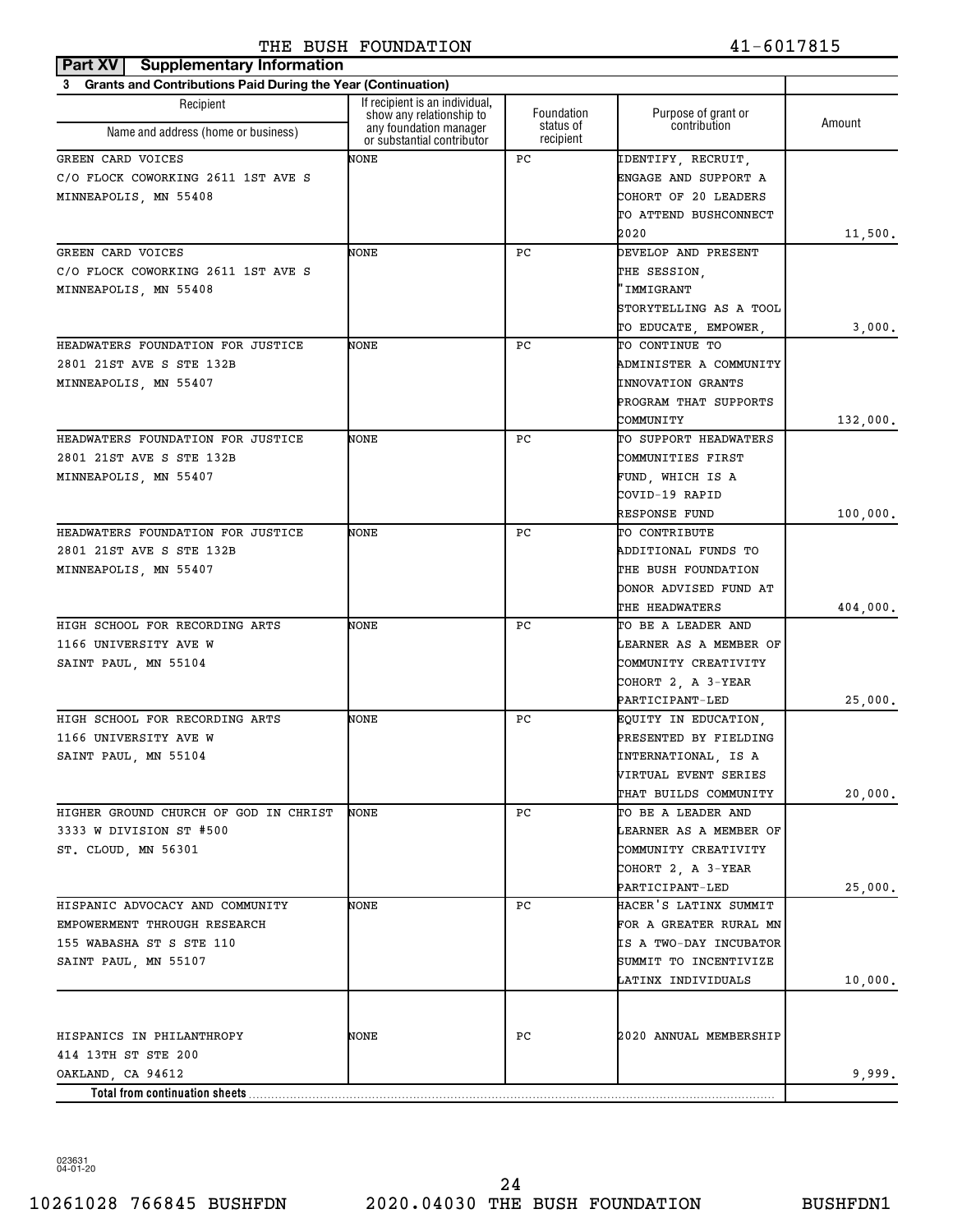| Part XV   Supplementary Information                            |                                                            |                        |                          |          |
|----------------------------------------------------------------|------------------------------------------------------------|------------------------|--------------------------|----------|
| 3 Grants and Contributions Paid During the Year (Continuation) |                                                            |                        |                          |          |
| Recipient                                                      | If recipient is an individual,<br>show any relationship to | Foundation             | Purpose of grant or      | Amount   |
| Name and address (home or business)                            | any foundation manager<br>or substantial contributor       | status of<br>recipient | contribution             |          |
| GREEN CARD VOICES                                              | NONE                                                       | РC                     | IDENTIFY, RECRUIT,       |          |
| C/O FLOCK COWORKING 2611 1ST AVE S                             |                                                            |                        | ENGAGE AND SUPPORT A     |          |
| MINNEAPOLIS, MN 55408                                          |                                                            |                        | COHORT OF 20 LEADERS     |          |
|                                                                |                                                            |                        | TO ATTEND BUSHCONNECT    |          |
|                                                                |                                                            |                        | 2020                     | 11,500.  |
| GREEN CARD VOICES                                              | NONE                                                       | РC                     | DEVELOP AND PRESENT      |          |
| C/O FLOCK COWORKING 2611 1ST AVE S                             |                                                            |                        | THE SESSION,             |          |
| MINNEAPOLIS, MN 55408                                          |                                                            |                        | 'IMMIGRANT               |          |
|                                                                |                                                            |                        | STORYTELLING AS A TOOL   |          |
|                                                                |                                                            |                        | TO EDUCATE, EMPOWER,     | 3,000.   |
| HEADWATERS FOUNDATION FOR JUSTICE                              | NONE                                                       | РC                     | TO CONTINUE TO           |          |
| 2801 21ST AVE S STE 132B                                       |                                                            |                        | ADMINISTER A COMMUNITY   |          |
| MINNEAPOLIS, MN 55407                                          |                                                            |                        | <b>INNOVATION GRANTS</b> |          |
|                                                                |                                                            |                        | PROGRAM THAT SUPPORTS    |          |
|                                                                |                                                            |                        | COMMUNITY                | 132,000. |
| HEADWATERS FOUNDATION FOR JUSTICE                              | NONE                                                       | РC                     | TO SUPPORT HEADWATERS    |          |
| 2801 21ST AVE S STE 132B                                       |                                                            |                        | COMMUNITIES FIRST        |          |
| MINNEAPOLIS, MN 55407                                          |                                                            |                        | FUND, WHICH IS A         |          |
|                                                                |                                                            |                        | COVID-19 RAPID           |          |
|                                                                |                                                            |                        | <b>RESPONSE FUND</b>     | 100,000. |
| HEADWATERS FOUNDATION FOR JUSTICE                              | NONE                                                       | РC                     | TO CONTRIBUTE            |          |
| 2801 21ST AVE S STE 132B                                       |                                                            |                        | ADDITIONAL FUNDS TO      |          |
| MINNEAPOLIS, MN 55407                                          |                                                            |                        | THE BUSH FOUNDATION      |          |
|                                                                |                                                            |                        | DONOR ADVISED FUND AT    |          |
|                                                                |                                                            |                        | THE HEADWATERS           | 404,000. |
| HIGH SCHOOL FOR RECORDING ARTS                                 | NONE                                                       | РC                     | TO BE A LEADER AND       |          |
| 1166 UNIVERSITY AVE W                                          |                                                            |                        | LEARNER AS A MEMBER OF   |          |
| SAINT PAUL, MN 55104                                           |                                                            |                        | COMMUNITY CREATIVITY     |          |
|                                                                |                                                            |                        | COHORT 2, A 3-YEAR       |          |
|                                                                |                                                            |                        | PARTICIPANT-LED          | 25,000.  |
| HIGH SCHOOL FOR RECORDING ARTS                                 | NONE                                                       | РC                     | EQUITY IN EDUCATION,     |          |
| 1166 UNIVERSITY AVE W                                          |                                                            |                        | PRESENTED BY FIELDING    |          |
| SAINT PAUL, MN 55104                                           |                                                            |                        | INTERNATIONAL, IS A      |          |
|                                                                |                                                            |                        | VIRTUAL EVENT SERIES     |          |
|                                                                |                                                            |                        | THAT BUILDS COMMUNITY    | 20,000.  |
| HIGHER GROUND CHURCH OF GOD IN CHRIST                          | NONE                                                       | PC.                    | TO BE A LEADER AND       |          |
| 3333 W DIVISION ST #500                                        |                                                            |                        | LEARNER AS A MEMBER OF   |          |
| ST. CLOUD, MN 56301                                            |                                                            |                        | COMMUNITY CREATIVITY     |          |
|                                                                |                                                            |                        | COHORT 2, A 3-YEAR       |          |
|                                                                |                                                            |                        | PARTICIPANT-LED          | 25,000.  |
| HISPANIC ADVOCACY AND COMMUNITY                                | NONE                                                       | PC.                    | HACER'S LATINX SUMMIT    |          |
| EMPOWERMENT THROUGH RESEARCH                                   |                                                            |                        | FOR A GREATER RURAL MN   |          |
| 155 WABASHA ST S STE 110                                       |                                                            |                        | IS A TWO-DAY INCUBATOR   |          |
| SAINT PAUL, MN 55107                                           |                                                            |                        | SUMMIT TO INCENTIVIZE    |          |
|                                                                |                                                            |                        | LATINX INDIVIDUALS       | 10,000.  |
|                                                                |                                                            |                        |                          |          |
| HISPANICS IN PHILANTHROPY                                      | NONE                                                       | PС                     | 2020 ANNUAL MEMBERSHIP   |          |
| 414 13TH ST STE 200                                            |                                                            |                        |                          |          |
| OAKLAND, CA 94612                                              |                                                            |                        |                          | 9,999.   |
|                                                                |                                                            |                        |                          |          |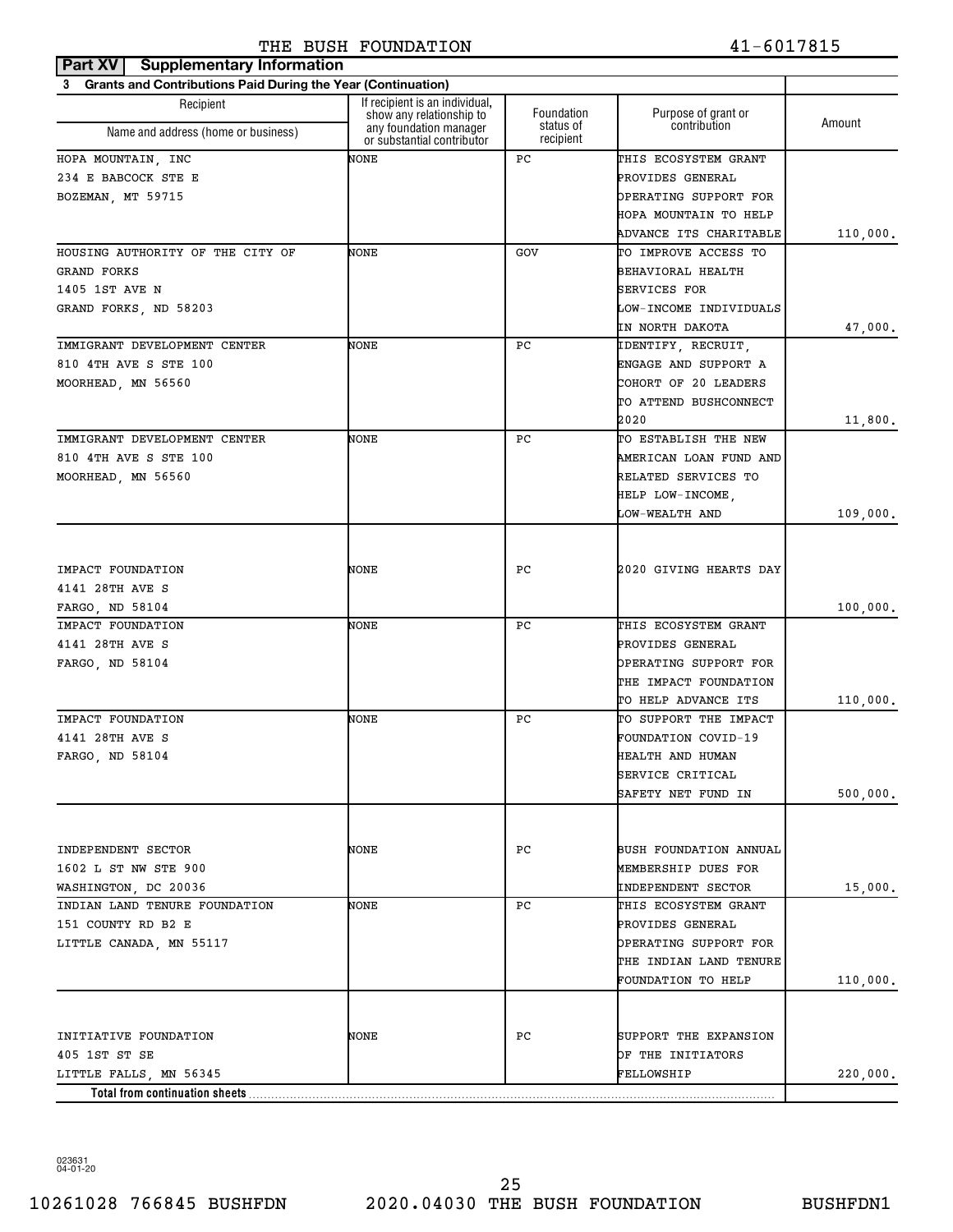| Part XV<br><b>Supplementary Information</b>                    |                                                            |                        |                               |          |
|----------------------------------------------------------------|------------------------------------------------------------|------------------------|-------------------------------|----------|
| 3 Grants and Contributions Paid During the Year (Continuation) |                                                            |                        |                               |          |
| Recipient                                                      | If recipient is an individual,<br>show any relationship to | Foundation             | Purpose of grant or           | Amount   |
| Name and address (home or business)                            | any foundation manager<br>or substantial contributor       | status of<br>recipient | contribution                  |          |
| HOPA MOUNTAIN, INC                                             | NONE                                                       | РC                     | THIS ECOSYSTEM GRANT          |          |
| 234 E BABCOCK STE E                                            |                                                            |                        | PROVIDES GENERAL              |          |
| BOZEMAN, MT 59715                                              |                                                            |                        | OPERATING SUPPORT FOR         |          |
|                                                                |                                                            |                        | HOPA MOUNTAIN TO HELP         |          |
|                                                                |                                                            |                        | ADVANCE ITS CHARITABLE        | 110,000. |
| HOUSING AUTHORITY OF THE CITY OF                               | NONE                                                       | GOV                    | TO IMPROVE ACCESS TO          |          |
| <b>GRAND FORKS</b>                                             |                                                            |                        | BEHAVIORAL HEALTH             |          |
| 1405 1ST AVE N                                                 |                                                            |                        | SERVICES FOR                  |          |
| GRAND FORKS, ND 58203                                          |                                                            |                        | LOW-INCOME INDIVIDUALS        |          |
|                                                                |                                                            |                        | IN NORTH DAKOTA               | 47,000.  |
| IMMIGRANT DEVELOPMENT CENTER                                   | NONE                                                       | РC                     | IDENTIFY, RECRUIT,            |          |
| 810 4TH AVE S STE 100                                          |                                                            |                        | ENGAGE AND SUPPORT A          |          |
| MOORHEAD, MN 56560                                             |                                                            |                        | COHORT OF 20 LEADERS          |          |
|                                                                |                                                            |                        | TO ATTEND BUSHCONNECT         |          |
|                                                                |                                                            |                        | 2020                          | 11,800.  |
| IMMIGRANT DEVELOPMENT CENTER                                   | NONE                                                       | РC                     | TO ESTABLISH THE NEW          |          |
| 810 4TH AVE S STE 100                                          |                                                            |                        | AMERICAN LOAN FUND AND        |          |
| MOORHEAD, MN 56560                                             |                                                            |                        | RELATED SERVICES TO           |          |
|                                                                |                                                            |                        | HELP LOW-INCOME,              |          |
|                                                                |                                                            |                        | LOW-WEALTH AND                | 109,000. |
|                                                                |                                                            |                        |                               |          |
|                                                                |                                                            |                        |                               |          |
| IMPACT FOUNDATION                                              | NONE                                                       | РC                     | 2020 GIVING HEARTS DAY        |          |
| 4141 28TH AVE S                                                |                                                            |                        |                               |          |
| FARGO, ND 58104                                                |                                                            |                        |                               |          |
| IMPACT FOUNDATION                                              | NONE                                                       | РC                     | THIS ECOSYSTEM GRANT          | 100,000. |
| 4141 28TH AVE S                                                |                                                            |                        | PROVIDES GENERAL              |          |
|                                                                |                                                            |                        | OPERATING SUPPORT FOR         |          |
| FARGO, ND 58104                                                |                                                            |                        |                               |          |
|                                                                |                                                            |                        | THE IMPACT FOUNDATION         |          |
|                                                                |                                                            |                        | TO HELP ADVANCE ITS           | 110,000. |
| IMPACT FOUNDATION                                              | NONE                                                       | РC                     | TO SUPPORT THE IMPACT         |          |
| 4141 28TH AVE S                                                |                                                            |                        | FOUNDATION COVID-19           |          |
| FARGO, ND 58104                                                |                                                            |                        | HEALTH AND HUMAN              |          |
|                                                                |                                                            |                        | SERVICE CRITICAL              |          |
|                                                                |                                                            |                        | SAFETY NET FUND IN            | 500,000. |
|                                                                |                                                            |                        |                               |          |
|                                                                |                                                            |                        |                               |          |
| INDEPENDENT SECTOR                                             | NONE                                                       | РC                     | <b>BUSH FOUNDATION ANNUAL</b> |          |
| 1602 L ST NW STE 900                                           |                                                            |                        | MEMBERSHIP DUES FOR           |          |
| WASHINGTON, DC 20036                                           |                                                            |                        | INDEPENDENT SECTOR            | 15,000.  |
| INDIAN LAND TENURE FOUNDATION                                  | NONE                                                       | РC                     | THIS ECOSYSTEM GRANT          |          |
| 151 COUNTY RD B2 E                                             |                                                            |                        | PROVIDES GENERAL              |          |
| LITTLE CANADA, MN 55117                                        |                                                            |                        | OPERATING SUPPORT FOR         |          |
|                                                                |                                                            |                        | THE INDIAN LAND TENURE        |          |
|                                                                |                                                            |                        | FOUNDATION TO HELP            | 110,000. |
|                                                                |                                                            |                        |                               |          |
| INITIATIVE FOUNDATION                                          | NONE                                                       | РC                     | SUPPORT THE EXPANSION         |          |
| 405 1ST ST SE                                                  |                                                            |                        | OF THE INITIATORS             |          |
|                                                                |                                                            |                        | FELLOWSHIP                    |          |
| LITTLE FALLS, MN 56345                                         |                                                            |                        |                               | 220,000. |
| Total from continuation sheets                                 |                                                            |                        |                               |          |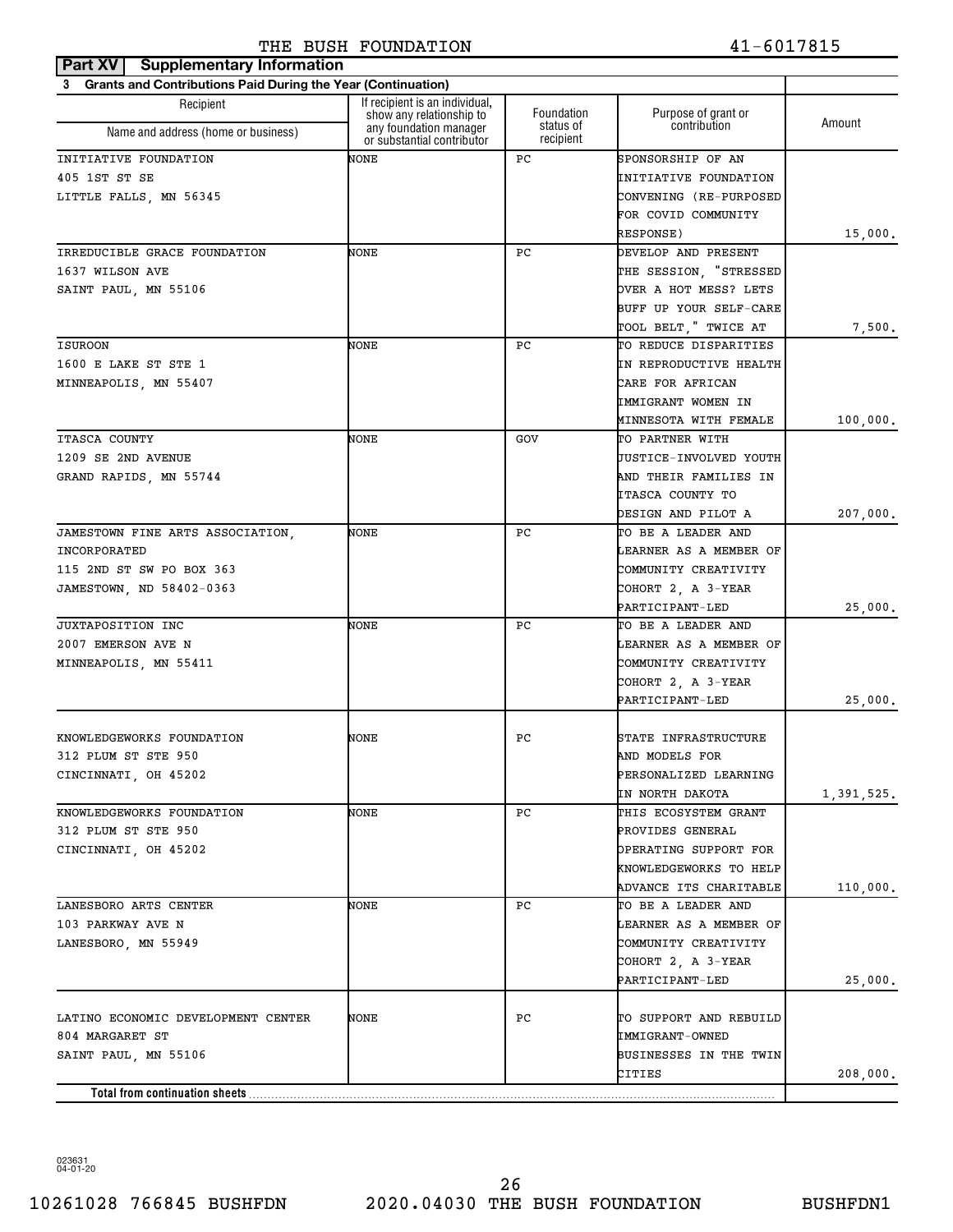#### **Part XV Supplementary Information** THE BUSH FOUNDATION 41-6017815

| 3 Grants and Contributions Paid During the Year (Continuation) |                                                                                  |                                      |                                     |            |
|----------------------------------------------------------------|----------------------------------------------------------------------------------|--------------------------------------|-------------------------------------|------------|
| Recipient                                                      | If recipient is an individual,                                                   |                                      |                                     |            |
| Name and address (home or business)                            | show any relationship to<br>any foundation manager<br>or substantial contributor | Foundation<br>status of<br>recipient | Purpose of grant or<br>contribution | Amount     |
| INITIATIVE FOUNDATION                                          | NONE                                                                             | PC.                                  | SPONSORSHIP OF AN                   |            |
| 405 1ST ST SE                                                  |                                                                                  |                                      | INITIATIVE FOUNDATION               |            |
| LITTLE FALLS, MN 56345                                         |                                                                                  |                                      | CONVENING (RE-PURPOSED              |            |
|                                                                |                                                                                  |                                      | FOR COVID COMMUNITY                 |            |
|                                                                |                                                                                  |                                      | RESPONSE)                           | 15,000.    |
| IRREDUCIBLE GRACE FOUNDATION                                   | NONE                                                                             | РC                                   | DEVELOP AND PRESENT                 |            |
| 1637 WILSON AVE                                                |                                                                                  |                                      | THE SESSION, "STRESSED              |            |
| SAINT PAUL, MN 55106                                           |                                                                                  |                                      | OVER A HOT MESS? LETS               |            |
|                                                                |                                                                                  |                                      | BUFF UP YOUR SELF-CARE              |            |
|                                                                |                                                                                  |                                      | TOOL BELT, " TWICE AT               | 7,500.     |
| <b>ISUROON</b>                                                 | NONE                                                                             | PC.                                  | TO REDUCE DISPARITIES               |            |
| 1600 E LAKE ST STE 1                                           |                                                                                  |                                      | IN REPRODUCTIVE HEALTH              |            |
| MINNEAPOLIS, MN 55407                                          |                                                                                  |                                      | CARE FOR AFRICAN                    |            |
|                                                                |                                                                                  |                                      | IMMIGRANT WOMEN IN                  |            |
|                                                                |                                                                                  |                                      | MINNESOTA WITH FEMALE               | 100,000.   |
| ITASCA COUNTY                                                  | NONE                                                                             | GOV                                  | TO PARTNER WITH                     |            |
| 1209 SE 2ND AVENUE                                             |                                                                                  |                                      | JUSTICE-INVOLVED YOUTH              |            |
|                                                                |                                                                                  |                                      |                                     |            |
| GRAND RAPIDS, MN 55744                                         |                                                                                  |                                      | AND THEIR FAMILIES IN               |            |
|                                                                |                                                                                  |                                      | ITASCA COUNTY TO                    |            |
|                                                                |                                                                                  |                                      | DESIGN AND PILOT A                  | 207,000.   |
| JAMESTOWN FINE ARTS ASSOCIATION,                               | NONE                                                                             | PC.                                  | TO BE A LEADER AND                  |            |
| INCORPORATED                                                   |                                                                                  |                                      | LEARNER AS A MEMBER OF              |            |
| 115 2ND ST SW PO BOX 363                                       |                                                                                  |                                      | COMMUNITY CREATIVITY                |            |
| JAMESTOWN, ND 58402-0363                                       |                                                                                  |                                      | COHORT 2, A 3-YEAR                  |            |
|                                                                |                                                                                  |                                      | PARTICIPANT-LED                     | 25,000.    |
| <b>JUXTAPOSITION INC</b>                                       | NONE                                                                             | РC                                   | TO BE A LEADER AND                  |            |
| 2007 EMERSON AVE N                                             |                                                                                  |                                      | LEARNER AS A MEMBER OF              |            |
| MINNEAPOLIS, MN 55411                                          |                                                                                  |                                      | COMMUNITY CREATIVITY                |            |
|                                                                |                                                                                  |                                      | COHORT 2, A 3-YEAR                  |            |
|                                                                |                                                                                  |                                      | PARTICIPANT-LED                     | 25,000.    |
|                                                                |                                                                                  |                                      |                                     |            |
| KNOWLEDGEWORKS FOUNDATION                                      | NONE                                                                             | PC.                                  | STATE INFRASTRUCTURE                |            |
| 312 PLUM ST STE 950                                            |                                                                                  |                                      | AND MODELS FOR                      |            |
| CINCINNATI, OH 45202                                           |                                                                                  |                                      | PERSONALIZED LEARNING               |            |
|                                                                |                                                                                  |                                      | IN NORTH DAKOTA                     | 1,391,525. |
| KNOWLEDGEWORKS FOUNDATION                                      | NONE                                                                             | PC.                                  | THIS ECOSYSTEM GRANT                |            |
| 312 PLUM ST STE 950                                            |                                                                                  |                                      | PROVIDES GENERAL                    |            |
| CINCINNATI, OH 45202                                           |                                                                                  |                                      | OPERATING SUPPORT FOR               |            |
|                                                                |                                                                                  |                                      | KNOWLEDGEWORKS TO HELP              |            |
|                                                                |                                                                                  |                                      | ADVANCE ITS CHARITABLE              | 110,000.   |
| LANESBORO ARTS CENTER                                          | NONE                                                                             | PC.                                  | TO BE A LEADER AND                  |            |
| 103 PARKWAY AVE N                                              |                                                                                  |                                      | LEARNER AS A MEMBER OF              |            |
| LANESBORO, MN 55949                                            |                                                                                  |                                      | COMMUNITY CREATIVITY                |            |
|                                                                |                                                                                  |                                      | COHORT 2, A 3-YEAR                  |            |
|                                                                |                                                                                  |                                      | PARTICIPANT-LED                     | 25,000.    |
|                                                                |                                                                                  |                                      |                                     |            |
| LATINO ECONOMIC DEVELOPMENT CENTER                             | NONE                                                                             | PС                                   | TO SUPPORT AND REBUILD              |            |
| 804 MARGARET ST                                                |                                                                                  |                                      | IMMIGRANT-OWNED                     |            |
| SAINT PAUL, MN 55106                                           |                                                                                  |                                      | BUSINESSES IN THE TWIN              |            |
|                                                                |                                                                                  |                                      | CITIES                              | 208,000.   |
|                                                                |                                                                                  |                                      |                                     |            |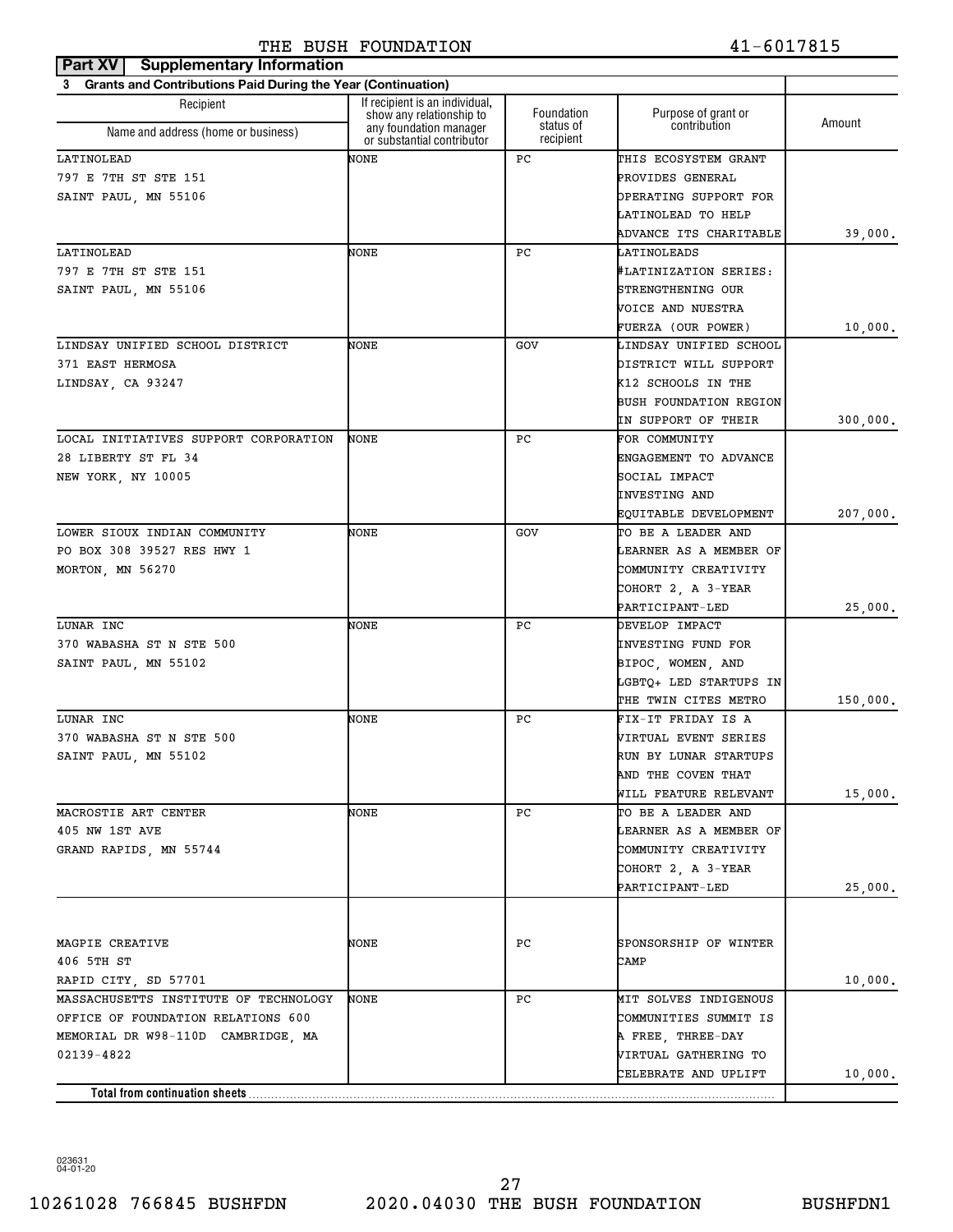| Part XV<br><b>Supplementary Information</b>                    |                                                            |                        |                               |          |
|----------------------------------------------------------------|------------------------------------------------------------|------------------------|-------------------------------|----------|
| 3 Grants and Contributions Paid During the Year (Continuation) |                                                            |                        |                               |          |
| Recipient                                                      | If recipient is an individual.<br>show any relationship to | Foundation             | Purpose of grant or           | Amount   |
| Name and address (home or business)                            | any foundation manager<br>or substantial contributor       | status of<br>recipient | contribution                  |          |
| LATINOLEAD                                                     | NONE                                                       | РC                     | THIS ECOSYSTEM GRANT          |          |
| 797 E 7TH ST STE 151                                           |                                                            |                        | PROVIDES GENERAL              |          |
| SAINT PAUL, MN 55106                                           |                                                            |                        | OPERATING SUPPORT FOR         |          |
|                                                                |                                                            |                        | LATINOLEAD TO HELP            |          |
|                                                                |                                                            |                        | ADVANCE ITS CHARITABLE        | 39,000.  |
| LATINOLEAD                                                     | NONE                                                       | РC                     | LATINOLEADS                   |          |
| 797 E 7TH ST STE 151                                           |                                                            |                        | #LATINIZATION SERIES:         |          |
| SAINT PAUL, MN 55106                                           |                                                            |                        | STRENGTHENING OUR             |          |
|                                                                |                                                            |                        | VOICE AND NUESTRA             |          |
|                                                                |                                                            |                        | FUERZA (OUR POWER)            | 10,000.  |
| LINDSAY UNIFIED SCHOOL DISTRICT                                | NONE                                                       | GOV                    | LINDSAY UNIFIED SCHOOL        |          |
| 371 EAST HERMOSA                                               |                                                            |                        | DISTRICT WILL SUPPORT         |          |
| LINDSAY, CA 93247                                              |                                                            |                        | K12 SCHOOLS IN THE            |          |
|                                                                |                                                            |                        | <b>BUSH FOUNDATION REGION</b> |          |
|                                                                |                                                            |                        | IN SUPPORT OF THEIR           | 300,000. |
| LOCAL INITIATIVES SUPPORT CORPORATION                          | NONE                                                       | РC                     | FOR COMMUNITY                 |          |
| 28 LIBERTY ST FL 34                                            |                                                            |                        | ENGAGEMENT TO ADVANCE         |          |
| NEW YORK, NY 10005                                             |                                                            |                        | SOCIAL IMPACT                 |          |
|                                                                |                                                            |                        | <b>INVESTING AND</b>          |          |
|                                                                |                                                            |                        | EQUITABLE DEVELOPMENT         | 207,000. |
| LOWER SIOUX INDIAN COMMUNITY                                   | NONE                                                       | GOV                    | TO BE A LEADER AND            |          |
| PO BOX 308 39527 RES HWY 1                                     |                                                            |                        | LEARNER AS A MEMBER OF        |          |
| MORTON, MN 56270                                               |                                                            |                        | COMMUNITY CREATIVITY          |          |
|                                                                |                                                            |                        | COHORT 2, A 3-YEAR            |          |
|                                                                |                                                            |                        | PARTICIPANT-LED               | 25,000.  |
| LUNAR INC                                                      | NONE                                                       | РC                     | DEVELOP IMPACT                |          |
| 370 WABASHA ST N STE 500                                       |                                                            |                        | INVESTING FUND FOR            |          |
| SAINT PAUL, MN 55102                                           |                                                            |                        | BIPOC, WOMEN, AND             |          |
|                                                                |                                                            |                        | LGBTQ+ LED STARTUPS IN        |          |
|                                                                |                                                            |                        | THE TWIN CITES METRO          | 150,000. |
| LUNAR INC                                                      | NONE                                                       | РC                     | FIX-IT FRIDAY IS A            |          |
| 370 WABASHA ST N STE 500                                       |                                                            |                        | VIRTUAL EVENT SERIES          |          |
| SAINT PAUL, MN 55102                                           |                                                            |                        | RUN BY LUNAR STARTUPS         |          |
|                                                                |                                                            |                        | AND THE COVEN THAT            |          |
|                                                                |                                                            |                        | WILL FEATURE RELEVANT         | 15,000.  |
| MACROSTIE ART CENTER                                           | NONE                                                       | PC.                    | TO BE A LEADER AND            |          |
| 405 NW 1ST AVE                                                 |                                                            |                        | LEARNER AS A MEMBER OF        |          |
| GRAND RAPIDS, MN 55744                                         |                                                            |                        | COMMUNITY CREATIVITY          |          |
|                                                                |                                                            |                        | COHORT 2, A 3-YEAR            |          |
|                                                                |                                                            |                        | PARTICIPANT-LED               | 25,000.  |
|                                                                |                                                            |                        |                               |          |
| MAGPIE CREATIVE                                                | NONE                                                       | PC                     | SPONSORSHIP OF WINTER         |          |
| 406 5TH ST                                                     |                                                            |                        | CAMP                          |          |
| RAPID CITY, SD 57701                                           |                                                            |                        |                               | 10,000.  |
| MASSACHUSETTS INSTITUTE OF TECHNOLOGY                          | NONE                                                       | PC                     | MIT SOLVES INDIGENOUS         |          |
| OFFICE OF FOUNDATION RELATIONS 600                             |                                                            |                        | COMMUNITIES SUMMIT IS         |          |
| MEMORIAL DR W98-110D CAMBRIDGE, MA                             |                                                            |                        | A FREE, THREE-DAY             |          |
| 02139-4822                                                     |                                                            |                        | VIRTUAL GATHERING TO          |          |
|                                                                |                                                            |                        | CELEBRATE AND UPLIFT          | 10,000.  |
| Total from continuation sheets                                 |                                                            |                        |                               |          |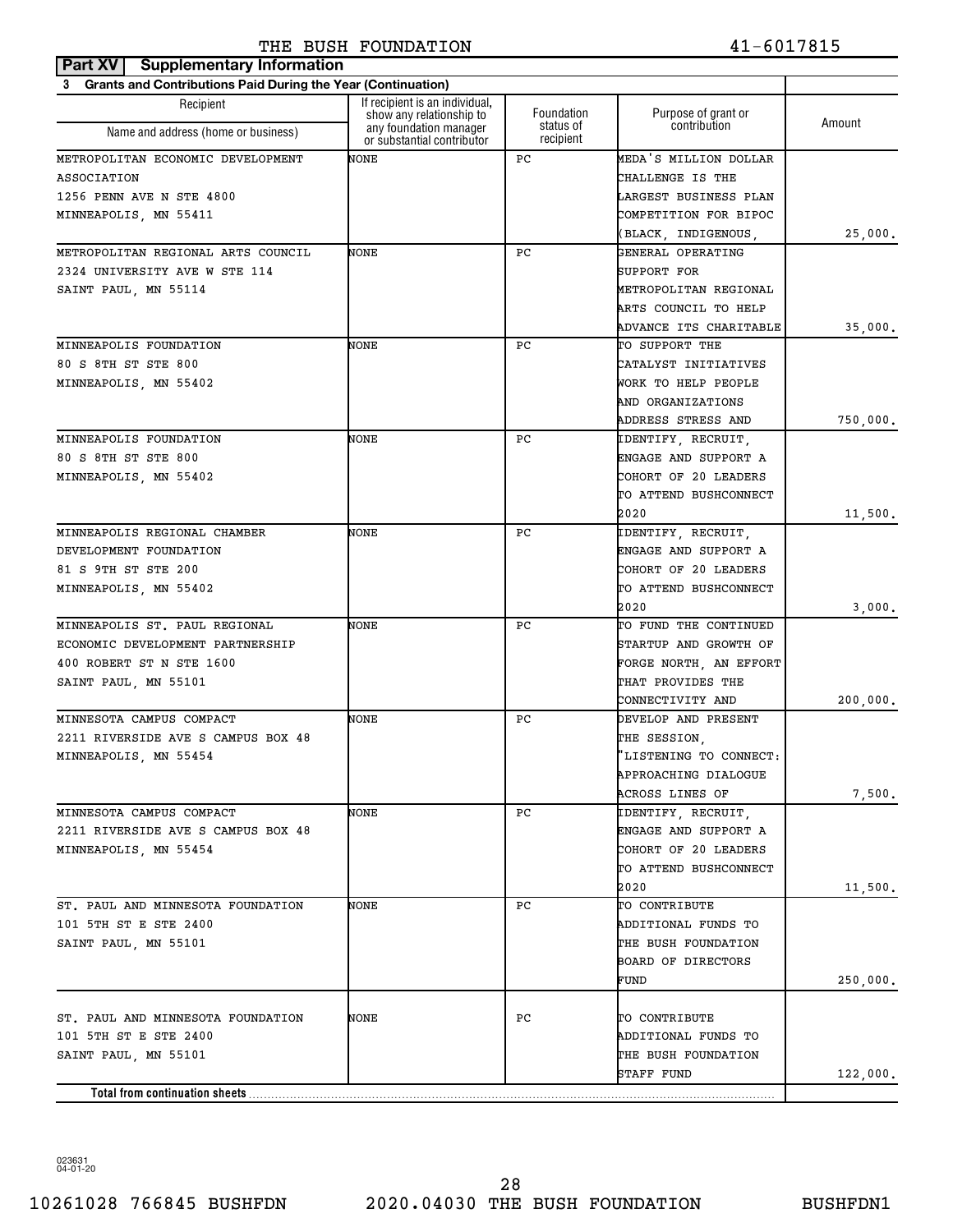| Part XV   Supplementary Information                                      |                                                            |                        |                                                       |          |
|--------------------------------------------------------------------------|------------------------------------------------------------|------------------------|-------------------------------------------------------|----------|
| <b>Grants and Contributions Paid During the Year (Continuation)</b><br>3 |                                                            |                        |                                                       |          |
| Recipient                                                                | If recipient is an individual,<br>show any relationship to | Foundation             | Purpose of grant or                                   | Amount   |
| Name and address (home or business)                                      | any foundation manager<br>or substantial contributor       | status of<br>recipient | contribution                                          |          |
| METROPOLITAN ECONOMIC DEVELOPMENT                                        | NONE                                                       | РC                     | MEDA'S MILLION DOLLAR                                 |          |
| ASSOCIATION                                                              |                                                            |                        | <b>CHALLENGE IS THE</b>                               |          |
| 1256 PENN AVE N STE 4800                                                 |                                                            |                        | LARGEST BUSINESS PLAN                                 |          |
| MINNEAPOLIS, MN 55411                                                    |                                                            |                        | COMPETITION FOR BIPOC                                 |          |
|                                                                          |                                                            |                        | (BLACK, INDIGENOUS,                                   | 25,000.  |
| METROPOLITAN REGIONAL ARTS COUNCIL                                       | NONE                                                       | РC                     | GENERAL OPERATING                                     |          |
| 2324 UNIVERSITY AVE W STE 114                                            |                                                            |                        | SUPPORT FOR                                           |          |
| SAINT PAUL, MN 55114                                                     |                                                            |                        | METROPOLITAN REGIONAL                                 |          |
|                                                                          |                                                            |                        | ARTS COUNCIL TO HELP                                  |          |
|                                                                          |                                                            |                        | ADVANCE ITS CHARITABLE                                | 35,000.  |
| MINNEAPOLIS FOUNDATION                                                   | NONE                                                       | РC                     | TO SUPPORT THE                                        |          |
| 80 S 8TH ST STE 800                                                      |                                                            |                        | CATALYST INITIATIVES                                  |          |
| MINNEAPOLIS, MN 55402                                                    |                                                            |                        | WORK TO HELP PEOPLE                                   |          |
|                                                                          |                                                            |                        | AND ORGANIZATIONS                                     |          |
|                                                                          |                                                            |                        | ADDRESS STRESS AND                                    | 750,000. |
| MINNEAPOLIS FOUNDATION                                                   | NONE                                                       | РC                     | IDENTIFY, RECRUIT,                                    |          |
| 80 S 8TH ST STE 800                                                      |                                                            |                        | ENGAGE AND SUPPORT A                                  |          |
| MINNEAPOLIS, MN 55402                                                    |                                                            |                        | COHORT OF 20 LEADERS                                  |          |
|                                                                          |                                                            |                        | TO ATTEND BUSHCONNECT                                 |          |
|                                                                          |                                                            |                        | 2020                                                  | 11,500.  |
| MINNEAPOLIS REGIONAL CHAMBER                                             | NONE                                                       | РC                     | IDENTIFY, RECRUIT,                                    |          |
| DEVELOPMENT FOUNDATION                                                   |                                                            |                        | ENGAGE AND SUPPORT A                                  |          |
| 81 S 9TH ST STE 200                                                      |                                                            |                        | COHORT OF 20 LEADERS                                  |          |
| MINNEAPOLIS, MN 55402                                                    |                                                            |                        | TO ATTEND BUSHCONNECT                                 |          |
|                                                                          |                                                            |                        | 2020                                                  | 3,000.   |
| MINNEAPOLIS ST. PAUL REGIONAL                                            | NONE                                                       | РC                     | TO FUND THE CONTINUED                                 |          |
| ECONOMIC DEVELOPMENT PARTNERSHIP                                         |                                                            |                        | STARTUP AND GROWTH OF                                 |          |
| 400 ROBERT ST N STE 1600                                                 |                                                            |                        | FORGE NORTH, AN EFFORT                                |          |
| SAINT PAUL, MN 55101                                                     |                                                            |                        | THAT PROVIDES THE                                     |          |
|                                                                          |                                                            |                        | CONNECTIVITY AND                                      | 200,000. |
| MINNESOTA CAMPUS COMPACT                                                 | NONE                                                       | РC                     | DEVELOP AND PRESENT                                   |          |
| 2211 RIVERSIDE AVE S CAMPUS BOX 48                                       |                                                            |                        | THE SESSION,                                          |          |
| MINNEAPOLIS, MN 55454                                                    |                                                            |                        | 'LISTENING TO CONNECT:                                |          |
|                                                                          |                                                            |                        | <b>APPROACHING DIALOGUE</b><br><b>ACROSS LINES OF</b> |          |
| MINNESOTA CAMPUS COMPACT                                                 | NONE                                                       | PC.                    | IDENTIFY, RECRUIT,                                    | 7,500.   |
| 2211 RIVERSIDE AVE S CAMPUS BOX 48                                       |                                                            |                        | ENGAGE AND SUPPORT A                                  |          |
| MINNEAPOLIS, MN 55454                                                    |                                                            |                        | COHORT OF 20 LEADERS                                  |          |
|                                                                          |                                                            |                        | TO ATTEND BUSHCONNECT                                 |          |
|                                                                          |                                                            |                        | 2020                                                  | 11,500.  |
| ST. PAUL AND MINNESOTA FOUNDATION                                        | NONE                                                       | PC.                    | TO CONTRIBUTE                                         |          |
| 101 5TH ST E STE 2400                                                    |                                                            |                        | ADDITIONAL FUNDS TO                                   |          |
| SAINT PAUL, MN 55101                                                     |                                                            |                        | THE BUSH FOUNDATION                                   |          |
|                                                                          |                                                            |                        | BOARD OF DIRECTORS                                    |          |
|                                                                          |                                                            |                        | FUND                                                  | 250,000. |
|                                                                          |                                                            |                        |                                                       |          |
| ST. PAUL AND MINNESOTA FOUNDATION                                        | NONE                                                       | PC.                    | TO CONTRIBUTE                                         |          |
| 101 5TH ST E STE 2400                                                    |                                                            |                        | ADDITIONAL FUNDS TO                                   |          |
| SAINT PAUL, MN 55101                                                     |                                                            |                        | THE BUSH FOUNDATION                                   |          |
|                                                                          |                                                            |                        | STAFF FUND                                            | 122,000. |
| Total from continuation sheets                                           |                                                            |                        |                                                       |          |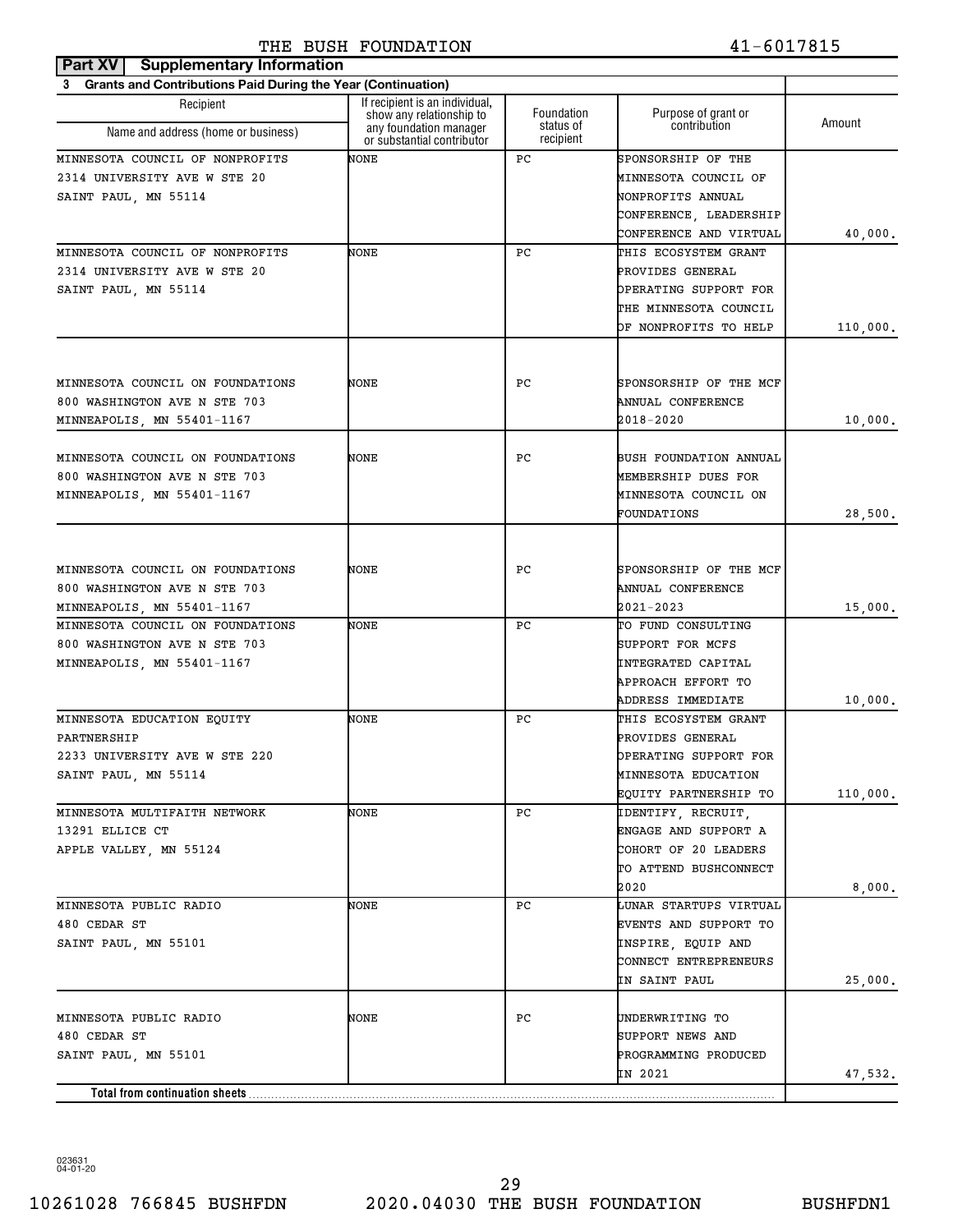| Grants and Contributions Paid During the Year (Continuation)<br>3<br>If recipient is an individual,<br>Recipient<br>Foundation<br>Purpose of grant or<br>show any relationship to<br>Amount<br>contribution<br>status of<br>any foundation manager<br>Name and address (home or business)<br>or substantial contributor<br>recipient<br>NONE<br>РC<br>SPONSORSHIP OF THE<br>2314 UNIVERSITY AVE W STE 20<br>MINNESOTA COUNCIL OF<br>NONPROFITS ANNUAL<br>CONFERENCE, LEADERSHIP<br>CONFERENCE AND VIRTUAL<br>40,000.<br>NONE<br>РC<br>THIS ECOSYSTEM GRANT<br>2314 UNIVERSITY AVE W STE 20<br>PROVIDES GENERAL<br>SAINT PAUL, MN 55114<br>OPERATING SUPPORT FOR<br>THE MINNESOTA COUNCIL<br>OF NONPROFITS TO HELP<br>110,000.<br>NONE<br>SPONSORSHIP OF THE MCF<br>MINNESOTA COUNCIL ON FOUNDATIONS<br>РC<br>800 WASHINGTON AVE N STE 703<br>ANNUAL CONFERENCE<br>MINNEAPOLIS, MN 55401-1167<br>2018-2020<br>10,000.<br>NONE<br>РC<br>BUSH FOUNDATION ANNUAL<br>800 WASHINGTON AVE N STE 703<br>MEMBERSHIP DUES FOR<br>MINNESOTA COUNCIL ON<br>FOUNDATIONS<br>28,500.<br>NONE<br>РC<br>SPONSORSHIP OF THE MCF<br>800 WASHINGTON AVE N STE 703<br>ANNUAL CONFERENCE<br>2021-2023<br>15,000.<br>NONE<br>РC<br>TO FUND CONSULTING<br>800 WASHINGTON AVE N STE 703<br>SUPPORT FOR MCFS<br>INTEGRATED CAPITAL<br>APPROACH EFFORT TO<br>ADDRESS IMMEDIATE<br>10,000.<br>NONE<br>РC<br>THIS ECOSYSTEM GRANT<br>PARTNERSHIP<br>PROVIDES GENERAL<br>2233 UNIVERSITY AVE W STE 220<br>OPERATING SUPPORT FOR<br>SAINT PAUL, MN 55114<br>MINNESOTA EDUCATION<br>EQUITY PARTNERSHIP TO<br>110,000.<br>NONE<br>MINNESOTA MULTIFAITH NETWORK<br>PC<br>IDENTIFY, RECRUIT,<br>ENGAGE AND SUPPORT A<br>13291 ELLICE CT<br>COHORT OF 20 LEADERS<br>APPLE VALLEY, MN 55124<br>TO ATTEND BUSHCONNECT<br>2020<br>8,000.<br>LUNAR STARTUPS VIRTUAL<br>MINNESOTA PUBLIC RADIO<br>NONE<br>PC<br>EVENTS AND SUPPORT TO<br>480 CEDAR ST<br>SAINT PAUL, MN 55101<br>INSPIRE, EQUIP AND<br>CONNECT ENTREPRENEURS<br>25,000.<br>IN SAINT PAUL<br>NONE<br>PС<br>MINNESOTA PUBLIC RADIO<br>UNDERWRITING TO<br>SUPPORT NEWS AND<br>480 CEDAR ST<br>SAINT PAUL, MN 55101<br>PROGRAMMING PRODUCED<br>IN 2021<br>47,532.<br>Total from continuation sheets | Part XV   Supplementary Information |  |  |
|------------------------------------------------------------------------------------------------------------------------------------------------------------------------------------------------------------------------------------------------------------------------------------------------------------------------------------------------------------------------------------------------------------------------------------------------------------------------------------------------------------------------------------------------------------------------------------------------------------------------------------------------------------------------------------------------------------------------------------------------------------------------------------------------------------------------------------------------------------------------------------------------------------------------------------------------------------------------------------------------------------------------------------------------------------------------------------------------------------------------------------------------------------------------------------------------------------------------------------------------------------------------------------------------------------------------------------------------------------------------------------------------------------------------------------------------------------------------------------------------------------------------------------------------------------------------------------------------------------------------------------------------------------------------------------------------------------------------------------------------------------------------------------------------------------------------------------------------------------------------------------------------------------------------------------------------------------------------------------------------------------------------------------------------------------------------------------------------------------------------------------------------------------------------------------------------------------------------|-------------------------------------|--|--|
|                                                                                                                                                                                                                                                                                                                                                                                                                                                                                                                                                                                                                                                                                                                                                                                                                                                                                                                                                                                                                                                                                                                                                                                                                                                                                                                                                                                                                                                                                                                                                                                                                                                                                                                                                                                                                                                                                                                                                                                                                                                                                                                                                                                                                        |                                     |  |  |
|                                                                                                                                                                                                                                                                                                                                                                                                                                                                                                                                                                                                                                                                                                                                                                                                                                                                                                                                                                                                                                                                                                                                                                                                                                                                                                                                                                                                                                                                                                                                                                                                                                                                                                                                                                                                                                                                                                                                                                                                                                                                                                                                                                                                                        |                                     |  |  |
|                                                                                                                                                                                                                                                                                                                                                                                                                                                                                                                                                                                                                                                                                                                                                                                                                                                                                                                                                                                                                                                                                                                                                                                                                                                                                                                                                                                                                                                                                                                                                                                                                                                                                                                                                                                                                                                                                                                                                                                                                                                                                                                                                                                                                        |                                     |  |  |
|                                                                                                                                                                                                                                                                                                                                                                                                                                                                                                                                                                                                                                                                                                                                                                                                                                                                                                                                                                                                                                                                                                                                                                                                                                                                                                                                                                                                                                                                                                                                                                                                                                                                                                                                                                                                                                                                                                                                                                                                                                                                                                                                                                                                                        | MINNESOTA COUNCIL OF NONPROFITS     |  |  |
|                                                                                                                                                                                                                                                                                                                                                                                                                                                                                                                                                                                                                                                                                                                                                                                                                                                                                                                                                                                                                                                                                                                                                                                                                                                                                                                                                                                                                                                                                                                                                                                                                                                                                                                                                                                                                                                                                                                                                                                                                                                                                                                                                                                                                        |                                     |  |  |
|                                                                                                                                                                                                                                                                                                                                                                                                                                                                                                                                                                                                                                                                                                                                                                                                                                                                                                                                                                                                                                                                                                                                                                                                                                                                                                                                                                                                                                                                                                                                                                                                                                                                                                                                                                                                                                                                                                                                                                                                                                                                                                                                                                                                                        | SAINT PAUL, MN 55114                |  |  |
|                                                                                                                                                                                                                                                                                                                                                                                                                                                                                                                                                                                                                                                                                                                                                                                                                                                                                                                                                                                                                                                                                                                                                                                                                                                                                                                                                                                                                                                                                                                                                                                                                                                                                                                                                                                                                                                                                                                                                                                                                                                                                                                                                                                                                        |                                     |  |  |
|                                                                                                                                                                                                                                                                                                                                                                                                                                                                                                                                                                                                                                                                                                                                                                                                                                                                                                                                                                                                                                                                                                                                                                                                                                                                                                                                                                                                                                                                                                                                                                                                                                                                                                                                                                                                                                                                                                                                                                                                                                                                                                                                                                                                                        |                                     |  |  |
|                                                                                                                                                                                                                                                                                                                                                                                                                                                                                                                                                                                                                                                                                                                                                                                                                                                                                                                                                                                                                                                                                                                                                                                                                                                                                                                                                                                                                                                                                                                                                                                                                                                                                                                                                                                                                                                                                                                                                                                                                                                                                                                                                                                                                        | MINNESOTA COUNCIL OF NONPROFITS     |  |  |
|                                                                                                                                                                                                                                                                                                                                                                                                                                                                                                                                                                                                                                                                                                                                                                                                                                                                                                                                                                                                                                                                                                                                                                                                                                                                                                                                                                                                                                                                                                                                                                                                                                                                                                                                                                                                                                                                                                                                                                                                                                                                                                                                                                                                                        |                                     |  |  |
|                                                                                                                                                                                                                                                                                                                                                                                                                                                                                                                                                                                                                                                                                                                                                                                                                                                                                                                                                                                                                                                                                                                                                                                                                                                                                                                                                                                                                                                                                                                                                                                                                                                                                                                                                                                                                                                                                                                                                                                                                                                                                                                                                                                                                        |                                     |  |  |
|                                                                                                                                                                                                                                                                                                                                                                                                                                                                                                                                                                                                                                                                                                                                                                                                                                                                                                                                                                                                                                                                                                                                                                                                                                                                                                                                                                                                                                                                                                                                                                                                                                                                                                                                                                                                                                                                                                                                                                                                                                                                                                                                                                                                                        |                                     |  |  |
|                                                                                                                                                                                                                                                                                                                                                                                                                                                                                                                                                                                                                                                                                                                                                                                                                                                                                                                                                                                                                                                                                                                                                                                                                                                                                                                                                                                                                                                                                                                                                                                                                                                                                                                                                                                                                                                                                                                                                                                                                                                                                                                                                                                                                        |                                     |  |  |
|                                                                                                                                                                                                                                                                                                                                                                                                                                                                                                                                                                                                                                                                                                                                                                                                                                                                                                                                                                                                                                                                                                                                                                                                                                                                                                                                                                                                                                                                                                                                                                                                                                                                                                                                                                                                                                                                                                                                                                                                                                                                                                                                                                                                                        |                                     |  |  |
|                                                                                                                                                                                                                                                                                                                                                                                                                                                                                                                                                                                                                                                                                                                                                                                                                                                                                                                                                                                                                                                                                                                                                                                                                                                                                                                                                                                                                                                                                                                                                                                                                                                                                                                                                                                                                                                                                                                                                                                                                                                                                                                                                                                                                        |                                     |  |  |
|                                                                                                                                                                                                                                                                                                                                                                                                                                                                                                                                                                                                                                                                                                                                                                                                                                                                                                                                                                                                                                                                                                                                                                                                                                                                                                                                                                                                                                                                                                                                                                                                                                                                                                                                                                                                                                                                                                                                                                                                                                                                                                                                                                                                                        |                                     |  |  |
|                                                                                                                                                                                                                                                                                                                                                                                                                                                                                                                                                                                                                                                                                                                                                                                                                                                                                                                                                                                                                                                                                                                                                                                                                                                                                                                                                                                                                                                                                                                                                                                                                                                                                                                                                                                                                                                                                                                                                                                                                                                                                                                                                                                                                        |                                     |  |  |
|                                                                                                                                                                                                                                                                                                                                                                                                                                                                                                                                                                                                                                                                                                                                                                                                                                                                                                                                                                                                                                                                                                                                                                                                                                                                                                                                                                                                                                                                                                                                                                                                                                                                                                                                                                                                                                                                                                                                                                                                                                                                                                                                                                                                                        | MINNESOTA COUNCIL ON FOUNDATIONS    |  |  |
|                                                                                                                                                                                                                                                                                                                                                                                                                                                                                                                                                                                                                                                                                                                                                                                                                                                                                                                                                                                                                                                                                                                                                                                                                                                                                                                                                                                                                                                                                                                                                                                                                                                                                                                                                                                                                                                                                                                                                                                                                                                                                                                                                                                                                        |                                     |  |  |
|                                                                                                                                                                                                                                                                                                                                                                                                                                                                                                                                                                                                                                                                                                                                                                                                                                                                                                                                                                                                                                                                                                                                                                                                                                                                                                                                                                                                                                                                                                                                                                                                                                                                                                                                                                                                                                                                                                                                                                                                                                                                                                                                                                                                                        | MINNEAPOLIS, MN 55401-1167          |  |  |
|                                                                                                                                                                                                                                                                                                                                                                                                                                                                                                                                                                                                                                                                                                                                                                                                                                                                                                                                                                                                                                                                                                                                                                                                                                                                                                                                                                                                                                                                                                                                                                                                                                                                                                                                                                                                                                                                                                                                                                                                                                                                                                                                                                                                                        |                                     |  |  |
|                                                                                                                                                                                                                                                                                                                                                                                                                                                                                                                                                                                                                                                                                                                                                                                                                                                                                                                                                                                                                                                                                                                                                                                                                                                                                                                                                                                                                                                                                                                                                                                                                                                                                                                                                                                                                                                                                                                                                                                                                                                                                                                                                                                                                        |                                     |  |  |
|                                                                                                                                                                                                                                                                                                                                                                                                                                                                                                                                                                                                                                                                                                                                                                                                                                                                                                                                                                                                                                                                                                                                                                                                                                                                                                                                                                                                                                                                                                                                                                                                                                                                                                                                                                                                                                                                                                                                                                                                                                                                                                                                                                                                                        | MINNESOTA COUNCIL ON FOUNDATIONS    |  |  |
|                                                                                                                                                                                                                                                                                                                                                                                                                                                                                                                                                                                                                                                                                                                                                                                                                                                                                                                                                                                                                                                                                                                                                                                                                                                                                                                                                                                                                                                                                                                                                                                                                                                                                                                                                                                                                                                                                                                                                                                                                                                                                                                                                                                                                        |                                     |  |  |
|                                                                                                                                                                                                                                                                                                                                                                                                                                                                                                                                                                                                                                                                                                                                                                                                                                                                                                                                                                                                                                                                                                                                                                                                                                                                                                                                                                                                                                                                                                                                                                                                                                                                                                                                                                                                                                                                                                                                                                                                                                                                                                                                                                                                                        | MINNEAPOLIS, MN 55401-1167          |  |  |
|                                                                                                                                                                                                                                                                                                                                                                                                                                                                                                                                                                                                                                                                                                                                                                                                                                                                                                                                                                                                                                                                                                                                                                                                                                                                                                                                                                                                                                                                                                                                                                                                                                                                                                                                                                                                                                                                                                                                                                                                                                                                                                                                                                                                                        | MINNESOTA COUNCIL ON FOUNDATIONS    |  |  |
|                                                                                                                                                                                                                                                                                                                                                                                                                                                                                                                                                                                                                                                                                                                                                                                                                                                                                                                                                                                                                                                                                                                                                                                                                                                                                                                                                                                                                                                                                                                                                                                                                                                                                                                                                                                                                                                                                                                                                                                                                                                                                                                                                                                                                        |                                     |  |  |
|                                                                                                                                                                                                                                                                                                                                                                                                                                                                                                                                                                                                                                                                                                                                                                                                                                                                                                                                                                                                                                                                                                                                                                                                                                                                                                                                                                                                                                                                                                                                                                                                                                                                                                                                                                                                                                                                                                                                                                                                                                                                                                                                                                                                                        | MINNEAPOLIS, MN 55401-1167          |  |  |
|                                                                                                                                                                                                                                                                                                                                                                                                                                                                                                                                                                                                                                                                                                                                                                                                                                                                                                                                                                                                                                                                                                                                                                                                                                                                                                                                                                                                                                                                                                                                                                                                                                                                                                                                                                                                                                                                                                                                                                                                                                                                                                                                                                                                                        |                                     |  |  |
|                                                                                                                                                                                                                                                                                                                                                                                                                                                                                                                                                                                                                                                                                                                                                                                                                                                                                                                                                                                                                                                                                                                                                                                                                                                                                                                                                                                                                                                                                                                                                                                                                                                                                                                                                                                                                                                                                                                                                                                                                                                                                                                                                                                                                        |                                     |  |  |
|                                                                                                                                                                                                                                                                                                                                                                                                                                                                                                                                                                                                                                                                                                                                                                                                                                                                                                                                                                                                                                                                                                                                                                                                                                                                                                                                                                                                                                                                                                                                                                                                                                                                                                                                                                                                                                                                                                                                                                                                                                                                                                                                                                                                                        | MINNESOTA EDUCATION EQUITY          |  |  |
|                                                                                                                                                                                                                                                                                                                                                                                                                                                                                                                                                                                                                                                                                                                                                                                                                                                                                                                                                                                                                                                                                                                                                                                                                                                                                                                                                                                                                                                                                                                                                                                                                                                                                                                                                                                                                                                                                                                                                                                                                                                                                                                                                                                                                        |                                     |  |  |
|                                                                                                                                                                                                                                                                                                                                                                                                                                                                                                                                                                                                                                                                                                                                                                                                                                                                                                                                                                                                                                                                                                                                                                                                                                                                                                                                                                                                                                                                                                                                                                                                                                                                                                                                                                                                                                                                                                                                                                                                                                                                                                                                                                                                                        |                                     |  |  |
|                                                                                                                                                                                                                                                                                                                                                                                                                                                                                                                                                                                                                                                                                                                                                                                                                                                                                                                                                                                                                                                                                                                                                                                                                                                                                                                                                                                                                                                                                                                                                                                                                                                                                                                                                                                                                                                                                                                                                                                                                                                                                                                                                                                                                        |                                     |  |  |
|                                                                                                                                                                                                                                                                                                                                                                                                                                                                                                                                                                                                                                                                                                                                                                                                                                                                                                                                                                                                                                                                                                                                                                                                                                                                                                                                                                                                                                                                                                                                                                                                                                                                                                                                                                                                                                                                                                                                                                                                                                                                                                                                                                                                                        |                                     |  |  |
|                                                                                                                                                                                                                                                                                                                                                                                                                                                                                                                                                                                                                                                                                                                                                                                                                                                                                                                                                                                                                                                                                                                                                                                                                                                                                                                                                                                                                                                                                                                                                                                                                                                                                                                                                                                                                                                                                                                                                                                                                                                                                                                                                                                                                        |                                     |  |  |
|                                                                                                                                                                                                                                                                                                                                                                                                                                                                                                                                                                                                                                                                                                                                                                                                                                                                                                                                                                                                                                                                                                                                                                                                                                                                                                                                                                                                                                                                                                                                                                                                                                                                                                                                                                                                                                                                                                                                                                                                                                                                                                                                                                                                                        |                                     |  |  |
|                                                                                                                                                                                                                                                                                                                                                                                                                                                                                                                                                                                                                                                                                                                                                                                                                                                                                                                                                                                                                                                                                                                                                                                                                                                                                                                                                                                                                                                                                                                                                                                                                                                                                                                                                                                                                                                                                                                                                                                                                                                                                                                                                                                                                        |                                     |  |  |
|                                                                                                                                                                                                                                                                                                                                                                                                                                                                                                                                                                                                                                                                                                                                                                                                                                                                                                                                                                                                                                                                                                                                                                                                                                                                                                                                                                                                                                                                                                                                                                                                                                                                                                                                                                                                                                                                                                                                                                                                                                                                                                                                                                                                                        |                                     |  |  |
|                                                                                                                                                                                                                                                                                                                                                                                                                                                                                                                                                                                                                                                                                                                                                                                                                                                                                                                                                                                                                                                                                                                                                                                                                                                                                                                                                                                                                                                                                                                                                                                                                                                                                                                                                                                                                                                                                                                                                                                                                                                                                                                                                                                                                        |                                     |  |  |
|                                                                                                                                                                                                                                                                                                                                                                                                                                                                                                                                                                                                                                                                                                                                                                                                                                                                                                                                                                                                                                                                                                                                                                                                                                                                                                                                                                                                                                                                                                                                                                                                                                                                                                                                                                                                                                                                                                                                                                                                                                                                                                                                                                                                                        |                                     |  |  |
|                                                                                                                                                                                                                                                                                                                                                                                                                                                                                                                                                                                                                                                                                                                                                                                                                                                                                                                                                                                                                                                                                                                                                                                                                                                                                                                                                                                                                                                                                                                                                                                                                                                                                                                                                                                                                                                                                                                                                                                                                                                                                                                                                                                                                        |                                     |  |  |
|                                                                                                                                                                                                                                                                                                                                                                                                                                                                                                                                                                                                                                                                                                                                                                                                                                                                                                                                                                                                                                                                                                                                                                                                                                                                                                                                                                                                                                                                                                                                                                                                                                                                                                                                                                                                                                                                                                                                                                                                                                                                                                                                                                                                                        |                                     |  |  |
|                                                                                                                                                                                                                                                                                                                                                                                                                                                                                                                                                                                                                                                                                                                                                                                                                                                                                                                                                                                                                                                                                                                                                                                                                                                                                                                                                                                                                                                                                                                                                                                                                                                                                                                                                                                                                                                                                                                                                                                                                                                                                                                                                                                                                        |                                     |  |  |
|                                                                                                                                                                                                                                                                                                                                                                                                                                                                                                                                                                                                                                                                                                                                                                                                                                                                                                                                                                                                                                                                                                                                                                                                                                                                                                                                                                                                                                                                                                                                                                                                                                                                                                                                                                                                                                                                                                                                                                                                                                                                                                                                                                                                                        |                                     |  |  |
|                                                                                                                                                                                                                                                                                                                                                                                                                                                                                                                                                                                                                                                                                                                                                                                                                                                                                                                                                                                                                                                                                                                                                                                                                                                                                                                                                                                                                                                                                                                                                                                                                                                                                                                                                                                                                                                                                                                                                                                                                                                                                                                                                                                                                        |                                     |  |  |
|                                                                                                                                                                                                                                                                                                                                                                                                                                                                                                                                                                                                                                                                                                                                                                                                                                                                                                                                                                                                                                                                                                                                                                                                                                                                                                                                                                                                                                                                                                                                                                                                                                                                                                                                                                                                                                                                                                                                                                                                                                                                                                                                                                                                                        |                                     |  |  |
|                                                                                                                                                                                                                                                                                                                                                                                                                                                                                                                                                                                                                                                                                                                                                                                                                                                                                                                                                                                                                                                                                                                                                                                                                                                                                                                                                                                                                                                                                                                                                                                                                                                                                                                                                                                                                                                                                                                                                                                                                                                                                                                                                                                                                        |                                     |  |  |
|                                                                                                                                                                                                                                                                                                                                                                                                                                                                                                                                                                                                                                                                                                                                                                                                                                                                                                                                                                                                                                                                                                                                                                                                                                                                                                                                                                                                                                                                                                                                                                                                                                                                                                                                                                                                                                                                                                                                                                                                                                                                                                                                                                                                                        |                                     |  |  |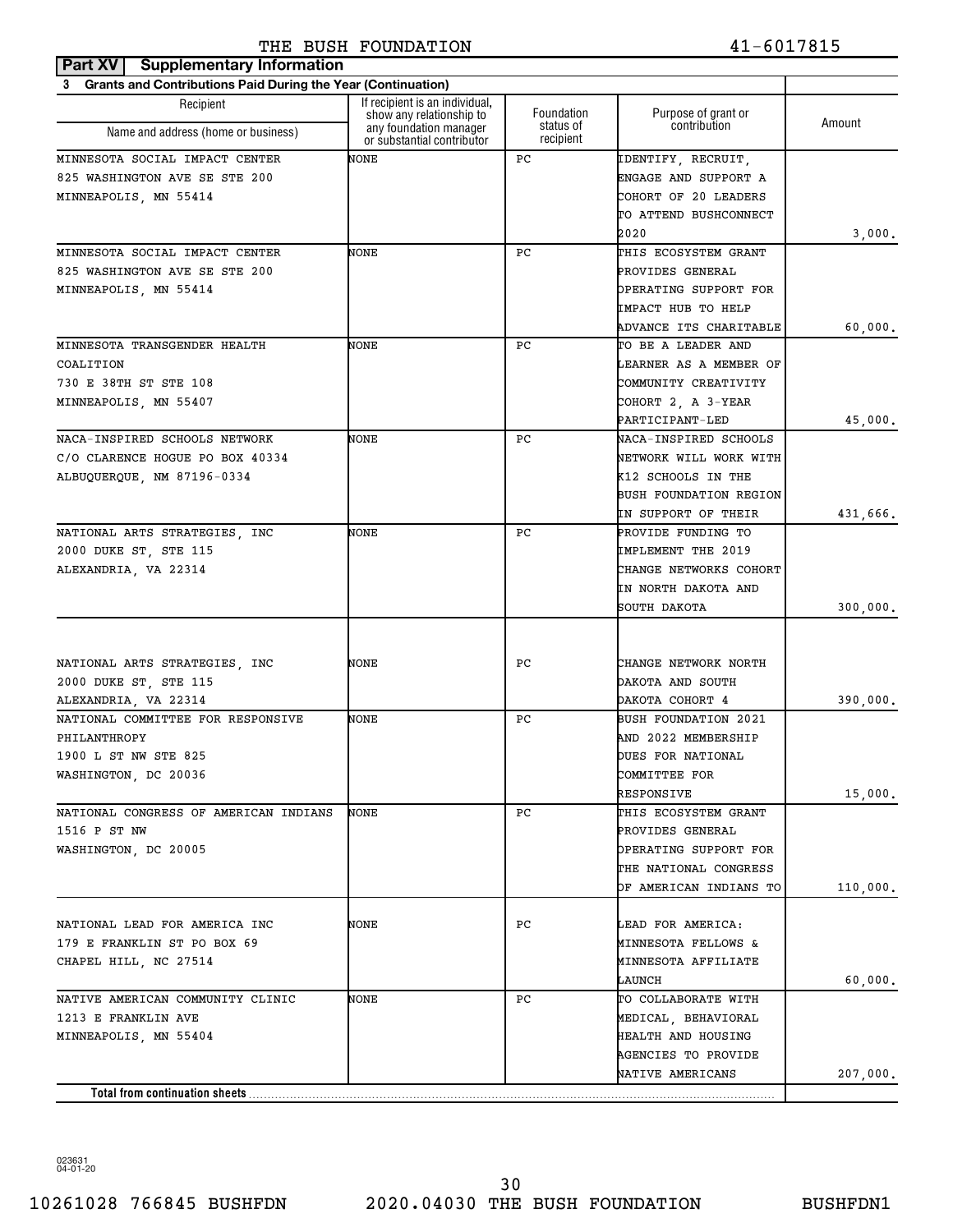| Grants and Contributions Paid During the Year (Continuation) |                                                                                  |                                      |                                           |          |
|--------------------------------------------------------------|----------------------------------------------------------------------------------|--------------------------------------|-------------------------------------------|----------|
| Recipient                                                    | If recipient is an individual,                                                   |                                      |                                           |          |
| Name and address (home or business)                          | show any relationship to<br>any foundation manager<br>or substantial contributor | Foundation<br>status of<br>recipient | Purpose of grant or<br>contribution       | Amount   |
| MINNESOTA SOCIAL IMPACT CENTER                               | NONE                                                                             | PС                                   | IDENTIFY, RECRUIT,                        |          |
| 825 WASHINGTON AVE SE STE 200                                |                                                                                  |                                      | ENGAGE AND SUPPORT A                      |          |
| MINNEAPOLIS, MN 55414                                        |                                                                                  |                                      | COHORT OF 20 LEADERS                      |          |
|                                                              |                                                                                  |                                      | TO ATTEND BUSHCONNECT                     |          |
|                                                              |                                                                                  |                                      | 2020                                      | 3,000.   |
| MINNESOTA SOCIAL IMPACT CENTER                               | NONE                                                                             | РC                                   | THIS ECOSYSTEM GRANT                      |          |
| 825 WASHINGTON AVE SE STE 200                                |                                                                                  |                                      | PROVIDES GENERAL                          |          |
| MINNEAPOLIS, MN 55414                                        |                                                                                  |                                      | OPERATING SUPPORT FOR                     |          |
|                                                              |                                                                                  |                                      | IMPACT HUB TO HELP                        |          |
|                                                              |                                                                                  |                                      | ADVANCE ITS CHARITABLE                    | 60,000.  |
| MINNESOTA TRANSGENDER HEALTH                                 | NONE                                                                             | РC                                   | TO BE A LEADER AND                        |          |
| COALITION                                                    |                                                                                  |                                      | LEARNER AS A MEMBER OF                    |          |
| 730 E 38TH ST STE 108                                        |                                                                                  |                                      | COMMUNITY CREATIVITY                      |          |
| MINNEAPOLIS, MN 55407                                        |                                                                                  |                                      | COHORT 2, A 3-YEAR                        |          |
|                                                              |                                                                                  |                                      | PARTICIPANT-LED                           | 45,000.  |
| NACA-INSPIRED SCHOOLS NETWORK                                | NONE                                                                             | РC                                   | NACA-INSPIRED SCHOOLS                     |          |
| C/O CLARENCE HOGUE PO BOX 40334                              |                                                                                  |                                      | NETWORK WILL WORK WITH                    |          |
| ALBUQUERQUE, NM 87196-0334                                   |                                                                                  |                                      | K12 SCHOOLS IN THE                        |          |
|                                                              |                                                                                  |                                      | <b>BUSH FOUNDATION REGION</b>             |          |
|                                                              |                                                                                  |                                      | IN SUPPORT OF THEIR                       | 431,666. |
| NATIONAL ARTS STRATEGIES, INC                                | NONE                                                                             | РC                                   | PROVIDE FUNDING TO                        |          |
| 2000 DUKE ST, STE 115                                        |                                                                                  |                                      | IMPLEMENT THE 2019                        |          |
| ALEXANDRIA, VA 22314                                         |                                                                                  |                                      | CHANGE NETWORKS COHORT                    |          |
|                                                              |                                                                                  |                                      | IN NORTH DAKOTA AND                       |          |
|                                                              |                                                                                  |                                      | SOUTH DAKOTA                              | 300,000. |
|                                                              |                                                                                  |                                      |                                           |          |
|                                                              |                                                                                  |                                      |                                           |          |
| NATIONAL ARTS STRATEGIES, INC                                | NONE                                                                             | РC                                   | CHANGE NETWORK NORTH                      |          |
| 2000 DUKE ST, STE 115                                        |                                                                                  |                                      | DAKOTA AND SOUTH                          |          |
| ALEXANDRIA, VA 22314                                         |                                                                                  |                                      | DAKOTA COHORT 4                           | 390,000. |
| NATIONAL COMMITTEE FOR RESPONSIVE                            | NONE                                                                             | РC                                   | <b>BUSH FOUNDATION 2021</b>               |          |
| PHILANTHROPY                                                 |                                                                                  |                                      | AND 2022 MEMBERSHIP                       |          |
| 1900 L ST NW STE 825                                         |                                                                                  |                                      | <b>DUES FOR NATIONAL</b>                  |          |
| WASHINGTON, DC 20036                                         |                                                                                  |                                      | COMMITTEE FOR                             |          |
| NATIONAL CONGRESS OF AMERICAN INDIANS                        |                                                                                  |                                      | RESPONSIVE                                | 15,000.  |
|                                                              | NONE                                                                             | РC                                   | THIS ECOSYSTEM GRANT                      |          |
| 1516 P ST NW                                                 |                                                                                  |                                      | PROVIDES GENERAL<br>OPERATING SUPPORT FOR |          |
| WASHINGTON, DC 20005                                         |                                                                                  |                                      |                                           |          |
|                                                              |                                                                                  |                                      | THE NATIONAL CONGRESS                     |          |
|                                                              |                                                                                  |                                      | OF AMERICAN INDIANS TO                    | 110,000. |
| NATIONAL LEAD FOR AMERICA INC                                | NONE                                                                             | PС                                   | LEAD FOR AMERICA:                         |          |
| 179 E FRANKLIN ST PO BOX 69                                  |                                                                                  |                                      | <b>MINNESOTA FELLOWS &amp;</b>            |          |
| CHAPEL HILL, NC 27514                                        |                                                                                  |                                      | MINNESOTA AFFILIATE                       |          |
|                                                              |                                                                                  |                                      | LAUNCH                                    | 60,000.  |
| NATIVE AMERICAN COMMUNITY CLINIC                             | NONE                                                                             | РC                                   | TO COLLABORATE WITH                       |          |
| 1213 E FRANKLIN AVE                                          |                                                                                  |                                      | MEDICAL, BEHAVIORAL                       |          |
| MINNEAPOLIS, MN 55404                                        |                                                                                  |                                      | HEALTH AND HOUSING                        |          |
|                                                              |                                                                                  |                                      | AGENCIES TO PROVIDE                       |          |
|                                                              |                                                                                  |                                      | NATIVE AMERICANS                          | 207,000. |
| Total from continuation sheets                               |                                                                                  |                                      |                                           |          |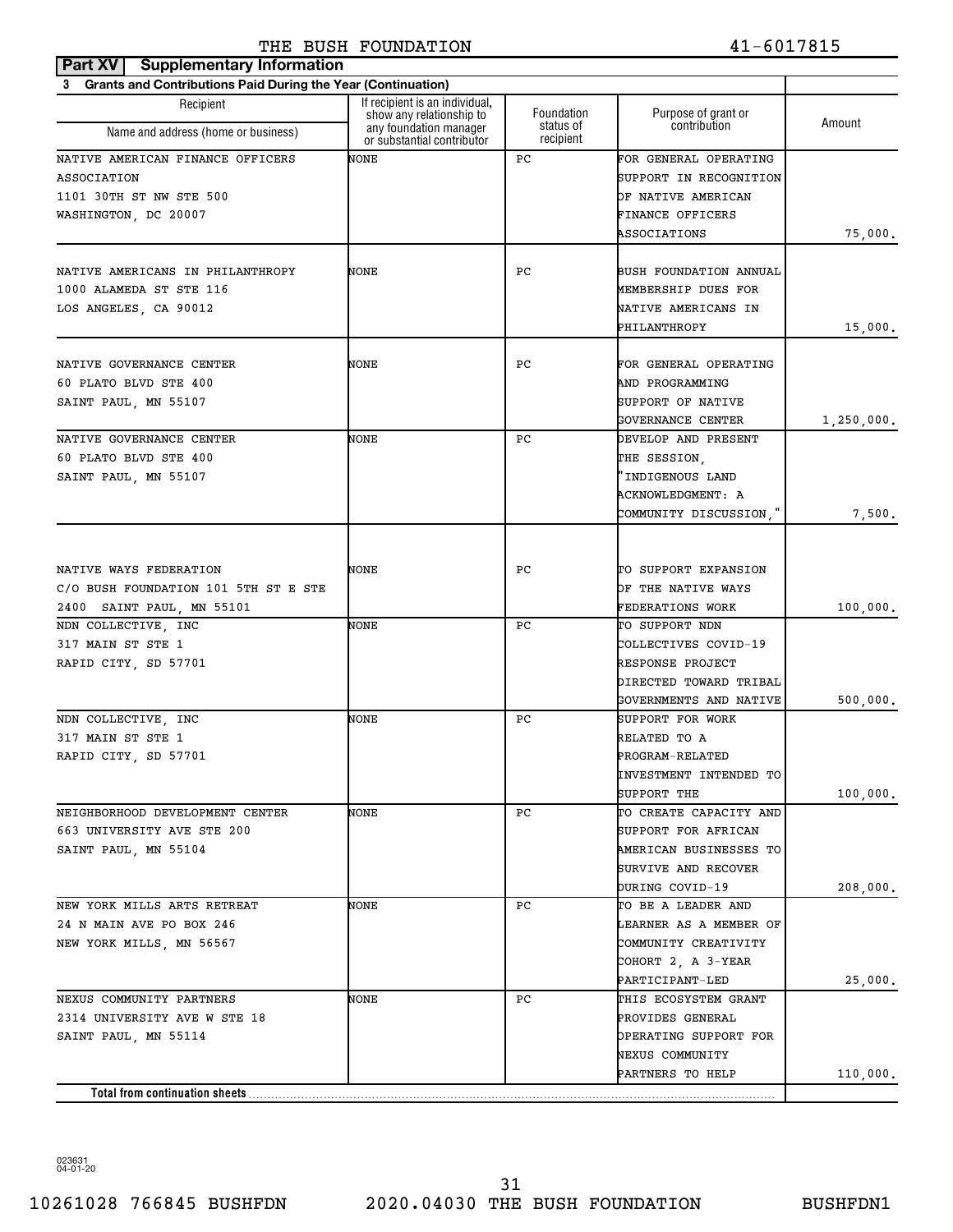#### **Part XV** Supplementary Information THE BUSH FOUNDATION 41-6017815

| <b>Grants and Contributions Paid During the Year (Continuation)</b> |                                                            |                        |                                       |            |
|---------------------------------------------------------------------|------------------------------------------------------------|------------------------|---------------------------------------|------------|
| Recipient                                                           | If recipient is an individual,<br>show any relationship to | Foundation             | Purpose of grant or                   |            |
| Name and address (home or business)                                 | any foundation manager<br>or substantial contributor       | status of<br>recipient | contribution                          | Amount     |
| NATIVE AMERICAN FINANCE OFFICERS                                    | NONE                                                       | РC                     | FOR GENERAL OPERATING                 |            |
| <b>ASSOCIATION</b>                                                  |                                                            |                        | SUPPORT IN RECOGNITION                |            |
| 1101 30TH ST NW STE 500                                             |                                                            |                        | OF NATIVE AMERICAN                    |            |
| WASHINGTON, DC 20007                                                |                                                            |                        | FINANCE OFFICERS                      |            |
|                                                                     |                                                            |                        | ASSOCIATIONS                          | 75,000.    |
| NATIVE AMERICANS IN PHILANTHROPY                                    | NONE                                                       | РC                     | BUSH FOUNDATION ANNUAL                |            |
| 1000 ALAMEDA ST STE 116                                             |                                                            |                        | MEMBERSHIP DUES FOR                   |            |
| LOS ANGELES, CA 90012                                               |                                                            |                        | NATIVE AMERICANS IN                   |            |
|                                                                     |                                                            |                        | PHILANTHROPY                          | 15,000.    |
| NATIVE GOVERNANCE CENTER                                            | NONE                                                       | РC                     | FOR GENERAL OPERATING                 |            |
| 60 PLATO BLVD STE 400                                               |                                                            |                        | AND PROGRAMMING                       |            |
| SAINT PAUL, MN 55107                                                |                                                            |                        | SUPPORT OF NATIVE                     |            |
|                                                                     |                                                            |                        | GOVERNANCE CENTER                     |            |
| NATIVE GOVERNANCE CENTER                                            | NONE                                                       | РC                     | DEVELOP AND PRESENT                   | 1,250,000. |
| 60 PLATO BLVD STE 400                                               |                                                            |                        | THE SESSION.                          |            |
|                                                                     |                                                            |                        |                                       |            |
| SAINT PAUL, MN 55107                                                |                                                            |                        | 'INDIGENOUS LAND                      |            |
|                                                                     |                                                            |                        | ACKNOWLEDGMENT: A                     |            |
|                                                                     |                                                            |                        | COMMUNITY DISCUSSION,"                | 7,500.     |
|                                                                     |                                                            |                        |                                       |            |
| NATIVE WAYS FEDERATION                                              | NONE                                                       | РC                     | TO SUPPORT EXPANSION                  |            |
| C/O BUSH FOUNDATION 101 5TH ST E STE                                |                                                            |                        | OF THE NATIVE WAYS                    |            |
| 2400 SAINT PAUL, MN 55101                                           |                                                            |                        | FEDERATIONS WORK                      | 100,000.   |
| NDN COLLECTIVE, INC                                                 | NONE                                                       | РC                     | TO SUPPORT NDN                        |            |
| 317 MAIN ST STE 1                                                   |                                                            |                        | COLLECTIVES COVID-19                  |            |
| RAPID CITY, SD 57701                                                |                                                            |                        | RESPONSE PROJECT                      |            |
|                                                                     |                                                            |                        | DIRECTED TOWARD TRIBAL                |            |
|                                                                     |                                                            |                        | GOVERNMENTS AND NATIVE                | 500,000.   |
| NDN COLLECTIVE, INC                                                 | NONE                                                       | РC                     | SUPPORT FOR WORK                      |            |
| 317 MAIN ST STE 1                                                   |                                                            |                        | RELATED TO A                          |            |
| RAPID CITY, SD 57701                                                |                                                            |                        | PROGRAM-RELATED                       |            |
|                                                                     |                                                            |                        | INVESTMENT INTENDED TO                |            |
|                                                                     |                                                            |                        | SUPPORT THE                           | 100,000.   |
| NEIGHBORHOOD DEVELOPMENT CENTER                                     | NONE                                                       | РC                     | TO CREATE CAPACITY AND                |            |
| 663 UNIVERSITY AVE STE 200                                          |                                                            |                        | SUPPORT FOR AFRICAN                   |            |
| SAINT PAUL, MN 55104                                                |                                                            |                        | AMERICAN BUSINESSES TO                |            |
|                                                                     |                                                            |                        | SURVIVE AND RECOVER                   |            |
| NEW YORK MILLS ARTS RETREAT                                         | NONE                                                       | РC                     | DURING COVID-19<br>TO BE A LEADER AND | 208,000.   |
| 24 N MAIN AVE PO BOX 246                                            |                                                            |                        | LEARNER AS A MEMBER OF                |            |
| NEW YORK MILLS, MN 56567                                            |                                                            |                        | COMMUNITY CREATIVITY                  |            |
|                                                                     |                                                            |                        | COHORT 2, A 3-YEAR                    |            |
|                                                                     |                                                            |                        | PARTICIPANT-LED                       |            |
| NEXUS COMMUNITY PARTNERS                                            | NONE                                                       | РC                     | THIS ECOSYSTEM GRANT                  | 25,000.    |
| 2314 UNIVERSITY AVE W STE 18                                        |                                                            |                        | PROVIDES GENERAL                      |            |
| SAINT PAUL, MN 55114                                                |                                                            |                        | OPERATING SUPPORT FOR                 |            |
|                                                                     |                                                            |                        | NEXUS COMMUNITY                       |            |
|                                                                     |                                                            |                        | PARTNERS TO HELP                      | 110,000.   |
| Total from continuation sheets                                      |                                                            |                        |                                       |            |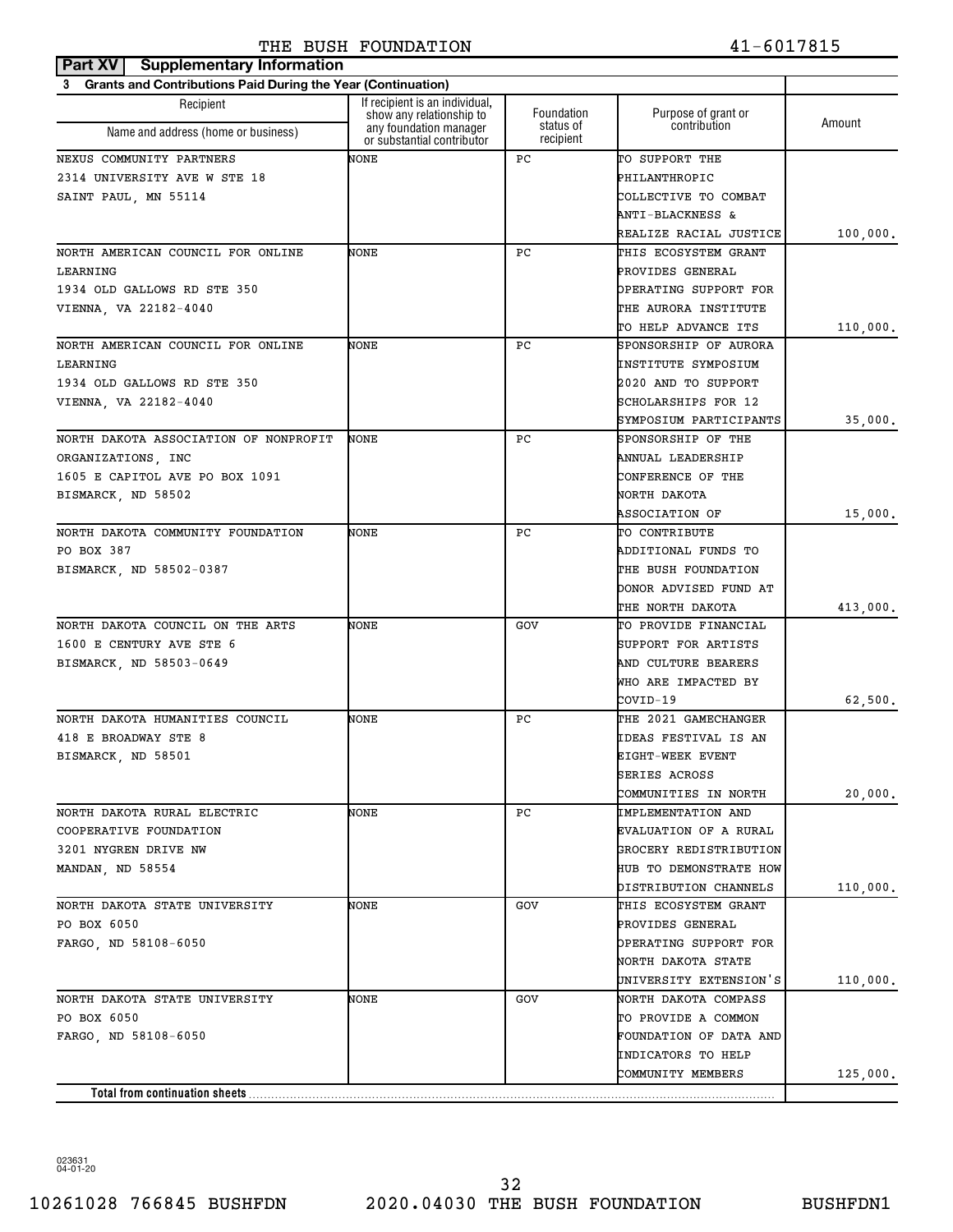| <b>Grants and Contributions Paid During the Year (Continuation)</b><br>3<br>If recipient is an individual,<br>Recipient<br>Foundation<br>Purpose of grant or<br>show any relationship to<br>Amount<br>status of<br>contribution<br>any foundation manager<br>Name and address (home or business)<br>recipient<br>or substantial contributor<br>NONE<br>РC<br>TO SUPPORT THE<br>PHILANTHROPIC<br>COLLECTIVE TO COMBAT<br>ANTI-BLACKNESS &<br>REALIZE RACIAL JUSTICE<br>100,000.<br>NONE<br>РC<br>THIS ECOSYSTEM GRANT<br>PROVIDES GENERAL<br>OPERATING SUPPORT FOR<br>THE AURORA INSTITUTE<br>TO HELP ADVANCE ITS<br>110,000.<br>NONE<br>РC<br>SPONSORSHIP OF AURORA<br>INSTITUTE SYMPOSIUM<br>2020 AND TO SUPPORT<br>SCHOLARSHIPS FOR 12<br>SYMPOSIUM PARTICIPANTS<br>35,000.<br>РC<br>NONE<br>SPONSORSHIP OF THE<br>ANNUAL LEADERSHIP<br>CONFERENCE OF THE<br>BISMARCK, ND 58502<br>NORTH DAKOTA<br>15,000.<br>ASSOCIATION OF<br>РC<br>TO CONTRIBUTE<br>NONE<br>ADDITIONAL FUNDS TO<br>THE BUSH FOUNDATION<br>BISMARCK, ND 58502-0387<br>DONOR ADVISED FUND AT<br>THE NORTH DAKOTA<br>413,000.<br>NONE<br>TO PROVIDE FINANCIAL<br>GOV<br>SUPPORT FOR ARTISTS<br>AND CULTURE BEARERS<br>BISMARCK, ND 58503-0649<br>WHO ARE IMPACTED BY<br>62,500.<br>COVID-19<br>РC<br>NONE<br>THE 2021 GAMECHANGER<br>IDEAS FESTIVAL IS AN<br>BISMARCK, ND 58501<br>EIGHT-WEEK EVENT<br>SERIES ACROSS<br>COMMUNITIES IN NORTH<br>20,000.<br>NONE<br>PC<br>IMPLEMENTATION AND<br>COOPERATIVE FOUNDATION<br>EVALUATION OF A RURAL<br>GROCERY REDISTRIBUTION<br><b>HUB TO DEMONSTRATE HOW</b><br>MANDAN, ND 58554<br>DISTRIBUTION CHANNELS<br>110,000.<br>NORTH DAKOTA STATE UNIVERSITY<br>NONE<br>GOV<br>THIS ECOSYSTEM GRANT<br>PO BOX 6050<br>PROVIDES GENERAL<br>OPERATING SUPPORT FOR<br>FARGO, ND 58108-6050<br>NORTH DAKOTA STATE<br>UNIVERSITY EXTENSION'S<br>110,000.<br>NORTH DAKOTA STATE UNIVERSITY<br>NONE<br>GOV<br>NORTH DAKOTA COMPASS<br>PO BOX 6050<br>TO PROVIDE A COMMON<br>FARGO, ND 58108-6050<br>FOUNDATION OF DATA AND<br>INDICATORS TO HELP<br>COMMUNITY MEMBERS<br>125,000.<br>Total from continuation sheets | Part XV<br><b>Supplementary Information</b> |  |  |
|-----------------------------------------------------------------------------------------------------------------------------------------------------------------------------------------------------------------------------------------------------------------------------------------------------------------------------------------------------------------------------------------------------------------------------------------------------------------------------------------------------------------------------------------------------------------------------------------------------------------------------------------------------------------------------------------------------------------------------------------------------------------------------------------------------------------------------------------------------------------------------------------------------------------------------------------------------------------------------------------------------------------------------------------------------------------------------------------------------------------------------------------------------------------------------------------------------------------------------------------------------------------------------------------------------------------------------------------------------------------------------------------------------------------------------------------------------------------------------------------------------------------------------------------------------------------------------------------------------------------------------------------------------------------------------------------------------------------------------------------------------------------------------------------------------------------------------------------------------------------------------------------------------------------------------------------------------------------------------------------------------------------------------------------------------------------------------------------------------------------------|---------------------------------------------|--|--|
|                                                                                                                                                                                                                                                                                                                                                                                                                                                                                                                                                                                                                                                                                                                                                                                                                                                                                                                                                                                                                                                                                                                                                                                                                                                                                                                                                                                                                                                                                                                                                                                                                                                                                                                                                                                                                                                                                                                                                                                                                                                                                                                       |                                             |  |  |
|                                                                                                                                                                                                                                                                                                                                                                                                                                                                                                                                                                                                                                                                                                                                                                                                                                                                                                                                                                                                                                                                                                                                                                                                                                                                                                                                                                                                                                                                                                                                                                                                                                                                                                                                                                                                                                                                                                                                                                                                                                                                                                                       |                                             |  |  |
|                                                                                                                                                                                                                                                                                                                                                                                                                                                                                                                                                                                                                                                                                                                                                                                                                                                                                                                                                                                                                                                                                                                                                                                                                                                                                                                                                                                                                                                                                                                                                                                                                                                                                                                                                                                                                                                                                                                                                                                                                                                                                                                       |                                             |  |  |
|                                                                                                                                                                                                                                                                                                                                                                                                                                                                                                                                                                                                                                                                                                                                                                                                                                                                                                                                                                                                                                                                                                                                                                                                                                                                                                                                                                                                                                                                                                                                                                                                                                                                                                                                                                                                                                                                                                                                                                                                                                                                                                                       | NEXUS COMMUNITY PARTNERS                    |  |  |
|                                                                                                                                                                                                                                                                                                                                                                                                                                                                                                                                                                                                                                                                                                                                                                                                                                                                                                                                                                                                                                                                                                                                                                                                                                                                                                                                                                                                                                                                                                                                                                                                                                                                                                                                                                                                                                                                                                                                                                                                                                                                                                                       | 2314 UNIVERSITY AVE W STE 18                |  |  |
|                                                                                                                                                                                                                                                                                                                                                                                                                                                                                                                                                                                                                                                                                                                                                                                                                                                                                                                                                                                                                                                                                                                                                                                                                                                                                                                                                                                                                                                                                                                                                                                                                                                                                                                                                                                                                                                                                                                                                                                                                                                                                                                       | SAINT PAUL, MN 55114                        |  |  |
|                                                                                                                                                                                                                                                                                                                                                                                                                                                                                                                                                                                                                                                                                                                                                                                                                                                                                                                                                                                                                                                                                                                                                                                                                                                                                                                                                                                                                                                                                                                                                                                                                                                                                                                                                                                                                                                                                                                                                                                                                                                                                                                       |                                             |  |  |
|                                                                                                                                                                                                                                                                                                                                                                                                                                                                                                                                                                                                                                                                                                                                                                                                                                                                                                                                                                                                                                                                                                                                                                                                                                                                                                                                                                                                                                                                                                                                                                                                                                                                                                                                                                                                                                                                                                                                                                                                                                                                                                                       |                                             |  |  |
|                                                                                                                                                                                                                                                                                                                                                                                                                                                                                                                                                                                                                                                                                                                                                                                                                                                                                                                                                                                                                                                                                                                                                                                                                                                                                                                                                                                                                                                                                                                                                                                                                                                                                                                                                                                                                                                                                                                                                                                                                                                                                                                       | NORTH AMERICAN COUNCIL FOR ONLINE           |  |  |
|                                                                                                                                                                                                                                                                                                                                                                                                                                                                                                                                                                                                                                                                                                                                                                                                                                                                                                                                                                                                                                                                                                                                                                                                                                                                                                                                                                                                                                                                                                                                                                                                                                                                                                                                                                                                                                                                                                                                                                                                                                                                                                                       | LEARNING                                    |  |  |
|                                                                                                                                                                                                                                                                                                                                                                                                                                                                                                                                                                                                                                                                                                                                                                                                                                                                                                                                                                                                                                                                                                                                                                                                                                                                                                                                                                                                                                                                                                                                                                                                                                                                                                                                                                                                                                                                                                                                                                                                                                                                                                                       | 1934 OLD GALLOWS RD STE 350                 |  |  |
|                                                                                                                                                                                                                                                                                                                                                                                                                                                                                                                                                                                                                                                                                                                                                                                                                                                                                                                                                                                                                                                                                                                                                                                                                                                                                                                                                                                                                                                                                                                                                                                                                                                                                                                                                                                                                                                                                                                                                                                                                                                                                                                       | VIENNA, VA 22182-4040                       |  |  |
|                                                                                                                                                                                                                                                                                                                                                                                                                                                                                                                                                                                                                                                                                                                                                                                                                                                                                                                                                                                                                                                                                                                                                                                                                                                                                                                                                                                                                                                                                                                                                                                                                                                                                                                                                                                                                                                                                                                                                                                                                                                                                                                       |                                             |  |  |
|                                                                                                                                                                                                                                                                                                                                                                                                                                                                                                                                                                                                                                                                                                                                                                                                                                                                                                                                                                                                                                                                                                                                                                                                                                                                                                                                                                                                                                                                                                                                                                                                                                                                                                                                                                                                                                                                                                                                                                                                                                                                                                                       | NORTH AMERICAN COUNCIL FOR ONLINE           |  |  |
|                                                                                                                                                                                                                                                                                                                                                                                                                                                                                                                                                                                                                                                                                                                                                                                                                                                                                                                                                                                                                                                                                                                                                                                                                                                                                                                                                                                                                                                                                                                                                                                                                                                                                                                                                                                                                                                                                                                                                                                                                                                                                                                       | LEARNING                                    |  |  |
|                                                                                                                                                                                                                                                                                                                                                                                                                                                                                                                                                                                                                                                                                                                                                                                                                                                                                                                                                                                                                                                                                                                                                                                                                                                                                                                                                                                                                                                                                                                                                                                                                                                                                                                                                                                                                                                                                                                                                                                                                                                                                                                       | 1934 OLD GALLOWS RD STE 350                 |  |  |
|                                                                                                                                                                                                                                                                                                                                                                                                                                                                                                                                                                                                                                                                                                                                                                                                                                                                                                                                                                                                                                                                                                                                                                                                                                                                                                                                                                                                                                                                                                                                                                                                                                                                                                                                                                                                                                                                                                                                                                                                                                                                                                                       | VIENNA, VA 22182-4040                       |  |  |
|                                                                                                                                                                                                                                                                                                                                                                                                                                                                                                                                                                                                                                                                                                                                                                                                                                                                                                                                                                                                                                                                                                                                                                                                                                                                                                                                                                                                                                                                                                                                                                                                                                                                                                                                                                                                                                                                                                                                                                                                                                                                                                                       |                                             |  |  |
|                                                                                                                                                                                                                                                                                                                                                                                                                                                                                                                                                                                                                                                                                                                                                                                                                                                                                                                                                                                                                                                                                                                                                                                                                                                                                                                                                                                                                                                                                                                                                                                                                                                                                                                                                                                                                                                                                                                                                                                                                                                                                                                       | NORTH DAKOTA ASSOCIATION OF NONPROFIT       |  |  |
|                                                                                                                                                                                                                                                                                                                                                                                                                                                                                                                                                                                                                                                                                                                                                                                                                                                                                                                                                                                                                                                                                                                                                                                                                                                                                                                                                                                                                                                                                                                                                                                                                                                                                                                                                                                                                                                                                                                                                                                                                                                                                                                       | ORGANIZATIONS, INC                          |  |  |
|                                                                                                                                                                                                                                                                                                                                                                                                                                                                                                                                                                                                                                                                                                                                                                                                                                                                                                                                                                                                                                                                                                                                                                                                                                                                                                                                                                                                                                                                                                                                                                                                                                                                                                                                                                                                                                                                                                                                                                                                                                                                                                                       | 1605 E CAPITOL AVE PO BOX 1091              |  |  |
|                                                                                                                                                                                                                                                                                                                                                                                                                                                                                                                                                                                                                                                                                                                                                                                                                                                                                                                                                                                                                                                                                                                                                                                                                                                                                                                                                                                                                                                                                                                                                                                                                                                                                                                                                                                                                                                                                                                                                                                                                                                                                                                       |                                             |  |  |
|                                                                                                                                                                                                                                                                                                                                                                                                                                                                                                                                                                                                                                                                                                                                                                                                                                                                                                                                                                                                                                                                                                                                                                                                                                                                                                                                                                                                                                                                                                                                                                                                                                                                                                                                                                                                                                                                                                                                                                                                                                                                                                                       |                                             |  |  |
|                                                                                                                                                                                                                                                                                                                                                                                                                                                                                                                                                                                                                                                                                                                                                                                                                                                                                                                                                                                                                                                                                                                                                                                                                                                                                                                                                                                                                                                                                                                                                                                                                                                                                                                                                                                                                                                                                                                                                                                                                                                                                                                       | NORTH DAKOTA COMMUNITY FOUNDATION           |  |  |
|                                                                                                                                                                                                                                                                                                                                                                                                                                                                                                                                                                                                                                                                                                                                                                                                                                                                                                                                                                                                                                                                                                                                                                                                                                                                                                                                                                                                                                                                                                                                                                                                                                                                                                                                                                                                                                                                                                                                                                                                                                                                                                                       | PO BOX 387                                  |  |  |
|                                                                                                                                                                                                                                                                                                                                                                                                                                                                                                                                                                                                                                                                                                                                                                                                                                                                                                                                                                                                                                                                                                                                                                                                                                                                                                                                                                                                                                                                                                                                                                                                                                                                                                                                                                                                                                                                                                                                                                                                                                                                                                                       |                                             |  |  |
|                                                                                                                                                                                                                                                                                                                                                                                                                                                                                                                                                                                                                                                                                                                                                                                                                                                                                                                                                                                                                                                                                                                                                                                                                                                                                                                                                                                                                                                                                                                                                                                                                                                                                                                                                                                                                                                                                                                                                                                                                                                                                                                       |                                             |  |  |
|                                                                                                                                                                                                                                                                                                                                                                                                                                                                                                                                                                                                                                                                                                                                                                                                                                                                                                                                                                                                                                                                                                                                                                                                                                                                                                                                                                                                                                                                                                                                                                                                                                                                                                                                                                                                                                                                                                                                                                                                                                                                                                                       |                                             |  |  |
|                                                                                                                                                                                                                                                                                                                                                                                                                                                                                                                                                                                                                                                                                                                                                                                                                                                                                                                                                                                                                                                                                                                                                                                                                                                                                                                                                                                                                                                                                                                                                                                                                                                                                                                                                                                                                                                                                                                                                                                                                                                                                                                       | NORTH DAKOTA COUNCIL ON THE ARTS            |  |  |
|                                                                                                                                                                                                                                                                                                                                                                                                                                                                                                                                                                                                                                                                                                                                                                                                                                                                                                                                                                                                                                                                                                                                                                                                                                                                                                                                                                                                                                                                                                                                                                                                                                                                                                                                                                                                                                                                                                                                                                                                                                                                                                                       | 1600 E CENTURY AVE STE 6                    |  |  |
|                                                                                                                                                                                                                                                                                                                                                                                                                                                                                                                                                                                                                                                                                                                                                                                                                                                                                                                                                                                                                                                                                                                                                                                                                                                                                                                                                                                                                                                                                                                                                                                                                                                                                                                                                                                                                                                                                                                                                                                                                                                                                                                       |                                             |  |  |
|                                                                                                                                                                                                                                                                                                                                                                                                                                                                                                                                                                                                                                                                                                                                                                                                                                                                                                                                                                                                                                                                                                                                                                                                                                                                                                                                                                                                                                                                                                                                                                                                                                                                                                                                                                                                                                                                                                                                                                                                                                                                                                                       |                                             |  |  |
|                                                                                                                                                                                                                                                                                                                                                                                                                                                                                                                                                                                                                                                                                                                                                                                                                                                                                                                                                                                                                                                                                                                                                                                                                                                                                                                                                                                                                                                                                                                                                                                                                                                                                                                                                                                                                                                                                                                                                                                                                                                                                                                       |                                             |  |  |
|                                                                                                                                                                                                                                                                                                                                                                                                                                                                                                                                                                                                                                                                                                                                                                                                                                                                                                                                                                                                                                                                                                                                                                                                                                                                                                                                                                                                                                                                                                                                                                                                                                                                                                                                                                                                                                                                                                                                                                                                                                                                                                                       | NORTH DAKOTA HUMANITIES COUNCIL             |  |  |
|                                                                                                                                                                                                                                                                                                                                                                                                                                                                                                                                                                                                                                                                                                                                                                                                                                                                                                                                                                                                                                                                                                                                                                                                                                                                                                                                                                                                                                                                                                                                                                                                                                                                                                                                                                                                                                                                                                                                                                                                                                                                                                                       | 418 E BROADWAY STE 8                        |  |  |
|                                                                                                                                                                                                                                                                                                                                                                                                                                                                                                                                                                                                                                                                                                                                                                                                                                                                                                                                                                                                                                                                                                                                                                                                                                                                                                                                                                                                                                                                                                                                                                                                                                                                                                                                                                                                                                                                                                                                                                                                                                                                                                                       |                                             |  |  |
|                                                                                                                                                                                                                                                                                                                                                                                                                                                                                                                                                                                                                                                                                                                                                                                                                                                                                                                                                                                                                                                                                                                                                                                                                                                                                                                                                                                                                                                                                                                                                                                                                                                                                                                                                                                                                                                                                                                                                                                                                                                                                                                       |                                             |  |  |
|                                                                                                                                                                                                                                                                                                                                                                                                                                                                                                                                                                                                                                                                                                                                                                                                                                                                                                                                                                                                                                                                                                                                                                                                                                                                                                                                                                                                                                                                                                                                                                                                                                                                                                                                                                                                                                                                                                                                                                                                                                                                                                                       |                                             |  |  |
|                                                                                                                                                                                                                                                                                                                                                                                                                                                                                                                                                                                                                                                                                                                                                                                                                                                                                                                                                                                                                                                                                                                                                                                                                                                                                                                                                                                                                                                                                                                                                                                                                                                                                                                                                                                                                                                                                                                                                                                                                                                                                                                       | NORTH DAKOTA RURAL ELECTRIC                 |  |  |
|                                                                                                                                                                                                                                                                                                                                                                                                                                                                                                                                                                                                                                                                                                                                                                                                                                                                                                                                                                                                                                                                                                                                                                                                                                                                                                                                                                                                                                                                                                                                                                                                                                                                                                                                                                                                                                                                                                                                                                                                                                                                                                                       |                                             |  |  |
|                                                                                                                                                                                                                                                                                                                                                                                                                                                                                                                                                                                                                                                                                                                                                                                                                                                                                                                                                                                                                                                                                                                                                                                                                                                                                                                                                                                                                                                                                                                                                                                                                                                                                                                                                                                                                                                                                                                                                                                                                                                                                                                       | 3201 NYGREN DRIVE NW                        |  |  |
|                                                                                                                                                                                                                                                                                                                                                                                                                                                                                                                                                                                                                                                                                                                                                                                                                                                                                                                                                                                                                                                                                                                                                                                                                                                                                                                                                                                                                                                                                                                                                                                                                                                                                                                                                                                                                                                                                                                                                                                                                                                                                                                       |                                             |  |  |
|                                                                                                                                                                                                                                                                                                                                                                                                                                                                                                                                                                                                                                                                                                                                                                                                                                                                                                                                                                                                                                                                                                                                                                                                                                                                                                                                                                                                                                                                                                                                                                                                                                                                                                                                                                                                                                                                                                                                                                                                                                                                                                                       |                                             |  |  |
|                                                                                                                                                                                                                                                                                                                                                                                                                                                                                                                                                                                                                                                                                                                                                                                                                                                                                                                                                                                                                                                                                                                                                                                                                                                                                                                                                                                                                                                                                                                                                                                                                                                                                                                                                                                                                                                                                                                                                                                                                                                                                                                       |                                             |  |  |
|                                                                                                                                                                                                                                                                                                                                                                                                                                                                                                                                                                                                                                                                                                                                                                                                                                                                                                                                                                                                                                                                                                                                                                                                                                                                                                                                                                                                                                                                                                                                                                                                                                                                                                                                                                                                                                                                                                                                                                                                                                                                                                                       |                                             |  |  |
|                                                                                                                                                                                                                                                                                                                                                                                                                                                                                                                                                                                                                                                                                                                                                                                                                                                                                                                                                                                                                                                                                                                                                                                                                                                                                                                                                                                                                                                                                                                                                                                                                                                                                                                                                                                                                                                                                                                                                                                                                                                                                                                       |                                             |  |  |
|                                                                                                                                                                                                                                                                                                                                                                                                                                                                                                                                                                                                                                                                                                                                                                                                                                                                                                                                                                                                                                                                                                                                                                                                                                                                                                                                                                                                                                                                                                                                                                                                                                                                                                                                                                                                                                                                                                                                                                                                                                                                                                                       |                                             |  |  |
|                                                                                                                                                                                                                                                                                                                                                                                                                                                                                                                                                                                                                                                                                                                                                                                                                                                                                                                                                                                                                                                                                                                                                                                                                                                                                                                                                                                                                                                                                                                                                                                                                                                                                                                                                                                                                                                                                                                                                                                                                                                                                                                       |                                             |  |  |
|                                                                                                                                                                                                                                                                                                                                                                                                                                                                                                                                                                                                                                                                                                                                                                                                                                                                                                                                                                                                                                                                                                                                                                                                                                                                                                                                                                                                                                                                                                                                                                                                                                                                                                                                                                                                                                                                                                                                                                                                                                                                                                                       |                                             |  |  |
|                                                                                                                                                                                                                                                                                                                                                                                                                                                                                                                                                                                                                                                                                                                                                                                                                                                                                                                                                                                                                                                                                                                                                                                                                                                                                                                                                                                                                                                                                                                                                                                                                                                                                                                                                                                                                                                                                                                                                                                                                                                                                                                       |                                             |  |  |
|                                                                                                                                                                                                                                                                                                                                                                                                                                                                                                                                                                                                                                                                                                                                                                                                                                                                                                                                                                                                                                                                                                                                                                                                                                                                                                                                                                                                                                                                                                                                                                                                                                                                                                                                                                                                                                                                                                                                                                                                                                                                                                                       |                                             |  |  |
|                                                                                                                                                                                                                                                                                                                                                                                                                                                                                                                                                                                                                                                                                                                                                                                                                                                                                                                                                                                                                                                                                                                                                                                                                                                                                                                                                                                                                                                                                                                                                                                                                                                                                                                                                                                                                                                                                                                                                                                                                                                                                                                       |                                             |  |  |
|                                                                                                                                                                                                                                                                                                                                                                                                                                                                                                                                                                                                                                                                                                                                                                                                                                                                                                                                                                                                                                                                                                                                                                                                                                                                                                                                                                                                                                                                                                                                                                                                                                                                                                                                                                                                                                                                                                                                                                                                                                                                                                                       |                                             |  |  |
|                                                                                                                                                                                                                                                                                                                                                                                                                                                                                                                                                                                                                                                                                                                                                                                                                                                                                                                                                                                                                                                                                                                                                                                                                                                                                                                                                                                                                                                                                                                                                                                                                                                                                                                                                                                                                                                                                                                                                                                                                                                                                                                       |                                             |  |  |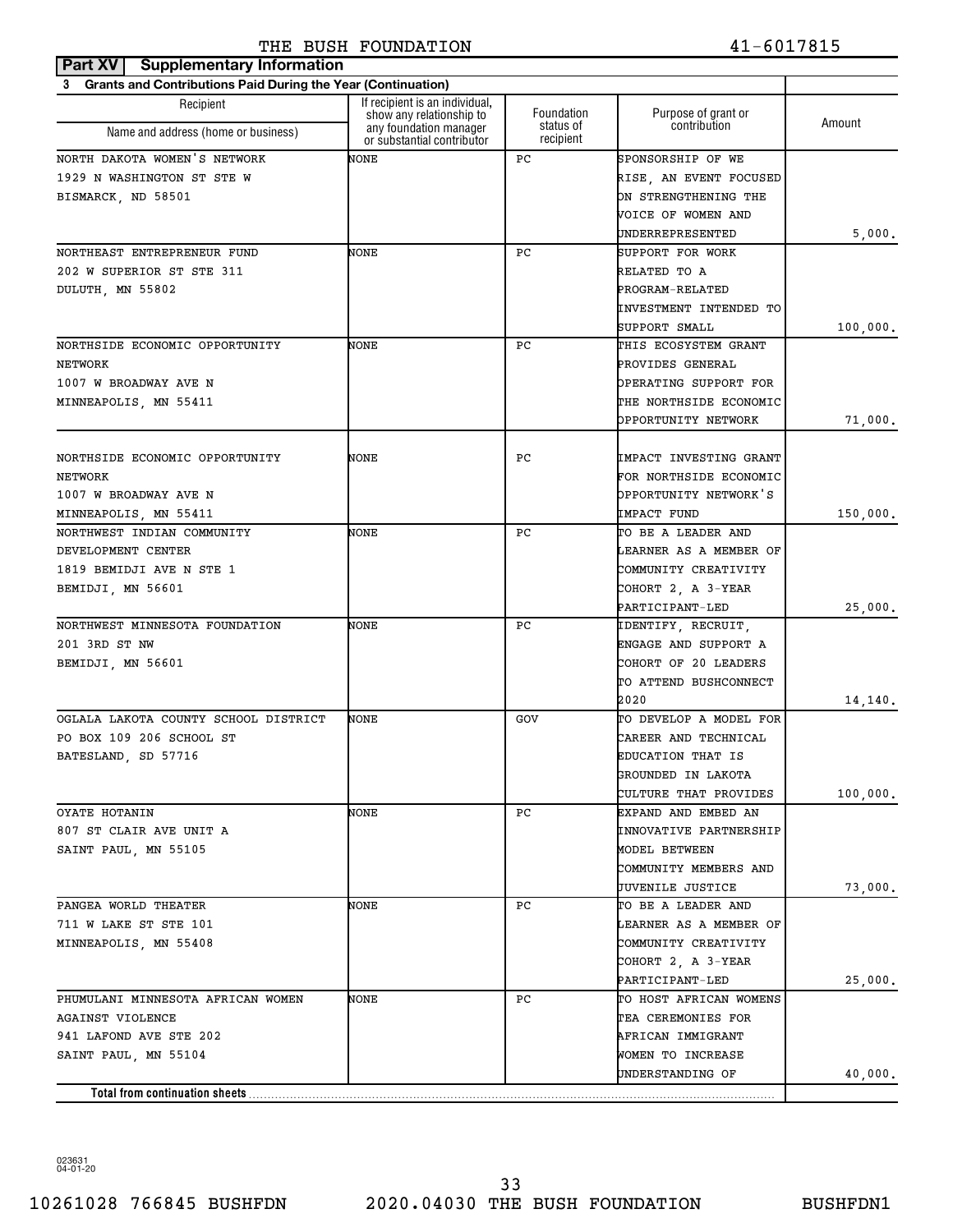| Part XV   Supplementary Information                                      |                                                            |                        |                                        |          |
|--------------------------------------------------------------------------|------------------------------------------------------------|------------------------|----------------------------------------|----------|
| <b>Grants and Contributions Paid During the Year (Continuation)</b><br>3 |                                                            |                        |                                        |          |
| Recipient                                                                | If recipient is an individual.<br>show any relationship to | Foundation             | Purpose of grant or                    | Amount   |
| Name and address (home or business)                                      | any foundation manager<br>or substantial contributor       | status of<br>recipient | contribution                           |          |
| NORTH DAKOTA WOMEN'S NETWORK                                             | NONE                                                       | РC                     | SPONSORSHIP OF WE                      |          |
| 1929 N WASHINGTON ST STE W                                               |                                                            |                        | RISE, AN EVENT FOCUSED                 |          |
| BISMARCK, ND 58501                                                       |                                                            |                        | ON STRENGTHENING THE                   |          |
|                                                                          |                                                            |                        | VOICE OF WOMEN AND                     |          |
|                                                                          |                                                            |                        | UNDERREPRESENTED                       | 5,000.   |
| NORTHEAST ENTREPRENEUR FUND                                              | NONE                                                       | РC                     | SUPPORT FOR WORK                       |          |
| 202 W SUPERIOR ST STE 311                                                |                                                            |                        | RELATED TO A                           |          |
| DULUTH, MN 55802                                                         |                                                            |                        | PROGRAM-RELATED                        |          |
|                                                                          |                                                            |                        | INVESTMENT INTENDED TO                 |          |
|                                                                          |                                                            |                        | SUPPORT SMALL                          | 100,000. |
| NORTHSIDE ECONOMIC OPPORTUNITY                                           | NONE                                                       | РC                     | THIS ECOSYSTEM GRANT                   |          |
| NETWORK                                                                  |                                                            |                        | PROVIDES GENERAL                       |          |
| 1007 W BROADWAY AVE N                                                    |                                                            |                        | OPERATING SUPPORT FOR                  |          |
| MINNEAPOLIS, MN 55411                                                    |                                                            |                        | THE NORTHSIDE ECONOMIC                 |          |
|                                                                          |                                                            |                        | OPPORTUNITY NETWORK                    | 71,000.  |
|                                                                          |                                                            |                        |                                        |          |
| NORTHSIDE ECONOMIC OPPORTUNITY                                           | NONE                                                       | РC                     | IMPACT INVESTING GRANT                 |          |
| NETWORK                                                                  |                                                            |                        | FOR NORTHSIDE ECONOMIC                 |          |
| 1007 W BROADWAY AVE N                                                    |                                                            |                        | OPPORTUNITY NETWORK'S                  |          |
| MINNEAPOLIS, MN 55411                                                    |                                                            |                        | IMPACT FUND                            | 150,000. |
| NORTHWEST INDIAN COMMUNITY                                               | NONE                                                       | РC                     | TO BE A LEADER AND                     |          |
| DEVELOPMENT CENTER                                                       |                                                            |                        | LEARNER AS A MEMBER OF                 |          |
| 1819 BEMIDJI AVE N STE 1                                                 |                                                            |                        | COMMUNITY CREATIVITY                   |          |
| BEMIDJI, MN 56601                                                        |                                                            |                        | COHORT 2, A 3-YEAR                     |          |
|                                                                          |                                                            |                        | PARTICIPANT-LED                        | 25,000.  |
| NORTHWEST MINNESOTA FOUNDATION                                           | NONE                                                       | РC                     | IDENTIFY, RECRUIT,                     |          |
| 201 3RD ST NW                                                            |                                                            |                        | ENGAGE AND SUPPORT A                   |          |
| BEMIDJI, MN 56601                                                        |                                                            |                        | COHORT OF 20 LEADERS                   |          |
|                                                                          |                                                            |                        | TO ATTEND BUSHCONNECT                  |          |
|                                                                          |                                                            |                        | 2020                                   | 14,140.  |
| OGLALA LAKOTA COUNTY SCHOOL DISTRICT                                     | NONE                                                       | GOV                    | TO DEVELOP A MODEL FOR                 |          |
| PO BOX 109 206 SCHOOL ST                                                 |                                                            |                        | CAREER AND TECHNICAL                   |          |
| BATESLAND, SD 57716                                                      |                                                            |                        | EDUCATION THAT IS                      |          |
|                                                                          |                                                            |                        | GROUNDED IN LAKOTA                     |          |
|                                                                          |                                                            |                        | CULTURE THAT PROVIDES                  | 100,000. |
| OYATE HOTANIN                                                            | NONE                                                       | PC.                    | EXPAND AND EMBED AN                    |          |
| 807 ST CLAIR AVE UNIT A                                                  |                                                            |                        | INNOVATIVE PARTNERSHIP                 |          |
| SAINT PAUL, MN 55105                                                     |                                                            |                        | MODEL BETWEEN                          |          |
|                                                                          |                                                            |                        | COMMUNITY MEMBERS AND                  |          |
| PANGEA WORLD THEATER                                                     | NONE                                                       | PC.                    | JUVENILE JUSTICE<br>TO BE A LEADER AND | 73,000.  |
| 711 W LAKE ST STE 101                                                    |                                                            |                        | LEARNER AS A MEMBER OF                 |          |
|                                                                          |                                                            |                        | COMMUNITY CREATIVITY                   |          |
| MINNEAPOLIS, MN 55408                                                    |                                                            |                        | COHORT 2, A 3-YEAR                     |          |
|                                                                          |                                                            |                        | PARTICIPANT-LED                        |          |
| PHUMULANI MINNESOTA AFRICAN WOMEN                                        | NONE                                                       | PC.                    | TO HOST AFRICAN WOMENS                 | 25,000.  |
| AGAINST VIOLENCE                                                         |                                                            |                        | TEA CEREMONIES FOR                     |          |
| 941 LAFOND AVE STE 202                                                   |                                                            |                        | AFRICAN IMMIGRANT                      |          |
| SAINT PAUL, MN 55104                                                     |                                                            |                        | WOMEN TO INCREASE                      |          |
|                                                                          |                                                            |                        | UNDERSTANDING OF                       | 40,000.  |
| Total from continuation sheets                                           |                                                            |                        |                                        |          |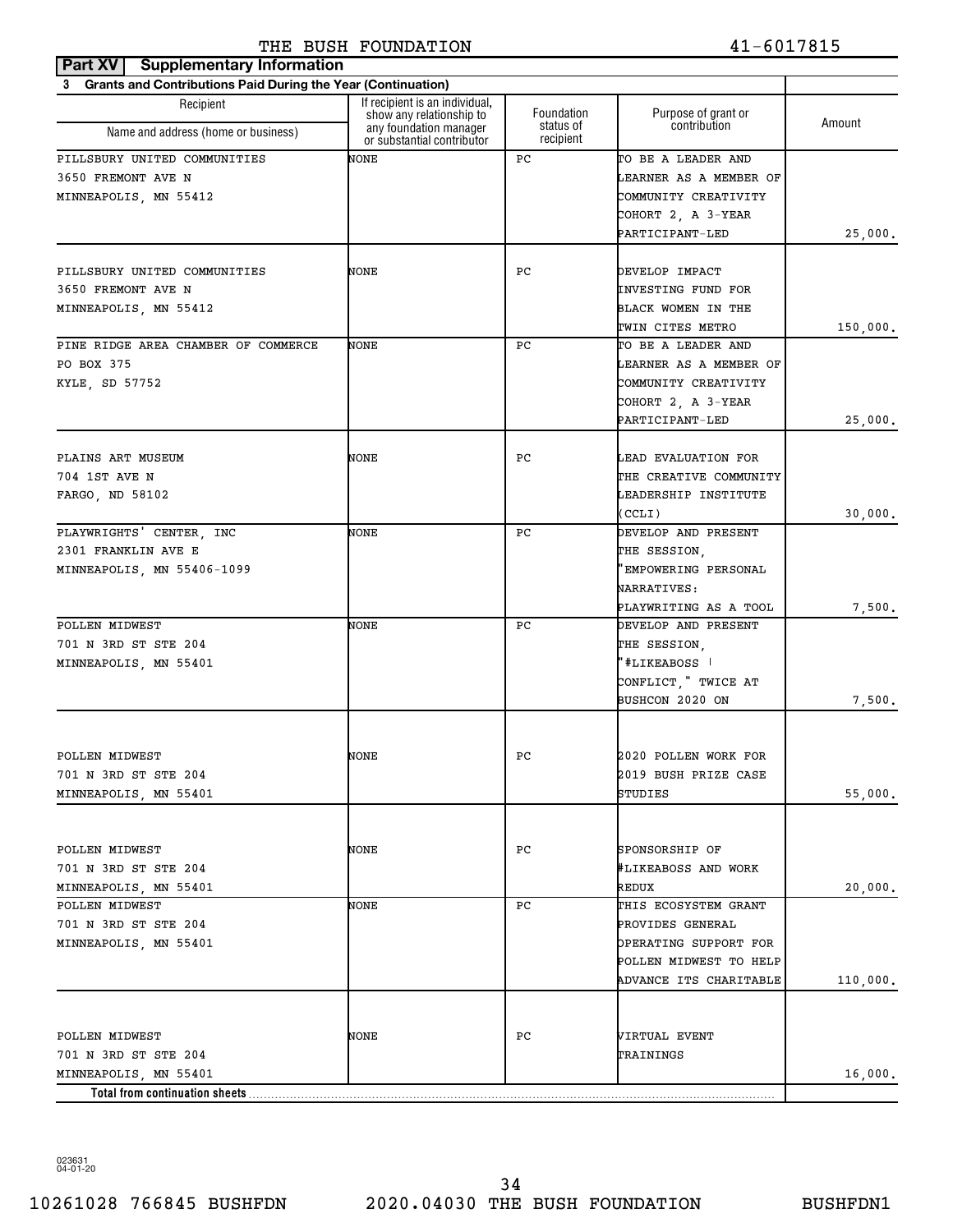| Part XV   Supplementary Information                            |                                                            |                         |                                           |          |
|----------------------------------------------------------------|------------------------------------------------------------|-------------------------|-------------------------------------------|----------|
| 3 Grants and Contributions Paid During the Year (Continuation) |                                                            |                         |                                           |          |
| Recipient                                                      | If recipient is an individual,<br>show any relationship to | Foundation<br>status of | Purpose of grant or<br>contribution       | Amount   |
| Name and address (home or business)                            | any foundation manager<br>or substantial contributor       | recipient               |                                           |          |
| PILLSBURY UNITED COMMUNITIES                                   | NONE                                                       | РC                      | TO BE A LEADER AND                        |          |
| 3650 FREMONT AVE N                                             |                                                            |                         | LEARNER AS A MEMBER OF                    |          |
| MINNEAPOLIS, MN 55412                                          |                                                            |                         | COMMUNITY CREATIVITY                      |          |
|                                                                |                                                            |                         | COHORT 2, A 3-YEAR                        |          |
|                                                                |                                                            |                         | PARTICIPANT-LED                           | 25,000.  |
|                                                                |                                                            |                         |                                           |          |
| PILLSBURY UNITED COMMUNITIES<br>3650 FREMONT AVE N             | NONE                                                       | РC                      | DEVELOP IMPACT<br>INVESTING FUND FOR      |          |
| MINNEAPOLIS, MN 55412                                          |                                                            |                         | BLACK WOMEN IN THE                        |          |
|                                                                |                                                            |                         | TWIN CITES METRO                          | 150,000. |
| PINE RIDGE AREA CHAMBER OF COMMERCE                            | NONE                                                       | РC                      | TO BE A LEADER AND                        |          |
| PO BOX 375                                                     |                                                            |                         | LEARNER AS A MEMBER OF                    |          |
| KYLE, SD 57752                                                 |                                                            |                         | COMMUNITY CREATIVITY                      |          |
|                                                                |                                                            |                         | COHORT 2, A 3-YEAR                        |          |
|                                                                |                                                            |                         | PARTICIPANT-LED                           | 25,000.  |
|                                                                |                                                            |                         |                                           |          |
| PLAINS ART MUSEUM                                              | NONE                                                       | РC                      | LEAD EVALUATION FOR                       |          |
| 704 1ST AVE N                                                  |                                                            |                         | THE CREATIVE COMMUNITY                    |          |
| FARGO, ND 58102                                                |                                                            |                         | LEADERSHIP INSTITUTE                      |          |
|                                                                |                                                            |                         | (CCLI)                                    | 30,000.  |
| PLAYWRIGHTS' CENTER, INC<br>2301 FRANKLIN AVE E                | NONE                                                       | РC                      | DEVELOP AND PRESENT                       |          |
| MINNEAPOLIS, MN 55406-1099                                     |                                                            |                         | THE SESSION,<br>'EMPOWERING PERSONAL      |          |
|                                                                |                                                            |                         | <b>NARRATIVES:</b>                        |          |
|                                                                |                                                            |                         | PLAYWRITING AS A TOOL                     | 7,500.   |
| POLLEN MIDWEST                                                 | NONE                                                       | РC                      | DEVELOP AND PRESENT                       |          |
| 701 N 3RD ST STE 204                                           |                                                            |                         | THE SESSION,                              |          |
| MINNEAPOLIS, MN 55401                                          |                                                            |                         | "#LIKEABOSS                               |          |
|                                                                |                                                            |                         | CONFLICT, " TWICE AT                      |          |
|                                                                |                                                            |                         | <b>BUSHCON 2020 ON</b>                    | 7,500.   |
|                                                                |                                                            |                         |                                           |          |
| POLLEN MIDWEST                                                 | NONE                                                       | PС                      | 2020 POLLEN WORK FOR                      |          |
| 701 N 3RD ST STE 204                                           |                                                            |                         | 2019 BUSH PRIZE CASE                      |          |
| MINNEAPOLIS, MN 55401                                          |                                                            |                         | STUDIES                                   | 55,000.  |
|                                                                |                                                            |                         |                                           |          |
|                                                                |                                                            |                         |                                           |          |
| POLLEN MIDWEST                                                 | NONE                                                       | РC                      | SPONSORSHIP OF                            |          |
| 701 N 3RD ST STE 204                                           |                                                            |                         | #LIKEABOSS AND WORK                       |          |
| MINNEAPOLIS, MN 55401                                          |                                                            |                         | REDUX                                     | 20,000.  |
| POLLEN MIDWEST                                                 | NONE                                                       | РC                      | THIS ECOSYSTEM GRANT                      |          |
| 701 N 3RD ST STE 204                                           |                                                            |                         | PROVIDES GENERAL<br>OPERATING SUPPORT FOR |          |
| MINNEAPOLIS, MN 55401                                          |                                                            |                         | POLLEN MIDWEST TO HELP                    |          |
|                                                                |                                                            |                         | ADVANCE ITS CHARITABLE                    | 110,000. |
|                                                                |                                                            |                         |                                           |          |
|                                                                |                                                            |                         |                                           |          |
| POLLEN MIDWEST                                                 | NONE                                                       | РC                      | VIRTUAL EVENT                             |          |
| 701 N 3RD ST STE 204                                           |                                                            |                         | TRAININGS                                 |          |
| MINNEAPOLIS, MN 55401                                          |                                                            |                         |                                           | 16,000.  |
| Total from continuation sheets                                 |                                                            |                         |                                           |          |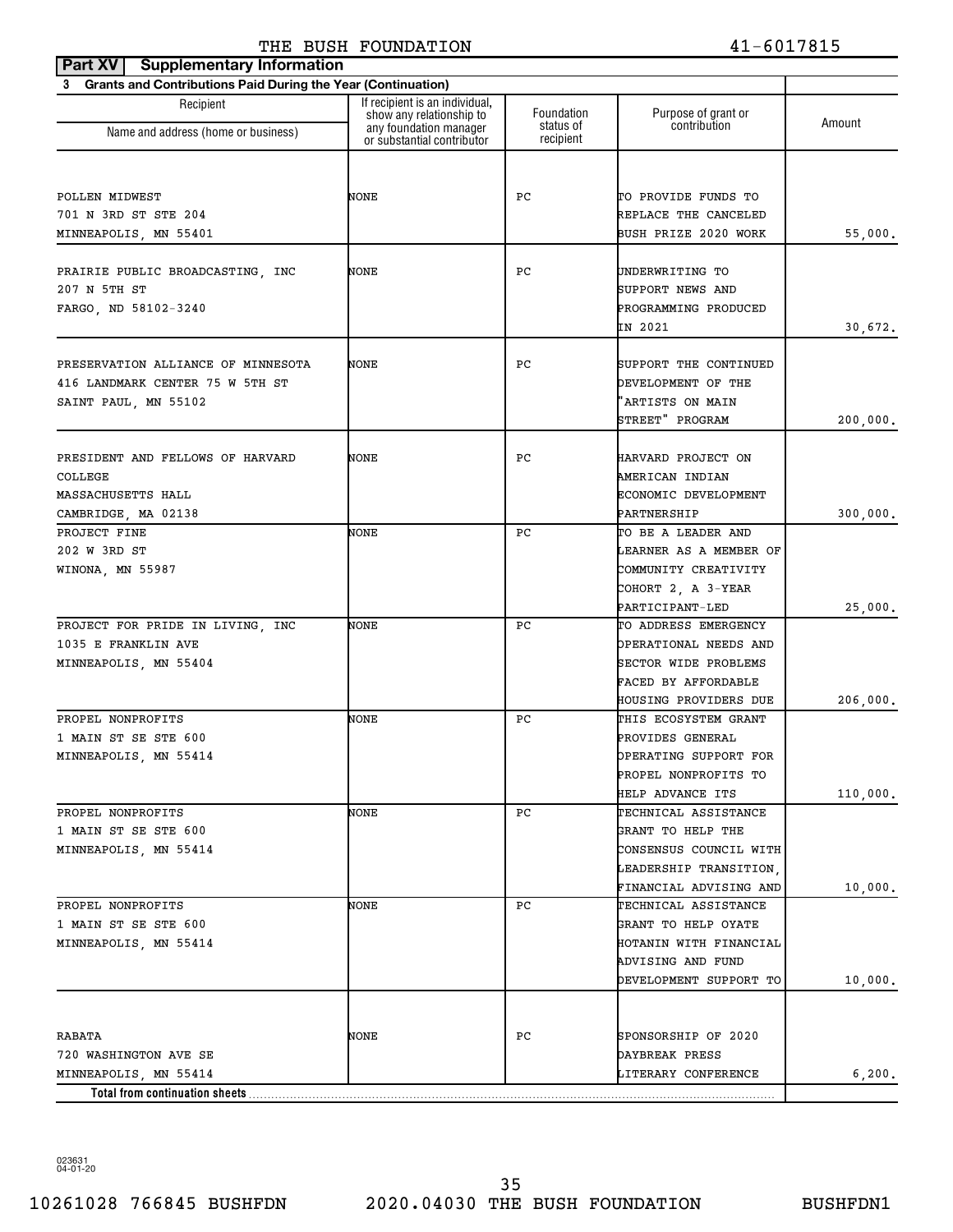| <b>Part XV   Supplementary Information</b>                     |                                                            |                        |                                               |          |
|----------------------------------------------------------------|------------------------------------------------------------|------------------------|-----------------------------------------------|----------|
| 3 Grants and Contributions Paid During the Year (Continuation) |                                                            |                        |                                               |          |
| Recipient                                                      | If recipient is an individual,<br>show any relationship to | Foundation             | Purpose of grant or                           | Amount   |
| Name and address (home or business)                            | any foundation manager<br>or substantial contributor       | status of<br>recipient | contribution                                  |          |
|                                                                |                                                            |                        |                                               |          |
| POLLEN MIDWEST                                                 | NONE                                                       | PС                     | TO PROVIDE FUNDS TO                           |          |
| 701 N 3RD ST STE 204                                           |                                                            |                        | REPLACE THE CANCELED                          |          |
| MINNEAPOLIS, MN 55401                                          |                                                            |                        | BUSH PRIZE 2020 WORK                          | 55,000.  |
|                                                                | NONE                                                       | РC                     |                                               |          |
| PRAIRIE PUBLIC BROADCASTING, INC<br>207 N 5TH ST               |                                                            |                        | UNDERWRITING TO                               |          |
|                                                                |                                                            |                        | SUPPORT NEWS AND                              |          |
| FARGO, ND 58102-3240                                           |                                                            |                        | PROGRAMMING PRODUCED<br>IN 2021               | 30,672.  |
|                                                                |                                                            |                        |                                               |          |
| PRESERVATION ALLIANCE OF MINNESOTA                             | NONE                                                       | РC                     | SUPPORT THE CONTINUED                         |          |
| 416 LANDMARK CENTER 75 W 5TH ST                                |                                                            |                        | <b>DEVELOPMENT OF THE</b>                     |          |
| SAINT PAUL, MN 55102                                           |                                                            |                        | "ARTISTS ON MAIN                              |          |
|                                                                |                                                            |                        | STREET" PROGRAM                               | 200,000. |
|                                                                |                                                            |                        |                                               |          |
| PRESIDENT AND FELLOWS OF HARVARD                               | NONE                                                       | РC                     | HARVARD PROJECT ON                            |          |
| COLLEGE                                                        |                                                            |                        | AMERICAN INDIAN                               |          |
| MASSACHUSETTS HALL                                             |                                                            |                        | ECONOMIC DEVELOPMENT                          |          |
| CAMBRIDGE, MA 02138                                            |                                                            |                        | PARTNERSHIP                                   | 300,000. |
| PROJECT FINE                                                   | NONE                                                       | РC                     | TO BE A LEADER AND                            |          |
| 202 W 3RD ST                                                   |                                                            |                        | LEARNER AS A MEMBER OF                        |          |
| WINONA, MN 55987                                               |                                                            |                        | COMMUNITY CREATIVITY                          |          |
|                                                                |                                                            |                        | COHORT 2, A 3-YEAR                            |          |
|                                                                |                                                            |                        | PARTICIPANT-LED                               | 25,000.  |
| PROJECT FOR PRIDE IN LIVING, INC                               | NONE                                                       | РC                     | TO ADDRESS EMERGENCY                          |          |
| 1035 E FRANKLIN AVE                                            |                                                            |                        | OPERATIONAL NEEDS AND                         |          |
| MINNEAPOLIS, MN 55404                                          |                                                            |                        | SECTOR WIDE PROBLEMS                          |          |
|                                                                |                                                            |                        | FACED BY AFFORDABLE                           |          |
| PROPEL NONPROFITS                                              | NONE                                                       | РC                     | HOUSING PROVIDERS DUE<br>THIS ECOSYSTEM GRANT | 206,000. |
| 1 MAIN ST SE STE 600                                           |                                                            |                        | PROVIDES GENERAL                              |          |
| MINNEAPOLIS, MN 55414                                          |                                                            |                        | OPERATING SUPPORT FOR                         |          |
|                                                                |                                                            |                        | PROPEL NONPROFITS TO                          |          |
|                                                                |                                                            |                        | HELP ADVANCE ITS                              | 110,000. |
| PROPEL NONPROFITS                                              | NONE                                                       | РC                     | TECHNICAL ASSISTANCE                          |          |
| 1 MAIN ST SE STE 600                                           |                                                            |                        | GRANT TO HELP THE                             |          |
| MINNEAPOLIS, MN 55414                                          |                                                            |                        | CONSENSUS COUNCIL WITH                        |          |
|                                                                |                                                            |                        | LEADERSHIP TRANSITION,                        |          |
|                                                                |                                                            |                        | FINANCIAL ADVISING AND                        | 10,000.  |
| PROPEL NONPROFITS                                              | NONE                                                       | PС                     | TECHNICAL ASSISTANCE                          |          |
| 1 MAIN ST SE STE 600                                           |                                                            |                        | GRANT TO HELP OYATE                           |          |
| MINNEAPOLIS, MN 55414                                          |                                                            |                        | HOTANIN WITH FINANCIAL                        |          |
|                                                                |                                                            |                        | ADVISING AND FUND                             |          |
|                                                                |                                                            |                        | DEVELOPMENT SUPPORT TO                        | 10,000.  |
|                                                                |                                                            |                        |                                               |          |
| RABATA                                                         | NONE                                                       | PС                     | SPONSORSHIP OF 2020                           |          |
| 720 WASHINGTON AVE SE                                          |                                                            |                        | DAYBREAK PRESS                                |          |
| MINNEAPOLIS, MN 55414                                          |                                                            |                        | LITERARY CONFERENCE                           | 6,200.   |
| Total from continuation sheets                                 |                                                            |                        |                                               |          |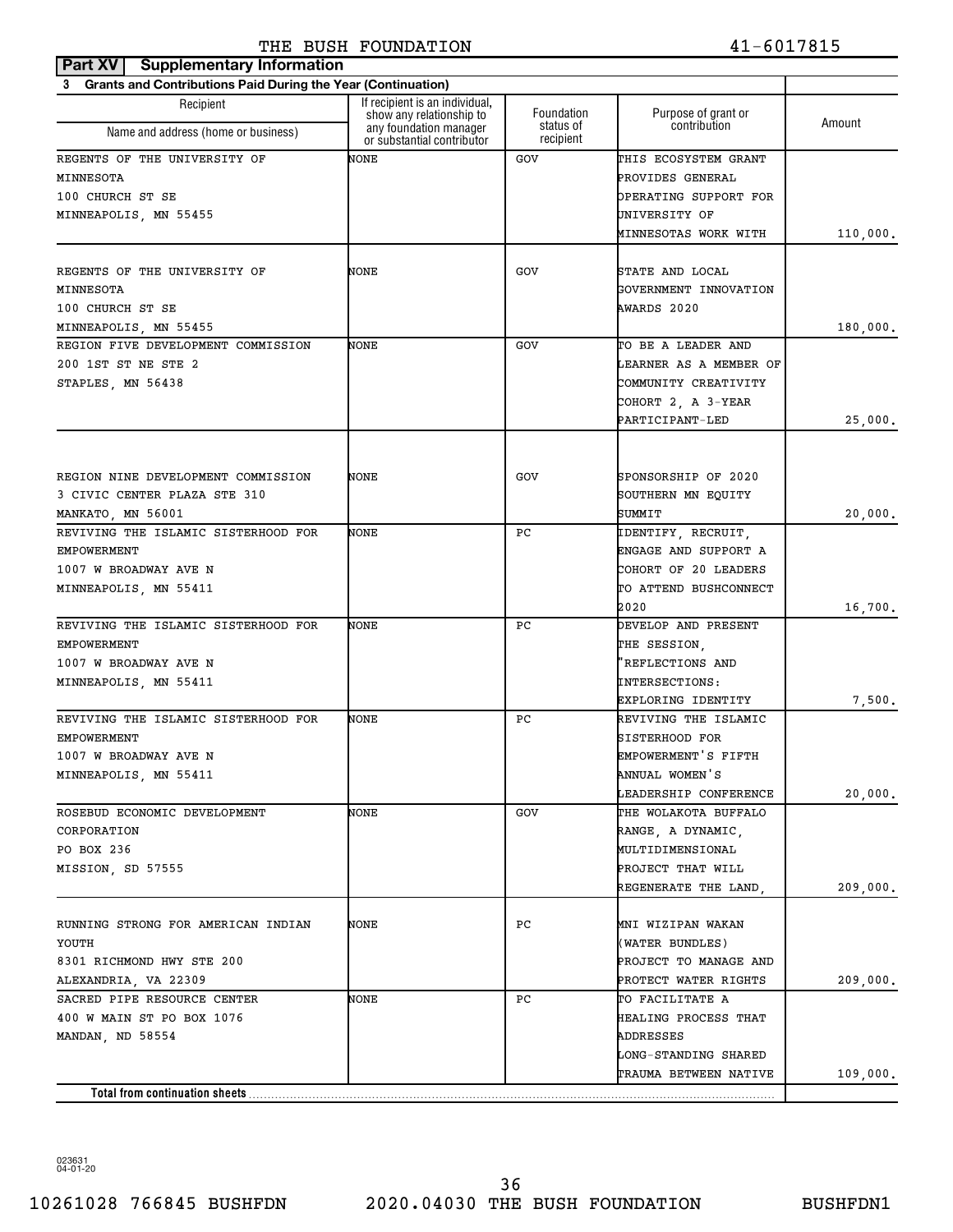| Part XV<br><b>Supplementary Information</b>                    |                                                            |                        |                                              |          |
|----------------------------------------------------------------|------------------------------------------------------------|------------------------|----------------------------------------------|----------|
| 3 Grants and Contributions Paid During the Year (Continuation) |                                                            |                        |                                              |          |
| Recipient                                                      | If recipient is an individual,<br>show any relationship to | Foundation             | Purpose of grant or<br>contribution          | Amount   |
| Name and address (home or business)                            | any foundation manager<br>or substantial contributor       | status of<br>recipient |                                              |          |
| REGENTS OF THE UNIVERSITY OF                                   | NONE                                                       | GOV                    | THIS ECOSYSTEM GRANT                         |          |
| MINNESOTA                                                      |                                                            |                        | PROVIDES GENERAL                             |          |
| 100 CHURCH ST SE                                               |                                                            |                        | OPERATING SUPPORT FOR                        |          |
| MINNEAPOLIS, MN 55455                                          |                                                            |                        | UNIVERSITY OF                                |          |
|                                                                |                                                            |                        | MINNESOTAS WORK WITH                         | 110,000. |
|                                                                |                                                            |                        |                                              |          |
| REGENTS OF THE UNIVERSITY OF                                   | NONE                                                       | GOV                    | STATE AND LOCAL                              |          |
| MINNESOTA                                                      |                                                            |                        | GOVERNMENT INNOVATION                        |          |
| 100 CHURCH ST SE                                               |                                                            |                        | AWARDS 2020                                  |          |
| MINNEAPOLIS, MN 55455                                          |                                                            |                        |                                              | 180,000. |
| REGION FIVE DEVELOPMENT COMMISSION<br>200 1ST ST NE STE 2      | NONE                                                       | GOV                    | TO BE A LEADER AND<br>LEARNER AS A MEMBER OF |          |
|                                                                |                                                            |                        | COMMUNITY CREATIVITY                         |          |
| STAPLES, MN 56438                                              |                                                            |                        |                                              |          |
|                                                                |                                                            |                        | COHORT 2, A 3-YEAR<br>PARTICIPANT-LED        | 25,000.  |
|                                                                |                                                            |                        |                                              |          |
|                                                                |                                                            |                        |                                              |          |
| REGION NINE DEVELOPMENT COMMISSION                             | NONE                                                       | GOV                    | SPONSORSHIP OF 2020                          |          |
| 3 CIVIC CENTER PLAZA STE 310                                   |                                                            |                        | SOUTHERN MN EQUITY                           |          |
| MANKATO, MN 56001                                              |                                                            |                        | SUMMIT                                       | 20,000.  |
| REVIVING THE ISLAMIC SISTERHOOD FOR                            | NONE                                                       | РC                     | IDENTIFY, RECRUIT,                           |          |
| <b>EMPOWERMENT</b>                                             |                                                            |                        | ENGAGE AND SUPPORT A                         |          |
| 1007 W BROADWAY AVE N                                          |                                                            |                        | COHORT OF 20 LEADERS                         |          |
| MINNEAPOLIS, MN 55411                                          |                                                            |                        | TO ATTEND BUSHCONNECT                        |          |
|                                                                |                                                            |                        | 2020                                         | 16,700.  |
| REVIVING THE ISLAMIC SISTERHOOD FOR                            | NONE                                                       | РC                     | DEVELOP AND PRESENT                          |          |
| <b>EMPOWERMENT</b>                                             |                                                            |                        | THE SESSION,                                 |          |
| 1007 W BROADWAY AVE N                                          |                                                            |                        | 'REFLECTIONS AND                             |          |
| MINNEAPOLIS, MN 55411                                          |                                                            |                        | INTERSECTIONS:                               |          |
|                                                                |                                                            |                        | EXPLORING IDENTITY                           | 7,500.   |
| REVIVING THE ISLAMIC SISTERHOOD FOR                            | NONE                                                       | РC                     | REVIVING THE ISLAMIC                         |          |
| <b>EMPOWERMENT</b>                                             |                                                            |                        | <b>SISTERHOOD FOR</b>                        |          |
| 1007 W BROADWAY AVE N                                          |                                                            |                        | EMPOWERMENT'S FIFTH                          |          |
| MINNEAPOLIS, MN 55411                                          |                                                            |                        | ANNUAL WOMEN'S                               |          |
|                                                                |                                                            |                        | LEADERSHIP CONFERENCE                        | 20,000.  |
| ROSEBUD ECONOMIC DEVELOPMENT                                   | NONE                                                       | GOV                    | THE WOLAKOTA BUFFALO                         |          |
| CORPORATION                                                    |                                                            |                        | RANGE, A DYNAMIC,                            |          |
| PO BOX 236                                                     |                                                            |                        | MULTIDIMENSIONAL                             |          |
| MISSION, SD 57555                                              |                                                            |                        | PROJECT THAT WILL                            |          |
|                                                                |                                                            |                        | REGENERATE THE LAND,                         | 209,000. |
| RUNNING STRONG FOR AMERICAN INDIAN                             | NONE                                                       | РC                     | MNI WIZIPAN WAKAN                            |          |
| YOUTH                                                          |                                                            |                        | (WATER BUNDLES)                              |          |
| 8301 RICHMOND HWY STE 200                                      |                                                            |                        | PROJECT TO MANAGE AND                        |          |
| ALEXANDRIA, VA 22309                                           |                                                            |                        | PROTECT WATER RIGHTS                         | 209,000. |
| SACRED PIPE RESOURCE CENTER                                    | NONE                                                       | PC.                    | TO FACILITATE A                              |          |
| 400 W MAIN ST PO BOX 1076                                      |                                                            |                        | <b>HEALING PROCESS THAT</b>                  |          |
| MANDAN, ND 58554                                               |                                                            |                        | ADDRESSES                                    |          |
|                                                                |                                                            |                        | LONG-STANDING SHARED                         |          |
|                                                                |                                                            |                        | TRAUMA BETWEEN NATIVE                        | 109,000. |
| Total from continuation sheets                                 |                                                            |                        |                                              |          |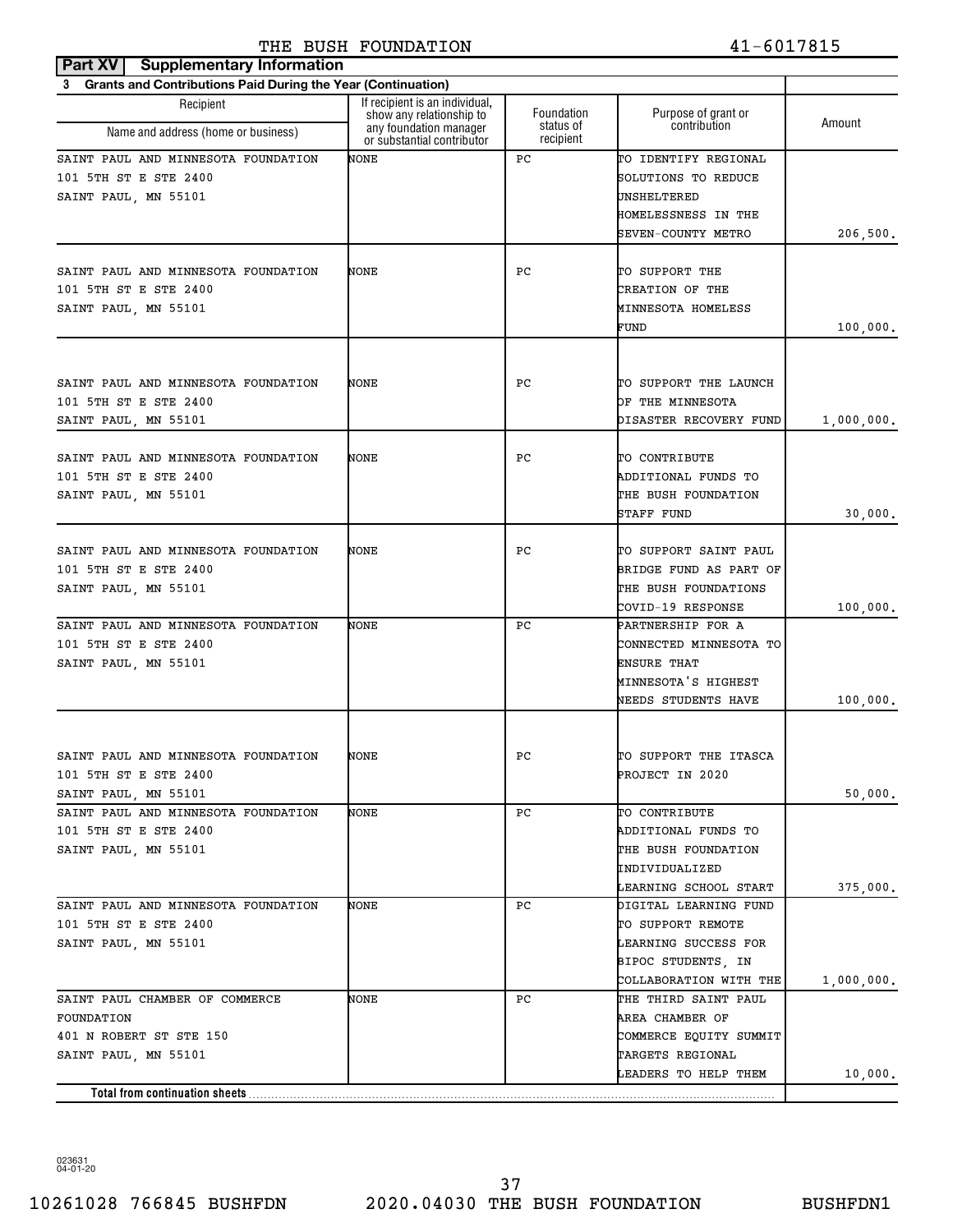## **Part XV Supplementary Information** THE BUSH FOUNDATION 41-6017815

| 3 Grants and Contributions Paid During the Year (Continuation)                                               |                                                                                                                    |                                      |                                                                                                                    |                     |
|--------------------------------------------------------------------------------------------------------------|--------------------------------------------------------------------------------------------------------------------|--------------------------------------|--------------------------------------------------------------------------------------------------------------------|---------------------|
| Recipient<br>Name and address (home or business)                                                             | If recipient is an individual,<br>show any relationship to<br>any foundation manager<br>or substantial contributor | Foundation<br>status of<br>recipient | Purpose of grant or<br>contribution                                                                                | Amount              |
| SAINT PAUL AND MINNESOTA FOUNDATION<br>101 5TH ST E STE 2400<br>SAINT PAUL, MN 55101                         | NONE                                                                                                               | PC                                   | TO IDENTIFY REGIONAL<br>SOLUTIONS TO REDUCE<br>UNSHELTERED<br>HOMELESSNESS IN THE                                  |                     |
|                                                                                                              |                                                                                                                    |                                      | SEVEN-COUNTY METRO                                                                                                 | 206, 500.           |
| SAINT PAUL AND MINNESOTA FOUNDATION<br>101 5TH ST E STE 2400<br>SAINT PAUL, MN 55101                         | NONE                                                                                                               | РC                                   | TO SUPPORT THE<br>CREATION OF THE<br>MINNESOTA HOMELESS<br>FUND                                                    | 100,000.            |
| SAINT PAUL AND MINNESOTA FOUNDATION<br>101 5TH ST E STE 2400<br>SAINT PAUL, MN 55101                         | NONE                                                                                                               | PC.                                  | TO SUPPORT THE LAUNCH<br>OF THE MINNESOTA<br>DISASTER RECOVERY FUND                                                | 1,000,000.          |
| SAINT PAUL AND MINNESOTA FOUNDATION<br>101 5TH ST E STE 2400<br>SAINT PAUL, MN 55101                         | NONE                                                                                                               | РC                                   | TO CONTRIBUTE<br>ADDITIONAL FUNDS TO<br>THE BUSH FOUNDATION<br>STAFF FUND                                          | 30,000.             |
| SAINT PAUL AND MINNESOTA FOUNDATION<br>101 5TH ST E STE 2400<br>SAINT PAUL, MN 55101                         | NONE                                                                                                               | РC                                   | TO SUPPORT SAINT PAUL<br>BRIDGE FUND AS PART OF<br>THE BUSH FOUNDATIONS<br>COVID-19 RESPONSE                       | 100,000.            |
| SAINT PAUL AND MINNESOTA FOUNDATION<br>101 5TH ST E STE 2400<br>SAINT PAUL, MN 55101                         | NONE                                                                                                               | РC                                   | PARTNERSHIP FOR A<br>CONNECTED MINNESOTA TO<br><b>ENSURE THAT</b><br>MINNESOTA'S HIGHEST<br>NEEDS STUDENTS HAVE    | 100,000.            |
| SAINT PAUL AND MINNESOTA FOUNDATION<br>101 5TH ST E STE 2400                                                 | NONE                                                                                                               | РC                                   | TO SUPPORT THE ITASCA<br>PROJECT IN 2020                                                                           |                     |
| SAINT PAUL, MN 55101<br>SAINT PAUL AND MINNESOTA FOUNDATION<br>101 5TH ST E STE 2400<br>SAINT PAUL, MN 55101 | NONE                                                                                                               | PC.                                  | TO CONTRIBUTE<br>ADDITIONAL FUNDS TO<br>THE BUSH FOUNDATION<br>INDIVIDUALIZED<br>LEARNING SCHOOL START             | 50,000.<br>375,000. |
| SAINT PAUL AND MINNESOTA FOUNDATION<br>101 5TH ST E STE 2400<br>SAINT PAUL, MN 55101                         | NONE                                                                                                               | PC.                                  | DIGITAL LEARNING FUND<br>TO SUPPORT REMOTE<br>LEARNING SUCCESS FOR<br>BIPOC STUDENTS, IN<br>COLLABORATION WITH THE | 1,000,000.          |
| SAINT PAUL CHAMBER OF COMMERCE<br>FOUNDATION<br>401 N ROBERT ST STE 150<br>SAINT PAUL, MN 55101              | NONE                                                                                                               | PC.                                  | THE THIRD SAINT PAUL<br>AREA CHAMBER OF<br>COMMERCE EQUITY SUMMIT<br>TARGETS REGIONAL                              |                     |
|                                                                                                              |                                                                                                                    |                                      | LEADERS TO HELP THEM                                                                                               | 10,000.             |
|                                                                                                              |                                                                                                                    |                                      |                                                                                                                    |                     |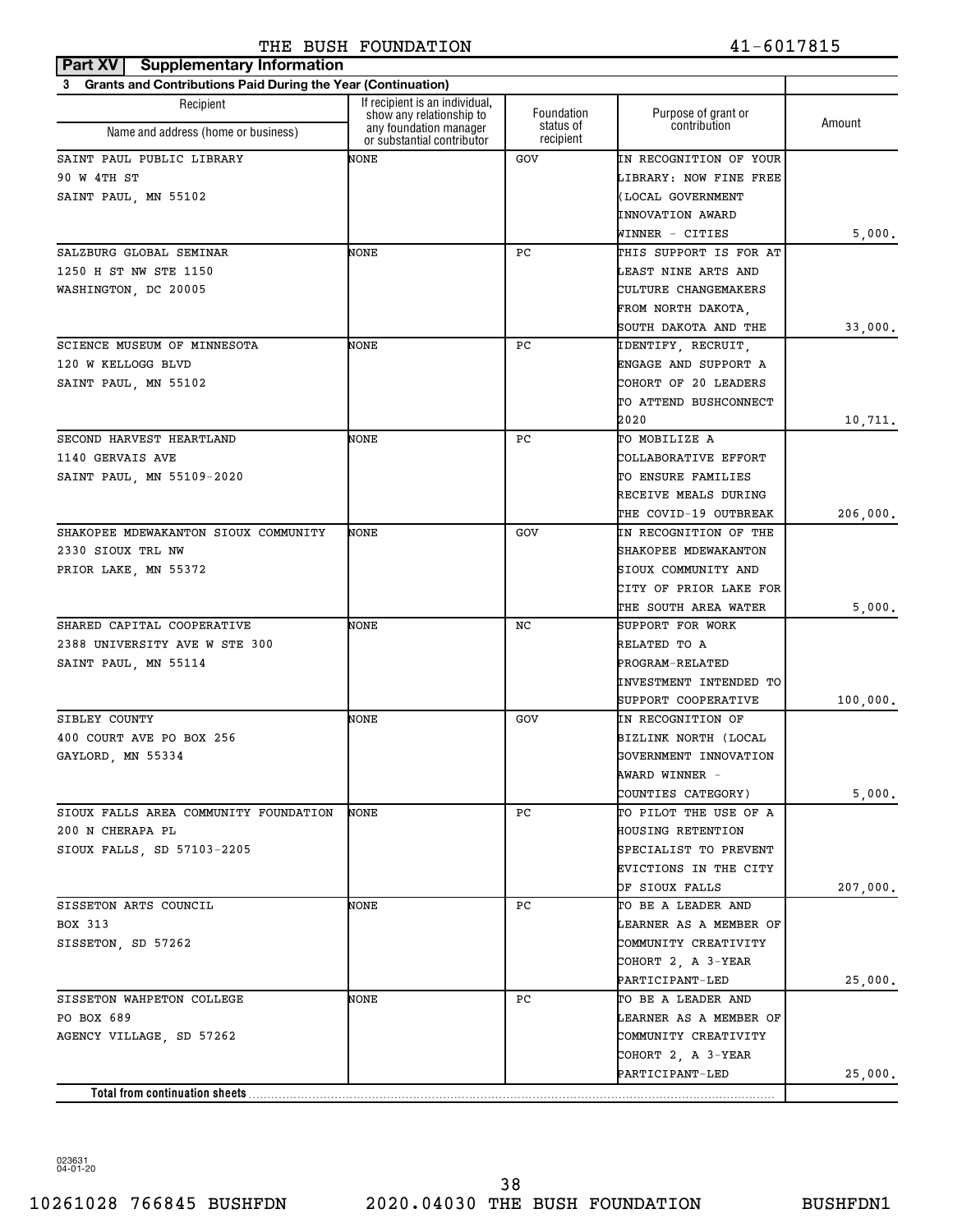| Part XV<br><b>Supplementary Information</b>                              |                                                            |                        |                        |          |
|--------------------------------------------------------------------------|------------------------------------------------------------|------------------------|------------------------|----------|
| <b>Grants and Contributions Paid During the Year (Continuation)</b><br>3 |                                                            |                        |                        |          |
| Recipient                                                                | If recipient is an individual,<br>show any relationship to | Foundation             | Purpose of grant or    | Amount   |
| Name and address (home or business)                                      | any foundation manager<br>or substantial contributor       | status of<br>recipient | contribution           |          |
| SAINT PAUL PUBLIC LIBRARY                                                | NONE                                                       | GOV                    | IN RECOGNITION OF YOUR |          |
| 90 W 4TH ST                                                              |                                                            |                        | LIBRARY: NOW FINE FREE |          |
| SAINT PAUL, MN 55102                                                     |                                                            |                        | (LOCAL GOVERNMENT      |          |
|                                                                          |                                                            |                        | INNOVATION AWARD       |          |
|                                                                          |                                                            |                        | WINNER - CITIES        | 5,000.   |
| SALZBURG GLOBAL SEMINAR                                                  | NONE                                                       | РC                     | THIS SUPPORT IS FOR AT |          |
| 1250 H ST NW STE 1150                                                    |                                                            |                        | LEAST NINE ARTS AND    |          |
| WASHINGTON, DC 20005                                                     |                                                            |                        | CULTURE CHANGEMAKERS   |          |
|                                                                          |                                                            |                        | FROM NORTH DAKOTA,     |          |
|                                                                          |                                                            |                        | SOUTH DAKOTA AND THE   | 33,000.  |
| SCIENCE MUSEUM OF MINNESOTA                                              | NONE                                                       | РC                     | IDENTIFY, RECRUIT,     |          |
| 120 W KELLOGG BLVD                                                       |                                                            |                        | ENGAGE AND SUPPORT A   |          |
| SAINT PAUL, MN 55102                                                     |                                                            |                        | COHORT OF 20 LEADERS   |          |
|                                                                          |                                                            |                        | TO ATTEND BUSHCONNECT  |          |
|                                                                          |                                                            |                        | 2020                   | 10,711.  |
| SECOND HARVEST HEARTLAND                                                 | NONE                                                       | РC                     | TO MOBILIZE A          |          |
| 1140 GERVAIS AVE                                                         |                                                            |                        | COLLABORATIVE EFFORT   |          |
| SAINT PAUL, MN 55109-2020                                                |                                                            |                        | TO ENSURE FAMILIES     |          |
|                                                                          |                                                            |                        | RECEIVE MEALS DURING   |          |
|                                                                          |                                                            |                        | THE COVID-19 OUTBREAK  | 206,000. |
| SHAKOPEE MDEWAKANTON SIOUX COMMUNITY                                     | NONE                                                       | GOV                    | IN RECOGNITION OF THE  |          |
| 2330 SIOUX TRL NW                                                        |                                                            |                        | SHAKOPEE MDEWAKANTON   |          |
| PRIOR LAKE, MN 55372                                                     |                                                            |                        | SIOUX COMMUNITY AND    |          |
|                                                                          |                                                            |                        | CITY OF PRIOR LAKE FOR |          |
|                                                                          |                                                            |                        | THE SOUTH AREA WATER   | 5,000.   |
| SHARED CAPITAL COOPERATIVE                                               | NONE                                                       | NC                     | SUPPORT FOR WORK       |          |
| 2388 UNIVERSITY AVE W STE 300                                            |                                                            |                        | RELATED TO A           |          |
| SAINT PAUL, MN 55114                                                     |                                                            |                        | PROGRAM-RELATED        |          |
|                                                                          |                                                            |                        | INVESTMENT INTENDED TO |          |
|                                                                          |                                                            |                        | SUPPORT COOPERATIVE    | 100,000. |
| SIBLEY COUNTY                                                            | NONE                                                       | GOV                    | IN RECOGNITION OF      |          |
| 400 COURT AVE PO BOX 256                                                 |                                                            |                        | BIZLINK NORTH (LOCAL   |          |
| GAYLORD, MN 55334                                                        |                                                            |                        | GOVERNMENT INNOVATION  |          |
|                                                                          |                                                            |                        | AWARD WINNER -         |          |
|                                                                          |                                                            |                        | COUNTIES CATEGORY)     | 5,000.   |
| SIOUX FALLS AREA COMMUNITY FOUNDATION                                    | NONE                                                       | РC                     | TO PILOT THE USE OF A  |          |
| 200 N CHERAPA PL                                                         |                                                            |                        | HOUSING RETENTION      |          |
| SIOUX FALLS, SD 57103-2205                                               |                                                            |                        | SPECIALIST TO PREVENT  |          |
|                                                                          |                                                            |                        | EVICTIONS IN THE CITY  |          |
|                                                                          |                                                            |                        | OF SIOUX FALLS         | 207,000. |
| SISSETON ARTS COUNCIL                                                    | NONE                                                       | РC                     | TO BE A LEADER AND     |          |
| BOX 313                                                                  |                                                            |                        | LEARNER AS A MEMBER OF |          |
| SISSETON, SD 57262                                                       |                                                            |                        | COMMUNITY CREATIVITY   |          |
|                                                                          |                                                            |                        | COHORT 2, A 3-YEAR     |          |
|                                                                          |                                                            |                        | PARTICIPANT-LED        | 25,000.  |
| SISSETON WAHPETON COLLEGE                                                | NONE                                                       | РC                     | TO BE A LEADER AND     |          |
| PO BOX 689                                                               |                                                            |                        | LEARNER AS A MEMBER OF |          |
| AGENCY VILLAGE, SD 57262                                                 |                                                            |                        | COMMUNITY CREATIVITY   |          |
|                                                                          |                                                            |                        | COHORT 2, A 3-YEAR     |          |
|                                                                          |                                                            |                        | PARTICIPANT-LED        | 25,000.  |
| Total from continuation sheets                                           |                                                            |                        |                        |          |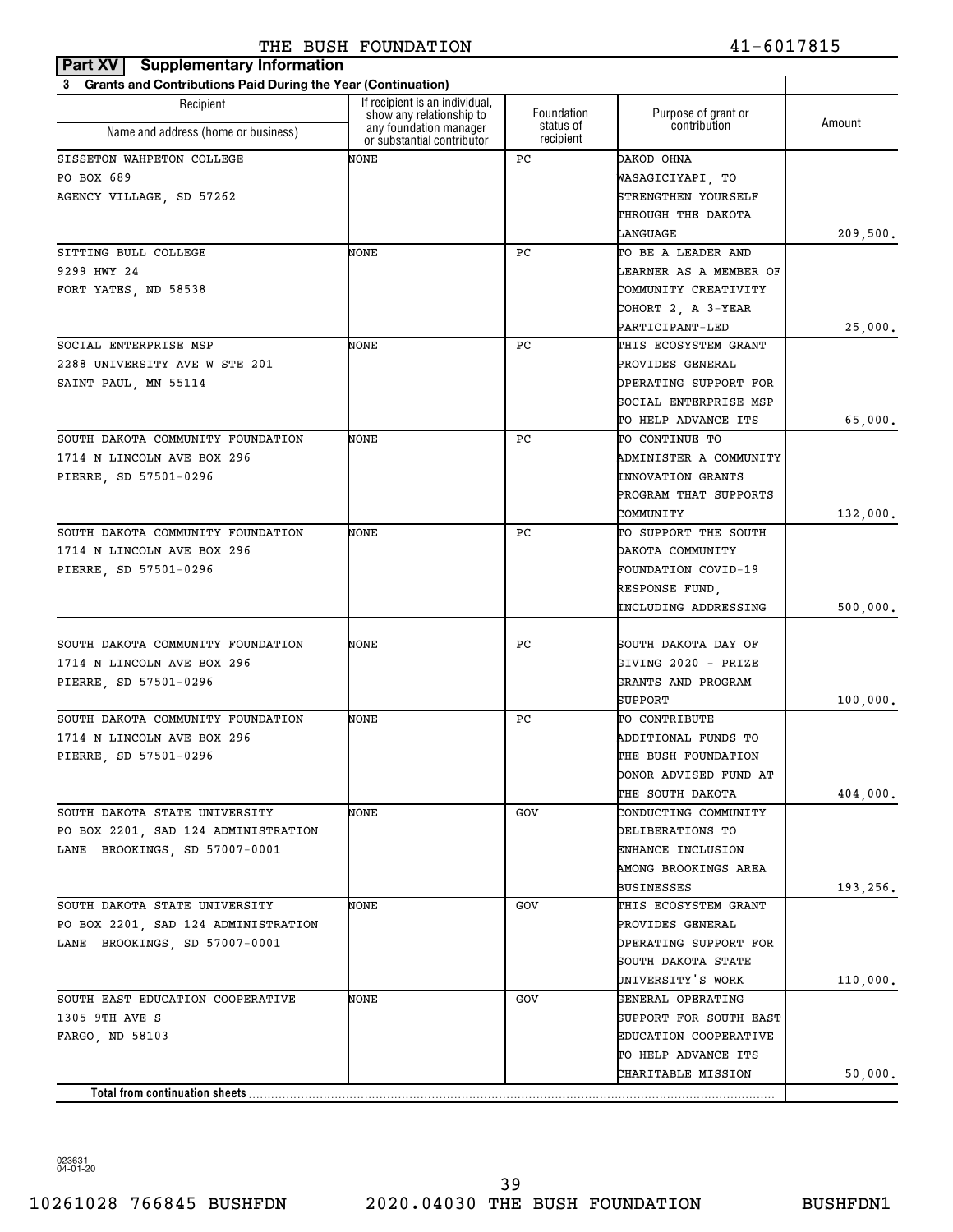| Part XV<br><b>Supplementary Information</b>                    |                                                            |                        |                              |          |
|----------------------------------------------------------------|------------------------------------------------------------|------------------------|------------------------------|----------|
| 3 Grants and Contributions Paid During the Year (Continuation) |                                                            |                        |                              |          |
| Recipient                                                      | If recipient is an individual,<br>show any relationship to | Foundation             | Purpose of grant or          | Amount   |
| Name and address (home or business)                            | any foundation manager<br>or substantial contributor       | status of<br>recipient | contribution                 |          |
| SISSETON WAHPETON COLLEGE                                      | NONE                                                       | РC                     | DAKOD OHNA                   |          |
| PO BOX 689                                                     |                                                            |                        | WASAGICIYAPI, TO             |          |
| AGENCY VILLAGE, SD 57262                                       |                                                            |                        | STRENGTHEN YOURSELF          |          |
|                                                                |                                                            |                        | THROUGH THE DAKOTA           |          |
|                                                                |                                                            |                        | LANGUAGE                     | 209,500. |
| SITTING BULL COLLEGE                                           | NONE                                                       | РC                     | TO BE A LEADER AND           |          |
| 9299 HWY 24                                                    |                                                            |                        | LEARNER AS A MEMBER OF       |          |
| FORT YATES, ND 58538                                           |                                                            |                        | COMMUNITY CREATIVITY         |          |
|                                                                |                                                            |                        | COHORT 2, A 3-YEAR           |          |
|                                                                |                                                            |                        | PARTICIPANT-LED              | 25,000.  |
| SOCIAL ENTERPRISE MSP                                          | NONE                                                       | РC                     | THIS ECOSYSTEM GRANT         |          |
| 2288 UNIVERSITY AVE W STE 201                                  |                                                            |                        | PROVIDES GENERAL             |          |
| SAINT PAUL, MN 55114                                           |                                                            |                        | OPERATING SUPPORT FOR        |          |
|                                                                |                                                            |                        | SOCIAL ENTERPRISE MSP        |          |
|                                                                |                                                            |                        | TO HELP ADVANCE ITS          | 65,000.  |
| SOUTH DAKOTA COMMUNITY FOUNDATION                              | NONE                                                       | РC                     | TO CONTINUE TO               |          |
| 1714 N LINCOLN AVE BOX 296                                     |                                                            |                        | ADMINISTER A COMMUNITY       |          |
| PIERRE, SD 57501-0296                                          |                                                            |                        | <b>INNOVATION GRANTS</b>     |          |
|                                                                |                                                            |                        | PROGRAM THAT SUPPORTS        |          |
|                                                                |                                                            |                        | COMMUNITY                    | 132,000. |
| SOUTH DAKOTA COMMUNITY FOUNDATION                              | NONE                                                       | РC                     | TO SUPPORT THE SOUTH         |          |
| 1714 N LINCOLN AVE BOX 296                                     |                                                            |                        | DAKOTA COMMUNITY             |          |
| PIERRE, SD 57501-0296                                          |                                                            |                        | FOUNDATION COVID-19          |          |
|                                                                |                                                            |                        | RESPONSE FUND,               |          |
|                                                                |                                                            |                        | INCLUDING ADDRESSING         | 500,000. |
| SOUTH DAKOTA COMMUNITY FOUNDATION                              | NONE                                                       | РC                     | SOUTH DAKOTA DAY OF          |          |
| 1714 N LINCOLN AVE BOX 296                                     |                                                            |                        | GIVING 2020 - PRIZE          |          |
| PIERRE, SD 57501-0296                                          |                                                            |                        | GRANTS AND PROGRAM           |          |
|                                                                |                                                            |                        | SUPPORT                      | 100,000. |
| SOUTH DAKOTA COMMUNITY FOUNDATION                              | NONE                                                       | РC                     | TO CONTRIBUTE                |          |
| 1714 N LINCOLN AVE BOX 296                                     |                                                            |                        | ADDITIONAL FUNDS TO          |          |
| PIERRE, SD 57501-0296                                          |                                                            |                        | THE BUSH FOUNDATION          |          |
|                                                                |                                                            |                        | DONOR ADVISED FUND AT        |          |
|                                                                |                                                            |                        | THE SOUTH DAKOTA             | 404,000. |
| SOUTH DAKOTA STATE UNIVERSITY                                  | NONE                                                       | GOV                    | CONDUCTING COMMUNITY         |          |
| PO BOX 2201, SAD 124 ADMINISTRATION                            |                                                            |                        | DELIBERATIONS TO             |          |
| LANE BROOKINGS, SD 57007-0001                                  |                                                            |                        | ENHANCE INCLUSION            |          |
|                                                                |                                                            |                        | AMONG BROOKINGS AREA         |          |
|                                                                |                                                            |                        | BUSINESSES                   | 193,256. |
| SOUTH DAKOTA STATE UNIVERSITY                                  | NONE                                                       | GOV                    | THIS ECOSYSTEM GRANT         |          |
| PO BOX 2201, SAD 124 ADMINISTRATION                            |                                                            |                        | PROVIDES GENERAL             |          |
| LANE BROOKINGS, SD 57007-0001                                  |                                                            |                        | OPERATING SUPPORT FOR        |          |
|                                                                |                                                            |                        | SOUTH DAKOTA STATE           |          |
|                                                                |                                                            |                        | UNIVERSITY'S WORK            | 110,000. |
| SOUTH EAST EDUCATION COOPERATIVE                               | NONE                                                       | GOV                    | GENERAL OPERATING            |          |
| 1305 9TH AVE S                                                 |                                                            |                        | SUPPORT FOR SOUTH EAST       |          |
| FARGO, ND 58103                                                |                                                            |                        | <b>EDUCATION COOPERATIVE</b> |          |
|                                                                |                                                            |                        | TO HELP ADVANCE ITS          |          |
|                                                                |                                                            |                        | CHARITABLE MISSION           | 50,000.  |
| Total from continuation sheets                                 |                                                            |                        |                              |          |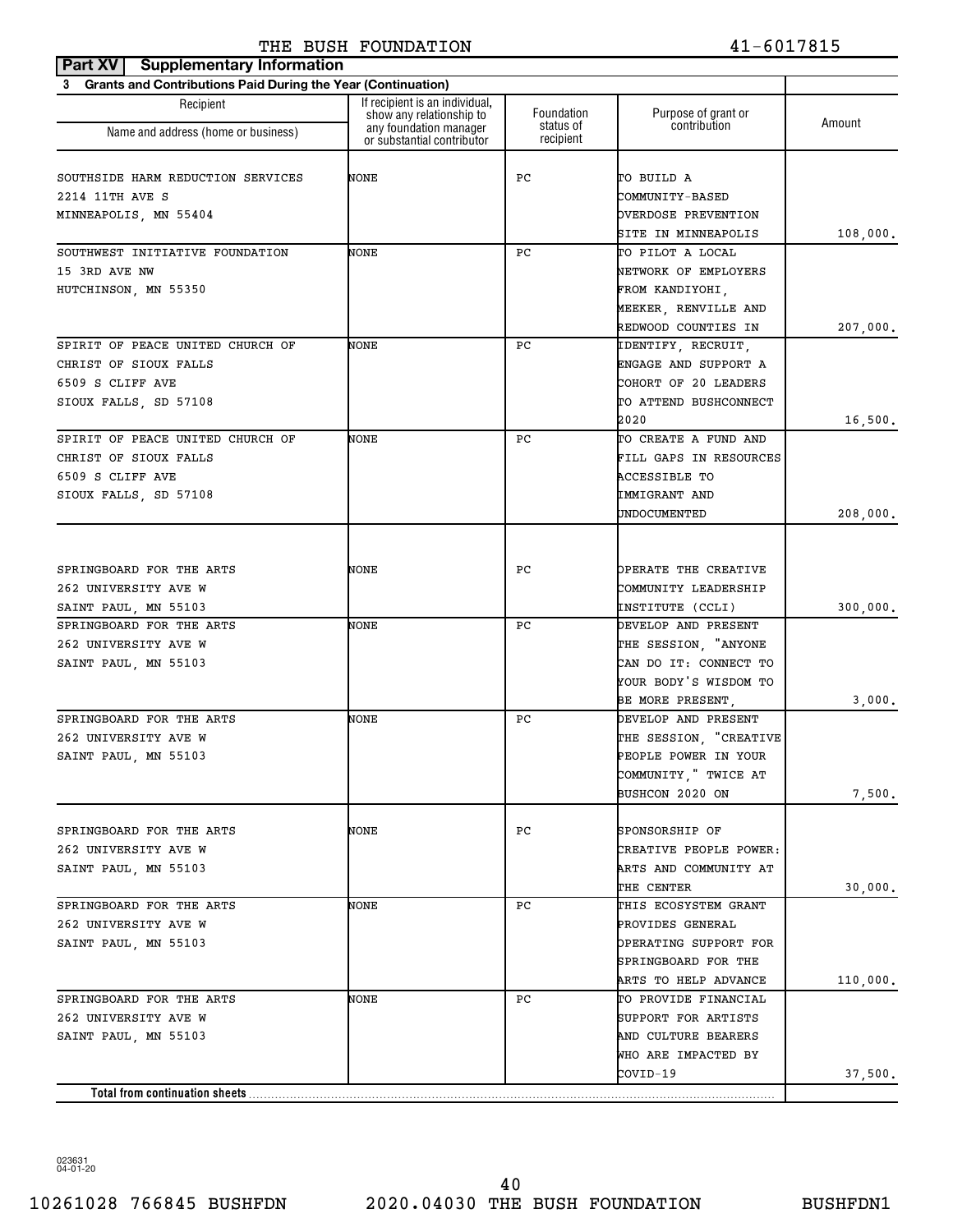| <b>Part XV   Supplementary Information</b>                     |                                                            |                        |                             |          |
|----------------------------------------------------------------|------------------------------------------------------------|------------------------|-----------------------------|----------|
| 3 Grants and Contributions Paid During the Year (Continuation) |                                                            |                        |                             |          |
| Recipient                                                      | If recipient is an individual,<br>show any relationship to | Foundation             | Purpose of grant or         |          |
| Name and address (home or business)                            | any foundation manager<br>or substantial contributor       | status of<br>recipient | contribution                | Amount   |
| SOUTHSIDE HARM REDUCTION SERVICES                              | NONE                                                       | РC                     | TO BUILD A                  |          |
| 2214 11TH AVE S                                                |                                                            |                        | <b>COMMUNITY-BASED</b>      |          |
| MINNEAPOLIS, MN 55404                                          |                                                            |                        | <b>OVERDOSE PREVENTION</b>  |          |
|                                                                |                                                            |                        | SITE IN MINNEAPOLIS         | 108,000. |
| SOUTHWEST INITIATIVE FOUNDATION                                | NONE                                                       | РC                     | TO PILOT A LOCAL            |          |
| 15 3RD AVE NW                                                  |                                                            |                        | NETWORK OF EMPLOYERS        |          |
| HUTCHINSON, MN 55350                                           |                                                            |                        | FROM KANDIYOHI,             |          |
|                                                                |                                                            |                        | MEEKER, RENVILLE AND        |          |
|                                                                |                                                            |                        | REDWOOD COUNTIES IN         | 207,000. |
| SPIRIT OF PEACE UNITED CHURCH OF                               | NONE                                                       | РC                     | IDENTIFY, RECRUIT,          |          |
| CHRIST OF SIOUX FALLS                                          |                                                            |                        | ENGAGE AND SUPPORT A        |          |
| 6509 S CLIFF AVE                                               |                                                            |                        | COHORT OF 20 LEADERS        |          |
| SIOUX FALLS, SD 57108                                          |                                                            |                        | TO ATTEND BUSHCONNECT       |          |
|                                                                |                                                            |                        | 2020                        | 16,500.  |
| SPIRIT OF PEACE UNITED CHURCH OF                               | NONE                                                       | РC                     | TO CREATE A FUND AND        |          |
| CHRIST OF SIOUX FALLS                                          |                                                            |                        | FILL GAPS IN RESOURCES      |          |
| 6509 S CLIFF AVE                                               |                                                            |                        | ACCESSIBLE TO               |          |
| SIOUX FALLS, SD 57108                                          |                                                            |                        | IMMIGRANT AND               |          |
|                                                                |                                                            |                        | UNDOCUMENTED                | 208,000. |
|                                                                |                                                            |                        |                             |          |
| SPRINGBOARD FOR THE ARTS                                       | NONE                                                       | PС                     | OPERATE THE CREATIVE        |          |
| 262 UNIVERSITY AVE W                                           |                                                            |                        | COMMUNITY LEADERSHIP        |          |
| SAINT PAUL, MN 55103                                           |                                                            |                        | INSTITUTE (CCLI)            | 300,000. |
| SPRINGBOARD FOR THE ARTS                                       | NONE                                                       | РC                     | DEVELOP AND PRESENT         |          |
| 262 UNIVERSITY AVE W                                           |                                                            |                        | THE SESSION, "ANYONE        |          |
| SAINT PAUL, MN 55103                                           |                                                            |                        | CAN DO IT: CONNECT TO       |          |
|                                                                |                                                            |                        | YOUR BODY'S WISDOM TO       |          |
|                                                                |                                                            |                        | BE MORE PRESENT,            | 3,000.   |
| SPRINGBOARD FOR THE ARTS                                       | NONE                                                       | РC                     | DEVELOP AND PRESENT         |          |
| 262 UNIVERSITY AVE W                                           |                                                            |                        | THE SESSION, "CREATIVE      |          |
| SAINT PAUL, MN 55103                                           |                                                            |                        | PEOPLE POWER IN YOUR        |          |
|                                                                |                                                            |                        | COMMUNITY, "TWICE AT        |          |
|                                                                |                                                            |                        | BUSHCON 2020 ON             | 7,500.   |
|                                                                |                                                            |                        |                             |          |
| SPRINGBOARD FOR THE ARTS                                       | NONE                                                       | PС                     | SPONSORSHIP OF              |          |
| 262 UNIVERSITY AVE W                                           |                                                            |                        | CREATIVE PEOPLE POWER:      |          |
| SAINT PAUL, MN 55103                                           |                                                            |                        | ARTS AND COMMUNITY AT       |          |
|                                                                |                                                            |                        | THE CENTER                  | 30,000.  |
| SPRINGBOARD FOR THE ARTS                                       | NONE                                                       | PС                     | THIS ECOSYSTEM GRANT        |          |
| 262 UNIVERSITY AVE W                                           |                                                            |                        | PROVIDES GENERAL            |          |
| SAINT PAUL, MN 55103                                           |                                                            |                        | OPERATING SUPPORT FOR       |          |
|                                                                |                                                            |                        | SPRINGBOARD FOR THE         |          |
|                                                                |                                                            |                        | <b>ARTS TO HELP ADVANCE</b> | 110,000. |
| SPRINGBOARD FOR THE ARTS                                       | NONE                                                       | PС                     | TO PROVIDE FINANCIAL        |          |
| 262 UNIVERSITY AVE W                                           |                                                            |                        | SUPPORT FOR ARTISTS         |          |
| SAINT PAUL, MN 55103                                           |                                                            |                        | AND CULTURE BEARERS         |          |
|                                                                |                                                            |                        | WHO ARE IMPACTED BY         |          |
|                                                                |                                                            |                        | COVID-19                    | 37,500.  |
| Total from continuation sheets                                 |                                                            |                        |                             |          |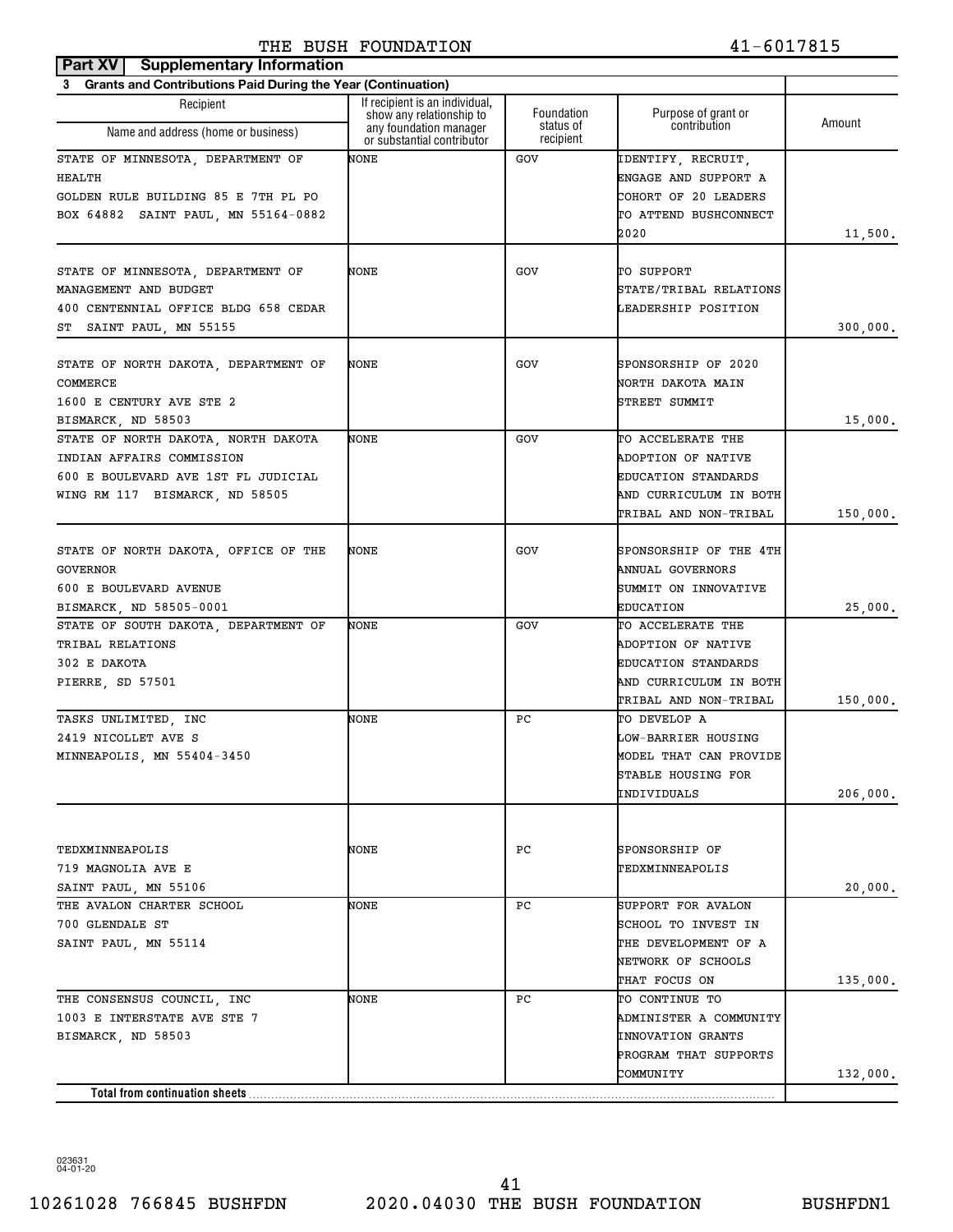## **Part XV** Supplementary Information THE BUSH FOUNDATION 41-6017815

| <b>Grants and Contributions Paid During the Year (Continuation)</b><br>3                                                                  |                                                                                  |                        |                                                                                                                          |          |
|-------------------------------------------------------------------------------------------------------------------------------------------|----------------------------------------------------------------------------------|------------------------|--------------------------------------------------------------------------------------------------------------------------|----------|
| Recipient                                                                                                                                 | If recipient is an individual.                                                   | Foundation             |                                                                                                                          |          |
| Name and address (home or business)                                                                                                       | show any relationship to<br>any foundation manager<br>or substantial contributor | status of<br>recipient | Purpose of grant or<br>contribution                                                                                      | Amount   |
| STATE OF MINNESOTA, DEPARTMENT OF<br>HEALTH<br>GOLDEN RULE BUILDING 85 E 7TH PL PO<br>BOX 64882 SAINT PAUL, MN 55164-0882                 | NONE                                                                             | GOV                    | IDENTIFY, RECRUIT,<br>ENGAGE AND SUPPORT A<br>COHORT OF 20 LEADERS<br>TO ATTEND BUSHCONNECT<br>2020                      | 11,500.  |
| STATE OF MINNESOTA, DEPARTMENT OF<br>MANAGEMENT AND BUDGET<br>400 CENTENNIAL OFFICE BLDG 658 CEDAR<br>ST SAINT PAUL, MN 55155             | NONE                                                                             | GOV                    | TO SUPPORT<br>STATE/TRIBAL RELATIONS<br>LEADERSHIP POSITION                                                              | 300,000. |
| STATE OF NORTH DAKOTA, DEPARTMENT OF<br>COMMERCE<br>1600 E CENTURY AVE STE 2<br>BISMARCK, ND 58503                                        | NONE                                                                             | GOV                    | SPONSORSHIP OF 2020<br>NORTH DAKOTA MAIN<br>STREET SUMMIT                                                                | 15,000.  |
| STATE OF NORTH DAKOTA, NORTH DAKOTA<br>INDIAN AFFAIRS COMMISSION<br>600 E BOULEVARD AVE 1ST FL JUDICIAL<br>WING RM 117 BISMARCK, ND 58505 | NONE                                                                             | GOV                    | TO ACCELERATE THE<br>ADOPTION OF NATIVE<br><b>EDUCATION STANDARDS</b><br>AND CURRICULUM IN BOTH<br>TRIBAL AND NON-TRIBAL | 150,000. |
| STATE OF NORTH DAKOTA, OFFICE OF THE<br><b>GOVERNOR</b><br>600 E BOULEVARD AVENUE<br>BISMARCK, ND 58505-0001                              | NONE                                                                             | GOV                    | SPONSORSHIP OF THE 4TH<br>ANNUAL GOVERNORS<br>SUMMIT ON INNOVATIVE<br><b>EDUCATION</b>                                   | 25,000.  |
| STATE OF SOUTH DAKOTA, DEPARTMENT OF<br>TRIBAL RELATIONS<br>302 E DAKOTA<br>PIERRE, SD 57501                                              | NONE                                                                             | GOV                    | TO ACCELERATE THE<br>ADOPTION OF NATIVE<br><b>EDUCATION STANDARDS</b><br>AND CURRICULUM IN BOTH<br>TRIBAL AND NON-TRIBAL | 150,000. |
| TASKS UNLIMITED, INC<br>2419 NICOLLET AVE S<br>MINNEAPOLIS, MN 55404-3450                                                                 | NONE                                                                             | РC                     | TO DEVELOP A<br>LOW-BARRIER HOUSING<br>MODEL THAT CAN PROVIDE<br>STABLE HOUSING FOR<br>INDIVIDUALS                       | 206,000. |
| TEDXMINNEAPOLIS<br>719 MAGNOLIA AVE E<br>SAINT PAUL, MN 55106                                                                             | NONE                                                                             | PС                     | SPONSORSHIP OF<br>TEDXMINNEAPOLIS                                                                                        | 20,000.  |
| THE AVALON CHARTER SCHOOL<br>700 GLENDALE ST<br>SAINT PAUL, MN 55114                                                                      | NONE                                                                             | РC                     | SUPPORT FOR AVALON<br>SCHOOL TO INVEST IN<br>THE DEVELOPMENT OF A<br>NETWORK OF SCHOOLS<br>THAT FOCUS ON                 | 135,000. |
| THE CONSENSUS COUNCIL, INC<br>1003 E INTERSTATE AVE STE 7<br>BISMARCK, ND 58503                                                           | NONE                                                                             | РC                     | TO CONTINUE TO<br>ADMINISTER A COMMUNITY<br><b>INNOVATION GRANTS</b><br>PROGRAM THAT SUPPORTS<br>COMMUNITY               | 132,000. |
| Total from continuation sheets.                                                                                                           |                                                                                  |                        |                                                                                                                          |          |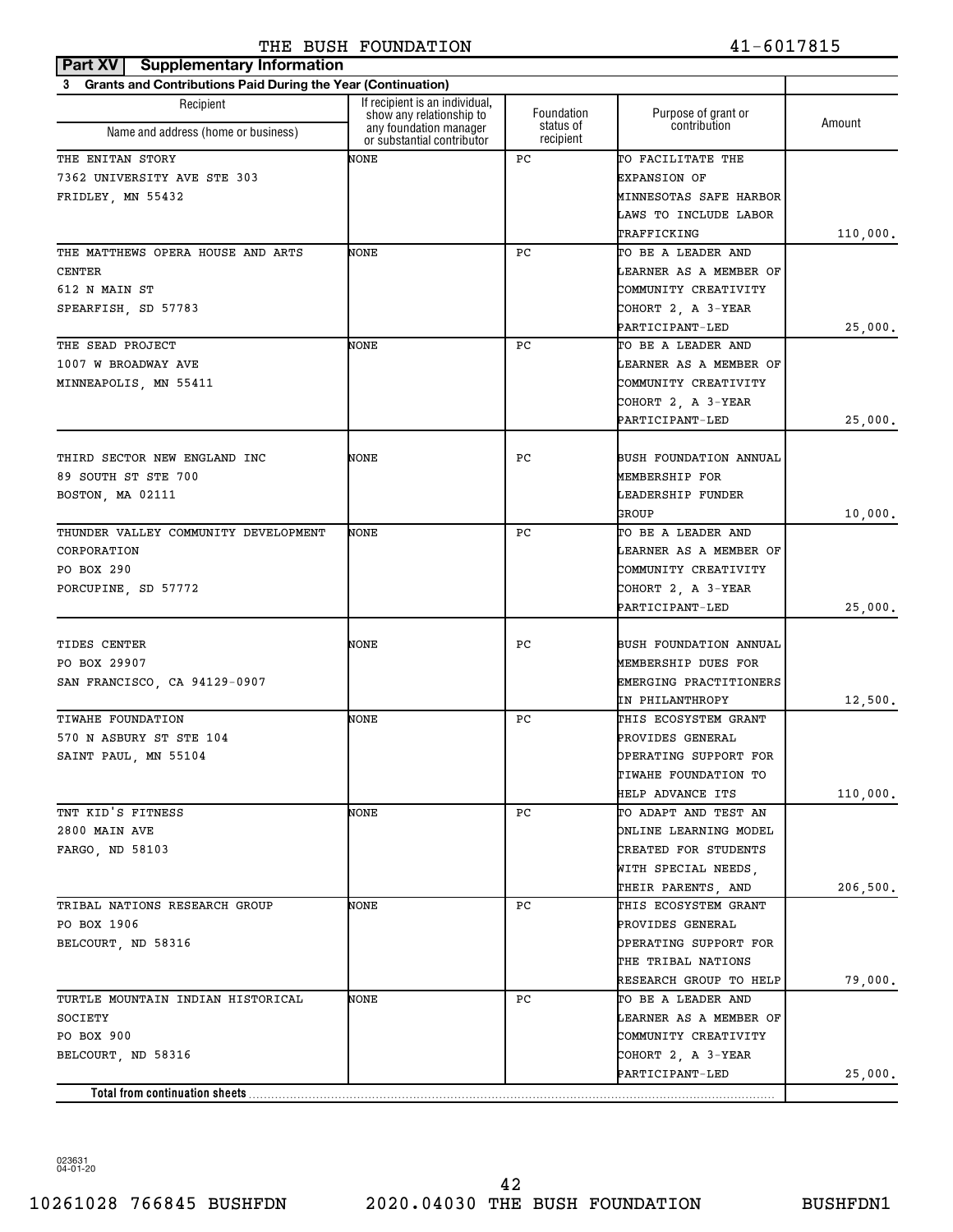| 3 Grants and Contributions Paid During the Year (Continuation)<br>If recipient is an individual,<br>Recipient<br>Foundation<br>Purpose of grant or<br>show any relationship to<br>Amount<br>status of<br>contribution<br>any foundation manager<br>Name and address (home or business)<br>recipient<br>or substantial contributor<br>NONE<br>РC<br>TO FACILITATE THE<br><b>EXPANSION OF</b><br>MINNESOTAS SAFE HARBOR<br>LAWS TO INCLUDE LABOR<br>TRAFFICKING<br>NONE<br>РC<br>TO BE A LEADER AND<br>LEARNER AS A MEMBER OF<br>COMMUNITY CREATIVITY<br>COHORT 2, A 3-YEAR<br>PARTICIPANT-LED<br>25,000.<br>NONE<br>РC<br>TO BE A LEADER AND<br>THE SEAD PROJECT<br>LEARNER AS A MEMBER OF<br>1007 W BROADWAY AVE<br>COMMUNITY CREATIVITY<br>MINNEAPOLIS, MN 55411<br>COHORT 2, A 3-YEAR<br>PARTICIPANT-LED<br>25,000.<br>NONE<br>РC<br>THIRD SECTOR NEW ENGLAND INC<br>BUSH FOUNDATION ANNUAL<br>89 SOUTH ST STE 700<br>MEMBERSHIP FOR<br>BOSTON, MA 02111<br>LEADERSHIP FUNDER<br>GROUP<br>10,000.<br>NONE<br>РC<br>TO BE A LEADER AND<br>THUNDER VALLEY COMMUNITY DEVELOPMENT<br>CORPORATION<br>LEARNER AS A MEMBER OF<br>COMMUNITY CREATIVITY<br>PO BOX 290<br>COHORT 2, A 3-YEAR<br>PORCUPINE, SD 57772<br>PARTICIPANT-LED<br>25,000.<br>NONE<br>РC<br>BUSH FOUNDATION ANNUAL<br>MEMBERSHIP DUES FOR<br>EMERGING PRACTITIONERS<br>IN PHILANTHROPY<br>NONE<br>РC<br>THIS ECOSYSTEM GRANT<br>PROVIDES GENERAL<br>OPERATING SUPPORT FOR<br>TIWAHE FOUNDATION TO<br><b>HELP ADVANCE ITS</b><br>NONE<br>TO ADAPT AND TEST AN<br>PC<br>ONLINE LEARNING MODEL<br>CREATED FOR STUDENTS<br>WITH SPECIAL NEEDS,<br>THEIR PARENTS, AND<br>TRIBAL NATIONS RESEARCH GROUP<br>NONE<br>PC<br>THIS ECOSYSTEM GRANT<br>PO BOX 1906<br>PROVIDES GENERAL<br>OPERATING SUPPORT FOR<br>BELCOURT, ND 58316<br>THE TRIBAL NATIONS<br>RESEARCH GROUP TO HELP<br>79,000.<br>NONE<br>TURTLE MOUNTAIN INDIAN HISTORICAL<br>PС<br>TO BE A LEADER AND<br>SOCIETY<br><b>LEARNER AS A MEMBER OF</b><br>PO BOX 900<br>COMMUNITY CREATIVITY<br>COHORT 2, A 3-YEAR<br>BELCOURT, ND 58316<br>PARTICIPANT-LED<br>25,000.<br>Total from continuation sheets | Part XV   Supplementary Information |  |          |
|----------------------------------------------------------------------------------------------------------------------------------------------------------------------------------------------------------------------------------------------------------------------------------------------------------------------------------------------------------------------------------------------------------------------------------------------------------------------------------------------------------------------------------------------------------------------------------------------------------------------------------------------------------------------------------------------------------------------------------------------------------------------------------------------------------------------------------------------------------------------------------------------------------------------------------------------------------------------------------------------------------------------------------------------------------------------------------------------------------------------------------------------------------------------------------------------------------------------------------------------------------------------------------------------------------------------------------------------------------------------------------------------------------------------------------------------------------------------------------------------------------------------------------------------------------------------------------------------------------------------------------------------------------------------------------------------------------------------------------------------------------------------------------------------------------------------------------------------------------------------------------------------------------------------------------------------------------------------------------------------------------------------------------------------------------------------------------------------------------------------------|-------------------------------------|--|----------|
|                                                                                                                                                                                                                                                                                                                                                                                                                                                                                                                                                                                                                                                                                                                                                                                                                                                                                                                                                                                                                                                                                                                                                                                                                                                                                                                                                                                                                                                                                                                                                                                                                                                                                                                                                                                                                                                                                                                                                                                                                                                                                                                            |                                     |  |          |
|                                                                                                                                                                                                                                                                                                                                                                                                                                                                                                                                                                                                                                                                                                                                                                                                                                                                                                                                                                                                                                                                                                                                                                                                                                                                                                                                                                                                                                                                                                                                                                                                                                                                                                                                                                                                                                                                                                                                                                                                                                                                                                                            |                                     |  |          |
|                                                                                                                                                                                                                                                                                                                                                                                                                                                                                                                                                                                                                                                                                                                                                                                                                                                                                                                                                                                                                                                                                                                                                                                                                                                                                                                                                                                                                                                                                                                                                                                                                                                                                                                                                                                                                                                                                                                                                                                                                                                                                                                            |                                     |  |          |
|                                                                                                                                                                                                                                                                                                                                                                                                                                                                                                                                                                                                                                                                                                                                                                                                                                                                                                                                                                                                                                                                                                                                                                                                                                                                                                                                                                                                                                                                                                                                                                                                                                                                                                                                                                                                                                                                                                                                                                                                                                                                                                                            | THE ENITAN STORY                    |  |          |
|                                                                                                                                                                                                                                                                                                                                                                                                                                                                                                                                                                                                                                                                                                                                                                                                                                                                                                                                                                                                                                                                                                                                                                                                                                                                                                                                                                                                                                                                                                                                                                                                                                                                                                                                                                                                                                                                                                                                                                                                                                                                                                                            | 7362 UNIVERSITY AVE STE 303         |  |          |
|                                                                                                                                                                                                                                                                                                                                                                                                                                                                                                                                                                                                                                                                                                                                                                                                                                                                                                                                                                                                                                                                                                                                                                                                                                                                                                                                                                                                                                                                                                                                                                                                                                                                                                                                                                                                                                                                                                                                                                                                                                                                                                                            | FRIDLEY, MN 55432                   |  |          |
|                                                                                                                                                                                                                                                                                                                                                                                                                                                                                                                                                                                                                                                                                                                                                                                                                                                                                                                                                                                                                                                                                                                                                                                                                                                                                                                                                                                                                                                                                                                                                                                                                                                                                                                                                                                                                                                                                                                                                                                                                                                                                                                            |                                     |  |          |
|                                                                                                                                                                                                                                                                                                                                                                                                                                                                                                                                                                                                                                                                                                                                                                                                                                                                                                                                                                                                                                                                                                                                                                                                                                                                                                                                                                                                                                                                                                                                                                                                                                                                                                                                                                                                                                                                                                                                                                                                                                                                                                                            |                                     |  | 110,000. |
|                                                                                                                                                                                                                                                                                                                                                                                                                                                                                                                                                                                                                                                                                                                                                                                                                                                                                                                                                                                                                                                                                                                                                                                                                                                                                                                                                                                                                                                                                                                                                                                                                                                                                                                                                                                                                                                                                                                                                                                                                                                                                                                            | THE MATTHEWS OPERA HOUSE AND ARTS   |  |          |
|                                                                                                                                                                                                                                                                                                                                                                                                                                                                                                                                                                                                                                                                                                                                                                                                                                                                                                                                                                                                                                                                                                                                                                                                                                                                                                                                                                                                                                                                                                                                                                                                                                                                                                                                                                                                                                                                                                                                                                                                                                                                                                                            | CENTER                              |  |          |
|                                                                                                                                                                                                                                                                                                                                                                                                                                                                                                                                                                                                                                                                                                                                                                                                                                                                                                                                                                                                                                                                                                                                                                                                                                                                                                                                                                                                                                                                                                                                                                                                                                                                                                                                                                                                                                                                                                                                                                                                                                                                                                                            | 612 N MAIN ST                       |  |          |
|                                                                                                                                                                                                                                                                                                                                                                                                                                                                                                                                                                                                                                                                                                                                                                                                                                                                                                                                                                                                                                                                                                                                                                                                                                                                                                                                                                                                                                                                                                                                                                                                                                                                                                                                                                                                                                                                                                                                                                                                                                                                                                                            | SPEARFISH, SD 57783                 |  |          |
|                                                                                                                                                                                                                                                                                                                                                                                                                                                                                                                                                                                                                                                                                                                                                                                                                                                                                                                                                                                                                                                                                                                                                                                                                                                                                                                                                                                                                                                                                                                                                                                                                                                                                                                                                                                                                                                                                                                                                                                                                                                                                                                            |                                     |  |          |
|                                                                                                                                                                                                                                                                                                                                                                                                                                                                                                                                                                                                                                                                                                                                                                                                                                                                                                                                                                                                                                                                                                                                                                                                                                                                                                                                                                                                                                                                                                                                                                                                                                                                                                                                                                                                                                                                                                                                                                                                                                                                                                                            |                                     |  |          |
|                                                                                                                                                                                                                                                                                                                                                                                                                                                                                                                                                                                                                                                                                                                                                                                                                                                                                                                                                                                                                                                                                                                                                                                                                                                                                                                                                                                                                                                                                                                                                                                                                                                                                                                                                                                                                                                                                                                                                                                                                                                                                                                            |                                     |  |          |
|                                                                                                                                                                                                                                                                                                                                                                                                                                                                                                                                                                                                                                                                                                                                                                                                                                                                                                                                                                                                                                                                                                                                                                                                                                                                                                                                                                                                                                                                                                                                                                                                                                                                                                                                                                                                                                                                                                                                                                                                                                                                                                                            |                                     |  |          |
|                                                                                                                                                                                                                                                                                                                                                                                                                                                                                                                                                                                                                                                                                                                                                                                                                                                                                                                                                                                                                                                                                                                                                                                                                                                                                                                                                                                                                                                                                                                                                                                                                                                                                                                                                                                                                                                                                                                                                                                                                                                                                                                            |                                     |  |          |
|                                                                                                                                                                                                                                                                                                                                                                                                                                                                                                                                                                                                                                                                                                                                                                                                                                                                                                                                                                                                                                                                                                                                                                                                                                                                                                                                                                                                                                                                                                                                                                                                                                                                                                                                                                                                                                                                                                                                                                                                                                                                                                                            |                                     |  |          |
|                                                                                                                                                                                                                                                                                                                                                                                                                                                                                                                                                                                                                                                                                                                                                                                                                                                                                                                                                                                                                                                                                                                                                                                                                                                                                                                                                                                                                                                                                                                                                                                                                                                                                                                                                                                                                                                                                                                                                                                                                                                                                                                            |                                     |  |          |
|                                                                                                                                                                                                                                                                                                                                                                                                                                                                                                                                                                                                                                                                                                                                                                                                                                                                                                                                                                                                                                                                                                                                                                                                                                                                                                                                                                                                                                                                                                                                                                                                                                                                                                                                                                                                                                                                                                                                                                                                                                                                                                                            |                                     |  |          |
|                                                                                                                                                                                                                                                                                                                                                                                                                                                                                                                                                                                                                                                                                                                                                                                                                                                                                                                                                                                                                                                                                                                                                                                                                                                                                                                                                                                                                                                                                                                                                                                                                                                                                                                                                                                                                                                                                                                                                                                                                                                                                                                            |                                     |  |          |
|                                                                                                                                                                                                                                                                                                                                                                                                                                                                                                                                                                                                                                                                                                                                                                                                                                                                                                                                                                                                                                                                                                                                                                                                                                                                                                                                                                                                                                                                                                                                                                                                                                                                                                                                                                                                                                                                                                                                                                                                                                                                                                                            |                                     |  |          |
|                                                                                                                                                                                                                                                                                                                                                                                                                                                                                                                                                                                                                                                                                                                                                                                                                                                                                                                                                                                                                                                                                                                                                                                                                                                                                                                                                                                                                                                                                                                                                                                                                                                                                                                                                                                                                                                                                                                                                                                                                                                                                                                            |                                     |  |          |
|                                                                                                                                                                                                                                                                                                                                                                                                                                                                                                                                                                                                                                                                                                                                                                                                                                                                                                                                                                                                                                                                                                                                                                                                                                                                                                                                                                                                                                                                                                                                                                                                                                                                                                                                                                                                                                                                                                                                                                                                                                                                                                                            |                                     |  |          |
|                                                                                                                                                                                                                                                                                                                                                                                                                                                                                                                                                                                                                                                                                                                                                                                                                                                                                                                                                                                                                                                                                                                                                                                                                                                                                                                                                                                                                                                                                                                                                                                                                                                                                                                                                                                                                                                                                                                                                                                                                                                                                                                            |                                     |  |          |
|                                                                                                                                                                                                                                                                                                                                                                                                                                                                                                                                                                                                                                                                                                                                                                                                                                                                                                                                                                                                                                                                                                                                                                                                                                                                                                                                                                                                                                                                                                                                                                                                                                                                                                                                                                                                                                                                                                                                                                                                                                                                                                                            |                                     |  |          |
|                                                                                                                                                                                                                                                                                                                                                                                                                                                                                                                                                                                                                                                                                                                                                                                                                                                                                                                                                                                                                                                                                                                                                                                                                                                                                                                                                                                                                                                                                                                                                                                                                                                                                                                                                                                                                                                                                                                                                                                                                                                                                                                            |                                     |  |          |
|                                                                                                                                                                                                                                                                                                                                                                                                                                                                                                                                                                                                                                                                                                                                                                                                                                                                                                                                                                                                                                                                                                                                                                                                                                                                                                                                                                                                                                                                                                                                                                                                                                                                                                                                                                                                                                                                                                                                                                                                                                                                                                                            |                                     |  |          |
|                                                                                                                                                                                                                                                                                                                                                                                                                                                                                                                                                                                                                                                                                                                                                                                                                                                                                                                                                                                                                                                                                                                                                                                                                                                                                                                                                                                                                                                                                                                                                                                                                                                                                                                                                                                                                                                                                                                                                                                                                                                                                                                            | TIDES CENTER                        |  |          |
|                                                                                                                                                                                                                                                                                                                                                                                                                                                                                                                                                                                                                                                                                                                                                                                                                                                                                                                                                                                                                                                                                                                                                                                                                                                                                                                                                                                                                                                                                                                                                                                                                                                                                                                                                                                                                                                                                                                                                                                                                                                                                                                            | PO BOX 29907                        |  |          |
|                                                                                                                                                                                                                                                                                                                                                                                                                                                                                                                                                                                                                                                                                                                                                                                                                                                                                                                                                                                                                                                                                                                                                                                                                                                                                                                                                                                                                                                                                                                                                                                                                                                                                                                                                                                                                                                                                                                                                                                                                                                                                                                            | SAN FRANCISCO, CA 94129-0907        |  |          |
|                                                                                                                                                                                                                                                                                                                                                                                                                                                                                                                                                                                                                                                                                                                                                                                                                                                                                                                                                                                                                                                                                                                                                                                                                                                                                                                                                                                                                                                                                                                                                                                                                                                                                                                                                                                                                                                                                                                                                                                                                                                                                                                            |                                     |  | 12,500.  |
|                                                                                                                                                                                                                                                                                                                                                                                                                                                                                                                                                                                                                                                                                                                                                                                                                                                                                                                                                                                                                                                                                                                                                                                                                                                                                                                                                                                                                                                                                                                                                                                                                                                                                                                                                                                                                                                                                                                                                                                                                                                                                                                            | TIWAHE FOUNDATION                   |  |          |
|                                                                                                                                                                                                                                                                                                                                                                                                                                                                                                                                                                                                                                                                                                                                                                                                                                                                                                                                                                                                                                                                                                                                                                                                                                                                                                                                                                                                                                                                                                                                                                                                                                                                                                                                                                                                                                                                                                                                                                                                                                                                                                                            | 570 N ASBURY ST STE 104             |  |          |
|                                                                                                                                                                                                                                                                                                                                                                                                                                                                                                                                                                                                                                                                                                                                                                                                                                                                                                                                                                                                                                                                                                                                                                                                                                                                                                                                                                                                                                                                                                                                                                                                                                                                                                                                                                                                                                                                                                                                                                                                                                                                                                                            | SAINT PAUL, MN 55104                |  |          |
|                                                                                                                                                                                                                                                                                                                                                                                                                                                                                                                                                                                                                                                                                                                                                                                                                                                                                                                                                                                                                                                                                                                                                                                                                                                                                                                                                                                                                                                                                                                                                                                                                                                                                                                                                                                                                                                                                                                                                                                                                                                                                                                            |                                     |  |          |
|                                                                                                                                                                                                                                                                                                                                                                                                                                                                                                                                                                                                                                                                                                                                                                                                                                                                                                                                                                                                                                                                                                                                                                                                                                                                                                                                                                                                                                                                                                                                                                                                                                                                                                                                                                                                                                                                                                                                                                                                                                                                                                                            |                                     |  | 110,000. |
|                                                                                                                                                                                                                                                                                                                                                                                                                                                                                                                                                                                                                                                                                                                                                                                                                                                                                                                                                                                                                                                                                                                                                                                                                                                                                                                                                                                                                                                                                                                                                                                                                                                                                                                                                                                                                                                                                                                                                                                                                                                                                                                            | TNT KID'S FITNESS                   |  |          |
|                                                                                                                                                                                                                                                                                                                                                                                                                                                                                                                                                                                                                                                                                                                                                                                                                                                                                                                                                                                                                                                                                                                                                                                                                                                                                                                                                                                                                                                                                                                                                                                                                                                                                                                                                                                                                                                                                                                                                                                                                                                                                                                            | 2800 MAIN AVE                       |  |          |
|                                                                                                                                                                                                                                                                                                                                                                                                                                                                                                                                                                                                                                                                                                                                                                                                                                                                                                                                                                                                                                                                                                                                                                                                                                                                                                                                                                                                                                                                                                                                                                                                                                                                                                                                                                                                                                                                                                                                                                                                                                                                                                                            | FARGO, ND 58103                     |  |          |
|                                                                                                                                                                                                                                                                                                                                                                                                                                                                                                                                                                                                                                                                                                                                                                                                                                                                                                                                                                                                                                                                                                                                                                                                                                                                                                                                                                                                                                                                                                                                                                                                                                                                                                                                                                                                                                                                                                                                                                                                                                                                                                                            |                                     |  |          |
|                                                                                                                                                                                                                                                                                                                                                                                                                                                                                                                                                                                                                                                                                                                                                                                                                                                                                                                                                                                                                                                                                                                                                                                                                                                                                                                                                                                                                                                                                                                                                                                                                                                                                                                                                                                                                                                                                                                                                                                                                                                                                                                            |                                     |  | 206,500. |
|                                                                                                                                                                                                                                                                                                                                                                                                                                                                                                                                                                                                                                                                                                                                                                                                                                                                                                                                                                                                                                                                                                                                                                                                                                                                                                                                                                                                                                                                                                                                                                                                                                                                                                                                                                                                                                                                                                                                                                                                                                                                                                                            |                                     |  |          |
|                                                                                                                                                                                                                                                                                                                                                                                                                                                                                                                                                                                                                                                                                                                                                                                                                                                                                                                                                                                                                                                                                                                                                                                                                                                                                                                                                                                                                                                                                                                                                                                                                                                                                                                                                                                                                                                                                                                                                                                                                                                                                                                            |                                     |  |          |
|                                                                                                                                                                                                                                                                                                                                                                                                                                                                                                                                                                                                                                                                                                                                                                                                                                                                                                                                                                                                                                                                                                                                                                                                                                                                                                                                                                                                                                                                                                                                                                                                                                                                                                                                                                                                                                                                                                                                                                                                                                                                                                                            |                                     |  |          |
|                                                                                                                                                                                                                                                                                                                                                                                                                                                                                                                                                                                                                                                                                                                                                                                                                                                                                                                                                                                                                                                                                                                                                                                                                                                                                                                                                                                                                                                                                                                                                                                                                                                                                                                                                                                                                                                                                                                                                                                                                                                                                                                            |                                     |  |          |
|                                                                                                                                                                                                                                                                                                                                                                                                                                                                                                                                                                                                                                                                                                                                                                                                                                                                                                                                                                                                                                                                                                                                                                                                                                                                                                                                                                                                                                                                                                                                                                                                                                                                                                                                                                                                                                                                                                                                                                                                                                                                                                                            |                                     |  |          |
|                                                                                                                                                                                                                                                                                                                                                                                                                                                                                                                                                                                                                                                                                                                                                                                                                                                                                                                                                                                                                                                                                                                                                                                                                                                                                                                                                                                                                                                                                                                                                                                                                                                                                                                                                                                                                                                                                                                                                                                                                                                                                                                            |                                     |  |          |
|                                                                                                                                                                                                                                                                                                                                                                                                                                                                                                                                                                                                                                                                                                                                                                                                                                                                                                                                                                                                                                                                                                                                                                                                                                                                                                                                                                                                                                                                                                                                                                                                                                                                                                                                                                                                                                                                                                                                                                                                                                                                                                                            |                                     |  |          |
|                                                                                                                                                                                                                                                                                                                                                                                                                                                                                                                                                                                                                                                                                                                                                                                                                                                                                                                                                                                                                                                                                                                                                                                                                                                                                                                                                                                                                                                                                                                                                                                                                                                                                                                                                                                                                                                                                                                                                                                                                                                                                                                            |                                     |  |          |
|                                                                                                                                                                                                                                                                                                                                                                                                                                                                                                                                                                                                                                                                                                                                                                                                                                                                                                                                                                                                                                                                                                                                                                                                                                                                                                                                                                                                                                                                                                                                                                                                                                                                                                                                                                                                                                                                                                                                                                                                                                                                                                                            |                                     |  |          |
|                                                                                                                                                                                                                                                                                                                                                                                                                                                                                                                                                                                                                                                                                                                                                                                                                                                                                                                                                                                                                                                                                                                                                                                                                                                                                                                                                                                                                                                                                                                                                                                                                                                                                                                                                                                                                                                                                                                                                                                                                                                                                                                            |                                     |  |          |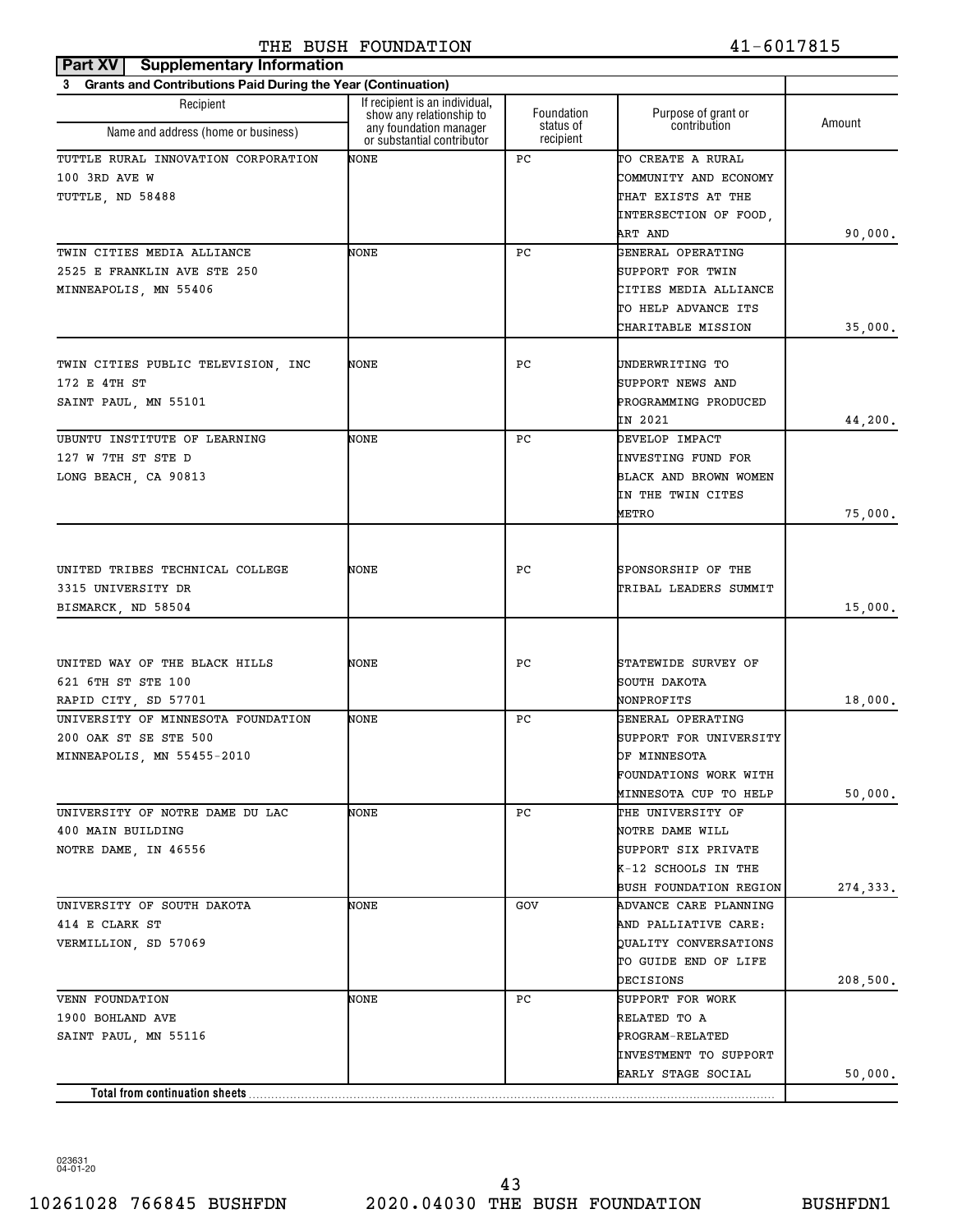| Part XV   Supplementary Information                            |                                                            |                         |                                     |          |
|----------------------------------------------------------------|------------------------------------------------------------|-------------------------|-------------------------------------|----------|
| 3 Grants and Contributions Paid During the Year (Continuation) |                                                            |                         |                                     |          |
| Recipient                                                      | If recipient is an individual,<br>show any relationship to | Foundation<br>status of | Purpose of grant or<br>contribution | Amount   |
| Name and address (home or business)                            | any foundation manager<br>or substantial contributor       | recipient               |                                     |          |
| TUTTLE RURAL INNOVATION CORPORATION                            | NONE                                                       | РC                      | TO CREATE A RURAL                   |          |
| 100 3RD AVE W                                                  |                                                            |                         | COMMUNITY AND ECONOMY               |          |
| TUTTLE, ND 58488                                               |                                                            |                         | THAT EXISTS AT THE                  |          |
|                                                                |                                                            |                         | INTERSECTION OF FOOD,               |          |
|                                                                |                                                            |                         | ART AND                             | 90,000.  |
| TWIN CITIES MEDIA ALLIANCE                                     | NONE                                                       | РC                      | GENERAL OPERATING                   |          |
| 2525 E FRANKLIN AVE STE 250                                    |                                                            |                         | SUPPORT FOR TWIN                    |          |
| MINNEAPOLIS, MN 55406                                          |                                                            |                         | CITIES MEDIA ALLIANCE               |          |
|                                                                |                                                            |                         | TO HELP ADVANCE ITS                 |          |
|                                                                |                                                            |                         | CHARITABLE MISSION                  | 35,000.  |
|                                                                |                                                            |                         |                                     |          |
| TWIN CITIES PUBLIC TELEVISION, INC                             | NONE                                                       | РC                      | UNDERWRITING TO                     |          |
| 172 E 4TH ST                                                   |                                                            |                         | SUPPORT NEWS AND                    |          |
| SAINT PAUL, MN 55101                                           |                                                            |                         | PROGRAMMING PRODUCED                |          |
|                                                                |                                                            |                         | IN 2021                             | 44,200.  |
| UBUNTU INSTITUTE OF LEARNING                                   | NONE                                                       | РC                      | DEVELOP IMPACT                      |          |
| 127 W 7TH ST STE D                                             |                                                            |                         | INVESTING FUND FOR                  |          |
| LONG BEACH, CA 90813                                           |                                                            |                         | BLACK AND BROWN WOMEN               |          |
|                                                                |                                                            |                         | IN THE TWIN CITES                   |          |
|                                                                |                                                            |                         | <b>METRO</b>                        | 75,000.  |
|                                                                |                                                            |                         |                                     |          |
|                                                                |                                                            |                         |                                     |          |
| UNITED TRIBES TECHNICAL COLLEGE                                | NONE                                                       | РC                      | SPONSORSHIP OF THE                  |          |
| 3315 UNIVERSITY DR                                             |                                                            |                         | TRIBAL LEADERS SUMMIT               |          |
| BISMARCK, ND 58504                                             |                                                            |                         |                                     | 15,000.  |
|                                                                |                                                            |                         |                                     |          |
| UNITED WAY OF THE BLACK HILLS                                  | NONE                                                       | РC                      | STATEWIDE SURVEY OF                 |          |
| 621 6TH ST STE 100                                             |                                                            |                         | SOUTH DAKOTA                        |          |
| RAPID CITY, SD 57701                                           |                                                            |                         | NONPROFITS                          | 18,000.  |
| UNIVERSITY OF MINNESOTA FOUNDATION                             | NONE                                                       | РC                      | GENERAL OPERATING                   |          |
| 200 OAK ST SE STE 500                                          |                                                            |                         | SUPPORT FOR UNIVERSITY              |          |
| MINNEAPOLIS, MN 55455-2010                                     |                                                            |                         | OF MINNESOTA                        |          |
|                                                                |                                                            |                         | FOUNDATIONS WORK WITH               |          |
|                                                                |                                                            |                         | MINNESOTA CUP TO HELP               | 50,000.  |
| UNIVERSITY OF NOTRE DAME DU LAC                                | NONE                                                       | РC                      | THE UNIVERSITY OF                   |          |
| 400 MAIN BUILDING                                              |                                                            |                         | NOTRE DAME WILL                     |          |
| NOTRE DAME, IN 46556                                           |                                                            |                         | SUPPORT SIX PRIVATE                 |          |
|                                                                |                                                            |                         | K-12 SCHOOLS IN THE                 |          |
|                                                                |                                                            |                         | <b>BUSH FOUNDATION REGION</b>       | 274,333. |
| UNIVERSITY OF SOUTH DAKOTA                                     | NONE                                                       | GOV                     | ADVANCE CARE PLANNING               |          |
| 414 E CLARK ST                                                 |                                                            |                         | AND PALLIATIVE CARE:                |          |
| VERMILLION, SD 57069                                           |                                                            |                         | QUALITY CONVERSATIONS               |          |
|                                                                |                                                            |                         | TO GUIDE END OF LIFE                |          |
|                                                                |                                                            |                         | DECISIONS                           | 208,500. |
| VENN FOUNDATION                                                | NONE                                                       | РC                      | SUPPORT FOR WORK                    |          |
| 1900 BOHLAND AVE                                               |                                                            |                         | RELATED TO A                        |          |
| SAINT PAUL, MN 55116                                           |                                                            |                         | PROGRAM-RELATED                     |          |
|                                                                |                                                            |                         | INVESTMENT TO SUPPORT               |          |
|                                                                |                                                            |                         | EARLY STAGE SOCIAL                  | 50,000.  |
| Total from continuation sheets                                 |                                                            |                         |                                     |          |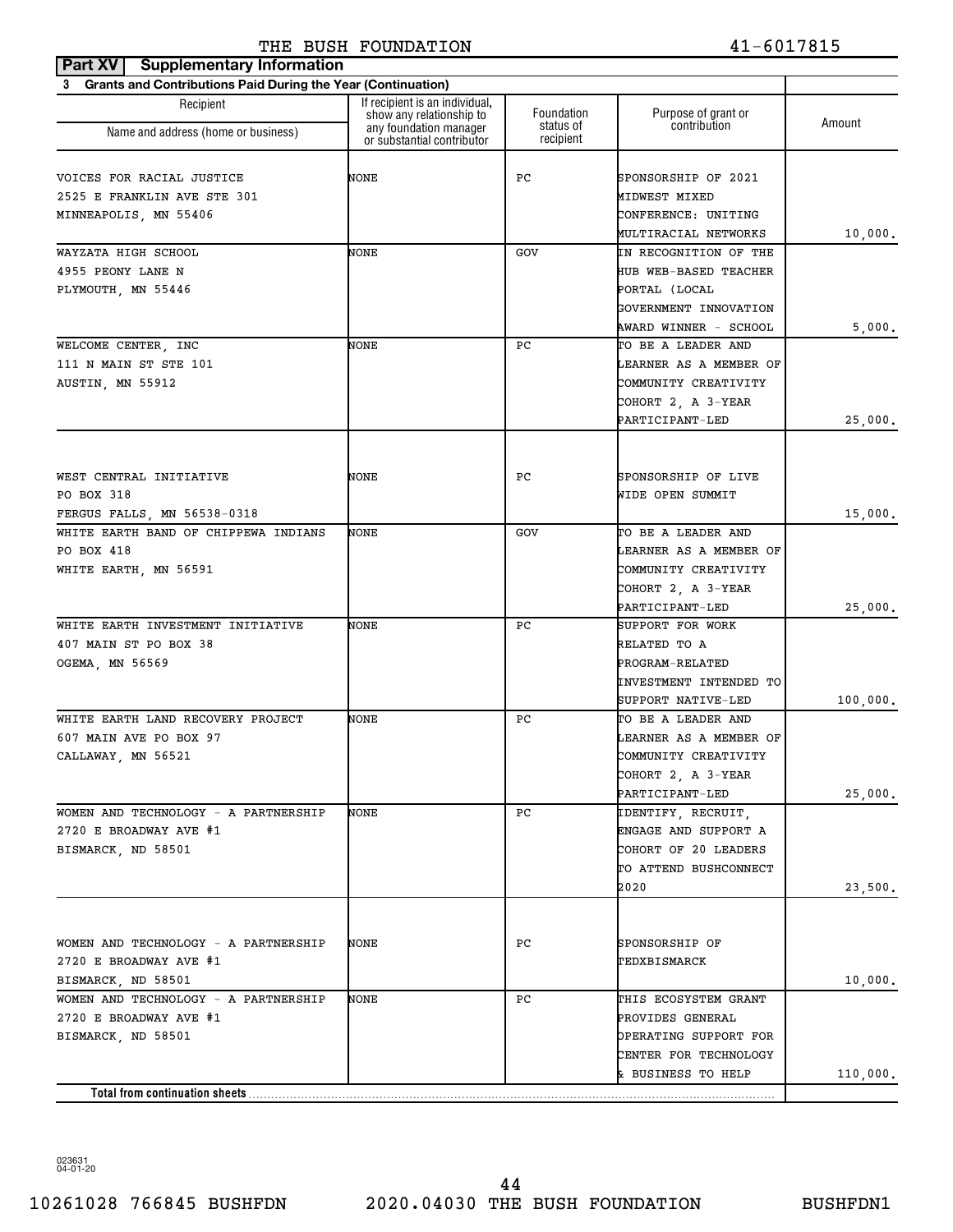| 3 Grants and Contributions Paid During the Year (Continuation)<br>If recipient is an individual,<br>Recipient<br>Foundation<br>Purpose of grant or<br>show any relationship to<br>Amount<br>contribution<br>status of<br>any foundation manager<br>Name and address (home or business)<br>recipient<br>or substantial contributor<br>VOICES FOR RACIAL JUSTICE<br>NONE<br>РC<br>SPONSORSHIP OF 2021<br>2525 E FRANKLIN AVE STE 301<br>MIDWEST MIXED<br>MINNEAPOLIS, MN 55406<br>CONFERENCE: UNITING<br>MULTIRACIAL NETWORKS | 10,000.  |
|-----------------------------------------------------------------------------------------------------------------------------------------------------------------------------------------------------------------------------------------------------------------------------------------------------------------------------------------------------------------------------------------------------------------------------------------------------------------------------------------------------------------------------|----------|
|                                                                                                                                                                                                                                                                                                                                                                                                                                                                                                                             |          |
|                                                                                                                                                                                                                                                                                                                                                                                                                                                                                                                             |          |
|                                                                                                                                                                                                                                                                                                                                                                                                                                                                                                                             |          |
|                                                                                                                                                                                                                                                                                                                                                                                                                                                                                                                             |          |
|                                                                                                                                                                                                                                                                                                                                                                                                                                                                                                                             |          |
|                                                                                                                                                                                                                                                                                                                                                                                                                                                                                                                             |          |
|                                                                                                                                                                                                                                                                                                                                                                                                                                                                                                                             |          |
|                                                                                                                                                                                                                                                                                                                                                                                                                                                                                                                             |          |
| WAYZATA HIGH SCHOOL<br>NONE<br>GOV<br>IN RECOGNITION OF THE                                                                                                                                                                                                                                                                                                                                                                                                                                                                 |          |
| 4955 PEONY LANE N<br>HUB WEB-BASED TEACHER                                                                                                                                                                                                                                                                                                                                                                                                                                                                                  |          |
| PLYMOUTH, MN 55446<br>PORTAL (LOCAL                                                                                                                                                                                                                                                                                                                                                                                                                                                                                         |          |
| GOVERNMENT INNOVATION                                                                                                                                                                                                                                                                                                                                                                                                                                                                                                       |          |
| AWARD WINNER - SCHOOL                                                                                                                                                                                                                                                                                                                                                                                                                                                                                                       | 5,000.   |
| WELCOME CENTER, INC<br>NONE<br>РC<br>TO BE A LEADER AND                                                                                                                                                                                                                                                                                                                                                                                                                                                                     |          |
| 111 N MAIN ST STE 101<br>LEARNER AS A MEMBER OF                                                                                                                                                                                                                                                                                                                                                                                                                                                                             |          |
| COMMUNITY CREATIVITY<br>AUSTIN, MN 55912                                                                                                                                                                                                                                                                                                                                                                                                                                                                                    |          |
| COHORT 2, A 3-YEAR                                                                                                                                                                                                                                                                                                                                                                                                                                                                                                          |          |
| PARTICIPANT-LED                                                                                                                                                                                                                                                                                                                                                                                                                                                                                                             | 25,000.  |
|                                                                                                                                                                                                                                                                                                                                                                                                                                                                                                                             |          |
| WEST CENTRAL INITIATIVE<br>NONE<br>РC<br>SPONSORSHIP OF LIVE                                                                                                                                                                                                                                                                                                                                                                                                                                                                |          |
| PO BOX 318                                                                                                                                                                                                                                                                                                                                                                                                                                                                                                                  |          |
| WIDE OPEN SUMMIT                                                                                                                                                                                                                                                                                                                                                                                                                                                                                                            |          |
| FERGUS FALLS, MN 56538-0318                                                                                                                                                                                                                                                                                                                                                                                                                                                                                                 | 15,000.  |
| WHITE EARTH BAND OF CHIPPEWA INDIANS<br>NONE<br>GOV<br>TO BE A LEADER AND                                                                                                                                                                                                                                                                                                                                                                                                                                                   |          |
| PO BOX 418<br>LEARNER AS A MEMBER OF                                                                                                                                                                                                                                                                                                                                                                                                                                                                                        |          |
| WHITE EARTH, MN 56591<br>COMMUNITY CREATIVITY                                                                                                                                                                                                                                                                                                                                                                                                                                                                               |          |
| COHORT 2, A 3-YEAR                                                                                                                                                                                                                                                                                                                                                                                                                                                                                                          |          |
| PARTICIPANT-LED                                                                                                                                                                                                                                                                                                                                                                                                                                                                                                             | 25,000.  |
| WHITE EARTH INVESTMENT INITIATIVE<br>NONE<br>РC<br>SUPPORT FOR WORK                                                                                                                                                                                                                                                                                                                                                                                                                                                         |          |
| 407 MAIN ST PO BOX 38<br>RELATED TO A                                                                                                                                                                                                                                                                                                                                                                                                                                                                                       |          |
| OGEMA, MN 56569<br>PROGRAM-RELATED<br>INVESTMENT INTENDED TO                                                                                                                                                                                                                                                                                                                                                                                                                                                                |          |
|                                                                                                                                                                                                                                                                                                                                                                                                                                                                                                                             | 100,000. |
| SUPPORT NATIVE-LED<br>WHITE EARTH LAND RECOVERY PROJECT<br>NONE<br>РC<br>TO BE A LEADER AND                                                                                                                                                                                                                                                                                                                                                                                                                                 |          |
| 607 MAIN AVE PO BOX 97<br>LEARNER AS A MEMBER OF                                                                                                                                                                                                                                                                                                                                                                                                                                                                            |          |
| COMMUNITY CREATIVITY                                                                                                                                                                                                                                                                                                                                                                                                                                                                                                        |          |
| CALLAWAY, MN 56521<br>COHORT 2, A 3-YEAR                                                                                                                                                                                                                                                                                                                                                                                                                                                                                    |          |
| PARTICIPANT-LED                                                                                                                                                                                                                                                                                                                                                                                                                                                                                                             | 25,000.  |
| WOMEN AND TECHNOLOGY - A PARTNERSHIP<br>NONE<br>PC.<br>IDENTIFY, RECRUIT,                                                                                                                                                                                                                                                                                                                                                                                                                                                   |          |
| 2720 E BROADWAY AVE #1<br>ENGAGE AND SUPPORT A                                                                                                                                                                                                                                                                                                                                                                                                                                                                              |          |
| BISMARCK, ND 58501<br>COHORT OF 20 LEADERS                                                                                                                                                                                                                                                                                                                                                                                                                                                                                  |          |
| TO ATTEND BUSHCONNECT                                                                                                                                                                                                                                                                                                                                                                                                                                                                                                       |          |
| 2020                                                                                                                                                                                                                                                                                                                                                                                                                                                                                                                        |          |
|                                                                                                                                                                                                                                                                                                                                                                                                                                                                                                                             | 23,500.  |
|                                                                                                                                                                                                                                                                                                                                                                                                                                                                                                                             |          |
| WOMEN AND TECHNOLOGY - A PARTNERSHIP<br>PС<br>SPONSORSHIP OF<br>NONE                                                                                                                                                                                                                                                                                                                                                                                                                                                        |          |
| 2720 E BROADWAY AVE #1<br>TEDXBISMARCK                                                                                                                                                                                                                                                                                                                                                                                                                                                                                      |          |
| BISMARCK, ND 58501                                                                                                                                                                                                                                                                                                                                                                                                                                                                                                          | 10,000.  |
| WOMEN AND TECHNOLOGY - A PARTNERSHIP<br>NONE<br>PC.<br>THIS ECOSYSTEM GRANT                                                                                                                                                                                                                                                                                                                                                                                                                                                 |          |
| 2720 E BROADWAY AVE #1<br>PROVIDES GENERAL                                                                                                                                                                                                                                                                                                                                                                                                                                                                                  |          |
| BISMARCK, ND 58501<br>OPERATING SUPPORT FOR                                                                                                                                                                                                                                                                                                                                                                                                                                                                                 |          |
| CENTER FOR TECHNOLOGY                                                                                                                                                                                                                                                                                                                                                                                                                                                                                                       |          |
| & BUSINESS TO HELP                                                                                                                                                                                                                                                                                                                                                                                                                                                                                                          | 110,000. |
| Total from continuation sheets                                                                                                                                                                                                                                                                                                                                                                                                                                                                                              |          |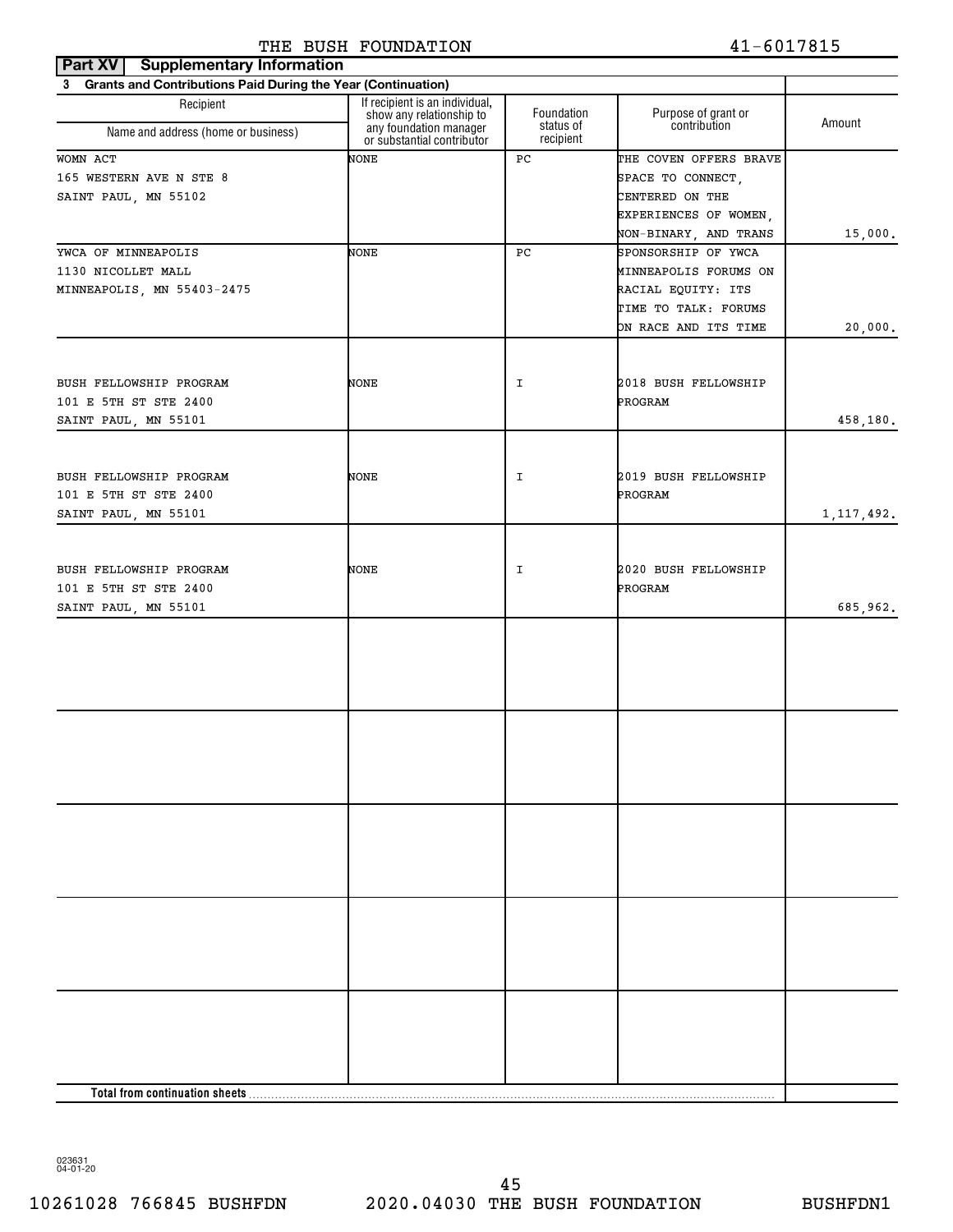| <b>Part XV</b> Supplementary Information                       |                                                            |                         |                                            |              |
|----------------------------------------------------------------|------------------------------------------------------------|-------------------------|--------------------------------------------|--------------|
| 3 Grants and Contributions Paid During the Year (Continuation) |                                                            |                         |                                            |              |
| Recipient                                                      | If recipient is an individual,<br>show any relationship to | Foundation<br>status of | Purpose of grant or<br>contribution        | Amount       |
| Name and address (home or business)                            | any foundation manager<br>or substantial contributor       | recipient               |                                            |              |
| WOMN ACT                                                       | NONE                                                       | РC                      | THE COVEN OFFERS BRAVE                     |              |
| 165 WESTERN AVE N STE 8                                        |                                                            |                         | SPACE TO CONNECT,                          |              |
| SAINT PAUL, MN 55102                                           |                                                            |                         | CENTERED ON THE                            |              |
|                                                                |                                                            |                         | EXPERIENCES OF WOMEN,                      |              |
|                                                                |                                                            |                         | NON-BINARY, AND TRANS                      | 15,000.      |
| YWCA OF MINNEAPOLIS                                            | NONE                                                       | PC                      | SPONSORSHIP OF YWCA                        |              |
| 1130 NICOLLET MALL                                             |                                                            |                         | MINNEAPOLIS FORUMS ON                      |              |
| MINNEAPOLIS, MN 55403-2475                                     |                                                            |                         | RACIAL EQUITY: ITS<br>TIME TO TALK: FORUMS |              |
|                                                                |                                                            |                         | ON RACE AND ITS TIME                       | 20,000.      |
|                                                                |                                                            |                         |                                            |              |
| BUSH FELLOWSHIP PROGRAM                                        | NONE                                                       | I                       | 2018 BUSH FELLOWSHIP                       |              |
| 101 E 5TH ST STE 2400                                          |                                                            |                         | PROGRAM                                    |              |
| SAINT PAUL, MN 55101                                           |                                                            |                         |                                            | 458,180.     |
|                                                                |                                                            |                         |                                            |              |
| BUSH FELLOWSHIP PROGRAM                                        | NONE                                                       | I                       | 2019 BUSH FELLOWSHIP                       |              |
| 101 E 5TH ST STE 2400                                          |                                                            |                         | PROGRAM                                    |              |
| SAINT PAUL, MN 55101                                           |                                                            |                         |                                            | 1, 117, 492. |
|                                                                |                                                            |                         |                                            |              |
|                                                                |                                                            |                         |                                            |              |
| BUSH FELLOWSHIP PROGRAM                                        | NONE                                                       | I                       | 2020 BUSH FELLOWSHIP                       |              |
| 101 E 5TH ST STE 2400                                          |                                                            |                         | PROGRAM                                    |              |
| SAINT PAUL, MN 55101                                           |                                                            |                         |                                            | 685,962.     |
|                                                                |                                                            |                         |                                            |              |
|                                                                |                                                            |                         |                                            |              |
|                                                                |                                                            |                         |                                            |              |
|                                                                |                                                            |                         |                                            |              |
|                                                                |                                                            |                         |                                            |              |
|                                                                |                                                            |                         |                                            |              |
|                                                                |                                                            |                         |                                            |              |
|                                                                |                                                            |                         |                                            |              |
|                                                                |                                                            |                         |                                            |              |
|                                                                |                                                            |                         |                                            |              |
|                                                                |                                                            |                         |                                            |              |
|                                                                |                                                            |                         |                                            |              |
|                                                                |                                                            |                         |                                            |              |
|                                                                |                                                            |                         |                                            |              |
|                                                                |                                                            |                         |                                            |              |
|                                                                |                                                            |                         |                                            |              |
|                                                                |                                                            |                         |                                            |              |
|                                                                |                                                            |                         |                                            |              |
|                                                                |                                                            |                         |                                            |              |
|                                                                |                                                            |                         |                                            |              |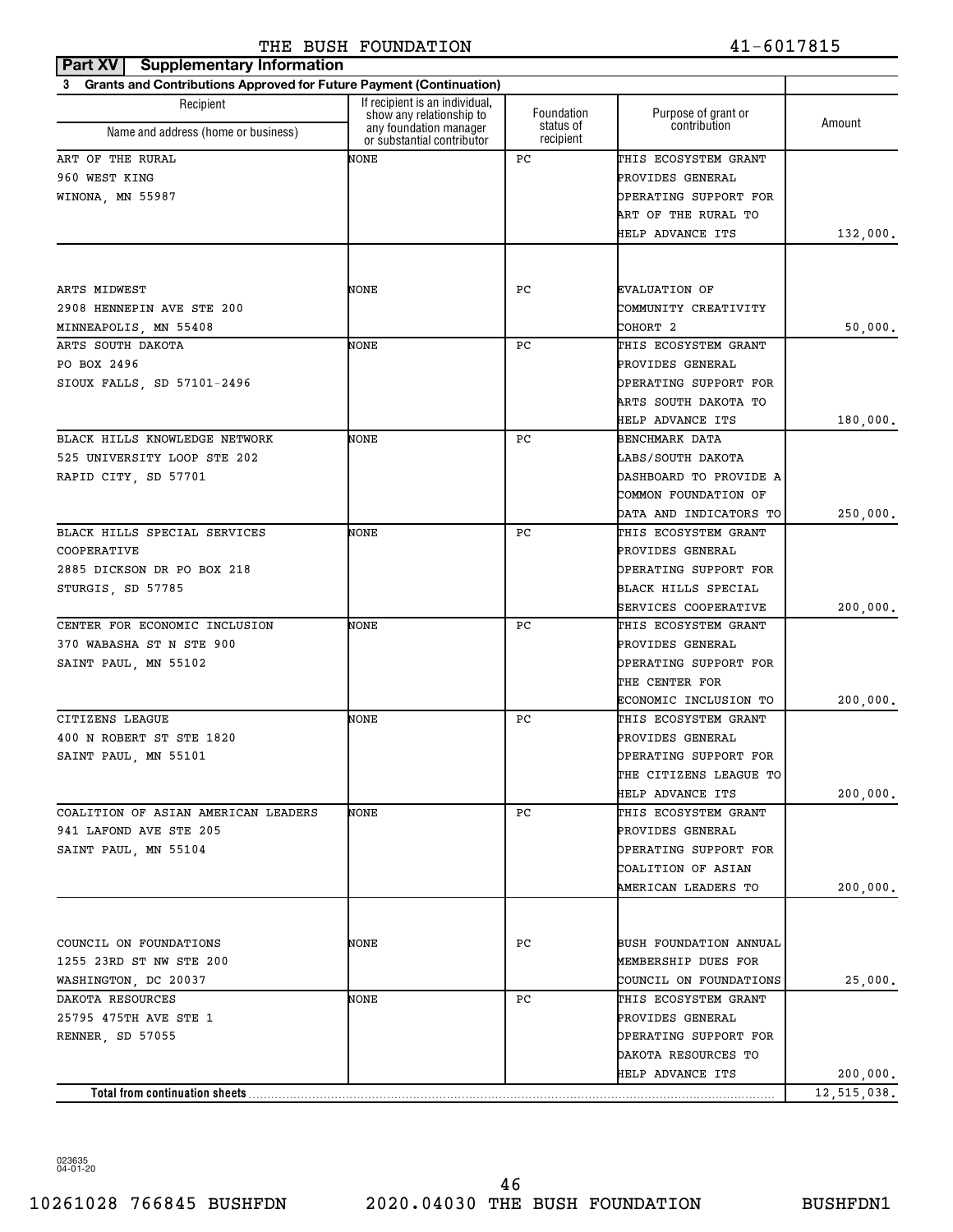| Part XV   Supplementary Information                                   |                                                            |                        |                        |             |
|-----------------------------------------------------------------------|------------------------------------------------------------|------------------------|------------------------|-------------|
| 3 Grants and Contributions Approved for Future Payment (Continuation) |                                                            |                        |                        |             |
| Recipient                                                             | If recipient is an individual,<br>show any relationship to | Foundation             | Purpose of grant or    | Amount      |
| Name and address (home or business)                                   | any foundation manager<br>or substantial contributor       | status of<br>recipient | contribution           |             |
| ART OF THE RURAL                                                      | NONE                                                       | РC                     | THIS ECOSYSTEM GRANT   |             |
| 960 WEST KING                                                         |                                                            |                        | PROVIDES GENERAL       |             |
| WINONA, MN 55987                                                      |                                                            |                        | OPERATING SUPPORT FOR  |             |
|                                                                       |                                                            |                        | ART OF THE RURAL TO    |             |
|                                                                       |                                                            |                        | HELP ADVANCE ITS       | 132,000.    |
|                                                                       |                                                            |                        |                        |             |
| ARTS MIDWEST                                                          | NONE                                                       | PС                     | <b>EVALUATION OF</b>   |             |
| 2908 HENNEPIN AVE STE 200                                             |                                                            |                        | COMMUNITY CREATIVITY   |             |
| MINNEAPOLIS, MN 55408                                                 |                                                            |                        | COHORT 2               | 50,000.     |
| ARTS SOUTH DAKOTA                                                     | NONE                                                       | РC                     | THIS ECOSYSTEM GRANT   |             |
| PO BOX 2496                                                           |                                                            |                        | PROVIDES GENERAL       |             |
| SIOUX FALLS, SD 57101-2496                                            |                                                            |                        | OPERATING SUPPORT FOR  |             |
|                                                                       |                                                            |                        | ARTS SOUTH DAKOTA TO   |             |
|                                                                       |                                                            |                        | HELP ADVANCE ITS       | 180,000.    |
| BLACK HILLS KNOWLEDGE NETWORK                                         | NONE                                                       | РC                     | <b>BENCHMARK DATA</b>  |             |
| 525 UNIVERSITY LOOP STE 202                                           |                                                            |                        | LABS/SOUTH DAKOTA      |             |
| RAPID CITY, SD 57701                                                  |                                                            |                        | DASHBOARD TO PROVIDE A |             |
|                                                                       |                                                            |                        | COMMON FOUNDATION OF   |             |
|                                                                       |                                                            |                        | DATA AND INDICATORS TO | 250,000.    |
| BLACK HILLS SPECIAL SERVICES                                          | NONE                                                       | РC                     | THIS ECOSYSTEM GRANT   |             |
| COOPERATIVE                                                           |                                                            |                        | PROVIDES GENERAL       |             |
| 2885 DICKSON DR PO BOX 218                                            |                                                            |                        | OPERATING SUPPORT FOR  |             |
| STURGIS, SD 57785                                                     |                                                            |                        | BLACK HILLS SPECIAL    |             |
|                                                                       |                                                            |                        | SERVICES COOPERATIVE   | 200,000.    |
| CENTER FOR ECONOMIC INCLUSION                                         | NONE                                                       | РC                     | THIS ECOSYSTEM GRANT   |             |
| 370 WABASHA ST N STE 900                                              |                                                            |                        | PROVIDES GENERAL       |             |
| SAINT PAUL, MN 55102                                                  |                                                            |                        | OPERATING SUPPORT FOR  |             |
|                                                                       |                                                            |                        | THE CENTER FOR         |             |
|                                                                       |                                                            |                        | ECONOMIC INCLUSION TO  | 200,000.    |
| CITIZENS LEAGUE                                                       | NONE                                                       | РC                     | THIS ECOSYSTEM GRANT   |             |
| 400 N ROBERT ST STE 1820                                              |                                                            |                        | PROVIDES GENERAL       |             |
| SAINT PAUL, MN 55101                                                  |                                                            |                        | OPERATING SUPPORT FOR  |             |
|                                                                       |                                                            |                        | THE CITIZENS LEAGUE TO |             |
|                                                                       |                                                            |                        | HELP ADVANCE ITS       | 200,000.    |
| COALITION OF ASIAN AMERICAN LEADERS                                   | NONE                                                       | PС                     | THIS ECOSYSTEM GRANT   |             |
| 941 LAFOND AVE STE 205                                                |                                                            |                        | PROVIDES GENERAL       |             |
| SAINT PAUL, MN 55104                                                  |                                                            |                        | OPERATING SUPPORT FOR  |             |
|                                                                       |                                                            |                        | COALITION OF ASIAN     |             |
|                                                                       |                                                            |                        | AMERICAN LEADERS TO    | 200,000.    |
|                                                                       |                                                            |                        |                        |             |
| COUNCIL ON FOUNDATIONS                                                | NONE                                                       | PС                     | BUSH FOUNDATION ANNUAL |             |
| 1255 23RD ST NW STE 200                                               |                                                            |                        | MEMBERSHIP DUES FOR    |             |
| WASHINGTON, DC 20037                                                  |                                                            |                        | COUNCIL ON FOUNDATIONS | 25,000.     |
| DAKOTA RESOURCES                                                      | NONE                                                       | PС                     | THIS ECOSYSTEM GRANT   |             |
| 25795 475TH AVE STE 1                                                 |                                                            |                        | PROVIDES GENERAL       |             |
| RENNER, SD 57055                                                      |                                                            |                        | OPERATING SUPPORT FOR  |             |
|                                                                       |                                                            |                        | DAKOTA RESOURCES TO    |             |
|                                                                       |                                                            |                        | HELP ADVANCE ITS       | 200,000.    |
| Total from continuation sheets                                        |                                                            |                        |                        | 12,515,038. |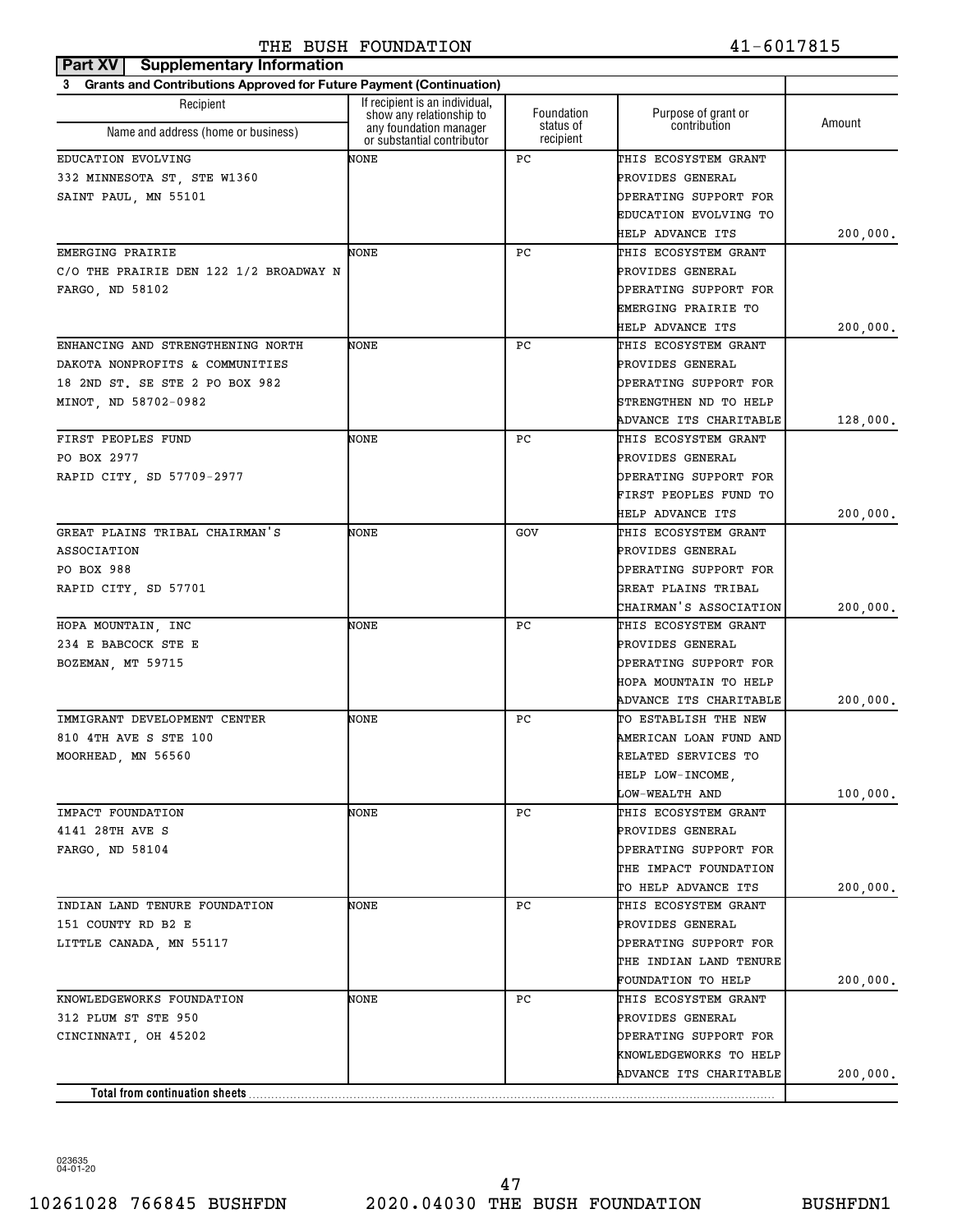| Part XV<br><b>Supplementary Information</b>                              |                                                            |                         |                                     |          |
|--------------------------------------------------------------------------|------------------------------------------------------------|-------------------------|-------------------------------------|----------|
| Grants and Contributions Approved for Future Payment (Continuation)<br>3 |                                                            |                         |                                     |          |
| Recipient                                                                | If recipient is an individual,<br>show any relationship to | Foundation<br>status of | Purpose of grant or<br>contribution | Amount   |
| Name and address (home or business)                                      | any foundation manager<br>or substantial contributor       | recipient               |                                     |          |
| EDUCATION EVOLVING                                                       | NONE                                                       | РC                      | THIS ECOSYSTEM GRANT                |          |
| 332 MINNESOTA ST, STE W1360                                              |                                                            |                         | PROVIDES GENERAL                    |          |
| SAINT PAUL, MN 55101                                                     |                                                            |                         | OPERATING SUPPORT FOR               |          |
|                                                                          |                                                            |                         | EDUCATION EVOLVING TO               |          |
|                                                                          |                                                            |                         | HELP ADVANCE ITS                    | 200,000. |
| EMERGING PRAIRIE                                                         | NONE                                                       | РC                      | THIS ECOSYSTEM GRANT                |          |
| C/O THE PRAIRIE DEN 122 1/2 BROADWAY N                                   |                                                            |                         | PROVIDES GENERAL                    |          |
| FARGO, ND 58102                                                          |                                                            |                         | OPERATING SUPPORT FOR               |          |
|                                                                          |                                                            |                         | EMERGING PRAIRIE TO                 |          |
|                                                                          |                                                            |                         | HELP ADVANCE ITS                    | 200,000. |
| ENHANCING AND STRENGTHENING NORTH                                        | NONE                                                       | РC                      | THIS ECOSYSTEM GRANT                |          |
| DAKOTA NONPROFITS & COMMUNITIES                                          |                                                            |                         | PROVIDES GENERAL                    |          |
| 18 2ND ST. SE STE 2 PO BOX 982                                           |                                                            |                         | OPERATING SUPPORT FOR               |          |
| MINOT, ND 58702-0982                                                     |                                                            |                         | STRENGTHEN ND TO HELP               |          |
|                                                                          |                                                            |                         | ADVANCE ITS CHARITABLE              | 128,000. |
| FIRST PEOPLES FUND                                                       | NONE                                                       | РC                      | THIS ECOSYSTEM GRANT                |          |
| PO BOX 2977                                                              |                                                            |                         | PROVIDES GENERAL                    |          |
| RAPID CITY, SD 57709-2977                                                |                                                            |                         | OPERATING SUPPORT FOR               |          |
|                                                                          |                                                            |                         | FIRST PEOPLES FUND TO               |          |
|                                                                          |                                                            |                         | <b>HELP ADVANCE ITS</b>             | 200,000. |
| GREAT PLAINS TRIBAL CHAIRMAN'S                                           | NONE                                                       | GOV                     | THIS ECOSYSTEM GRANT                |          |
| ASSOCIATION                                                              |                                                            |                         | PROVIDES GENERAL                    |          |
| PO BOX 988                                                               |                                                            |                         | OPERATING SUPPORT FOR               |          |
| RAPID CITY, SD 57701                                                     |                                                            |                         | GREAT PLAINS TRIBAL                 |          |
|                                                                          |                                                            |                         | CHAIRMAN'S ASSOCIATION              | 200,000. |
| HOPA MOUNTAIN, INC                                                       | NONE                                                       | РC                      | THIS ECOSYSTEM GRANT                |          |
| 234 E BABCOCK STE E                                                      |                                                            |                         | PROVIDES GENERAL                    |          |
| BOZEMAN, MT 59715                                                        |                                                            |                         | OPERATING SUPPORT FOR               |          |
|                                                                          |                                                            |                         | HOPA MOUNTAIN TO HELP               |          |
|                                                                          |                                                            |                         | ADVANCE ITS CHARITABLE              | 200,000. |
| IMMIGRANT DEVELOPMENT CENTER                                             | NONE                                                       | РC                      | TO ESTABLISH THE NEW                |          |
| 810 4TH AVE S STE 100                                                    |                                                            |                         | AMERICAN LOAN FUND AND              |          |
| MOORHEAD, MN 56560                                                       |                                                            |                         | RELATED SERVICES TO                 |          |
|                                                                          |                                                            |                         | HELP LOW-INCOME,                    |          |
|                                                                          |                                                            |                         | LOW-WEALTH AND                      | 100,000. |
| IMPACT FOUNDATION                                                        | NONE                                                       | PC                      | THIS ECOSYSTEM GRANT                |          |
| 4141 28TH AVE S                                                          |                                                            |                         | PROVIDES GENERAL                    |          |
| FARGO, ND 58104                                                          |                                                            |                         | OPERATING SUPPORT FOR               |          |
|                                                                          |                                                            |                         | THE IMPACT FOUNDATION               |          |
|                                                                          |                                                            |                         | TO HELP ADVANCE ITS                 | 200,000. |
| INDIAN LAND TENURE FOUNDATION                                            | NONE                                                       | РC                      | THIS ECOSYSTEM GRANT                |          |
| 151 COUNTY RD B2 E                                                       |                                                            |                         | PROVIDES GENERAL                    |          |
| LITTLE CANADA, MN 55117                                                  |                                                            |                         | OPERATING SUPPORT FOR               |          |
|                                                                          |                                                            |                         | THE INDIAN LAND TENURE              |          |
|                                                                          |                                                            |                         | FOUNDATION TO HELP                  | 200,000. |
| KNOWLEDGEWORKS FOUNDATION                                                | NONE                                                       | РC                      | THIS ECOSYSTEM GRANT                |          |
| 312 PLUM ST STE 950                                                      |                                                            |                         | PROVIDES GENERAL                    |          |
| CINCINNATI, OH 45202                                                     |                                                            |                         | OPERATING SUPPORT FOR               |          |
|                                                                          |                                                            |                         | KNOWLEDGEWORKS TO HELP              |          |
|                                                                          |                                                            |                         | ADVANCE ITS CHARITABLE              | 200,000. |
| Total from continuation sheets                                           |                                                            |                         |                                     |          |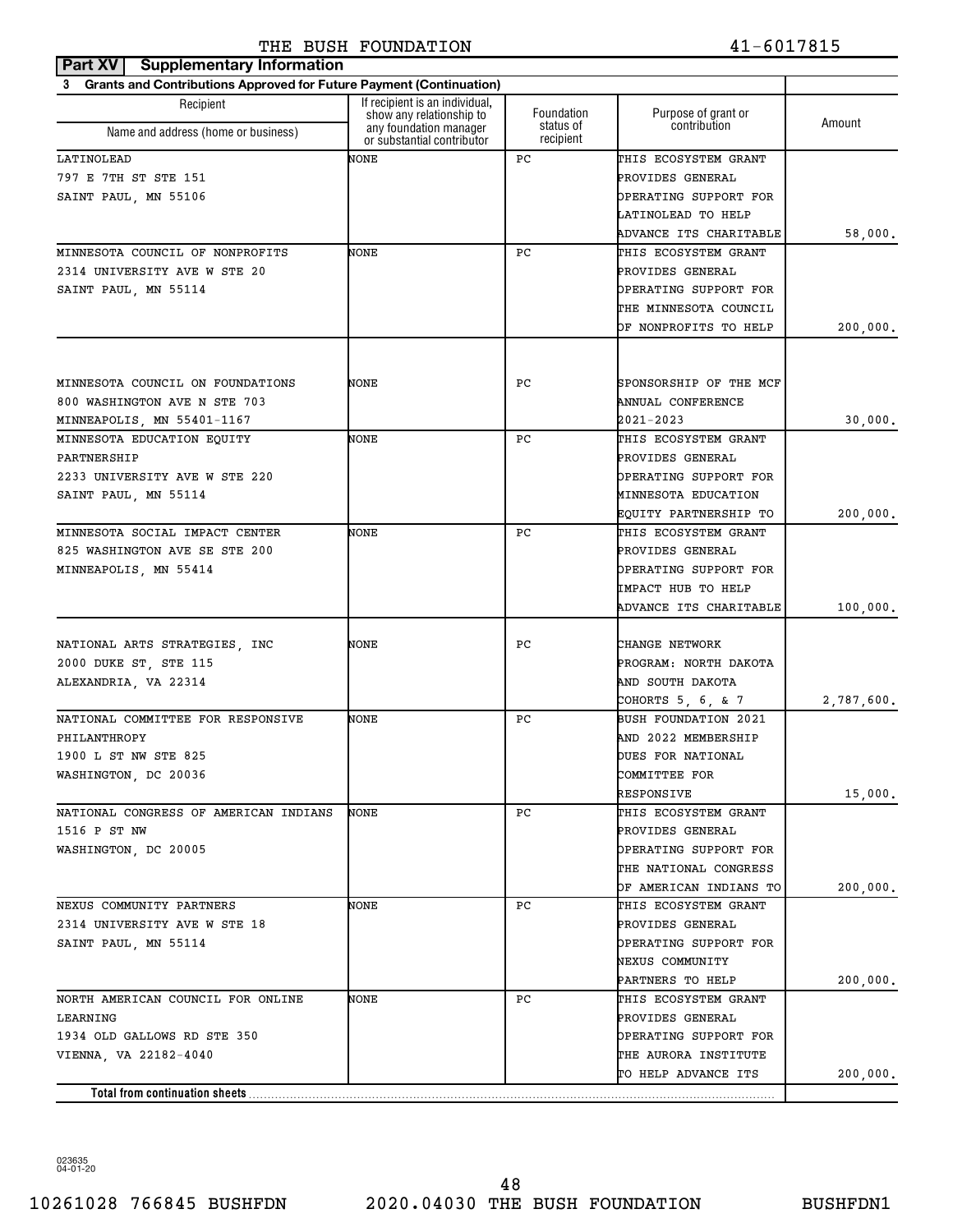| Part XV<br><b>Supplementary Information</b>                              |                                                            |                        |                        |            |
|--------------------------------------------------------------------------|------------------------------------------------------------|------------------------|------------------------|------------|
| Grants and Contributions Approved for Future Payment (Continuation)<br>3 |                                                            |                        |                        |            |
| Recipient                                                                | If recipient is an individual,<br>show any relationship to | Foundation             | Purpose of grant or    | Amount     |
| Name and address (home or business)                                      | any foundation manager<br>or substantial contributor       | status of<br>recipient | contribution           |            |
| LATINOLEAD                                                               | NONE                                                       | РC                     | THIS ECOSYSTEM GRANT   |            |
| 797 E 7TH ST STE 151                                                     |                                                            |                        | PROVIDES GENERAL       |            |
| SAINT PAUL, MN 55106                                                     |                                                            |                        | OPERATING SUPPORT FOR  |            |
|                                                                          |                                                            |                        | LATINOLEAD TO HELP     |            |
|                                                                          |                                                            |                        | ADVANCE ITS CHARITABLE | 58,000.    |
| MINNESOTA COUNCIL OF NONPROFITS                                          | NONE                                                       | РC                     | THIS ECOSYSTEM GRANT   |            |
| 2314 UNIVERSITY AVE W STE 20                                             |                                                            |                        | PROVIDES GENERAL       |            |
| SAINT PAUL, MN 55114                                                     |                                                            |                        | OPERATING SUPPORT FOR  |            |
|                                                                          |                                                            |                        | THE MINNESOTA COUNCIL  |            |
|                                                                          |                                                            |                        | OF NONPROFITS TO HELP  | 200,000.   |
|                                                                          |                                                            |                        |                        |            |
| MINNESOTA COUNCIL ON FOUNDATIONS                                         | NONE                                                       | РC                     | SPONSORSHIP OF THE MCF |            |
| 800 WASHINGTON AVE N STE 703                                             |                                                            |                        | ANNUAL CONFERENCE      |            |
| MINNEAPOLIS, MN 55401-1167                                               |                                                            |                        | 2021-2023              | 30,000.    |
| MINNESOTA EDUCATION EQUITY                                               | NONE                                                       | РC                     | THIS ECOSYSTEM GRANT   |            |
| PARTNERSHIP                                                              |                                                            |                        | PROVIDES GENERAL       |            |
| 2233 UNIVERSITY AVE W STE 220                                            |                                                            |                        | OPERATING SUPPORT FOR  |            |
| SAINT PAUL, MN 55114                                                     |                                                            |                        | MINNESOTA EDUCATION    |            |
|                                                                          |                                                            |                        | EQUITY PARTNERSHIP TO  | 200,000.   |
| MINNESOTA SOCIAL IMPACT CENTER                                           | NONE                                                       | РC                     | THIS ECOSYSTEM GRANT   |            |
| 825 WASHINGTON AVE SE STE 200                                            |                                                            |                        | PROVIDES GENERAL       |            |
| MINNEAPOLIS, MN 55414                                                    |                                                            |                        | OPERATING SUPPORT FOR  |            |
|                                                                          |                                                            |                        | IMPACT HUB TO HELP     |            |
|                                                                          |                                                            |                        | ADVANCE ITS CHARITABLE | 100,000.   |
| NATIONAL ARTS STRATEGIES, INC                                            | NONE                                                       | РC                     | CHANGE NETWORK         |            |
| 2000 DUKE ST, STE 115                                                    |                                                            |                        | PROGRAM: NORTH DAKOTA  |            |
| ALEXANDRIA, VA 22314                                                     |                                                            |                        | AND SOUTH DAKOTA       |            |
|                                                                          |                                                            |                        | COHORTS 5, 6, & 7      | 2,787,600. |
| NATIONAL COMMITTEE FOR RESPONSIVE                                        | NONE                                                       | РC                     | BUSH FOUNDATION 2021   |            |
| PHILANTHROPY                                                             |                                                            |                        | AND 2022 MEMBERSHIP    |            |
| 1900 L ST NW STE 825                                                     |                                                            |                        | DUES FOR NATIONAL      |            |
| WASHINGTON, DC 20036                                                     |                                                            |                        | COMMITTEE FOR          |            |
|                                                                          |                                                            |                        | RESPONSIVE             | 15,000.    |
| NATIONAL CONGRESS OF AMERICAN INDIANS                                    | NONE                                                       | РC                     | THIS ECOSYSTEM GRANT   |            |
| 1516 P ST NW                                                             |                                                            |                        | PROVIDES GENERAL       |            |
| WASHINGTON, DC 20005                                                     |                                                            |                        | OPERATING SUPPORT FOR  |            |
|                                                                          |                                                            |                        | THE NATIONAL CONGRESS  |            |
|                                                                          |                                                            |                        | OF AMERICAN INDIANS TO | 200,000.   |
| NEXUS COMMUNITY PARTNERS                                                 | NONE                                                       | PC                     | THIS ECOSYSTEM GRANT   |            |
| 2314 UNIVERSITY AVE W STE 18                                             |                                                            |                        | PROVIDES GENERAL       |            |
| SAINT PAUL, MN 55114                                                     |                                                            |                        | OPERATING SUPPORT FOR  |            |
|                                                                          |                                                            |                        | NEXUS COMMUNITY        |            |
|                                                                          |                                                            |                        | PARTNERS TO HELP       | 200,000.   |
| NORTH AMERICAN COUNCIL FOR ONLINE                                        | NONE                                                       | PС                     | THIS ECOSYSTEM GRANT   |            |
| LEARNING                                                                 |                                                            |                        | PROVIDES GENERAL       |            |
| 1934 OLD GALLOWS RD STE 350                                              |                                                            |                        | OPERATING SUPPORT FOR  |            |
| VIENNA, VA 22182-4040                                                    |                                                            |                        | THE AURORA INSTITUTE   |            |
|                                                                          |                                                            |                        | TO HELP ADVANCE ITS    | 200,000.   |
| Total from continuation sheets                                           |                                                            |                        |                        |            |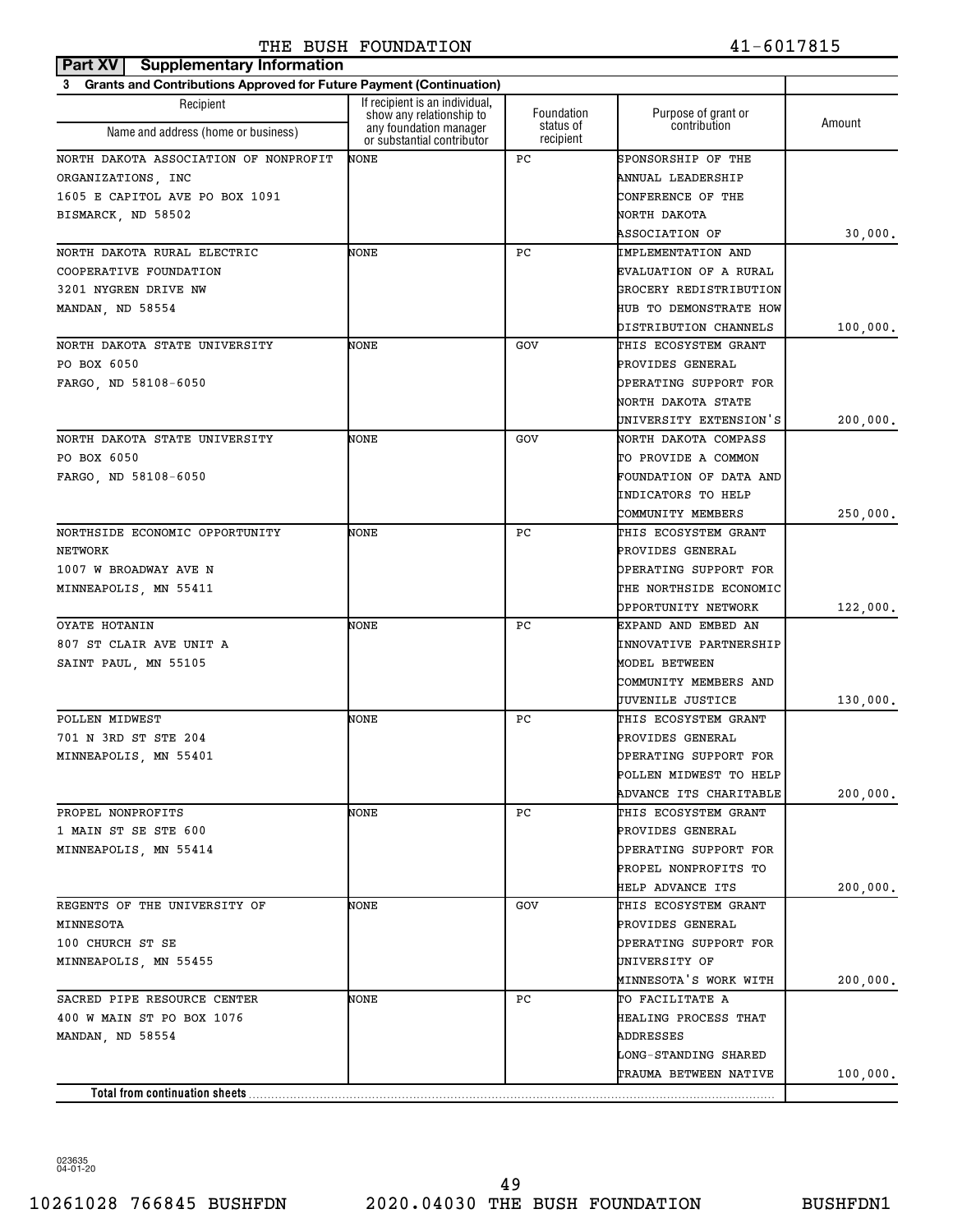| Grants and Contributions Approved for Future Payment (Continuation)<br>3<br>If recipient is an individual,<br>Recipient<br>Foundation<br>Purpose of grant or<br>show any relationship to<br>Amount<br>status of<br>contribution<br>any foundation manager<br>Name and address (home or business)<br>or substantial contributor<br>recipient<br>NONE<br>РC<br>NORTH DAKOTA ASSOCIATION OF NONPROFIT<br>SPONSORSHIP OF THE<br>ORGANIZATIONS, INC<br>ANNUAL LEADERSHIP<br>1605 E CAPITOL AVE PO BOX 1091<br>CONFERENCE OF THE<br>NORTH DAKOTA<br><b>ASSOCIATION OF</b><br>30,000.<br>NORTH DAKOTA RURAL ELECTRIC<br>NONE<br>РC<br>IMPLEMENTATION AND<br>COOPERATIVE FOUNDATION<br>EVALUATION OF A RURAL<br>GROCERY REDISTRIBUTION<br>3201 NYGREN DRIVE NW<br><b>HUB TO DEMONSTRATE HOW</b><br>DISTRIBUTION CHANNELS<br>100,000.<br>NORTH DAKOTA STATE UNIVERSITY<br>NONE<br>THIS ECOSYSTEM GRANT<br>GOV<br>PO BOX 6050<br>PROVIDES GENERAL<br>OPERATING SUPPORT FOR<br>NORTH DAKOTA STATE<br>UNIVERSITY EXTENSION'S<br>200,000.<br>NONE<br>NORTH DAKOTA COMPASS<br>GOV<br>PO BOX 6050<br>TO PROVIDE A COMMON<br>FOUNDATION OF DATA AND<br>FARGO, ND 58108-6050<br>INDICATORS TO HELP<br>COMMUNITY MEMBERS<br>250,000.<br>NONE<br>РC<br>THIS ECOSYSTEM GRANT<br>NORTHSIDE ECONOMIC OPPORTUNITY<br>PROVIDES GENERAL<br>NETWORK<br>OPERATING SUPPORT FOR<br>1007 W BROADWAY AVE N<br>THE NORTHSIDE ECONOMIC<br>MINNEAPOLIS, MN 55411<br>OPPORTUNITY NETWORK<br>122,000.<br>OYATE HOTANIN<br>NONE<br>РC<br>EXPAND AND EMBED AN<br>INNOVATIVE PARTNERSHIP<br>807 ST CLAIR AVE UNIT A<br>SAINT PAUL, MN 55105<br>MODEL BETWEEN<br>COMMUNITY MEMBERS AND<br>JUVENILE JUSTICE<br>130,000.<br>POLLEN MIDWEST<br>NONE<br>РC<br>THIS ECOSYSTEM GRANT<br>701 N 3RD ST STE 204<br>PROVIDES GENERAL<br>MINNEAPOLIS, MN 55401<br>OPERATING SUPPORT FOR<br>POLLEN MIDWEST TO HELP<br>ADVANCE ITS CHARITABLE<br>200,000.<br>PROPEL NONPROFITS<br>NONE<br>РC<br>THIS ECOSYSTEM GRANT<br>1 MAIN ST SE STE 600<br>PROVIDES GENERAL<br>OPERATING SUPPORT FOR<br>MINNEAPOLIS, MN 55414<br>PROPEL NONPROFITS TO<br><b>HELP ADVANCE ITS</b><br>200,000.<br>REGENTS OF THE UNIVERSITY OF<br>THIS ECOSYSTEM GRANT<br>NONE<br>GOV<br>PROVIDES GENERAL<br>MINNESOTA<br>100 CHURCH ST SE<br>OPERATING SUPPORT FOR<br>UNIVERSITY OF<br>MINNEAPOLIS, MN 55455<br>MINNESOTA'S WORK WITH<br>200,000.<br>SACRED PIPE RESOURCE CENTER<br>NONE<br>PC.<br>TO FACILITATE A<br>400 W MAIN ST PO BOX 1076<br>HEALING PROCESS THAT<br>MANDAN, ND 58554<br>ADDRESSES<br>LONG-STANDING SHARED<br>TRAUMA BETWEEN NATIVE<br>100,000.<br>Total from continuation sheets | Part XV<br><b>Supplementary Information</b> |  |  |  |  |  |  |
|------------------------------------------------------------------------------------------------------------------------------------------------------------------------------------------------------------------------------------------------------------------------------------------------------------------------------------------------------------------------------------------------------------------------------------------------------------------------------------------------------------------------------------------------------------------------------------------------------------------------------------------------------------------------------------------------------------------------------------------------------------------------------------------------------------------------------------------------------------------------------------------------------------------------------------------------------------------------------------------------------------------------------------------------------------------------------------------------------------------------------------------------------------------------------------------------------------------------------------------------------------------------------------------------------------------------------------------------------------------------------------------------------------------------------------------------------------------------------------------------------------------------------------------------------------------------------------------------------------------------------------------------------------------------------------------------------------------------------------------------------------------------------------------------------------------------------------------------------------------------------------------------------------------------------------------------------------------------------------------------------------------------------------------------------------------------------------------------------------------------------------------------------------------------------------------------------------------------------------------------------------------------------------------------------------------------------------------------------------------------------------------------------------------------------------------------------------------------------------------------------------------------------------------------------------------------------------------------------------------------|---------------------------------------------|--|--|--|--|--|--|
|                                                                                                                                                                                                                                                                                                                                                                                                                                                                                                                                                                                                                                                                                                                                                                                                                                                                                                                                                                                                                                                                                                                                                                                                                                                                                                                                                                                                                                                                                                                                                                                                                                                                                                                                                                                                                                                                                                                                                                                                                                                                                                                                                                                                                                                                                                                                                                                                                                                                                                                                                                                                                        |                                             |  |  |  |  |  |  |
|                                                                                                                                                                                                                                                                                                                                                                                                                                                                                                                                                                                                                                                                                                                                                                                                                                                                                                                                                                                                                                                                                                                                                                                                                                                                                                                                                                                                                                                                                                                                                                                                                                                                                                                                                                                                                                                                                                                                                                                                                                                                                                                                                                                                                                                                                                                                                                                                                                                                                                                                                                                                                        |                                             |  |  |  |  |  |  |
|                                                                                                                                                                                                                                                                                                                                                                                                                                                                                                                                                                                                                                                                                                                                                                                                                                                                                                                                                                                                                                                                                                                                                                                                                                                                                                                                                                                                                                                                                                                                                                                                                                                                                                                                                                                                                                                                                                                                                                                                                                                                                                                                                                                                                                                                                                                                                                                                                                                                                                                                                                                                                        |                                             |  |  |  |  |  |  |
|                                                                                                                                                                                                                                                                                                                                                                                                                                                                                                                                                                                                                                                                                                                                                                                                                                                                                                                                                                                                                                                                                                                                                                                                                                                                                                                                                                                                                                                                                                                                                                                                                                                                                                                                                                                                                                                                                                                                                                                                                                                                                                                                                                                                                                                                                                                                                                                                                                                                                                                                                                                                                        |                                             |  |  |  |  |  |  |
|                                                                                                                                                                                                                                                                                                                                                                                                                                                                                                                                                                                                                                                                                                                                                                                                                                                                                                                                                                                                                                                                                                                                                                                                                                                                                                                                                                                                                                                                                                                                                                                                                                                                                                                                                                                                                                                                                                                                                                                                                                                                                                                                                                                                                                                                                                                                                                                                                                                                                                                                                                                                                        |                                             |  |  |  |  |  |  |
|                                                                                                                                                                                                                                                                                                                                                                                                                                                                                                                                                                                                                                                                                                                                                                                                                                                                                                                                                                                                                                                                                                                                                                                                                                                                                                                                                                                                                                                                                                                                                                                                                                                                                                                                                                                                                                                                                                                                                                                                                                                                                                                                                                                                                                                                                                                                                                                                                                                                                                                                                                                                                        |                                             |  |  |  |  |  |  |
|                                                                                                                                                                                                                                                                                                                                                                                                                                                                                                                                                                                                                                                                                                                                                                                                                                                                                                                                                                                                                                                                                                                                                                                                                                                                                                                                                                                                                                                                                                                                                                                                                                                                                                                                                                                                                                                                                                                                                                                                                                                                                                                                                                                                                                                                                                                                                                                                                                                                                                                                                                                                                        | BISMARCK, ND 58502                          |  |  |  |  |  |  |
|                                                                                                                                                                                                                                                                                                                                                                                                                                                                                                                                                                                                                                                                                                                                                                                                                                                                                                                                                                                                                                                                                                                                                                                                                                                                                                                                                                                                                                                                                                                                                                                                                                                                                                                                                                                                                                                                                                                                                                                                                                                                                                                                                                                                                                                                                                                                                                                                                                                                                                                                                                                                                        |                                             |  |  |  |  |  |  |
|                                                                                                                                                                                                                                                                                                                                                                                                                                                                                                                                                                                                                                                                                                                                                                                                                                                                                                                                                                                                                                                                                                                                                                                                                                                                                                                                                                                                                                                                                                                                                                                                                                                                                                                                                                                                                                                                                                                                                                                                                                                                                                                                                                                                                                                                                                                                                                                                                                                                                                                                                                                                                        |                                             |  |  |  |  |  |  |
|                                                                                                                                                                                                                                                                                                                                                                                                                                                                                                                                                                                                                                                                                                                                                                                                                                                                                                                                                                                                                                                                                                                                                                                                                                                                                                                                                                                                                                                                                                                                                                                                                                                                                                                                                                                                                                                                                                                                                                                                                                                                                                                                                                                                                                                                                                                                                                                                                                                                                                                                                                                                                        |                                             |  |  |  |  |  |  |
|                                                                                                                                                                                                                                                                                                                                                                                                                                                                                                                                                                                                                                                                                                                                                                                                                                                                                                                                                                                                                                                                                                                                                                                                                                                                                                                                                                                                                                                                                                                                                                                                                                                                                                                                                                                                                                                                                                                                                                                                                                                                                                                                                                                                                                                                                                                                                                                                                                                                                                                                                                                                                        |                                             |  |  |  |  |  |  |
|                                                                                                                                                                                                                                                                                                                                                                                                                                                                                                                                                                                                                                                                                                                                                                                                                                                                                                                                                                                                                                                                                                                                                                                                                                                                                                                                                                                                                                                                                                                                                                                                                                                                                                                                                                                                                                                                                                                                                                                                                                                                                                                                                                                                                                                                                                                                                                                                                                                                                                                                                                                                                        | MANDAN, ND 58554                            |  |  |  |  |  |  |
|                                                                                                                                                                                                                                                                                                                                                                                                                                                                                                                                                                                                                                                                                                                                                                                                                                                                                                                                                                                                                                                                                                                                                                                                                                                                                                                                                                                                                                                                                                                                                                                                                                                                                                                                                                                                                                                                                                                                                                                                                                                                                                                                                                                                                                                                                                                                                                                                                                                                                                                                                                                                                        |                                             |  |  |  |  |  |  |
|                                                                                                                                                                                                                                                                                                                                                                                                                                                                                                                                                                                                                                                                                                                                                                                                                                                                                                                                                                                                                                                                                                                                                                                                                                                                                                                                                                                                                                                                                                                                                                                                                                                                                                                                                                                                                                                                                                                                                                                                                                                                                                                                                                                                                                                                                                                                                                                                                                                                                                                                                                                                                        |                                             |  |  |  |  |  |  |
|                                                                                                                                                                                                                                                                                                                                                                                                                                                                                                                                                                                                                                                                                                                                                                                                                                                                                                                                                                                                                                                                                                                                                                                                                                                                                                                                                                                                                                                                                                                                                                                                                                                                                                                                                                                                                                                                                                                                                                                                                                                                                                                                                                                                                                                                                                                                                                                                                                                                                                                                                                                                                        |                                             |  |  |  |  |  |  |
|                                                                                                                                                                                                                                                                                                                                                                                                                                                                                                                                                                                                                                                                                                                                                                                                                                                                                                                                                                                                                                                                                                                                                                                                                                                                                                                                                                                                                                                                                                                                                                                                                                                                                                                                                                                                                                                                                                                                                                                                                                                                                                                                                                                                                                                                                                                                                                                                                                                                                                                                                                                                                        | FARGO, ND 58108-6050                        |  |  |  |  |  |  |
|                                                                                                                                                                                                                                                                                                                                                                                                                                                                                                                                                                                                                                                                                                                                                                                                                                                                                                                                                                                                                                                                                                                                                                                                                                                                                                                                                                                                                                                                                                                                                                                                                                                                                                                                                                                                                                                                                                                                                                                                                                                                                                                                                                                                                                                                                                                                                                                                                                                                                                                                                                                                                        |                                             |  |  |  |  |  |  |
|                                                                                                                                                                                                                                                                                                                                                                                                                                                                                                                                                                                                                                                                                                                                                                                                                                                                                                                                                                                                                                                                                                                                                                                                                                                                                                                                                                                                                                                                                                                                                                                                                                                                                                                                                                                                                                                                                                                                                                                                                                                                                                                                                                                                                                                                                                                                                                                                                                                                                                                                                                                                                        |                                             |  |  |  |  |  |  |
|                                                                                                                                                                                                                                                                                                                                                                                                                                                                                                                                                                                                                                                                                                                                                                                                                                                                                                                                                                                                                                                                                                                                                                                                                                                                                                                                                                                                                                                                                                                                                                                                                                                                                                                                                                                                                                                                                                                                                                                                                                                                                                                                                                                                                                                                                                                                                                                                                                                                                                                                                                                                                        | NORTH DAKOTA STATE UNIVERSITY               |  |  |  |  |  |  |
|                                                                                                                                                                                                                                                                                                                                                                                                                                                                                                                                                                                                                                                                                                                                                                                                                                                                                                                                                                                                                                                                                                                                                                                                                                                                                                                                                                                                                                                                                                                                                                                                                                                                                                                                                                                                                                                                                                                                                                                                                                                                                                                                                                                                                                                                                                                                                                                                                                                                                                                                                                                                                        |                                             |  |  |  |  |  |  |
|                                                                                                                                                                                                                                                                                                                                                                                                                                                                                                                                                                                                                                                                                                                                                                                                                                                                                                                                                                                                                                                                                                                                                                                                                                                                                                                                                                                                                                                                                                                                                                                                                                                                                                                                                                                                                                                                                                                                                                                                                                                                                                                                                                                                                                                                                                                                                                                                                                                                                                                                                                                                                        |                                             |  |  |  |  |  |  |
|                                                                                                                                                                                                                                                                                                                                                                                                                                                                                                                                                                                                                                                                                                                                                                                                                                                                                                                                                                                                                                                                                                                                                                                                                                                                                                                                                                                                                                                                                                                                                                                                                                                                                                                                                                                                                                                                                                                                                                                                                                                                                                                                                                                                                                                                                                                                                                                                                                                                                                                                                                                                                        |                                             |  |  |  |  |  |  |
|                                                                                                                                                                                                                                                                                                                                                                                                                                                                                                                                                                                                                                                                                                                                                                                                                                                                                                                                                                                                                                                                                                                                                                                                                                                                                                                                                                                                                                                                                                                                                                                                                                                                                                                                                                                                                                                                                                                                                                                                                                                                                                                                                                                                                                                                                                                                                                                                                                                                                                                                                                                                                        |                                             |  |  |  |  |  |  |
|                                                                                                                                                                                                                                                                                                                                                                                                                                                                                                                                                                                                                                                                                                                                                                                                                                                                                                                                                                                                                                                                                                                                                                                                                                                                                                                                                                                                                                                                                                                                                                                                                                                                                                                                                                                                                                                                                                                                                                                                                                                                                                                                                                                                                                                                                                                                                                                                                                                                                                                                                                                                                        |                                             |  |  |  |  |  |  |
|                                                                                                                                                                                                                                                                                                                                                                                                                                                                                                                                                                                                                                                                                                                                                                                                                                                                                                                                                                                                                                                                                                                                                                                                                                                                                                                                                                                                                                                                                                                                                                                                                                                                                                                                                                                                                                                                                                                                                                                                                                                                                                                                                                                                                                                                                                                                                                                                                                                                                                                                                                                                                        |                                             |  |  |  |  |  |  |
|                                                                                                                                                                                                                                                                                                                                                                                                                                                                                                                                                                                                                                                                                                                                                                                                                                                                                                                                                                                                                                                                                                                                                                                                                                                                                                                                                                                                                                                                                                                                                                                                                                                                                                                                                                                                                                                                                                                                                                                                                                                                                                                                                                                                                                                                                                                                                                                                                                                                                                                                                                                                                        |                                             |  |  |  |  |  |  |
|                                                                                                                                                                                                                                                                                                                                                                                                                                                                                                                                                                                                                                                                                                                                                                                                                                                                                                                                                                                                                                                                                                                                                                                                                                                                                                                                                                                                                                                                                                                                                                                                                                                                                                                                                                                                                                                                                                                                                                                                                                                                                                                                                                                                                                                                                                                                                                                                                                                                                                                                                                                                                        |                                             |  |  |  |  |  |  |
|                                                                                                                                                                                                                                                                                                                                                                                                                                                                                                                                                                                                                                                                                                                                                                                                                                                                                                                                                                                                                                                                                                                                                                                                                                                                                                                                                                                                                                                                                                                                                                                                                                                                                                                                                                                                                                                                                                                                                                                                                                                                                                                                                                                                                                                                                                                                                                                                                                                                                                                                                                                                                        |                                             |  |  |  |  |  |  |
|                                                                                                                                                                                                                                                                                                                                                                                                                                                                                                                                                                                                                                                                                                                                                                                                                                                                                                                                                                                                                                                                                                                                                                                                                                                                                                                                                                                                                                                                                                                                                                                                                                                                                                                                                                                                                                                                                                                                                                                                                                                                                                                                                                                                                                                                                                                                                                                                                                                                                                                                                                                                                        |                                             |  |  |  |  |  |  |
|                                                                                                                                                                                                                                                                                                                                                                                                                                                                                                                                                                                                                                                                                                                                                                                                                                                                                                                                                                                                                                                                                                                                                                                                                                                                                                                                                                                                                                                                                                                                                                                                                                                                                                                                                                                                                                                                                                                                                                                                                                                                                                                                                                                                                                                                                                                                                                                                                                                                                                                                                                                                                        |                                             |  |  |  |  |  |  |
|                                                                                                                                                                                                                                                                                                                                                                                                                                                                                                                                                                                                                                                                                                                                                                                                                                                                                                                                                                                                                                                                                                                                                                                                                                                                                                                                                                                                                                                                                                                                                                                                                                                                                                                                                                                                                                                                                                                                                                                                                                                                                                                                                                                                                                                                                                                                                                                                                                                                                                                                                                                                                        |                                             |  |  |  |  |  |  |
|                                                                                                                                                                                                                                                                                                                                                                                                                                                                                                                                                                                                                                                                                                                                                                                                                                                                                                                                                                                                                                                                                                                                                                                                                                                                                                                                                                                                                                                                                                                                                                                                                                                                                                                                                                                                                                                                                                                                                                                                                                                                                                                                                                                                                                                                                                                                                                                                                                                                                                                                                                                                                        |                                             |  |  |  |  |  |  |
|                                                                                                                                                                                                                                                                                                                                                                                                                                                                                                                                                                                                                                                                                                                                                                                                                                                                                                                                                                                                                                                                                                                                                                                                                                                                                                                                                                                                                                                                                                                                                                                                                                                                                                                                                                                                                                                                                                                                                                                                                                                                                                                                                                                                                                                                                                                                                                                                                                                                                                                                                                                                                        |                                             |  |  |  |  |  |  |
|                                                                                                                                                                                                                                                                                                                                                                                                                                                                                                                                                                                                                                                                                                                                                                                                                                                                                                                                                                                                                                                                                                                                                                                                                                                                                                                                                                                                                                                                                                                                                                                                                                                                                                                                                                                                                                                                                                                                                                                                                                                                                                                                                                                                                                                                                                                                                                                                                                                                                                                                                                                                                        |                                             |  |  |  |  |  |  |
|                                                                                                                                                                                                                                                                                                                                                                                                                                                                                                                                                                                                                                                                                                                                                                                                                                                                                                                                                                                                                                                                                                                                                                                                                                                                                                                                                                                                                                                                                                                                                                                                                                                                                                                                                                                                                                                                                                                                                                                                                                                                                                                                                                                                                                                                                                                                                                                                                                                                                                                                                                                                                        |                                             |  |  |  |  |  |  |
|                                                                                                                                                                                                                                                                                                                                                                                                                                                                                                                                                                                                                                                                                                                                                                                                                                                                                                                                                                                                                                                                                                                                                                                                                                                                                                                                                                                                                                                                                                                                                                                                                                                                                                                                                                                                                                                                                                                                                                                                                                                                                                                                                                                                                                                                                                                                                                                                                                                                                                                                                                                                                        |                                             |  |  |  |  |  |  |
|                                                                                                                                                                                                                                                                                                                                                                                                                                                                                                                                                                                                                                                                                                                                                                                                                                                                                                                                                                                                                                                                                                                                                                                                                                                                                                                                                                                                                                                                                                                                                                                                                                                                                                                                                                                                                                                                                                                                                                                                                                                                                                                                                                                                                                                                                                                                                                                                                                                                                                                                                                                                                        |                                             |  |  |  |  |  |  |
|                                                                                                                                                                                                                                                                                                                                                                                                                                                                                                                                                                                                                                                                                                                                                                                                                                                                                                                                                                                                                                                                                                                                                                                                                                                                                                                                                                                                                                                                                                                                                                                                                                                                                                                                                                                                                                                                                                                                                                                                                                                                                                                                                                                                                                                                                                                                                                                                                                                                                                                                                                                                                        |                                             |  |  |  |  |  |  |
|                                                                                                                                                                                                                                                                                                                                                                                                                                                                                                                                                                                                                                                                                                                                                                                                                                                                                                                                                                                                                                                                                                                                                                                                                                                                                                                                                                                                                                                                                                                                                                                                                                                                                                                                                                                                                                                                                                                                                                                                                                                                                                                                                                                                                                                                                                                                                                                                                                                                                                                                                                                                                        |                                             |  |  |  |  |  |  |
|                                                                                                                                                                                                                                                                                                                                                                                                                                                                                                                                                                                                                                                                                                                                                                                                                                                                                                                                                                                                                                                                                                                                                                                                                                                                                                                                                                                                                                                                                                                                                                                                                                                                                                                                                                                                                                                                                                                                                                                                                                                                                                                                                                                                                                                                                                                                                                                                                                                                                                                                                                                                                        |                                             |  |  |  |  |  |  |
|                                                                                                                                                                                                                                                                                                                                                                                                                                                                                                                                                                                                                                                                                                                                                                                                                                                                                                                                                                                                                                                                                                                                                                                                                                                                                                                                                                                                                                                                                                                                                                                                                                                                                                                                                                                                                                                                                                                                                                                                                                                                                                                                                                                                                                                                                                                                                                                                                                                                                                                                                                                                                        |                                             |  |  |  |  |  |  |
|                                                                                                                                                                                                                                                                                                                                                                                                                                                                                                                                                                                                                                                                                                                                                                                                                                                                                                                                                                                                                                                                                                                                                                                                                                                                                                                                                                                                                                                                                                                                                                                                                                                                                                                                                                                                                                                                                                                                                                                                                                                                                                                                                                                                                                                                                                                                                                                                                                                                                                                                                                                                                        |                                             |  |  |  |  |  |  |
|                                                                                                                                                                                                                                                                                                                                                                                                                                                                                                                                                                                                                                                                                                                                                                                                                                                                                                                                                                                                                                                                                                                                                                                                                                                                                                                                                                                                                                                                                                                                                                                                                                                                                                                                                                                                                                                                                                                                                                                                                                                                                                                                                                                                                                                                                                                                                                                                                                                                                                                                                                                                                        |                                             |  |  |  |  |  |  |
|                                                                                                                                                                                                                                                                                                                                                                                                                                                                                                                                                                                                                                                                                                                                                                                                                                                                                                                                                                                                                                                                                                                                                                                                                                                                                                                                                                                                                                                                                                                                                                                                                                                                                                                                                                                                                                                                                                                                                                                                                                                                                                                                                                                                                                                                                                                                                                                                                                                                                                                                                                                                                        |                                             |  |  |  |  |  |  |
|                                                                                                                                                                                                                                                                                                                                                                                                                                                                                                                                                                                                                                                                                                                                                                                                                                                                                                                                                                                                                                                                                                                                                                                                                                                                                                                                                                                                                                                                                                                                                                                                                                                                                                                                                                                                                                                                                                                                                                                                                                                                                                                                                                                                                                                                                                                                                                                                                                                                                                                                                                                                                        |                                             |  |  |  |  |  |  |
|                                                                                                                                                                                                                                                                                                                                                                                                                                                                                                                                                                                                                                                                                                                                                                                                                                                                                                                                                                                                                                                                                                                                                                                                                                                                                                                                                                                                                                                                                                                                                                                                                                                                                                                                                                                                                                                                                                                                                                                                                                                                                                                                                                                                                                                                                                                                                                                                                                                                                                                                                                                                                        |                                             |  |  |  |  |  |  |
|                                                                                                                                                                                                                                                                                                                                                                                                                                                                                                                                                                                                                                                                                                                                                                                                                                                                                                                                                                                                                                                                                                                                                                                                                                                                                                                                                                                                                                                                                                                                                                                                                                                                                                                                                                                                                                                                                                                                                                                                                                                                                                                                                                                                                                                                                                                                                                                                                                                                                                                                                                                                                        |                                             |  |  |  |  |  |  |
|                                                                                                                                                                                                                                                                                                                                                                                                                                                                                                                                                                                                                                                                                                                                                                                                                                                                                                                                                                                                                                                                                                                                                                                                                                                                                                                                                                                                                                                                                                                                                                                                                                                                                                                                                                                                                                                                                                                                                                                                                                                                                                                                                                                                                                                                                                                                                                                                                                                                                                                                                                                                                        |                                             |  |  |  |  |  |  |
|                                                                                                                                                                                                                                                                                                                                                                                                                                                                                                                                                                                                                                                                                                                                                                                                                                                                                                                                                                                                                                                                                                                                                                                                                                                                                                                                                                                                                                                                                                                                                                                                                                                                                                                                                                                                                                                                                                                                                                                                                                                                                                                                                                                                                                                                                                                                                                                                                                                                                                                                                                                                                        |                                             |  |  |  |  |  |  |
|                                                                                                                                                                                                                                                                                                                                                                                                                                                                                                                                                                                                                                                                                                                                                                                                                                                                                                                                                                                                                                                                                                                                                                                                                                                                                                                                                                                                                                                                                                                                                                                                                                                                                                                                                                                                                                                                                                                                                                                                                                                                                                                                                                                                                                                                                                                                                                                                                                                                                                                                                                                                                        |                                             |  |  |  |  |  |  |
|                                                                                                                                                                                                                                                                                                                                                                                                                                                                                                                                                                                                                                                                                                                                                                                                                                                                                                                                                                                                                                                                                                                                                                                                                                                                                                                                                                                                                                                                                                                                                                                                                                                                                                                                                                                                                                                                                                                                                                                                                                                                                                                                                                                                                                                                                                                                                                                                                                                                                                                                                                                                                        |                                             |  |  |  |  |  |  |
|                                                                                                                                                                                                                                                                                                                                                                                                                                                                                                                                                                                                                                                                                                                                                                                                                                                                                                                                                                                                                                                                                                                                                                                                                                                                                                                                                                                                                                                                                                                                                                                                                                                                                                                                                                                                                                                                                                                                                                                                                                                                                                                                                                                                                                                                                                                                                                                                                                                                                                                                                                                                                        |                                             |  |  |  |  |  |  |
|                                                                                                                                                                                                                                                                                                                                                                                                                                                                                                                                                                                                                                                                                                                                                                                                                                                                                                                                                                                                                                                                                                                                                                                                                                                                                                                                                                                                                                                                                                                                                                                                                                                                                                                                                                                                                                                                                                                                                                                                                                                                                                                                                                                                                                                                                                                                                                                                                                                                                                                                                                                                                        |                                             |  |  |  |  |  |  |
|                                                                                                                                                                                                                                                                                                                                                                                                                                                                                                                                                                                                                                                                                                                                                                                                                                                                                                                                                                                                                                                                                                                                                                                                                                                                                                                                                                                                                                                                                                                                                                                                                                                                                                                                                                                                                                                                                                                                                                                                                                                                                                                                                                                                                                                                                                                                                                                                                                                                                                                                                                                                                        |                                             |  |  |  |  |  |  |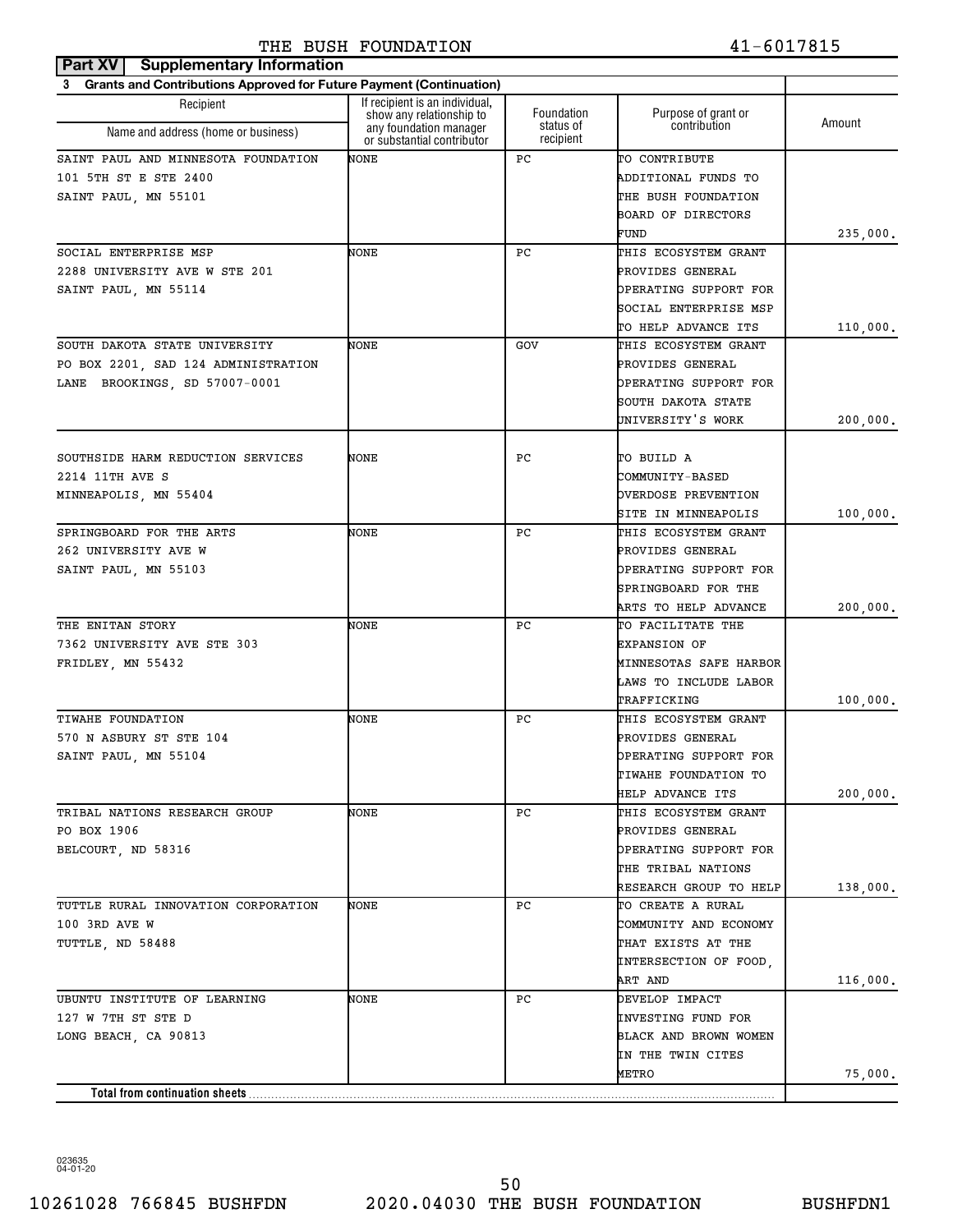| Part XV<br><b>Supplementary Information</b>                              |                                                            |                         |                                     |          |
|--------------------------------------------------------------------------|------------------------------------------------------------|-------------------------|-------------------------------------|----------|
| Grants and Contributions Approved for Future Payment (Continuation)<br>3 |                                                            |                         |                                     |          |
| Recipient                                                                | If recipient is an individual.<br>show any relationship to | Foundation<br>status of | Purpose of grant or<br>contribution | Amount   |
| Name and address (home or business)                                      | any foundation manager<br>or substantial contributor       | recipient               |                                     |          |
| SAINT PAUL AND MINNESOTA FOUNDATION                                      | NONE                                                       | РC                      | TO CONTRIBUTE                       |          |
| 101 5TH ST E STE 2400                                                    |                                                            |                         | ADDITIONAL FUNDS TO                 |          |
| SAINT PAUL, MN 55101                                                     |                                                            |                         | THE BUSH FOUNDATION                 |          |
|                                                                          |                                                            |                         | BOARD OF DIRECTORS                  |          |
|                                                                          |                                                            |                         | FUND                                | 235,000. |
| SOCIAL ENTERPRISE MSP                                                    | NONE                                                       | РC                      | THIS ECOSYSTEM GRANT                |          |
| 2288 UNIVERSITY AVE W STE 201                                            |                                                            |                         | PROVIDES GENERAL                    |          |
| SAINT PAUL, MN 55114                                                     |                                                            |                         | OPERATING SUPPORT FOR               |          |
|                                                                          |                                                            |                         | SOCIAL ENTERPRISE MSP               |          |
|                                                                          |                                                            |                         | TO HELP ADVANCE ITS                 | 110,000. |
| SOUTH DAKOTA STATE UNIVERSITY                                            | NONE                                                       | GOV                     | THIS ECOSYSTEM GRANT                |          |
| PO BOX 2201, SAD 124 ADMINISTRATION                                      |                                                            |                         | PROVIDES GENERAL                    |          |
| LANE BROOKINGS, SD 57007-0001                                            |                                                            |                         | OPERATING SUPPORT FOR               |          |
|                                                                          |                                                            |                         | SOUTH DAKOTA STATE                  |          |
|                                                                          |                                                            |                         | UNIVERSITY'S WORK                   | 200,000. |
|                                                                          |                                                            |                         |                                     |          |
| SOUTHSIDE HARM REDUCTION SERVICES                                        | NONE                                                       | РC                      | TO BUILD A                          |          |
| 2214 11TH AVE S                                                          |                                                            |                         | <b>COMMUNITY-BASED</b>              |          |
| MINNEAPOLIS, MN 55404                                                    |                                                            |                         | OVERDOSE PREVENTION                 |          |
|                                                                          |                                                            |                         | SITE IN MINNEAPOLIS                 | 100,000. |
| SPRINGBOARD FOR THE ARTS                                                 | NONE                                                       | РC                      | THIS ECOSYSTEM GRANT                |          |
| 262 UNIVERSITY AVE W                                                     |                                                            |                         | PROVIDES GENERAL                    |          |
| SAINT PAUL, MN 55103                                                     |                                                            |                         | OPERATING SUPPORT FOR               |          |
|                                                                          |                                                            |                         | SPRINGBOARD FOR THE                 |          |
|                                                                          |                                                            |                         | ARTS TO HELP ADVANCE                | 200,000. |
| THE ENITAN STORY                                                         | NONE                                                       | РC                      | TO FACILITATE THE                   |          |
| 7362 UNIVERSITY AVE STE 303                                              |                                                            |                         | <b>EXPANSION OF</b>                 |          |
| FRIDLEY, MN 55432                                                        |                                                            |                         | MINNESOTAS SAFE HARBOR              |          |
|                                                                          |                                                            |                         | LAWS TO INCLUDE LABOR               |          |
|                                                                          |                                                            |                         | TRAFFICKING                         | 100,000. |
| TIWAHE FOUNDATION                                                        | NONE                                                       | РC                      | THIS ECOSYSTEM GRANT                |          |
| 570 N ASBURY ST STE 104                                                  |                                                            |                         | PROVIDES GENERAL                    |          |
| SAINT PAUL, MN 55104                                                     |                                                            |                         | OPERATING SUPPORT FOR               |          |
|                                                                          |                                                            |                         | TIWAHE FOUNDATION TO                |          |
|                                                                          |                                                            |                         | HELP ADVANCE ITS                    | 200,000. |
| TRIBAL NATIONS RESEARCH GROUP                                            | NONE                                                       | РC                      | THIS ECOSYSTEM GRANT                |          |
| PO BOX 1906                                                              |                                                            |                         | PROVIDES GENERAL                    |          |
| BELCOURT, ND 58316                                                       |                                                            |                         | OPERATING SUPPORT FOR               |          |
|                                                                          |                                                            |                         | THE TRIBAL NATIONS                  |          |
|                                                                          |                                                            |                         | RESEARCH GROUP TO HELP              | 138,000. |
| TUTTLE RURAL INNOVATION CORPORATION                                      | NONE                                                       | РC                      | TO CREATE A RURAL                   |          |
| 100 3RD AVE W                                                            |                                                            |                         | COMMUNITY AND ECONOMY               |          |
| TUTTLE, ND 58488                                                         |                                                            |                         | THAT EXISTS AT THE                  |          |
|                                                                          |                                                            |                         | INTERSECTION OF FOOD,               |          |
|                                                                          |                                                            |                         | ART AND                             | 116,000. |
| UBUNTU INSTITUTE OF LEARNING                                             | NONE                                                       | РC                      | DEVELOP IMPACT                      |          |
| 127 W 7TH ST STE D                                                       |                                                            |                         | INVESTING FUND FOR                  |          |
| LONG BEACH, CA 90813                                                     |                                                            |                         | BLACK AND BROWN WOMEN               |          |
|                                                                          |                                                            |                         | IN THE TWIN CITES                   |          |
|                                                                          |                                                            |                         | METRO                               | 75,000.  |
| Total from continuation sheets                                           |                                                            |                         |                                     |          |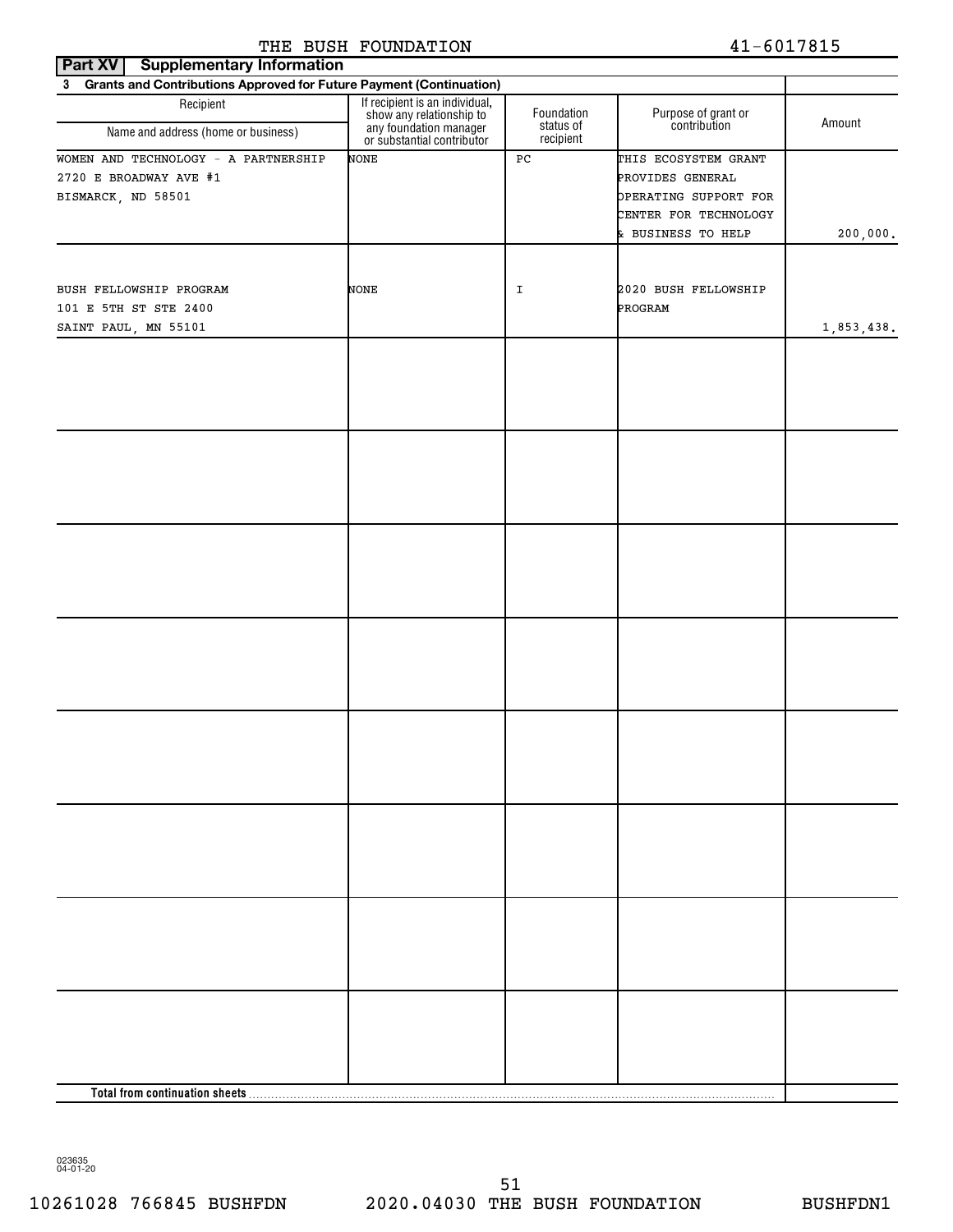| Part XV<br><b>Supplementary Information</b>                                          |                                                                                                                    |                                      |                                                                                                                  |            |
|--------------------------------------------------------------------------------------|--------------------------------------------------------------------------------------------------------------------|--------------------------------------|------------------------------------------------------------------------------------------------------------------|------------|
| 3 Grants and Contributions Approved for Future Payment (Continuation)                |                                                                                                                    |                                      |                                                                                                                  |            |
| Recipient<br>Name and address (home or business)                                     | If recipient is an individual,<br>show any relationship to<br>any foundation manager<br>or substantial contributor | Foundation<br>status of<br>recipient | Purpose of grant or<br>contribution                                                                              | Amount     |
| WOMEN AND TECHNOLOGY - A PARTNERSHIP<br>2720 E BROADWAY AVE #1<br>BISMARCK, ND 58501 | <b>NONE</b>                                                                                                        | PC                                   | THIS ECOSYSTEM GRANT<br>PROVIDES GENERAL<br>OPERATING SUPPORT FOR<br>CENTER FOR TECHNOLOGY<br>& BUSINESS TO HELP | 200,000.   |
| BUSH FELLOWSHIP PROGRAM<br>101 E 5TH ST STE 2400<br>SAINT PAUL, MN 55101             | NONE                                                                                                               | I                                    | 2020 BUSH FELLOWSHIP<br>PROGRAM                                                                                  | 1,853,438. |
|                                                                                      |                                                                                                                    |                                      |                                                                                                                  |            |
|                                                                                      |                                                                                                                    |                                      |                                                                                                                  |            |
|                                                                                      |                                                                                                                    |                                      |                                                                                                                  |            |
|                                                                                      |                                                                                                                    |                                      |                                                                                                                  |            |
|                                                                                      |                                                                                                                    |                                      |                                                                                                                  |            |
|                                                                                      |                                                                                                                    |                                      |                                                                                                                  |            |
|                                                                                      |                                                                                                                    |                                      |                                                                                                                  |            |
|                                                                                      |                                                                                                                    |                                      |                                                                                                                  |            |
|                                                                                      |                                                                                                                    |                                      |                                                                                                                  |            |
|                                                                                      |                                                                                                                    |                                      |                                                                                                                  |            |
|                                                                                      |                                                                                                                    |                                      |                                                                                                                  |            |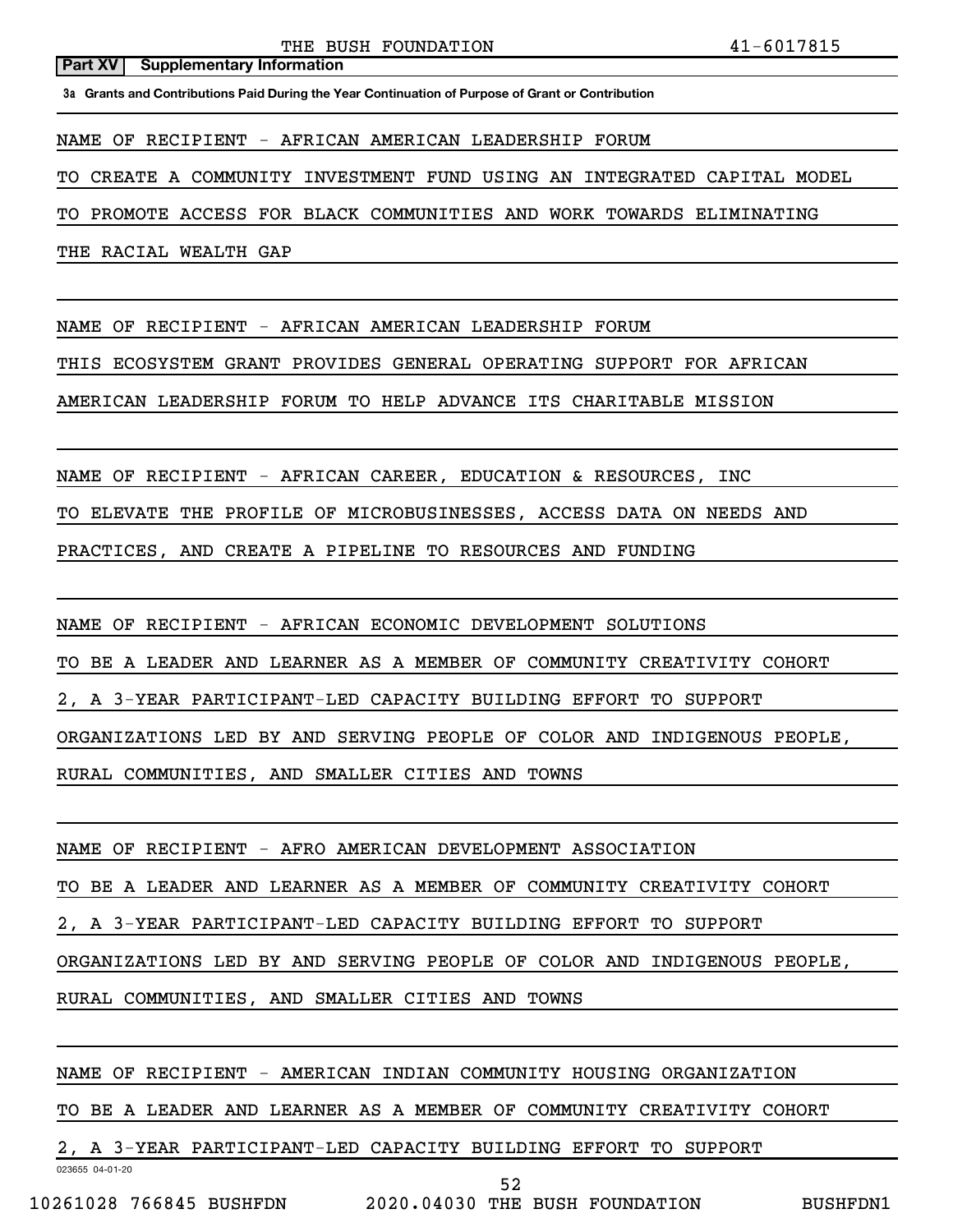**3a Grants and Contributions Paid During the Year Continuation of Purpose of Grant or Contribution**

NAME OF RECIPIENT - AFRICAN AMERICAN LEADERSHIP FORUM

TO CREATE A COMMUNITY INVESTMENT FUND USING AN INTEGRATED CAPITAL MODEL

TO PROMOTE ACCESS FOR BLACK COMMUNITIES AND WORK TOWARDS ELIMINATING

THE RACIAL WEALTH GAP

NAME OF RECIPIENT - AFRICAN AMERICAN LEADERSHIP FORUM

THIS ECOSYSTEM GRANT PROVIDES GENERAL OPERATING SUPPORT FOR AFRICAN

AMERICAN LEADERSHIP FORUM TO HELP ADVANCE ITS CHARITABLE MISSION

NAME OF RECIPIENT - AFRICAN CAREER, EDUCATION & RESOURCES, INC

TO ELEVATE THE PROFILE OF MICROBUSINESSES, ACCESS DATA ON NEEDS AND

PRACTICES, AND CREATE A PIPELINE TO RESOURCES AND FUNDING

NAME OF RECIPIENT - AFRICAN ECONOMIC DEVELOPMENT SOLUTIONS

TO BE A LEADER AND LEARNER AS A MEMBER OF COMMUNITY CREATIVITY COHORT

2, A 3-YEAR PARTICIPANT-LED CAPACITY BUILDING EFFORT TO SUPPORT

ORGANIZATIONS LED BY AND SERVING PEOPLE OF COLOR AND INDIGENOUS PEOPLE,

RURAL COMMUNITIES, AND SMALLER CITIES AND TOWNS

NAME OF RECIPIENT - AFRO AMERICAN DEVELOPMENT ASSOCIATION

TO BE A LEADER AND LEARNER AS A MEMBER OF COMMUNITY CREATIVITY COHORT

2, A 3-YEAR PARTICIPANT-LED CAPACITY BUILDING EFFORT TO SUPPORT

ORGANIZATIONS LED BY AND SERVING PEOPLE OF COLOR AND INDIGENOUS PEOPLE,

RURAL COMMUNITIES, AND SMALLER CITIES AND TOWNS

NAME OF RECIPIENT - AMERICAN INDIAN COMMUNITY HOUSING ORGANIZATION

TO BE A LEADER AND LEARNER AS A MEMBER OF COMMUNITY CREATIVITY COHORT

52

2, A 3-YEAR PARTICIPANT-LED CAPACITY BUILDING EFFORT TO SUPPORT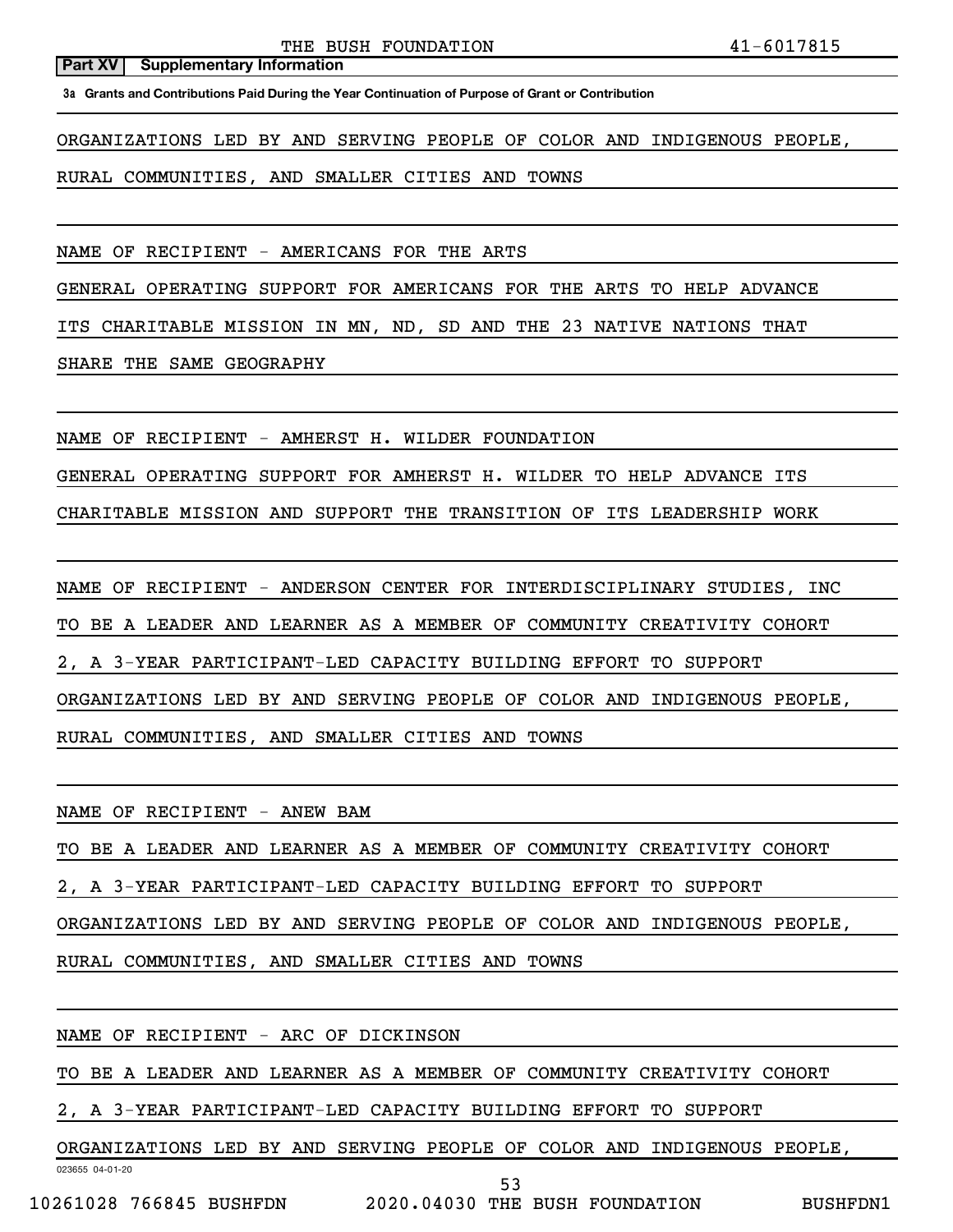**3a Grants and Contributions Paid During the Year Continuation of Purpose of Grant or Contribution**

ORGANIZATIONS LED BY AND SERVING PEOPLE OF COLOR AND INDIGENOUS PEOPLE,

RURAL COMMUNITIES, AND SMALLER CITIES AND TOWNS

NAME OF RECIPIENT - AMERICANS FOR THE ARTS

GENERAL OPERATING SUPPORT FOR AMERICANS FOR THE ARTS TO HELP ADVANCE

ITS CHARITABLE MISSION IN MN, ND, SD AND THE 23 NATIVE NATIONS THAT

SHARE THE SAME GEOGRAPHY

NAME OF RECIPIENT - AMHERST H. WILDER FOUNDATION

GENERAL OPERATING SUPPORT FOR AMHERST H. WILDER TO HELP ADVANCE ITS

CHARITABLE MISSION AND SUPPORT THE TRANSITION OF ITS LEADERSHIP WORK

NAME OF RECIPIENT - ANDERSON CENTER FOR INTERDISCIPLINARY STUDIES, INC

TO BE A LEADER AND LEARNER AS A MEMBER OF COMMUNITY CREATIVITY COHORT

2, A 3-YEAR PARTICIPANT-LED CAPACITY BUILDING EFFORT TO SUPPORT

ORGANIZATIONS LED BY AND SERVING PEOPLE OF COLOR AND INDIGENOUS PEOPLE,

RURAL COMMUNITIES, AND SMALLER CITIES AND TOWNS

NAME OF RECIPIENT - ANEW BAM

TO BE A LEADER AND LEARNER AS A MEMBER OF COMMUNITY CREATIVITY COHORT

2, A 3-YEAR PARTICIPANT-LED CAPACITY BUILDING EFFORT TO SUPPORT

ORGANIZATIONS LED BY AND SERVING PEOPLE OF COLOR AND INDIGENOUS PEOPLE,

RURAL COMMUNITIES, AND SMALLER CITIES AND TOWNS

023655 04-01-20 NAME OF RECIPIENT - ARC OF DICKINSON TO BE A LEADER AND LEARNER AS A MEMBER OF COMMUNITY CREATIVITY COHORT 2, A 3-YEAR PARTICIPANT-LED CAPACITY BUILDING EFFORT TO SUPPORT ORGANIZATIONS LED BY AND SERVING PEOPLE OF COLOR AND INDIGENOUS PEOPLE, 53

10261028 766845 BUSHFDN 2020.04030 THE BUSH FOUNDATION BUSHFDN1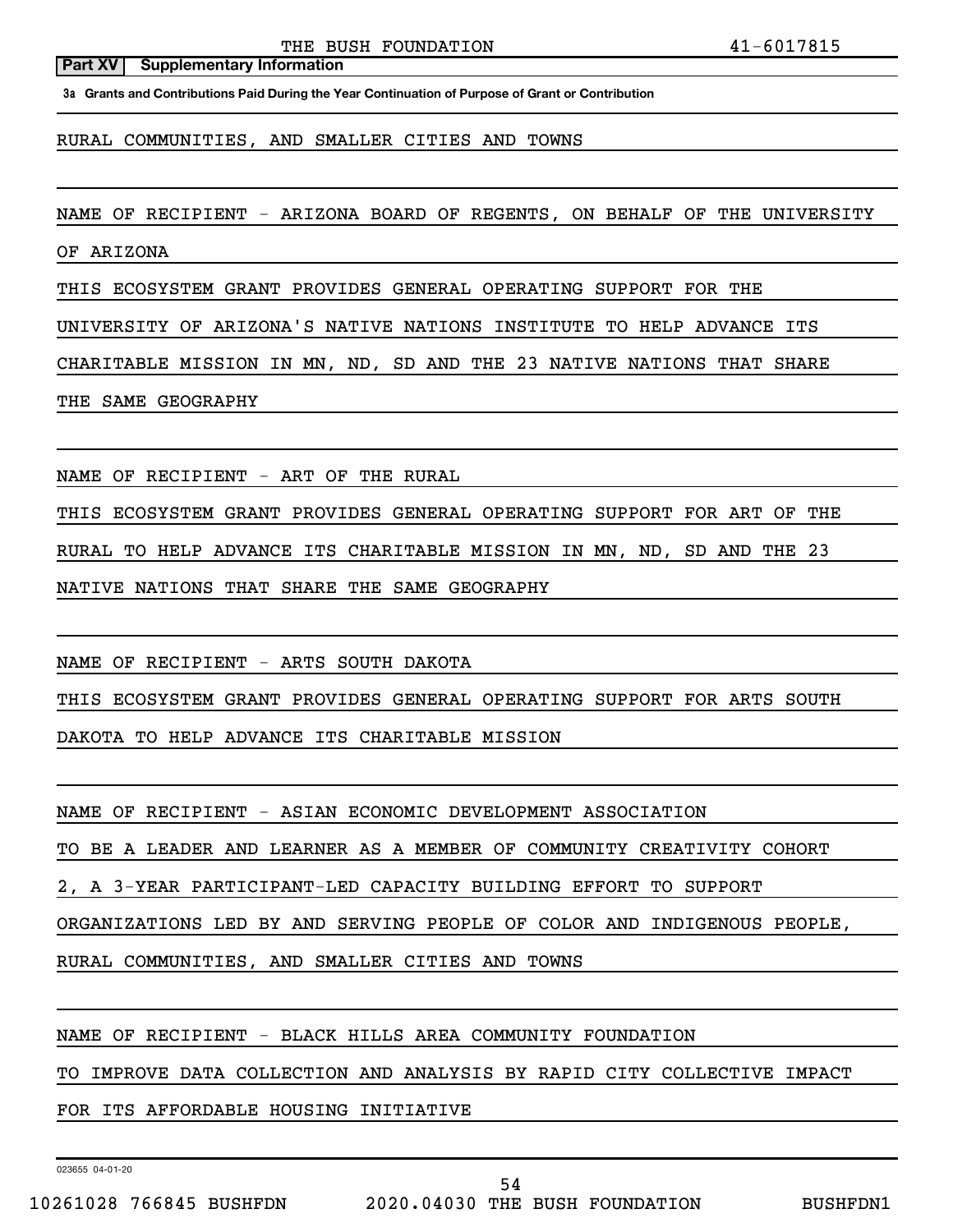**3a Grants and Contributions Paid During the Year Continuation of Purpose of Grant or Contribution**

RURAL COMMUNITIES, AND SMALLER CITIES AND TOWNS

NAME OF RECIPIENT - ARIZONA BOARD OF REGENTS, ON BEHALF OF THE UNIVERSITY

OF ARIZONA

THIS ECOSYSTEM GRANT PROVIDES GENERAL OPERATING SUPPORT FOR THE

UNIVERSITY OF ARIZONA'S NATIVE NATIONS INSTITUTE TO HELP ADVANCE ITS

CHARITABLE MISSION IN MN, ND, SD AND THE 23 NATIVE NATIONS THAT SHARE

THE SAME GEOGRAPHY

NAME OF RECIPIENT - ART OF THE RURAL

THIS ECOSYSTEM GRANT PROVIDES GENERAL OPERATING SUPPORT FOR ART OF THE

RURAL TO HELP ADVANCE ITS CHARITABLE MISSION IN MN, ND, SD AND THE 23

NATIVE NATIONS THAT SHARE THE SAME GEOGRAPHY

NAME OF RECIPIENT - ARTS SOUTH DAKOTA

THIS ECOSYSTEM GRANT PROVIDES GENERAL OPERATING SUPPORT FOR ARTS SOUTH

DAKOTA TO HELP ADVANCE ITS CHARITABLE MISSION

NAME OF RECIPIENT - ASIAN ECONOMIC DEVELOPMENT ASSOCIATION

TO BE A LEADER AND LEARNER AS A MEMBER OF COMMUNITY CREATIVITY COHORT

2, A 3-YEAR PARTICIPANT-LED CAPACITY BUILDING EFFORT TO SUPPORT

ORGANIZATIONS LED BY AND SERVING PEOPLE OF COLOR AND INDIGENOUS PEOPLE,

RURAL COMMUNITIES, AND SMALLER CITIES AND TOWNS

NAME OF RECIPIENT - BLACK HILLS AREA COMMUNITY FOUNDATION

TO IMPROVE DATA COLLECTION AND ANALYSIS BY RAPID CITY COLLECTIVE IMPACT

FOR ITS AFFORDABLE HOUSING INITIATIVE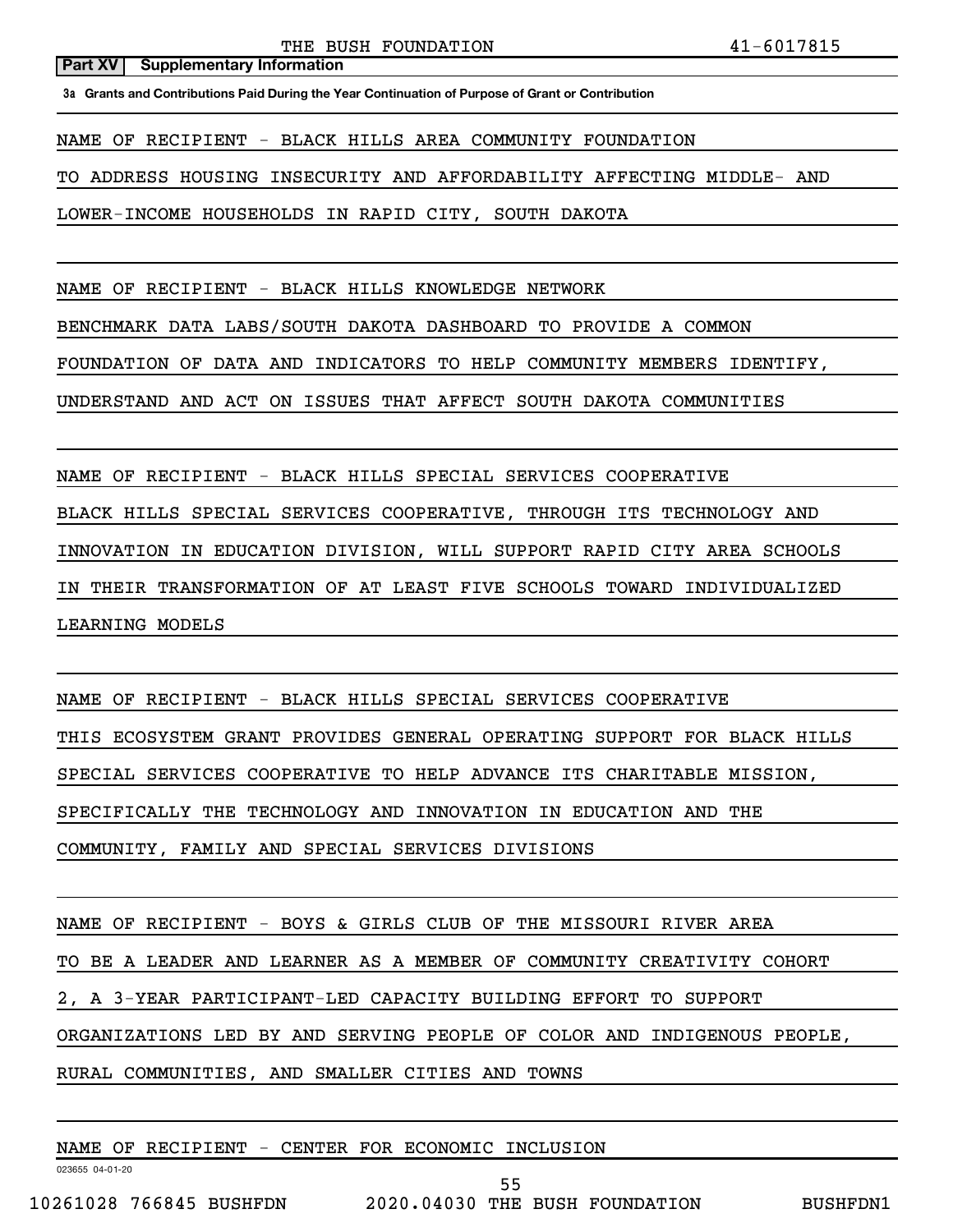**3a Grants and Contributions Paid During the Year Continuation of Purpose of Grant or Contribution**

NAME OF RECIPIENT - BLACK HILLS AREA COMMUNITY FOUNDATION

TO ADDRESS HOUSING INSECURITY AND AFFORDABILITY AFFECTING MIDDLE- AND

LOWER-INCOME HOUSEHOLDS IN RAPID CITY, SOUTH DAKOTA

NAME OF RECIPIENT - BLACK HILLS KNOWLEDGE NETWORK

BENCHMARK DATA LABS/SOUTH DAKOTA DASHBOARD TO PROVIDE A COMMON

FOUNDATION OF DATA AND INDICATORS TO HELP COMMUNITY MEMBERS IDENTIFY,

UNDERSTAND AND ACT ON ISSUES THAT AFFECT SOUTH DAKOTA COMMUNITIES

NAME OF RECIPIENT - BLACK HILLS SPECIAL SERVICES COOPERATIVE

BLACK HILLS SPECIAL SERVICES COOPERATIVE, THROUGH ITS TECHNOLOGY AND

INNOVATION IN EDUCATION DIVISION, WILL SUPPORT RAPID CITY AREA SCHOOLS

IN THEIR TRANSFORMATION OF AT LEAST FIVE SCHOOLS TOWARD INDIVIDUALIZED

LEARNING MODELS

NAME OF RECIPIENT - BLACK HILLS SPECIAL SERVICES COOPERATIVE

THIS ECOSYSTEM GRANT PROVIDES GENERAL OPERATING SUPPORT FOR BLACK HILLS

SPECIAL SERVICES COOPERATIVE TO HELP ADVANCE ITS CHARITABLE MISSION,

SPECIFICALLY THE TECHNOLOGY AND INNOVATION IN EDUCATION AND THE

COMMUNITY, FAMILY AND SPECIAL SERVICES DIVISIONS

NAME OF RECIPIENT - BOYS & GIRLS CLUB OF THE MISSOURI RIVER AREA

TO BE A LEADER AND LEARNER AS A MEMBER OF COMMUNITY CREATIVITY COHORT

2, A 3-YEAR PARTICIPANT-LED CAPACITY BUILDING EFFORT TO SUPPORT

ORGANIZATIONS LED BY AND SERVING PEOPLE OF COLOR AND INDIGENOUS PEOPLE,

55

RURAL COMMUNITIES, AND SMALLER CITIES AND TOWNS

NAME OF RECIPIENT - CENTER FOR ECONOMIC INCLUSION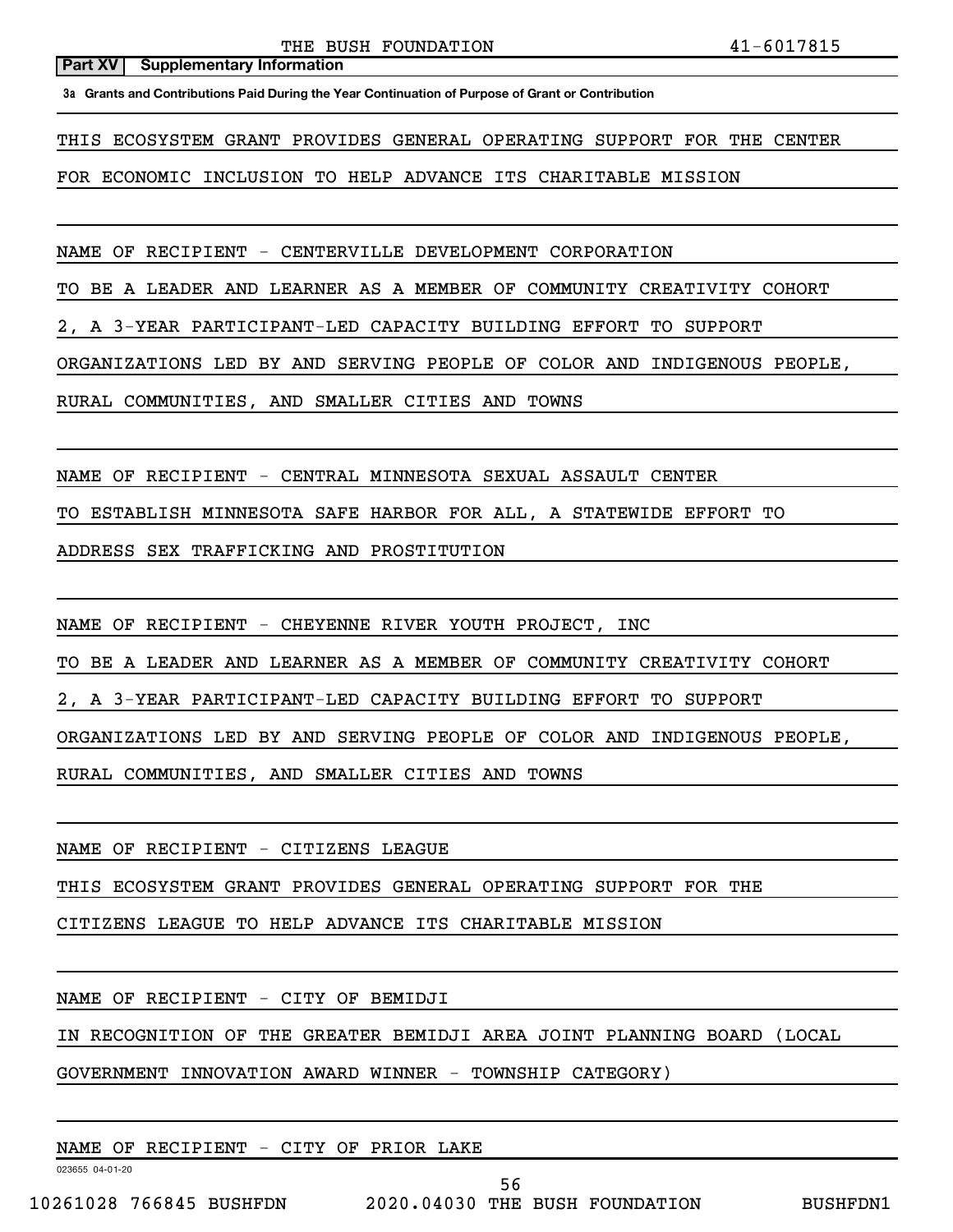**3a Grants and Contributions Paid During the Year Continuation of Purpose of Grant or Contribution**

THIS ECOSYSTEM GRANT PROVIDES GENERAL OPERATING SUPPORT FOR THE CENTER

FOR ECONOMIC INCLUSION TO HELP ADVANCE ITS CHARITABLE MISSION

NAME OF RECIPIENT - CENTERVILLE DEVELOPMENT CORPORATION

TO BE A LEADER AND LEARNER AS A MEMBER OF COMMUNITY CREATIVITY COHORT

2, A 3-YEAR PARTICIPANT-LED CAPACITY BUILDING EFFORT TO SUPPORT

ORGANIZATIONS LED BY AND SERVING PEOPLE OF COLOR AND INDIGENOUS PEOPLE,

RURAL COMMUNITIES, AND SMALLER CITIES AND TOWNS

NAME OF RECIPIENT - CENTRAL MINNESOTA SEXUAL ASSAULT CENTER

TO ESTABLISH MINNESOTA SAFE HARBOR FOR ALL, A STATEWIDE EFFORT TO

ADDRESS SEX TRAFFICKING AND PROSTITUTION

NAME OF RECIPIENT - CHEYENNE RIVER YOUTH PROJECT, INC

TO BE A LEADER AND LEARNER AS A MEMBER OF COMMUNITY CREATIVITY COHORT

2, A 3-YEAR PARTICIPANT-LED CAPACITY BUILDING EFFORT TO SUPPORT

ORGANIZATIONS LED BY AND SERVING PEOPLE OF COLOR AND INDIGENOUS PEOPLE,

RURAL COMMUNITIES, AND SMALLER CITIES AND TOWNS

NAME OF RECIPIENT - CITIZENS LEAGUE

THIS ECOSYSTEM GRANT PROVIDES GENERAL OPERATING SUPPORT FOR THE

CITIZENS LEAGUE TO HELP ADVANCE ITS CHARITABLE MISSION

NAME OF RECIPIENT - CITY OF BEMIDJI

IN RECOGNITION OF THE GREATER BEMIDJI AREA JOINT PLANNING BOARD (LOCAL

GOVERNMENT INNOVATION AWARD WINNER - TOWNSHIP CATEGORY)

NAME OF RECIPIENT - CITY OF PRIOR LAKE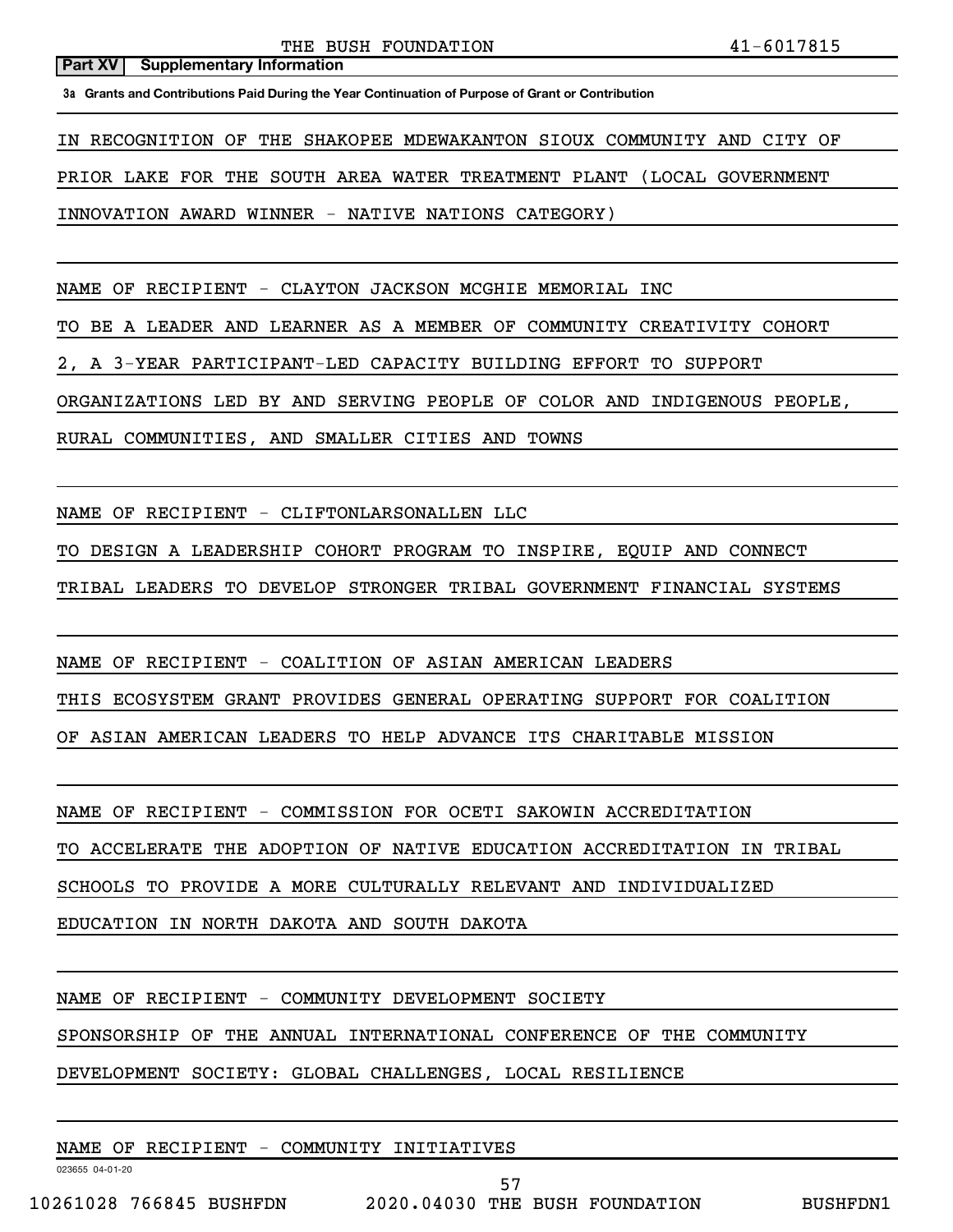**3a Grants and Contributions Paid During the Year Continuation of Purpose of Grant or Contribution**

IN RECOGNITION OF THE SHAKOPEE MDEWAKANTON SIOUX COMMUNITY AND CITY OF

PRIOR LAKE FOR THE SOUTH AREA WATER TREATMENT PLANT (LOCAL GOVERNMENT

INNOVATION AWARD WINNER - NATIVE NATIONS CATEGORY)

NAME OF RECIPIENT - CLAYTON JACKSON MCGHIE MEMORIAL INC

TO BE A LEADER AND LEARNER AS A MEMBER OF COMMUNITY CREATIVITY COHORT

2, A 3-YEAR PARTICIPANT-LED CAPACITY BUILDING EFFORT TO SUPPORT

ORGANIZATIONS LED BY AND SERVING PEOPLE OF COLOR AND INDIGENOUS PEOPLE,

RURAL COMMUNITIES, AND SMALLER CITIES AND TOWNS

NAME OF RECIPIENT - CLIFTONLARSONALLEN LLC

TO DESIGN A LEADERSHIP COHORT PROGRAM TO INSPIRE, EQUIP AND CONNECT

TRIBAL LEADERS TO DEVELOP STRONGER TRIBAL GOVERNMENT FINANCIAL SYSTEMS

NAME OF RECIPIENT - COALITION OF ASIAN AMERICAN LEADERS

THIS ECOSYSTEM GRANT PROVIDES GENERAL OPERATING SUPPORT FOR COALITION

OF ASIAN AMERICAN LEADERS TO HELP ADVANCE ITS CHARITABLE MISSION

NAME OF RECIPIENT - COMMISSION FOR OCETI SAKOWIN ACCREDITATION

TO ACCELERATE THE ADOPTION OF NATIVE EDUCATION ACCREDITATION IN TRIBAL

SCHOOLS TO PROVIDE A MORE CULTURALLY RELEVANT AND INDIVIDUALIZED

EDUCATION IN NORTH DAKOTA AND SOUTH DAKOTA

NAME OF RECIPIENT - COMMUNITY DEVELOPMENT SOCIETY

SPONSORSHIP OF THE ANNUAL INTERNATIONAL CONFERENCE OF THE COMMUNITY

DEVELOPMENT SOCIETY: GLOBAL CHALLENGES, LOCAL RESILIENCE

NAME OF RECIPIENT - COMMUNITY INITIATIVES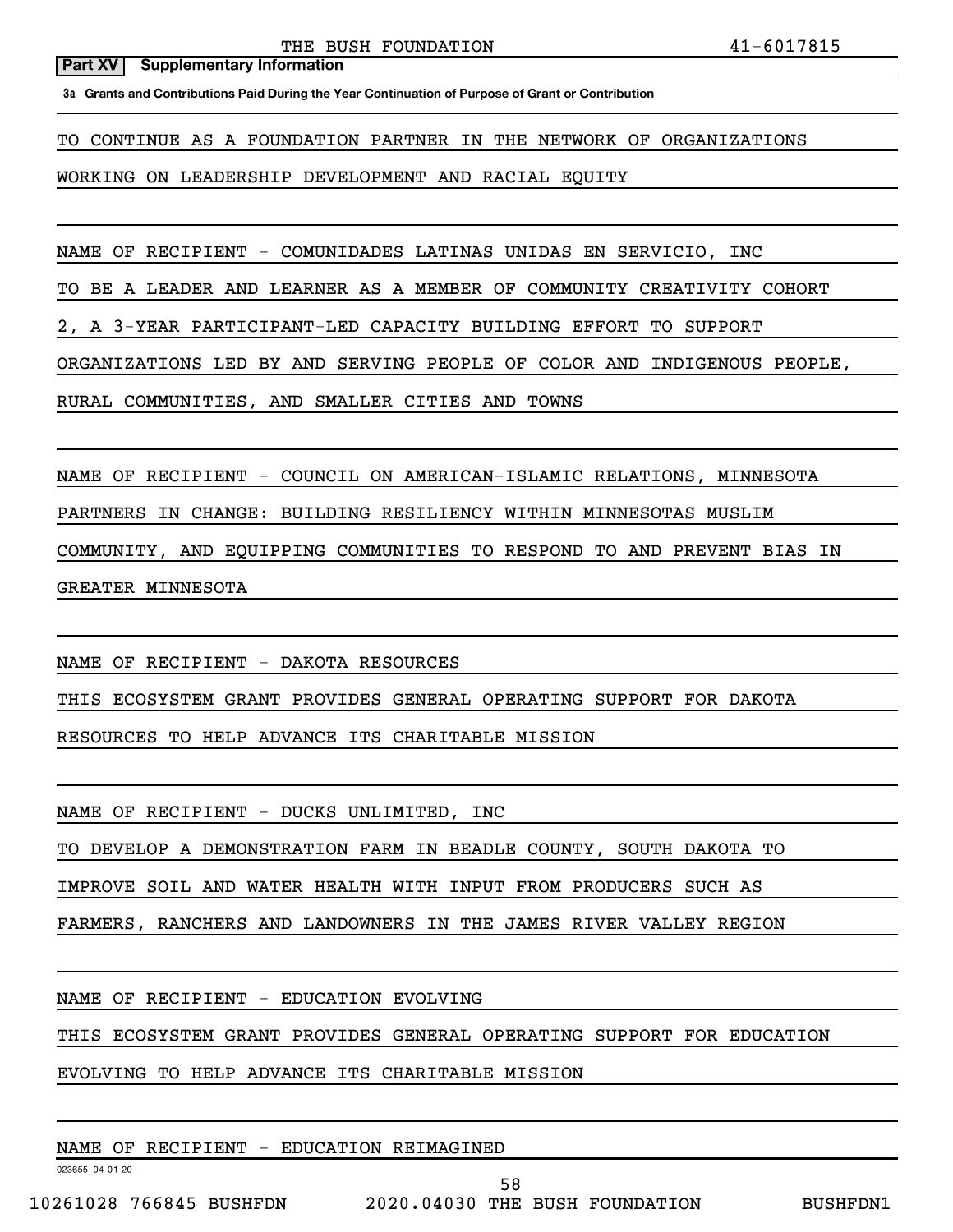**3a Grants and Contributions Paid During the Year Continuation of Purpose of Grant or Contribution**

TO CONTINUE AS A FOUNDATION PARTNER IN THE NETWORK OF ORGANIZATIONS

WORKING ON LEADERSHIP DEVELOPMENT AND RACIAL EQUITY

NAME OF RECIPIENT - COMUNIDADES LATINAS UNIDAS EN SERVICIO, INC

TO BE A LEADER AND LEARNER AS A MEMBER OF COMMUNITY CREATIVITY COHORT

2, A 3-YEAR PARTICIPANT-LED CAPACITY BUILDING EFFORT TO SUPPORT

ORGANIZATIONS LED BY AND SERVING PEOPLE OF COLOR AND INDIGENOUS PEOPLE,

RURAL COMMUNITIES, AND SMALLER CITIES AND TOWNS

NAME OF RECIPIENT - COUNCIL ON AMERICAN-ISLAMIC RELATIONS, MINNESOTA

PARTNERS IN CHANGE: BUILDING RESILIENCY WITHIN MINNESOTAS MUSLIM

COMMUNITY, AND EQUIPPING COMMUNITIES TO RESPOND TO AND PREVENT BIAS IN

GREATER MINNESOTA

NAME OF RECIPIENT - DAKOTA RESOURCES

THIS ECOSYSTEM GRANT PROVIDES GENERAL OPERATING SUPPORT FOR DAKOTA

RESOURCES TO HELP ADVANCE ITS CHARITABLE MISSION

NAME OF RECIPIENT - DUCKS UNLIMITED, INC

TO DEVELOP A DEMONSTRATION FARM IN BEADLE COUNTY, SOUTH DAKOTA TO

IMPROVE SOIL AND WATER HEALTH WITH INPUT FROM PRODUCERS SUCH AS

FARMERS, RANCHERS AND LANDOWNERS IN THE JAMES RIVER VALLEY REGION

NAME OF RECIPIENT - EDUCATION EVOLVING

THIS ECOSYSTEM GRANT PROVIDES GENERAL OPERATING SUPPORT FOR EDUCATION

EVOLVING TO HELP ADVANCE ITS CHARITABLE MISSION

NAME OF RECIPIENT - EDUCATION REIMAGINED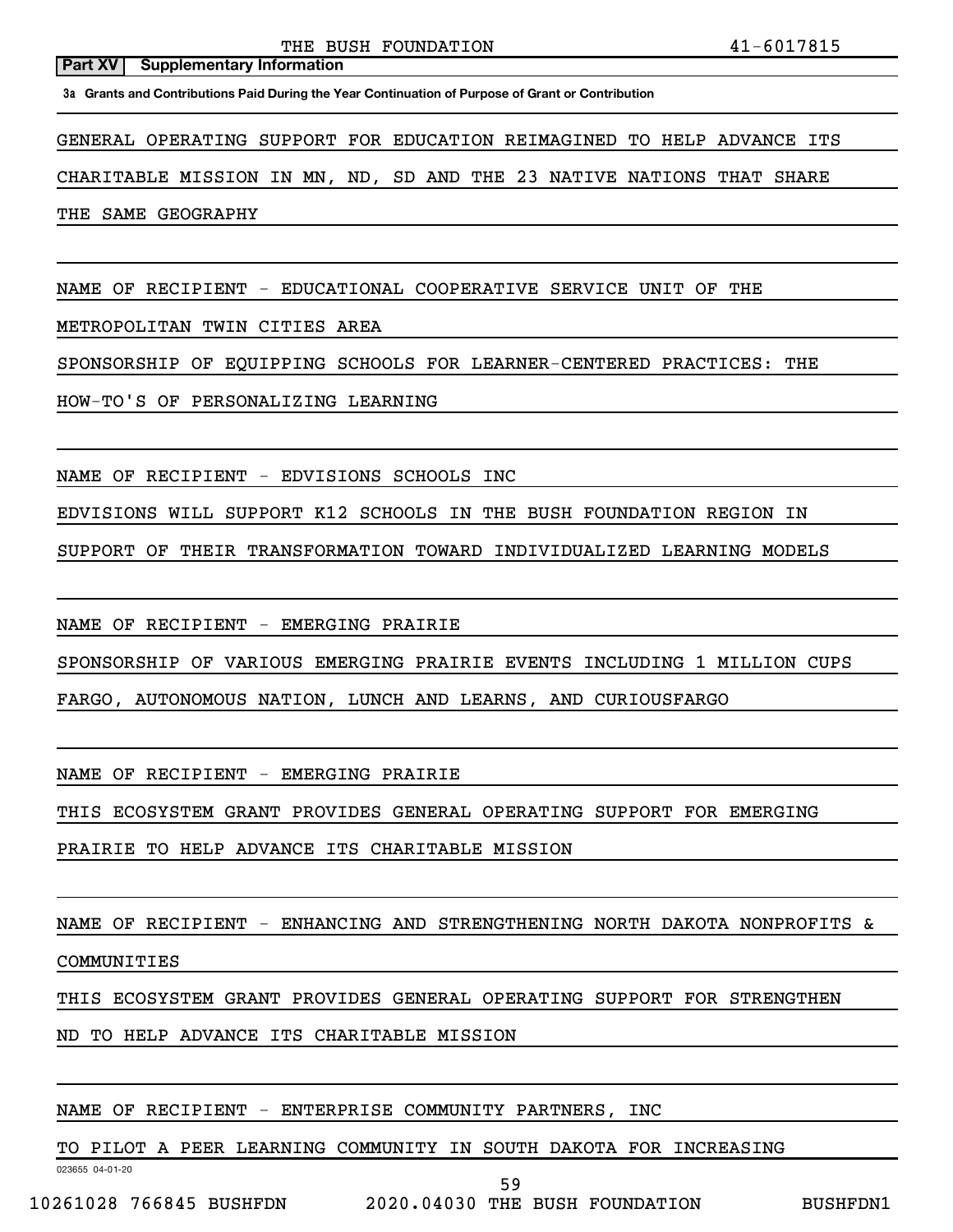**3a Grants and Contributions Paid During the Year Continuation of Purpose of Grant or Contribution**

GENERAL OPERATING SUPPORT FOR EDUCATION REIMAGINED TO HELP ADVANCE ITS

CHARITABLE MISSION IN MN, ND, SD AND THE 23 NATIVE NATIONS THAT SHARE

THE SAME GEOGRAPHY

NAME OF RECIPIENT - EDUCATIONAL COOPERATIVE SERVICE UNIT OF THE

METROPOLITAN TWIN CITIES AREA

SPONSORSHIP OF EQUIPPING SCHOOLS FOR LEARNER-CENTERED PRACTICES: THE

HOW-TO'S OF PERSONALIZING LEARNING

NAME OF RECIPIENT - EDVISIONS SCHOOLS INC

EDVISIONS WILL SUPPORT K12 SCHOOLS IN THE BUSH FOUNDATION REGION IN

SUPPORT OF THEIR TRANSFORMATION TOWARD INDIVIDUALIZED LEARNING MODELS

NAME OF RECIPIENT - EMERGING PRAIRIE

SPONSORSHIP OF VARIOUS EMERGING PRAIRIE EVENTS INCLUDING 1 MILLION CUPS

FARGO, AUTONOMOUS NATION, LUNCH AND LEARNS, AND CURIOUSFARGO

NAME OF RECIPIENT - EMERGING PRAIRIE

THIS ECOSYSTEM GRANT PROVIDES GENERAL OPERATING SUPPORT FOR EMERGING

PRAIRIE TO HELP ADVANCE ITS CHARITABLE MISSION

NAME OF RECIPIENT - ENHANCING AND STRENGTHENING NORTH DAKOTA NONPROFITS &

COMMUNITIES

THIS ECOSYSTEM GRANT PROVIDES GENERAL OPERATING SUPPORT FOR STRENGTHEN

ND TO HELP ADVANCE ITS CHARITABLE MISSION

NAME OF RECIPIENT - ENTERPRISE COMMUNITY PARTNERS, INC

TO PILOT A PEER LEARNING COMMUNITY IN SOUTH DAKOTA FOR INCREASING

023655 04-01-20

59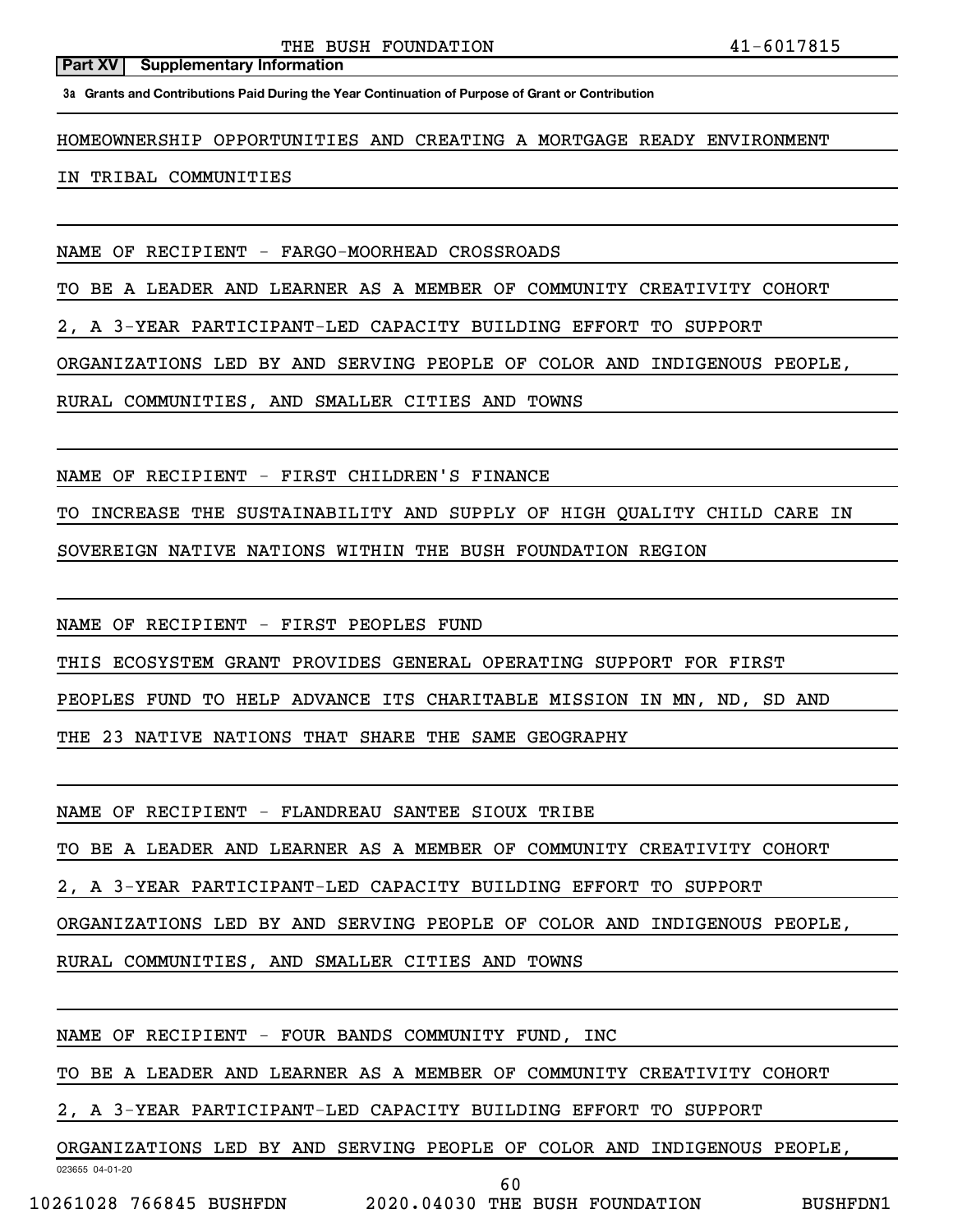**3a Grants and Contributions Paid During the Year Continuation of Purpose of Grant or Contribution**

HOMEOWNERSHIP OPPORTUNITIES AND CREATING A MORTGAGE READY ENVIRONMENT

## IN TRIBAL COMMUNITIES

NAME OF RECIPIENT - FARGO-MOORHEAD CROSSROADS

TO BE A LEADER AND LEARNER AS A MEMBER OF COMMUNITY CREATIVITY COHORT

2, A 3-YEAR PARTICIPANT-LED CAPACITY BUILDING EFFORT TO SUPPORT

ORGANIZATIONS LED BY AND SERVING PEOPLE OF COLOR AND INDIGENOUS PEOPLE,

RURAL COMMUNITIES, AND SMALLER CITIES AND TOWNS

NAME OF RECIPIENT - FIRST CHILDREN'S FINANCE

TO INCREASE THE SUSTAINABILITY AND SUPPLY OF HIGH QUALITY CHILD CARE IN

SOVEREIGN NATIVE NATIONS WITHIN THE BUSH FOUNDATION REGION

NAME OF RECIPIENT - FIRST PEOPLES FUND

THIS ECOSYSTEM GRANT PROVIDES GENERAL OPERATING SUPPORT FOR FIRST

PEOPLES FUND TO HELP ADVANCE ITS CHARITABLE MISSION IN MN, ND, SD AND

THE 23 NATIVE NATIONS THAT SHARE THE SAME GEOGRAPHY

NAME OF RECIPIENT - FLANDREAU SANTEE SIOUX TRIBE

TO BE A LEADER AND LEARNER AS A MEMBER OF COMMUNITY CREATIVITY COHORT

2, A 3-YEAR PARTICIPANT-LED CAPACITY BUILDING EFFORT TO SUPPORT

ORGANIZATIONS LED BY AND SERVING PEOPLE OF COLOR AND INDIGENOUS PEOPLE,

RURAL COMMUNITIES, AND SMALLER CITIES AND TOWNS

NAME OF RECIPIENT - FOUR BANDS COMMUNITY FUND, INC

TO BE A LEADER AND LEARNER AS A MEMBER OF COMMUNITY CREATIVITY COHORT

2, A 3-YEAR PARTICIPANT-LED CAPACITY BUILDING EFFORT TO SUPPORT

ORGANIZATIONS LED BY AND SERVING PEOPLE OF COLOR AND INDIGENOUS PEOPLE,

023655 04-01-20

60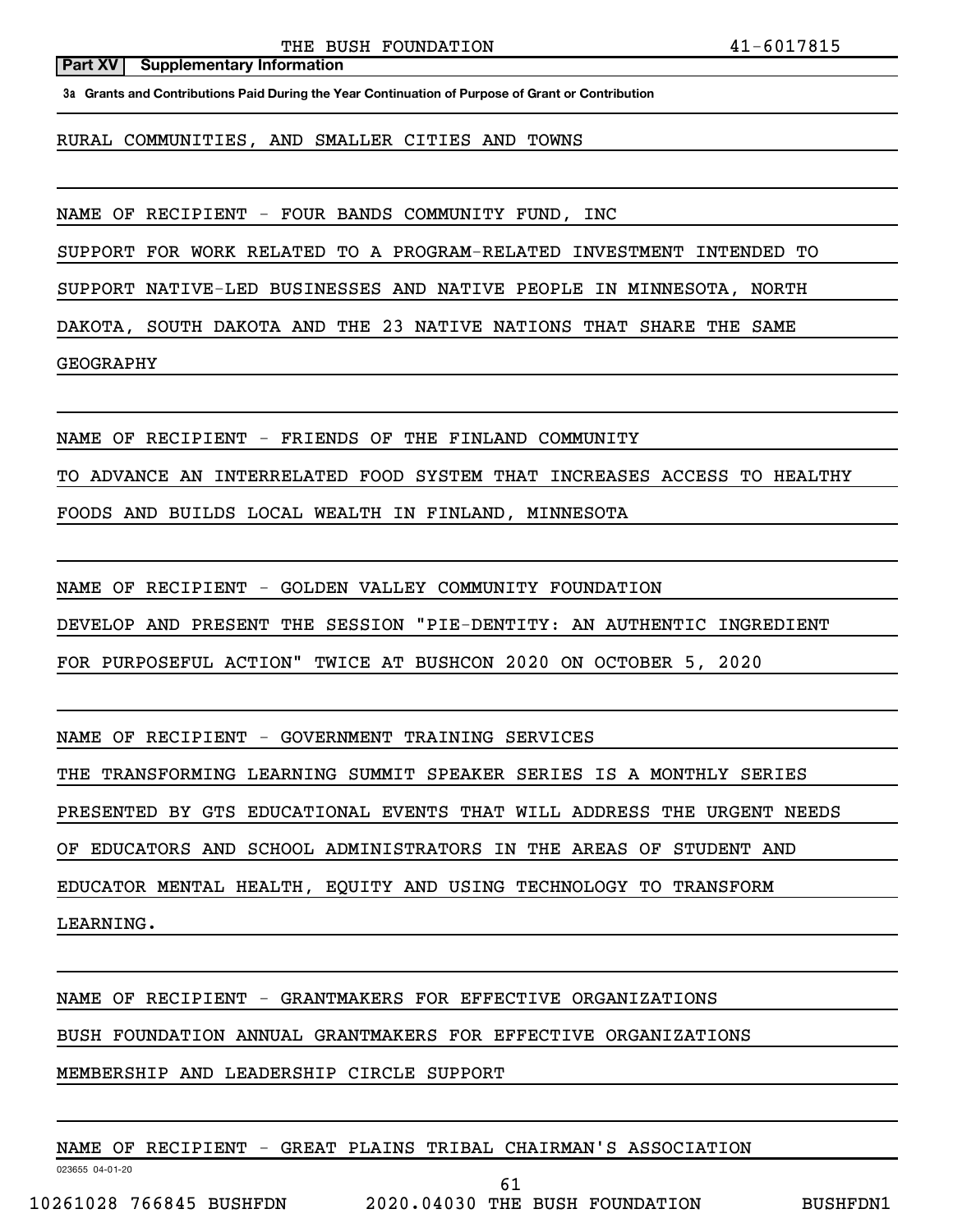## **Part XV** | Supplementary Information

**3a Grants and Contributions Paid During the Year Continuation of Purpose of Grant or Contribution**

RURAL COMMUNITIES, AND SMALLER CITIES AND TOWNS

NAME OF RECIPIENT - FOUR BANDS COMMUNITY FUND, INC

SUPPORT FOR WORK RELATED TO A PROGRAM-RELATED INVESTMENT INTENDED TO

SUPPORT NATIVE-LED BUSINESSES AND NATIVE PEOPLE IN MINNESOTA, NORTH

DAKOTA, SOUTH DAKOTA AND THE 23 NATIVE NATIONS THAT SHARE THE SAME

GEOGRAPHY

NAME OF RECIPIENT - FRIENDS OF THE FINLAND COMMUNITY

TO ADVANCE AN INTERRELATED FOOD SYSTEM THAT INCREASES ACCESS TO HEALTHY

FOODS AND BUILDS LOCAL WEALTH IN FINLAND, MINNESOTA

NAME OF RECIPIENT - GOLDEN VALLEY COMMUNITY FOUNDATION

DEVELOP AND PRESENT THE SESSION "PIE-DENTITY: AN AUTHENTIC INGREDIENT

FOR PURPOSEFUL ACTION" TWICE AT BUSHCON 2020 ON OCTOBER 5, 2020

NAME OF RECIPIENT - GOVERNMENT TRAINING SERVICES

THE TRANSFORMING LEARNING SUMMIT SPEAKER SERIES IS A MONTHLY SERIES

PRESENTED BY GTS EDUCATIONAL EVENTS THAT WILL ADDRESS THE URGENT NEEDS

OF EDUCATORS AND SCHOOL ADMINISTRATORS IN THE AREAS OF STUDENT AND

EDUCATOR MENTAL HEALTH, EQUITY AND USING TECHNOLOGY TO TRANSFORM

LEARNING.

NAME OF RECIPIENT - GRANTMAKERS FOR EFFECTIVE ORGANIZATIONS

BUSH FOUNDATION ANNUAL GRANTMAKERS FOR EFFECTIVE ORGANIZATIONS

MEMBERSHIP AND LEADERSHIP CIRCLE SUPPORT

NAME OF RECIPIENT - GREAT PLAINS TRIBAL CHAIRMAN'S ASSOCIATION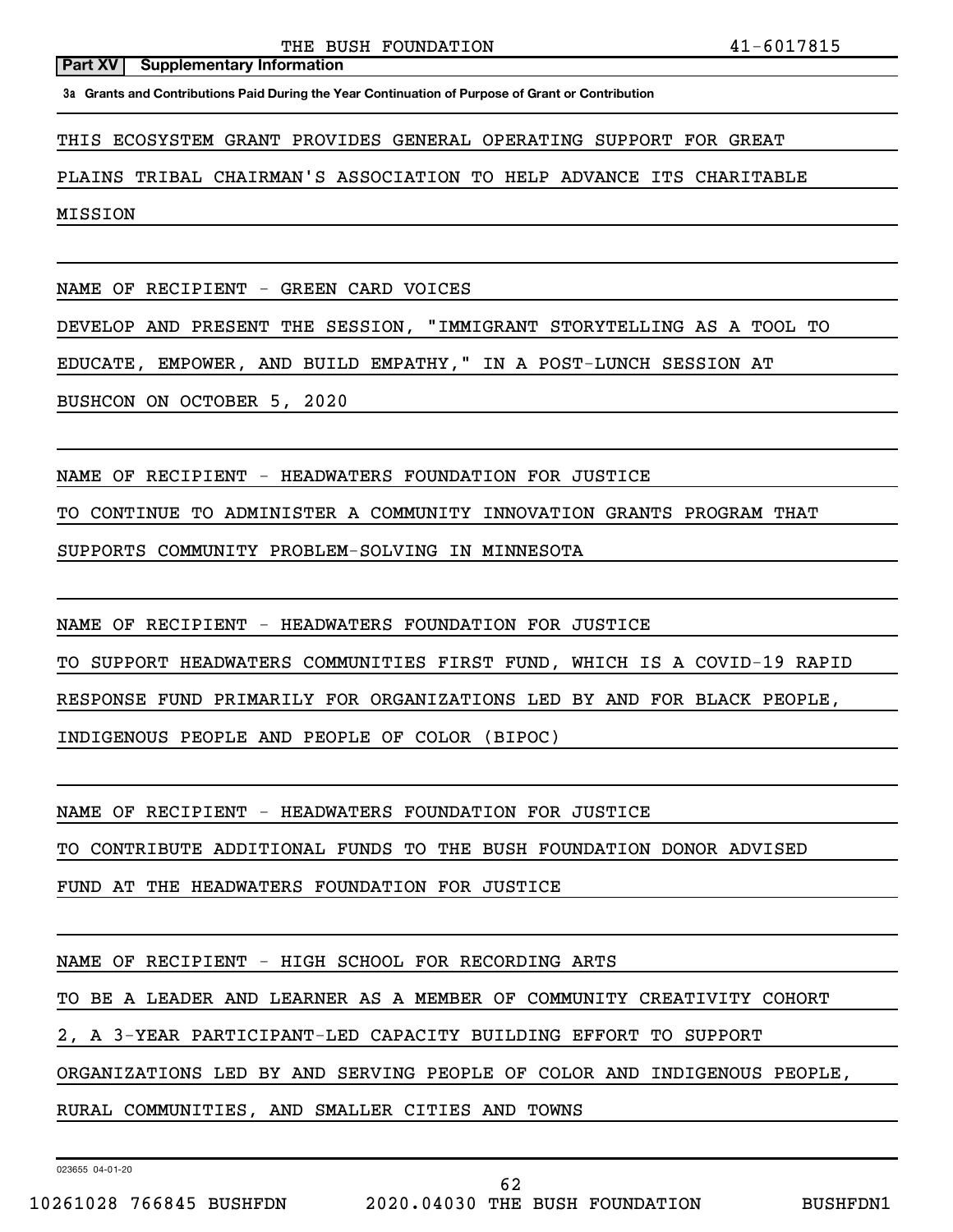**3a Grants and Contributions Paid During the Year Continuation of Purpose of Grant or Contribution**

THIS ECOSYSTEM GRANT PROVIDES GENERAL OPERATING SUPPORT FOR GREAT

PLAINS TRIBAL CHAIRMAN'S ASSOCIATION TO HELP ADVANCE ITS CHARITABLE

MISSION

NAME OF RECIPIENT - GREEN CARD VOICES

DEVELOP AND PRESENT THE SESSION, "IMMIGRANT STORYTELLING AS A TOOL TO

EDUCATE, EMPOWER, AND BUILD EMPATHY," IN A POST-LUNCH SESSION AT

BUSHCON ON OCTOBER 5, 2020

NAME OF RECIPIENT - HEADWATERS FOUNDATION FOR JUSTICE

TO CONTINUE TO ADMINISTER A COMMUNITY INNOVATION GRANTS PROGRAM THAT

SUPPORTS COMMUNITY PROBLEM-SOLVING IN MINNESOTA

NAME OF RECIPIENT - HEADWATERS FOUNDATION FOR JUSTICE

TO SUPPORT HEADWATERS COMMUNITIES FIRST FUND, WHICH IS A COVID-19 RAPID

RESPONSE FUND PRIMARILY FOR ORGANIZATIONS LED BY AND FOR BLACK PEOPLE,

INDIGENOUS PEOPLE AND PEOPLE OF COLOR (BIPOC)

NAME OF RECIPIENT - HEADWATERS FOUNDATION FOR JUSTICE

TO CONTRIBUTE ADDITIONAL FUNDS TO THE BUSH FOUNDATION DONOR ADVISED

FUND AT THE HEADWATERS FOUNDATION FOR JUSTICE

NAME OF RECIPIENT - HIGH SCHOOL FOR RECORDING ARTS

TO BE A LEADER AND LEARNER AS A MEMBER OF COMMUNITY CREATIVITY COHORT

2, A 3-YEAR PARTICIPANT-LED CAPACITY BUILDING EFFORT TO SUPPORT

ORGANIZATIONS LED BY AND SERVING PEOPLE OF COLOR AND INDIGENOUS PEOPLE,

RURAL COMMUNITIES, AND SMALLER CITIES AND TOWNS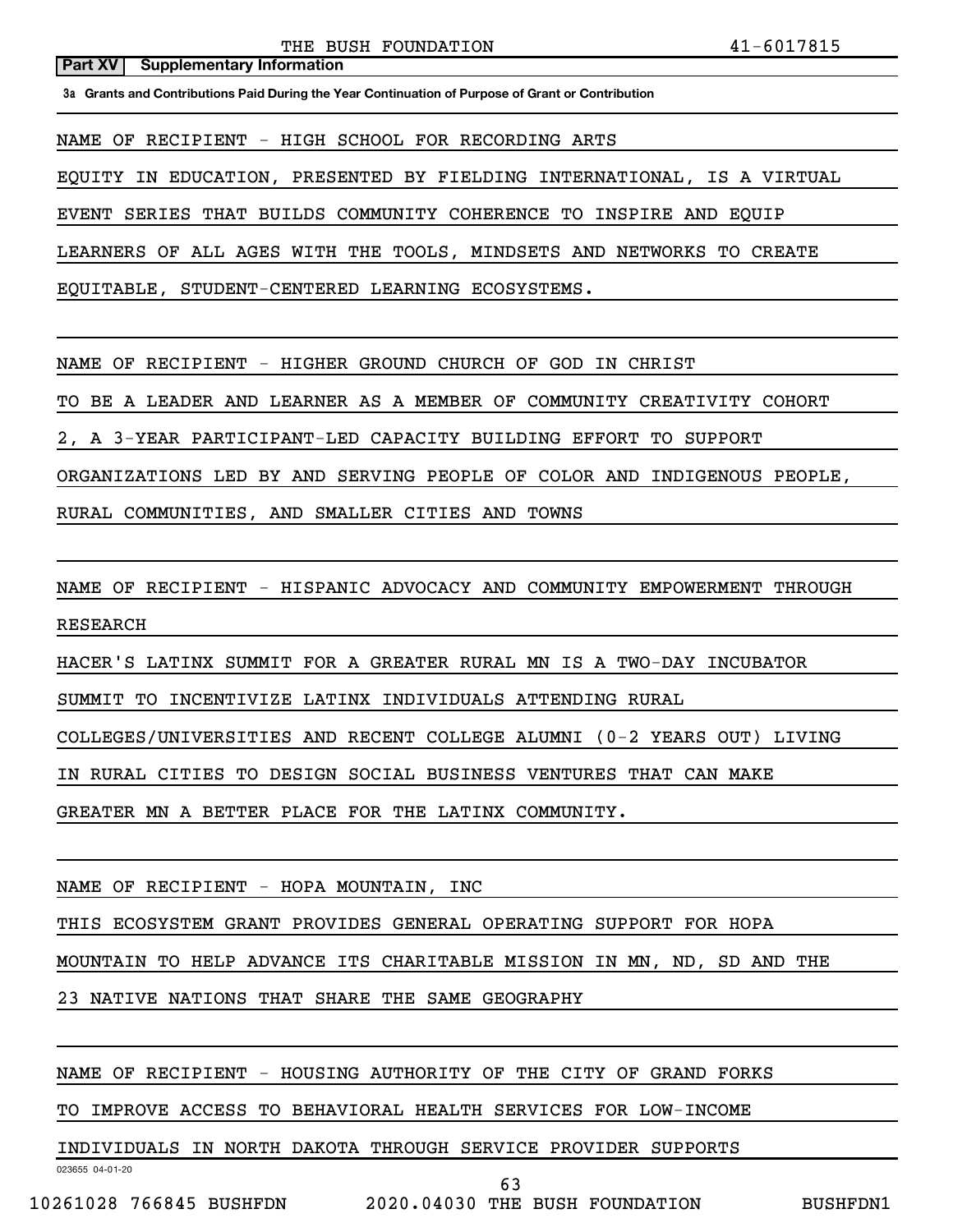## **Part XV** | Supplementary Information

**3a Grants and Contributions Paid During the Year Continuation of Purpose of Grant or Contribution**

NAME OF RECIPIENT - HIGH SCHOOL FOR RECORDING ARTS

EQUITY IN EDUCATION, PRESENTED BY FIELDING INTERNATIONAL, IS A VIRTUAL

EVENT SERIES THAT BUILDS COMMUNITY COHERENCE TO INSPIRE AND EQUIP

LEARNERS OF ALL AGES WITH THE TOOLS, MINDSETS AND NETWORKS TO CREATE

EQUITABLE, STUDENT-CENTERED LEARNING ECOSYSTEMS.

NAME OF RECIPIENT - HIGHER GROUND CHURCH OF GOD IN CHRIST

TO BE A LEADER AND LEARNER AS A MEMBER OF COMMUNITY CREATIVITY COHORT

2, A 3-YEAR PARTICIPANT-LED CAPACITY BUILDING EFFORT TO SUPPORT

ORGANIZATIONS LED BY AND SERVING PEOPLE OF COLOR AND INDIGENOUS PEOPLE,

RURAL COMMUNITIES, AND SMALLER CITIES AND TOWNS

NAME OF RECIPIENT - HISPANIC ADVOCACY AND COMMUNITY EMPOWERMENT THROUGH RESEARCH

HACER'S LATINX SUMMIT FOR A GREATER RURAL MN IS A TWO-DAY INCUBATOR

SUMMIT TO INCENTIVIZE LATINX INDIVIDUALS ATTENDING RURAL

COLLEGES/UNIVERSITIES AND RECENT COLLEGE ALUMNI (0-2 YEARS OUT) LIVING

IN RURAL CITIES TO DESIGN SOCIAL BUSINESS VENTURES THAT CAN MAKE

GREATER MN A BETTER PLACE FOR THE LATINX COMMUNITY.

NAME OF RECIPIENT - HOPA MOUNTAIN, INC

THIS ECOSYSTEM GRANT PROVIDES GENERAL OPERATING SUPPORT FOR HOPA

MOUNTAIN TO HELP ADVANCE ITS CHARITABLE MISSION IN MN, ND, SD AND THE

23 NATIVE NATIONS THAT SHARE THE SAME GEOGRAPHY

NAME OF RECIPIENT - HOUSING AUTHORITY OF THE CITY OF GRAND FORKS

TO IMPROVE ACCESS TO BEHAVIORAL HEALTH SERVICES FOR LOW-INCOME

INDIVIDUALS IN NORTH DAKOTA THROUGH SERVICE PROVIDER SUPPORTS

023655 04-01-20

63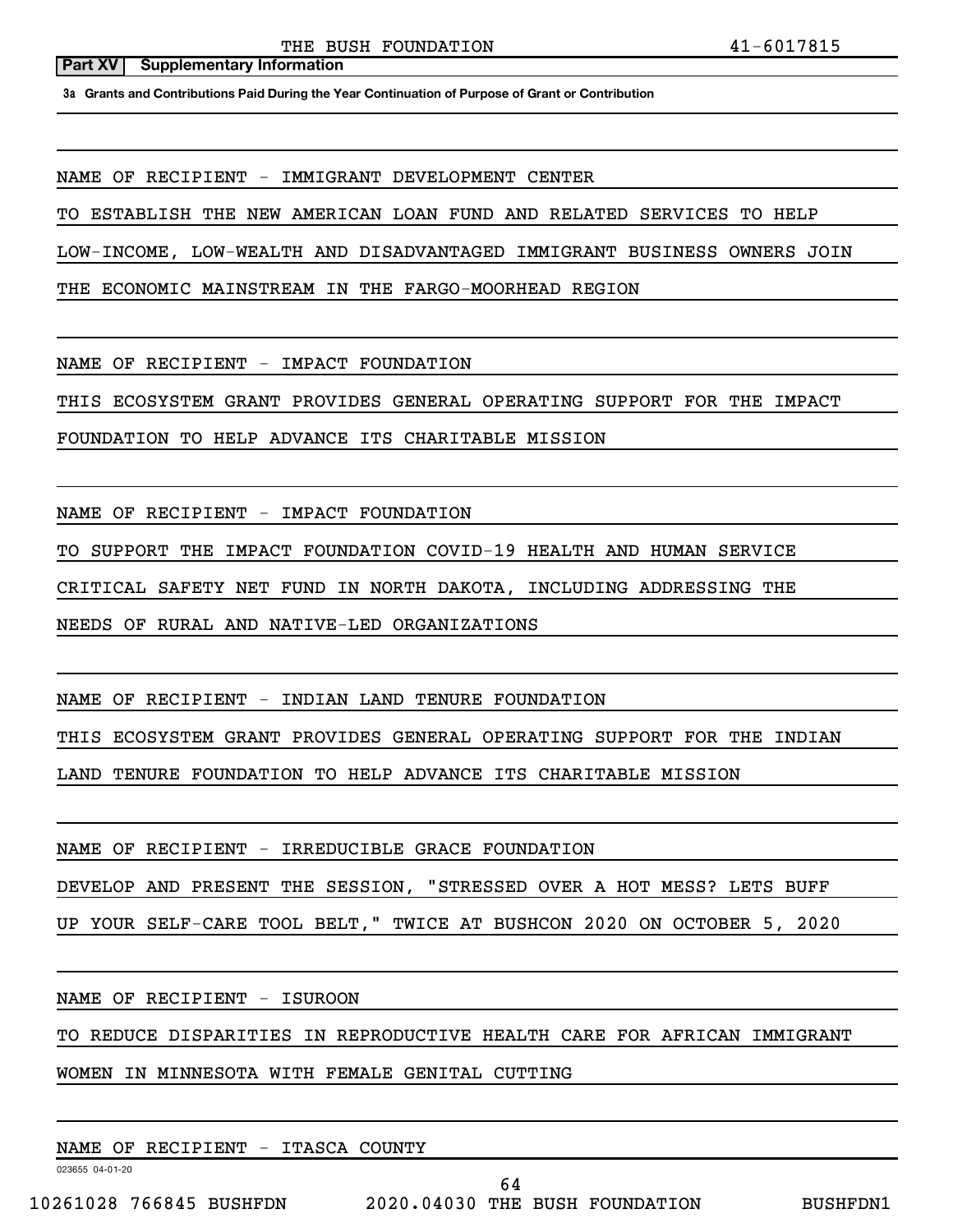**3a Grants and Contributions Paid During the Year Continuation of Purpose of Grant or Contribution**

NAME OF RECIPIENT - IMMIGRANT DEVELOPMENT CENTER

TO ESTABLISH THE NEW AMERICAN LOAN FUND AND RELATED SERVICES TO HELP

LOW-INCOME, LOW-WEALTH AND DISADVANTAGED IMMIGRANT BUSINESS OWNERS JOIN

THE ECONOMIC MAINSTREAM IN THE FARGO-MOORHEAD REGION

NAME OF RECIPIENT - IMPACT FOUNDATION

THIS ECOSYSTEM GRANT PROVIDES GENERAL OPERATING SUPPORT FOR THE IMPACT

FOUNDATION TO HELP ADVANCE ITS CHARITABLE MISSION

NAME OF RECIPIENT - IMPACT FOUNDATION

TO SUPPORT THE IMPACT FOUNDATION COVID-19 HEALTH AND HUMAN SERVICE

CRITICAL SAFETY NET FUND IN NORTH DAKOTA, INCLUDING ADDRESSING THE

NEEDS OF RURAL AND NATIVE-LED ORGANIZATIONS

NAME OF RECIPIENT - INDIAN LAND TENURE FOUNDATION

THIS ECOSYSTEM GRANT PROVIDES GENERAL OPERATING SUPPORT FOR THE INDIAN

LAND TENURE FOUNDATION TO HELP ADVANCE ITS CHARITABLE MISSION

NAME OF RECIPIENT - IRREDUCIBLE GRACE FOUNDATION

DEVELOP AND PRESENT THE SESSION, "STRESSED OVER A HOT MESS? LETS BUFF

UP YOUR SELF-CARE TOOL BELT," TWICE AT BUSHCON 2020 ON OCTOBER 5, 2020

NAME OF RECIPIENT - ISUROON

TO REDUCE DISPARITIES IN REPRODUCTIVE HEALTH CARE FOR AFRICAN IMMIGRANT

WOMEN IN MINNESOTA WITH FEMALE GENITAL CUTTING

023655 04-01-20 NAME OF RECIPIENT - ITASCA COUNTY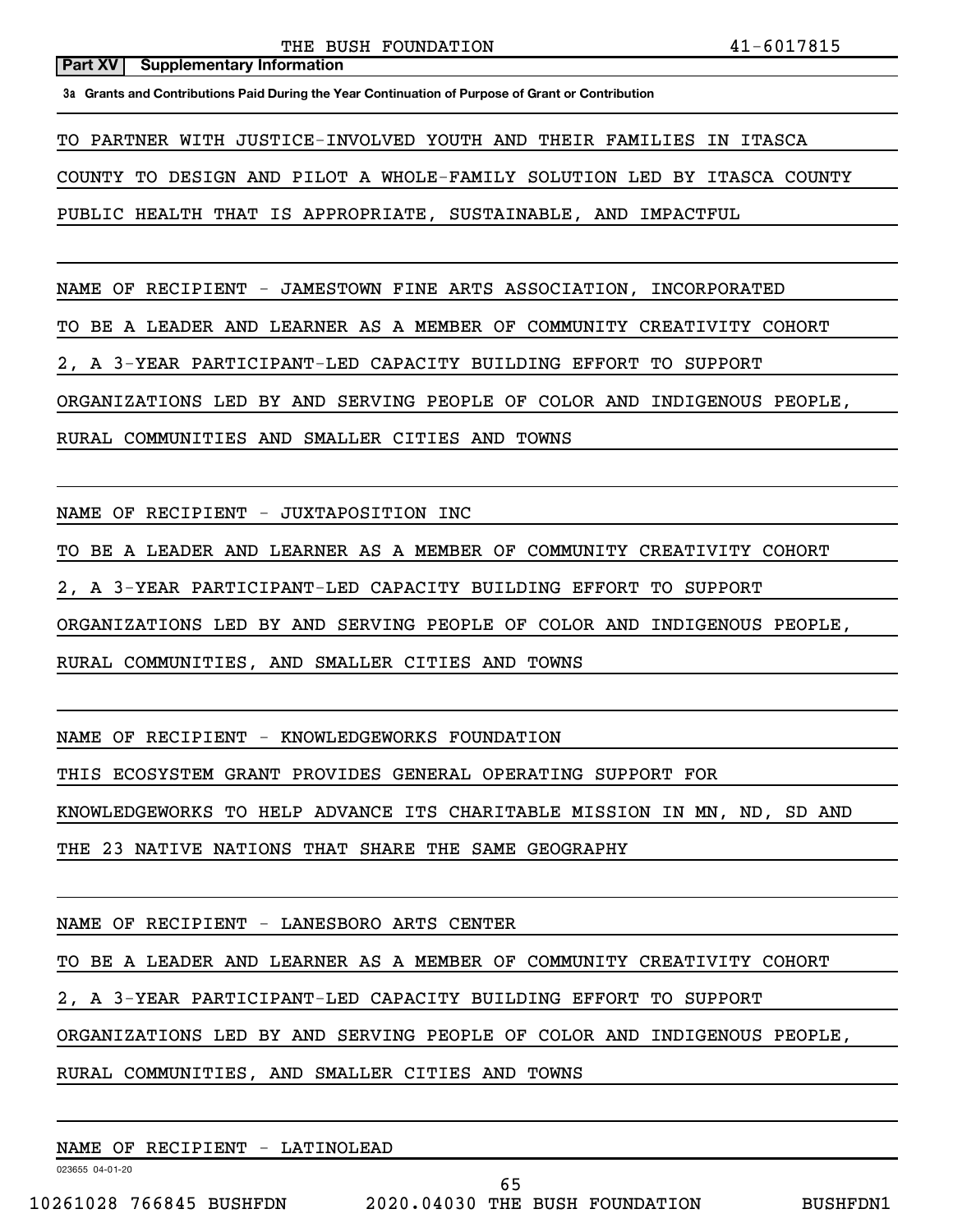**3a Grants and Contributions Paid During the Year Continuation of Purpose of Grant or Contribution**

TO PARTNER WITH JUSTICE-INVOLVED YOUTH AND THEIR FAMILIES IN ITASCA

COUNTY TO DESIGN AND PILOT A WHOLE-FAMILY SOLUTION LED BY ITASCA COUNTY

PUBLIC HEALTH THAT IS APPROPRIATE, SUSTAINABLE, AND IMPACTFUL

NAME OF RECIPIENT - JAMESTOWN FINE ARTS ASSOCIATION, INCORPORATED

TO BE A LEADER AND LEARNER AS A MEMBER OF COMMUNITY CREATIVITY COHORT

2, A 3-YEAR PARTICIPANT-LED CAPACITY BUILDING EFFORT TO SUPPORT

ORGANIZATIONS LED BY AND SERVING PEOPLE OF COLOR AND INDIGENOUS PEOPLE,

RURAL COMMUNITIES AND SMALLER CITIES AND TOWNS

NAME OF RECIPIENT - JUXTAPOSITION INC

TO BE A LEADER AND LEARNER AS A MEMBER OF COMMUNITY CREATIVITY COHORT

2, A 3-YEAR PARTICIPANT-LED CAPACITY BUILDING EFFORT TO SUPPORT

ORGANIZATIONS LED BY AND SERVING PEOPLE OF COLOR AND INDIGENOUS PEOPLE,

RURAL COMMUNITIES, AND SMALLER CITIES AND TOWNS

NAME OF RECIPIENT - KNOWLEDGEWORKS FOUNDATION

THIS ECOSYSTEM GRANT PROVIDES GENERAL OPERATING SUPPORT FOR

KNOWLEDGEWORKS TO HELP ADVANCE ITS CHARITABLE MISSION IN MN, ND, SD AND

THE 23 NATIVE NATIONS THAT SHARE THE SAME GEOGRAPHY

NAME OF RECIPIENT - LANESBORO ARTS CENTER

TO BE A LEADER AND LEARNER AS A MEMBER OF COMMUNITY CREATIVITY COHORT

2, A 3-YEAR PARTICIPANT-LED CAPACITY BUILDING EFFORT TO SUPPORT

ORGANIZATIONS LED BY AND SERVING PEOPLE OF COLOR AND INDIGENOUS PEOPLE,

RURAL COMMUNITIES, AND SMALLER CITIES AND TOWNS

NAME OF RECIPIENT - LATINOLEAD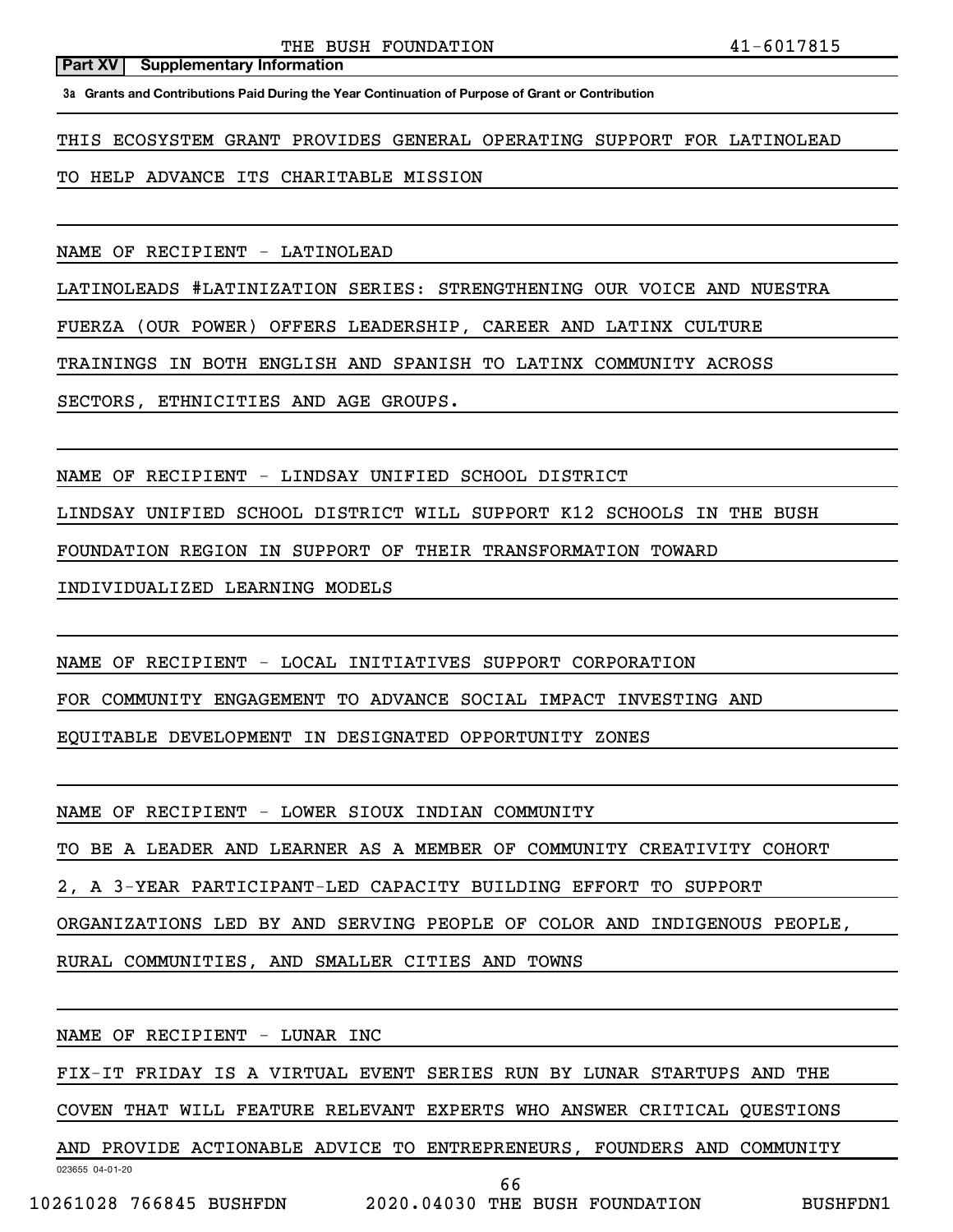**3a Grants and Contributions Paid During the Year Continuation of Purpose of Grant or Contribution**

THIS ECOSYSTEM GRANT PROVIDES GENERAL OPERATING SUPPORT FOR LATINOLEAD

TO HELP ADVANCE ITS CHARITABLE MISSION

NAME OF RECIPIENT - LATINOLEAD

LATINOLEADS #LATINIZATION SERIES: STRENGTHENING OUR VOICE AND NUESTRA

FUERZA (OUR POWER) OFFERS LEADERSHIP, CAREER AND LATINX CULTURE

TRAININGS IN BOTH ENGLISH AND SPANISH TO LATINX COMMUNITY ACROSS

SECTORS, ETHNICITIES AND AGE GROUPS.

NAME OF RECIPIENT - LINDSAY UNIFIED SCHOOL DISTRICT

LINDSAY UNIFIED SCHOOL DISTRICT WILL SUPPORT K12 SCHOOLS IN THE BUSH

FOUNDATION REGION IN SUPPORT OF THEIR TRANSFORMATION TOWARD

INDIVIDUALIZED LEARNING MODELS

NAME OF RECIPIENT - LOCAL INITIATIVES SUPPORT CORPORATION

FOR COMMUNITY ENGAGEMENT TO ADVANCE SOCIAL IMPACT INVESTING AND

EQUITABLE DEVELOPMENT IN DESIGNATED OPPORTUNITY ZONES

NAME OF RECIPIENT - LOWER SIOUX INDIAN COMMUNITY

TO BE A LEADER AND LEARNER AS A MEMBER OF COMMUNITY CREATIVITY COHORT

2, A 3-YEAR PARTICIPANT-LED CAPACITY BUILDING EFFORT TO SUPPORT

ORGANIZATIONS LED BY AND SERVING PEOPLE OF COLOR AND INDIGENOUS PEOPLE,

RURAL COMMUNITIES, AND SMALLER CITIES AND TOWNS

NAME OF RECIPIENT - LUNAR INC

FIX-IT FRIDAY IS A VIRTUAL EVENT SERIES RUN BY LUNAR STARTUPS AND THE

COVEN THAT WILL FEATURE RELEVANT EXPERTS WHO ANSWER CRITICAL QUESTIONS

023655 04-01-20 AND PROVIDE ACTIONABLE ADVICE TO ENTREPRENEURS, FOUNDERS AND COMMUNITY

10261028 766845 BUSHFDN 2020.04030 THE BUSH FOUNDATION BUSHFDN1

66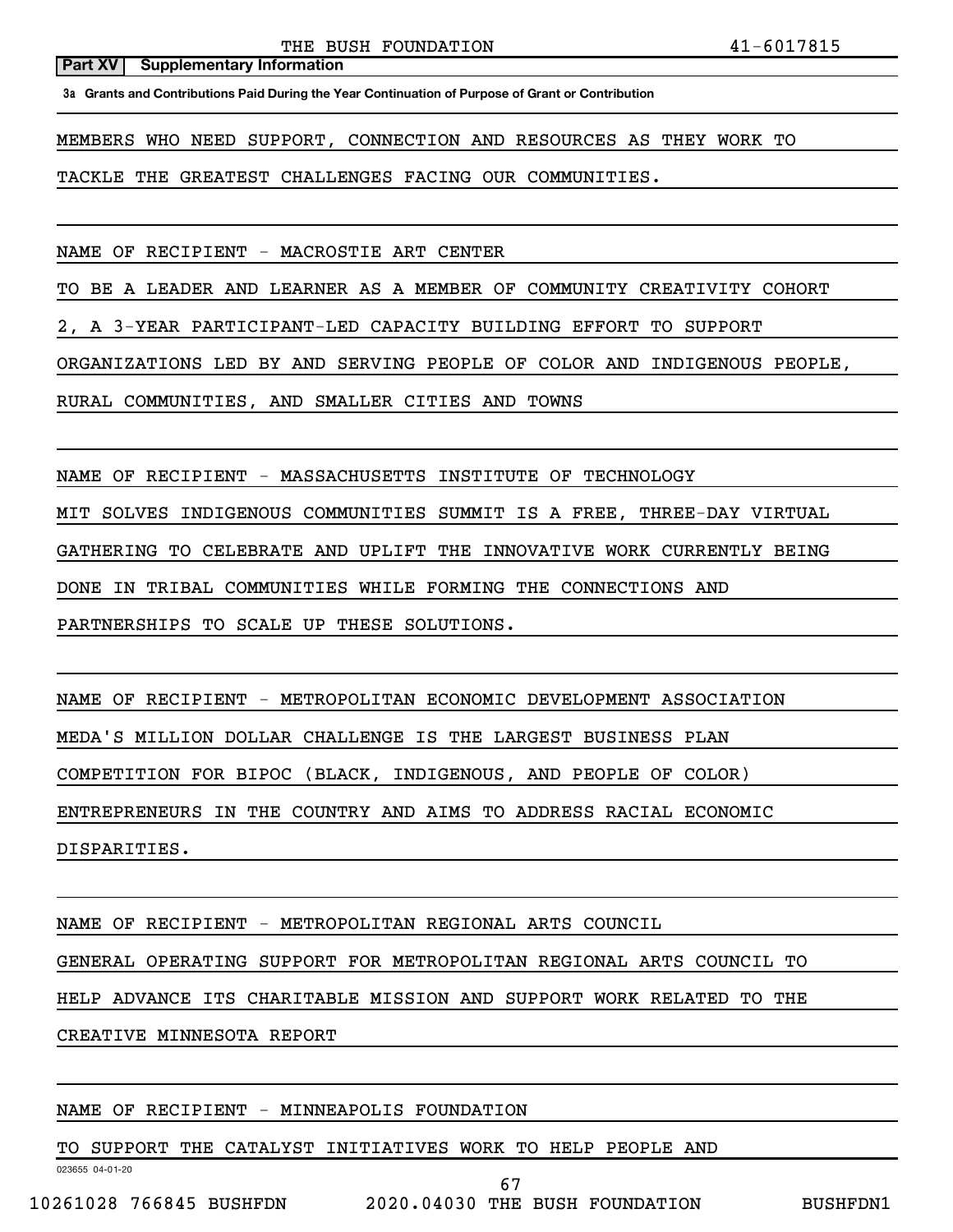**3a Grants and Contributions Paid During the Year Continuation of Purpose of Grant or Contribution**

MEMBERS WHO NEED SUPPORT, CONNECTION AND RESOURCES AS THEY WORK TO

TACKLE THE GREATEST CHALLENGES FACING OUR COMMUNITIES.

NAME OF RECIPIENT - MACROSTIE ART CENTER

TO BE A LEADER AND LEARNER AS A MEMBER OF COMMUNITY CREATIVITY COHORT

2, A 3-YEAR PARTICIPANT-LED CAPACITY BUILDING EFFORT TO SUPPORT

ORGANIZATIONS LED BY AND SERVING PEOPLE OF COLOR AND INDIGENOUS PEOPLE,

RURAL COMMUNITIES, AND SMALLER CITIES AND TOWNS

NAME OF RECIPIENT - MASSACHUSETTS INSTITUTE OF TECHNOLOGY

MIT SOLVES INDIGENOUS COMMUNITIES SUMMIT IS A FREE, THREE-DAY VIRTUAL

GATHERING TO CELEBRATE AND UPLIFT THE INNOVATIVE WORK CURRENTLY BEING

DONE IN TRIBAL COMMUNITIES WHILE FORMING THE CONNECTIONS AND

PARTNERSHIPS TO SCALE UP THESE SOLUTIONS.

NAME OF RECIPIENT - METROPOLITAN ECONOMIC DEVELOPMENT ASSOCIATION MEDA'S MILLION DOLLAR CHALLENGE IS THE LARGEST BUSINESS PLAN COMPETITION FOR BIPOC (BLACK, INDIGENOUS, AND PEOPLE OF COLOR) ENTREPRENEURS IN THE COUNTRY AND AIMS TO ADDRESS RACIAL ECONOMIC DISPARITIES.

NAME OF RECIPIENT - METROPOLITAN REGIONAL ARTS COUNCIL GENERAL OPERATING SUPPORT FOR METROPOLITAN REGIONAL ARTS COUNCIL TO HELP ADVANCE ITS CHARITABLE MISSION AND SUPPORT WORK RELATED TO THE CREATIVE MINNESOTA REPORT

## NAME OF RECIPIENT - MINNEAPOLIS FOUNDATION

TO SUPPORT THE CATALYST INITIATIVES WORK TO HELP PEOPLE AND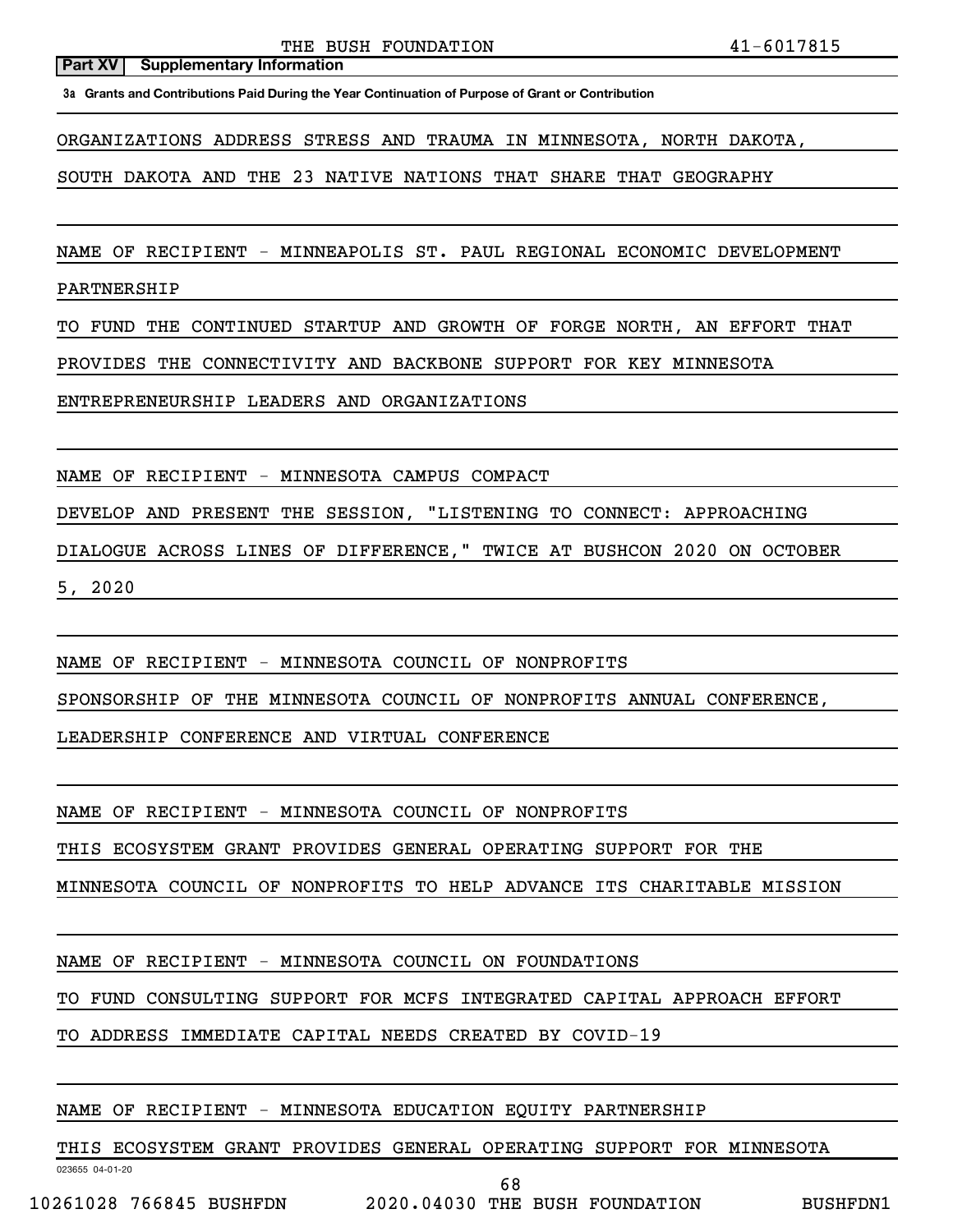**3a Grants and Contributions Paid During the Year Continuation of Purpose of Grant or Contribution**

ORGANIZATIONS ADDRESS STRESS AND TRAUMA IN MINNESOTA, NORTH DAKOTA,

SOUTH DAKOTA AND THE 23 NATIVE NATIONS THAT SHARE THAT GEOGRAPHY

NAME OF RECIPIENT - MINNEAPOLIS ST. PAUL REGIONAL ECONOMIC DEVELOPMENT

PARTNERSHIP

TO FUND THE CONTINUED STARTUP AND GROWTH OF FORGE NORTH, AN EFFORT THAT

PROVIDES THE CONNECTIVITY AND BACKBONE SUPPORT FOR KEY MINNESOTA

ENTREPRENEURSHIP LEADERS AND ORGANIZATIONS

NAME OF RECIPIENT - MINNESOTA CAMPUS COMPACT

DEVELOP AND PRESENT THE SESSION, "LISTENING TO CONNECT: APPROACHING

DIALOGUE ACROSS LINES OF DIFFERENCE," TWICE AT BUSHCON 2020 ON OCTOBER

5, 2020

NAME OF RECIPIENT - MINNESOTA COUNCIL OF NONPROFITS

SPONSORSHIP OF THE MINNESOTA COUNCIL OF NONPROFITS ANNUAL CONFERENCE,

LEADERSHIP CONFERENCE AND VIRTUAL CONFERENCE

NAME OF RECIPIENT - MINNESOTA COUNCIL OF NONPROFITS

THIS ECOSYSTEM GRANT PROVIDES GENERAL OPERATING SUPPORT FOR THE

MINNESOTA COUNCIL OF NONPROFITS TO HELP ADVANCE ITS CHARITABLE MISSION

NAME OF RECIPIENT - MINNESOTA COUNCIL ON FOUNDATIONS

TO FUND CONSULTING SUPPORT FOR MCFS INTEGRATED CAPITAL APPROACH EFFORT

TO ADDRESS IMMEDIATE CAPITAL NEEDS CREATED BY COVID-19

NAME OF RECIPIENT - MINNESOTA EDUCATION EQUITY PARTNERSHIP

THIS ECOSYSTEM GRANT PROVIDES GENERAL OPERATING SUPPORT FOR MINNESOTA

023655 04-01-20

68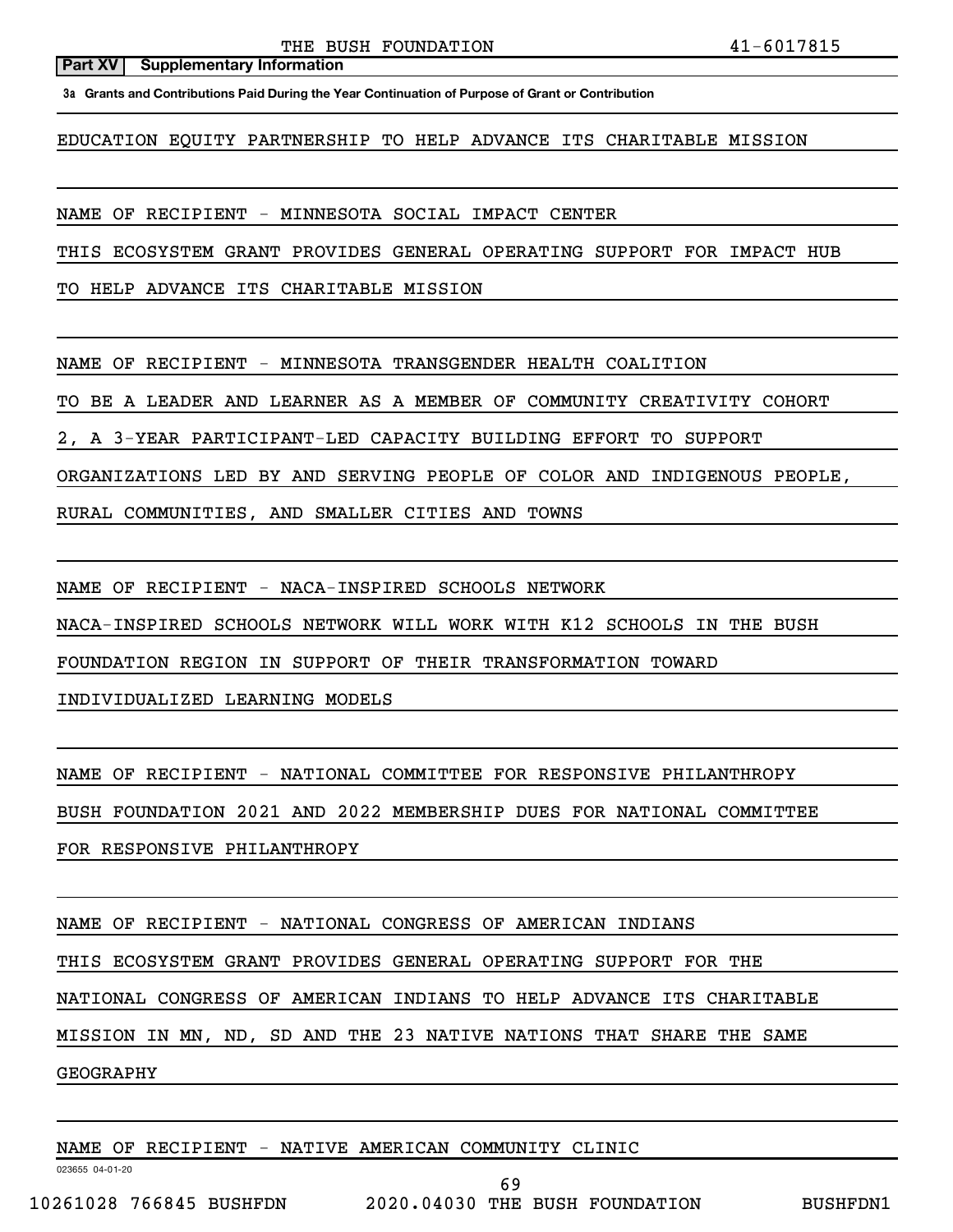**3a Grants and Contributions Paid During the Year Continuation of Purpose of Grant or Contribution**

EDUCATION EQUITY PARTNERSHIP TO HELP ADVANCE ITS CHARITABLE MISSION

NAME OF RECIPIENT - MINNESOTA SOCIAL IMPACT CENTER

THIS ECOSYSTEM GRANT PROVIDES GENERAL OPERATING SUPPORT FOR IMPACT HUB

TO HELP ADVANCE ITS CHARITABLE MISSION

NAME OF RECIPIENT - MINNESOTA TRANSGENDER HEALTH COALITION

TO BE A LEADER AND LEARNER AS A MEMBER OF COMMUNITY CREATIVITY COHORT

2, A 3-YEAR PARTICIPANT-LED CAPACITY BUILDING EFFORT TO SUPPORT

ORGANIZATIONS LED BY AND SERVING PEOPLE OF COLOR AND INDIGENOUS PEOPLE,

RURAL COMMUNITIES, AND SMALLER CITIES AND TOWNS

NAME OF RECIPIENT - NACA-INSPIRED SCHOOLS NETWORK

NACA-INSPIRED SCHOOLS NETWORK WILL WORK WITH K12 SCHOOLS IN THE BUSH

FOUNDATION REGION IN SUPPORT OF THEIR TRANSFORMATION TOWARD

INDIVIDUALIZED LEARNING MODELS

NAME OF RECIPIENT - NATIONAL COMMITTEE FOR RESPONSIVE PHILANTHROPY

BUSH FOUNDATION 2021 AND 2022 MEMBERSHIP DUES FOR NATIONAL COMMITTEE

FOR RESPONSIVE PHILANTHROPY

NAME OF RECIPIENT - NATIONAL CONGRESS OF AMERICAN INDIANS

THIS ECOSYSTEM GRANT PROVIDES GENERAL OPERATING SUPPORT FOR THE

NATIONAL CONGRESS OF AMERICAN INDIANS TO HELP ADVANCE ITS CHARITABLE

MISSION IN MN, ND, SD AND THE 23 NATIVE NATIONS THAT SHARE THE SAME

GEOGRAPHY

NAME OF RECIPIENT - NATIVE AMERICAN COMMUNITY CLINIC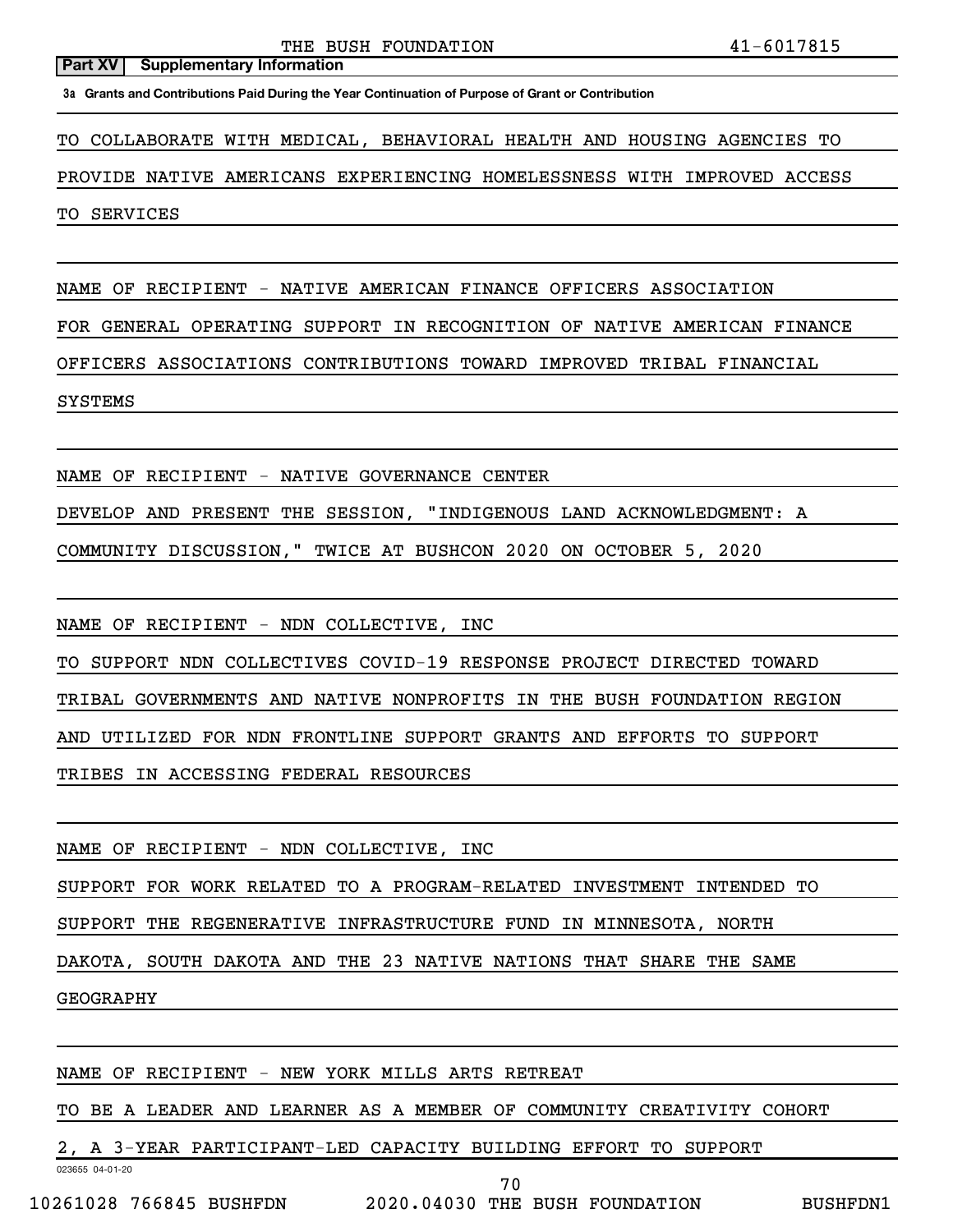**3a Grants and Contributions Paid During the Year Continuation of Purpose of Grant or Contribution**

TO COLLABORATE WITH MEDICAL, BEHAVIORAL HEALTH AND HOUSING AGENCIES TO

PROVIDE NATIVE AMERICANS EXPERIENCING HOMELESSNESS WITH IMPROVED ACCESS

TO SERVICES

NAME OF RECIPIENT - NATIVE AMERICAN FINANCE OFFICERS ASSOCIATION

FOR GENERAL OPERATING SUPPORT IN RECOGNITION OF NATIVE AMERICAN FINANCE

OFFICERS ASSOCIATIONS CONTRIBUTIONS TOWARD IMPROVED TRIBAL FINANCIAL

## SYSTEMS

NAME OF RECIPIENT - NATIVE GOVERNANCE CENTER

DEVELOP AND PRESENT THE SESSION, "INDIGENOUS LAND ACKNOWLEDGMENT: A

COMMUNITY DISCUSSION," TWICE AT BUSHCON 2020 ON OCTOBER 5, 2020

NAME OF RECIPIENT - NDN COLLECTIVE, INC

TO SUPPORT NDN COLLECTIVES COVID-19 RESPONSE PROJECT DIRECTED TOWARD

TRIBAL GOVERNMENTS AND NATIVE NONPROFITS IN THE BUSH FOUNDATION REGION

AND UTILIZED FOR NDN FRONTLINE SUPPORT GRANTS AND EFFORTS TO SUPPORT

TRIBES IN ACCESSING FEDERAL RESOURCES

NAME OF RECIPIENT - NDN COLLECTIVE, INC

SUPPORT FOR WORK RELATED TO A PROGRAM-RELATED INVESTMENT INTENDED TO

SUPPORT THE REGENERATIVE INFRASTRUCTURE FUND IN MINNESOTA, NORTH

DAKOTA, SOUTH DAKOTA AND THE 23 NATIVE NATIONS THAT SHARE THE SAME

## GEOGRAPHY

NAME OF RECIPIENT - NEW YORK MILLS ARTS RETREAT

TO BE A LEADER AND LEARNER AS A MEMBER OF COMMUNITY CREATIVITY COHORT

2, A 3-YEAR PARTICIPANT-LED CAPACITY BUILDING EFFORT TO SUPPORT

023655 04-01-20

70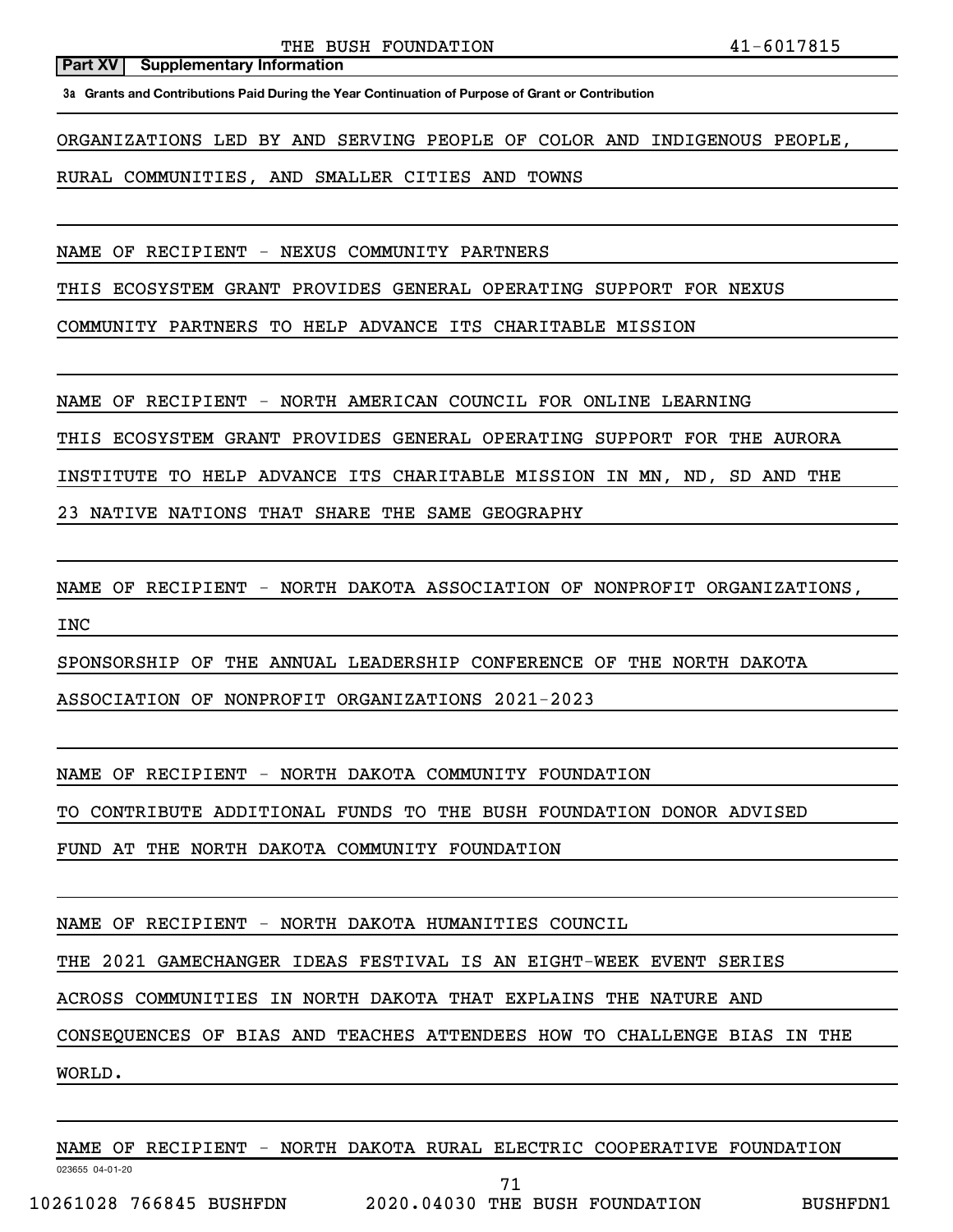**3a Grants and Contributions Paid During the Year Continuation of Purpose of Grant or Contribution**

ORGANIZATIONS LED BY AND SERVING PEOPLE OF COLOR AND INDIGENOUS PEOPLE,

RURAL COMMUNITIES, AND SMALLER CITIES AND TOWNS

NAME OF RECIPIENT - NEXUS COMMUNITY PARTNERS

THIS ECOSYSTEM GRANT PROVIDES GENERAL OPERATING SUPPORT FOR NEXUS

COMMUNITY PARTNERS TO HELP ADVANCE ITS CHARITABLE MISSION

NAME OF RECIPIENT - NORTH AMERICAN COUNCIL FOR ONLINE LEARNING

THIS ECOSYSTEM GRANT PROVIDES GENERAL OPERATING SUPPORT FOR THE AURORA

INSTITUTE TO HELP ADVANCE ITS CHARITABLE MISSION IN MN, ND, SD AND THE

23 NATIVE NATIONS THAT SHARE THE SAME GEOGRAPHY

NAME OF RECIPIENT - NORTH DAKOTA ASSOCIATION OF NONPROFIT ORGANIZATIONS,

SPONSORSHIP OF THE ANNUAL LEADERSHIP CONFERENCE OF THE NORTH DAKOTA

ASSOCIATION OF NONPROFIT ORGANIZATIONS 2021-2023

NAME OF RECIPIENT - NORTH DAKOTA COMMUNITY FOUNDATION

TO CONTRIBUTE ADDITIONAL FUNDS TO THE BUSH FOUNDATION DONOR ADVISED

FUND AT THE NORTH DAKOTA COMMUNITY FOUNDATION

NAME OF RECIPIENT - NORTH DAKOTA HUMANITIES COUNCIL

THE 2021 GAMECHANGER IDEAS FESTIVAL IS AN EIGHT-WEEK EVENT SERIES

ACROSS COMMUNITIES IN NORTH DAKOTA THAT EXPLAINS THE NATURE AND

CONSEQUENCES OF BIAS AND TEACHES ATTENDEES HOW TO CHALLENGE BIAS IN THE

WORLD.

INC

NAME OF RECIPIENT - NORTH DAKOTA RURAL ELECTRIC COOPERATIVE FOUNDATION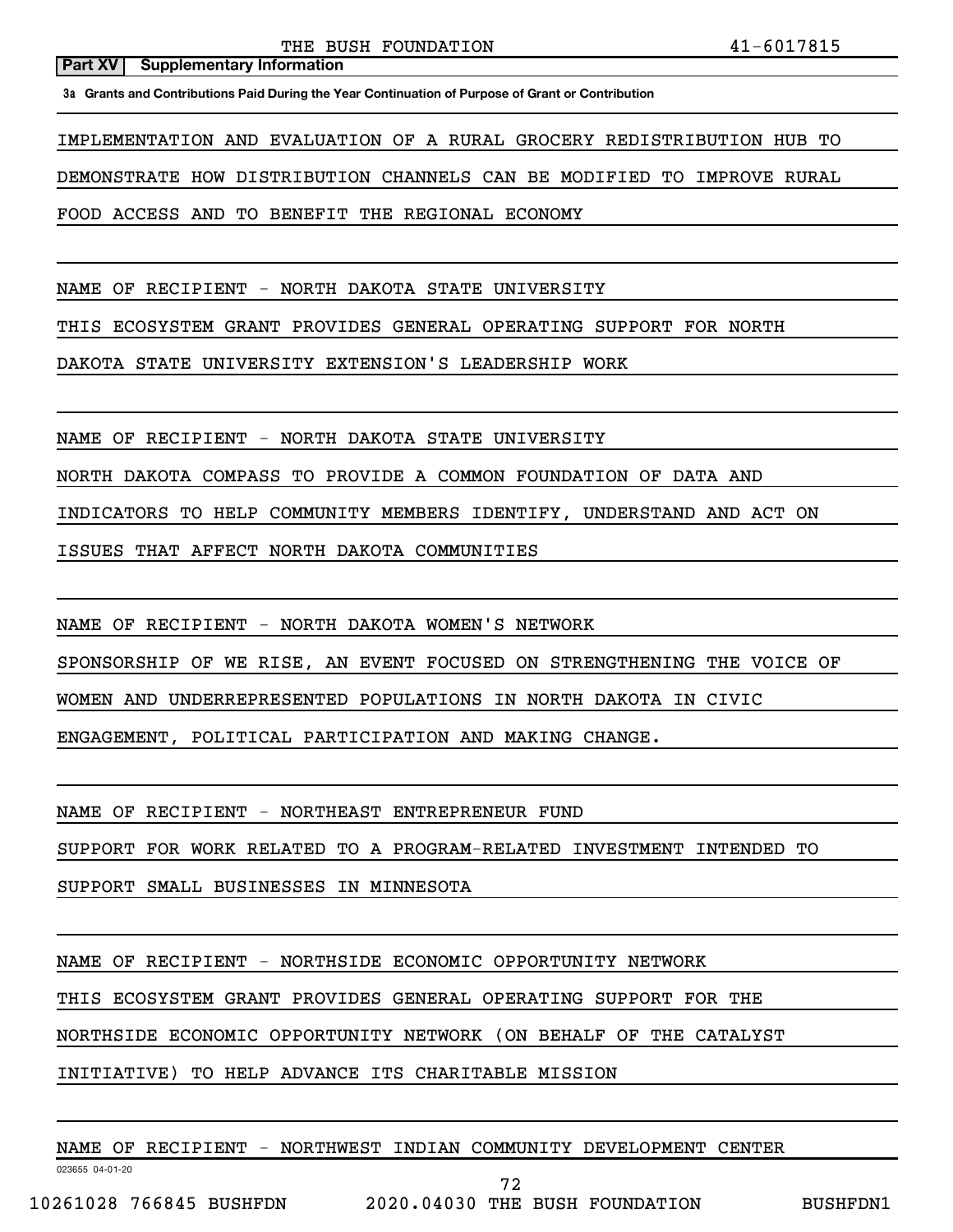**3a Grants and Contributions Paid During the Year Continuation of Purpose of Grant or Contribution**

IMPLEMENTATION AND EVALUATION OF A RURAL GROCERY REDISTRIBUTION HUB TO

DEMONSTRATE HOW DISTRIBUTION CHANNELS CAN BE MODIFIED TO IMPROVE RURAL

FOOD ACCESS AND TO BENEFIT THE REGIONAL ECONOMY

NAME OF RECIPIENT - NORTH DAKOTA STATE UNIVERSITY

THIS ECOSYSTEM GRANT PROVIDES GENERAL OPERATING SUPPORT FOR NORTH

DAKOTA STATE UNIVERSITY EXTENSION'S LEADERSHIP WORK

NAME OF RECIPIENT - NORTH DAKOTA STATE UNIVERSITY

NORTH DAKOTA COMPASS TO PROVIDE A COMMON FOUNDATION OF DATA AND

INDICATORS TO HELP COMMUNITY MEMBERS IDENTIFY, UNDERSTAND AND ACT ON

ISSUES THAT AFFECT NORTH DAKOTA COMMUNITIES

NAME OF RECIPIENT - NORTH DAKOTA WOMEN'S NETWORK

SPONSORSHIP OF WE RISE, AN EVENT FOCUSED ON STRENGTHENING THE VOICE OF

WOMEN AND UNDERREPRESENTED POPULATIONS IN NORTH DAKOTA IN CIVIC

ENGAGEMENT, POLITICAL PARTICIPATION AND MAKING CHANGE.

NAME OF RECIPIENT - NORTHEAST ENTREPRENEUR FUND

SUPPORT FOR WORK RELATED TO A PROGRAM-RELATED INVESTMENT INTENDED TO

SUPPORT SMALL BUSINESSES IN MINNESOTA

NAME OF RECIPIENT - NORTHSIDE ECONOMIC OPPORTUNITY NETWORK

THIS ECOSYSTEM GRANT PROVIDES GENERAL OPERATING SUPPORT FOR THE

NORTHSIDE ECONOMIC OPPORTUNITY NETWORK (ON BEHALF OF THE CATALYST

INITIATIVE) TO HELP ADVANCE ITS CHARITABLE MISSION

NAME OF RECIPIENT - NORTHWEST INDIAN COMMUNITY DEVELOPMENT CENTER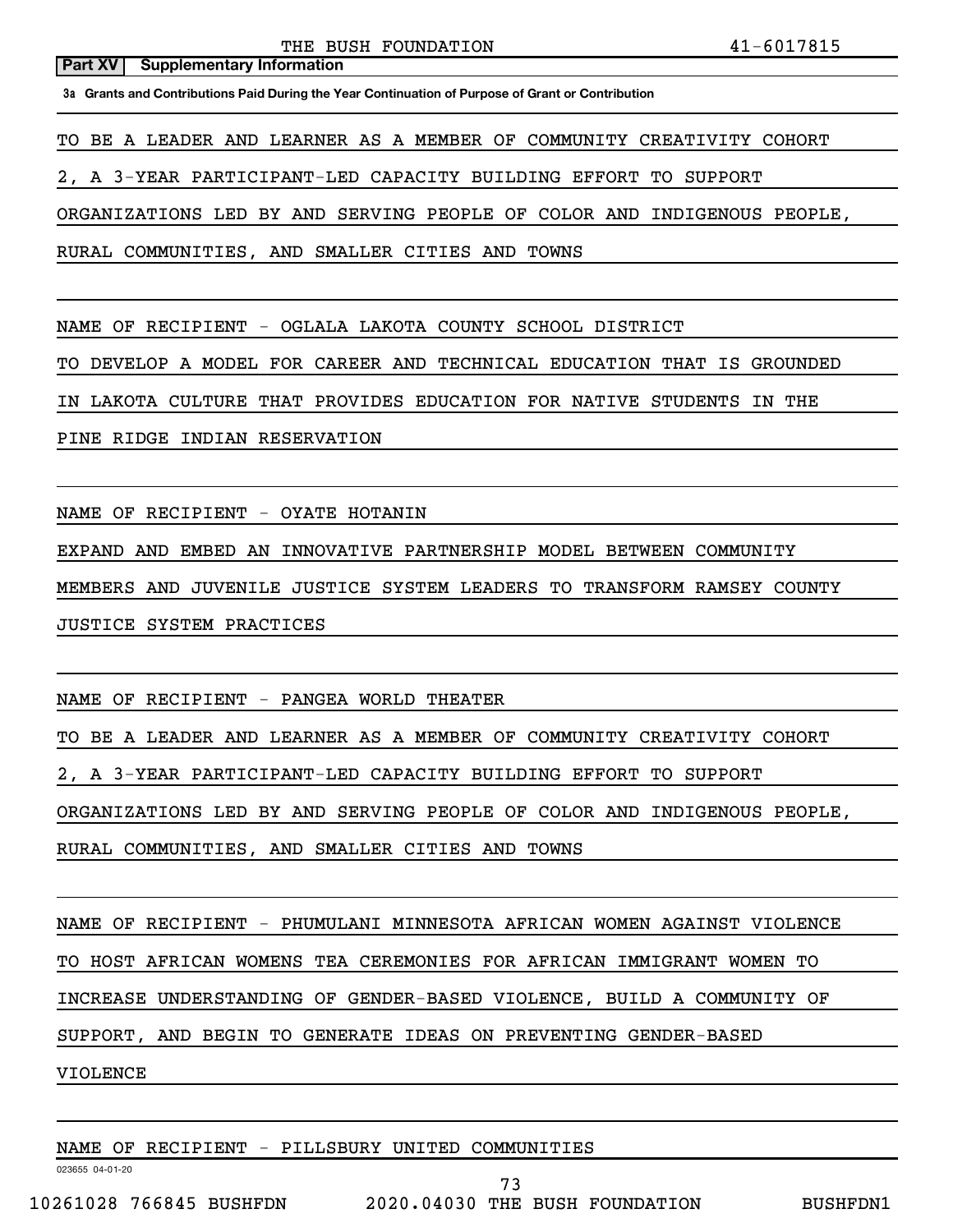**3a Grants and Contributions Paid During the Year Continuation of Purpose of Grant or Contribution**

TO BE A LEADER AND LEARNER AS A MEMBER OF COMMUNITY CREATIVITY COHORT

2, A 3-YEAR PARTICIPANT-LED CAPACITY BUILDING EFFORT TO SUPPORT

ORGANIZATIONS LED BY AND SERVING PEOPLE OF COLOR AND INDIGENOUS PEOPLE,

RURAL COMMUNITIES, AND SMALLER CITIES AND TOWNS

NAME OF RECIPIENT - OGLALA LAKOTA COUNTY SCHOOL DISTRICT

TO DEVELOP A MODEL FOR CAREER AND TECHNICAL EDUCATION THAT IS GROUNDED

IN LAKOTA CULTURE THAT PROVIDES EDUCATION FOR NATIVE STUDENTS IN THE

PINE RIDGE INDIAN RESERVATION

NAME OF RECIPIENT - OYATE HOTANIN

EXPAND AND EMBED AN INNOVATIVE PARTNERSHIP MODEL BETWEEN COMMUNITY

MEMBERS AND JUVENILE JUSTICE SYSTEM LEADERS TO TRANSFORM RAMSEY COUNTY

JUSTICE SYSTEM PRACTICES

NAME OF RECIPIENT - PANGEA WORLD THEATER

TO BE A LEADER AND LEARNER AS A MEMBER OF COMMUNITY CREATIVITY COHORT

2, A 3-YEAR PARTICIPANT-LED CAPACITY BUILDING EFFORT TO SUPPORT

ORGANIZATIONS LED BY AND SERVING PEOPLE OF COLOR AND INDIGENOUS PEOPLE,

RURAL COMMUNITIES, AND SMALLER CITIES AND TOWNS

NAME OF RECIPIENT - PHUMULANI MINNESOTA AFRICAN WOMEN AGAINST VIOLENCE

TO HOST AFRICAN WOMENS TEA CEREMONIES FOR AFRICAN IMMIGRANT WOMEN TO

INCREASE UNDERSTANDING OF GENDER-BASED VIOLENCE, BUILD A COMMUNITY OF

SUPPORT, AND BEGIN TO GENERATE IDEAS ON PREVENTING GENDER-BASED

VIOLENCE

NAME OF RECIPIENT - PILLSBURY UNITED COMMUNITIES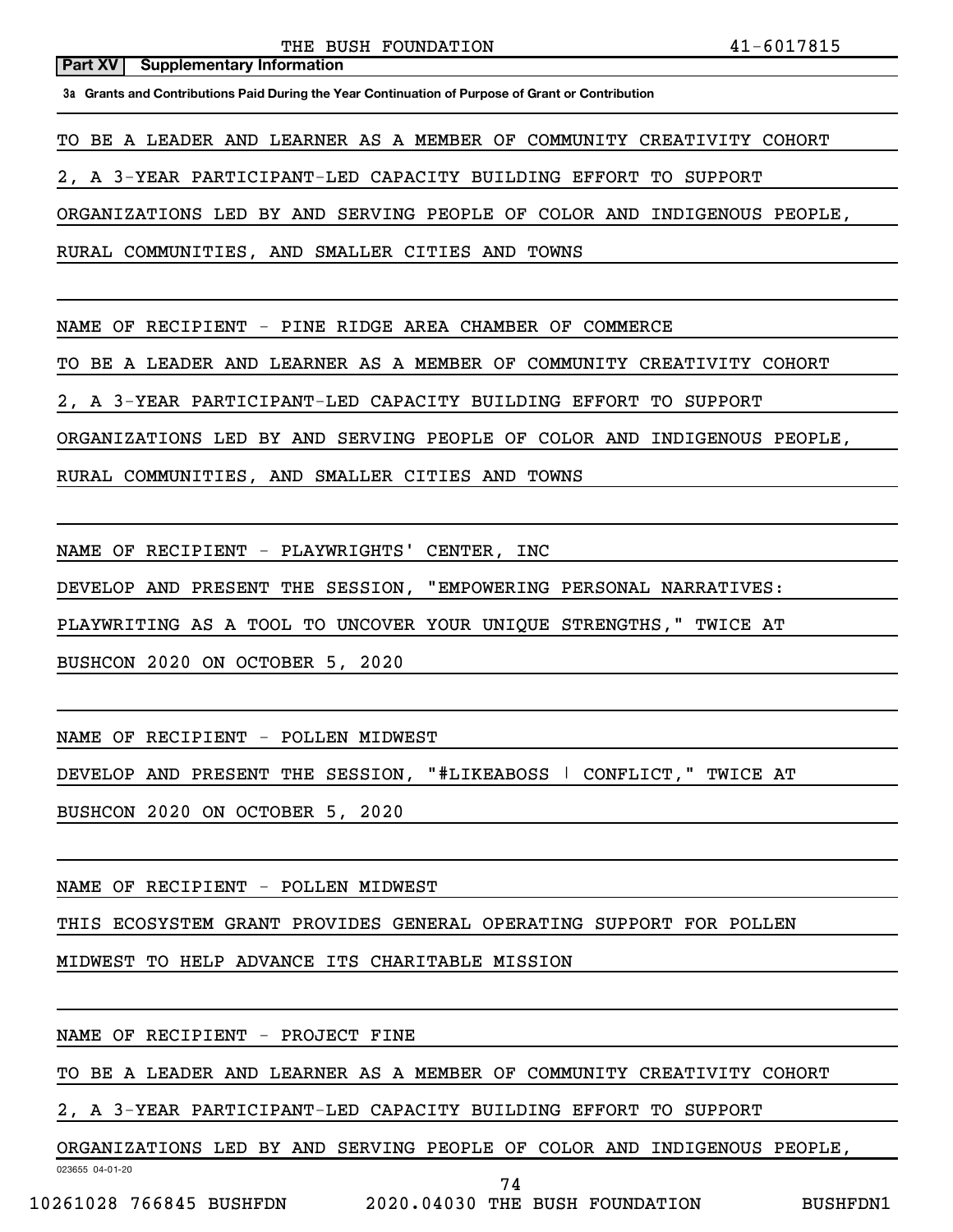**3a Grants and Contributions Paid During the Year Continuation of Purpose of Grant or Contribution**

TO BE A LEADER AND LEARNER AS A MEMBER OF COMMUNITY CREATIVITY COHORT

2, A 3-YEAR PARTICIPANT-LED CAPACITY BUILDING EFFORT TO SUPPORT

ORGANIZATIONS LED BY AND SERVING PEOPLE OF COLOR AND INDIGENOUS PEOPLE,

RURAL COMMUNITIES, AND SMALLER CITIES AND TOWNS

NAME OF RECIPIENT - PINE RIDGE AREA CHAMBER OF COMMERCE

TO BE A LEADER AND LEARNER AS A MEMBER OF COMMUNITY CREATIVITY COHORT

2, A 3-YEAR PARTICIPANT-LED CAPACITY BUILDING EFFORT TO SUPPORT

ORGANIZATIONS LED BY AND SERVING PEOPLE OF COLOR AND INDIGENOUS PEOPLE,

RURAL COMMUNITIES, AND SMALLER CITIES AND TOWNS

NAME OF RECIPIENT - PLAYWRIGHTS' CENTER, INC

DEVELOP AND PRESENT THE SESSION, "EMPOWERING PERSONAL NARRATIVES:

PLAYWRITING AS A TOOL TO UNCOVER YOUR UNIQUE STRENGTHS," TWICE AT

BUSHCON 2020 ON OCTOBER 5, 2020

NAME OF RECIPIENT - POLLEN MIDWEST

DEVELOP AND PRESENT THE SESSION, "#LIKEABOSS | CONFLICT," TWICE AT

BUSHCON 2020 ON OCTOBER 5, 2020

NAME OF RECIPIENT - POLLEN MIDWEST

THIS ECOSYSTEM GRANT PROVIDES GENERAL OPERATING SUPPORT FOR POLLEN

MIDWEST TO HELP ADVANCE ITS CHARITABLE MISSION

NAME OF RECIPIENT - PROJECT FINE

TO BE A LEADER AND LEARNER AS A MEMBER OF COMMUNITY CREATIVITY COHORT

2, A 3-YEAR PARTICIPANT-LED CAPACITY BUILDING EFFORT TO SUPPORT

ORGANIZATIONS LED BY AND SERVING PEOPLE OF COLOR AND INDIGENOUS PEOPLE,

023655 04-01-20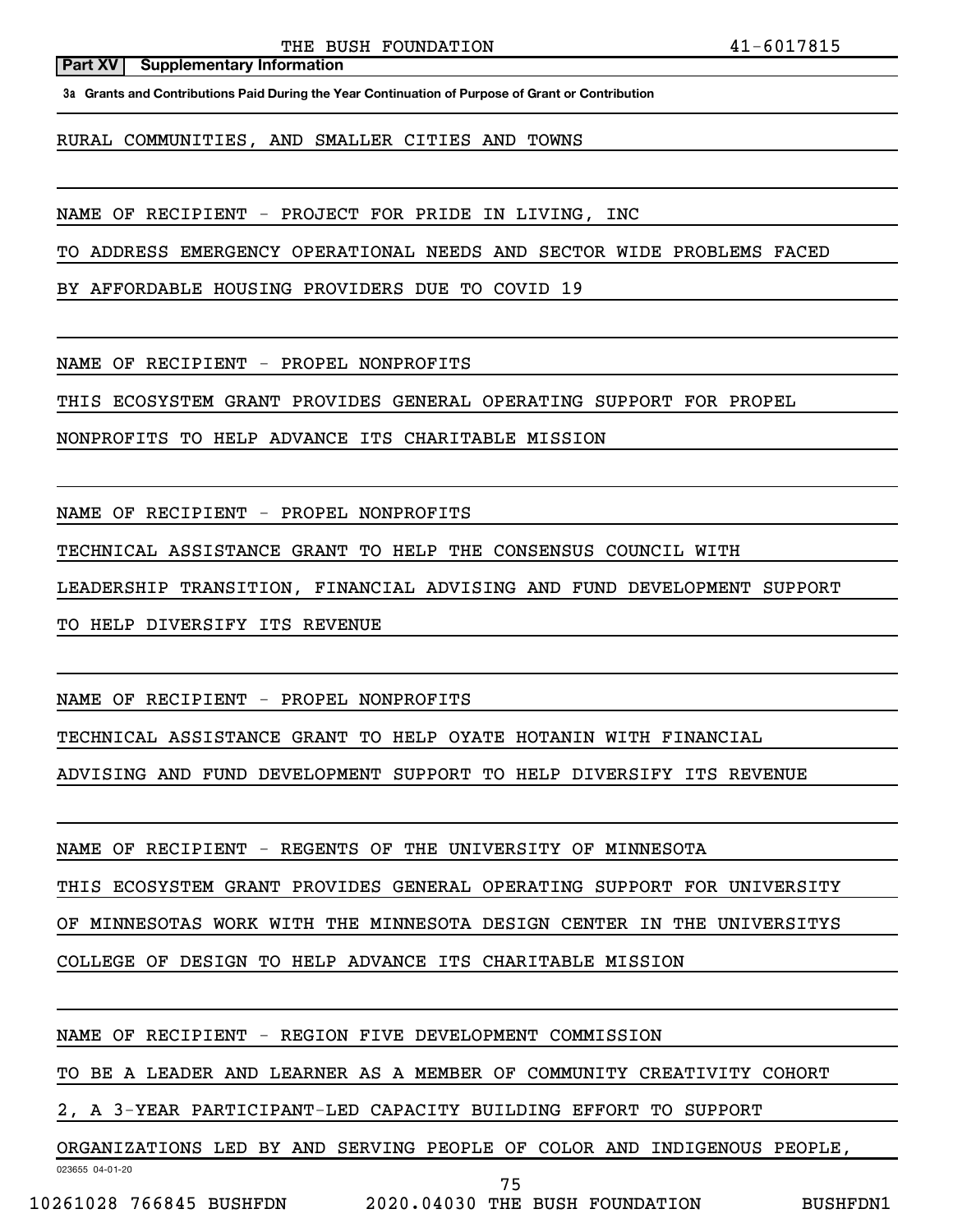**3a Grants and Contributions Paid During the Year Continuation of Purpose of Grant or Contribution**

RURAL COMMUNITIES, AND SMALLER CITIES AND TOWNS

NAME OF RECIPIENT - PROJECT FOR PRIDE IN LIVING, INC

TO ADDRESS EMERGENCY OPERATIONAL NEEDS AND SECTOR WIDE PROBLEMS FACED

BY AFFORDABLE HOUSING PROVIDERS DUE TO COVID 19

NAME OF RECIPIENT - PROPEL NONPROFITS

THIS ECOSYSTEM GRANT PROVIDES GENERAL OPERATING SUPPORT FOR PROPEL

NONPROFITS TO HELP ADVANCE ITS CHARITABLE MISSION

NAME OF RECIPIENT - PROPEL NONPROFITS

TECHNICAL ASSISTANCE GRANT TO HELP THE CONSENSUS COUNCIL WITH

LEADERSHIP TRANSITION, FINANCIAL ADVISING AND FUND DEVELOPMENT SUPPORT

TO HELP DIVERSIFY ITS REVENUE

NAME OF RECIPIENT - PROPEL NONPROFITS

TECHNICAL ASSISTANCE GRANT TO HELP OYATE HOTANIN WITH FINANCIAL

ADVISING AND FUND DEVELOPMENT SUPPORT TO HELP DIVERSIFY ITS REVENUE

NAME OF RECIPIENT - REGENTS OF THE UNIVERSITY OF MINNESOTA

THIS ECOSYSTEM GRANT PROVIDES GENERAL OPERATING SUPPORT FOR UNIVERSITY

OF MINNESOTAS WORK WITH THE MINNESOTA DESIGN CENTER IN THE UNIVERSITYS

COLLEGE OF DESIGN TO HELP ADVANCE ITS CHARITABLE MISSION

NAME OF RECIPIENT - REGION FIVE DEVELOPMENT COMMISSION

TO BE A LEADER AND LEARNER AS A MEMBER OF COMMUNITY CREATIVITY COHORT

2, A 3-YEAR PARTICIPANT-LED CAPACITY BUILDING EFFORT TO SUPPORT

ORGANIZATIONS LED BY AND SERVING PEOPLE OF COLOR AND INDIGENOUS PEOPLE,

023655 04-01-20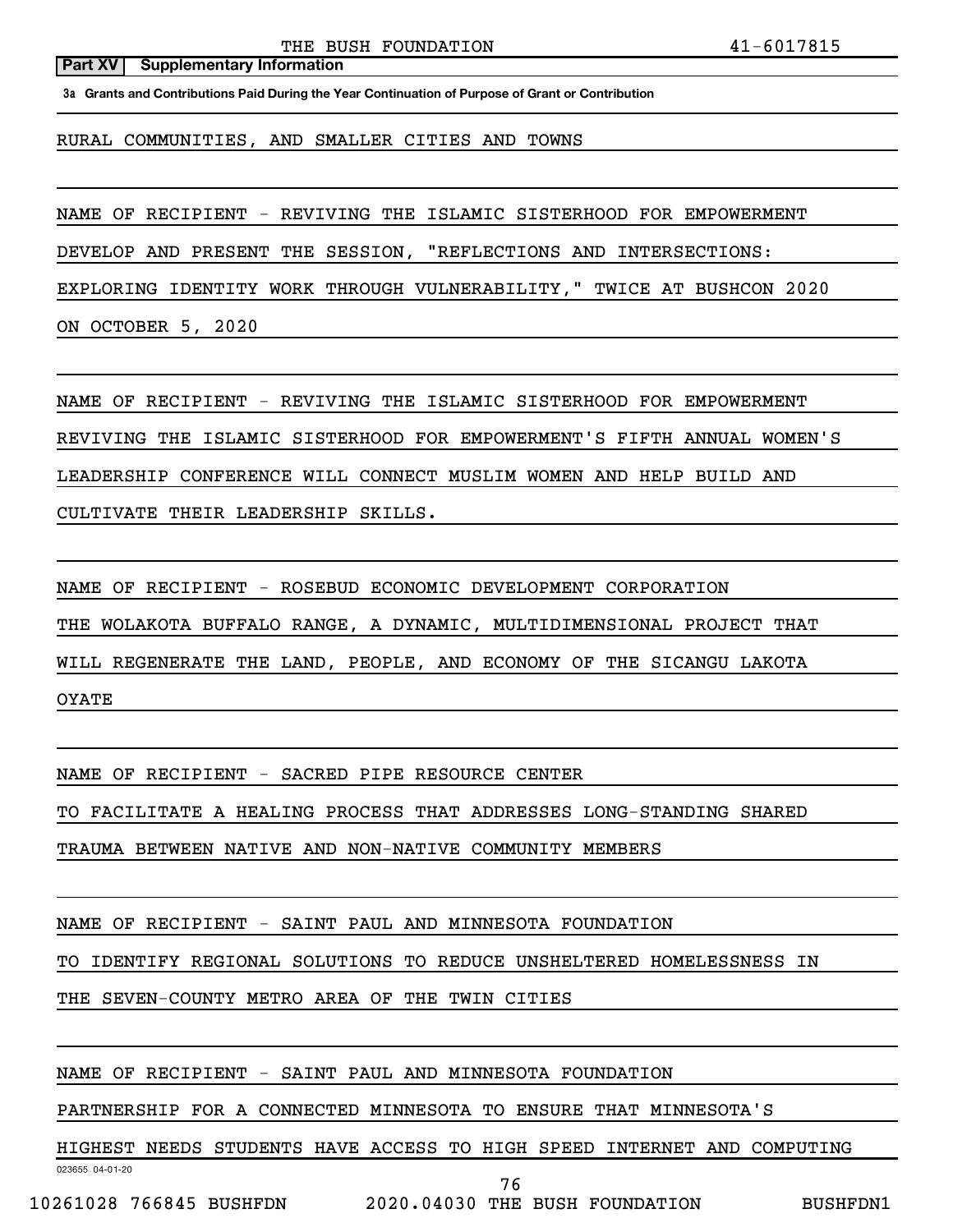THE BUSH FOUNDATION 41-6017815

#### **Part XV** | Supplementary Information

**3a Grants and Contributions Paid During the Year Continuation of Purpose of Grant or Contribution**

RURAL COMMUNITIES, AND SMALLER CITIES AND TOWNS

NAME OF RECIPIENT - REVIVING THE ISLAMIC SISTERHOOD FOR EMPOWERMENT

DEVELOP AND PRESENT THE SESSION, "REFLECTIONS AND INTERSECTIONS:

EXPLORING IDENTITY WORK THROUGH VULNERABILITY," TWICE AT BUSHCON 2020

ON OCTOBER 5, 2020

NAME OF RECIPIENT - REVIVING THE ISLAMIC SISTERHOOD FOR EMPOWERMENT

REVIVING THE ISLAMIC SISTERHOOD FOR EMPOWERMENT'S FIFTH ANNUAL WOMEN'S

LEADERSHIP CONFERENCE WILL CONNECT MUSLIM WOMEN AND HELP BUILD AND

CULTIVATE THEIR LEADERSHIP SKILLS.

NAME OF RECIPIENT - ROSEBUD ECONOMIC DEVELOPMENT CORPORATION

THE WOLAKOTA BUFFALO RANGE, A DYNAMIC, MULTIDIMENSIONAL PROJECT THAT

WILL REGENERATE THE LAND, PEOPLE, AND ECONOMY OF THE SICANGU LAKOTA

OYATE

NAME OF RECIPIENT - SACRED PIPE RESOURCE CENTER

TO FACILITATE A HEALING PROCESS THAT ADDRESSES LONG-STANDING SHARED

TRAUMA BETWEEN NATIVE AND NON-NATIVE COMMUNITY MEMBERS

NAME OF RECIPIENT - SAINT PAUL AND MINNESOTA FOUNDATION

TO IDENTIFY REGIONAL SOLUTIONS TO REDUCE UNSHELTERED HOMELESSNESS IN

THE SEVEN-COUNTY METRO AREA OF THE TWIN CITIES

NAME OF RECIPIENT - SAINT PAUL AND MINNESOTA FOUNDATION

PARTNERSHIP FOR A CONNECTED MINNESOTA TO ENSURE THAT MINNESOTA'S

HIGHEST NEEDS STUDENTS HAVE ACCESS TO HIGH SPEED INTERNET AND COMPUTING

76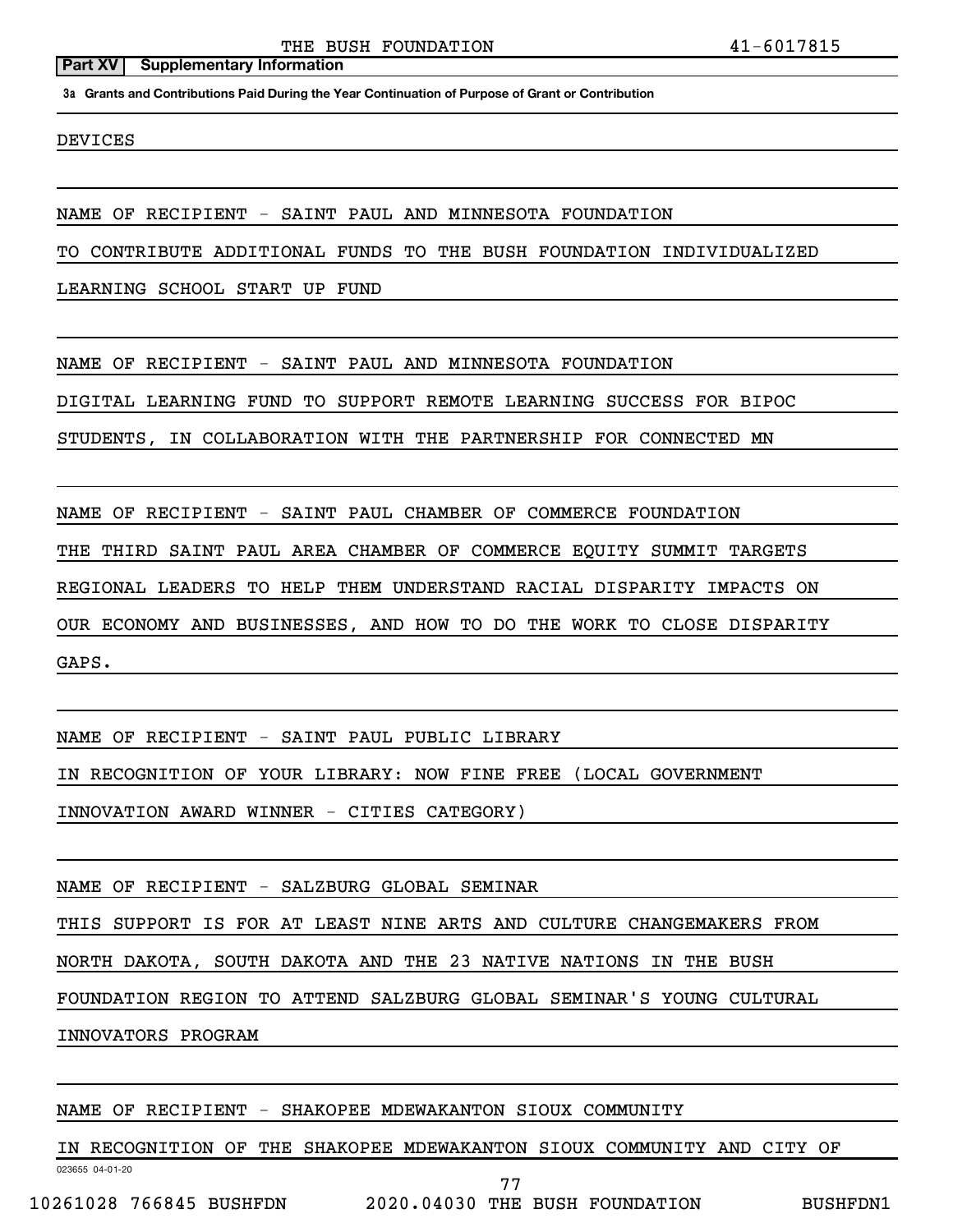**3a Grants and Contributions Paid During the Year Continuation of Purpose of Grant or Contribution**

DEVICES

NAME OF RECIPIENT - SAINT PAUL AND MINNESOTA FOUNDATION

TO CONTRIBUTE ADDITIONAL FUNDS TO THE BUSH FOUNDATION INDIVIDUALIZED

LEARNING SCHOOL START UP FUND

NAME OF RECIPIENT - SAINT PAUL AND MINNESOTA FOUNDATION

DIGITAL LEARNING FUND TO SUPPORT REMOTE LEARNING SUCCESS FOR BIPOC

STUDENTS, IN COLLABORATION WITH THE PARTNERSHIP FOR CONNECTED MN

NAME OF RECIPIENT - SAINT PAUL CHAMBER OF COMMERCE FOUNDATION

THE THIRD SAINT PAUL AREA CHAMBER OF COMMERCE EQUITY SUMMIT TARGETS

REGIONAL LEADERS TO HELP THEM UNDERSTAND RACIAL DISPARITY IMPACTS ON

OUR ECONOMY AND BUSINESSES, AND HOW TO DO THE WORK TO CLOSE DISPARITY

GAPS.

NAME OF RECIPIENT - SAINT PAUL PUBLIC LIBRARY

IN RECOGNITION OF YOUR LIBRARY: NOW FINE FREE (LOCAL GOVERNMENT

INNOVATION AWARD WINNER - CITIES CATEGORY)

NAME OF RECIPIENT - SALZBURG GLOBAL SEMINAR

THIS SUPPORT IS FOR AT LEAST NINE ARTS AND CULTURE CHANGEMAKERS FROM

NORTH DAKOTA, SOUTH DAKOTA AND THE 23 NATIVE NATIONS IN THE BUSH

FOUNDATION REGION TO ATTEND SALZBURG GLOBAL SEMINAR'S YOUNG CULTURAL

INNOVATORS PROGRAM

### NAME OF RECIPIENT - SHAKOPEE MDEWAKANTON SIOUX COMMUNITY

023655 04-01-20 IN RECOGNITION OF THE SHAKOPEE MDEWAKANTON SIOUX COMMUNITY AND CITY OF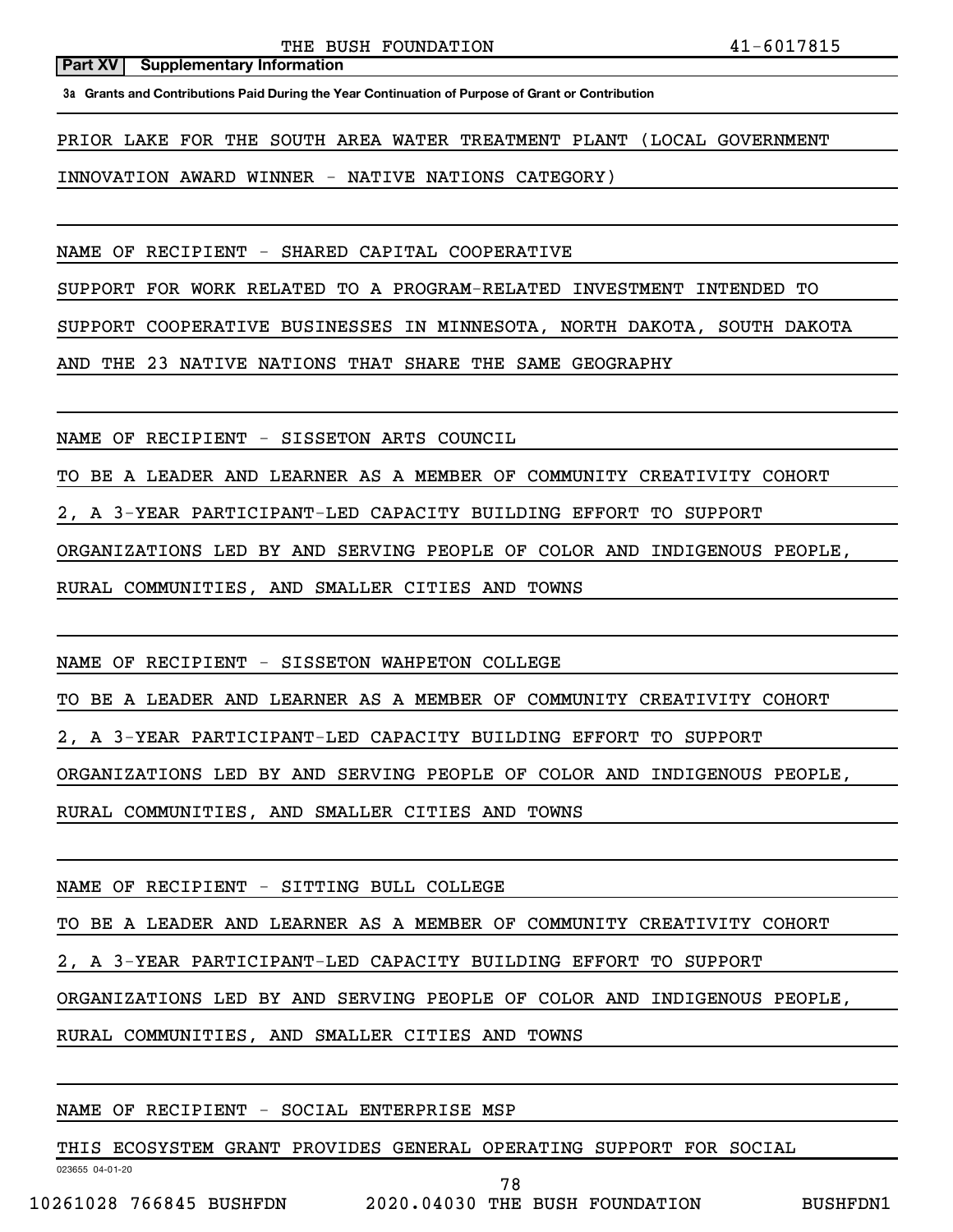**3a Grants and Contributions Paid During the Year Continuation of Purpose of Grant or Contribution**

PRIOR LAKE FOR THE SOUTH AREA WATER TREATMENT PLANT (LOCAL GOVERNMENT

INNOVATION AWARD WINNER - NATIVE NATIONS CATEGORY)

NAME OF RECIPIENT - SHARED CAPITAL COOPERATIVE

SUPPORT FOR WORK RELATED TO A PROGRAM-RELATED INVESTMENT INTENDED TO

SUPPORT COOPERATIVE BUSINESSES IN MINNESOTA, NORTH DAKOTA, SOUTH DAKOTA

AND THE 23 NATIVE NATIONS THAT SHARE THE SAME GEOGRAPHY

NAME OF RECIPIENT - SISSETON ARTS COUNCIL

TO BE A LEADER AND LEARNER AS A MEMBER OF COMMUNITY CREATIVITY COHORT

2, A 3-YEAR PARTICIPANT-LED CAPACITY BUILDING EFFORT TO SUPPORT

ORGANIZATIONS LED BY AND SERVING PEOPLE OF COLOR AND INDIGENOUS PEOPLE,

RURAL COMMUNITIES, AND SMALLER CITIES AND TOWNS

NAME OF RECIPIENT - SISSETON WAHPETON COLLEGE

TO BE A LEADER AND LEARNER AS A MEMBER OF COMMUNITY CREATIVITY COHORT

2, A 3-YEAR PARTICIPANT-LED CAPACITY BUILDING EFFORT TO SUPPORT

ORGANIZATIONS LED BY AND SERVING PEOPLE OF COLOR AND INDIGENOUS PEOPLE,

RURAL COMMUNITIES, AND SMALLER CITIES AND TOWNS

NAME OF RECIPIENT - SITTING BULL COLLEGE

TO BE A LEADER AND LEARNER AS A MEMBER OF COMMUNITY CREATIVITY COHORT

2, A 3-YEAR PARTICIPANT-LED CAPACITY BUILDING EFFORT TO SUPPORT

ORGANIZATIONS LED BY AND SERVING PEOPLE OF COLOR AND INDIGENOUS PEOPLE,

RURAL COMMUNITIES, AND SMALLER CITIES AND TOWNS

# NAME OF RECIPIENT - SOCIAL ENTERPRISE MSP

THIS ECOSYSTEM GRANT PROVIDES GENERAL OPERATING SUPPORT FOR SOCIAL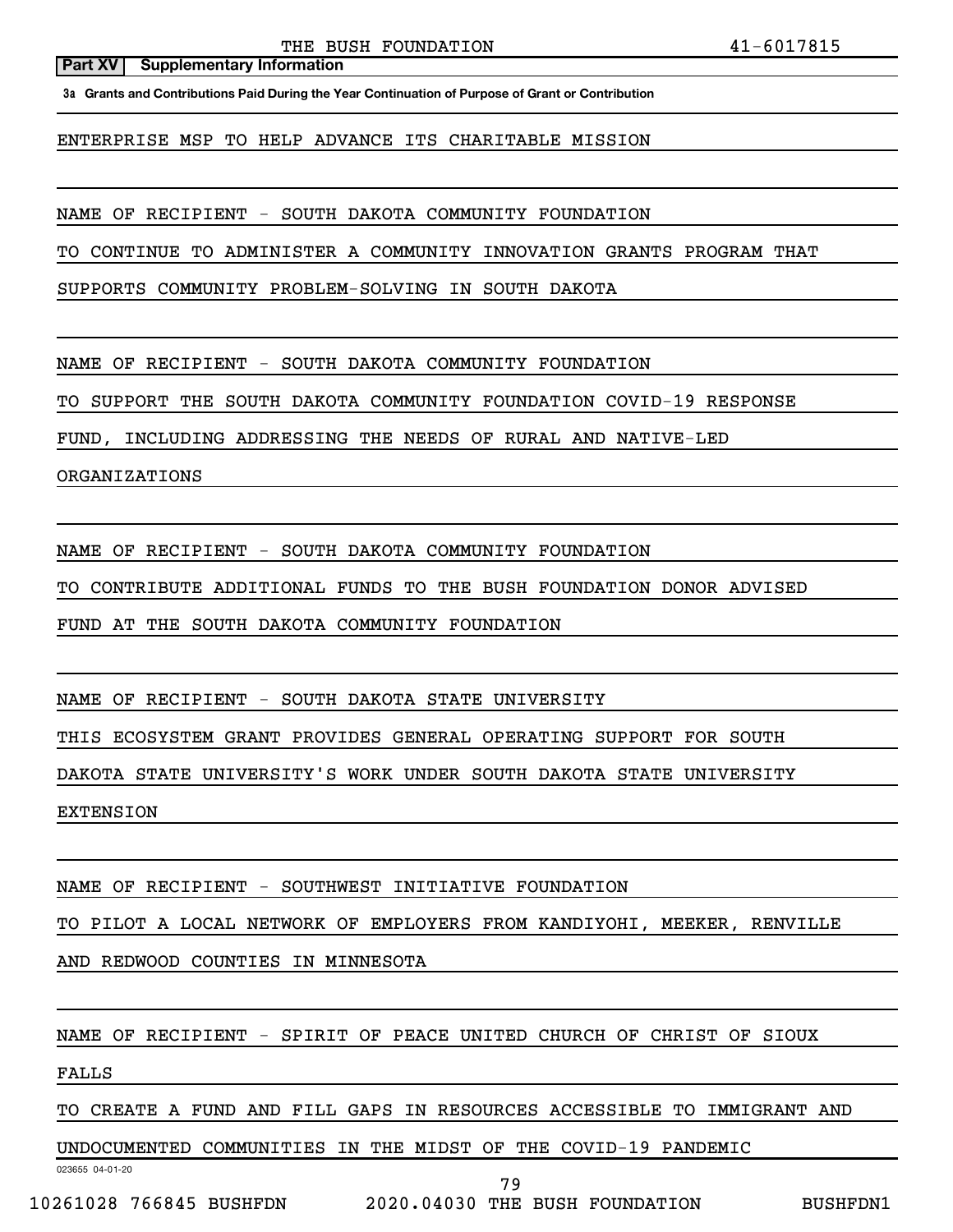THE BUSH FOUNDATION  $41-6017815$ 

#### **Part XV Supplementary Information**

**3a Grants and Contributions Paid During the Year Continuation of Purpose of Grant or Contribution**

ENTERPRISE MSP TO HELP ADVANCE ITS CHARITABLE MISSION

NAME OF RECIPIENT - SOUTH DAKOTA COMMUNITY FOUNDATION

TO CONTINUE TO ADMINISTER A COMMUNITY INNOVATION GRANTS PROGRAM THAT

SUPPORTS COMMUNITY PROBLEM-SOLVING IN SOUTH DAKOTA

NAME OF RECIPIENT - SOUTH DAKOTA COMMUNITY FOUNDATION

TO SUPPORT THE SOUTH DAKOTA COMMUNITY FOUNDATION COVID-19 RESPONSE

FUND, INCLUDING ADDRESSING THE NEEDS OF RURAL AND NATIVE-LED

ORGANIZATIONS

NAME OF RECIPIENT - SOUTH DAKOTA COMMUNITY FOUNDATION

TO CONTRIBUTE ADDITIONAL FUNDS TO THE BUSH FOUNDATION DONOR ADVISED

FUND AT THE SOUTH DAKOTA COMMUNITY FOUNDATION

NAME OF RECIPIENT - SOUTH DAKOTA STATE UNIVERSITY

THIS ECOSYSTEM GRANT PROVIDES GENERAL OPERATING SUPPORT FOR SOUTH

DAKOTA STATE UNIVERSITY'S WORK UNDER SOUTH DAKOTA STATE UNIVERSITY

EXTENSION

NAME OF RECIPIENT - SOUTHWEST INITIATIVE FOUNDATION

TO PILOT A LOCAL NETWORK OF EMPLOYERS FROM KANDIYOHI, MEEKER, RENVILLE

AND REDWOOD COUNTIES IN MINNESOTA

NAME OF RECIPIENT - SPIRIT OF PEACE UNITED CHURCH OF CHRIST OF SIOUX

FALLS

TO CREATE A FUND AND FILL GAPS IN RESOURCES ACCESSIBLE TO IMMIGRANT AND

UNDOCUMENTED COMMUNITIES IN THE MIDST OF THE COVID-19 PANDEMIC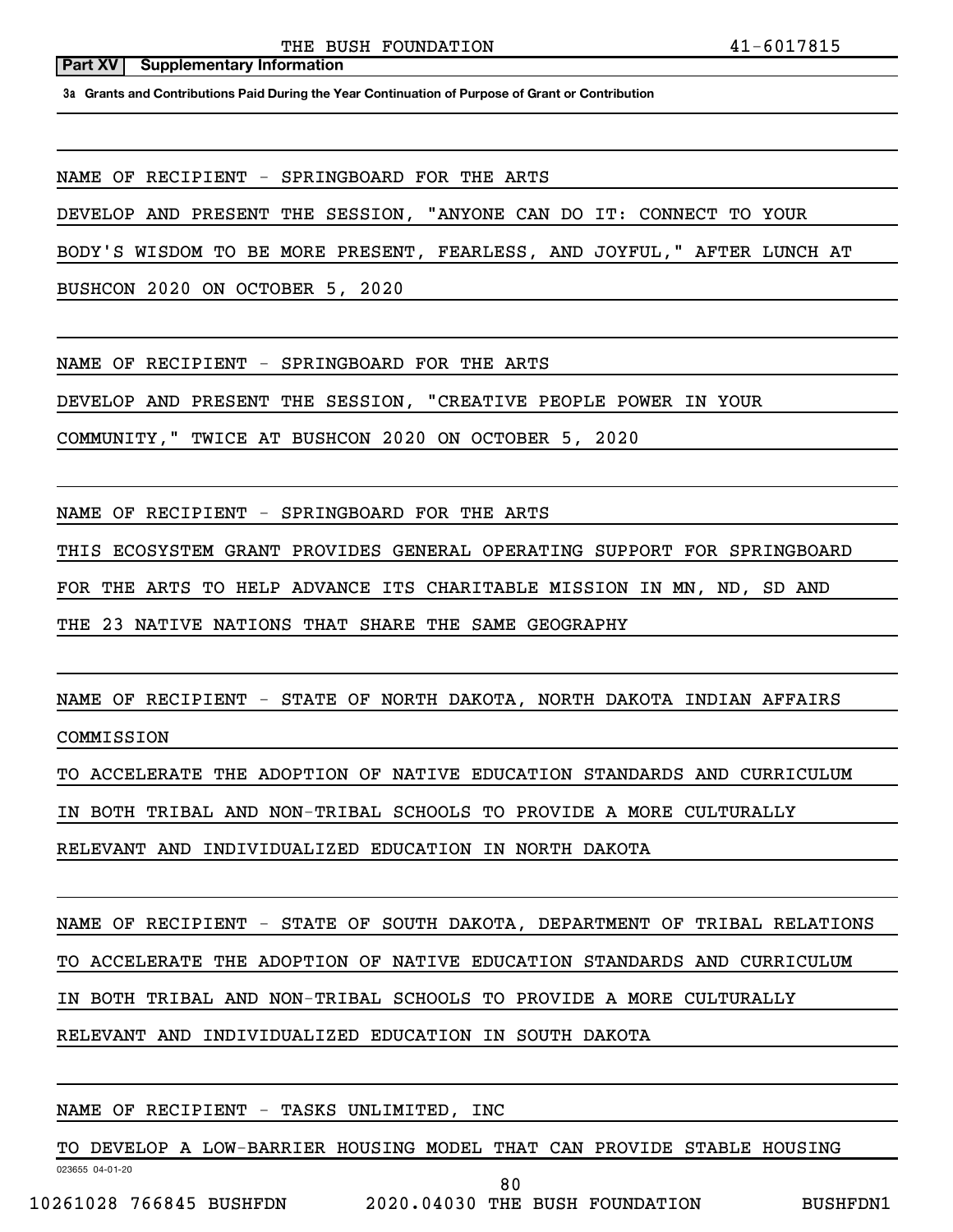**3a Grants and Contributions Paid During the Year Continuation of Purpose of Grant or Contribution**

NAME OF RECIPIENT - SPRINGBOARD FOR THE ARTS

DEVELOP AND PRESENT THE SESSION, "ANYONE CAN DO IT: CONNECT TO YOUR

BODY'S WISDOM TO BE MORE PRESENT, FEARLESS, AND JOYFUL," AFTER LUNCH AT

BUSHCON 2020 ON OCTOBER 5, 2020

NAME OF RECIPIENT - SPRINGBOARD FOR THE ARTS

DEVELOP AND PRESENT THE SESSION, "CREATIVE PEOPLE POWER IN YOUR

COMMUNITY," TWICE AT BUSHCON 2020 ON OCTOBER 5, 2020

NAME OF RECIPIENT - SPRINGBOARD FOR THE ARTS

THIS ECOSYSTEM GRANT PROVIDES GENERAL OPERATING SUPPORT FOR SPRINGBOARD

FOR THE ARTS TO HELP ADVANCE ITS CHARITABLE MISSION IN MN, ND, SD AND

THE 23 NATIVE NATIONS THAT SHARE THE SAME GEOGRAPHY

NAME OF RECIPIENT - STATE OF NORTH DAKOTA, NORTH DAKOTA INDIAN AFFAIRS

COMMISSION

TO ACCELERATE THE ADOPTION OF NATIVE EDUCATION STANDARDS AND CURRICULUM

IN BOTH TRIBAL AND NON-TRIBAL SCHOOLS TO PROVIDE A MORE CULTURALLY

RELEVANT AND INDIVIDUALIZED EDUCATION IN NORTH DAKOTA

NAME OF RECIPIENT - STATE OF SOUTH DAKOTA, DEPARTMENT OF TRIBAL RELATIONS

TO ACCELERATE THE ADOPTION OF NATIVE EDUCATION STANDARDS AND CURRICULUM

IN BOTH TRIBAL AND NON-TRIBAL SCHOOLS TO PROVIDE A MORE CULTURALLY

RELEVANT AND INDIVIDUALIZED EDUCATION IN SOUTH DAKOTA

### NAME OF RECIPIENT - TASKS UNLIMITED, INC

TO DEVELOP A LOW-BARRIER HOUSING MODEL THAT CAN PROVIDE STABLE HOUSING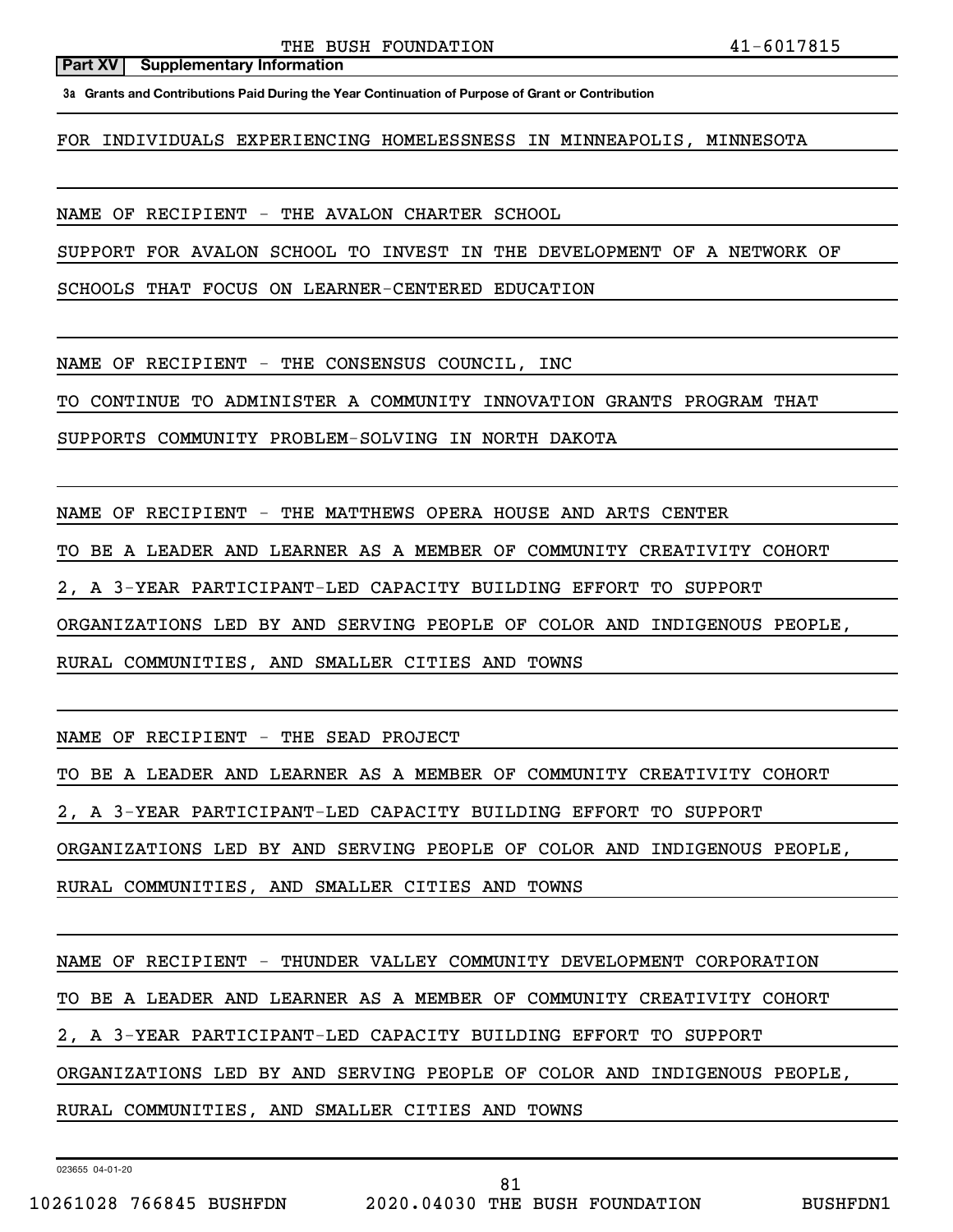**3a Grants and Contributions Paid During the Year Continuation of Purpose of Grant or Contribution**

FOR INDIVIDUALS EXPERIENCING HOMELESSNESS IN MINNEAPOLIS, MINNESOTA

NAME OF RECIPIENT - THE AVALON CHARTER SCHOOL

SUPPORT FOR AVALON SCHOOL TO INVEST IN THE DEVELOPMENT OF A NETWORK OF

SCHOOLS THAT FOCUS ON LEARNER-CENTERED EDUCATION

NAME OF RECIPIENT - THE CONSENSUS COUNCIL, INC

TO CONTINUE TO ADMINISTER A COMMUNITY INNOVATION GRANTS PROGRAM THAT

SUPPORTS COMMUNITY PROBLEM-SOLVING IN NORTH DAKOTA

NAME OF RECIPIENT - THE MATTHEWS OPERA HOUSE AND ARTS CENTER

TO BE A LEADER AND LEARNER AS A MEMBER OF COMMUNITY CREATIVITY COHORT

2, A 3-YEAR PARTICIPANT-LED CAPACITY BUILDING EFFORT TO SUPPORT

ORGANIZATIONS LED BY AND SERVING PEOPLE OF COLOR AND INDIGENOUS PEOPLE,

RURAL COMMUNITIES, AND SMALLER CITIES AND TOWNS

NAME OF RECIPIENT - THE SEAD PROJECT

TO BE A LEADER AND LEARNER AS A MEMBER OF COMMUNITY CREATIVITY COHORT

2, A 3-YEAR PARTICIPANT-LED CAPACITY BUILDING EFFORT TO SUPPORT

ORGANIZATIONS LED BY AND SERVING PEOPLE OF COLOR AND INDIGENOUS PEOPLE,

RURAL COMMUNITIES, AND SMALLER CITIES AND TOWNS

NAME OF RECIPIENT - THUNDER VALLEY COMMUNITY DEVELOPMENT CORPORATION

TO BE A LEADER AND LEARNER AS A MEMBER OF COMMUNITY CREATIVITY COHORT

2, A 3-YEAR PARTICIPANT-LED CAPACITY BUILDING EFFORT TO SUPPORT

ORGANIZATIONS LED BY AND SERVING PEOPLE OF COLOR AND INDIGENOUS PEOPLE,

RURAL COMMUNITIES, AND SMALLER CITIES AND TOWNS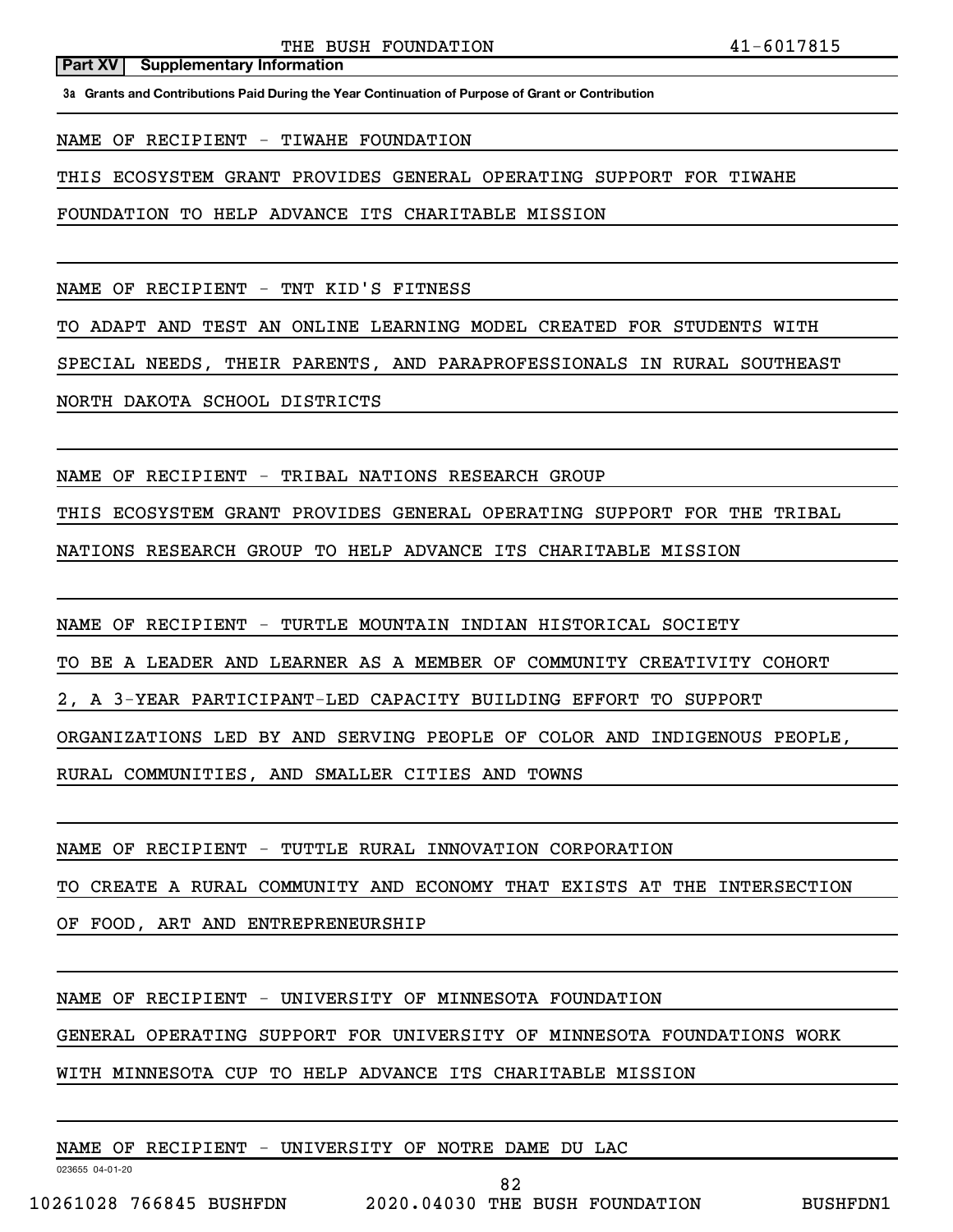**3a Grants and Contributions Paid During the Year Continuation of Purpose of Grant or Contribution**

NAME OF RECIPIENT - TIWAHE FOUNDATION

**Part XV** | Supplementary Information

THIS ECOSYSTEM GRANT PROVIDES GENERAL OPERATING SUPPORT FOR TIWAHE

FOUNDATION TO HELP ADVANCE ITS CHARITABLE MISSION

NAME OF RECIPIENT - TNT KID'S FITNESS

TO ADAPT AND TEST AN ONLINE LEARNING MODEL CREATED FOR STUDENTS WITH

SPECIAL NEEDS, THEIR PARENTS, AND PARAPROFESSIONALS IN RURAL SOUTHEAST

NORTH DAKOTA SCHOOL DISTRICTS

NAME OF RECIPIENT - TRIBAL NATIONS RESEARCH GROUP

THIS ECOSYSTEM GRANT PROVIDES GENERAL OPERATING SUPPORT FOR THE TRIBAL

NATIONS RESEARCH GROUP TO HELP ADVANCE ITS CHARITABLE MISSION

NAME OF RECIPIENT - TURTLE MOUNTAIN INDIAN HISTORICAL SOCIETY

TO BE A LEADER AND LEARNER AS A MEMBER OF COMMUNITY CREATIVITY COHORT

2, A 3-YEAR PARTICIPANT-LED CAPACITY BUILDING EFFORT TO SUPPORT

ORGANIZATIONS LED BY AND SERVING PEOPLE OF COLOR AND INDIGENOUS PEOPLE,

RURAL COMMUNITIES, AND SMALLER CITIES AND TOWNS

NAME OF RECIPIENT - TUTTLE RURAL INNOVATION CORPORATION

TO CREATE A RURAL COMMUNITY AND ECONOMY THAT EXISTS AT THE INTERSECTION

OF FOOD, ART AND ENTREPRENEURSHIP

NAME OF RECIPIENT - UNIVERSITY OF MINNESOTA FOUNDATION

GENERAL OPERATING SUPPORT FOR UNIVERSITY OF MINNESOTA FOUNDATIONS WORK

WITH MINNESOTA CUP TO HELP ADVANCE ITS CHARITABLE MISSION

NAME OF RECIPIENT - UNIVERSITY OF NOTRE DAME DU LAC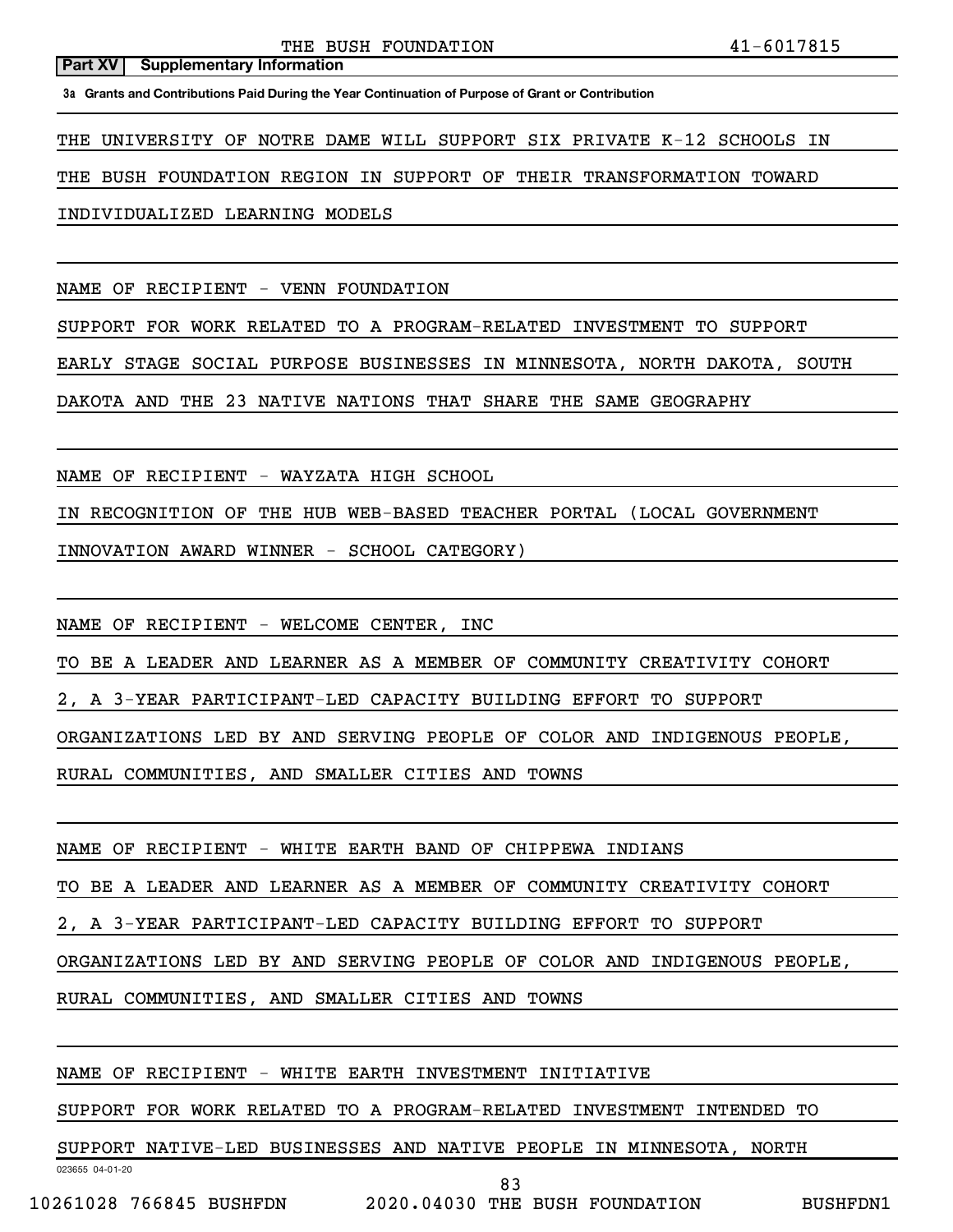**3a Grants and Contributions Paid During the Year Continuation of Purpose of Grant or Contribution**

THE UNIVERSITY OF NOTRE DAME WILL SUPPORT SIX PRIVATE K-12 SCHOOLS IN

THE BUSH FOUNDATION REGION IN SUPPORT OF THEIR TRANSFORMATION TOWARD

INDIVIDUALIZED LEARNING MODELS

NAME OF RECIPIENT - VENN FOUNDATION

SUPPORT FOR WORK RELATED TO A PROGRAM-RELATED INVESTMENT TO SUPPORT

EARLY STAGE SOCIAL PURPOSE BUSINESSES IN MINNESOTA, NORTH DAKOTA, SOUTH

DAKOTA AND THE 23 NATIVE NATIONS THAT SHARE THE SAME GEOGRAPHY

NAME OF RECIPIENT - WAYZATA HIGH SCHOOL

IN RECOGNITION OF THE HUB WEB-BASED TEACHER PORTAL (LOCAL GOVERNMENT

INNOVATION AWARD WINNER - SCHOOL CATEGORY)

NAME OF RECIPIENT - WELCOME CENTER, INC

TO BE A LEADER AND LEARNER AS A MEMBER OF COMMUNITY CREATIVITY COHORT

2, A 3-YEAR PARTICIPANT-LED CAPACITY BUILDING EFFORT TO SUPPORT

ORGANIZATIONS LED BY AND SERVING PEOPLE OF COLOR AND INDIGENOUS PEOPLE,

RURAL COMMUNITIES, AND SMALLER CITIES AND TOWNS

NAME OF RECIPIENT - WHITE EARTH BAND OF CHIPPEWA INDIANS

TO BE A LEADER AND LEARNER AS A MEMBER OF COMMUNITY CREATIVITY COHORT

2, A 3-YEAR PARTICIPANT-LED CAPACITY BUILDING EFFORT TO SUPPORT

ORGANIZATIONS LED BY AND SERVING PEOPLE OF COLOR AND INDIGENOUS PEOPLE,

RURAL COMMUNITIES, AND SMALLER CITIES AND TOWNS

NAME OF RECIPIENT - WHITE EARTH INVESTMENT INITIATIVE

SUPPORT FOR WORK RELATED TO A PROGRAM-RELATED INVESTMENT INTENDED TO

SUPPORT NATIVE-LED BUSINESSES AND NATIVE PEOPLE IN MINNESOTA, NORTH

83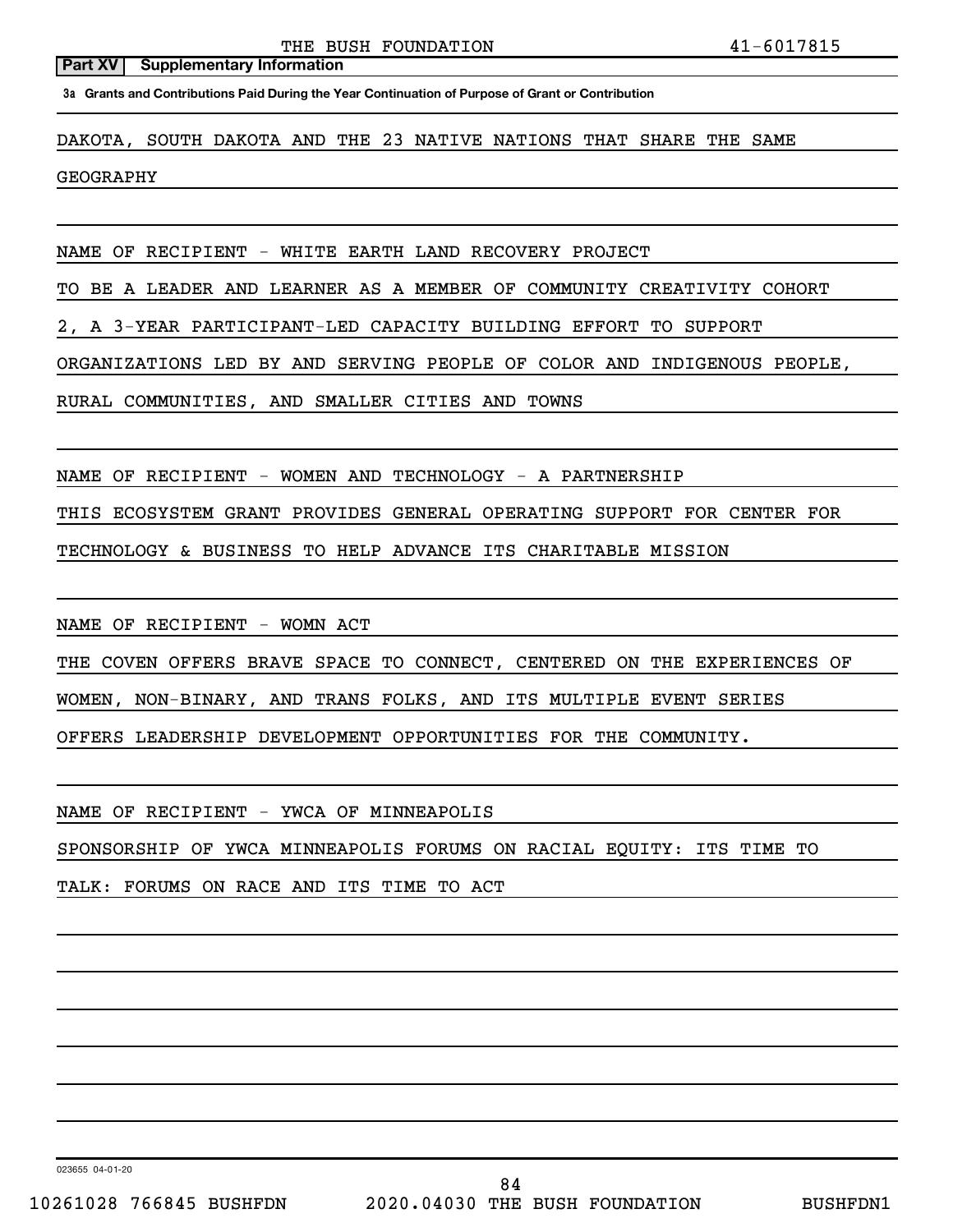**3a Grants and Contributions Paid During the Year Continuation of Purpose of Grant or Contribution**

DAKOTA, SOUTH DAKOTA AND THE 23 NATIVE NATIONS THAT SHARE THE SAME

GEOGRAPHY

NAME OF RECIPIENT - WHITE EARTH LAND RECOVERY PROJECT

TO BE A LEADER AND LEARNER AS A MEMBER OF COMMUNITY CREATIVITY COHORT

2, A 3-YEAR PARTICIPANT-LED CAPACITY BUILDING EFFORT TO SUPPORT

ORGANIZATIONS LED BY AND SERVING PEOPLE OF COLOR AND INDIGENOUS PEOPLE,

RURAL COMMUNITIES, AND SMALLER CITIES AND TOWNS

NAME OF RECIPIENT - WOMEN AND TECHNOLOGY - A PARTNERSHIP

THIS ECOSYSTEM GRANT PROVIDES GENERAL OPERATING SUPPORT FOR CENTER FOR

TECHNOLOGY & BUSINESS TO HELP ADVANCE ITS CHARITABLE MISSION

NAME OF RECIPIENT - WOMN ACT

THE COVEN OFFERS BRAVE SPACE TO CONNECT, CENTERED ON THE EXPERIENCES OF

WOMEN, NON-BINARY, AND TRANS FOLKS, AND ITS MULTIPLE EVENT SERIES

OFFERS LEADERSHIP DEVELOPMENT OPPORTUNITIES FOR THE COMMUNITY.

NAME OF RECIPIENT - YWCA OF MINNEAPOLIS

SPONSORSHIP OF YWCA MINNEAPOLIS FORUMS ON RACIAL EQUITY: ITS TIME TO

TALK: FORUMS ON RACE AND ITS TIME TO ACT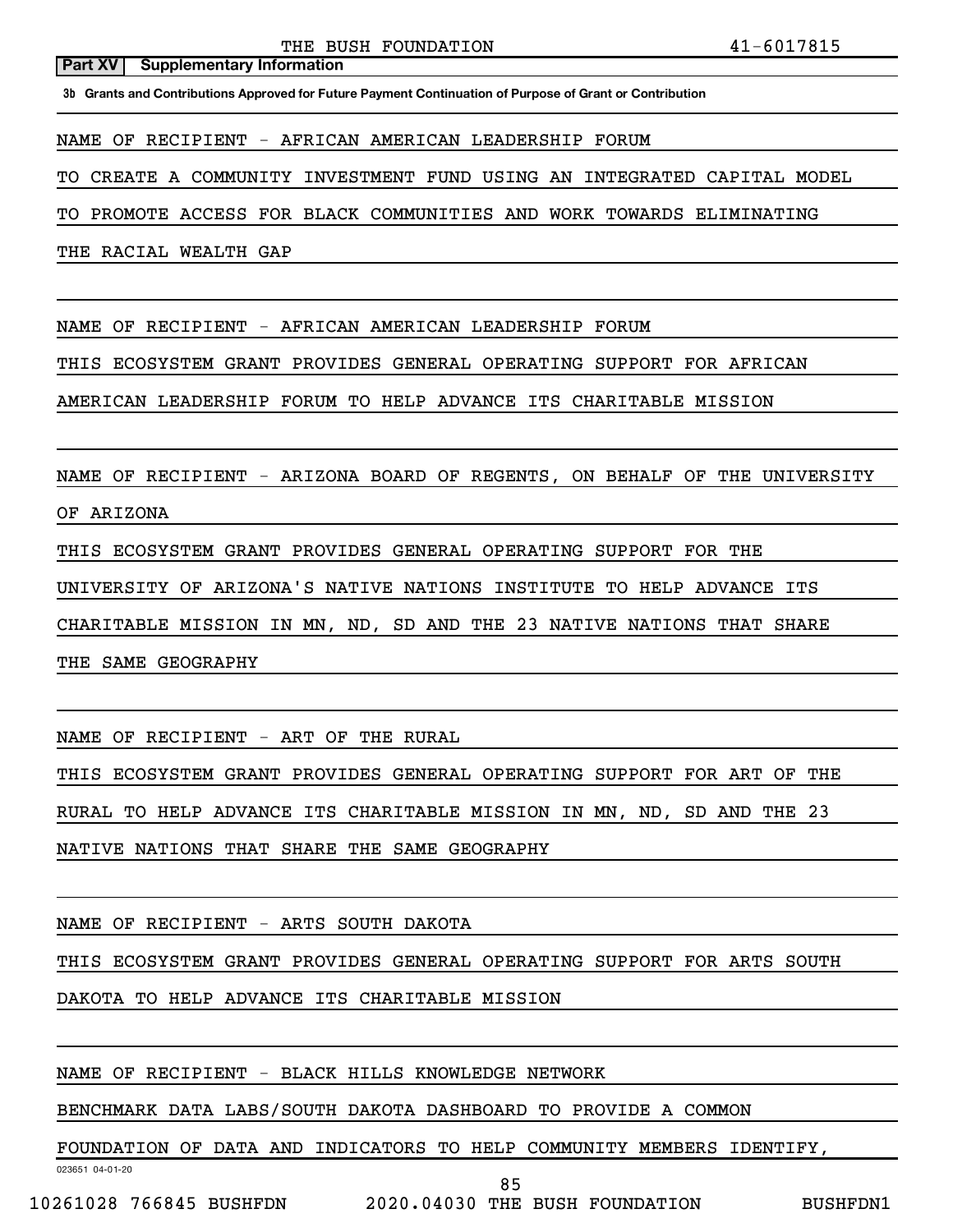THE BUSH FOUNDATION 41-6017815

#### **Part XV** | Supplementary Information

**3b Grants and Contributions Approved for Future Payment Continuation of Purpose of Grant or Contribution**

NAME OF RECIPIENT - AFRICAN AMERICAN LEADERSHIP FORUM

TO CREATE A COMMUNITY INVESTMENT FUND USING AN INTEGRATED CAPITAL MODEL

TO PROMOTE ACCESS FOR BLACK COMMUNITIES AND WORK TOWARDS ELIMINATING

THE RACIAL WEALTH GAP

NAME OF RECIPIENT - AFRICAN AMERICAN LEADERSHIP FORUM

THIS ECOSYSTEM GRANT PROVIDES GENERAL OPERATING SUPPORT FOR AFRICAN

AMERICAN LEADERSHIP FORUM TO HELP ADVANCE ITS CHARITABLE MISSION

NAME OF RECIPIENT - ARIZONA BOARD OF REGENTS, ON BEHALF OF THE UNIVERSITY

OF ARIZONA

THIS ECOSYSTEM GRANT PROVIDES GENERAL OPERATING SUPPORT FOR THE

UNIVERSITY OF ARIZONA'S NATIVE NATIONS INSTITUTE TO HELP ADVANCE ITS

CHARITABLE MISSION IN MN, ND, SD AND THE 23 NATIVE NATIONS THAT SHARE

THE SAME GEOGRAPHY

NAME OF RECIPIENT - ART OF THE RURAL

THIS ECOSYSTEM GRANT PROVIDES GENERAL OPERATING SUPPORT FOR ART OF THE

RURAL TO HELP ADVANCE ITS CHARITABLE MISSION IN MN, ND, SD AND THE 23

NATIVE NATIONS THAT SHARE THE SAME GEOGRAPHY

NAME OF RECIPIENT - ARTS SOUTH DAKOTA

THIS ECOSYSTEM GRANT PROVIDES GENERAL OPERATING SUPPORT FOR ARTS SOUTH

DAKOTA TO HELP ADVANCE ITS CHARITABLE MISSION

NAME OF RECIPIENT - BLACK HILLS KNOWLEDGE NETWORK

BENCHMARK DATA LABS/SOUTH DAKOTA DASHBOARD TO PROVIDE A COMMON

FOUNDATION OF DATA AND INDICATORS TO HELP COMMUNITY MEMBERS IDENTIFY,

85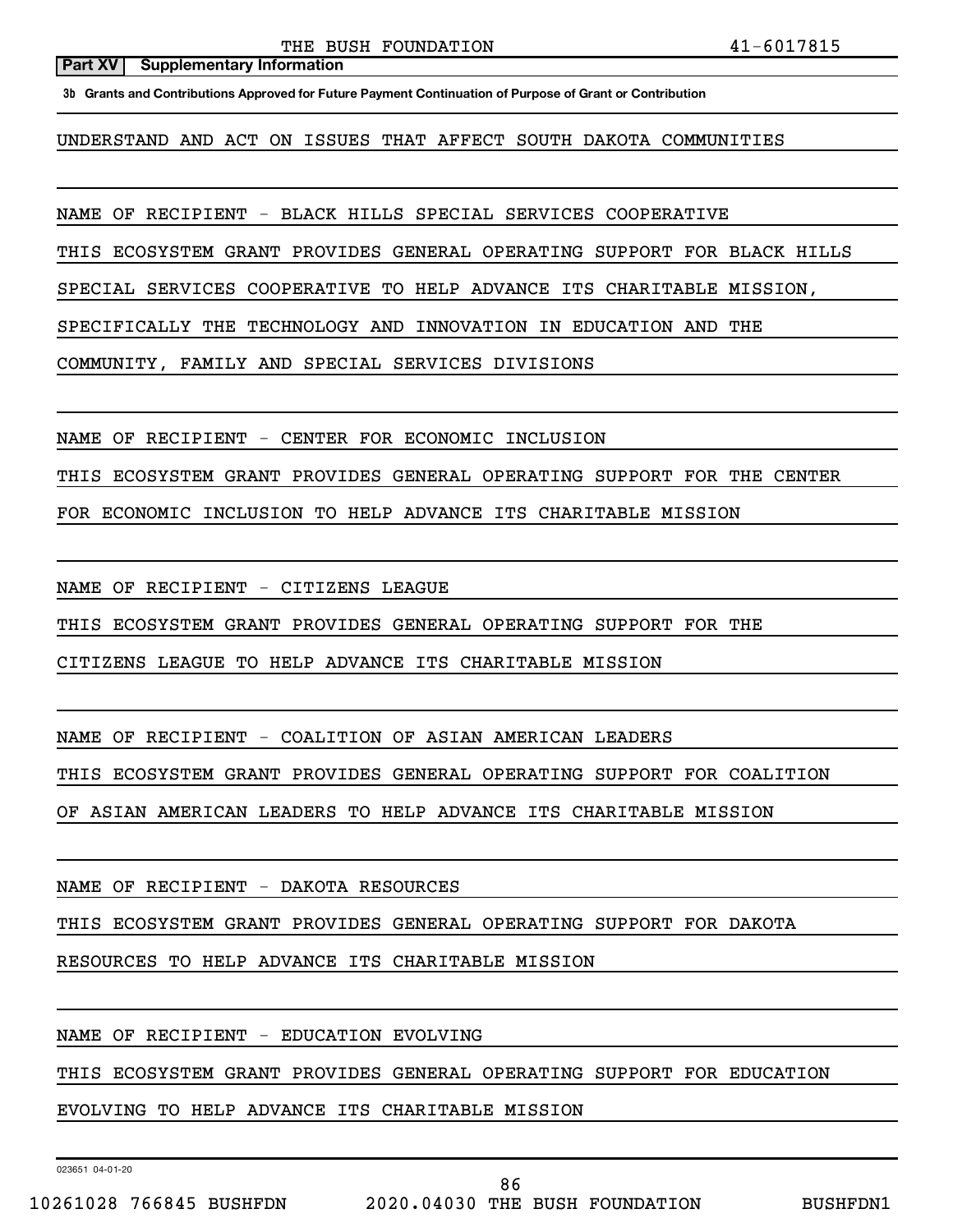THE BUSH FOUNDATION 41-6017815

#### **Part XV** | Supplementary Information

**3b Grants and Contributions Approved for Future Payment Continuation of Purpose of Grant or Contribution**

UNDERSTAND AND ACT ON ISSUES THAT AFFECT SOUTH DAKOTA COMMUNITIES

NAME OF RECIPIENT - BLACK HILLS SPECIAL SERVICES COOPERATIVE

THIS ECOSYSTEM GRANT PROVIDES GENERAL OPERATING SUPPORT FOR BLACK HILLS

SPECIAL SERVICES COOPERATIVE TO HELP ADVANCE ITS CHARITABLE MISSION,

SPECIFICALLY THE TECHNOLOGY AND INNOVATION IN EDUCATION AND THE

COMMUNITY, FAMILY AND SPECIAL SERVICES DIVISIONS

NAME OF RECIPIENT - CENTER FOR ECONOMIC INCLUSION

THIS ECOSYSTEM GRANT PROVIDES GENERAL OPERATING SUPPORT FOR THE CENTER

FOR ECONOMIC INCLUSION TO HELP ADVANCE ITS CHARITABLE MISSION

NAME OF RECIPIENT - CITIZENS LEAGUE

THIS ECOSYSTEM GRANT PROVIDES GENERAL OPERATING SUPPORT FOR THE

CITIZENS LEAGUE TO HELP ADVANCE ITS CHARITABLE MISSION

NAME OF RECIPIENT - COALITION OF ASIAN AMERICAN LEADERS

THIS ECOSYSTEM GRANT PROVIDES GENERAL OPERATING SUPPORT FOR COALITION

OF ASIAN AMERICAN LEADERS TO HELP ADVANCE ITS CHARITABLE MISSION

NAME OF RECIPIENT - DAKOTA RESOURCES

THIS ECOSYSTEM GRANT PROVIDES GENERAL OPERATING SUPPORT FOR DAKOTA

RESOURCES TO HELP ADVANCE ITS CHARITABLE MISSION

NAME OF RECIPIENT - EDUCATION EVOLVING

THIS ECOSYSTEM GRANT PROVIDES GENERAL OPERATING SUPPORT FOR EDUCATION

EVOLVING TO HELP ADVANCE ITS CHARITABLE MISSION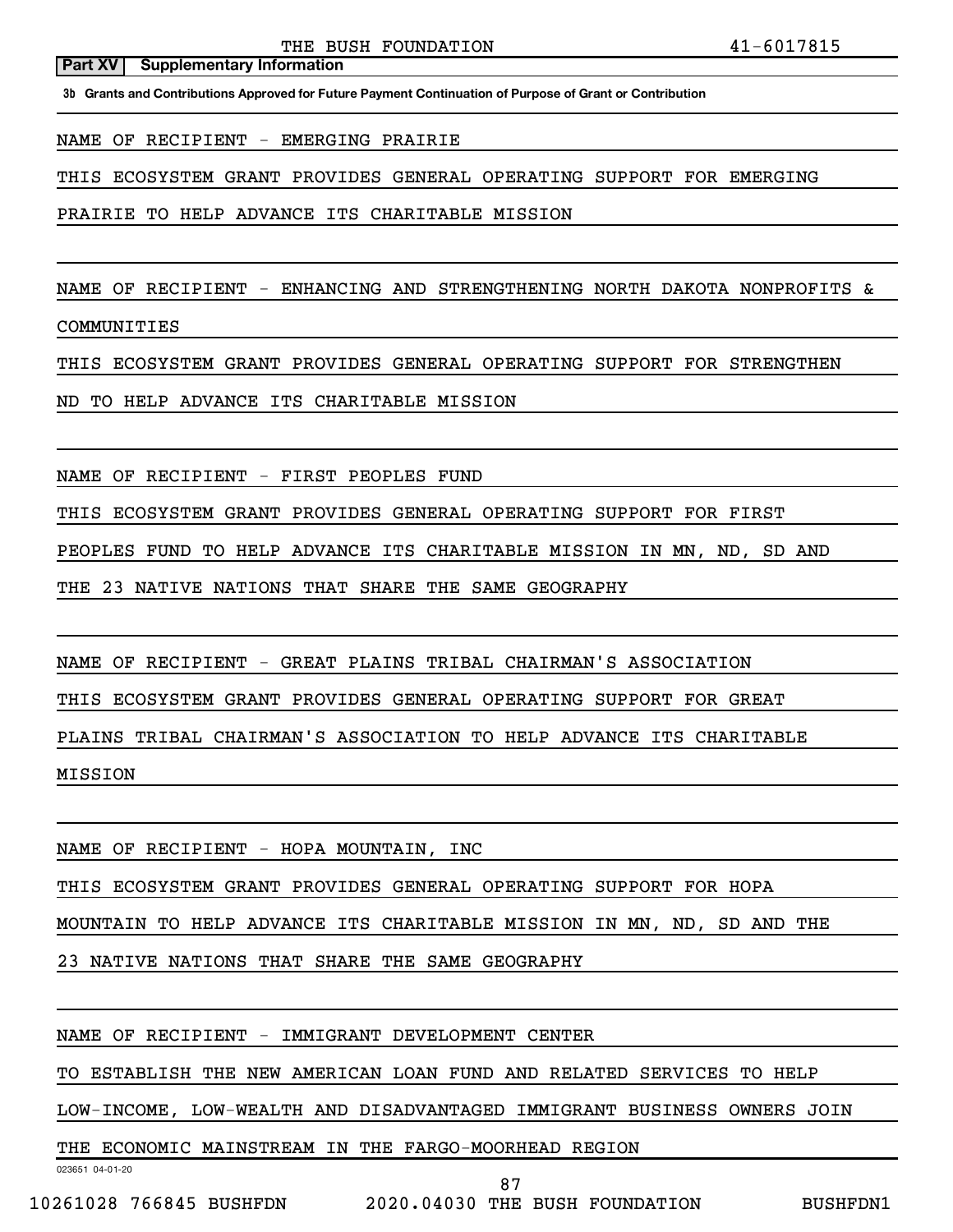**3b Grants and Contributions Approved for Future Payment Continuation of Purpose of Grant or Contribution**

NAME OF RECIPIENT - EMERGING PRAIRIE

THIS ECOSYSTEM GRANT PROVIDES GENERAL OPERATING SUPPORT FOR EMERGING

PRAIRIE TO HELP ADVANCE ITS CHARITABLE MISSION

NAME OF RECIPIENT - ENHANCING AND STRENGTHENING NORTH DAKOTA NONPROFITS &

COMMUNITIES

THIS ECOSYSTEM GRANT PROVIDES GENERAL OPERATING SUPPORT FOR STRENGTHEN

ND TO HELP ADVANCE ITS CHARITABLE MISSION

NAME OF RECIPIENT - FIRST PEOPLES FUND

THIS ECOSYSTEM GRANT PROVIDES GENERAL OPERATING SUPPORT FOR FIRST

PEOPLES FUND TO HELP ADVANCE ITS CHARITABLE MISSION IN MN, ND, SD AND

THE 23 NATIVE NATIONS THAT SHARE THE SAME GEOGRAPHY

NAME OF RECIPIENT - GREAT PLAINS TRIBAL CHAIRMAN'S ASSOCIATION

THIS ECOSYSTEM GRANT PROVIDES GENERAL OPERATING SUPPORT FOR GREAT

PLAINS TRIBAL CHAIRMAN'S ASSOCIATION TO HELP ADVANCE ITS CHARITABLE

MISSION

NAME OF RECIPIENT - HOPA MOUNTAIN, INC

THIS ECOSYSTEM GRANT PROVIDES GENERAL OPERATING SUPPORT FOR HOPA

MOUNTAIN TO HELP ADVANCE ITS CHARITABLE MISSION IN MN, ND, SD AND THE

23 NATIVE NATIONS THAT SHARE THE SAME GEOGRAPHY

NAME OF RECIPIENT - IMMIGRANT DEVELOPMENT CENTER

TO ESTABLISH THE NEW AMERICAN LOAN FUND AND RELATED SERVICES TO HELP

LOW-INCOME, LOW-WEALTH AND DISADVANTAGED IMMIGRANT BUSINESS OWNERS JOIN

THE ECONOMIC MAINSTREAM IN THE FARGO-MOORHEAD REGION

023651 04-01-20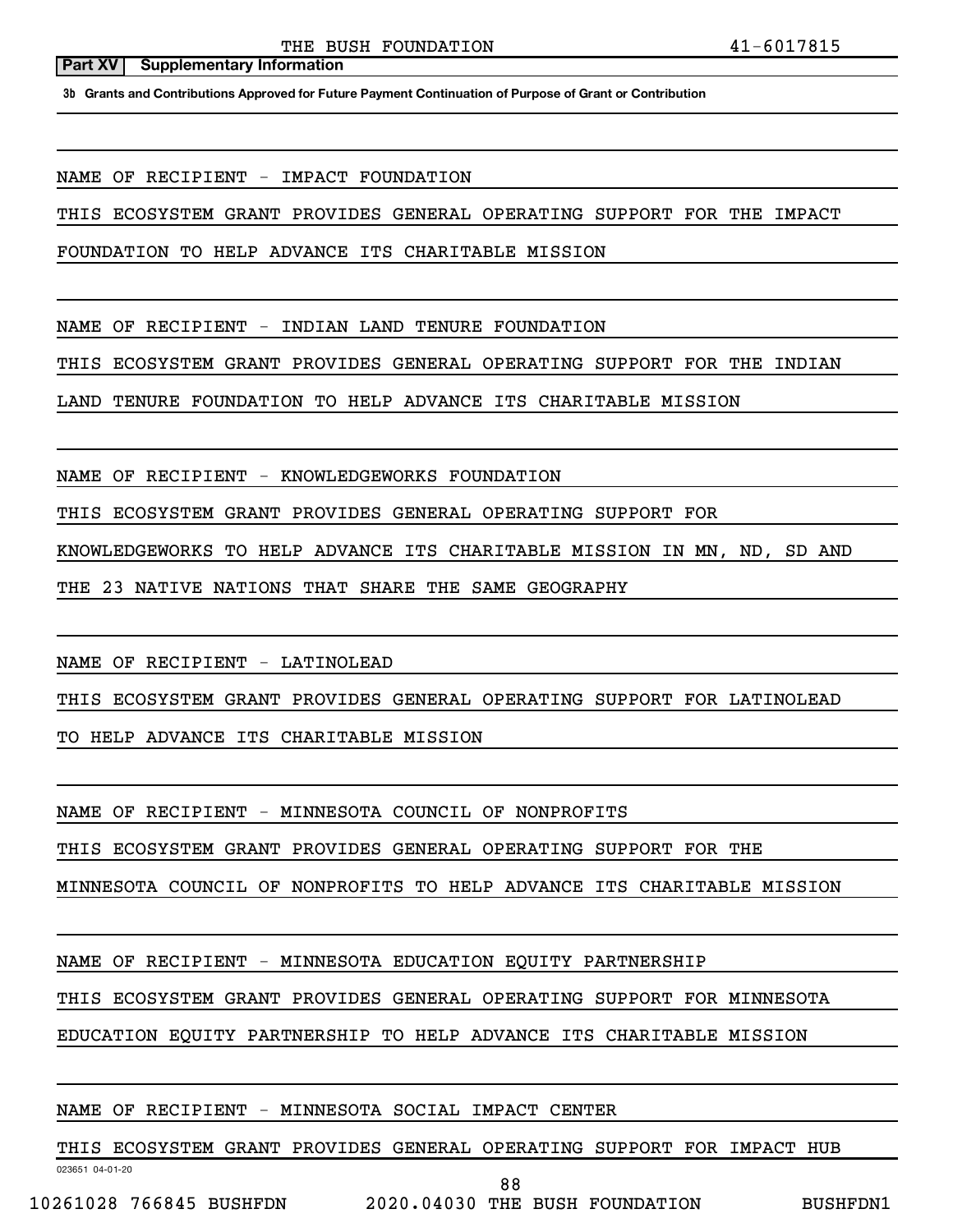**3b Grants and Contributions Approved for Future Payment Continuation of Purpose of Grant or Contribution**

NAME OF RECIPIENT - IMPACT FOUNDATION

THIS ECOSYSTEM GRANT PROVIDES GENERAL OPERATING SUPPORT FOR THE IMPACT

FOUNDATION TO HELP ADVANCE ITS CHARITABLE MISSION

NAME OF RECIPIENT - INDIAN LAND TENURE FOUNDATION

THIS ECOSYSTEM GRANT PROVIDES GENERAL OPERATING SUPPORT FOR THE INDIAN

LAND TENURE FOUNDATION TO HELP ADVANCE ITS CHARITABLE MISSION

NAME OF RECIPIENT - KNOWLEDGEWORKS FOUNDATION

THIS ECOSYSTEM GRANT PROVIDES GENERAL OPERATING SUPPORT FOR

KNOWLEDGEWORKS TO HELP ADVANCE ITS CHARITABLE MISSION IN MN, ND, SD AND

THE 23 NATIVE NATIONS THAT SHARE THE SAME GEOGRAPHY

NAME OF RECIPIENT - LATINOLEAD

THIS ECOSYSTEM GRANT PROVIDES GENERAL OPERATING SUPPORT FOR LATINOLEAD

TO HELP ADVANCE ITS CHARITABLE MISSION

NAME OF RECIPIENT - MINNESOTA COUNCIL OF NONPROFITS

THIS ECOSYSTEM GRANT PROVIDES GENERAL OPERATING SUPPORT FOR THE

MINNESOTA COUNCIL OF NONPROFITS TO HELP ADVANCE ITS CHARITABLE MISSION

NAME OF RECIPIENT - MINNESOTA EDUCATION EQUITY PARTNERSHIP

THIS ECOSYSTEM GRANT PROVIDES GENERAL OPERATING SUPPORT FOR MINNESOTA

EDUCATION EQUITY PARTNERSHIP TO HELP ADVANCE ITS CHARITABLE MISSION

#### NAME OF RECIPIENT - MINNESOTA SOCIAL IMPACT CENTER

THIS ECOSYSTEM GRANT PROVIDES GENERAL OPERATING SUPPORT FOR IMPACT HUB

023651 04-01-20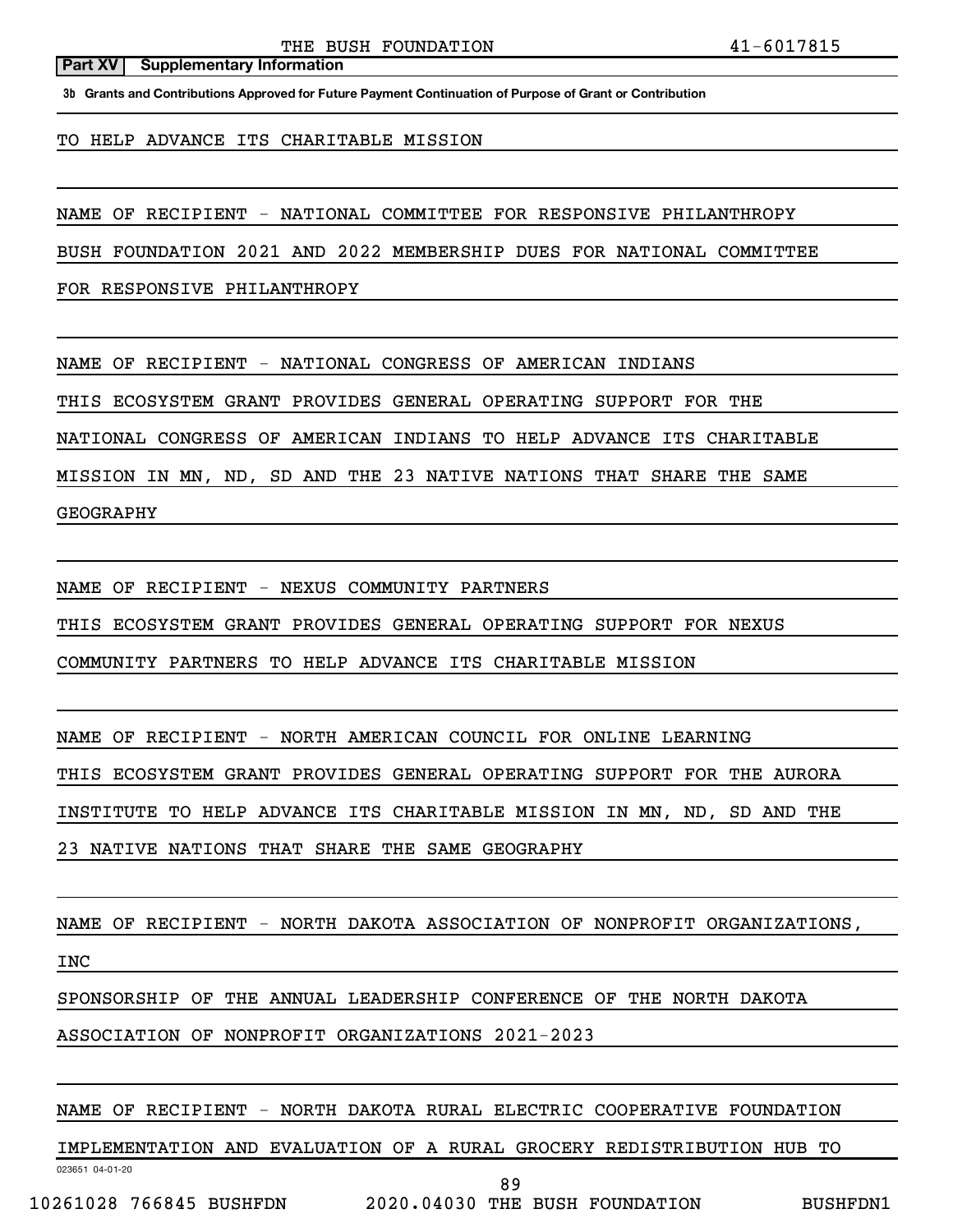**3b Grants and Contributions Approved for Future Payment Continuation of Purpose of Grant or Contribution**

### TO HELP ADVANCE ITS CHARITABLE MISSION

NAME OF RECIPIENT - NATIONAL COMMITTEE FOR RESPONSIVE PHILANTHROPY

BUSH FOUNDATION 2021 AND 2022 MEMBERSHIP DUES FOR NATIONAL COMMITTEE

FOR RESPONSIVE PHILANTHROPY

NAME OF RECIPIENT - NATIONAL CONGRESS OF AMERICAN INDIANS

THIS ECOSYSTEM GRANT PROVIDES GENERAL OPERATING SUPPORT FOR THE

NATIONAL CONGRESS OF AMERICAN INDIANS TO HELP ADVANCE ITS CHARITABLE

MISSION IN MN, ND, SD AND THE 23 NATIVE NATIONS THAT SHARE THE SAME

GEOGRAPHY

NAME OF RECIPIENT - NEXUS COMMUNITY PARTNERS

THIS ECOSYSTEM GRANT PROVIDES GENERAL OPERATING SUPPORT FOR NEXUS

COMMUNITY PARTNERS TO HELP ADVANCE ITS CHARITABLE MISSION

NAME OF RECIPIENT - NORTH AMERICAN COUNCIL FOR ONLINE LEARNING

THIS ECOSYSTEM GRANT PROVIDES GENERAL OPERATING SUPPORT FOR THE AURORA

INSTITUTE TO HELP ADVANCE ITS CHARITABLE MISSION IN MN, ND, SD AND THE

23 NATIVE NATIONS THAT SHARE THE SAME GEOGRAPHY

NAME OF RECIPIENT - NORTH DAKOTA ASSOCIATION OF NONPROFIT ORGANIZATIONS,

INC

SPONSORSHIP OF THE ANNUAL LEADERSHIP CONFERENCE OF THE NORTH DAKOTA

ASSOCIATION OF NONPROFIT ORGANIZATIONS 2021-2023

NAME OF RECIPIENT - NORTH DAKOTA RURAL ELECTRIC COOPERATIVE FOUNDATION

IMPLEMENTATION AND EVALUATION OF A RURAL GROCERY REDISTRIBUTION HUB TO

023651 04-01-20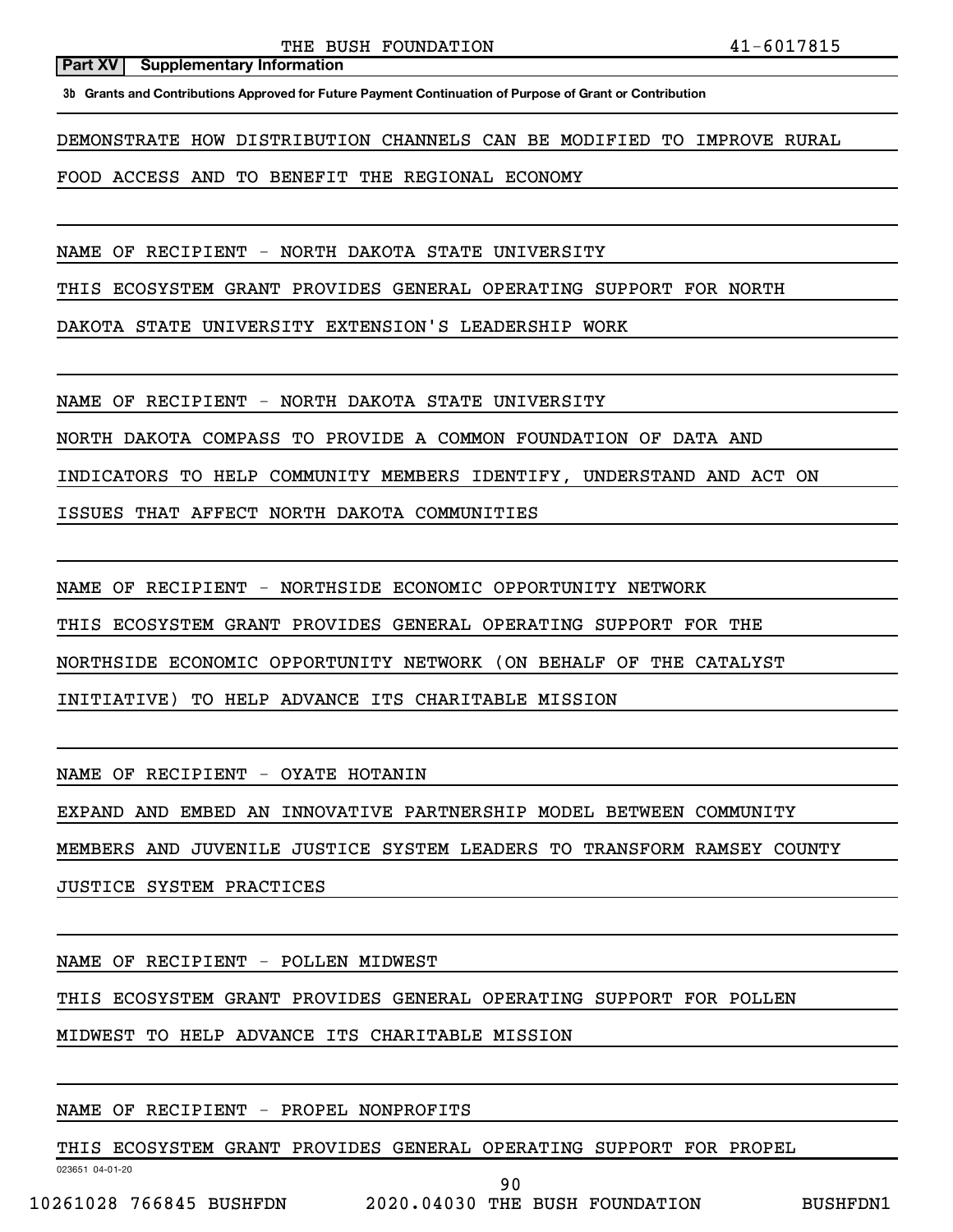**3b Grants and Contributions Approved for Future Payment Continuation of Purpose of Grant or Contribution**

DEMONSTRATE HOW DISTRIBUTION CHANNELS CAN BE MODIFIED TO IMPROVE RURAL

FOOD ACCESS AND TO BENEFIT THE REGIONAL ECONOMY

NAME OF RECIPIENT - NORTH DAKOTA STATE UNIVERSITY

THIS ECOSYSTEM GRANT PROVIDES GENERAL OPERATING SUPPORT FOR NORTH

DAKOTA STATE UNIVERSITY EXTENSION'S LEADERSHIP WORK

NAME OF RECIPIENT - NORTH DAKOTA STATE UNIVERSITY

NORTH DAKOTA COMPASS TO PROVIDE A COMMON FOUNDATION OF DATA AND

INDICATORS TO HELP COMMUNITY MEMBERS IDENTIFY, UNDERSTAND AND ACT ON

ISSUES THAT AFFECT NORTH DAKOTA COMMUNITIES

NAME OF RECIPIENT - NORTHSIDE ECONOMIC OPPORTUNITY NETWORK

THIS ECOSYSTEM GRANT PROVIDES GENERAL OPERATING SUPPORT FOR THE

NORTHSIDE ECONOMIC OPPORTUNITY NETWORK (ON BEHALF OF THE CATALYST

INITIATIVE) TO HELP ADVANCE ITS CHARITABLE MISSION

NAME OF RECIPIENT - OYATE HOTANIN

EXPAND AND EMBED AN INNOVATIVE PARTNERSHIP MODEL BETWEEN COMMUNITY

MEMBERS AND JUVENILE JUSTICE SYSTEM LEADERS TO TRANSFORM RAMSEY COUNTY

JUSTICE SYSTEM PRACTICES

NAME OF RECIPIENT - POLLEN MIDWEST

THIS ECOSYSTEM GRANT PROVIDES GENERAL OPERATING SUPPORT FOR POLLEN

MIDWEST TO HELP ADVANCE ITS CHARITABLE MISSION

# NAME OF RECIPIENT - PROPEL NONPROFITS

THIS ECOSYSTEM GRANT PROVIDES GENERAL OPERATING SUPPORT FOR PROPEL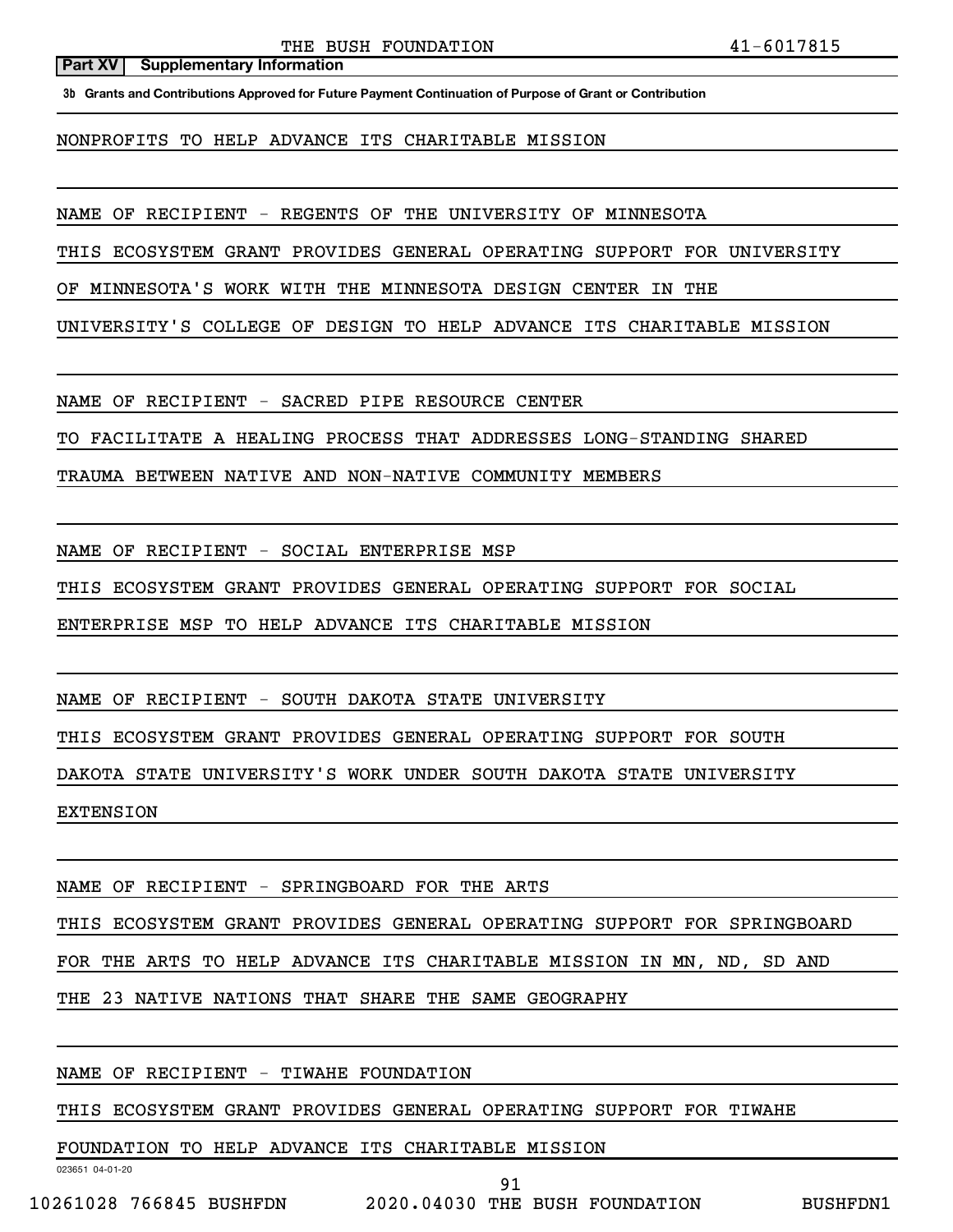**3b Grants and Contributions Approved for Future Payment Continuation of Purpose of Grant or Contribution**

NONPROFITS TO HELP ADVANCE ITS CHARITABLE MISSION

NAME OF RECIPIENT - REGENTS OF THE UNIVERSITY OF MINNESOTA

THIS ECOSYSTEM GRANT PROVIDES GENERAL OPERATING SUPPORT FOR UNIVERSITY

OF MINNESOTA'S WORK WITH THE MINNESOTA DESIGN CENTER IN THE

UNIVERSITY'S COLLEGE OF DESIGN TO HELP ADVANCE ITS CHARITABLE MISSION

NAME OF RECIPIENT - SACRED PIPE RESOURCE CENTER

TO FACILITATE A HEALING PROCESS THAT ADDRESSES LONG-STANDING SHARED

TRAUMA BETWEEN NATIVE AND NON-NATIVE COMMUNITY MEMBERS

NAME OF RECIPIENT - SOCIAL ENTERPRISE MSP

THIS ECOSYSTEM GRANT PROVIDES GENERAL OPERATING SUPPORT FOR SOCIAL

ENTERPRISE MSP TO HELP ADVANCE ITS CHARITABLE MISSION

NAME OF RECIPIENT - SOUTH DAKOTA STATE UNIVERSITY

THIS ECOSYSTEM GRANT PROVIDES GENERAL OPERATING SUPPORT FOR SOUTH

DAKOTA STATE UNIVERSITY'S WORK UNDER SOUTH DAKOTA STATE UNIVERSITY

EXTENSION

NAME OF RECIPIENT - SPRINGBOARD FOR THE ARTS

THIS ECOSYSTEM GRANT PROVIDES GENERAL OPERATING SUPPORT FOR SPRINGBOARD

FOR THE ARTS TO HELP ADVANCE ITS CHARITABLE MISSION IN MN, ND, SD AND

THE 23 NATIVE NATIONS THAT SHARE THE SAME GEOGRAPHY

### NAME OF RECIPIENT - TIWAHE FOUNDATION

THIS ECOSYSTEM GRANT PROVIDES GENERAL OPERATING SUPPORT FOR TIWAHE

91

FOUNDATION TO HELP ADVANCE ITS CHARITABLE MISSION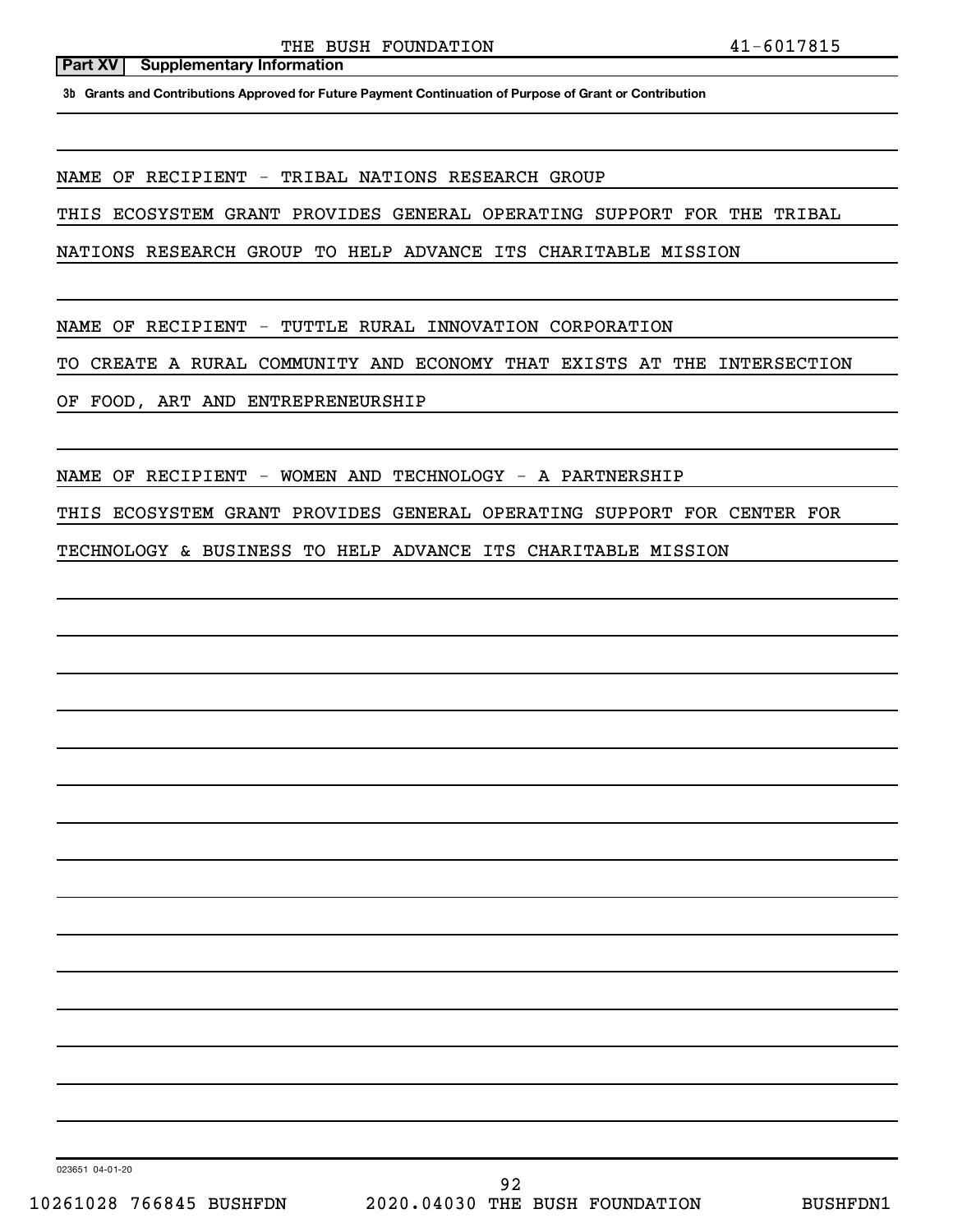**3b Grants and Contributions Approved for Future Payment Continuation of Purpose of Grant or Contribution**

NAME OF RECIPIENT - TRIBAL NATIONS RESEARCH GROUP

THIS ECOSYSTEM GRANT PROVIDES GENERAL OPERATING SUPPORT FOR THE TRIBAL

NATIONS RESEARCH GROUP TO HELP ADVANCE ITS CHARITABLE MISSION

NAME OF RECIPIENT - TUTTLE RURAL INNOVATION CORPORATION

TO CREATE A RURAL COMMUNITY AND ECONOMY THAT EXISTS AT THE INTERSECTION

OF FOOD, ART AND ENTREPRENEURSHIP

NAME OF RECIPIENT - WOMEN AND TECHNOLOGY - A PARTNERSHIP

THIS ECOSYSTEM GRANT PROVIDES GENERAL OPERATING SUPPORT FOR CENTER FOR

TECHNOLOGY & BUSINESS TO HELP ADVANCE ITS CHARITABLE MISSION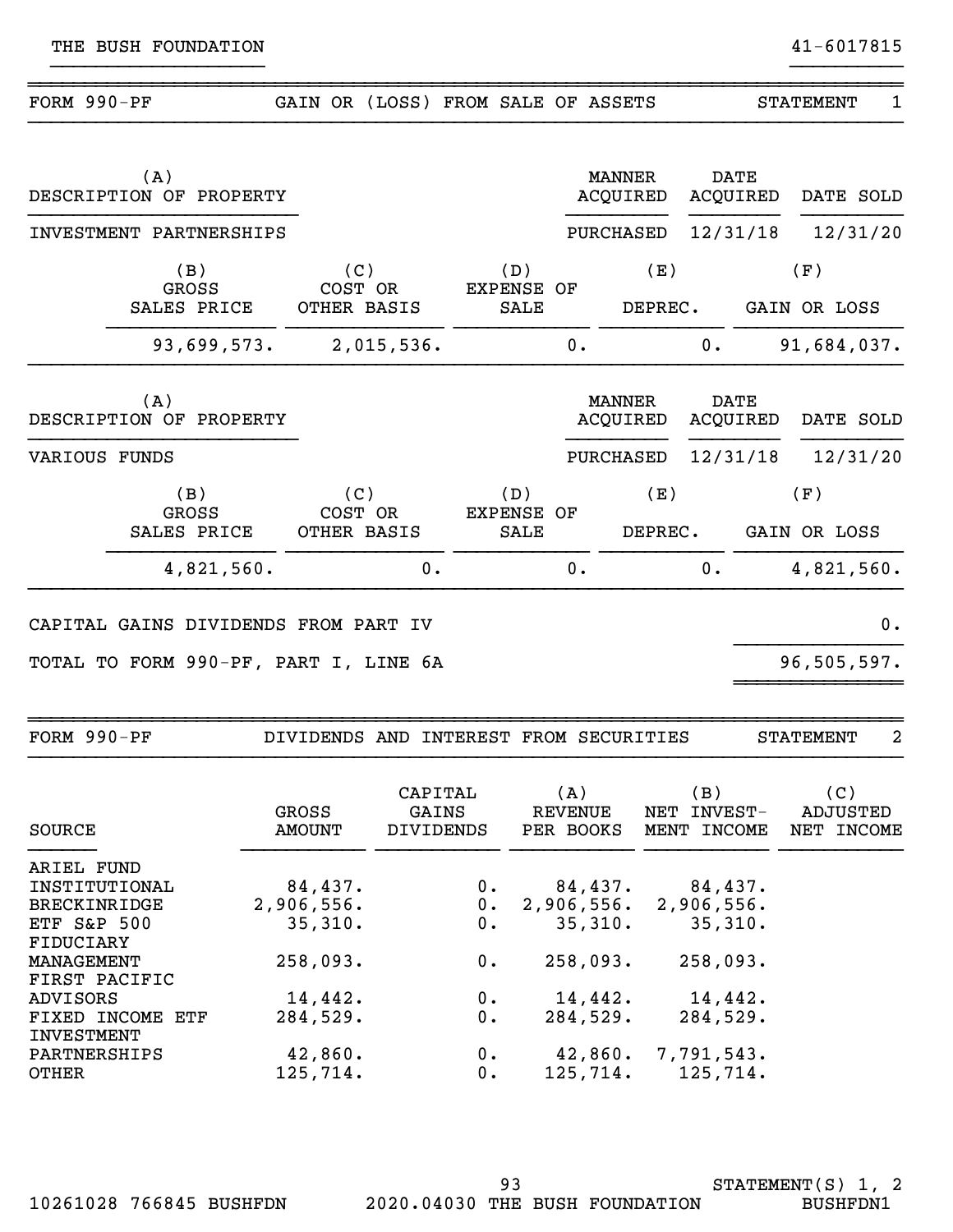| FORM 990-PF          |                                       | GAIN OR                       |            |                                         |    | (LOSS) FROM SALE OF ASSETS |    |                                | <b>STATEMENT</b>    | 1        |
|----------------------|---------------------------------------|-------------------------------|------------|-----------------------------------------|----|----------------------------|----|--------------------------------|---------------------|----------|
|                      | (A)<br>DESCRIPTION OF PROPERTY        |                               |            |                                         |    | <b>MANNER</b><br>ACQUIRED  |    | <b>DATE</b><br><b>ACQUIRED</b> | DATE SOLD           |          |
|                      | INVESTMENT PARTNERSHIPS               |                               |            |                                         |    | <b>PURCHASED</b>           |    | 12/31/18                       |                     | 12/31/20 |
|                      | (B)<br><b>GROSS</b><br>SALES PRICE    | (C)<br>COST OR<br>OTHER BASIS |            | (D)<br><b>EXPENSE OF</b><br><b>SALE</b> |    | (E)<br>DEPREC.             |    |                                | (F)<br>GAIN OR LOSS |          |
|                      | 93,699,573.                           |                               | 2,015,536. |                                         | 0. |                            | 0. |                                | 91,684,037.         |          |
|                      | (A)<br>DESCRIPTION OF PROPERTY        |                               |            |                                         |    | <b>MANNER</b><br>ACQUIRED  |    | <b>DATE</b><br><b>ACQUIRED</b> | DATE SOLD           |          |
| <b>VARIOUS FUNDS</b> |                                       |                               |            |                                         |    | <b>PURCHASED</b>           |    | 12/31/18                       |                     | 12/31/20 |
|                      | (B)<br>GROSS<br>SALES PRICE           | (C)<br>COST OR<br>OTHER BASIS |            | (D)<br><b>EXPENSE OF</b><br><b>SALE</b> |    | (E)<br>DEPREC.             |    |                                | (F)<br>GAIN OR LOSS |          |
|                      | 4,821,560.                            |                               | 0.         |                                         | 0. |                            | 0. |                                | 4,821,560.          |          |
|                      | CAPITAL GAINS DIVIDENDS FROM PART IV  |                               |            |                                         |    |                            |    |                                |                     | 0.       |
|                      | TOTAL TO FORM 990-PF, PART I, LINE 6A |                               |            |                                         |    |                            |    |                                | 96,505,597.         |          |

~~~~~~~~~~~~~~~~~~~~~~~~~~~~~~~~~~~~~~~~~~~~~~~~~~~~~~~~~~~~~~~~~~~~~~~~~~~~~~ FORM 990-PF DIVIDENDS AND INTEREST FROM SECURITIES STATEMENT 2

| SOURCE                              | <b>GROSS</b><br><b>AMOUNT</b> | CAPITAL<br>GAINS<br><b>DIVIDENDS</b> | (A)<br>REVENUE<br>PER BOOKS | (B)<br>NET INVEST-<br>MENT INCOME | (C)<br>ADJUSTED<br>INCOME<br>NET |
|-------------------------------------|-------------------------------|--------------------------------------|-----------------------------|-----------------------------------|----------------------------------|
| ARIEL FUND                          |                               |                                      |                             |                                   |                                  |
| INSTITUTIONAL                       | 84,437.                       | 0.                                   |                             | $84,437$ . $84,437$ .             |                                  |
| <b>BRECKINRIDGE</b>                 | 2,906,556.                    | $0$ .                                |                             | 2,906,556. 2,906,556.             |                                  |
| <b>ETF S&amp;P 500</b><br>FIDUCIARY | 35,310.                       | $0$ .                                |                             | $35,310.$ $35,310.$               |                                  |
| MANAGEMENT<br>FIRST PACIFIC         | 258,093.                      | 0.                                   | 258,093.                    | 258,093.                          |                                  |
| ADVISORS                            | 14,442.                       | $0$ .                                | 14,442.                     | 14,442.                           |                                  |
| FIXED INCOME ETF<br>INVESTMENT      | 284,529.                      | $0$ .                                | 284,529.                    | 284,529.                          |                                  |
| PARTNERSHIPS                        | 42,860.                       | $0$ .                                |                             | 42,860. 7,791,543.                |                                  |
| OTHER                               | 125,714.                      | 0.                                   |                             | $125, 714.$ 125, 714.             |                                  |

}}}}}}}}}}}}}}}}}}}}}}}}}}}}}}}}}}}}}}}}}}}}}}}}}}}}}}}}}}}}}}}}}}}}}}}}}}}}}}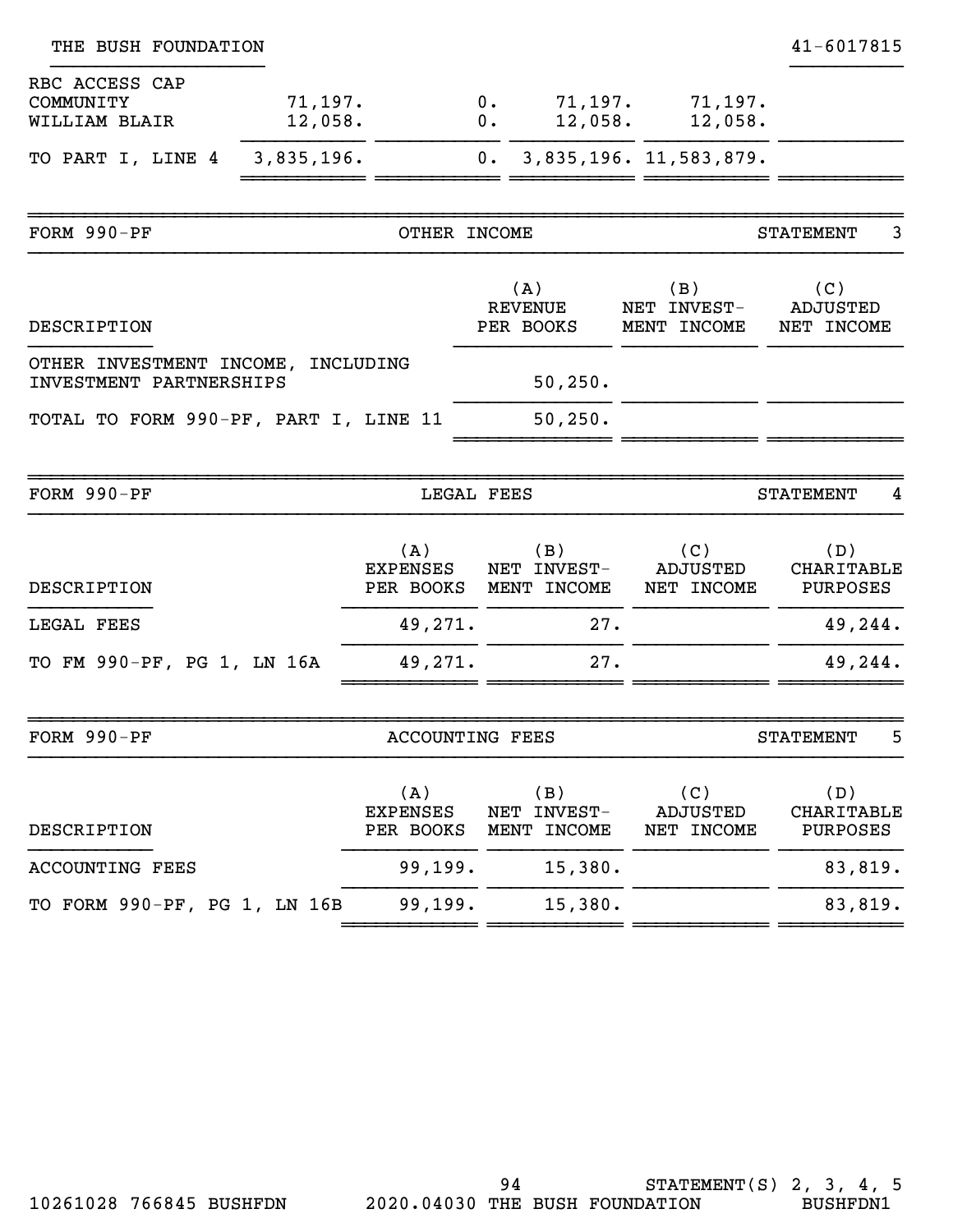| THE BUSH FOUNDATION                                           |                        |                                     |    |                                             |                                      | 41-6017815                           |
|---------------------------------------------------------------|------------------------|-------------------------------------|----|---------------------------------------------|--------------------------------------|--------------------------------------|
| RBC ACCESS CAP<br>COMMUNITY<br>WILLIAM BLAIR                  | 71, 197.<br>12,058.    |                                     | 0. | 0.<br>12,058.                               | $71, 197.$ $71, 197.$<br>12,058.     |                                      |
| TO PART I, LINE 4                                             | 3,835,196.             |                                     |    |                                             | 0. 3,835,196. 11,583,879.            |                                      |
| FORM $990-PF$                                                 |                        | OTHER INCOME                        |    |                                             |                                      | 3<br><b>STATEMENT</b>                |
| DESCRIPTION                                                   |                        |                                     |    | (A)<br><b>REVENUE</b><br>PER BOOKS          | (B)<br>NET INVEST-<br>MENT INCOME    | (C)<br><b>ADJUSTED</b><br>NET INCOME |
| OTHER INVESTMENT INCOME, INCLUDING<br>INVESTMENT PARTNERSHIPS |                        |                                     |    | 50, 250.                                    |                                      |                                      |
| TOTAL TO FORM 990-PF, PART I, LINE 11                         |                        |                                     |    | 50, 250.                                    |                                      |                                      |
| FORM 990-PF                                                   |                        | LEGAL FEES                          |    |                                             |                                      | <b>STATEMENT</b><br>4                |
| DESCRIPTION                                                   |                        | (A)<br><b>EXPENSES</b>              |    | (B)<br>NET INVEST-<br>PER BOOKS MENT INCOME | (C)<br>ADJUSTED<br>NET INCOME        | (D)<br>CHARITABLE<br>PURPOSES        |
| LEGAL FEES                                                    |                        | 49,271.<br>27.                      |    |                                             | 49,244.                              |                                      |
| TO FM 990-PF, PG 1, LN 16A                                    |                        | 49,271.                             |    | 27.                                         |                                      | 49,244.                              |
| FORM 990-PF                                                   | <b>ACCOUNTING FEES</b> |                                     |    |                                             | 5<br><b>STATEMENT</b>                |                                      |
| DESCRIPTION                                                   |                        | (A)<br><b>EXPENSES</b><br>PER BOOKS |    | (B)<br>NET INVEST-<br>MENT INCOME           | (C)<br><b>ADJUSTED</b><br>NET INCOME | (D)<br>CHARITABLE<br>PURPOSES        |
| <b>ACCOUNTING FEES</b>                                        |                        | 99,199.                             |    | 15,380.                                     |                                      | 83,819.                              |
| TO FORM 990-PF, PG 1, LN 16B                                  |                        | 99,199.                             |    | 15,380.                                     |                                      | 83,819.                              |
|                                                               |                        |                                     |    |                                             |                                      |                                      |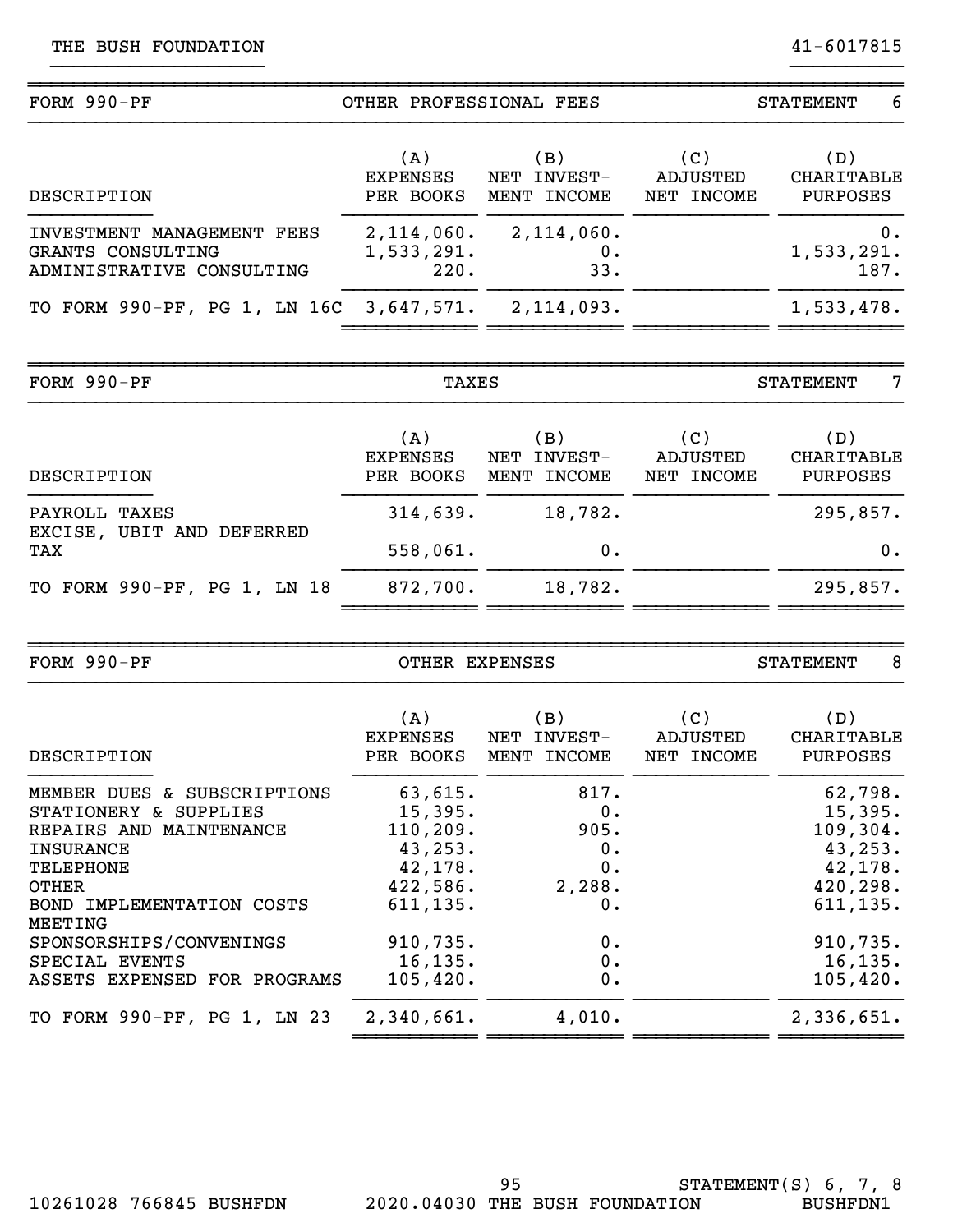| $FORM 990-PF$                                                                | OTHER PROFESSIONAL FEES             |                                      | 6<br><b>STATEMENT</b>         |                               |  |
|------------------------------------------------------------------------------|-------------------------------------|--------------------------------------|-------------------------------|-------------------------------|--|
| DESCRIPTION                                                                  | (A)<br><b>EXPENSES</b><br>PER BOOKS | (B)<br>INVEST-<br>NET<br>MENT INCOME | (C)<br>ADJUSTED<br>NET INCOME | (D)<br>CHARITABLE<br>PURPOSES |  |
| INVESTMENT MANAGEMENT FEES<br>GRANTS CONSULTING<br>ADMINISTRATIVE CONSULTING | 2,114,060.<br>1,533,291.<br>220.    | $2,114,060$ .<br>0.<br>33.           |                               | 0.<br>1,533,291.<br>187.      |  |
| TO FORM 990-PF, PG 1, LN 16C 3,647,571. 2,114,093.                           |                                     |                                      |                               | 1,533,478.                    |  |
| $FORM 990-PF$                                                                | TAXES                               |                                      |                               | 7<br>STATEMENT                |  |

| DESCRIPTION                      | (A)<br><b>EXPENSES</b><br>PER BOOKS | $'$ B)<br>NET INVEST-<br>MENT INCOME | (C)<br>ADJUSTED<br>NET INCOME | (D)<br>CHARITABLE<br>PURPOSES |
|----------------------------------|-------------------------------------|--------------------------------------|-------------------------------|-------------------------------|
| PAYROLL<br>TAXES                 | 314,639.                            | 18,782.                              |                               | 295,857.                      |
| EXCISE, UBIT AND DEFERRED<br>TAX | 558,061.                            | 0.                                   |                               | 0.                            |
| TO FORM 990-PF, PG 1, LN 18      | 872,700.                            | 18,782.                              |                               | 295,857.                      |
|                                  |                                     |                                      |                               |                               |

| FORM $990-PF$                                                                                                                                                                  | OTHER EXPENSES                                                                  |                                                | 8<br><b>STATEMENT</b>         |                                                                                |  |
|--------------------------------------------------------------------------------------------------------------------------------------------------------------------------------|---------------------------------------------------------------------------------|------------------------------------------------|-------------------------------|--------------------------------------------------------------------------------|--|
| DESCRIPTION                                                                                                                                                                    | (A)<br><b>EXPENSES</b><br>PER BOOKS                                             | (B)<br>NET INVEST-<br>MENT INCOME              | (C)<br>ADJUSTED<br>NET INCOME | (D)<br>CHARITABLE<br><b>PURPOSES</b>                                           |  |
| MEMBER DUES & SUBSCRIPTIONS<br>STATIONERY &<br><b>SUPPLIES</b><br>REPAIRS AND MAINTENANCE<br><b>INSURANCE</b><br><b>TELEPHONE</b><br><b>OTHER</b><br>BOND IMPLEMENTATION COSTS | 63,615.<br>15,395.<br>110, 209.<br>43,253.<br>42, 178.<br>422,586.<br>611, 135. | 817.<br>0.<br>905.<br>0.<br>0.<br>2,288.<br>0. |                               | 62,798.<br>15,395.<br>109,304.<br>43,253.<br>42, 178.<br>420,298.<br>611, 135. |  |
| MEETING<br>SPONSORSHIPS/CONVENINGS<br>SPECIAL EVENTS<br>ASSETS EXPENSED FOR PROGRAMS<br>TO FORM 990-PF, PG 1, LN 23                                                            | 910,735.<br>16, 135.<br>105,420.<br>2,340,661.                                  | 0.<br>0.<br>0.<br>4,010.                       |                               | 910,735.<br>16, 135.<br>105,420.<br>2,336,651.                                 |  |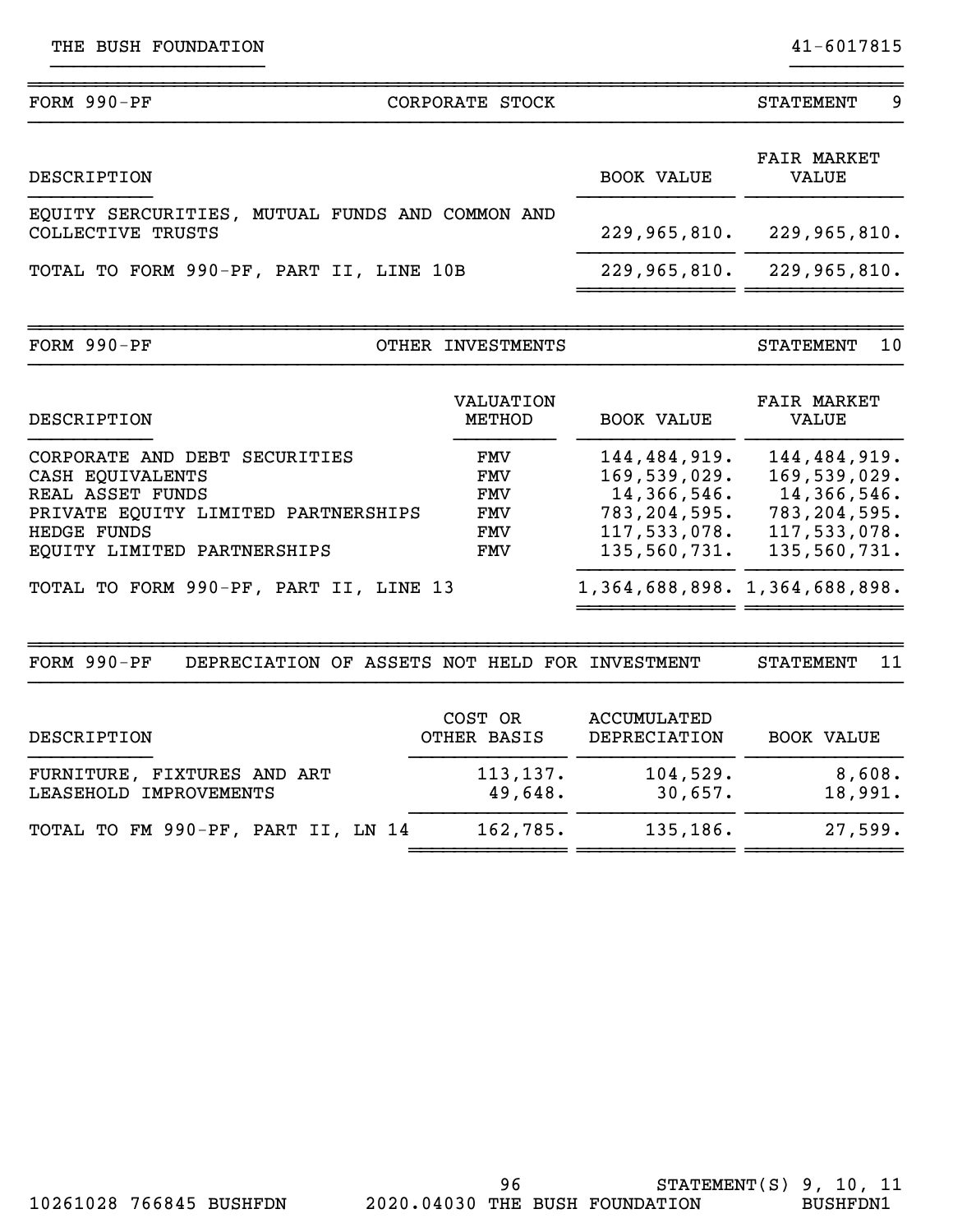| FORM 990-PF                                                                                                                                                       | CORPORATE STOCK                                             |                                                                                                 | <b>STATEMENT</b><br>9                                                                         |
|-------------------------------------------------------------------------------------------------------------------------------------------------------------------|-------------------------------------------------------------|-------------------------------------------------------------------------------------------------|-----------------------------------------------------------------------------------------------|
| DESCRIPTION                                                                                                                                                       |                                                             | <b>BOOK VALUE</b>                                                                               | <b>FAIR MARKET</b><br><b>VALUE</b>                                                            |
| EQUITY SERCURITIES, MUTUAL FUNDS AND COMMON AND<br>COLLECTIVE TRUSTS                                                                                              |                                                             | 229,965,810.                                                                                    | 229,965,810.                                                                                  |
| TOTAL TO FORM 990-PF, PART II, LINE 10B                                                                                                                           | 229,965,810.                                                | 229,965,810.                                                                                    |                                                                                               |
| FORM 990-PF                                                                                                                                                       | OTHER INVESTMENTS                                           |                                                                                                 | <b>STATEMENT</b><br>10                                                                        |
| DESCRIPTION                                                                                                                                                       | VALUATION<br><b>METHOD</b>                                  | <b>BOOK VALUE</b>                                                                               | <b>FAIR MARKET</b><br><b>VALUE</b>                                                            |
| CORPORATE AND DEBT SECURITIES<br>CASH EQUIVALENTS<br>REAL ASSET FUNDS<br>PRIVATE EQUITY LIMITED PARTNERSHIPS<br><b>HEDGE FUNDS</b><br>EQUITY LIMITED PARTNERSHIPS | FMV<br><b>FMV</b><br>FMV<br>FMV<br><b>FMV</b><br><b>FMV</b> | 144,484,919.<br>169,539,029.<br>14, 366, 546.<br>783, 204, 595.<br>117,533,078.<br>135,560,731. | 144,484,919.<br>169,539,029.<br>14,366,546.<br>783, 204, 595.<br>117,533,078.<br>135,560,731. |
| TOTAL TO FORM 990-PF, PART II, LINE 13                                                                                                                            |                                                             |                                                                                                 | 1,364,688,898. 1,364,688,898.                                                                 |
| FORM 990-PF<br>DEPRECIATION OF ASSETS NOT HELD FOR INVESTMENT                                                                                                     |                                                             |                                                                                                 | 11<br>STATEMENT                                                                               |
| DESCRIPTION                                                                                                                                                       | COST OR<br>OTHER BASIS                                      | <b>ACCUMULATED</b><br><b>DEPRECIATION</b>                                                       | <b>BOOK VALUE</b>                                                                             |
| FURNITURE, FIXTURES AND ART<br>LEASEHOLD IMPROVEMENTS                                                                                                             | 113, 137.<br>49,648.                                        | 104,529.<br>30,657.                                                                             | 8,608.<br>18,991.                                                                             |
| TOTAL TO FM 990-PF, PART II, LN 14                                                                                                                                | 162,785.                                                    | 135,186.                                                                                        | 27,599.                                                                                       |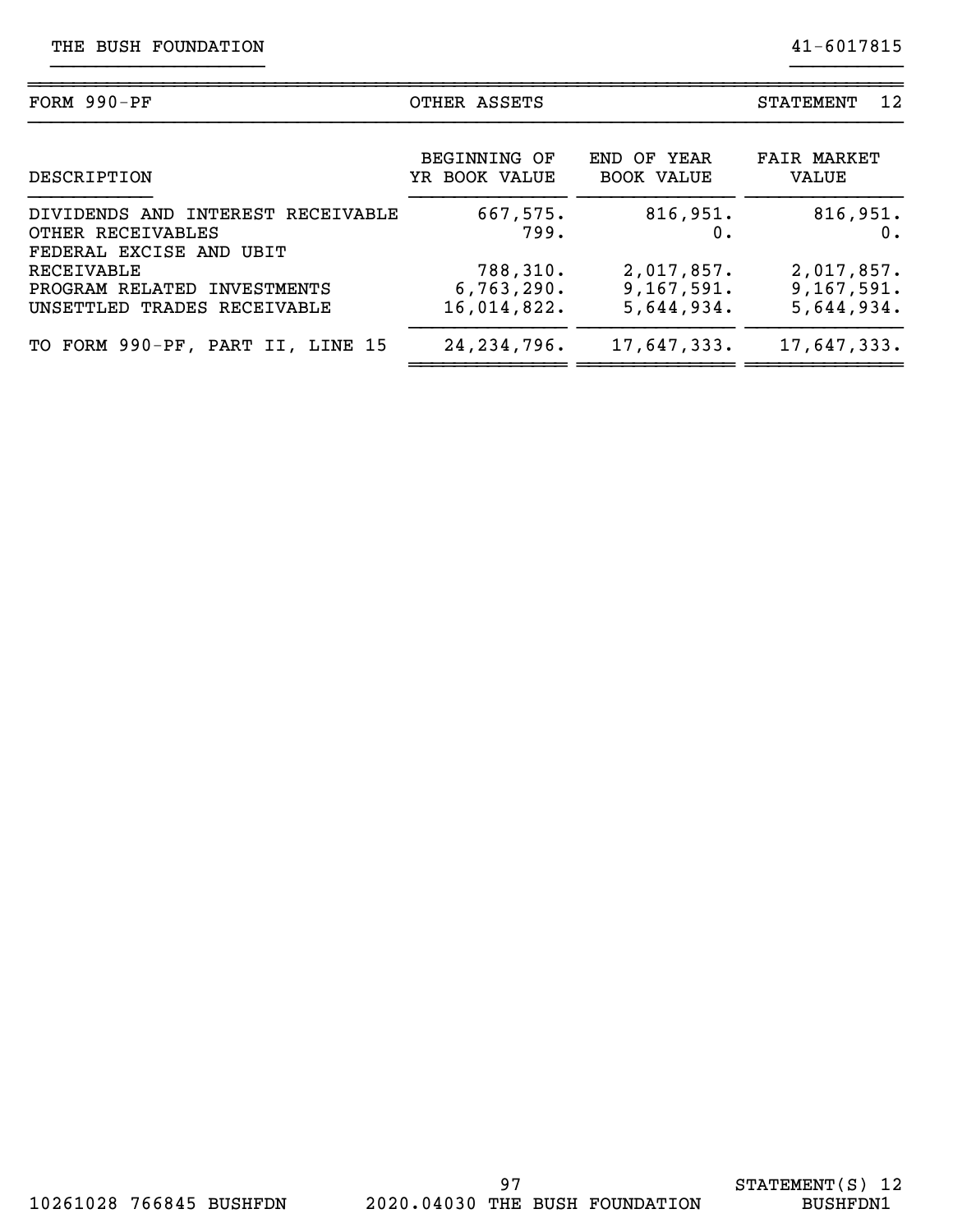| FORM $990-PF$                                                                     | OTHER ASSETS                          | 12<br><b>STATEMENT</b>                 |                                        |
|-----------------------------------------------------------------------------------|---------------------------------------|----------------------------------------|----------------------------------------|
| DESCRIPTION                                                                       | <b>BEGINNING OF</b><br>YR BOOK VALUE  | END OF YEAR<br><b>BOOK VALUE</b>       | <b>FAIR MARKET</b><br>VALUE            |
| DIVIDENDS AND INTEREST RECEIVABLE<br>OTHER RECEIVABLES<br>FEDERAL EXCISE AND UBIT | 667,575.<br>799.                      | 816,951.<br>0.                         | 816,951.<br>$0$ .                      |
| RECEIVABLE<br>PROGRAM RELATED INVESTMENTS<br>UNSETTLED TRADES RECEIVABLE          | 788,310.<br>6,763,290.<br>16,014,822. | 2,017,857.<br>9,167,591.<br>5,644,934. | 2,017,857.<br>9,167,591.<br>5,644,934. |
| TO FORM 990-PF, PART II, LINE 15                                                  | 24, 234, 796.                         | 17,647,333.                            | 17,647,333.                            |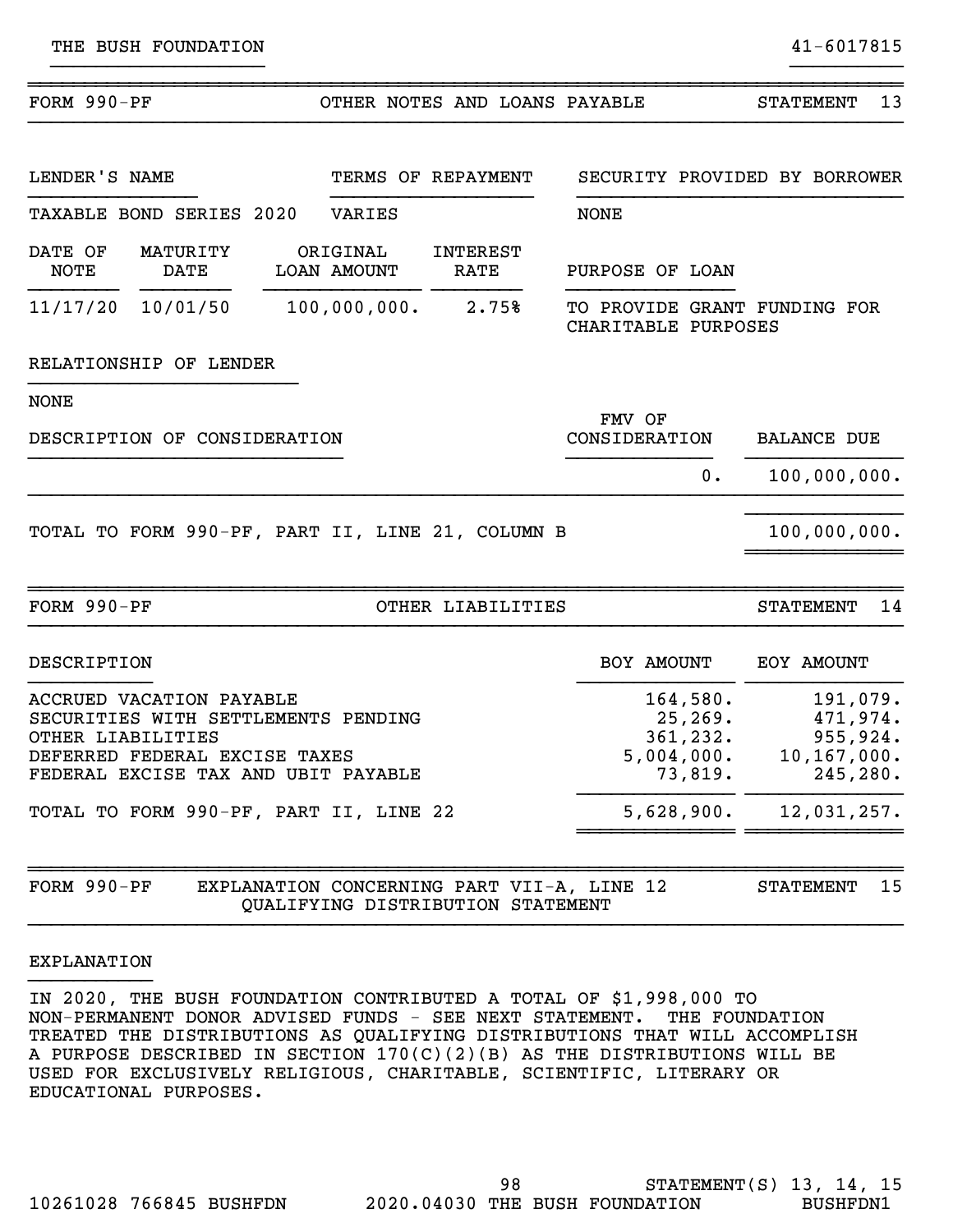| FORM $990-PF$                                                                                                                                                                                          |                              |  |                                | OTHER NOTES AND LOANS PAYABLE                                                   |                                                                          | 13<br><b>STATEMENT</b>                                                        |
|--------------------------------------------------------------------------------------------------------------------------------------------------------------------------------------------------------|------------------------------|--|--------------------------------|---------------------------------------------------------------------------------|--------------------------------------------------------------------------|-------------------------------------------------------------------------------|
| LENDER'S NAME                                                                                                                                                                                          |                              |  |                                | TERMS OF REPAYMENT                                                              | SECURITY PROVIDED BY BORROWER                                            |                                                                               |
|                                                                                                                                                                                                        | TAXABLE BOND SERIES 2020     |  | VARIES                         |                                                                                 | <b>NONE</b>                                                              |                                                                               |
| DATE OF<br><b>NOTE</b>                                                                                                                                                                                 | MATURITY<br>DATE             |  | ORIGINAL<br><b>LOAN AMOUNT</b> | <b>INTEREST</b><br><b>RATE</b>                                                  | PURPOSE OF LOAN                                                          |                                                                               |
|                                                                                                                                                                                                        | 11/17/20 10/01/50            |  | 100,000,000.                   | 2.75%                                                                           | TO PROVIDE GRANT FUNDING FOR<br>CHARITABLE PURPOSES                      |                                                                               |
|                                                                                                                                                                                                        | RELATIONSHIP OF LENDER       |  |                                |                                                                                 |                                                                          |                                                                               |
| <b>NONE</b>                                                                                                                                                                                            |                              |  |                                |                                                                                 |                                                                          |                                                                               |
|                                                                                                                                                                                                        | DESCRIPTION OF CONSIDERATION |  |                                |                                                                                 | FMV OF<br>CONSIDERATION                                                  | <b>BALANCE DUE</b>                                                            |
|                                                                                                                                                                                                        |                              |  |                                |                                                                                 | $0$ .                                                                    | 100,000,000.                                                                  |
|                                                                                                                                                                                                        |                              |  |                                | TOTAL TO FORM 990-PF, PART II, LINE 21, COLUMN B                                |                                                                          | 100,000,000.                                                                  |
| FORM $990-PF$                                                                                                                                                                                          |                              |  |                                | OTHER LIABILITIES                                                               |                                                                          | <b>STATEMENT</b><br>14                                                        |
| DESCRIPTION                                                                                                                                                                                            |                              |  |                                |                                                                                 | BOY AMOUNT                                                               | EOY AMOUNT                                                                    |
| ACCRUED VACATION PAYABLE<br>SECURITIES WITH SETTLEMENTS PENDING<br>OTHER LIABILITIES<br>DEFERRED FEDERAL EXCISE TAXES<br>FEDERAL EXCISE TAX AND UBIT PAYABLE<br>TOTAL TO FORM 990-PF, PART II, LINE 22 |                              |  |                                |                                                                                 | 164,580.<br>25, 269.<br>361, 232.<br>5,004,000.<br>73,819.<br>5,628,900. | 191,079.<br>471,974.<br>955,924.<br>10, 167, 000.<br>245, 280.<br>12,031,257. |
| FORM 990-PF                                                                                                                                                                                            |                              |  |                                | EXPLANATION CONCERNING PART VII-A, LINE 12<br>QUALIFYING DISTRIBUTION STATEMENT |                                                                          | 15<br><b>STATEMENT</b>                                                        |

# EXPLANATION }}}}}}}}}}}

IN 2020, THE BUSH FOUNDATION CONTRIBUTED A TOTAL OF \$1,998,000 TO NON-PERMANENT DONOR ADVISED FUNDS - SEE NEXT STATEMENT. THE FOUNDATION TREATED THE DISTRIBUTIONS AS QUALIFYING DISTRIBUTIONS THAT WILL ACCOMPLISH A PURPOSE DESCRIBED IN SECTION 170(C)(2)(B) AS THE DISTRIBUTIONS WILL BE USED FOR EXCLUSIVELY RELIGIOUS, CHARITABLE, SCIENTIFIC, LITERARY OR EDUCATIONAL PURPOSES.

}}}}}}}}}}}}}}}}}}}}}}}}}}}}}}}}}}}}}}}}}}}}}}}}}}}}}}}}}}}}}}}}}}}}}}}}}}}}}}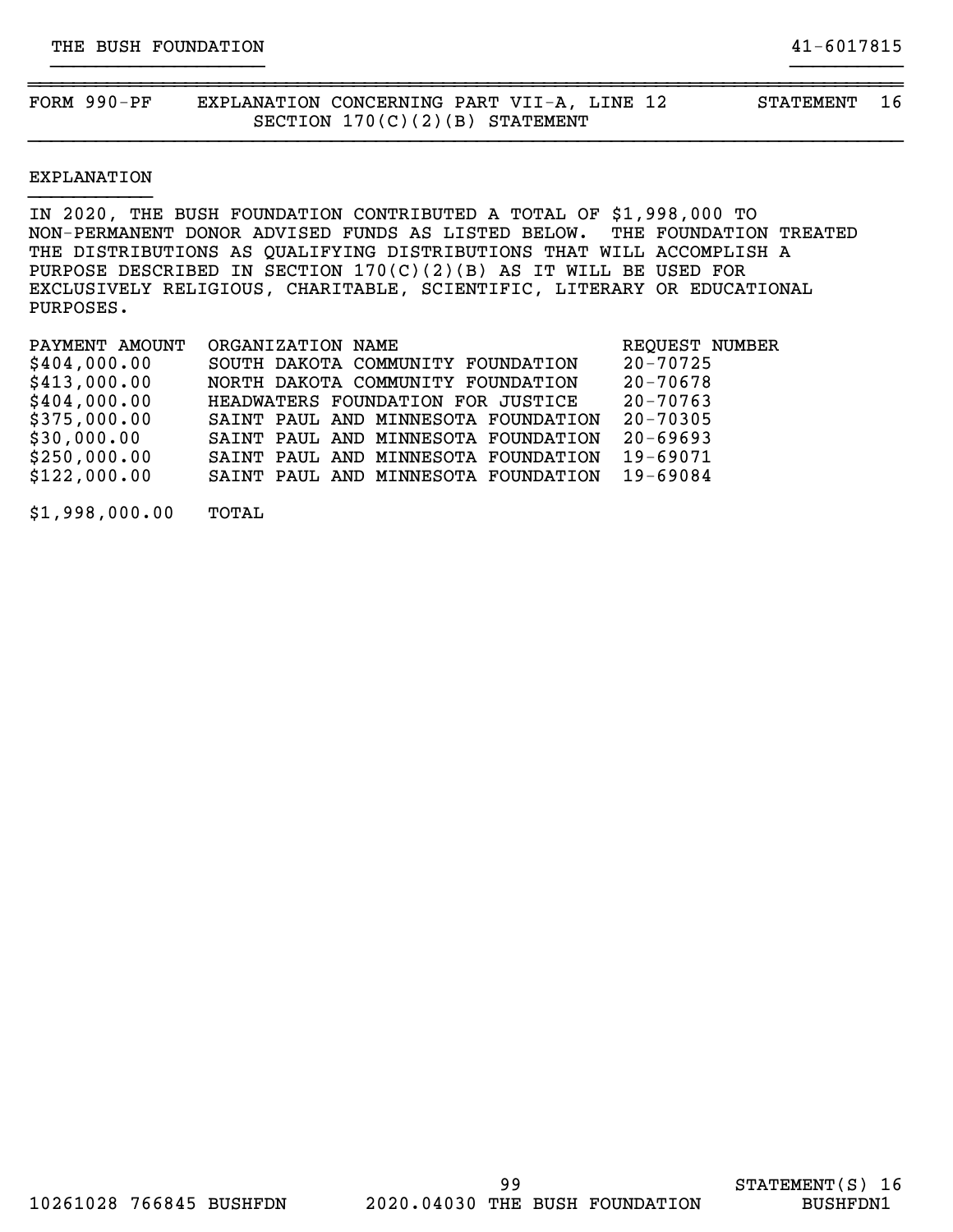FORM 990-PF EXPLANATION CONCERNING PART VII-A, LINE 12 STATEMENT 16 SECTION 170(C)(2)(B) STATEMENT

# EXPLANATION }}}}}}}}}}}

IN 2020, THE BUSH FOUNDATION CONTRIBUTED A TOTAL OF \$1,998,000 TO NON-PERMANENT DONOR ADVISED FUNDS AS LISTED BELOW. THE FOUNDATION TREATED THE DISTRIBUTIONS AS QUALIFYING DISTRIBUTIONS THAT WILL ACCOMPLISH A PURPOSE DESCRIBED IN SECTION  $170(C)(2)(B)$  AS IT WILL BE USED FOR EXCLUSIVELY RELIGIOUS, CHARITABLE, SCIENTIFIC, LITERARY OR EDUCATIONAL PURPOSES.

~~~~~~~~~~~~~~~~~~~~~~~~~~~~~~~~~~~~~~~~~~~~~~~~~~~~~~~~~~~~~~~~~~~~~~~~~~~~~~

}}}}}}}}}}}}}}}}}}} }}}}}}}}}}

}}}}}}}}}}}}}}}}}}}}}}}}}}}}}}}}}}}}}}}}}}}}}}}}}}}}}}}}}}}}}}}}}}}}}}}}}}}}}}

| PAYMENT AMOUNT | ORGANIZATION NAME                   | REQUEST NUMBER |
|----------------|-------------------------------------|----------------|
| \$404,000.00   | SOUTH DAKOTA COMMUNITY FOUNDATION   | $20 - 70725$   |
| \$413,000.00   | NORTH DAKOTA COMMUNITY FOUNDATION   | $20 - 70678$   |
| \$404,000.00   | HEADWATERS FOUNDATION FOR JUSTICE   | $20 - 70763$   |
| \$375,000.00   | SAINT PAUL AND MINNESOTA FOUNDATION | 20-70305       |
| \$30,000.00    | SAINT PAUL AND MINNESOTA FOUNDATION | $20 - 69693$   |
| \$250,000.00   | SAINT PAUL AND MINNESOTA FOUNDATION | 19-69071       |
| \$122,000.00   | SAINT PAUL AND MINNESOTA FOUNDATION | $19 - 69084$   |
|                |                                     |                |

\$1,998,000.00 TOTAL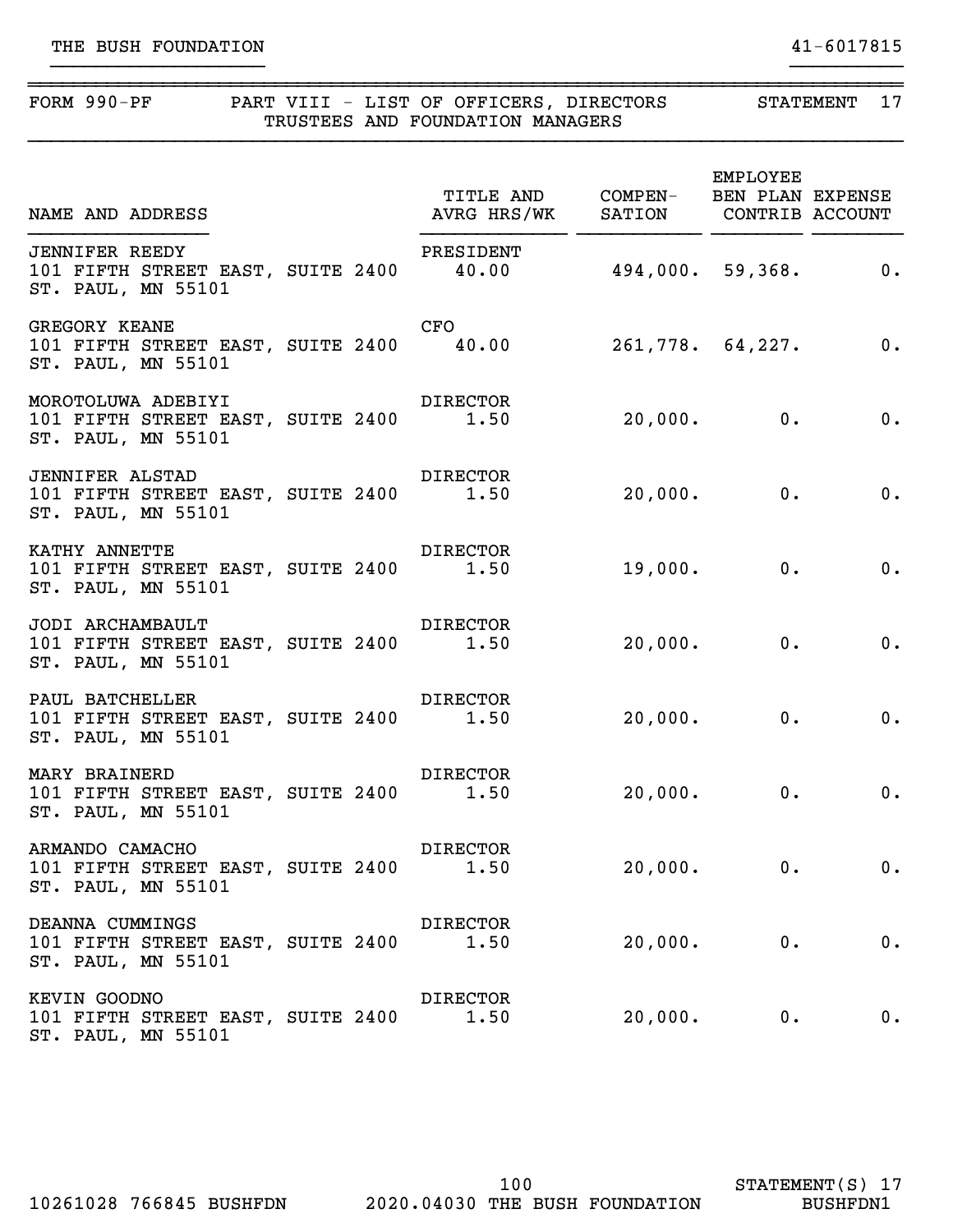| FORM 990-PF PART VIII - LIST OF OFFICERS, DIRECTORS STATEMENT 17                                           |                 | TRUSTEES AND FOUNDATION MANAGERS |               |              |                             |
|------------------------------------------------------------------------------------------------------------|-----------------|----------------------------------|---------------|--------------|-----------------------------|
| TITLE AND COMPEN- BEN PLAN EXPENSE<br>AVRG HRS/WK SATION CONTRIB ACCOUNT                                   |                 |                                  |               | EMPLOYEE     |                             |
| <b>JENNIFER REEDY</b><br>101 FIFTH STREET EAST, SUITE 2400 40.00 494,000. 59,368. 0.<br>ST. PAUL, MN 55101 |                 | PRESIDENT                        |               |              |                             |
| <b>GREGORY KEANE</b><br>101 FIFTH STREET EAST, SUITE 2400 40.00 261,778. 64,227. 0.<br>ST. PAUL, MN 55101  |                 | CFO                              |               |              |                             |
| 101 FIFTH STREET EAST, SUITE 2400 1.50 20,000. 0.<br>ST. PAUL, MN 55101                                    |                 |                                  |               |              | $\overline{\phantom{a}}$ 0. |
| <b>JENNIFER ALSTAD</b><br>101 FIFTH STREET EAST, SUITE 2400 1.50 20,000. 0.<br>ST. PAUL, MN 55101          | <b>DIRECTOR</b> |                                  |               |              | 0.                          |
| KATHY ANNETTE<br>101 FIFTH STREET EAST, SUITE 2400 1.50<br>ST. PAUL, MN 55101                              | <b>DIRECTOR</b> |                                  |               | $19,000.$ 0. | 0.                          |
| JODI ARCHAMBAULT<br>101 FIFTH STREET EAST, SUITE 2400 1.50<br>ST. PAUL, MN 55101                           | <b>DIRECTOR</b> |                                  | $20,000$ . 0. |              | 0.                          |
| PAUL BATCHELLER<br>101 FIFTH STREET EAST, SUITE 2400 1.50<br>ST. PAUL, MN 55101                            | <b>DIRECTOR</b> |                                  | $20,000.$ 0.  |              | $\overline{\phantom{a}}$    |
| MARY BRAINERD<br>101 FIFTH STREET EAST, SUITE 2400<br>ST. PAUL, MN 55101                                   |                 | <b>DIRECTOR</b><br>1.50          |               | $20,000.$ 0. | 0.                          |
| ARMANDO CAMACHO<br>101 FIFTH STREET EAST, SUITE 2400<br>ST. PAUL, MN 55101                                 |                 | DIRECTOR<br>1.50                 |               | $20,000.$ 0. | 0.                          |
| DEANNA CUMMINGS<br>101 FIFTH STREET EAST, SUITE 2400<br>ST. PAUL, MN 55101                                 |                 | DIRECTOR<br>1.50                 |               | $20,000.$ 0. | 0.                          |
| KEVIN GOODNO<br>101 FIFTH STREET EAST, SUITE 2400                                                          |                 | DIRECTOR<br>1.50                 | 20,000.       | $0$ .        | 0.                          |

ST. PAUL, MN 55101

STATEMENT(S) 17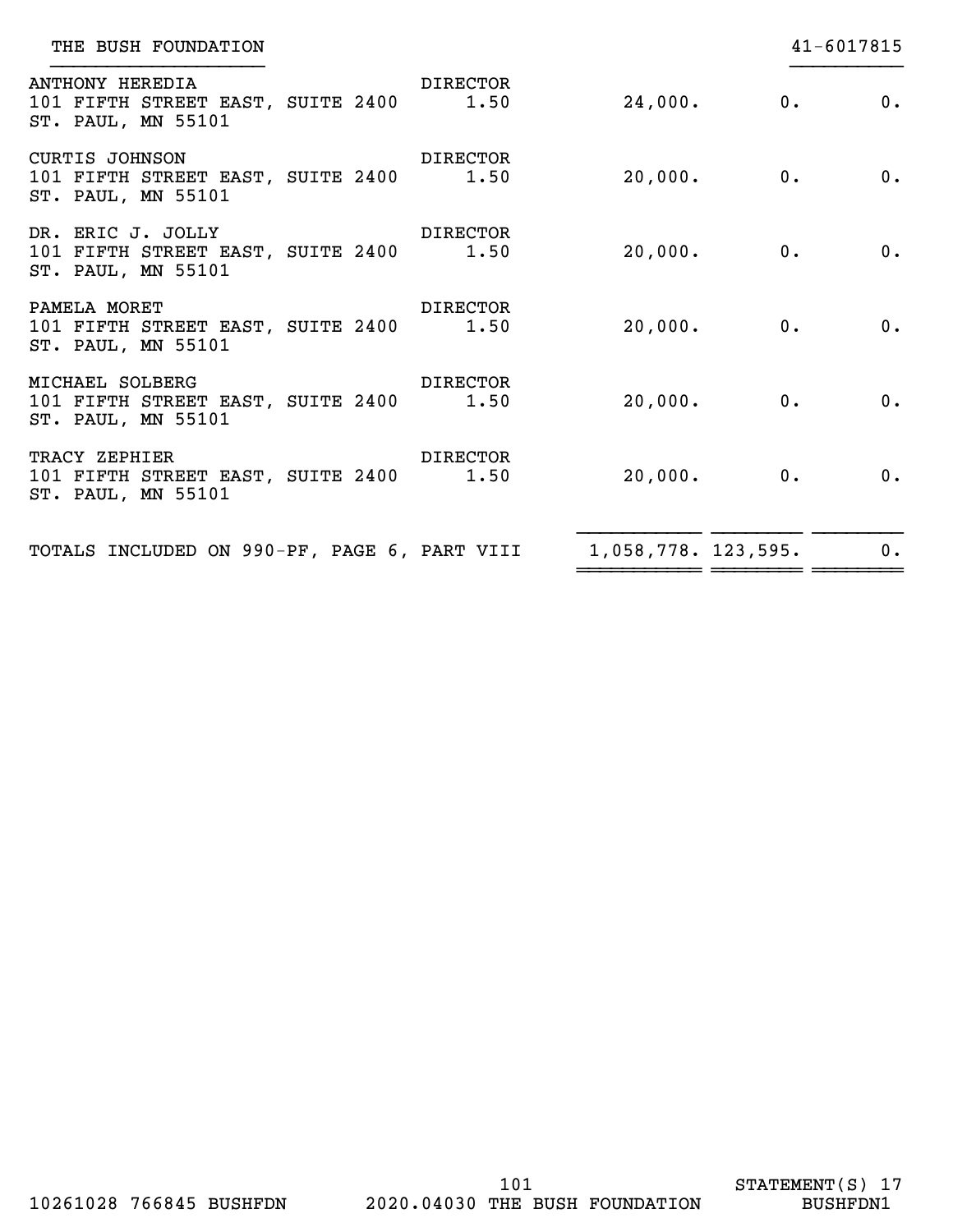| THE BUSH FOUNDATION                                                                               |                            |                            |                  | 41-6017815 |
|---------------------------------------------------------------------------------------------------|----------------------------|----------------------------|------------------|------------|
| <b>ANTHONY HEREDIA</b><br>101 FIFTH STREET EAST, SUITE 2400 1.50 24,000. 0.<br>ST. PAUL, MN 55101 | <b>Example 12 DERECTOR</b> |                            |                  | 0.         |
| <b>CURTIS JOHNSON</b><br>101 FIFTH STREET EAST, SUITE 2400 1.50<br>ST. PAUL, MN 55101             | <b>Example 12 DERECTOR</b> |                            | $20,000$ . 0.    | 0.         |
| DR. ERIC J. JOLLY DIRECTOR<br>101 FIFTH STREET EAST, SUITE 2400 1.50<br>ST. PAUL, MN 55101        |                            |                            | $20,000$ . $0$ . | $0$ .      |
| PAMELA MORET<br>101 FIFTH STREET EAST, SUITE 2400 1.50<br>ST. PAUL, MN 55101                      | <b>DIRECTOR</b>            | $20,000$ . $\qquad \qquad$ | 0.               | 0.         |
| MICHAEL SOLBERG<br>101 FIFTH STREET EAST, SUITE 2400 1.50<br>ST. PAUL, MN 55101                   | <b>Example 12 DERECTOR</b> | $20,000$ . $\qquad \qquad$ | 0.               | 0.         |
| TRACY ZEPHIER<br>101 FIFTH STREET EAST, SUITE 2400 1.50<br>ST. PAUL, MN 55101                     | <b>DIRECTOR</b>            | $20,000$ . 0.              |                  | 0.         |
| TOTALS INCLUDED ON 990-PF, PAGE 6, PART VIII 1,058,778. 123,595.                                  |                            |                            |                  | $0$ .      |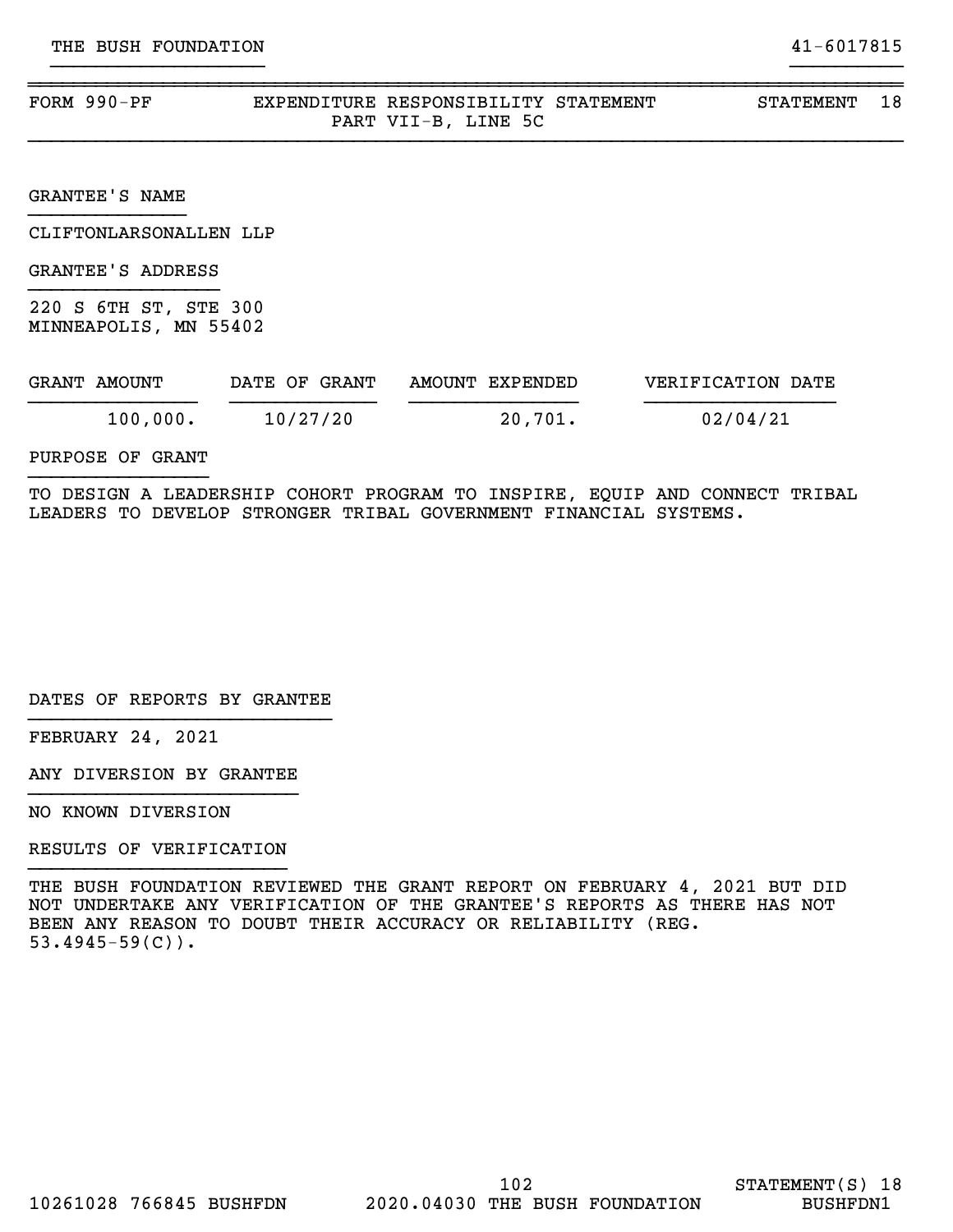| FORM $990-PF$ | EXPENDITURE RESPONSIBILITY STATEMENT |             |         | STATEMENT |  |
|---------------|--------------------------------------|-------------|---------|-----------|--|
|               |                                      | PART VII-B, | LINE 5C |           |  |

}}}}}}}}}}}}}}}}}}}}}}}}}}}}}}}}}}}}}}}}}}}}}}}}}}}}}}}}}}}}}}}}}}}}}}}}}}}}}}

GRANTEE'S NAME }}}}}}}}}}}}}}

CLIFTONLARSONALLEN LLP

GRANTEE'S ADDRESS }}}}}}}}}}}}}}}}}

220 S 6TH ST, STE 300 MINNEAPOLIS, MN 55402

| GRANT AMOUNT | DATE OF GRANT | AMOUNT EXPENDED | VERIFICATION DATE |
|--------------|---------------|-----------------|-------------------|
| 100,000.     | 10/27/20      | 20,701.         | 02/04/21          |

PURPOSE OF GRANT }}}}}}}}}}}}}}}}

TO DESIGN A LEADERSHIP COHORT PROGRAM TO INSPIRE, EQUIP AND CONNECT TRIBAL LEADERS TO DEVELOP STRONGER TRIBAL GOVERNMENT FINANCIAL SYSTEMS.

DATES OF REPORTS BY GRANTEE }}}}}}}}}}}}}}}}}}}}}}}}}}}

FEBRUARY 24, 2021

ANY DIVERSION BY GRANTEE }}}}}}}}}}}}}}}}}}}}}}}}

NO KNOWN DIVERSION

RESULTS OF VERIFICATION }}}}}}}}}}}}}}}}}}}}}}}

THE BUSH FOUNDATION REVIEWED THE GRANT REPORT ON FEBRUARY 4, 2021 BUT DID NOT UNDERTAKE ANY VERIFICATION OF THE GRANTEE'S REPORTS AS THERE HAS NOT BEEN ANY REASON TO DOUBT THEIR ACCURACY OR RELIABILITY (REG.  $53.4945 - 59(C)$ .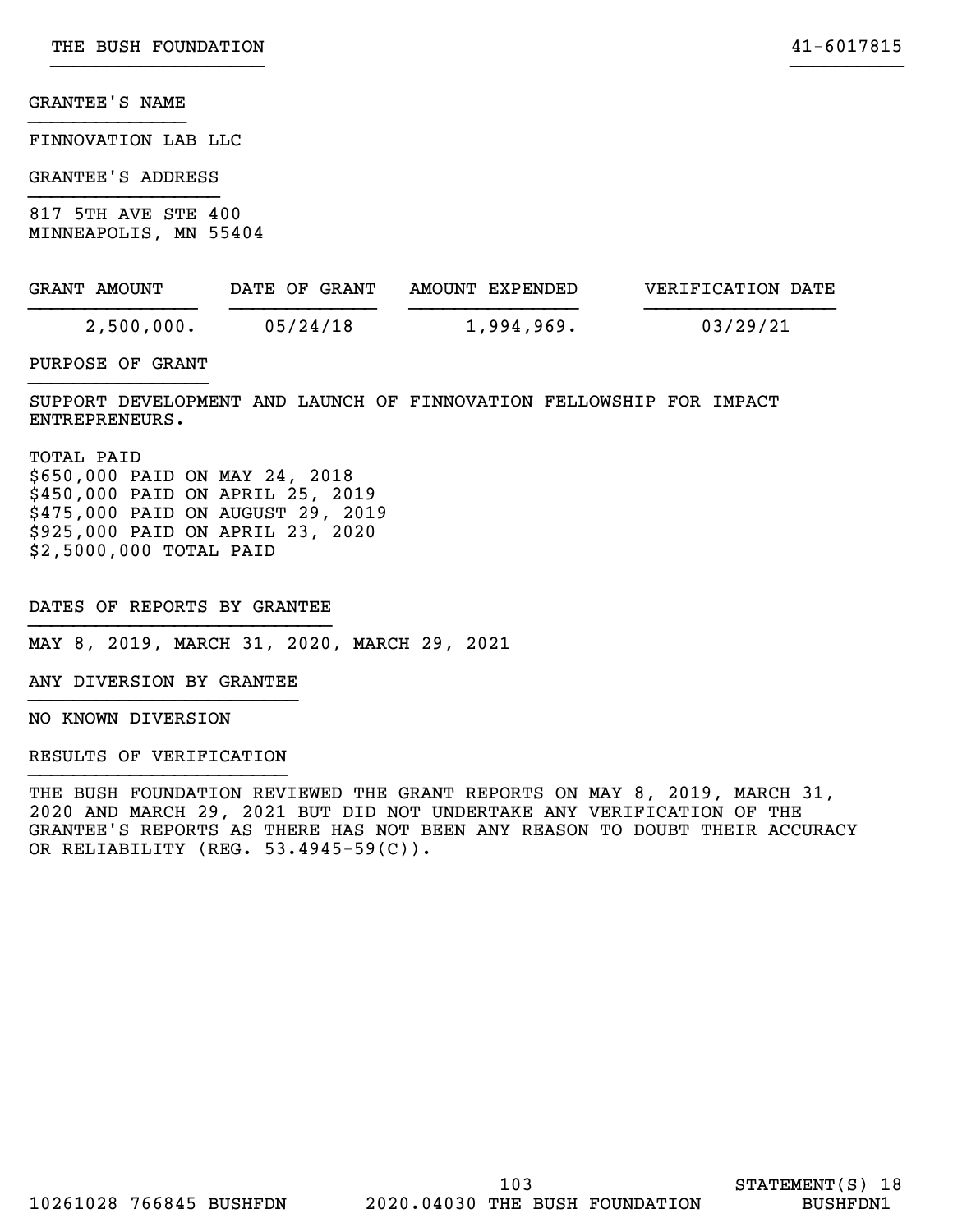FINNOVATION LAB LLC

GRANTEE'S ADDRESS }}}}}}}}}}}}}}}}}

817 5TH AVE STE 400 MINNEAPOLIS, MN 55404

| GRANT AMOUNT | DATE OF GRANT | AMOUNT EXPENDED | VERIFICATION DATE |
|--------------|---------------|-----------------|-------------------|
| 2,500,000.   | 05/24/18      | 1,994,969.      | 03/29/21          |

}}}}}}}}}}}}}}}}}}} }}}}}}}}}}

PURPOSE OF GRANT }}}}}}}}}}}}}}}}

SUPPORT DEVELOPMENT AND LAUNCH OF FINNOVATION FELLOWSHIP FOR IMPACT ENTREPRENEURS.

TOTAL PAID \$650,000 PAID ON MAY 24, 2018 \$450,000 PAID ON APRIL 25, 2019 \$475,000 PAID ON AUGUST 29, 2019 \$925,000 PAID ON APRIL 23, 2020 \$2,5000,000 TOTAL PAID

DATES OF REPORTS BY GRANTEE }}}}}}}}}}}}}}}}}}}}}}}}}}}

MAY 8, 2019, MARCH 31, 2020, MARCH 29, 2021

ANY DIVERSION BY GRANTEE }}}}}}}}}}}}}}}}}}}}}}}}

NO KNOWN DIVERSION

RESULTS OF VERIFICATION }}}}}}}}}}}}}}}}}}}}}}}

THE BUSH FOUNDATION REVIEWED THE GRANT REPORTS ON MAY 8, 2019, MARCH 31, 2020 AND MARCH 29, 2021 BUT DID NOT UNDERTAKE ANY VERIFICATION OF THE GRANTEE'S REPORTS AS THERE HAS NOT BEEN ANY REASON TO DOUBT THEIR ACCURACY OR RELIABILITY (REG. 53.4945-59(C)).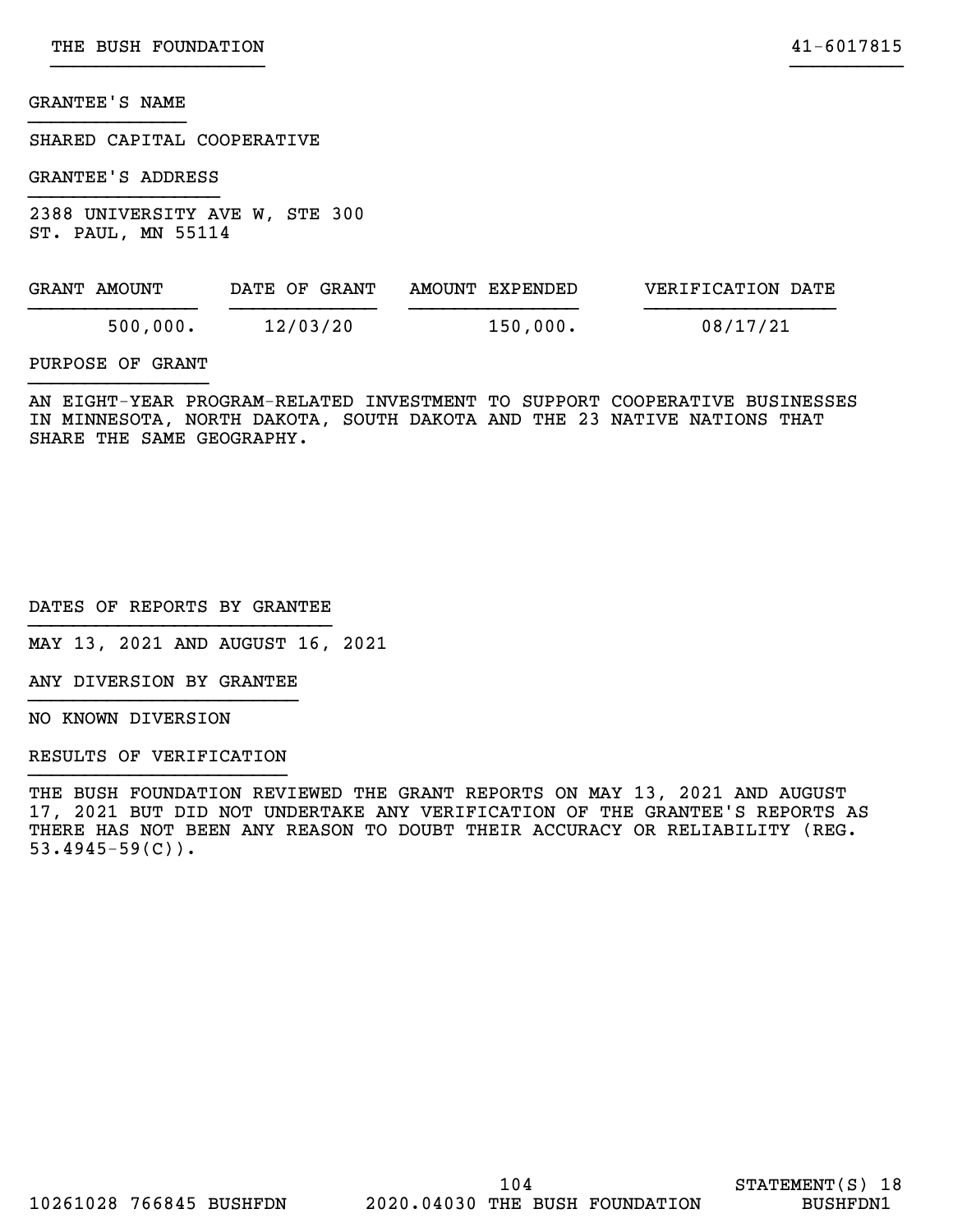SHARED CAPITAL COOPERATIVE

GRANTEE'S ADDRESS }}}}}}}}}}}}}}}}}

2388 UNIVERSITY AVE W, STE 300 ST. PAUL, MN 55114

| GRANT AMOUNT | DATE OF GRANT | AMOUNT EXPENDED | VERIFICATION DATE |
|--------------|---------------|-----------------|-------------------|
| 500,000.     | 12/03/20      | 150,000.        | 08/17/21          |

}}}}}}}}}}}}}}}}}}} }}}}}}}}}}

# PURPOSE OF GRANT }}}}}}}}}}}}}}}}

AN EIGHT-YEAR PROGRAM-RELATED INVESTMENT TO SUPPORT COOPERATIVE BUSINESSES IN MINNESOTA, NORTH DAKOTA, SOUTH DAKOTA AND THE 23 NATIVE NATIONS THAT SHARE THE SAME GEOGRAPHY.

DATES OF REPORTS BY GRANTEE }}}}}}}}}}}}}}}}}}}}}}}}}}}

MAY 13, 2021 AND AUGUST 16, 2021

ANY DIVERSION BY GRANTEE }}}}}}}}}}}}}}}}}}}}}}}}

NO KNOWN DIVERSION

RESULTS OF VERIFICATION }}}}}}}}}}}}}}}}}}}}}}}

THE BUSH FOUNDATION REVIEWED THE GRANT REPORTS ON MAY 13, 2021 AND AUGUST 17, 2021 BUT DID NOT UNDERTAKE ANY VERIFICATION OF THE GRANTEE'S REPORTS AS THERE HAS NOT BEEN ANY REASON TO DOUBT THEIR ACCURACY OR RELIABILITY (REG.  $53.4945 - 59(C)$ .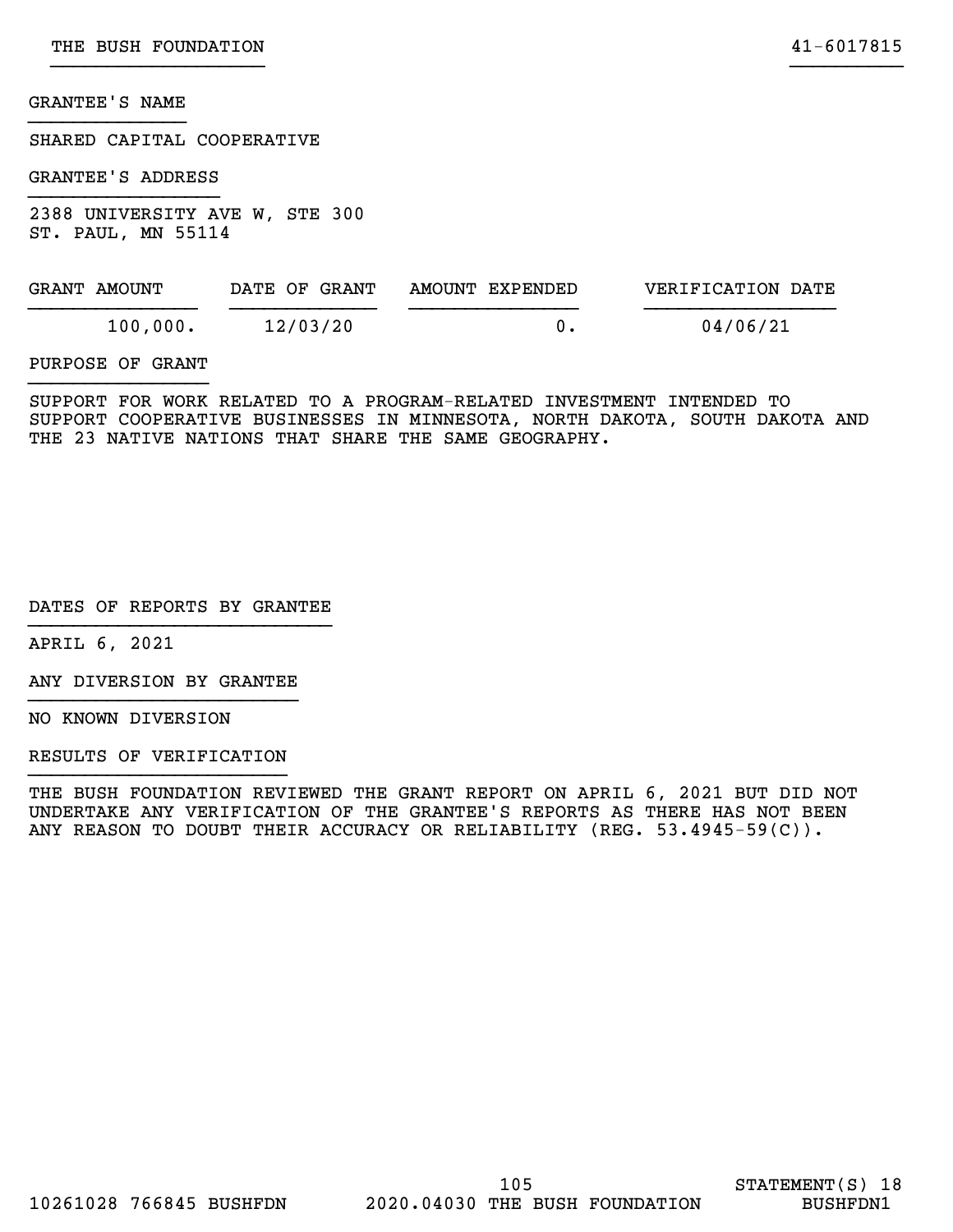SHARED CAPITAL COOPERATIVE

GRANTEE'S ADDRESS }}}}}}}}}}}}}}}}}

2388 UNIVERSITY AVE W, STE 300 ST. PAUL, MN 55114

| GRANT AMOUNT | DATE OF GRANT | AMOUNT EXPENDED | VERIFICATION DATE |
|--------------|---------------|-----------------|-------------------|
| 100,000.     | 12/03/20      | 0.              | 04/06/21          |
|              |               |                 |                   |

}}}}}}}}}}}}}}}}}}} }}}}}}}}}}

PURPOSE OF GRANT }}}}}}}}}}}}}}}}

SUPPORT FOR WORK RELATED TO A PROGRAM-RELATED INVESTMENT INTENDED TO SUPPORT COOPERATIVE BUSINESSES IN MINNESOTA, NORTH DAKOTA, SOUTH DAKOTA AND THE 23 NATIVE NATIONS THAT SHARE THE SAME GEOGRAPHY.

DATES OF REPORTS BY GRANTEE }}}}}}}}}}}}}}}}}}}}}}}}}}}

APRIL 6, 2021

ANY DIVERSION BY GRANTEE }}}}}}}}}}}}}}}}}}}}}}}}

NO KNOWN DIVERSION

RESULTS OF VERIFICATION }}}}}}}}}}}}}}}}}}}}}}}

THE BUSH FOUNDATION REVIEWED THE GRANT REPORT ON APRIL 6, 2021 BUT DID NOT UNDERTAKE ANY VERIFICATION OF THE GRANTEE'S REPORTS AS THERE HAS NOT BEEN ANY REASON TO DOUBT THEIR ACCURACY OR RELIABILITY (REG. 53.4945-59(C)).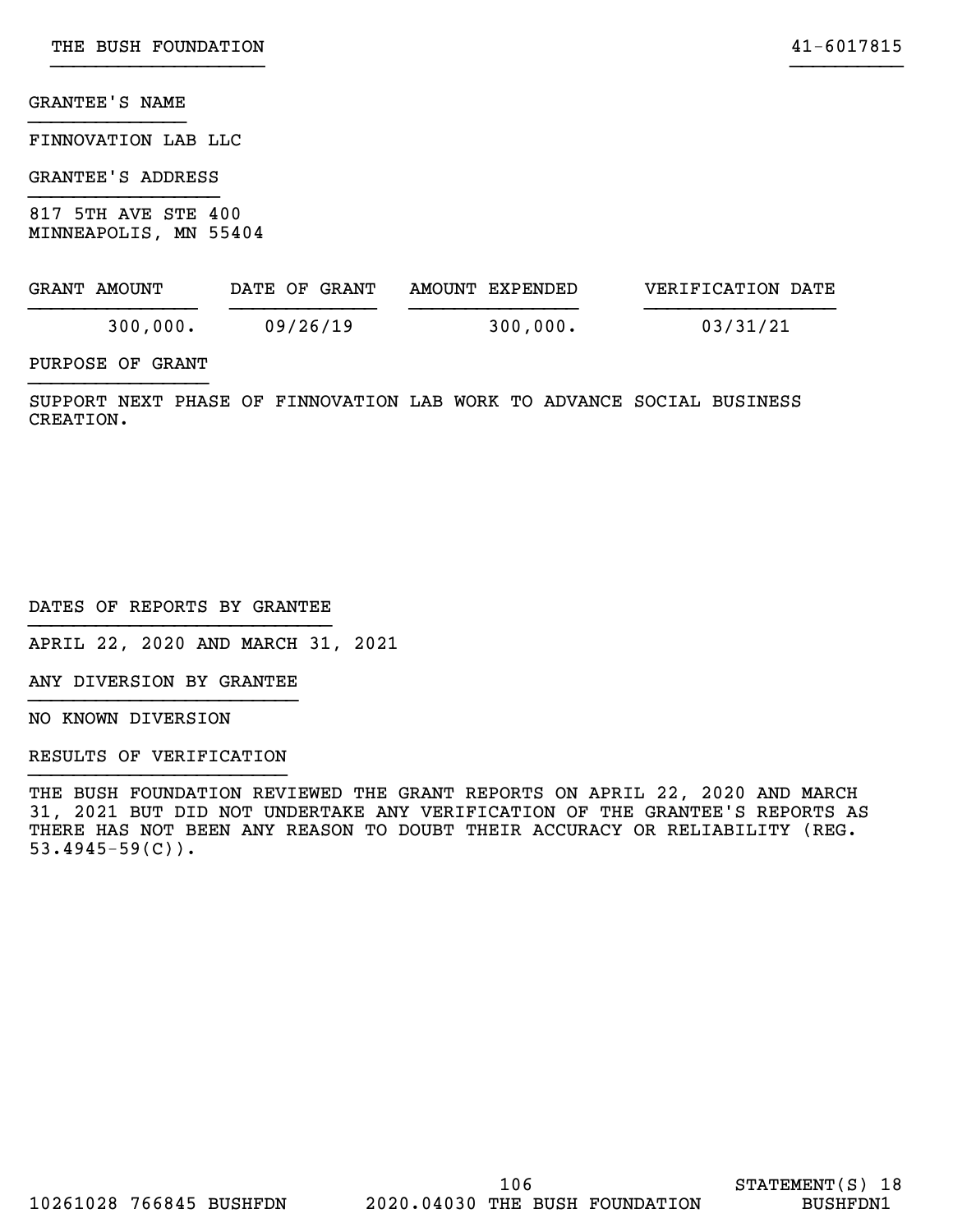FINNOVATION LAB LLC

GRANTEE'S ADDRESS }}}}}}}}}}}}}}}}}

817 5TH AVE STE 400 MINNEAPOLIS, MN 55404

| GRANT AMOUNT | DATE OF GRANT | AMOUNT EXPENDED | VERIFICATION DATE |
|--------------|---------------|-----------------|-------------------|
| 300,000.     | 09/26/19      | 300,000.        | 03/31/21          |

}}}}}}}}}}}}}}}}}}} }}}}}}}}}}

PURPOSE OF GRANT }}}}}}}}}}}}}}}}

SUPPORT NEXT PHASE OF FINNOVATION LAB WORK TO ADVANCE SOCIAL BUSINESS CREATION.

DATES OF REPORTS BY GRANTEE }}}}}}}}}}}}}}}}}}}}}}}}}}}

APRIL 22, 2020 AND MARCH 31, 2021

ANY DIVERSION BY GRANTEE }}}}}}}}}}}}}}}}}}}}}}}}

NO KNOWN DIVERSION

RESULTS OF VERIFICATION }}}}}}}}}}}}}}}}}}}}}}}

THE BUSH FOUNDATION REVIEWED THE GRANT REPORTS ON APRIL 22, 2020 AND MARCH 31, 2021 BUT DID NOT UNDERTAKE ANY VERIFICATION OF THE GRANTEE'S REPORTS AS THERE HAS NOT BEEN ANY REASON TO DOUBT THEIR ACCURACY OR RELIABILITY (REG. 53.4945-59(C)).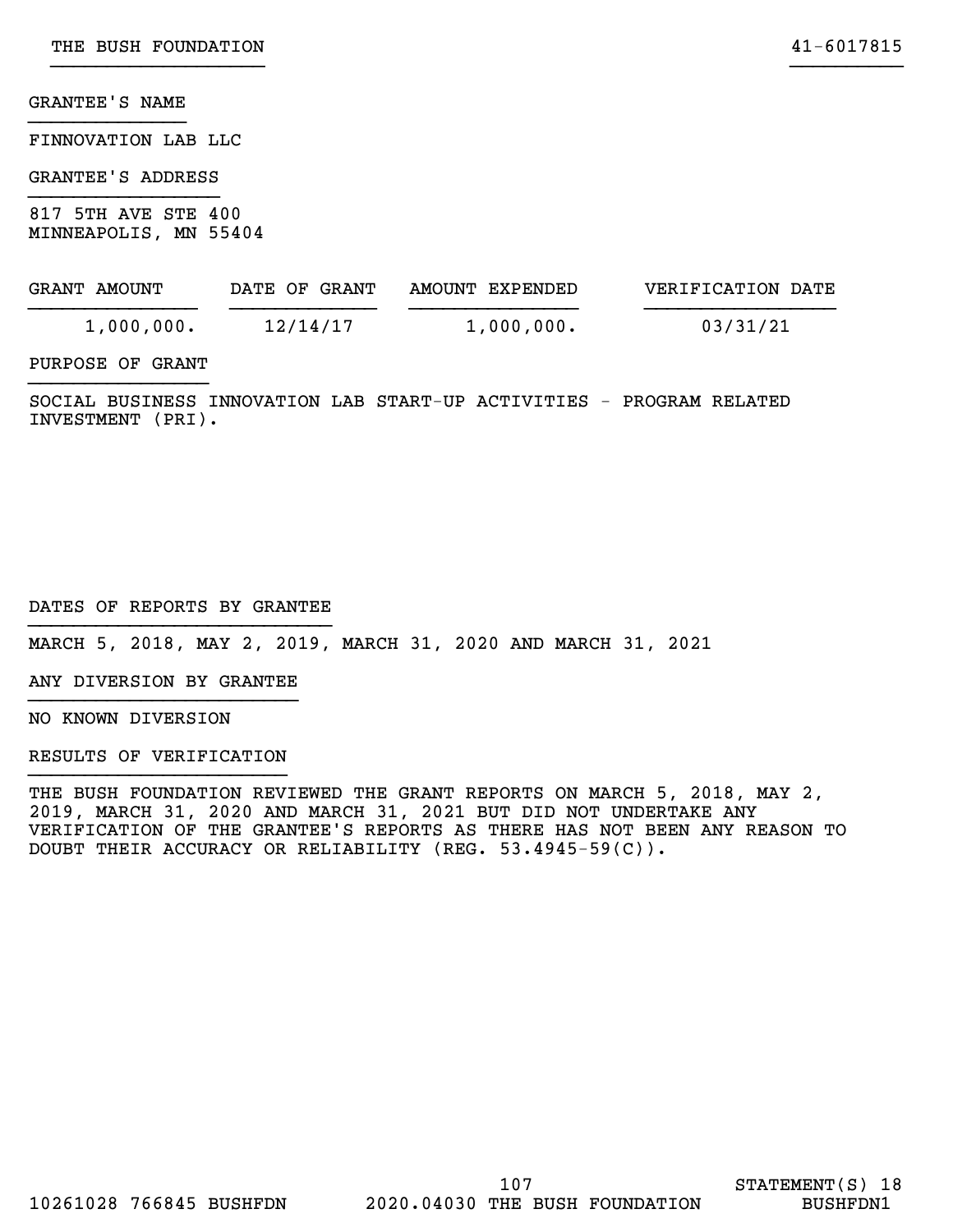FINNOVATION LAB LLC

# GRANTEE'S ADDRESS }}}}}}}}}}}}}}}}}

817 5TH AVE STE 400 MINNEAPOLIS, MN 55404

| GRANT AMOUNT | DATE OF GRANT | AMOUNT EXPENDED | VERIFICATION DATE |
|--------------|---------------|-----------------|-------------------|
| 1,000,000.   | 12/14/17      | 1,000,000.      | 03/31/21          |

}}}}}}}}}}}}}}}}}}} }}}}}}}}}}

# PURPOSE OF GRANT }}}}}}}}}}}}}}}}

SOCIAL BUSINESS INNOVATION LAB START-UP ACTIVITIES - PROGRAM RELATED INVESTMENT (PRI).

DATES OF REPORTS BY GRANTEE }}}}}}}}}}}}}}}}}}}}}}}}}}}

MARCH 5, 2018, MAY 2, 2019, MARCH 31, 2020 AND MARCH 31, 2021

ANY DIVERSION BY GRANTEE }}}}}}}}}}}}}}}}}}}}}}}}

NO KNOWN DIVERSION

RESULTS OF VERIFICATION }}}}}}}}}}}}}}}}}}}}}}}

THE BUSH FOUNDATION REVIEWED THE GRANT REPORTS ON MARCH 5, 2018, MAY 2, 2019, MARCH 31, 2020 AND MARCH 31, 2021 BUT DID NOT UNDERTAKE ANY VERIFICATION OF THE GRANTEE'S REPORTS AS THERE HAS NOT BEEN ANY REASON TO DOUBT THEIR ACCURACY OR RELIABILITY (REG. 53.4945-59(C)).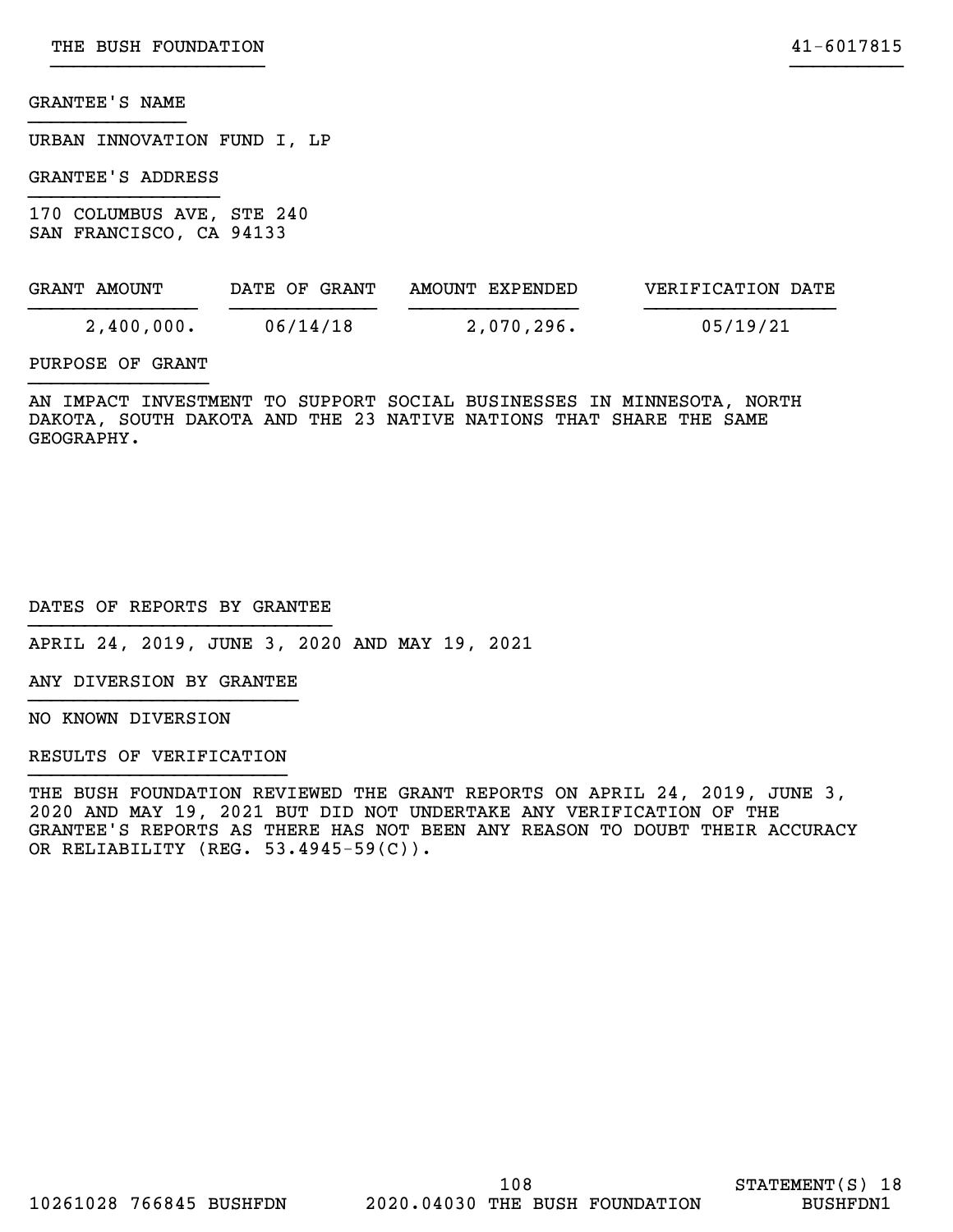URBAN INNOVATION FUND I, LP

GRANTEE'S ADDRESS }}}}}}}}}}}}}}}}}

170 COLUMBUS AVE, STE 240 SAN FRANCISCO, CA 94133

| GRANT AMOUNT | DATE OF GRANT | AMOUNT EXPENDED | VERIFICATION DATE |
|--------------|---------------|-----------------|-------------------|
| 2,400,000.   | 06/14/18      | 2,070,296.      | 05/19/21          |

}}}}}}}}}}}}}}}}}}} }}}}}}}}}}

# PURPOSE OF GRANT }}}}}}}}}}}}}}}}

AN IMPACT INVESTMENT TO SUPPORT SOCIAL BUSINESSES IN MINNESOTA, NORTH DAKOTA, SOUTH DAKOTA AND THE 23 NATIVE NATIONS THAT SHARE THE SAME GEOGRAPHY.

# DATES OF REPORTS BY GRANTEE }}}}}}}}}}}}}}}}}}}}}}}}}}}

APRIL 24, 2019, JUNE 3, 2020 AND MAY 19, 2021

ANY DIVERSION BY GRANTEE }}}}}}}}}}}}}}}}}}}}}}}}

NO KNOWN DIVERSION

RESULTS OF VERIFICATION }}}}}}}}}}}}}}}}}}}}}}}

THE BUSH FOUNDATION REVIEWED THE GRANT REPORTS ON APRIL 24, 2019, JUNE 3, 2020 AND MAY 19, 2021 BUT DID NOT UNDERTAKE ANY VERIFICATION OF THE GRANTEE'S REPORTS AS THERE HAS NOT BEEN ANY REASON TO DOUBT THEIR ACCURACY OR RELIABILITY (REG. 53.4945-59(C)).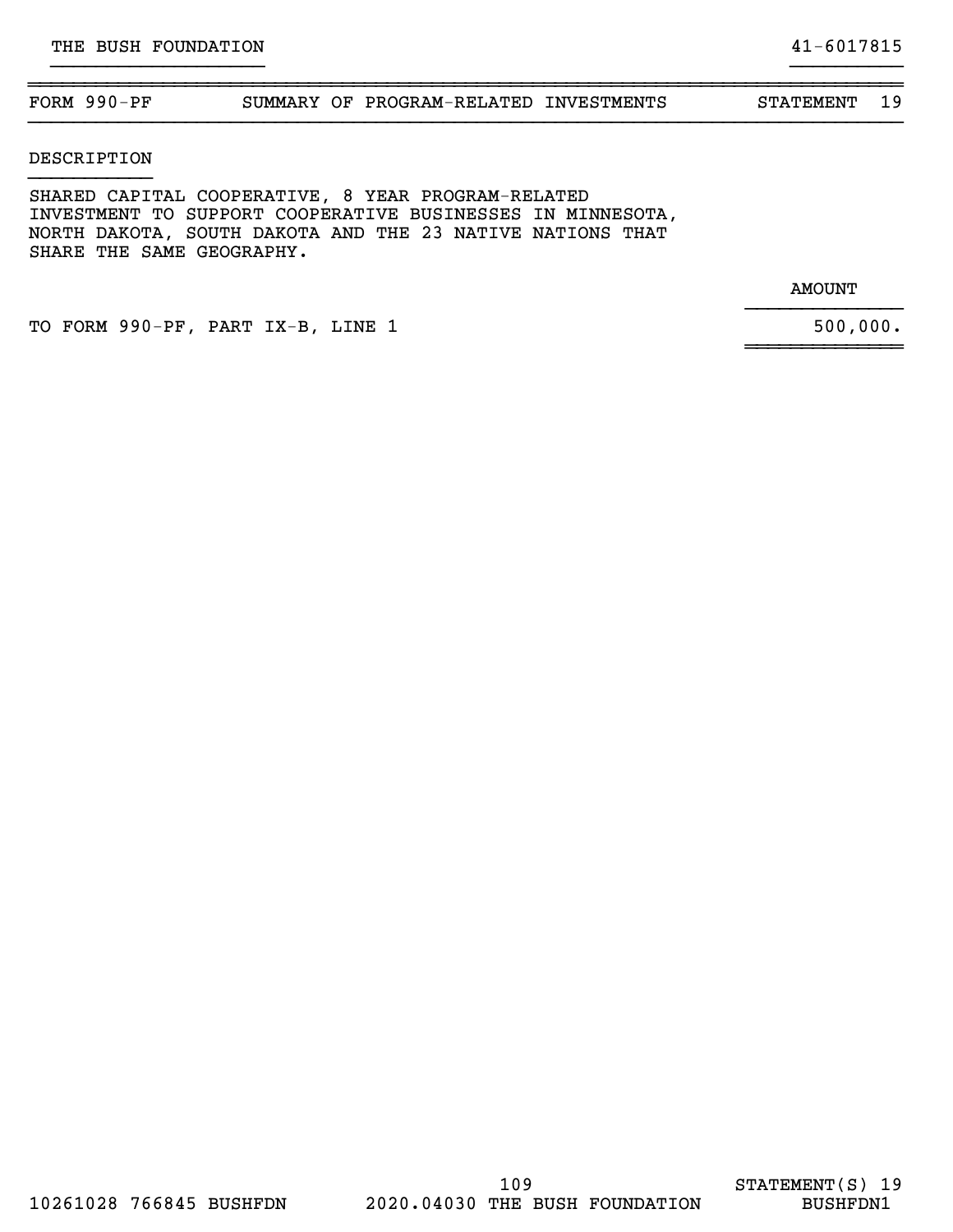# ~~~~~~~~~~~~~~~~~~~~~~~~~~~~~~~~~~~~~~~~~~~~~~~~~~~~~~~~~~~~~~~~~~~~~~~~~~~~~~ FORM 990-PF SUMMARY OF PROGRAM-RELATED INVESTMENTS STATEMENT 19 }}}}}}}}}}}}}}}}}}}}}}}}}}}}}}}}}}}}}}}}}}}}}}}}}}}}}}}}}}}}}}}}}}}}}}}}}}}}}}

}}}}}}}}}}}}}}}}}}} }}}}}}}}}}

## DESCRIPTION }}}}}}}}}}}

SHARED CAPITAL COOPERATIVE, 8 YEAR PROGRAM-RELATED INVESTMENT TO SUPPORT COOPERATIVE BUSINESSES IN MINNESOTA, NORTH DAKOTA, SOUTH DAKOTA AND THE 23 NATIVE NATIONS THAT SHARE THE SAME GEOGRAPHY.

> AMOUNT }}}}}}}}}}}}}}

> ~~~~~~~~~~~~~~

TO FORM 990-PF, PART IX-B, LINE 1 500,000.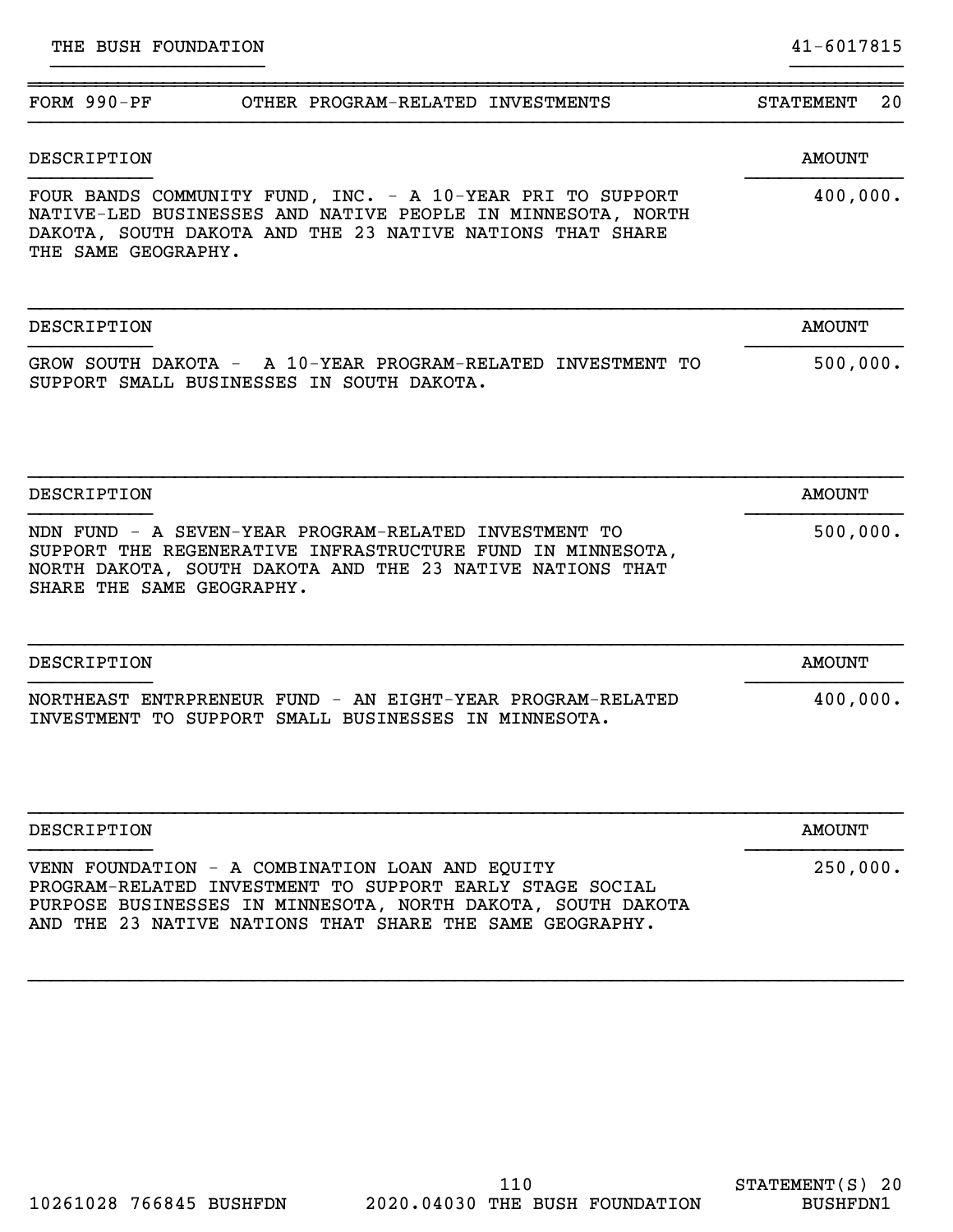| $FORM 990-PF$<br>OTHER PROGRAM-RELATED INVESTMENTS                                                                                                                                                                                     | <b>STATEMENT</b><br>20 |
|----------------------------------------------------------------------------------------------------------------------------------------------------------------------------------------------------------------------------------------|------------------------|
| <b>DESCRIPTION</b>                                                                                                                                                                                                                     | <b>AMOUNT</b>          |
| FOUR BANDS COMMUNITY FUND, INC. - A 10-YEAR PRI TO SUPPORT<br>NATIVE-LED BUSINESSES AND NATIVE PEOPLE IN MINNESOTA, NORTH<br>DAKOTA, SOUTH DAKOTA AND THE 23 NATIVE NATIONS THAT SHARE<br>THE SAME GEOGRAPHY.                          | 400,000.               |
| DESCRIPTION                                                                                                                                                                                                                            | <b>AMOUNT</b>          |
| GROW SOUTH DAKOTA - A 10-YEAR PROGRAM-RELATED INVESTMENT TO<br>SUPPORT SMALL BUSINESSES IN SOUTH DAKOTA.                                                                                                                               | 500,000.               |
| <b>DESCRIPTION</b>                                                                                                                                                                                                                     | <b>AMOUNT</b>          |
| NDN FUND - A SEVEN-YEAR PROGRAM-RELATED INVESTMENT TO<br>SUPPORT THE REGENERATIVE INFRASTRUCTURE FUND IN MINNESOTA,<br>NORTH DAKOTA, SOUTH DAKOTA AND THE 23 NATIVE NATIONS THAT<br>SHARE THE SAME GEOGRAPHY.                          | 500,000.               |
| DESCRIPTION                                                                                                                                                                                                                            | <b>AMOUNT</b>          |
| NORTHEAST ENTRPRENEUR FUND - AN EIGHT-YEAR PROGRAM-RELATED<br>INVESTMENT TO SUPPORT SMALL BUSINESSES IN MINNESOTA.                                                                                                                     | 400,000.               |
| DESCRIPTION                                                                                                                                                                                                                            | <b>AMOUNT</b>          |
| VENN FOUNDATION - A COMBINATION LOAN AND EQUITY<br>PROGRAM-RELATED INVESTMENT TO SUPPORT EARLY STAGE SOCIAL<br>PURPOSE BUSINESSES IN MINNESOTA, NORTH DAKOTA, SOUTH DAKOTA<br>AND THE 23 NATIVE NATIONS THAT SHARE THE SAME GEOGRAPHY. | 250,000.               |

}}}}}}}}}}}}}}}}}}} }}}}}}}}}}

}}}}}}}}}}}}}}}}}}}}}}}}}}}}}}}}}}}}}}}}}}}}}}}}}}}}}}}}}}}}}}}}}}}}}}}}}}}}}}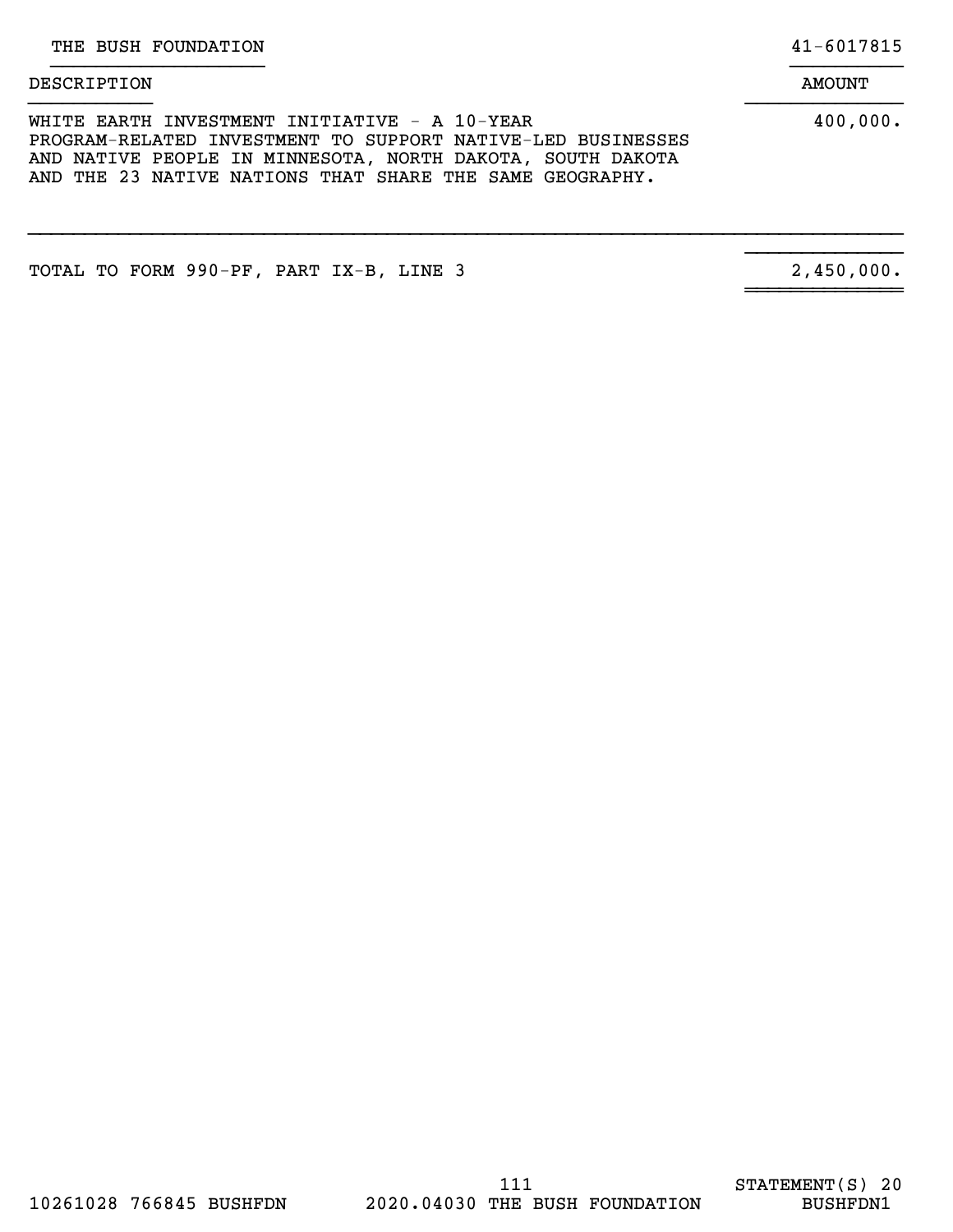DESCRIPTION AMOUNT }}}}}}}}}}}}}}}}}}} }}}}}}}}}}

# }}}}}}}}}}} }}}}}}}}}}}}}} WHITE EARTH INVESTMENT INITIATIVE - A 10-YEAR 400,000. PROGRAM-RELATED INVESTMENT TO SUPPORT NATIVE-LED BUSINESSES AND NATIVE PEOPLE IN MINNESOTA, NORTH DAKOTA, SOUTH DAKOTA

AND THE 23 NATIVE NATIONS THAT SHARE THE SAME GEOGRAPHY.

}}}}}}}}}}}}}}}}}}}}}}}}}}}}}}}}}}}}}}}}}}}}}}}}}}}}}}}}}}}}}}}}}}}}}}}}}}}}}}

TOTAL TO FORM 990-PF, PART IX-B, LINE 3

2,450,000.

}}}}}}}}}}}}}}

~~~~~~~~~~~~~~